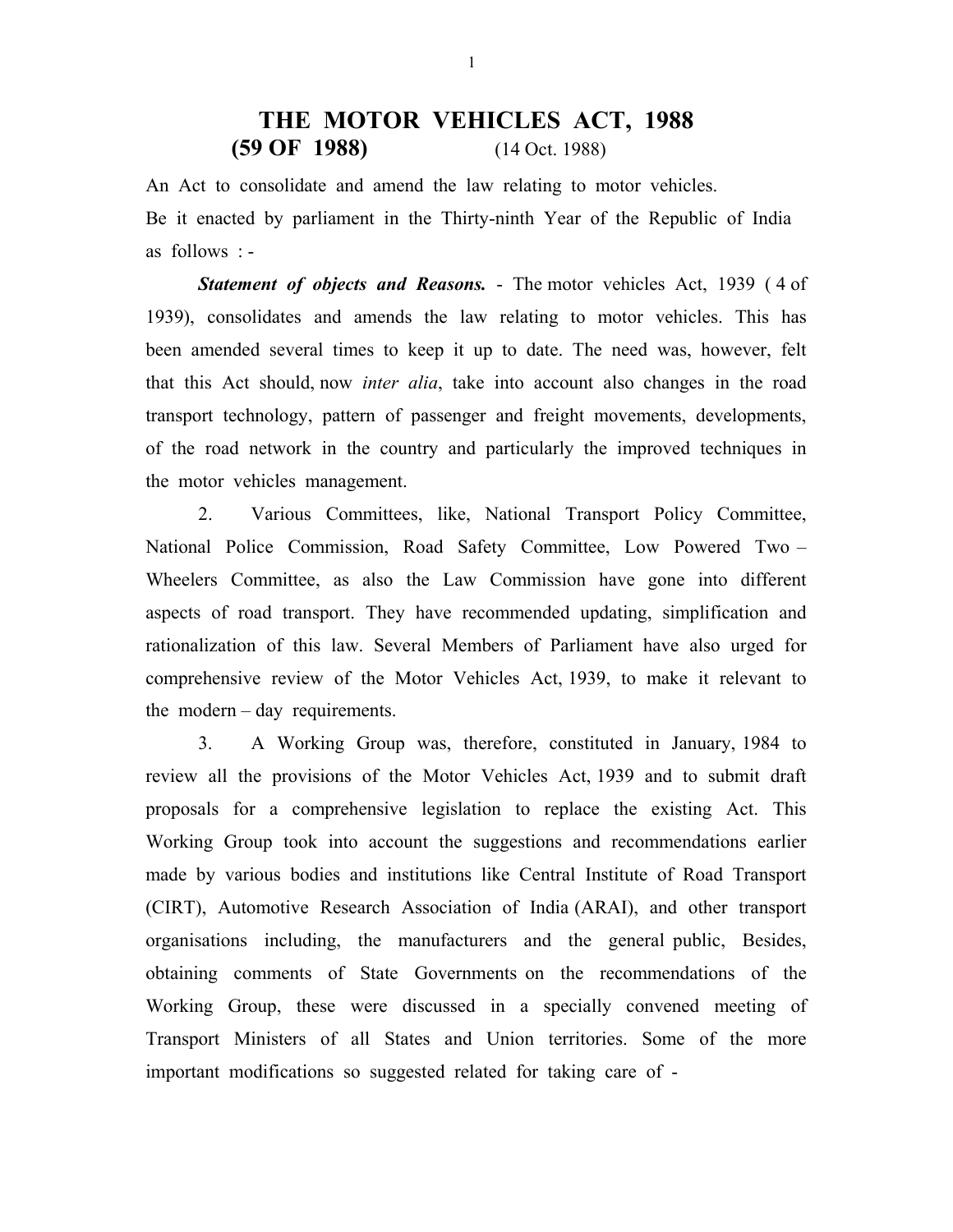## **THE MOTOR VEHICLES ACT, 1988 (59 OF 1988)** (14 Oct. 1988)

An Act to consolidate and amend the law relating to motor vehicles. Be it enacted by parliament in the Thirty-ninth Year of the Republic of India as follows : -

*Statement of objects and Reasons.* - The motor vehicles Act, 1939 ( 4 of 1939), consolidates and amends the law relating to motor vehicles. This has been amended several times to keep it up to date. The need was, however, felt that this Act should, now *inter alia*, take into account also changes in the road transport technology, pattern of passenger and freight movements, developments, of the road network in the country and particularly the improved techniques in the motor vehicles management.

2. Various Committees, like, National Transport Policy Committee, National Police Commission, Road Safety Committee, Low Powered Two – Wheelers Committee, as also the Law Commission have gone into different aspects of road transport. They have recommended updating, simplification and rationalization of this law. Several Members of Parliament have also urged for comprehensive review of the Motor Vehicles Act, 1939, to make it relevant to the modern – day requirements.

3. A Working Group was, therefore, constituted in January, 1984 to review all the provisions of the Motor Vehicles Act, 1939 and to submit draft proposals for a comprehensive legislation to replace the existing Act. This Working Group took into account the suggestions and recommendations earlier made by various bodies and institutions like Central Institute of Road Transport (CIRT), Automotive Research Association of India (ARAI), and other transport organisations including, the manufacturers and the general public, Besides, obtaining comments of State Governments on the recommendations of the Working Group, these were discussed in a specially convened meeting of Transport Ministers of all States and Union territories. Some of the more important modifications so suggested related for taking care of -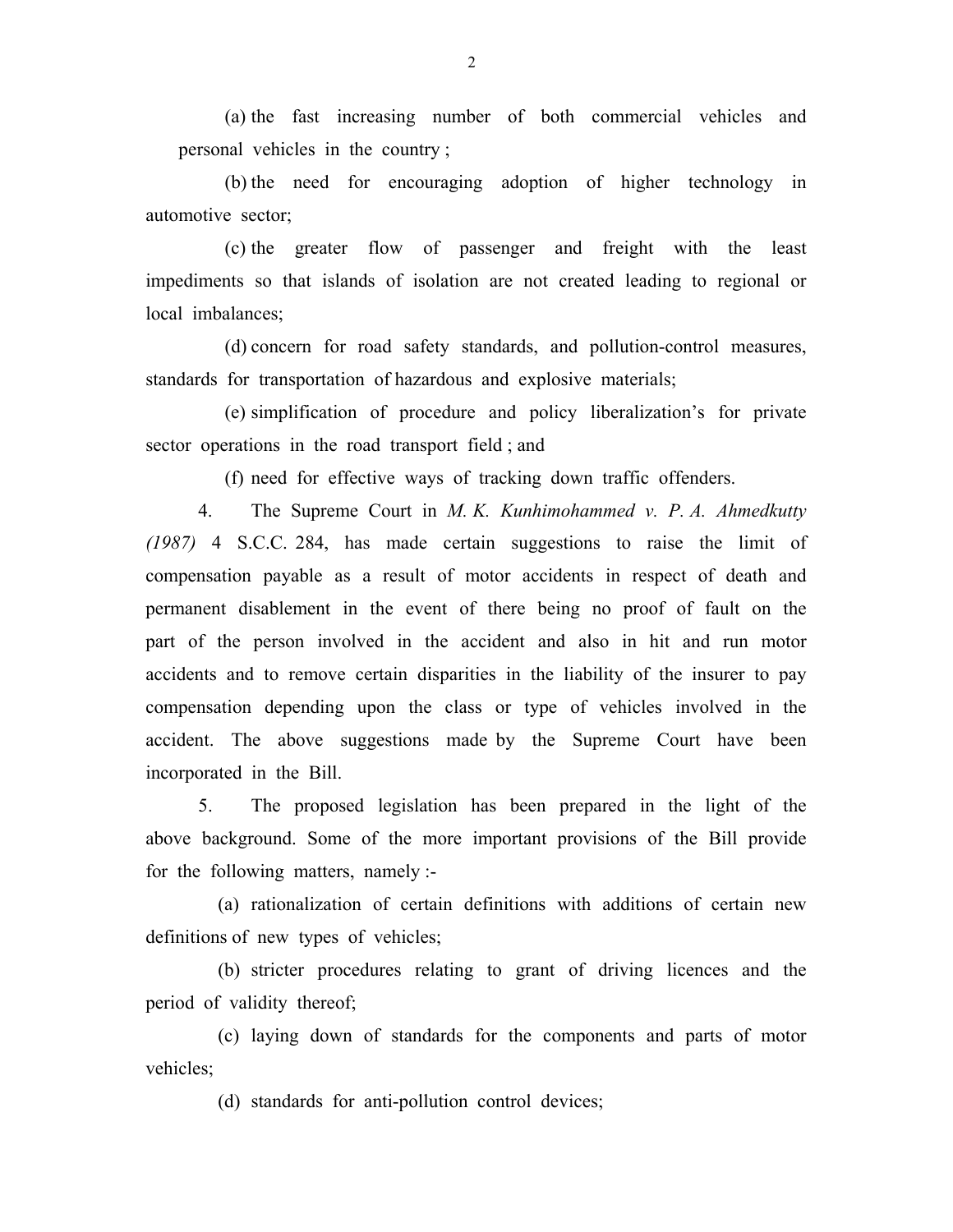(a) the fast increasing number of both commercial vehicles and personal vehicles in the country ;

(b) the need for encouraging adoption of higher technology in automotive sector;

(c) the greater flow of passenger and freight with the least impediments so that islands of isolation are not created leading to regional or local imbalances;

(d) concern for road safety standards, and pollution-control measures, standards for transportation of hazardous and explosive materials;

(e) simplification of procedure and policy liberalization's for private sector operations in the road transport field ; and

(f) need for effective ways of tracking down traffic offenders.

4. The Supreme Court in *M. K. Kunhimohammed v. P. A. Ahmedkutty (1987)* 4 S.C.C. 284, has made certain suggestions to raise the limit of compensation payable as a result of motor accidents in respect of death and permanent disablement in the event of there being no proof of fault on the part of the person involved in the accident and also in hit and run motor accidents and to remove certain disparities in the liability of the insurer to pay compensation depending upon the class or type of vehicles involved in the accident. The above suggestions made by the Supreme Court have been incorporated in the Bill.

5. The proposed legislation has been prepared in the light of the above background. Some of the more important provisions of the Bill provide for the following matters, namely :-

(a) rationalization of certain definitions with additions of certain new definitions of new types of vehicles;

(b) stricter procedures relating to grant of driving licences and the period of validity thereof;

(c) laying down of standards for the components and parts of motor vehicles;

(d) standards for anti-pollution control devices;

2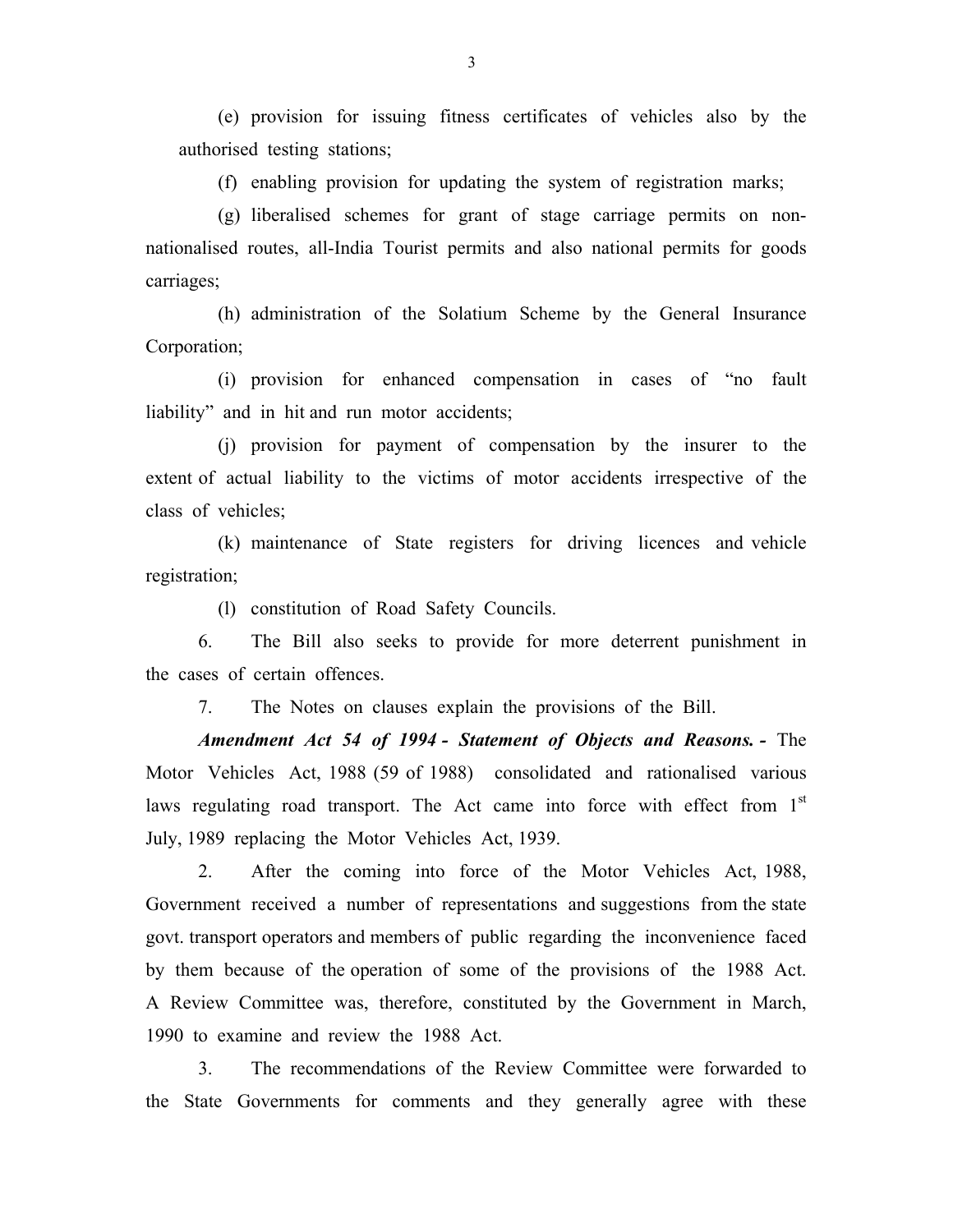(e) provision for issuing fitness certificates of vehicles also by the authorised testing stations;

(f) enabling provision for updating the system of registration marks;

(g) liberalised schemes for grant of stage carriage permits on nonnationalised routes, all-India Tourist permits and also national permits for goods carriages;

(h) administration of the Solatium Scheme by the General Insurance Corporation;

(i) provision for enhanced compensation in cases of "no fault liability" and in hit and run motor accidents;

(j) provision for payment of compensation by the insurer to the extent of actual liability to the victims of motor accidents irrespective of the class of vehicles;

(k) maintenance of State registers for driving licences and vehicle registration;

(l) constitution of Road Safety Councils.

6. The Bill also seeks to provide for more deterrent punishment in the cases of certain offences.

7. The Notes on clauses explain the provisions of the Bill.

*Amendment Act 54 of 1994 - Statement of Objects and Reasons. -* The Motor Vehicles Act, 1988 (59 of 1988) consolidated and rationalised various laws regulating road transport. The Act came into force with effect from 1st July, 1989 replacing the Motor Vehicles Act, 1939.

2. After the coming into force of the Motor Vehicles Act, 1988, Government received a number of representations and suggestions from the state govt. transport operators and members of public regarding the inconvenience faced by them because of the operation of some of the provisions of the 1988 Act. A Review Committee was, therefore, constituted by the Government in March, 1990 to examine and review the 1988 Act.

3. The recommendations of the Review Committee were forwarded to the State Governments for comments and they generally agree with these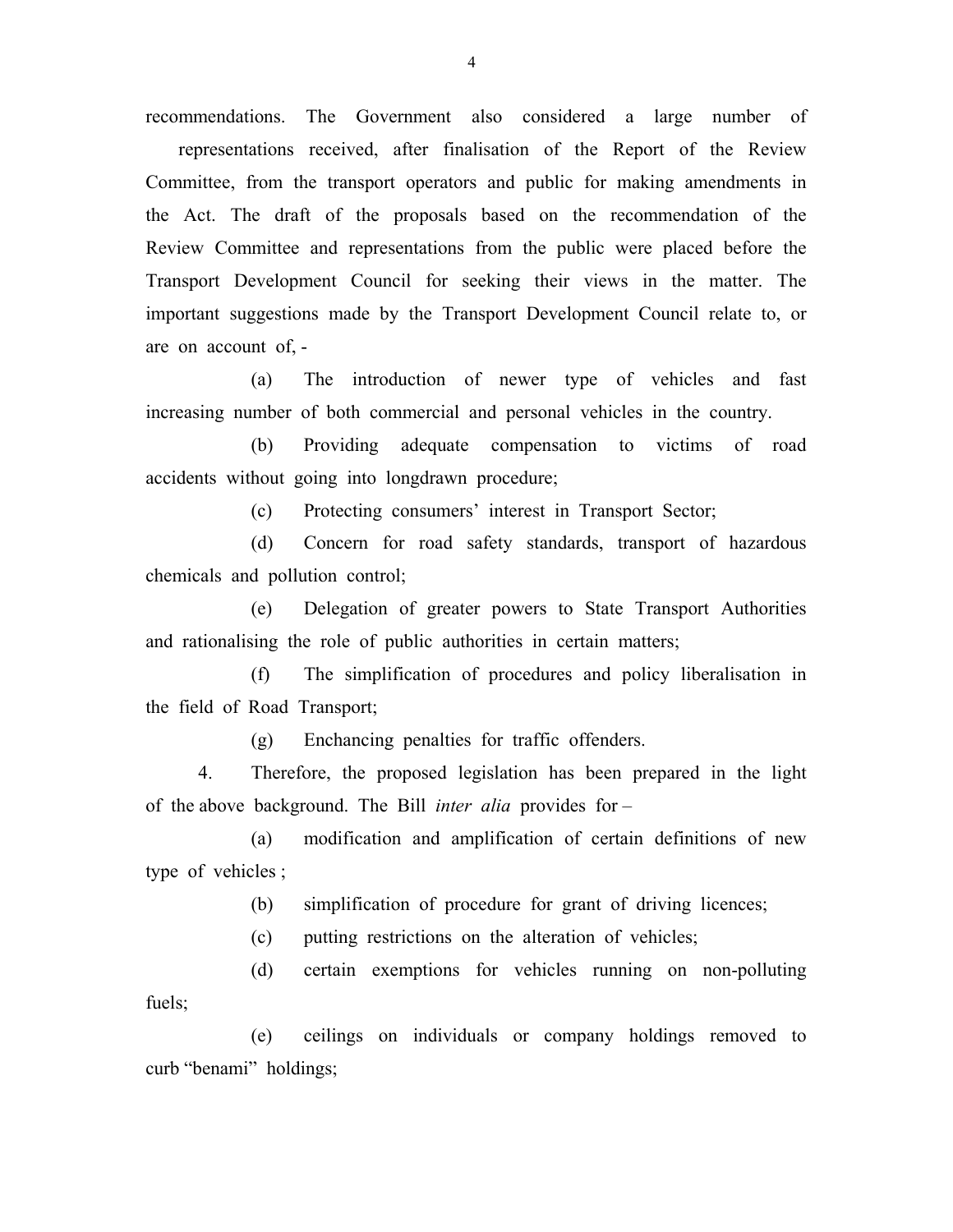recommendations. The Government also considered a large number of

representations received, after finalisation of the Report of the Review Committee, from the transport operators and public for making amendments in the Act. The draft of the proposals based on the recommendation of the Review Committee and representations from the public were placed before the Transport Development Council for seeking their views in the matter. The important suggestions made by the Transport Development Council relate to, or are on account of, -

(a) The introduction of newer type of vehicles and fast increasing number of both commercial and personal vehicles in the country.

(b) Providing adequate compensation to victims of road accidents without going into longdrawn procedure;

(c) Protecting consumers' interest in Transport Sector;

(d) Concern for road safety standards, transport of hazardous chemicals and pollution control;

(e) Delegation of greater powers to State Transport Authorities and rationalising the role of public authorities in certain matters;

(f) The simplification of procedures and policy liberalisation in the field of Road Transport;

(g) Enchancing penalties for traffic offenders.

4. Therefore, the proposed legislation has been prepared in the light of the above background. The Bill *inter alia* provides for –

(a) modification and amplification of certain definitions of new type of vehicles ;

(b) simplification of procedure for grant of driving licences;

(c) putting restrictions on the alteration of vehicles;

(d) certain exemptions for vehicles running on non-polluting fuels;

(e) ceilings on individuals or company holdings removed to curb "benami" holdings;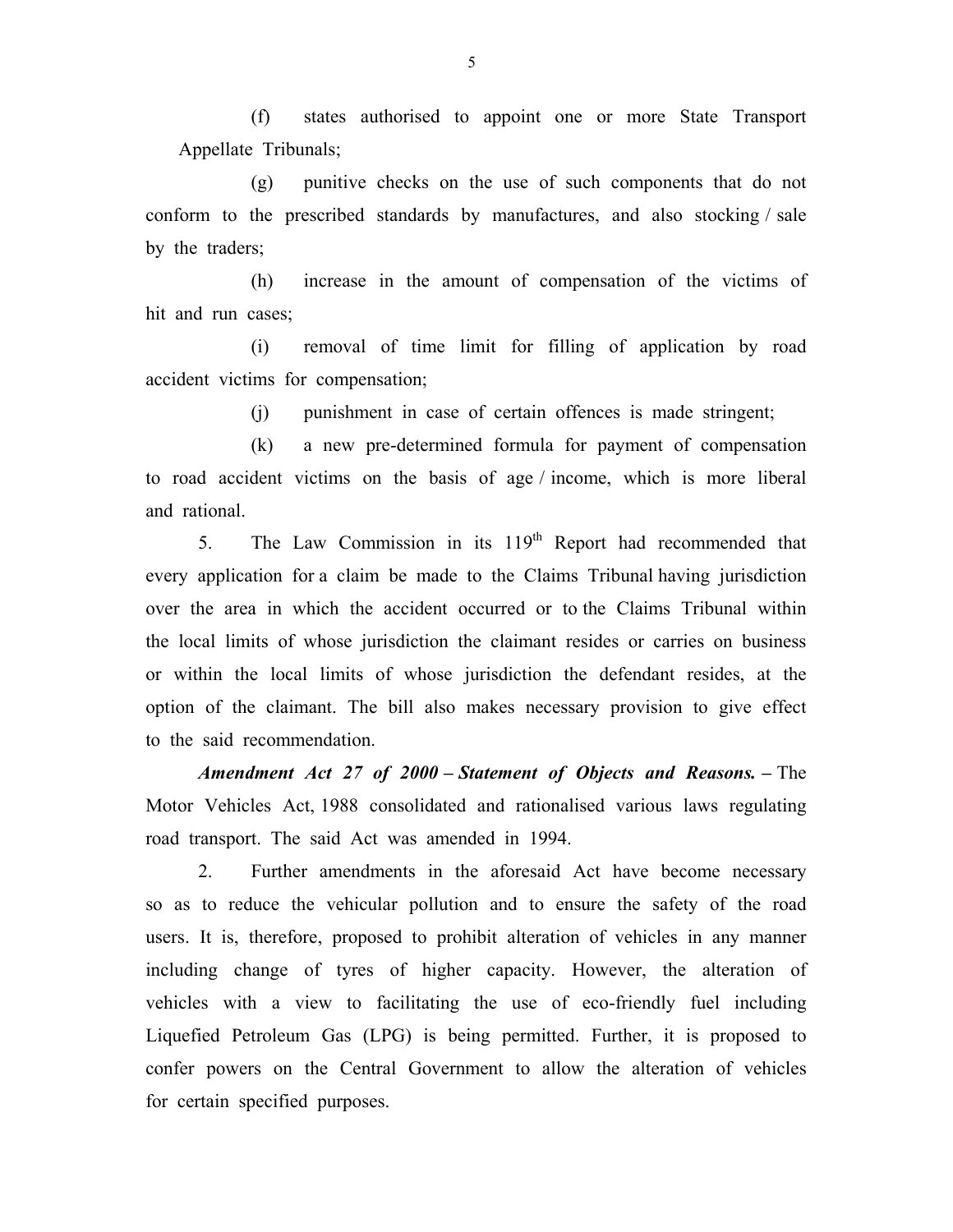(f) states authorised to appoint one or more State Transport Appellate Tribunals;

(g) punitive checks on the use of such components that do not conform to the prescribed standards by manufactures, and also stocking / sale by the traders;

(h) increase in the amount of compensation of the victims of hit and run cases;

(i) removal of time limit for filling of application by road accident victims for compensation;

(j) punishment in case of certain offences is made stringent;

(k) a new pre-determined formula for payment of compensation to road accident victims on the basis of age / income, which is more liberal and rational.

5. The Law Commission in its  $119<sup>th</sup>$  Report had recommended that every application for a claim be made to the Claims Tribunal having jurisdiction over the area in which the accident occurred or to the Claims Tribunal within the local limits of whose jurisdiction the claimant resides or carries on business or within the local limits of whose jurisdiction the defendant resides, at the option of the claimant. The bill also makes necessary provision to give effect to the said recommendation.

*Amendment Act 27 of 2000 – Statement of Objects and Reasons. – The* Motor Vehicles Act, 1988 consolidated and rationalised various laws regulating road transport. The said Act was amended in 1994.

2. Further amendments in the aforesaid Act have become necessary so as to reduce the vehicular pollution and to ensure the safety of the road users. It is, therefore, proposed to prohibit alteration of vehicles in any manner including change of tyres of higher capacity. However, the alteration of vehicles with a view to facilitating the use of eco-friendly fuel including Liquefied Petroleum Gas (LPG) is being permitted. Further, it is proposed to confer powers on the Central Government to allow the alteration of vehicles for certain specified purposes.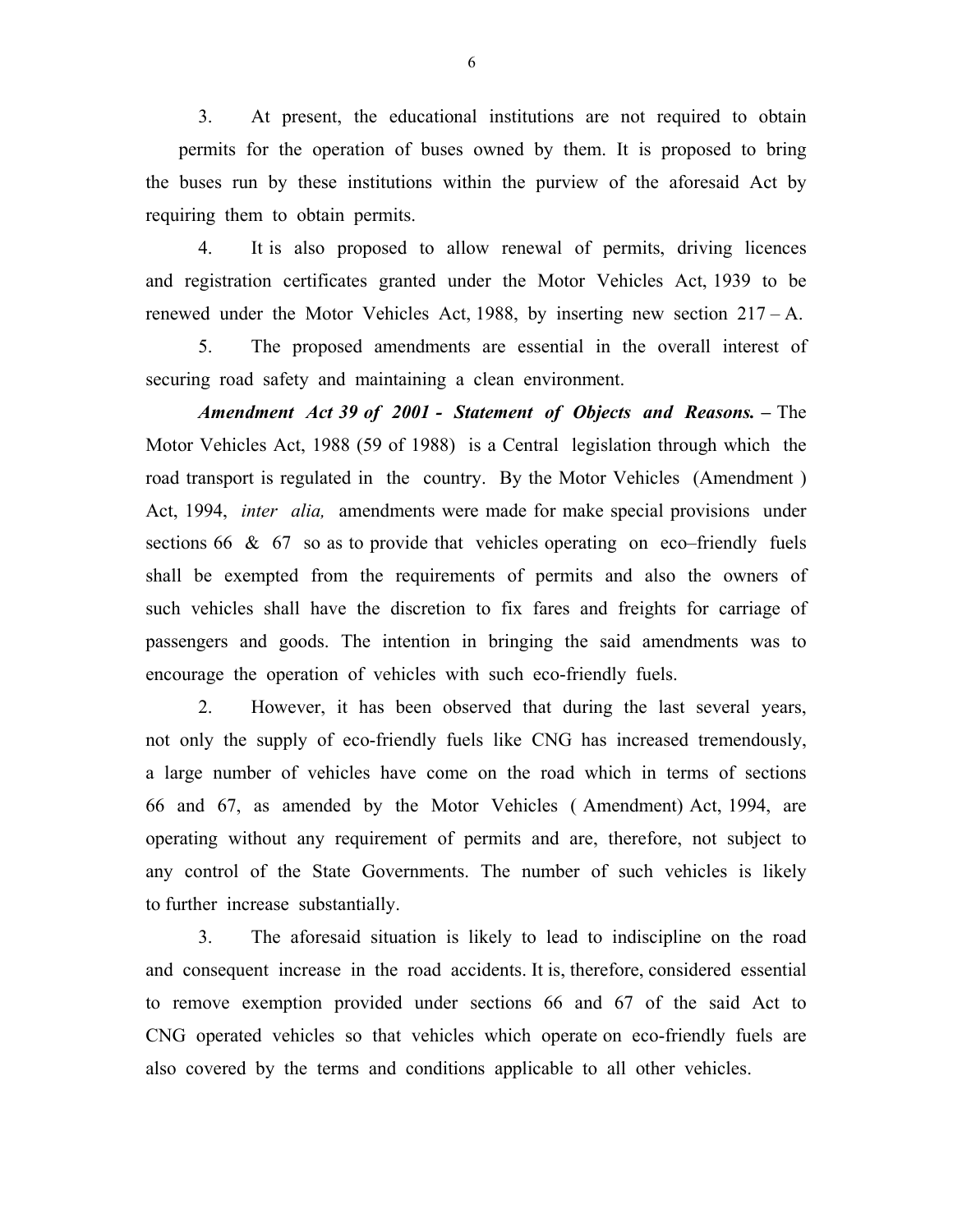3. At present, the educational institutions are not required to obtain permits for the operation of buses owned by them. It is proposed to bring the buses run by these institutions within the purview of the aforesaid Act by requiring them to obtain permits.

4. It is also proposed to allow renewal of permits, driving licences and registration certificates granted under the Motor Vehicles Act, 1939 to be renewed under the Motor Vehicles Act, 1988, by inserting new section 217 – A.

5. The proposed amendments are essential in the overall interest of securing road safety and maintaining a clean environment.

*Amendment Act 39 of 2001 - Statement of Objects and Reasons. –* The Motor Vehicles Act, 1988 (59 of 1988) is a Central legislation through which the road transport is regulated in the country. By the Motor Vehicles (Amendment ) Act, 1994, *inter alia,* amendments were made for make special provisions under sections 66 & 67 so as to provide that vehicles operating on eco–friendly fuels shall be exempted from the requirements of permits and also the owners of such vehicles shall have the discretion to fix fares and freights for carriage of passengers and goods. The intention in bringing the said amendments was to encourage the operation of vehicles with such eco-friendly fuels.

2. However, it has been observed that during the last several years, not only the supply of eco-friendly fuels like CNG has increased tremendously, a large number of vehicles have come on the road which in terms of sections 66 and 67, as amended by the Motor Vehicles ( Amendment) Act, 1994, are operating without any requirement of permits and are, therefore, not subject to any control of the State Governments. The number of such vehicles is likely to further increase substantially.

3. The aforesaid situation is likely to lead to indiscipline on the road and consequent increase in the road accidents. It is, therefore, considered essential to remove exemption provided under sections 66 and 67 of the said Act to CNG operated vehicles so that vehicles which operate on eco-friendly fuels are also covered by the terms and conditions applicable to all other vehicles.

6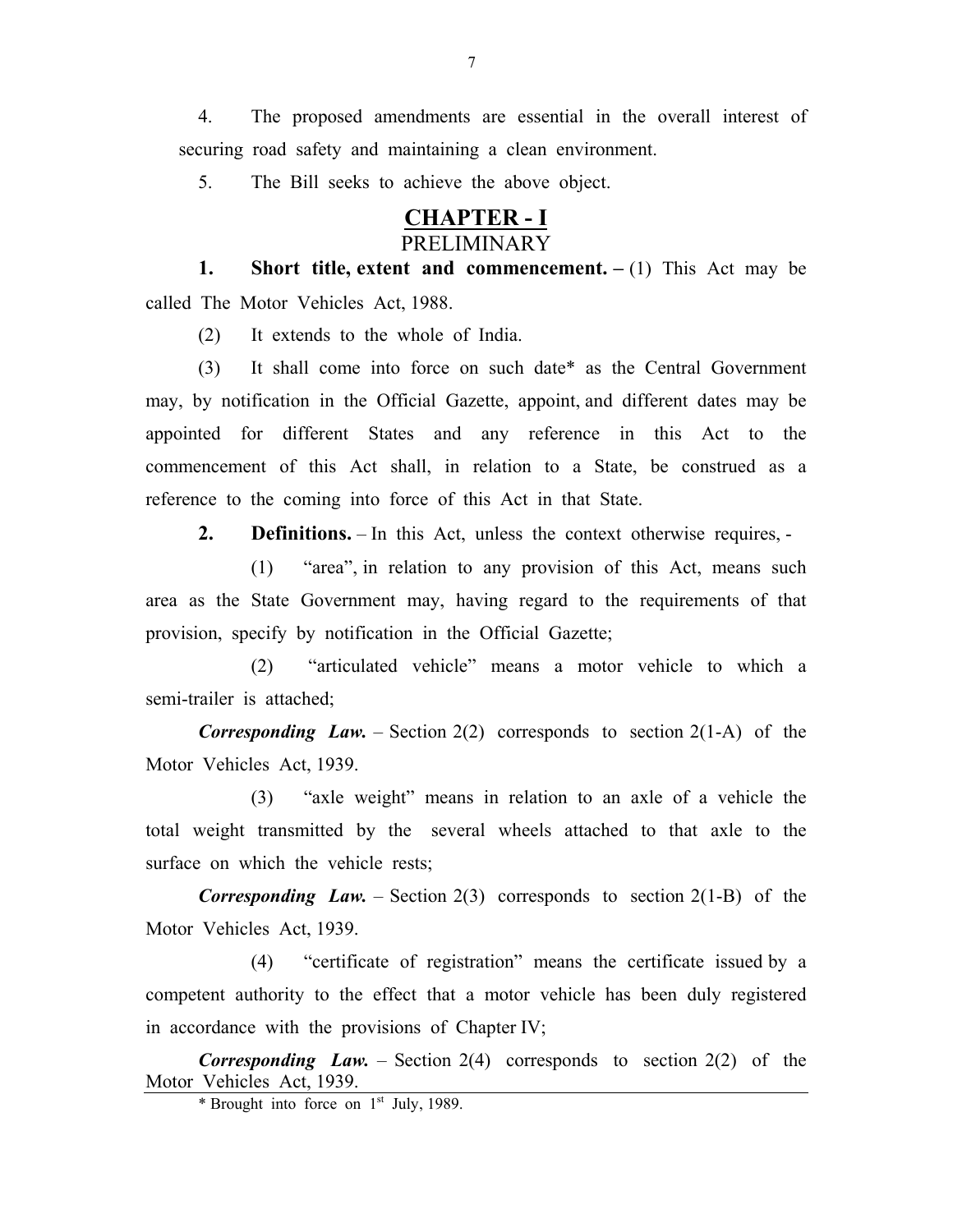4. The proposed amendments are essential in the overall interest of securing road safety and maintaining a clean environment.

5. The Bill seeks to achieve the above object.

#### **CHAPTER - I**

#### PRELIMINARY

**1. Short title, extent and commencement.**  $- (1)$  This Act may be called The Motor Vehicles Act, 1988.

(2) It extends to the whole of India.

(3) It shall come into force on such date\* as the Central Government may, by notification in the Official Gazette, appoint, and different dates may be appointed for different States and any reference in this Act to the commencement of this Act shall, in relation to a State, be construed as a reference to the coming into force of this Act in that State.

**2. Definitions.** – In this Act, unless the context otherwise requires, -

(1) "area", in relation to any provision of this Act, means such area as the State Government may, having regard to the requirements of that provision, specify by notification in the Official Gazette;

(2) "articulated vehicle" means a motor vehicle to which a semi-trailer is attached;

*Corresponding Law. –* Section 2(2) corresponds to section 2(1-A) of the Motor Vehicles Act, 1939.

(3) "axle weight" means in relation to an axle of a vehicle the total weight transmitted by the several wheels attached to that axle to the surface on which the vehicle rests;

*Corresponding Law. –* Section 2(3) corresponds to section 2(1-B) of the Motor Vehicles Act, 1939.

(4) "certificate of registration" means the certificate issued by a competent authority to the effect that a motor vehicle has been duly registered in accordance with the provisions of Chapter IV;

*Corresponding Law. –* Section 2(4) corresponds to section 2(2) of the Motor Vehicles Act, 1939.

\* Brought into force on  $1<sup>st</sup>$  July, 1989.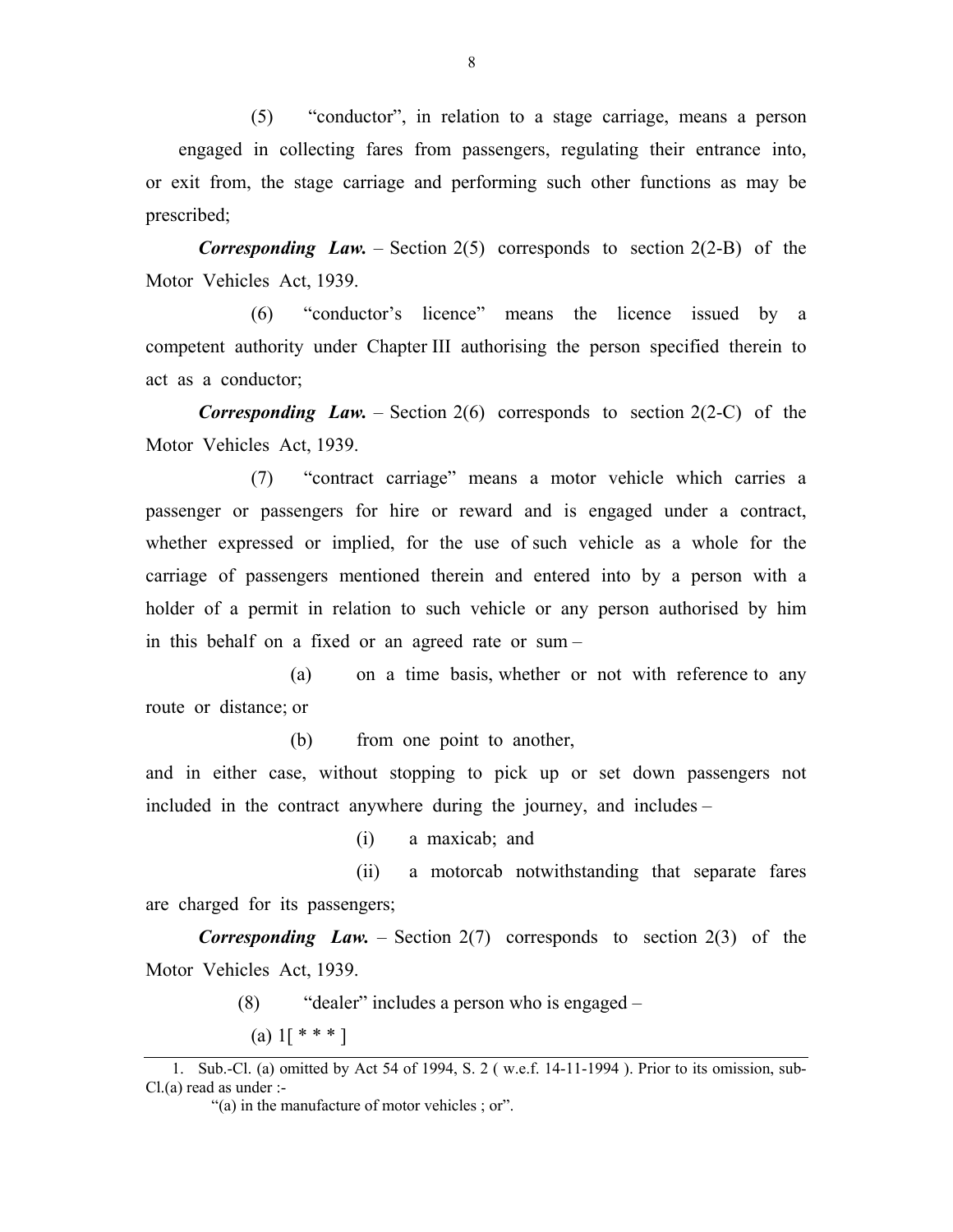(5) "conductor", in relation to a stage carriage, means a person engaged in collecting fares from passengers, regulating their entrance into, or exit from, the stage carriage and performing such other functions as may be prescribed;

*Corresponding Law.* – Section 2(5) corresponds to section 2(2-B) of the Motor Vehicles Act, 1939.

(6) "conductor's licence" means the licence issued by a competent authority under Chapter III authorising the person specified therein to act as a conductor;

*Corresponding Law. –* Section 2(6) corresponds to section 2(2-C) of the Motor Vehicles Act, 1939.

(7) "contract carriage" means a motor vehicle which carries a passenger or passengers for hire or reward and is engaged under a contract, whether expressed or implied, for the use of such vehicle as a whole for the carriage of passengers mentioned therein and entered into by a person with a holder of a permit in relation to such vehicle or any person authorised by him in this behalf on a fixed or an agreed rate or sum –

(a) on a time basis, whether or not with reference to any route or distance; or

(b) from one point to another,

and in either case, without stopping to pick up or set down passengers not included in the contract anywhere during the journey, and includes –

(i) a maxicab; and

(ii) a motorcab notwithstanding that separate fares are charged for its passengers;

*Corresponding Law. –* Section 2(7) corresponds to section 2(3) of the Motor Vehicles Act, 1939.

(8) "dealer" includes a person who is engaged –

(a)  $1[$  \* \* \* ]

8

<sup>1.</sup> Sub.-Cl. (a) omitted by Act 54 of 1994, S. 2 ( w.e.f. 14-11-1994 ). Prior to its omission, sub-Cl.(a) read as under :-

<sup>&</sup>quot;(a) in the manufacture of motor vehicles ; or".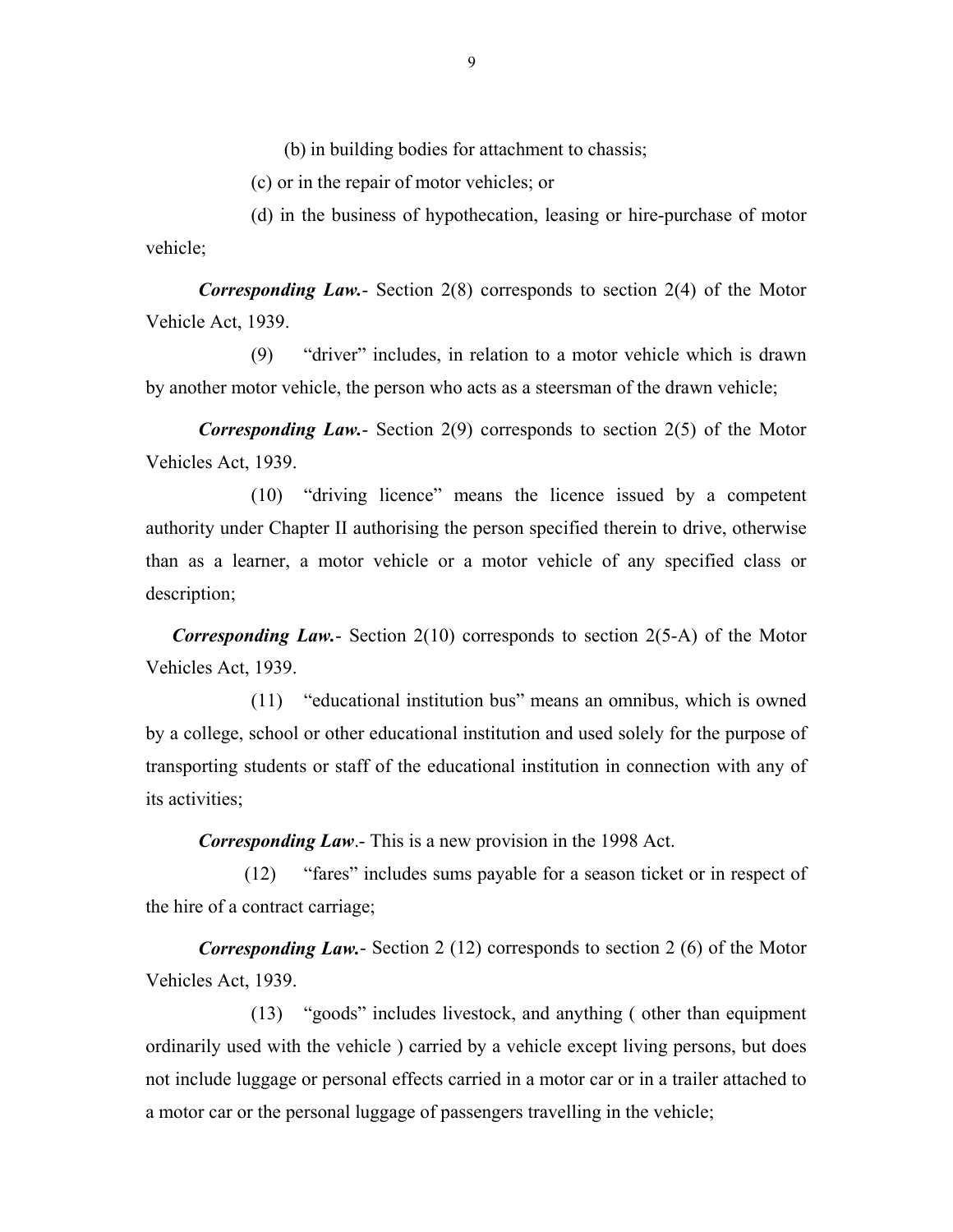(b) in building bodies for attachment to chassis;

(c) or in the repair of motor vehicles; or

(d) in the business of hypothecation, leasing or hire-purchase of motor vehicle;

*Corresponding Law.*- Section 2(8) corresponds to section 2(4) of the Motor Vehicle Act, 1939.

(9) "driver" includes, in relation to a motor vehicle which is drawn by another motor vehicle, the person who acts as a steersman of the drawn vehicle;

*Corresponding Law.*- Section 2(9) corresponds to section 2(5) of the Motor Vehicles Act, 1939.

(10) "driving licence" means the licence issued by a competent authority under Chapter II authorising the person specified therein to drive, otherwise than as a learner, a motor vehicle or a motor vehicle of any specified class or description;

*Corresponding Law.*- Section 2(10) corresponds to section 2(5-A) of the Motor Vehicles Act, 1939.

(11) "educational institution bus" means an omnibus, which is owned by a college, school or other educational institution and used solely for the purpose of transporting students or staff of the educational institution in connection with any of its activities;

*Corresponding Law*.- This is a new provision in the 1998 Act.

(12) "fares" includes sums payable for a season ticket or in respect of the hire of a contract carriage;

 *Corresponding Law.*- Section 2 (12) corresponds to section 2 (6) of the Motor Vehicles Act, 1939.

(13) "goods" includes livestock, and anything ( other than equipment ordinarily used with the vehicle ) carried by a vehicle except living persons, but does not include luggage or personal effects carried in a motor car or in a trailer attached to a motor car or the personal luggage of passengers travelling in the vehicle;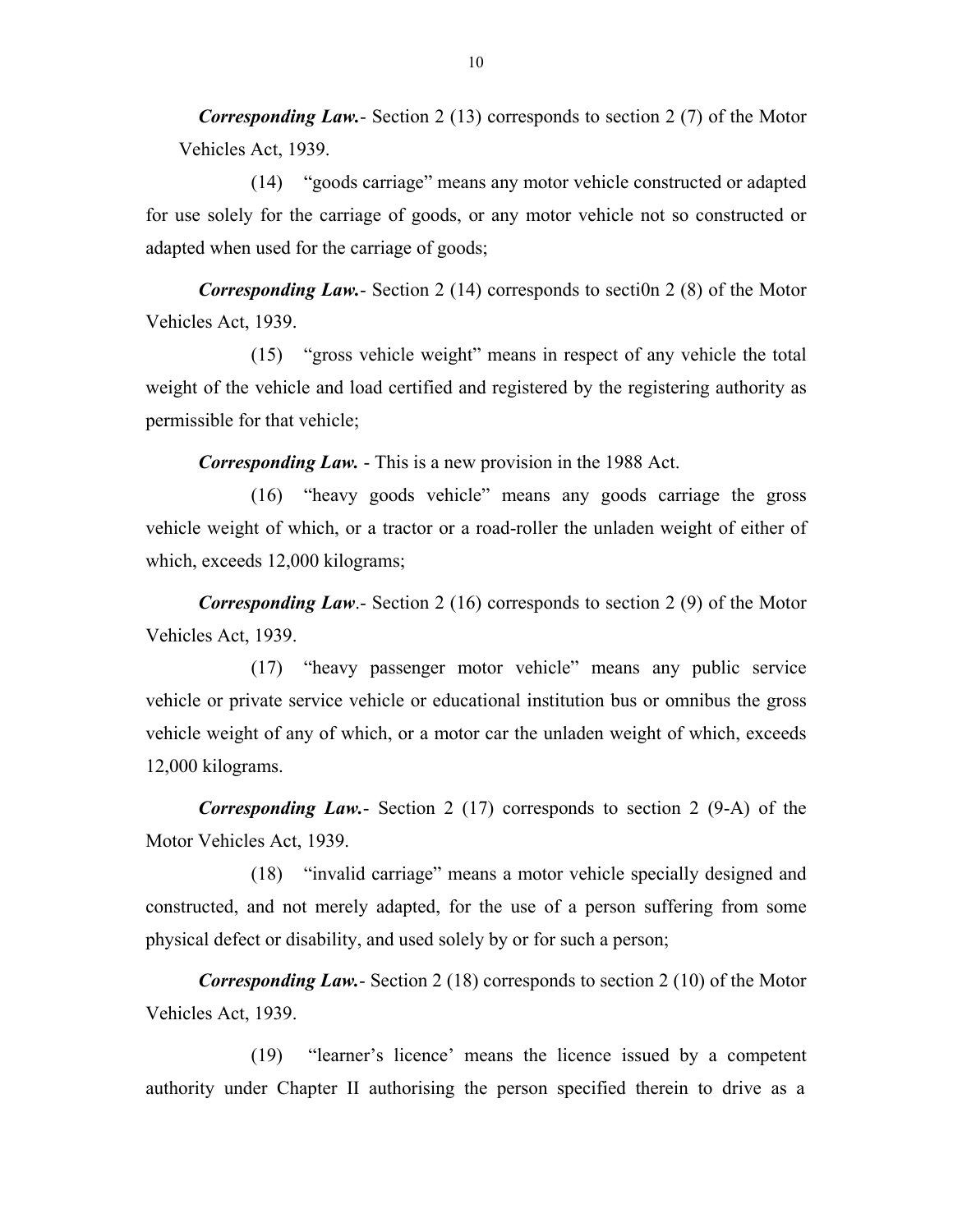*Corresponding Law.*- Section 2 (13) corresponds to section 2 (7) of the Motor Vehicles Act, 1939.

(14) "goods carriage" means any motor vehicle constructed or adapted for use solely for the carriage of goods, or any motor vehicle not so constructed or adapted when used for the carriage of goods;

*Corresponding Law.*- Section 2 (14) corresponds to secti0n 2 (8) of the Motor Vehicles Act, 1939.

(15) "gross vehicle weight" means in respect of any vehicle the total weight of the vehicle and load certified and registered by the registering authority as permissible for that vehicle;

*Corresponding Law.* - This is a new provision in the 1988 Act.

(16) "heavy goods vehicle" means any goods carriage the gross vehicle weight of which, or a tractor or a road-roller the unladen weight of either of which, exceeds 12,000 kilograms;

*Corresponding Law*.- Section 2 (16) corresponds to section 2 (9) of the Motor Vehicles Act, 1939.

(17) "heavy passenger motor vehicle" means any public service vehicle or private service vehicle or educational institution bus or omnibus the gross vehicle weight of any of which, or a motor car the unladen weight of which, exceeds 12,000 kilograms.

 *Corresponding Law.*- Section 2 (17) corresponds to section 2 (9-A) of the Motor Vehicles Act, 1939.

(18) "invalid carriage" means a motor vehicle specially designed and constructed, and not merely adapted, for the use of a person suffering from some physical defect or disability, and used solely by or for such a person;

*Corresponding Law.*- Section 2 (18) corresponds to section 2 (10) of the Motor Vehicles Act, 1939.

(19) "learner's licence' means the licence issued by a competent authority under Chapter II authorising the person specified therein to drive as a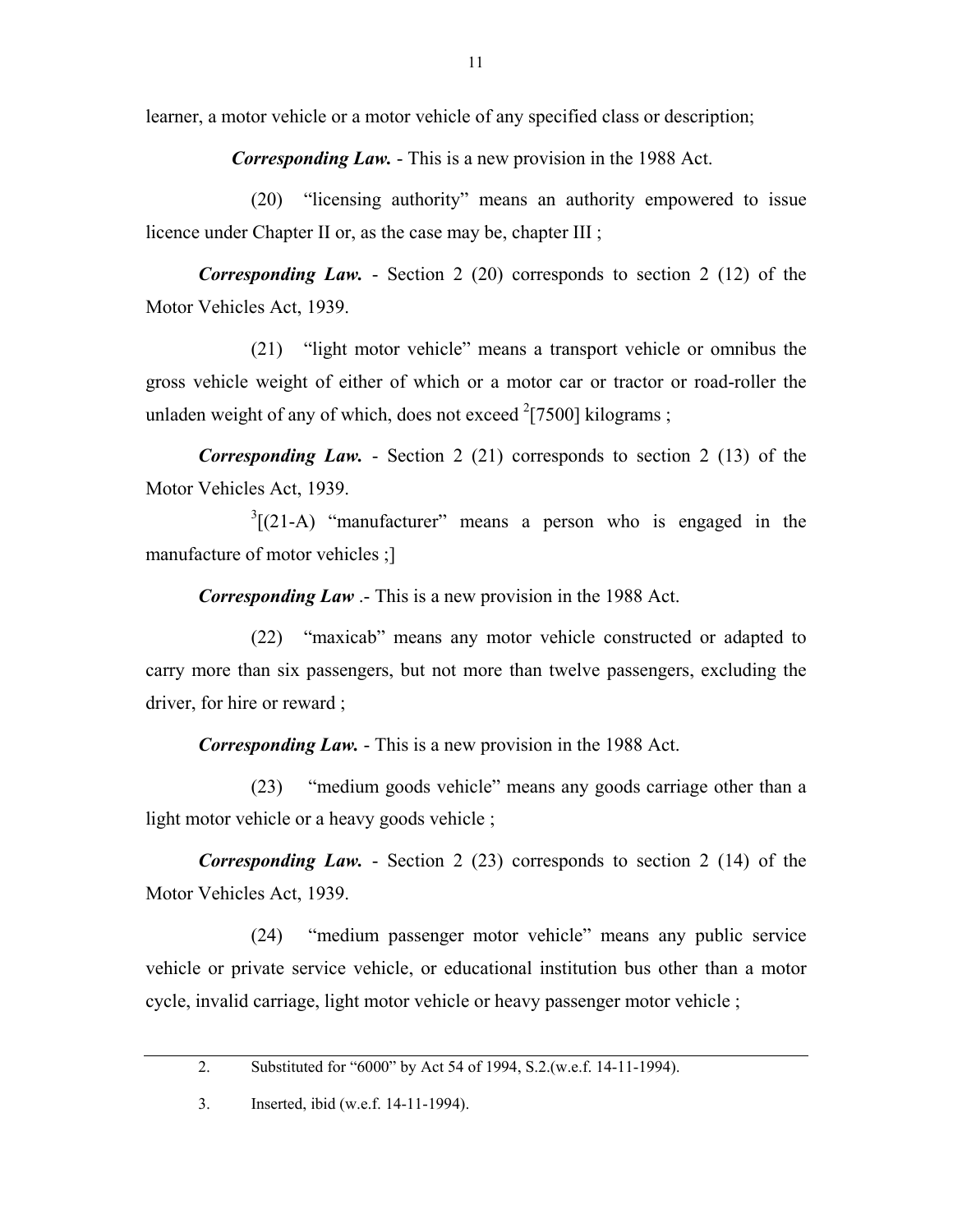learner, a motor vehicle or a motor vehicle of any specified class or description;

*Corresponding Law.* - This is a new provision in the 1988 Act.

(20) "licensing authority" means an authority empowered to issue licence under Chapter II or, as the case may be, chapter III ;

 *Corresponding Law.* - Section 2 (20) corresponds to section 2 (12) of the Motor Vehicles Act, 1939.

(21) "light motor vehicle" means a transport vehicle or omnibus the gross vehicle weight of either of which or a motor car or tractor or road-roller the unladen weight of any of which, does not exceed  $2$ [7500] kilograms;

*Corresponding Law.* - Section 2 (21) corresponds to section 2 (13) of the Motor Vehicles Act, 1939.

 $3[(21-A)$  "manufacturer" means a person who is engaged in the manufacture of motor vehicles ;]

*Corresponding Law* .- This is a new provision in the 1988 Act.

(22) "maxicab" means any motor vehicle constructed or adapted to carry more than six passengers, but not more than twelve passengers, excluding the driver, for hire or reward ;

*Corresponding Law.* - This is a new provision in the 1988 Act.

(23) "medium goods vehicle" means any goods carriage other than a light motor vehicle or a heavy goods vehicle ;

*Corresponding Law.* - Section 2 (23) corresponds to section 2 (14) of the Motor Vehicles Act, 1939.

(24) "medium passenger motor vehicle" means any public service vehicle or private service vehicle, or educational institution bus other than a motor cycle, invalid carriage, light motor vehicle or heavy passenger motor vehicle ;

<sup>2.</sup> Substituted for "6000" by Act 54 of 1994, S.2.(w.e.f. 14-11-1994).

<sup>3.</sup> Inserted, ibid (w.e.f. 14-11-1994).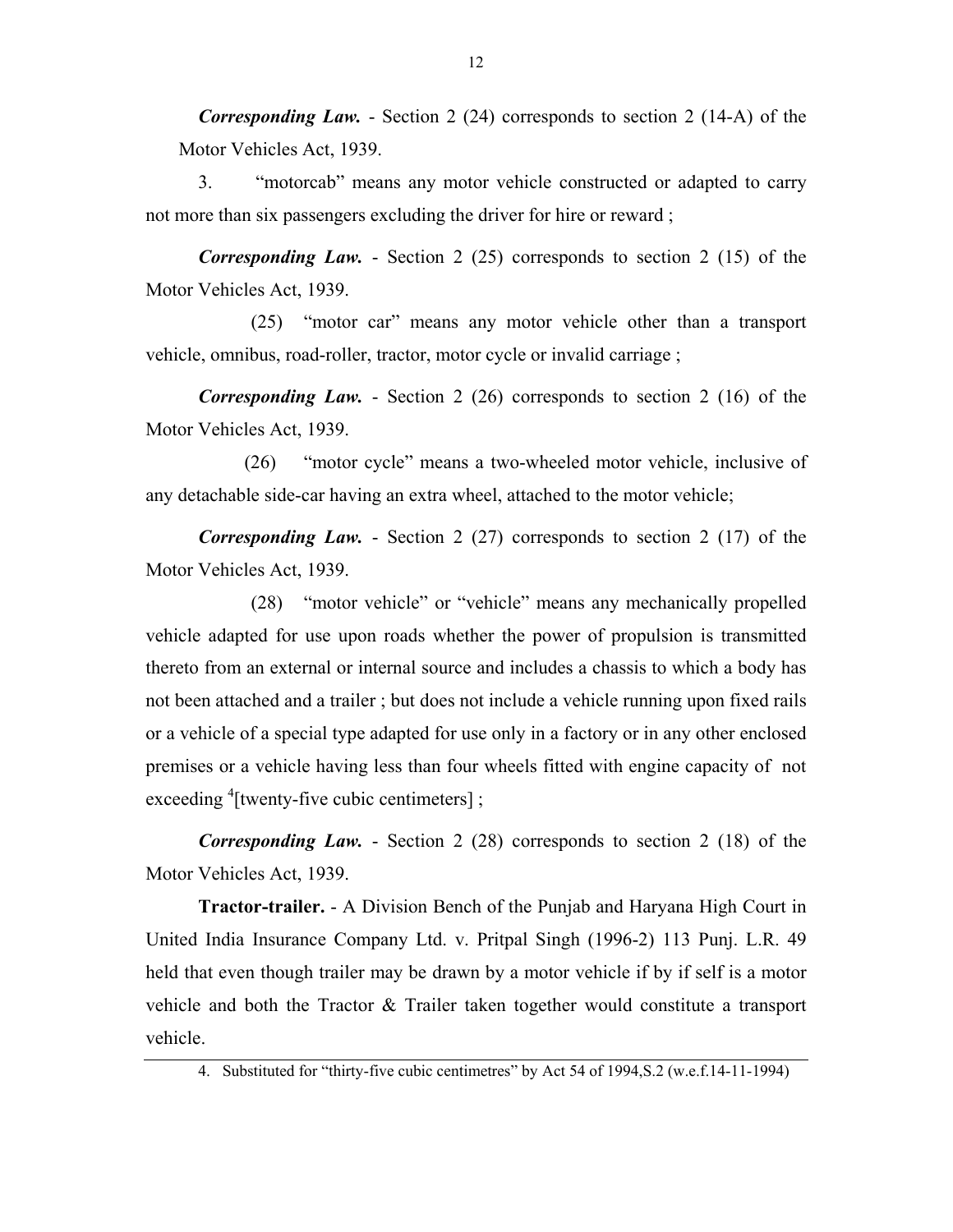*Corresponding Law.* - Section 2 (24) corresponds to section 2 (14-A) of the Motor Vehicles Act, 1939.

3. "motorcab" means any motor vehicle constructed or adapted to carry not more than six passengers excluding the driver for hire or reward ;

*Corresponding Law.* - Section 2 (25) corresponds to section 2 (15) of the Motor Vehicles Act, 1939.

(25) "motor car" means any motor vehicle other than a transport vehicle, omnibus, road-roller, tractor, motor cycle or invalid carriage ;

*Corresponding Law.* - Section 2 (26) corresponds to section 2 (16) of the Motor Vehicles Act, 1939.

(26) "motor cycle" means a two-wheeled motor vehicle, inclusive of any detachable side-car having an extra wheel, attached to the motor vehicle;

*Corresponding Law.* - Section 2 (27) corresponds to section 2 (17) of the Motor Vehicles Act, 1939.

(28) "motor vehicle" or "vehicle" means any mechanically propelled vehicle adapted for use upon roads whether the power of propulsion is transmitted thereto from an external or internal source and includes a chassis to which a body has not been attached and a trailer ; but does not include a vehicle running upon fixed rails or a vehicle of a special type adapted for use only in a factory or in any other enclosed premises or a vehicle having less than four wheels fitted with engine capacity of not exceeding <sup>4</sup>[twenty-five cubic centimeters];

*Corresponding Law.* - Section 2 (28) corresponds to section 2 (18) of the Motor Vehicles Act, 1939.

**Tractor-trailer.** - A Division Bench of the Punjab and Haryana High Court in United India Insurance Company Ltd. v. Pritpal Singh (1996-2) 113 Punj. L.R. 49 held that even though trailer may be drawn by a motor vehicle if by if self is a motor vehicle and both the Tractor & Trailer taken together would constitute a transport vehicle.

<sup>4.</sup> Substituted for "thirty-five cubic centimetres" by Act 54 of 1994,S.2 (w.e.f.14-11-1994)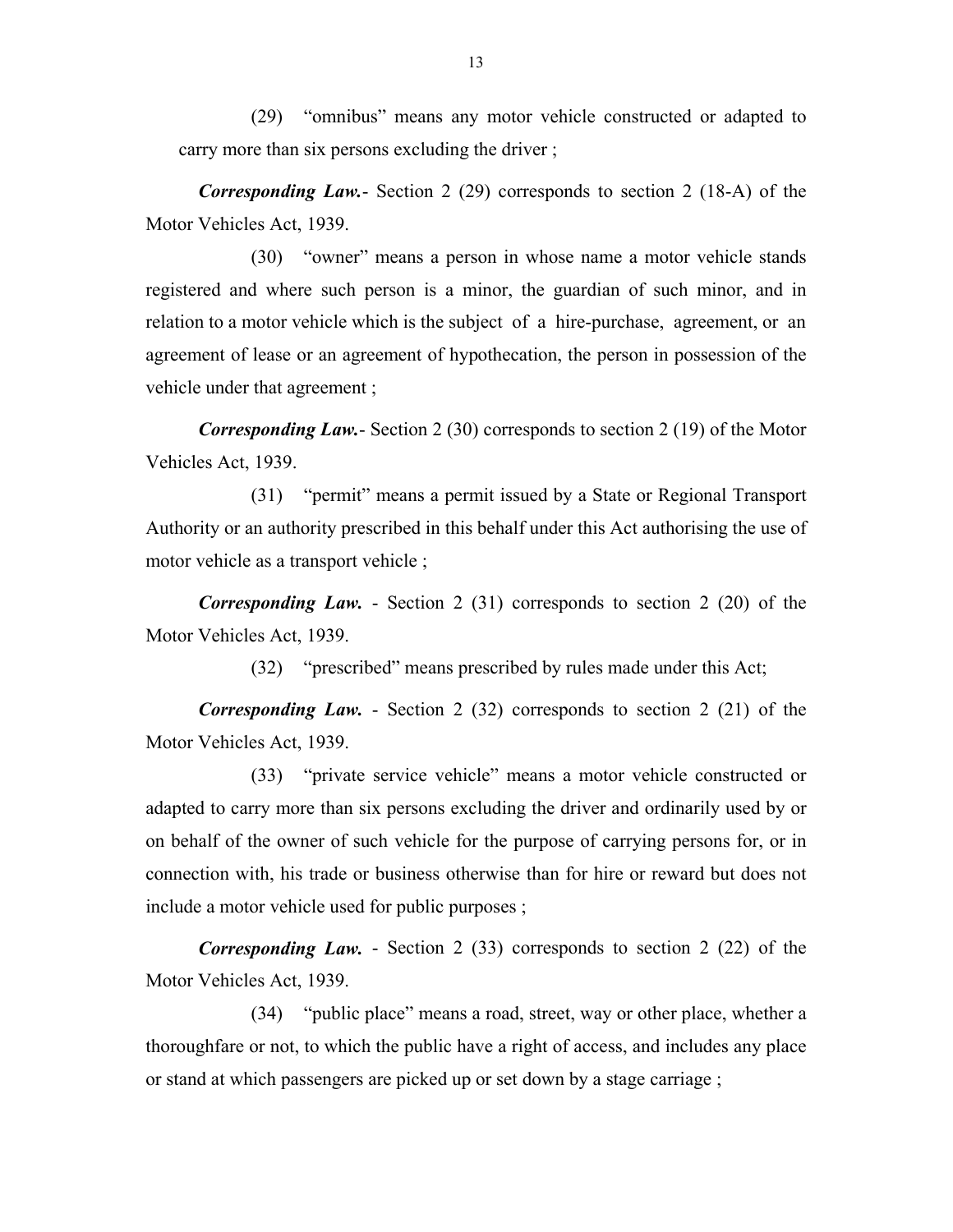(29) "omnibus" means any motor vehicle constructed or adapted to carry more than six persons excluding the driver ;

*Corresponding Law.*- Section 2 (29) corresponds to section 2 (18-A) of the Motor Vehicles Act, 1939.

(30) "owner" means a person in whose name a motor vehicle stands registered and where such person is a minor, the guardian of such minor, and in relation to a motor vehicle which is the subject of a hire-purchase, agreement, or an agreement of lease or an agreement of hypothecation, the person in possession of the vehicle under that agreement ;

*Corresponding Law.*- Section 2 (30) corresponds to section 2 (19) of the Motor Vehicles Act, 1939.

(31) "permit" means a permit issued by a State or Regional Transport Authority or an authority prescribed in this behalf under this Act authorising the use of motor vehicle as a transport vehicle ;

*Corresponding Law.* - Section 2 (31) corresponds to section 2 (20) of the Motor Vehicles Act, 1939.

(32) "prescribed" means prescribed by rules made under this Act;

*Corresponding Law.* - Section 2 (32) corresponds to section 2 (21) of the Motor Vehicles Act, 1939.

(33) "private service vehicle" means a motor vehicle constructed or adapted to carry more than six persons excluding the driver and ordinarily used by or on behalf of the owner of such vehicle for the purpose of carrying persons for, or in connection with, his trade or business otherwise than for hire or reward but does not include a motor vehicle used for public purposes ;

*Corresponding Law.* - Section 2 (33) corresponds to section 2 (22) of the Motor Vehicles Act, 1939.

(34) "public place" means a road, street, way or other place, whether a thoroughfare or not, to which the public have a right of access, and includes any place or stand at which passengers are picked up or set down by a stage carriage ;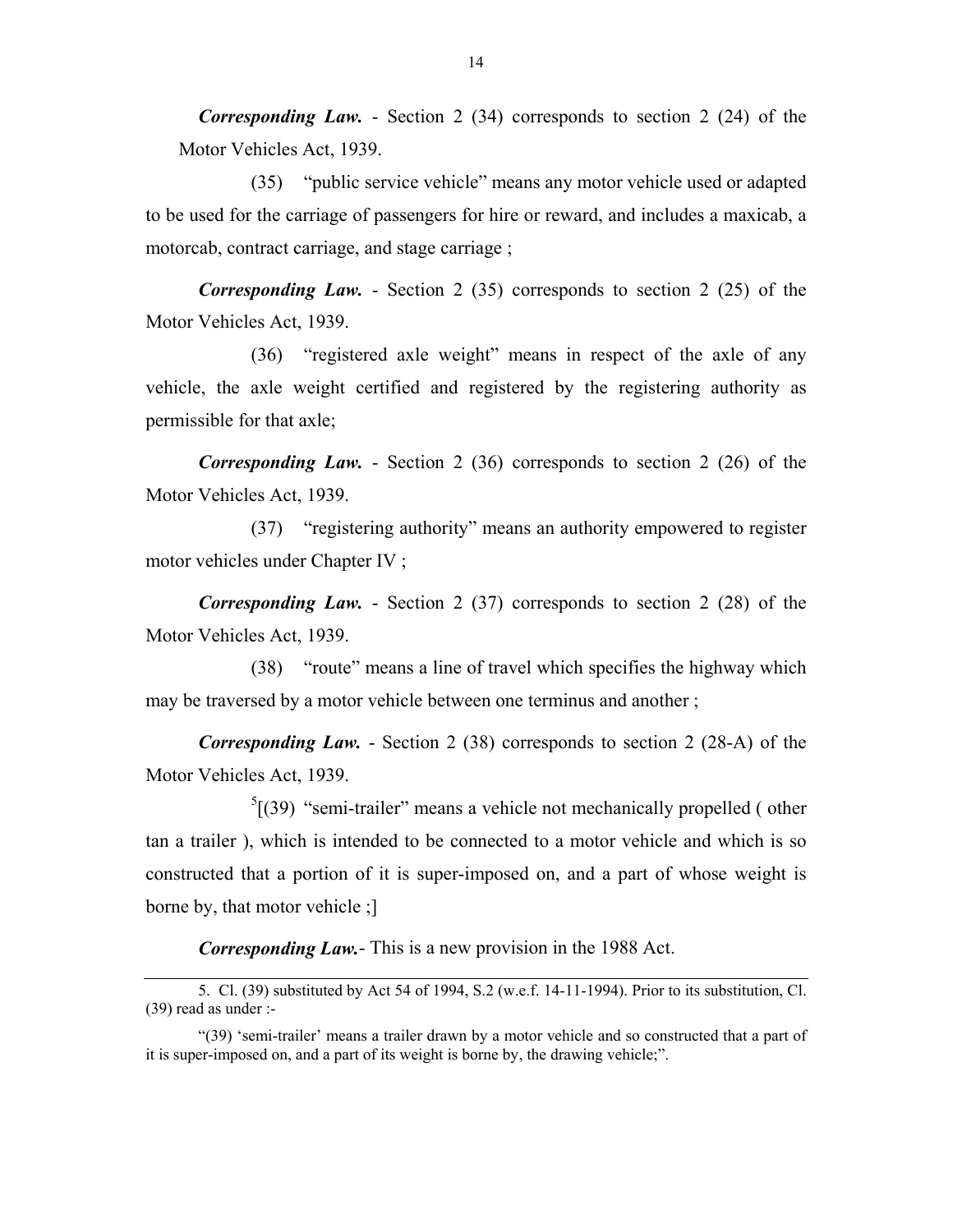*Corresponding Law.* - Section 2 (34) corresponds to section 2 (24) of the Motor Vehicles Act, 1939.

(35) "public service vehicle" means any motor vehicle used or adapted to be used for the carriage of passengers for hire or reward, and includes a maxicab, a motorcab, contract carriage, and stage carriage ;

*Corresponding Law.* - Section 2 (35) corresponds to section 2 (25) of the Motor Vehicles Act, 1939.

(36) "registered axle weight" means in respect of the axle of any vehicle, the axle weight certified and registered by the registering authority as permissible for that axle;

*Corresponding Law.* - Section 2 (36) corresponds to section 2 (26) of the Motor Vehicles Act, 1939.

(37) "registering authority" means an authority empowered to register motor vehicles under Chapter IV ;

*Corresponding Law.* - Section 2 (37) corresponds to section 2 (28) of the Motor Vehicles Act, 1939.

(38) "route" means a line of travel which specifies the highway which may be traversed by a motor vehicle between one terminus and another ;

*Corresponding Law.* - Section 2 (38) corresponds to section 2 (28-A) of the Motor Vehicles Act, 1939.

 $<sup>5</sup>$ [(39) "semi-trailer" means a vehicle not mechanically propelled (other</sup> tan a trailer ), which is intended to be connected to a motor vehicle and which is so constructed that a portion of it is super-imposed on, and a part of whose weight is borne by, that motor vehicle ;]

*Corresponding Law.*- This is a new provision in the 1988 Act.

<sup>5.</sup> Cl. (39) substituted by Act 54 of 1994, S.2 (w.e.f. 14-11-1994). Prior to its substitution, Cl. (39) read as under :-

<sup>&</sup>quot;(39) 'semi-trailer' means a trailer drawn by a motor vehicle and so constructed that a part of it is super-imposed on, and a part of its weight is borne by, the drawing vehicle;".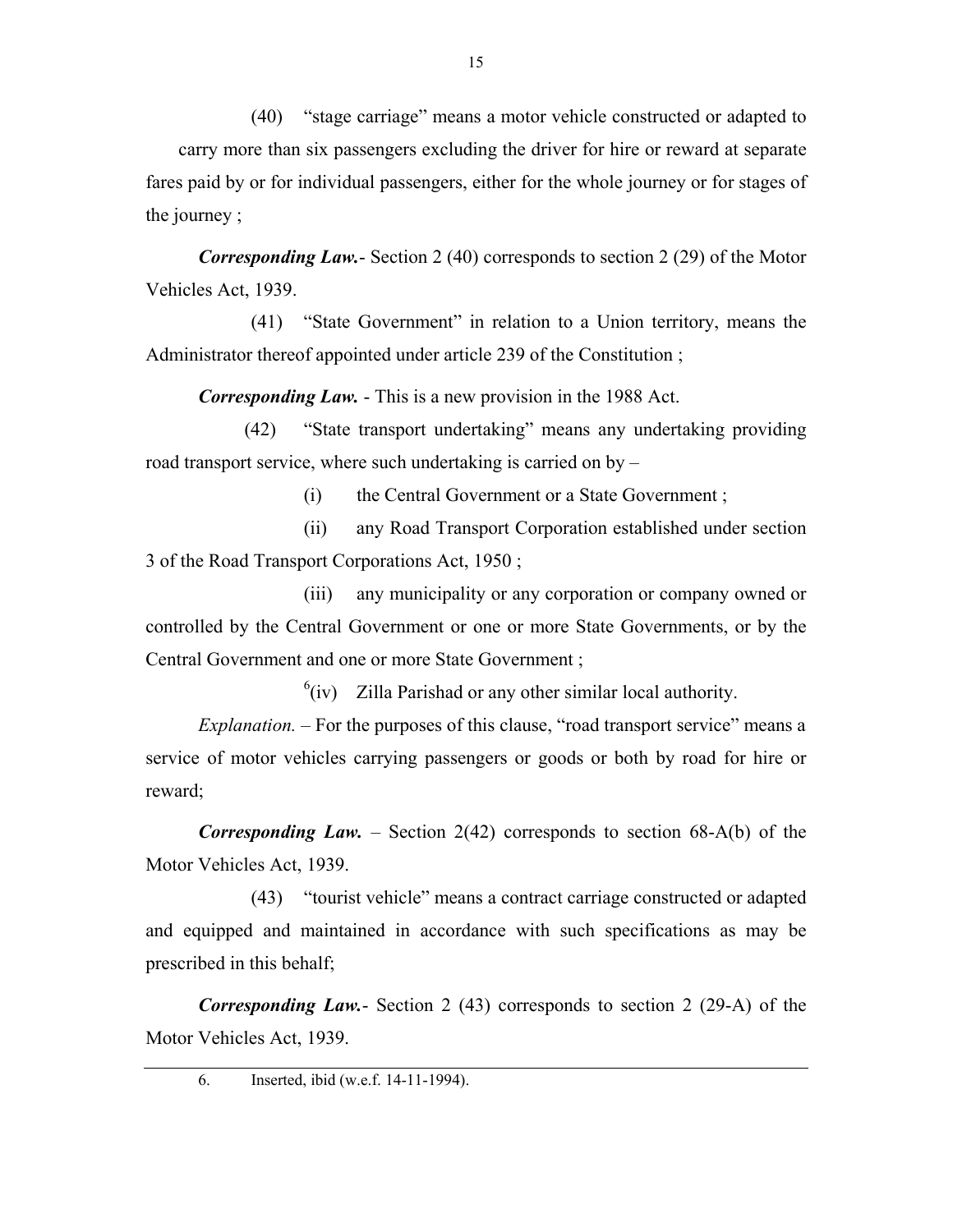(40) "stage carriage" means a motor vehicle constructed or adapted to carry more than six passengers excluding the driver for hire or reward at separate fares paid by or for individual passengers, either for the whole journey or for stages of the journey ;

*Corresponding Law.*- Section 2 (40) corresponds to section 2 (29) of the Motor Vehicles Act, 1939.

(41) "State Government" in relation to a Union territory, means the Administrator thereof appointed under article 239 of the Constitution ;

*Corresponding Law.* - This is a new provision in the 1988 Act.

(42) "State transport undertaking" means any undertaking providing road transport service, where such undertaking is carried on by –

(i) the Central Government or a State Government ;

(ii) any Road Transport Corporation established under section 3 of the Road Transport Corporations Act, 1950 ;

(iii) any municipality or any corporation or company owned or controlled by the Central Government or one or more State Governments, or by the Central Government and one or more State Government ;

 $6(iv)$  Zilla Parishad or any other similar local authority.

*Explanation.* – For the purposes of this clause, "road transport service" means a service of motor vehicles carrying passengers or goods or both by road for hire or reward;

*Corresponding Law.* – Section 2(42) corresponds to section 68-A(b) of the Motor Vehicles Act, 1939.

(43) "tourist vehicle" means a contract carriage constructed or adapted and equipped and maintained in accordance with such specifications as may be prescribed in this behalf;

*Corresponding Law.*- Section 2 (43) corresponds to section 2 (29-A) of the Motor Vehicles Act, 1939.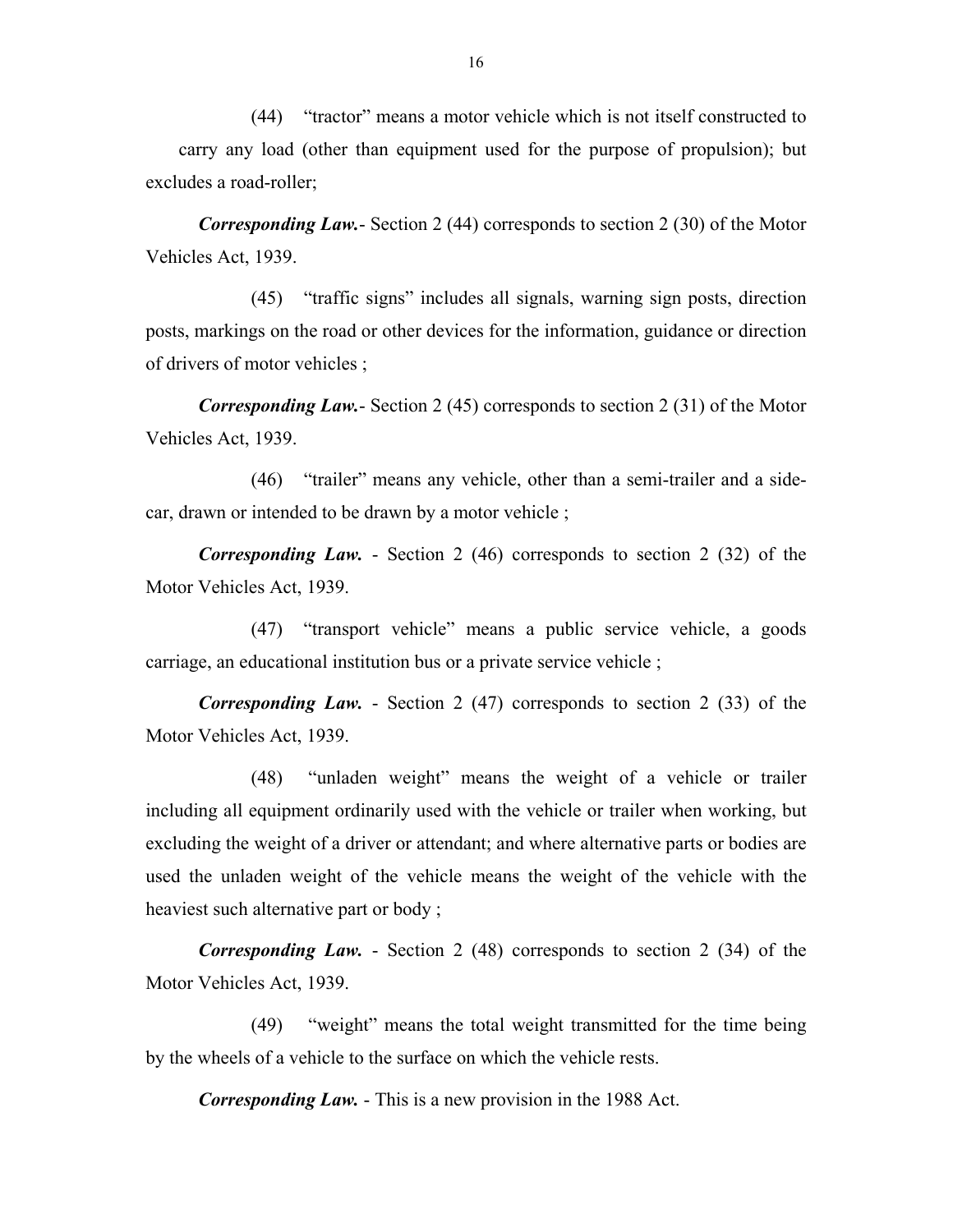(44) "tractor" means a motor vehicle which is not itself constructed to carry any load (other than equipment used for the purpose of propulsion); but excludes a road-roller;

*Corresponding Law.*- Section 2 (44) corresponds to section 2 (30) of the Motor Vehicles Act, 1939.

(45) "traffic signs" includes all signals, warning sign posts, direction posts, markings on the road or other devices for the information, guidance or direction of drivers of motor vehicles ;

*Corresponding Law.*- Section 2 (45) corresponds to section 2 (31) of the Motor Vehicles Act, 1939.

(46) "trailer" means any vehicle, other than a semi-trailer and a sidecar, drawn or intended to be drawn by a motor vehicle ;

*Corresponding Law.* - Section 2 (46) corresponds to section 2 (32) of the Motor Vehicles Act, 1939.

(47) "transport vehicle" means a public service vehicle, a goods carriage, an educational institution bus or a private service vehicle ;

*Corresponding Law.* - Section 2 (47) corresponds to section 2 (33) of the Motor Vehicles Act, 1939.

(48) "unladen weight" means the weight of a vehicle or trailer including all equipment ordinarily used with the vehicle or trailer when working, but excluding the weight of a driver or attendant; and where alternative parts or bodies are used the unladen weight of the vehicle means the weight of the vehicle with the heaviest such alternative part or body ;

*Corresponding Law.* - Section 2 (48) corresponds to section 2 (34) of the Motor Vehicles Act, 1939.

(49) "weight" means the total weight transmitted for the time being by the wheels of a vehicle to the surface on which the vehicle rests.

*Corresponding Law.* - This is a new provision in the 1988 Act.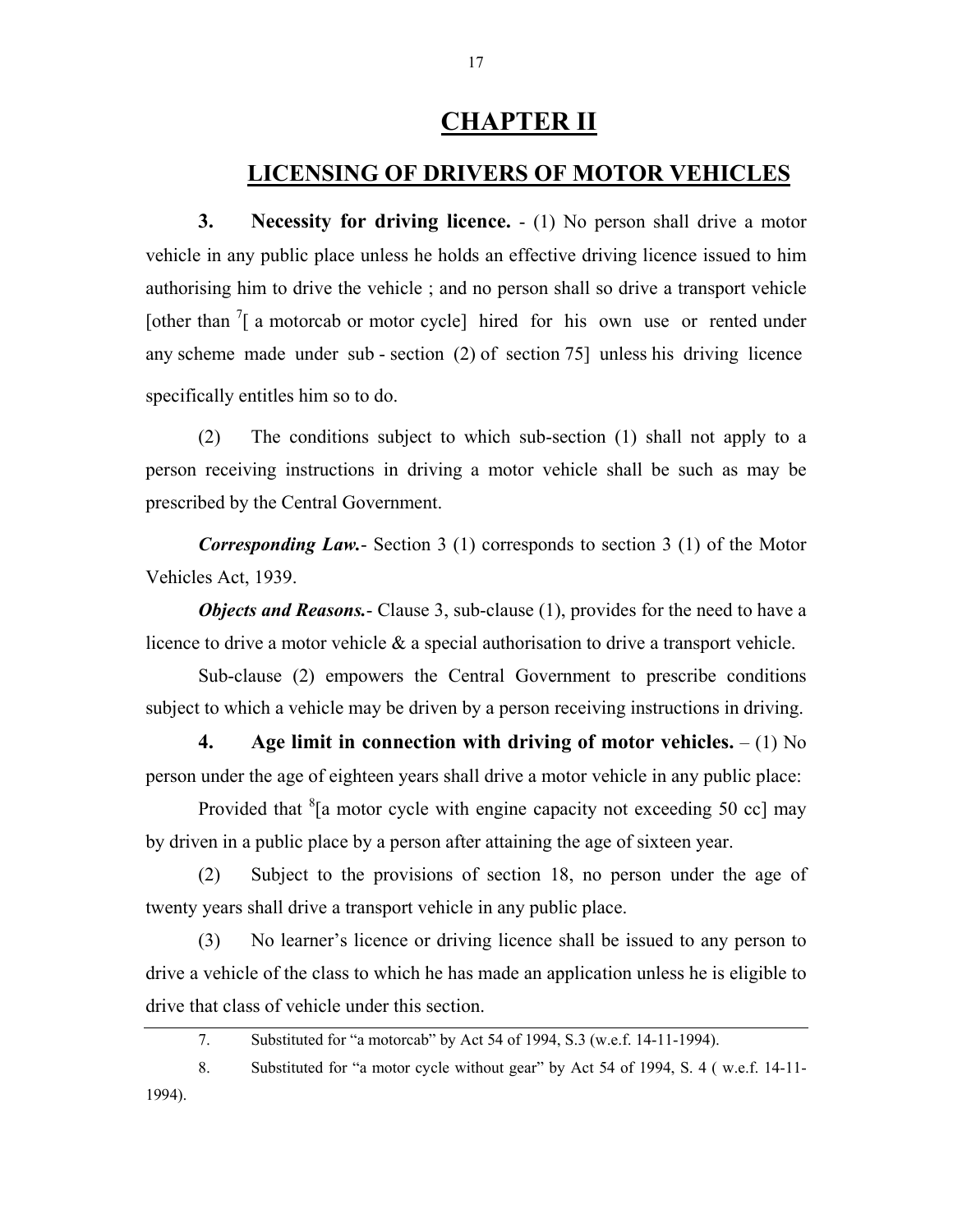# **CHAPTER II**

### **LICENSING OF DRIVERS OF MOTOR VEHICLES**

**3.** Necessity for driving licence.  $- (1)$  No person shall drive a motor vehicle in any public place unless he holds an effective driving licence issued to him authorising him to drive the vehicle ; and no person shall so drive a transport vehicle [other than  $\frac{7}{1}$  a motorcab or motor cycle] hired for his own use or rented under any scheme made under sub - section (2) of section 75] unless his driving licence specifically entitles him so to do.

(2) The conditions subject to which sub-section (1) shall not apply to a person receiving instructions in driving a motor vehicle shall be such as may be prescribed by the Central Government.

*Corresponding Law.*- Section 3 (1) corresponds to section 3 (1) of the Motor Vehicles Act, 1939.

*Objects and Reasons.*- Clause 3, sub-clause (1), provides for the need to have a licence to drive a motor vehicle & a special authorisation to drive a transport vehicle.

Sub-clause (2) empowers the Central Government to prescribe conditions subject to which a vehicle may be driven by a person receiving instructions in driving.

**4. Age limit in connection with driving of motor vehicles.** – (1) No person under the age of eighteen years shall drive a motor vehicle in any public place:

Provided that  ${}^{8}$ [a motor cycle with engine capacity not exceeding 50 cc] may by driven in a public place by a person after attaining the age of sixteen year.

(2) Subject to the provisions of section 18, no person under the age of twenty years shall drive a transport vehicle in any public place.

(3) No learner's licence or driving licence shall be issued to any person to drive a vehicle of the class to which he has made an application unless he is eligible to drive that class of vehicle under this section.

7. Substituted for "a motorcab" by Act 54 of 1994, S.3 (w.e.f. 14-11-1994).

 8. Substituted for "a motor cycle without gear" by Act 54 of 1994, S. 4 ( w.e.f. 14-11- 1994).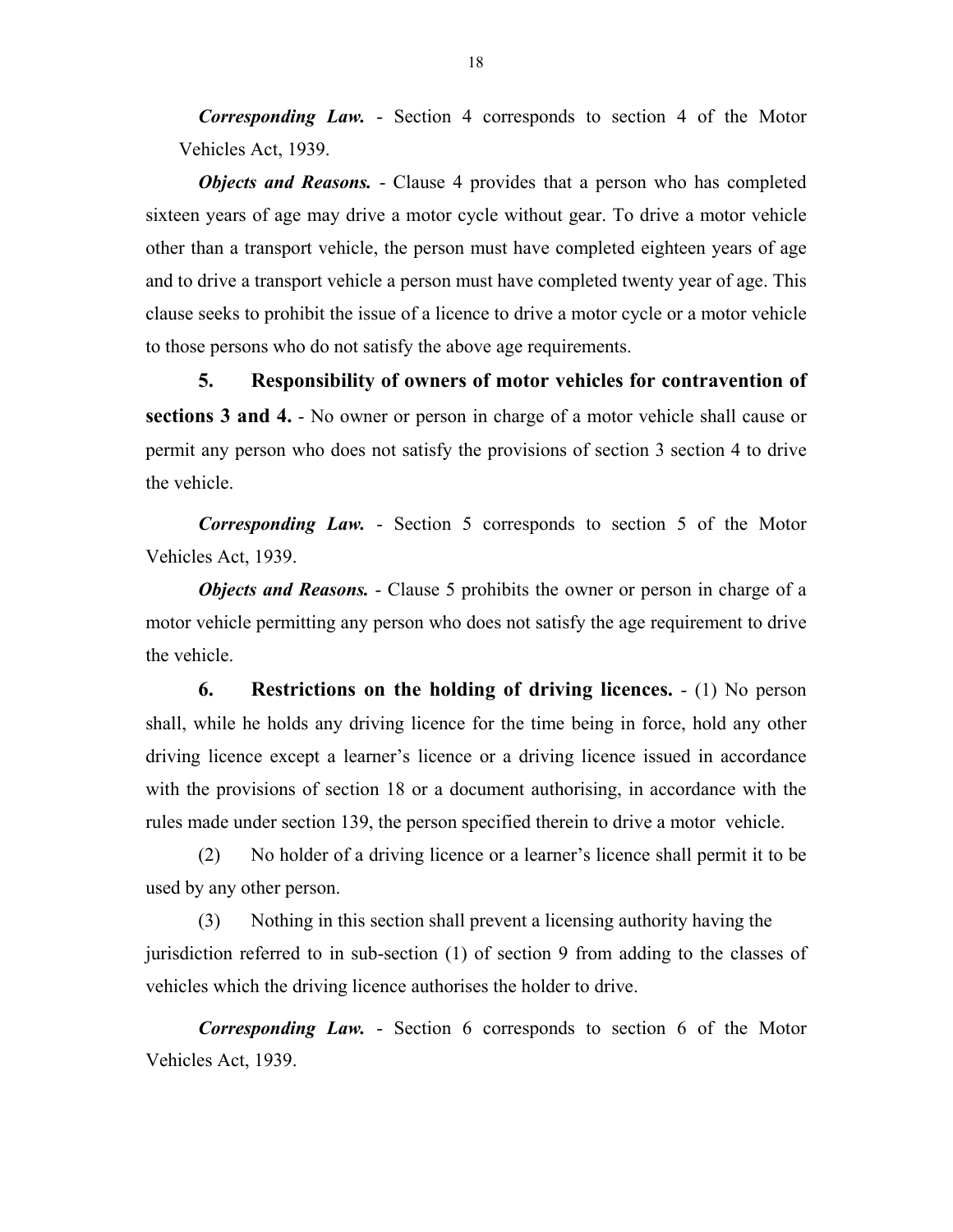*Corresponding Law.* - Section 4 corresponds to section 4 of the Motor Vehicles Act, 1939.

*Objects and Reasons.* - Clause 4 provides that a person who has completed sixteen years of age may drive a motor cycle without gear. To drive a motor vehicle other than a transport vehicle, the person must have completed eighteen years of age and to drive a transport vehicle a person must have completed twenty year of age. This clause seeks to prohibit the issue of a licence to drive a motor cycle or a motor vehicle to those persons who do not satisfy the above age requirements.

**5. Responsibility of owners of motor vehicles for contravention of sections 3 and 4.** - No owner or person in charge of a motor vehicle shall cause or permit any person who does not satisfy the provisions of section 3 section 4 to drive the vehicle.

*Corresponding Law.* - Section 5 corresponds to section 5 of the Motor Vehicles Act, 1939.

*Objects and Reasons.* - Clause 5 prohibits the owner or person in charge of a motor vehicle permitting any person who does not satisfy the age requirement to drive the vehicle.

**6. Restrictions on the holding of driving licences.** - (1) No person shall, while he holds any driving licence for the time being in force, hold any other driving licence except a learner's licence or a driving licence issued in accordance with the provisions of section 18 or a document authorising, in accordance with the rules made under section 139, the person specified therein to drive a motor vehicle.

(2) No holder of a driving licence or a learner's licence shall permit it to be used by any other person.

(3) Nothing in this section shall prevent a licensing authority having the jurisdiction referred to in sub-section (1) of section 9 from adding to the classes of vehicles which the driving licence authorises the holder to drive.

*Corresponding Law.* - Section 6 corresponds to section 6 of the Motor Vehicles Act, 1939.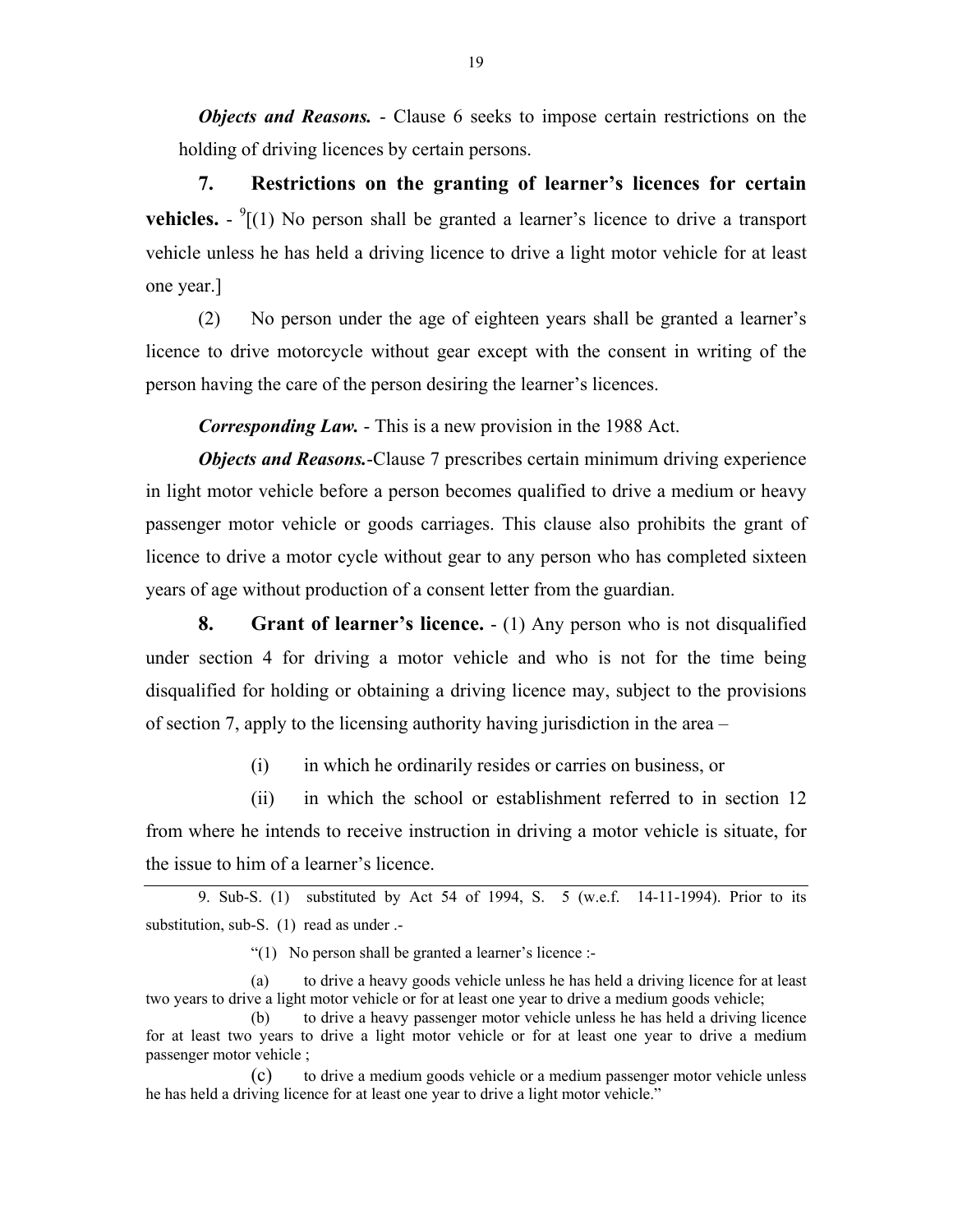*Objects and Reasons.* - Clause 6 seeks to impose certain restrictions on the holding of driving licences by certain persons.

**7. Restrictions on the granting of learner's licences for certain vehicles.**  $\cdot$   $\frac{9}{1}$ (1) No person shall be granted a learner's licence to drive a transport vehicle unless he has held a driving licence to drive a light motor vehicle for at least one year.]

(2) No person under the age of eighteen years shall be granted a learner's licence to drive motorcycle without gear except with the consent in writing of the person having the care of the person desiring the learner's licences.

*Corresponding Law.* - This is a new provision in the 1988 Act.

*Objects and Reasons.*-Clause 7 prescribes certain minimum driving experience in light motor vehicle before a person becomes qualified to drive a medium or heavy passenger motor vehicle or goods carriages. This clause also prohibits the grant of licence to drive a motor cycle without gear to any person who has completed sixteen years of age without production of a consent letter from the guardian.

**8. Grant of learner's licence.** - (1) Any person who is not disqualified under section 4 for driving a motor vehicle and who is not for the time being disqualified for holding or obtaining a driving licence may, subject to the provisions of section 7, apply to the licensing authority having jurisdiction in the area –

(i) in which he ordinarily resides or carries on business, or

(ii) in which the school or establishment referred to in section 12 from where he intends to receive instruction in driving a motor vehicle is situate, for the issue to him of a learner's licence.

9. Sub-S. (1) substituted by Act 54 of 1994, S. 5 (w.e.f. 14-11-1994). Prior to its substitution, sub-S. (1) read as under .-

"(1) No person shall be granted a learner's licence :-

(a) to drive a heavy goods vehicle unless he has held a driving licence for at least two years to drive a light motor vehicle or for at least one year to drive a medium goods vehicle;

(b) to drive a heavy passenger motor vehicle unless he has held a driving licence for at least two years to drive a light motor vehicle or for at least one year to drive a medium passenger motor vehicle ;

(c) to drive a medium goods vehicle or a medium passenger motor vehicle unless he has held a driving licence for at least one year to drive a light motor vehicle."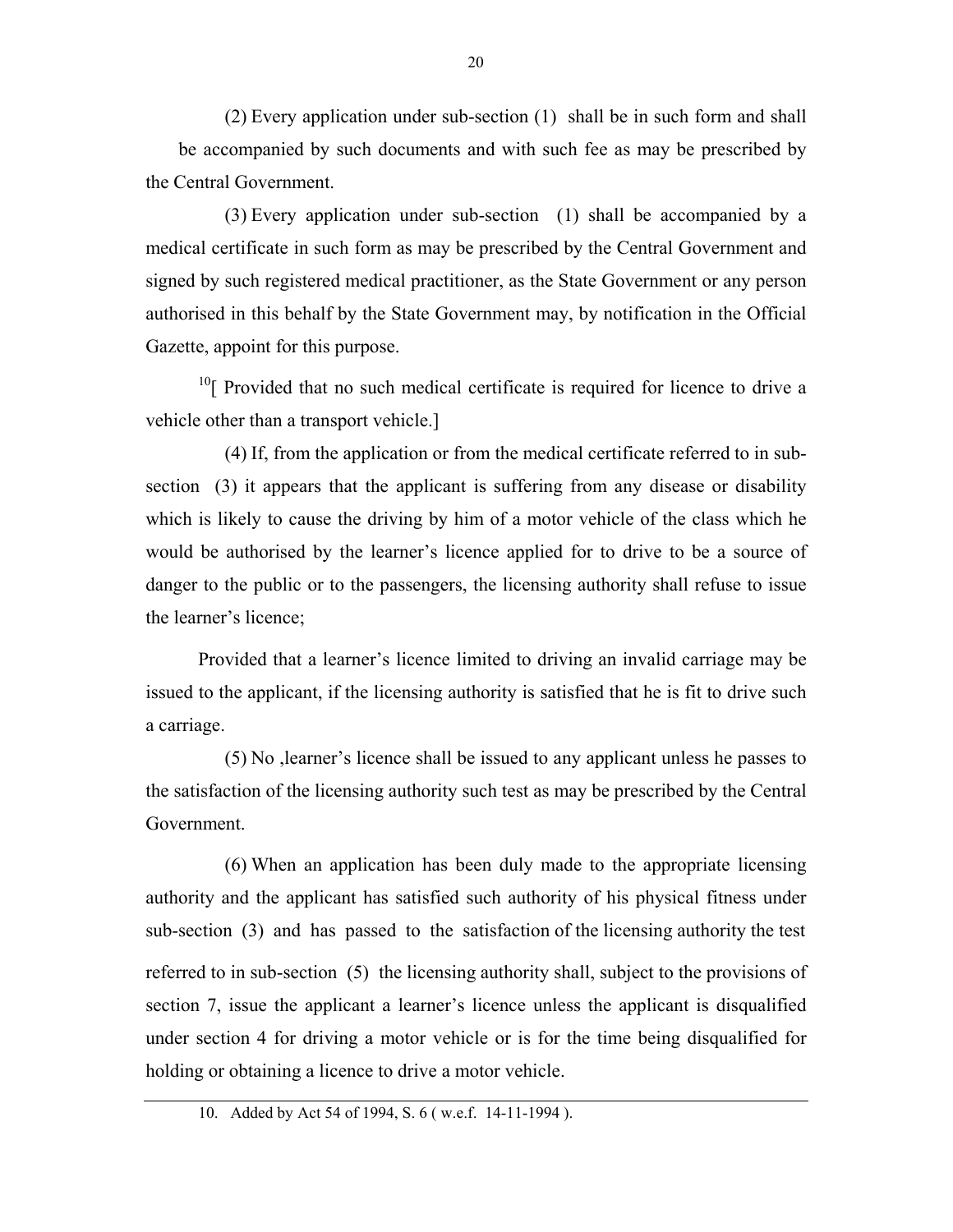(2) Every application under sub-section (1) shall be in such form and shall be accompanied by such documents and with such fee as may be prescribed by the Central Government.

(3) Every application under sub-section (1) shall be accompanied by a medical certificate in such form as may be prescribed by the Central Government and signed by such registered medical practitioner, as the State Government or any person authorised in this behalf by the State Government may, by notification in the Official Gazette, appoint for this purpose.

<sup>10</sup>[ Provided that no such medical certificate is required for licence to drive a vehicle other than a transport vehicle.]

(4) If, from the application or from the medical certificate referred to in subsection (3) it appears that the applicant is suffering from any disease or disability which is likely to cause the driving by him of a motor vehicle of the class which he would be authorised by the learner's licence applied for to drive to be a source of danger to the public or to the passengers, the licensing authority shall refuse to issue the learner's licence;

Provided that a learner's licence limited to driving an invalid carriage may be issued to the applicant, if the licensing authority is satisfied that he is fit to drive such a carriage.

(5) No ,learner's licence shall be issued to any applicant unless he passes to the satisfaction of the licensing authority such test as may be prescribed by the Central Government.

(6) When an application has been duly made to the appropriate licensing authority and the applicant has satisfied such authority of his physical fitness under sub-section (3) and has passed to the satisfaction of the licensing authority the test referred to in sub-section (5) the licensing authority shall, subject to the provisions of section 7, issue the applicant a learner's licence unless the applicant is disqualified under section 4 for driving a motor vehicle or is for the time being disqualified for holding or obtaining a licence to drive a motor vehicle.

<sup>10.</sup> Added by Act 54 of 1994, S. 6 ( w.e.f. 14-11-1994 ).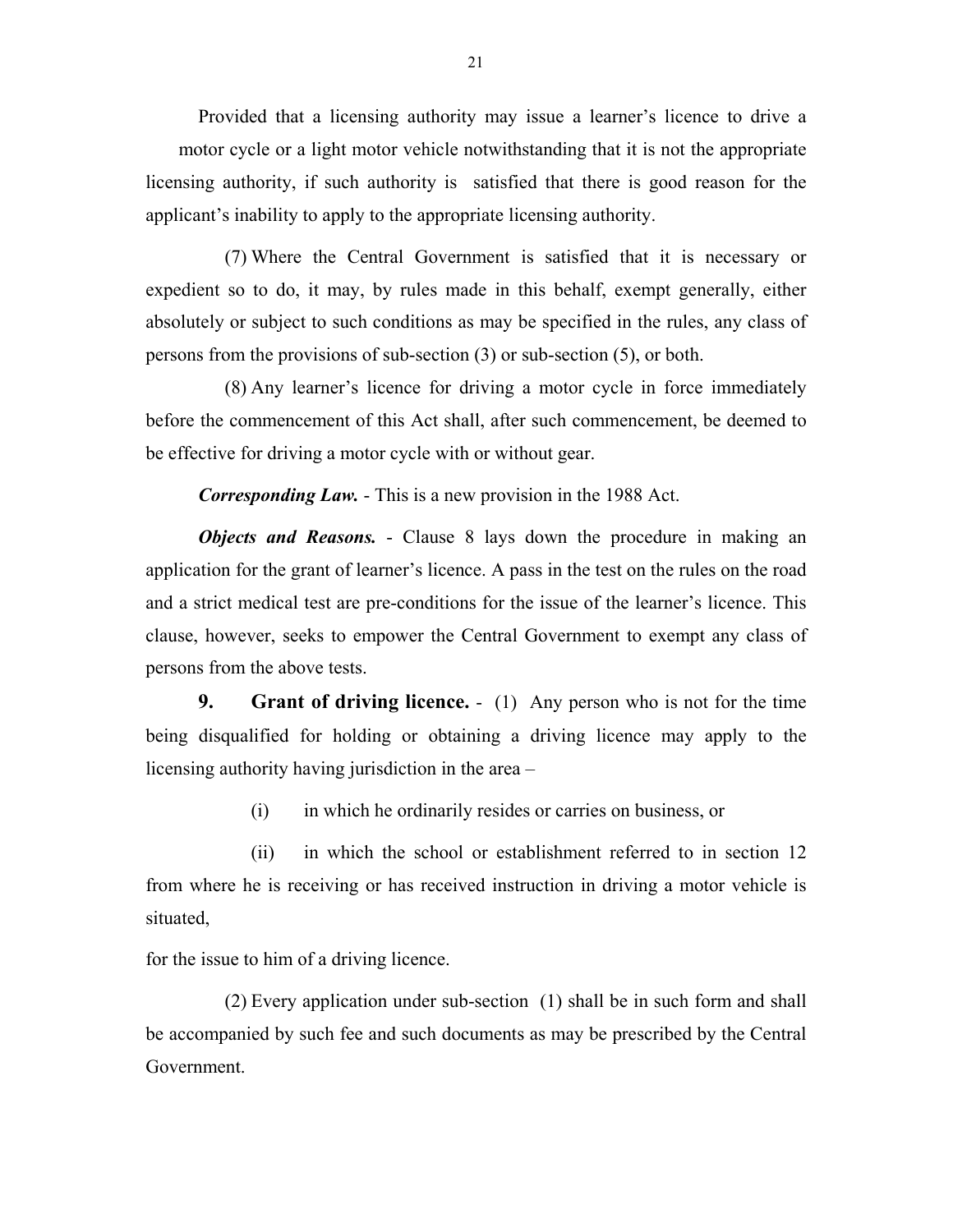Provided that a licensing authority may issue a learner's licence to drive a motor cycle or a light motor vehicle notwithstanding that it is not the appropriate licensing authority, if such authority is satisfied that there is good reason for the applicant's inability to apply to the appropriate licensing authority.

(7) Where the Central Government is satisfied that it is necessary or expedient so to do, it may, by rules made in this behalf, exempt generally, either absolutely or subject to such conditions as may be specified in the rules, any class of persons from the provisions of sub-section (3) or sub-section (5), or both.

(8) Any learner's licence for driving a motor cycle in force immediately before the commencement of this Act shall, after such commencement, be deemed to be effective for driving a motor cycle with or without gear.

*Corresponding Law.* - This is a new provision in the 1988 Act.

*Objects and Reasons.* - Clause 8 lays down the procedure in making an application for the grant of learner's licence. A pass in the test on the rules on the road and a strict medical test are pre-conditions for the issue of the learner's licence. This clause, however, seeks to empower the Central Government to exempt any class of persons from the above tests.

**9. Grant of driving licence.** - (1) Any person who is not for the time being disqualified for holding or obtaining a driving licence may apply to the licensing authority having jurisdiction in the area –

(i) in which he ordinarily resides or carries on business, or

(ii) in which the school or establishment referred to in section 12 from where he is receiving or has received instruction in driving a motor vehicle is situated,

for the issue to him of a driving licence.

(2) Every application under sub-section (1) shall be in such form and shall be accompanied by such fee and such documents as may be prescribed by the Central Government.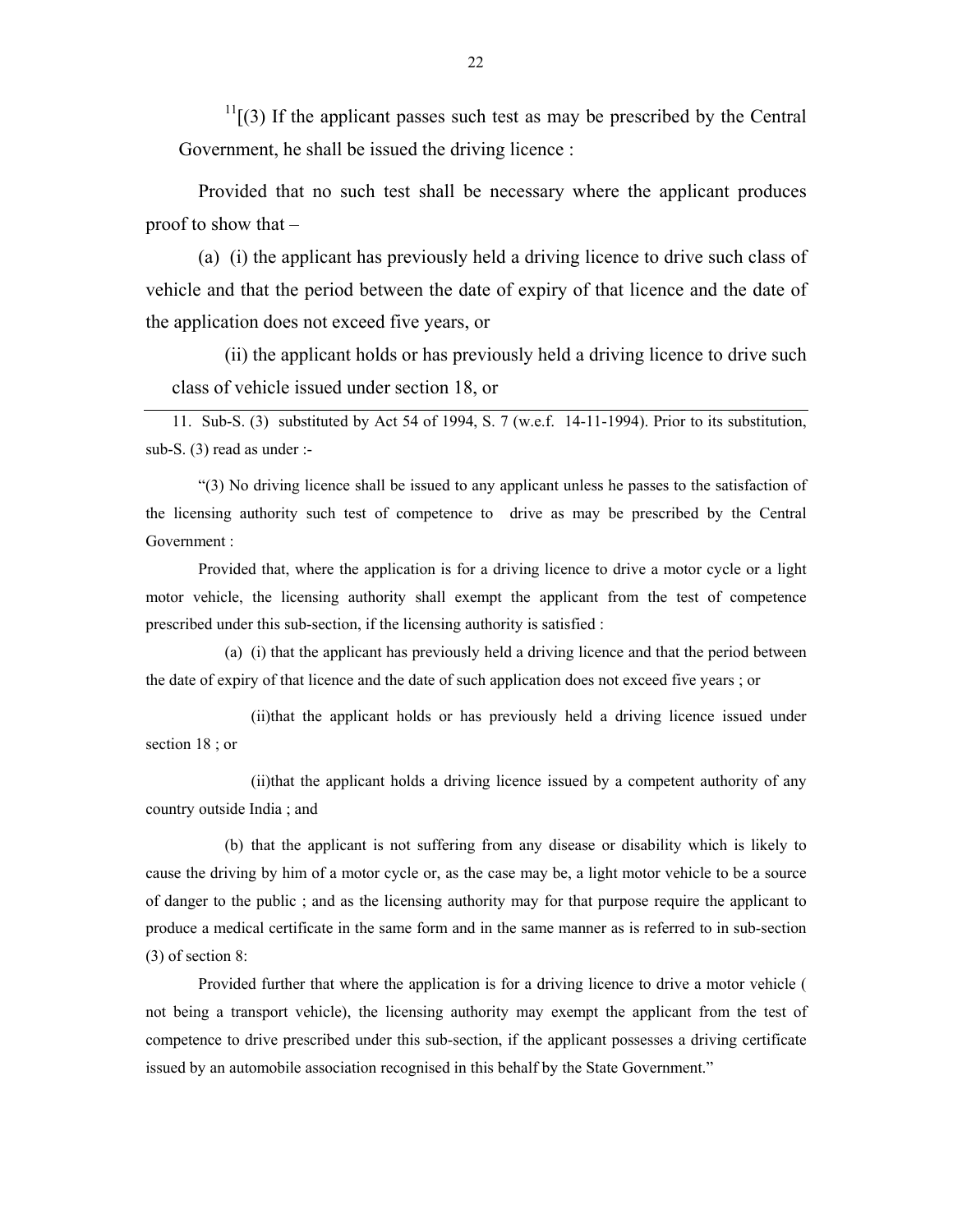$11$ [(3) If the applicant passes such test as may be prescribed by the Central Government, he shall be issued the driving licence :

Provided that no such test shall be necessary where the applicant produces proof to show that –

(a) (i) the applicant has previously held a driving licence to drive such class of vehicle and that the period between the date of expiry of that licence and the date of the application does not exceed five years, or

(ii) the applicant holds or has previously held a driving licence to drive such class of vehicle issued under section 18, or

11. Sub-S. (3) substituted by Act 54 of 1994, S. 7 (w.e.f. 14-11-1994). Prior to its substitution, sub-S. (3) read as under :-

"(3) No driving licence shall be issued to any applicant unless he passes to the satisfaction of the licensing authority such test of competence to drive as may be prescribed by the Central Government :

Provided that, where the application is for a driving licence to drive a motor cycle or a light motor vehicle, the licensing authority shall exempt the applicant from the test of competence prescribed under this sub-section, if the licensing authority is satisfied :

(a) (i) that the applicant has previously held a driving licence and that the period between the date of expiry of that licence and the date of such application does not exceed five years ; or

(ii)that the applicant holds or has previously held a driving licence issued under section 18 ; or

(ii)that the applicant holds a driving licence issued by a competent authority of any country outside India ; and

(b) that the applicant is not suffering from any disease or disability which is likely to cause the driving by him of a motor cycle or, as the case may be, a light motor vehicle to be a source of danger to the public ; and as the licensing authority may for that purpose require the applicant to produce a medical certificate in the same form and in the same manner as is referred to in sub-section (3) of section 8:

Provided further that where the application is for a driving licence to drive a motor vehicle ( not being a transport vehicle), the licensing authority may exempt the applicant from the test of competence to drive prescribed under this sub-section, if the applicant possesses a driving certificate issued by an automobile association recognised in this behalf by the State Government."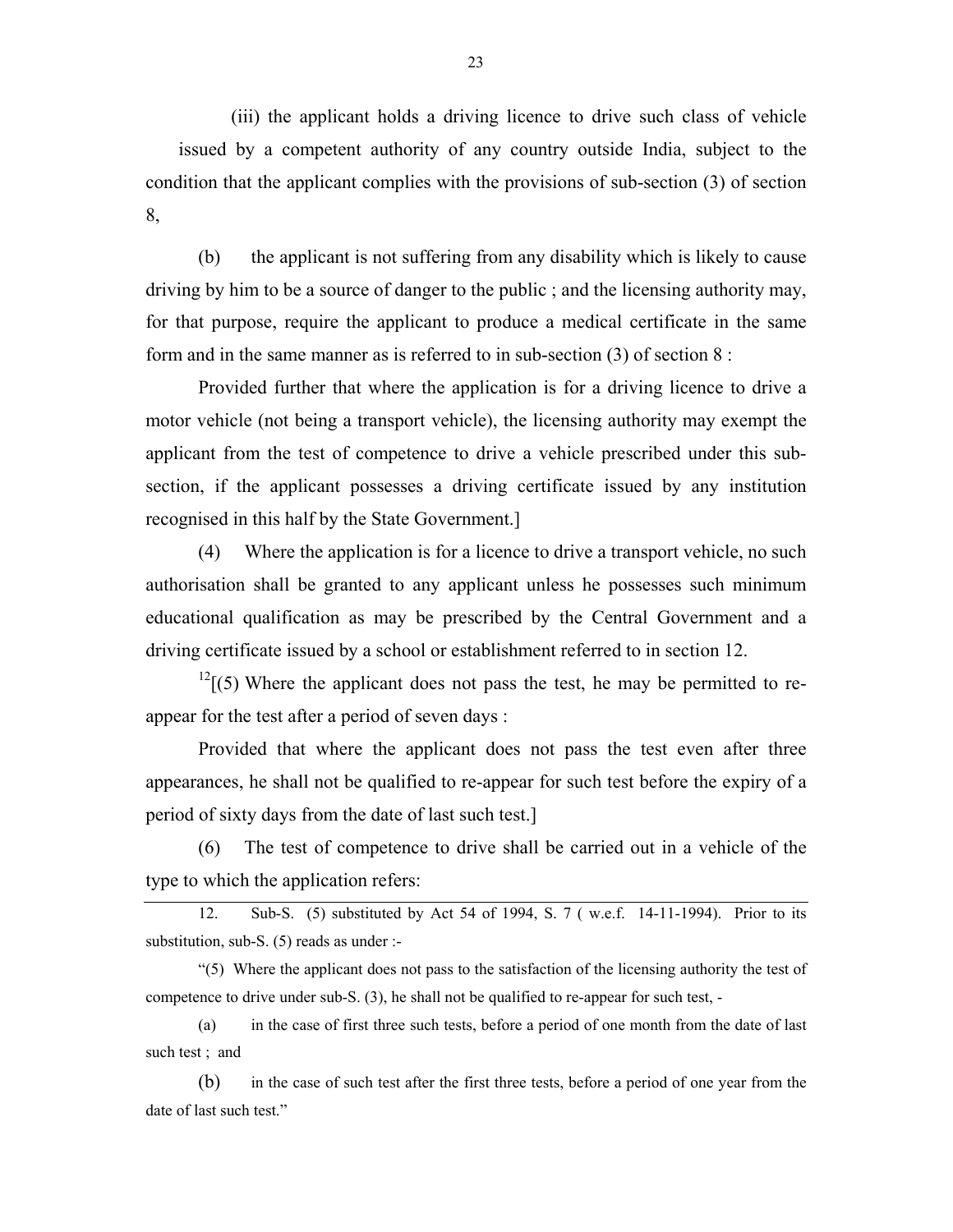(iii) the applicant holds a driving licence to drive such class of vehicle issued by a competent authority of any country outside India, subject to the condition that the applicant complies with the provisions of sub-section (3) of section 8,

(b) the applicant is not suffering from any disability which is likely to cause driving by him to be a source of danger to the public ; and the licensing authority may, for that purpose, require the applicant to produce a medical certificate in the same form and in the same manner as is referred to in sub-section (3) of section 8 :

Provided further that where the application is for a driving licence to drive a motor vehicle (not being a transport vehicle), the licensing authority may exempt the applicant from the test of competence to drive a vehicle prescribed under this subsection, if the applicant possesses a driving certificate issued by any institution recognised in this half by the State Government.]

(4) Where the application is for a licence to drive a transport vehicle, no such authorisation shall be granted to any applicant unless he possesses such minimum educational qualification as may be prescribed by the Central Government and a driving certificate issued by a school or establishment referred to in section 12.

 $12$ [(5) Where the applicant does not pass the test, he may be permitted to reappear for the test after a period of seven days :

Provided that where the applicant does not pass the test even after three appearances, he shall not be qualified to re-appear for such test before the expiry of a period of sixty days from the date of last such test.]

(6) The test of competence to drive shall be carried out in a vehicle of the type to which the application refers:

12. Sub-S. (5) substituted by Act 54 of 1994, S. 7 ( w.e.f. 14-11-1994). Prior to its substitution, sub-S. (5) reads as under :-

"(5) Where the applicant does not pass to the satisfaction of the licensing authority the test of competence to drive under sub-S. (3), he shall not be qualified to re-appear for such test, -

(a) in the case of first three such tests, before a period of one month from the date of last such test ; and

(b) in the case of such test after the first three tests, before a period of one year from the date of last such test."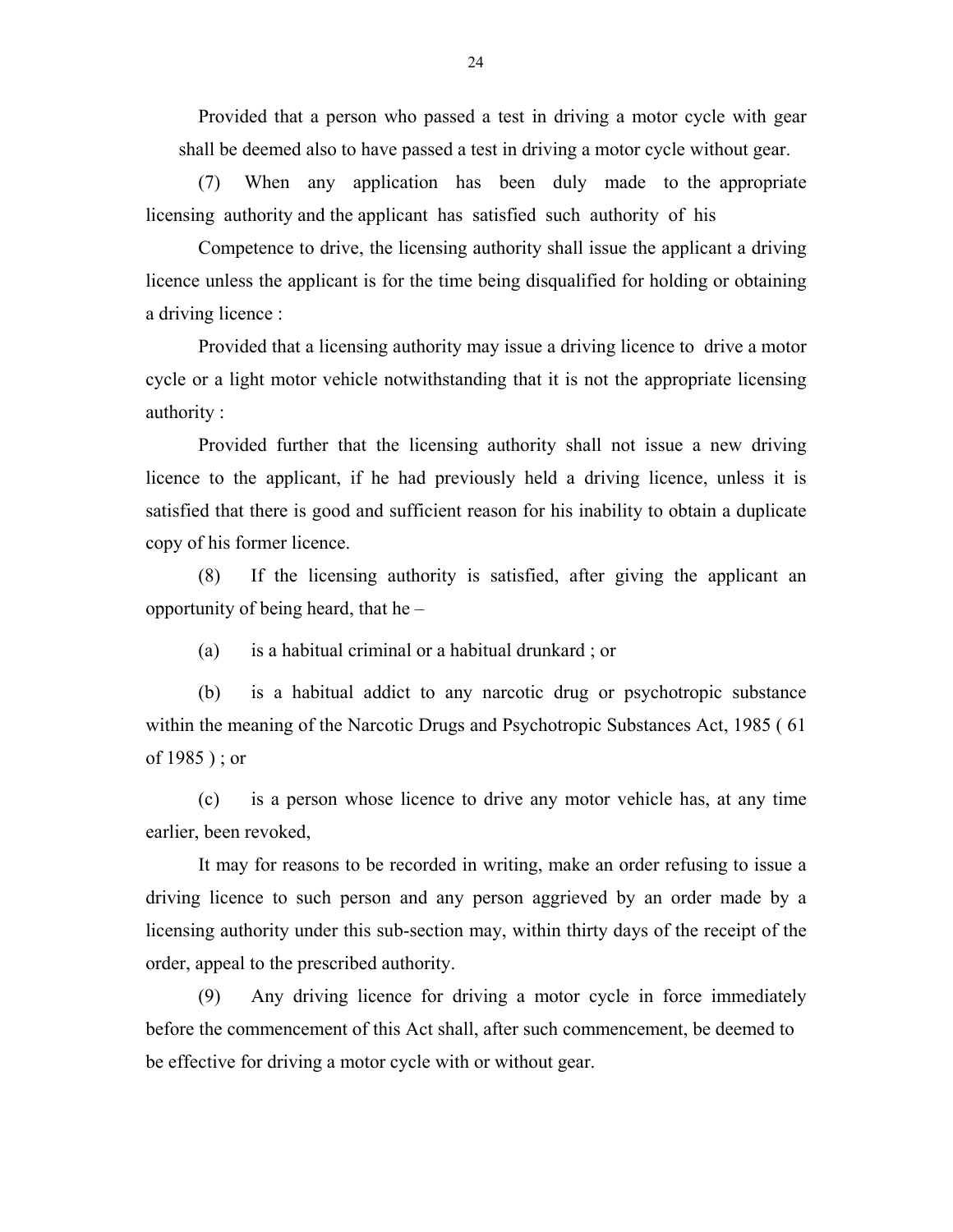Provided that a person who passed a test in driving a motor cycle with gear shall be deemed also to have passed a test in driving a motor cycle without gear.

(7) When any application has been duly made to the appropriate licensing authority and the applicant has satisfied such authority of his

Competence to drive, the licensing authority shall issue the applicant a driving licence unless the applicant is for the time being disqualified for holding or obtaining a driving licence :

Provided that a licensing authority may issue a driving licence to drive a motor cycle or a light motor vehicle notwithstanding that it is not the appropriate licensing authority :

Provided further that the licensing authority shall not issue a new driving licence to the applicant, if he had previously held a driving licence, unless it is satisfied that there is good and sufficient reason for his inability to obtain a duplicate copy of his former licence.

(8) If the licensing authority is satisfied, after giving the applicant an opportunity of being heard, that he –

(a) is a habitual criminal or a habitual drunkard ; or

(b) is a habitual addict to any narcotic drug or psychotropic substance within the meaning of the Narcotic Drugs and Psychotropic Substances Act, 1985 ( 61 of 1985 ) ; or

(c) is a person whose licence to drive any motor vehicle has, at any time earlier, been revoked,

It may for reasons to be recorded in writing, make an order refusing to issue a driving licence to such person and any person aggrieved by an order made by a licensing authority under this sub-section may, within thirty days of the receipt of the order, appeal to the prescribed authority.

(9) Any driving licence for driving a motor cycle in force immediately before the commencement of this Act shall, after such commencement, be deemed to be effective for driving a motor cycle with or without gear.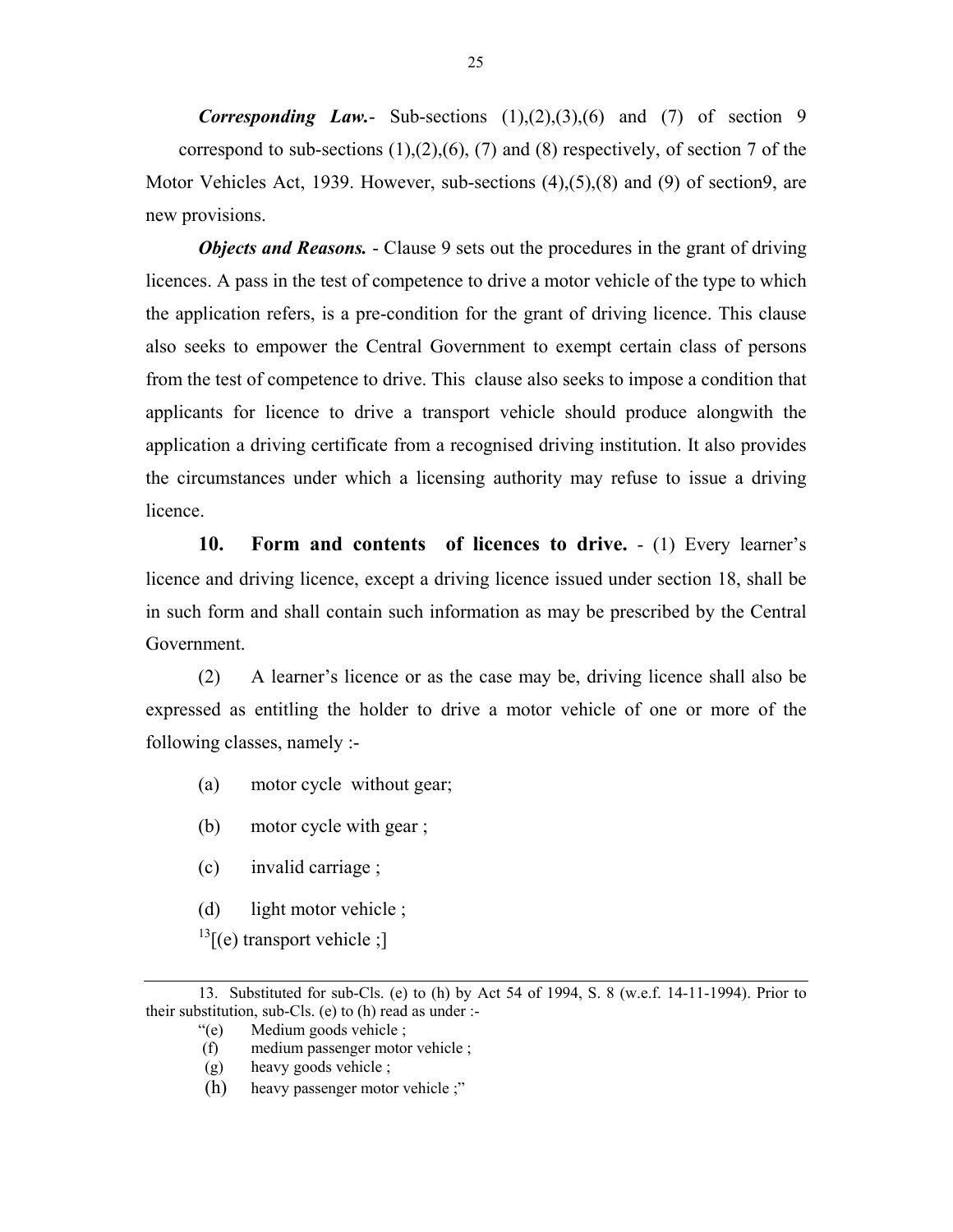*Corresponding Law.*- Sub-sections  $(1),(2),(3),(6)$  and  $(7)$  of section 9 correspond to sub-sections  $(1),(2),(6),(7)$  and  $(8)$  respectively, of section 7 of the Motor Vehicles Act, 1939. However, sub-sections (4),(5),(8) and (9) of section9, are new provisions.

*Objects and Reasons.* - Clause 9 sets out the procedures in the grant of driving licences. A pass in the test of competence to drive a motor vehicle of the type to which the application refers, is a pre-condition for the grant of driving licence. This clause also seeks to empower the Central Government to exempt certain class of persons from the test of competence to drive. This clause also seeks to impose a condition that applicants for licence to drive a transport vehicle should produce alongwith the application a driving certificate from a recognised driving institution. It also provides the circumstances under which a licensing authority may refuse to issue a driving licence.

**10. Form and contents of licences to drive.** - (1) Every learner's licence and driving licence, except a driving licence issued under section 18, shall be in such form and shall contain such information as may be prescribed by the Central Government.

(2) A learner's licence or as the case may be, driving licence shall also be expressed as entitling the holder to drive a motor vehicle of one or more of the following classes, namely :-

- (a) motor cycle without gear;
- (b) motor cycle with gear ;
- (c) invalid carriage ;
- (d) light motor vehicle ;
- $^{13}$ [(e) transport vehicle ;]

- "(e) Medium goods vehicle ;
- (f) medium passenger motor vehicle ;
- (g) heavy goods vehicle ;
- (h) heavy passenger motor vehicle ;"

<sup>13.</sup> Substituted for sub-Cls. (e) to (h) by Act 54 of 1994, S. 8 (w.e.f. 14-11-1994). Prior to their substitution, sub-Cls. (e) to (h) read as under :-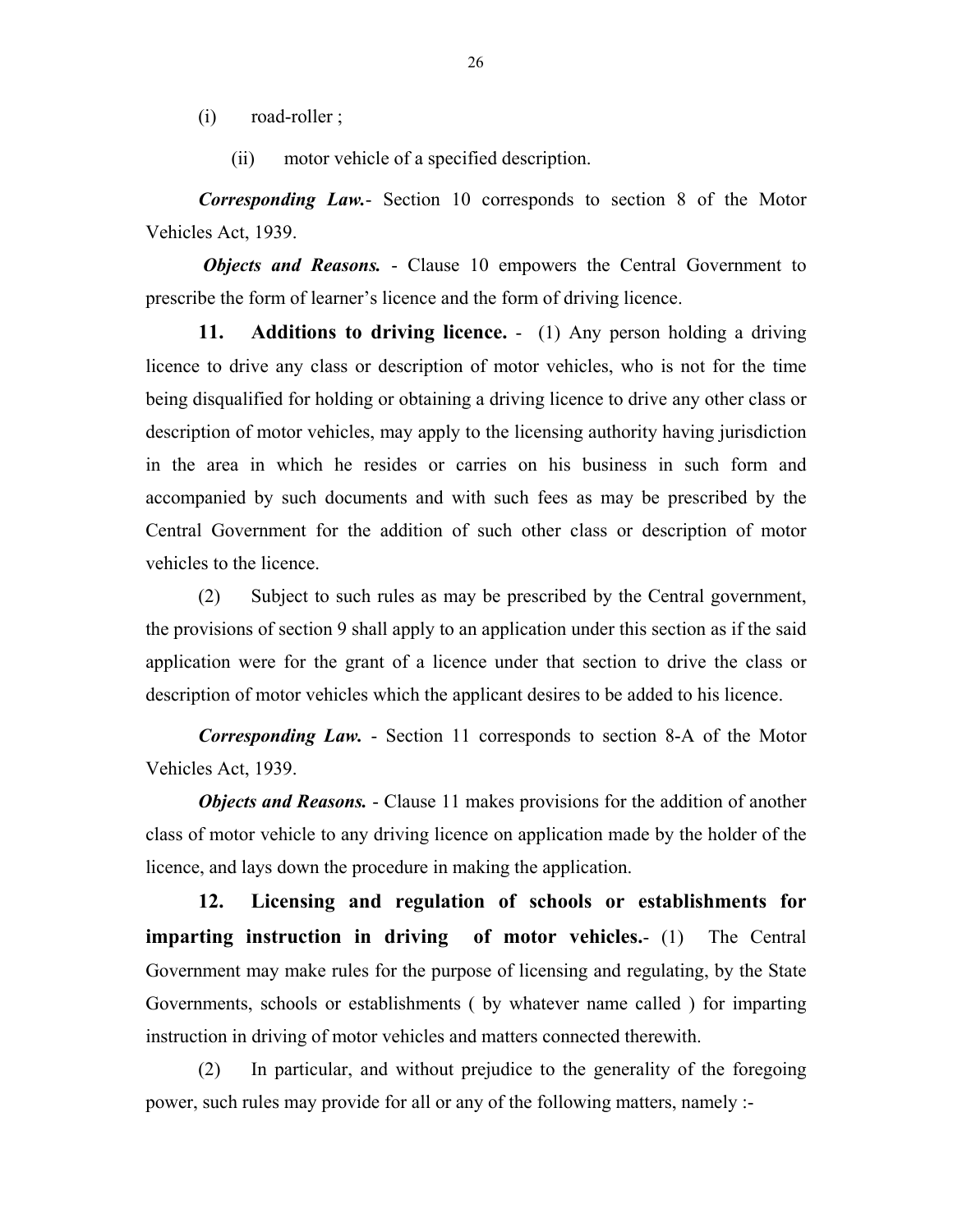- (i) road-roller ;
	- (ii) motor vehicle of a specified description.

*Corresponding Law.*- Section 10 corresponds to section 8 of the Motor Vehicles Act, 1939.

*Objects and Reasons.* - Clause 10 empowers the Central Government to prescribe the form of learner's licence and the form of driving licence.

**11. Additions to driving licence.** - (1) Any person holding a driving licence to drive any class or description of motor vehicles, who is not for the time being disqualified for holding or obtaining a driving licence to drive any other class or description of motor vehicles, may apply to the licensing authority having jurisdiction in the area in which he resides or carries on his business in such form and accompanied by such documents and with such fees as may be prescribed by the Central Government for the addition of such other class or description of motor vehicles to the licence.

(2) Subject to such rules as may be prescribed by the Central government, the provisions of section 9 shall apply to an application under this section as if the said application were for the grant of a licence under that section to drive the class or description of motor vehicles which the applicant desires to be added to his licence.

*Corresponding Law.* - Section 11 corresponds to section 8-A of the Motor Vehicles Act, 1939.

*Objects and Reasons.* - Clause 11 makes provisions for the addition of another class of motor vehicle to any driving licence on application made by the holder of the licence, and lays down the procedure in making the application.

**12. Licensing and regulation of schools or establishments for imparting instruction in driving of motor vehicles.**- (1) The Central Government may make rules for the purpose of licensing and regulating, by the State Governments, schools or establishments ( by whatever name called ) for imparting instruction in driving of motor vehicles and matters connected therewith.

(2) In particular, and without prejudice to the generality of the foregoing power, such rules may provide for all or any of the following matters, namely :-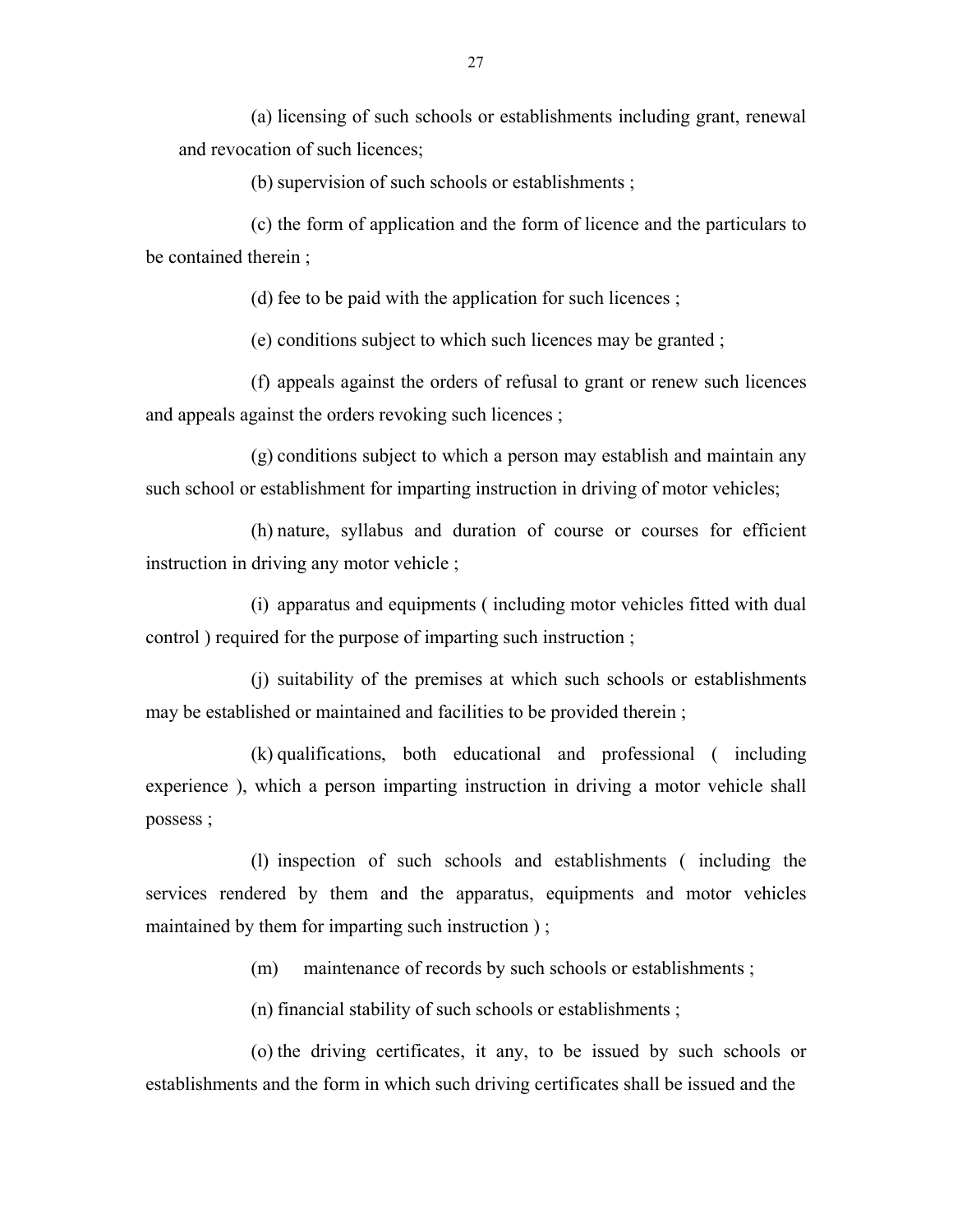(a) licensing of such schools or establishments including grant, renewal and revocation of such licences;

(b) supervision of such schools or establishments ;

(c) the form of application and the form of licence and the particulars to be contained therein ;

(d) fee to be paid with the application for such licences ;

(e) conditions subject to which such licences may be granted ;

(f) appeals against the orders of refusal to grant or renew such licences and appeals against the orders revoking such licences ;

(g) conditions subject to which a person may establish and maintain any such school or establishment for imparting instruction in driving of motor vehicles;

(h) nature, syllabus and duration of course or courses for efficient instruction in driving any motor vehicle ;

(i) apparatus and equipments ( including motor vehicles fitted with dual control ) required for the purpose of imparting such instruction ;

(j) suitability of the premises at which such schools or establishments may be established or maintained and facilities to be provided therein ;

(k) qualifications, both educational and professional ( including experience ), which a person imparting instruction in driving a motor vehicle shall possess ;

(l) inspection of such schools and establishments ( including the services rendered by them and the apparatus, equipments and motor vehicles maintained by them for imparting such instruction ) ;

(m) maintenance of records by such schools or establishments ;

(n) financial stability of such schools or establishments ;

(o) the driving certificates, it any, to be issued by such schools or establishments and the form in which such driving certificates shall be issued and the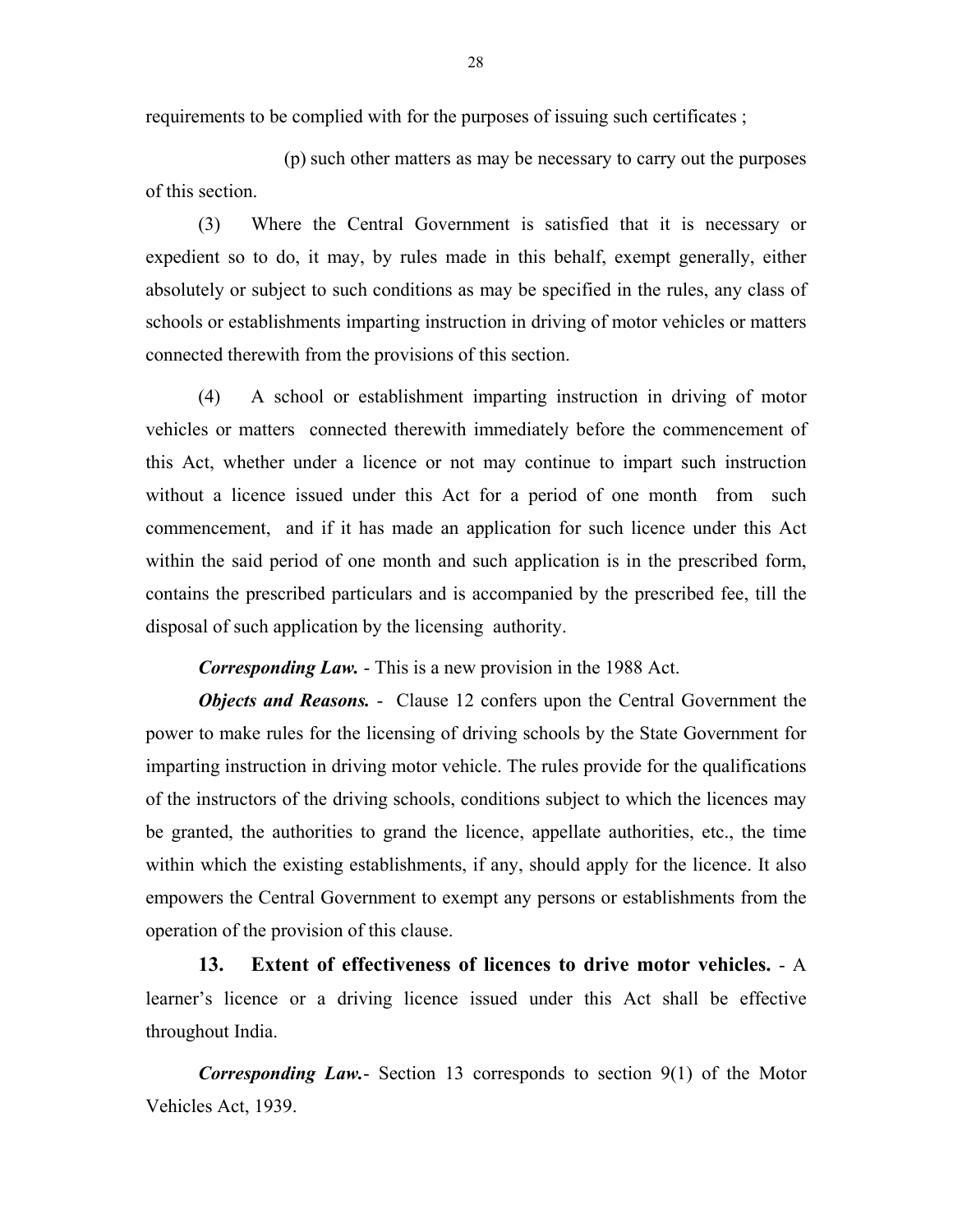requirements to be complied with for the purposes of issuing such certificates ;

(p) such other matters as may be necessary to carry out the purposes of this section.

(3) Where the Central Government is satisfied that it is necessary or expedient so to do, it may, by rules made in this behalf, exempt generally, either absolutely or subject to such conditions as may be specified in the rules, any class of schools or establishments imparting instruction in driving of motor vehicles or matters connected therewith from the provisions of this section.

(4) A school or establishment imparting instruction in driving of motor vehicles or matters connected therewith immediately before the commencement of this Act, whether under a licence or not may continue to impart such instruction without a licence issued under this Act for a period of one month from such commencement, and if it has made an application for such licence under this Act within the said period of one month and such application is in the prescribed form, contains the prescribed particulars and is accompanied by the prescribed fee, till the disposal of such application by the licensing authority.

*Corresponding Law.* - This is a new provision in the 1988 Act.

*Objects and Reasons.* - Clause 12 confers upon the Central Government the power to make rules for the licensing of driving schools by the State Government for imparting instruction in driving motor vehicle. The rules provide for the qualifications of the instructors of the driving schools, conditions subject to which the licences may be granted, the authorities to grand the licence, appellate authorities, etc., the time within which the existing establishments, if any, should apply for the licence. It also empowers the Central Government to exempt any persons or establishments from the operation of the provision of this clause.

**13. Extent of effectiveness of licences to drive motor vehicles.** - A learner's licence or a driving licence issued under this Act shall be effective throughout India.

*Corresponding Law.*- Section 13 corresponds to section 9(1) of the Motor Vehicles Act, 1939.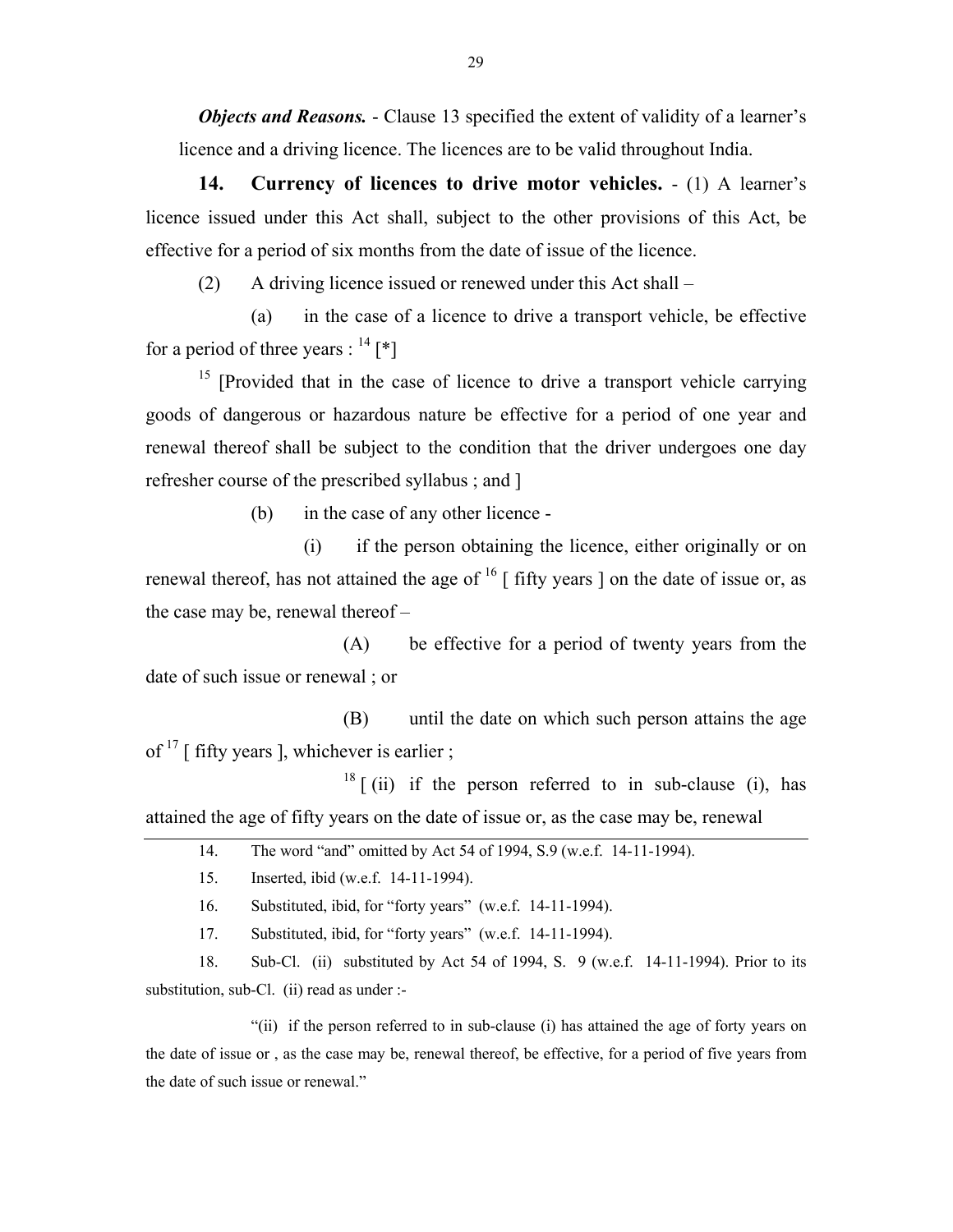*Objects and Reasons.* - Clause 13 specified the extent of validity of a learner's licence and a driving licence. The licences are to be valid throughout India.

**14. Currency of licences to drive motor vehicles.** - (1) A learner's licence issued under this Act shall, subject to the other provisions of this Act, be effective for a period of six months from the date of issue of the licence.

(2) A driving licence issued or renewed under this Act shall –

(a) in the case of a licence to drive a transport vehicle, be effective for a period of three years :  $^{14}$  [\*]

 $15$  [Provided that in the case of licence to drive a transport vehicle carrying goods of dangerous or hazardous nature be effective for a period of one year and renewal thereof shall be subject to the condition that the driver undergoes one day refresher course of the prescribed syllabus ; and ]

(b) in the case of any other licence -

(i) if the person obtaining the licence, either originally or on renewal thereof, has not attained the age of  $16$  [ fifty years ] on the date of issue or, as the case may be, renewal thereof –

(A) be effective for a period of twenty years from the date of such issue or renewal ; or

(B) until the date on which such person attains the age of  $17$  [ fifty years ], whichever is earlier ;

 $18$  [ (ii) if the person referred to in sub-clause (i), has attained the age of fifty years on the date of issue or, as the case may be, renewal

14. The word "and" omitted by Act 54 of 1994, S.9 (w.e.f. 14-11-1994).

15. Inserted, ibid (w.e.f. 14-11-1994).

16. Substituted, ibid, for "forty years" (w.e.f. 14-11-1994).

17. Substituted, ibid, for "forty years" (w.e.f. 14-11-1994).

18. Sub-Cl. (ii) substituted by Act 54 of 1994, S. 9 (w.e.f. 14-11-1994). Prior to its substitution, sub-Cl. (ii) read as under :-

"(ii) if the person referred to in sub-clause (i) has attained the age of forty years on the date of issue or , as the case may be, renewal thereof, be effective, for a period of five years from the date of such issue or renewal."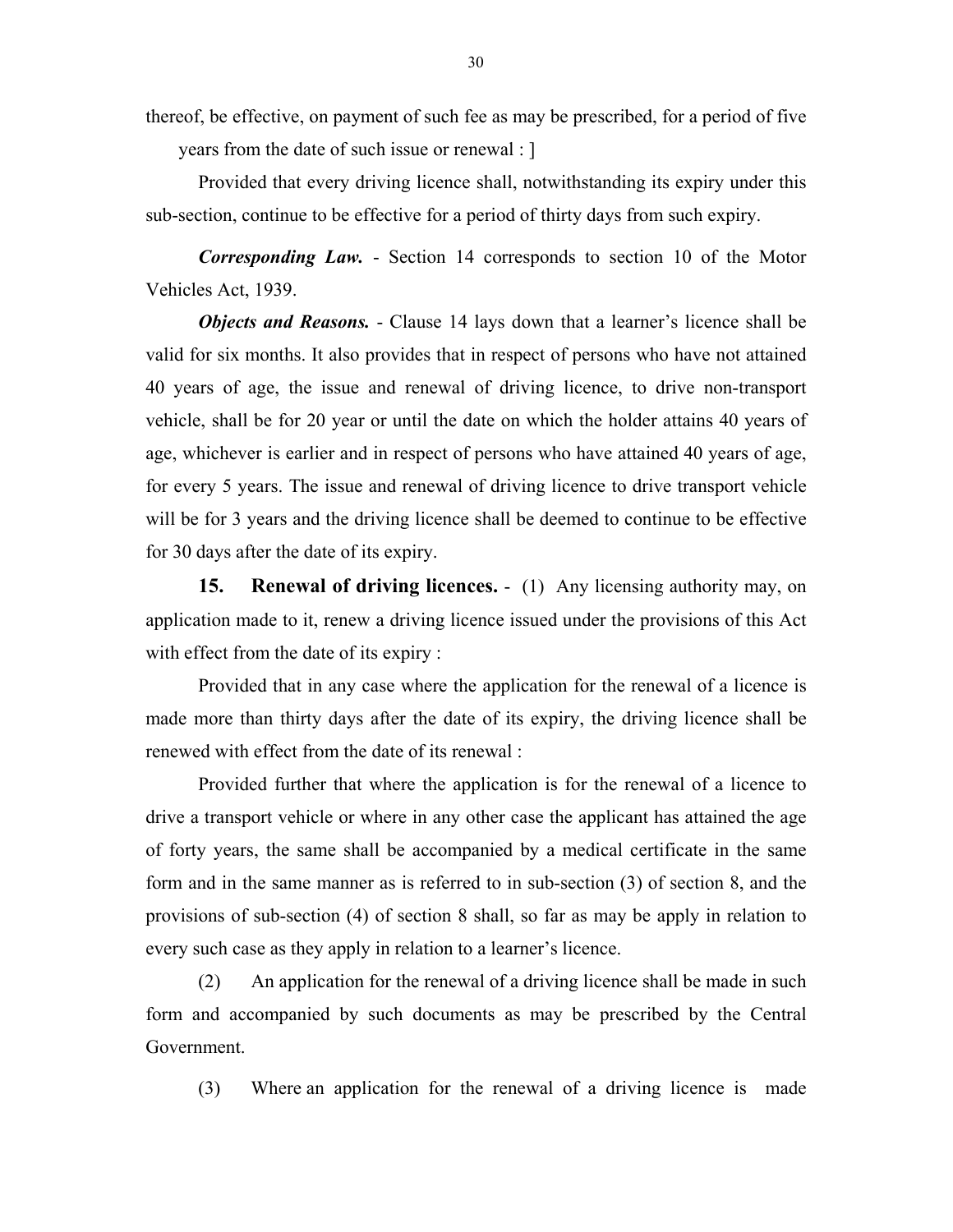thereof, be effective, on payment of such fee as may be prescribed, for a period of five years from the date of such issue or renewal : ]

Provided that every driving licence shall, notwithstanding its expiry under this sub-section, continue to be effective for a period of thirty days from such expiry.

*Corresponding Law.* - Section 14 corresponds to section 10 of the Motor Vehicles Act, 1939.

*Objects and Reasons.* - Clause 14 lays down that a learner's licence shall be valid for six months. It also provides that in respect of persons who have not attained 40 years of age, the issue and renewal of driving licence, to drive non-transport vehicle, shall be for 20 year or until the date on which the holder attains 40 years of age, whichever is earlier and in respect of persons who have attained 40 years of age, for every 5 years. The issue and renewal of driving licence to drive transport vehicle will be for 3 years and the driving licence shall be deemed to continue to be effective for 30 days after the date of its expiry.

**15. Renewal of driving licences.** - (1) Any licensing authority may, on application made to it, renew a driving licence issued under the provisions of this Act with effect from the date of its expiry :

Provided that in any case where the application for the renewal of a licence is made more than thirty days after the date of its expiry, the driving licence shall be renewed with effect from the date of its renewal :

Provided further that where the application is for the renewal of a licence to drive a transport vehicle or where in any other case the applicant has attained the age of forty years, the same shall be accompanied by a medical certificate in the same form and in the same manner as is referred to in sub-section (3) of section 8, and the provisions of sub-section (4) of section 8 shall, so far as may be apply in relation to every such case as they apply in relation to a learner's licence.

(2) An application for the renewal of a driving licence shall be made in such form and accompanied by such documents as may be prescribed by the Central Government.

(3) Where an application for the renewal of a driving licence is made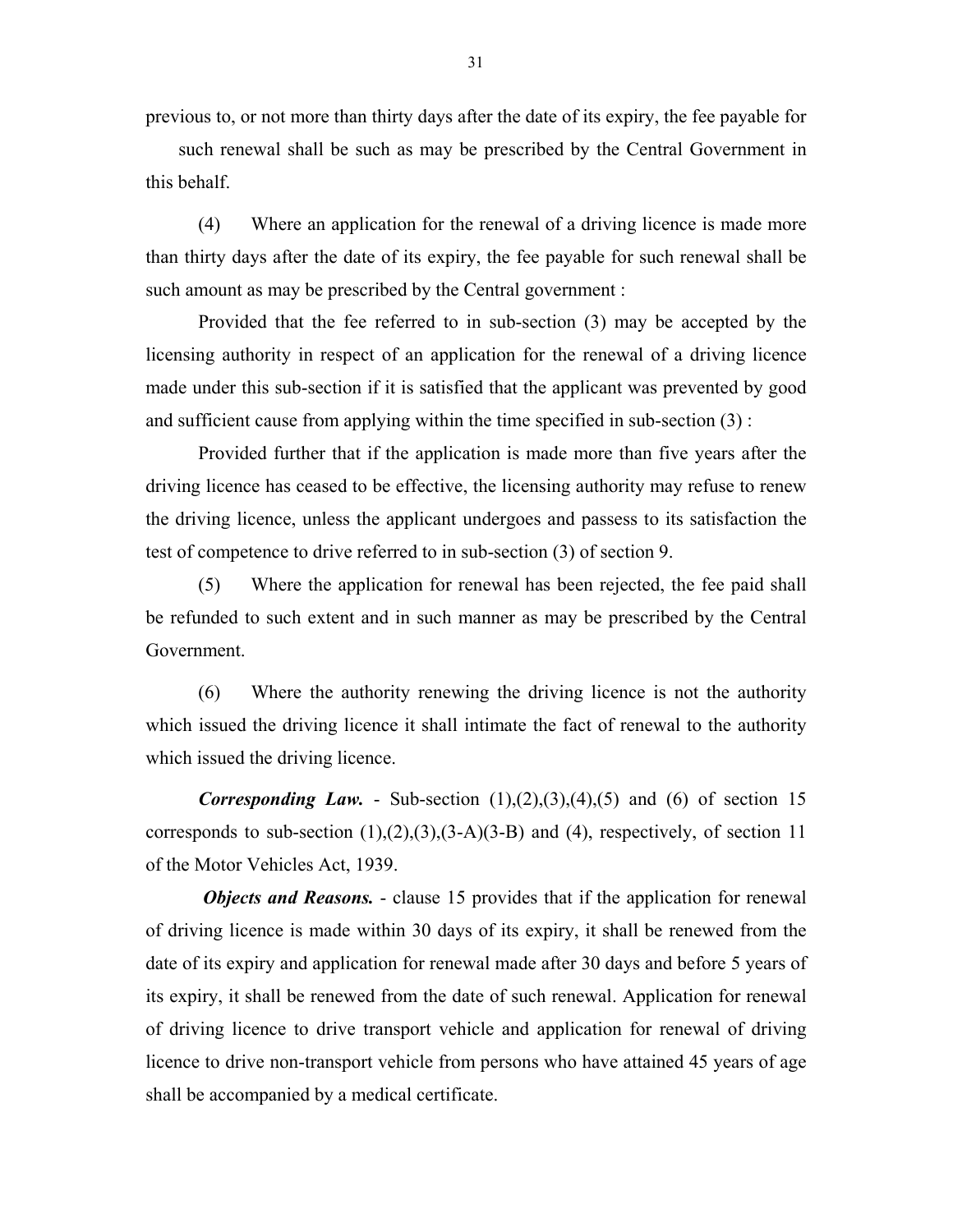previous to, or not more than thirty days after the date of its expiry, the fee payable for

such renewal shall be such as may be prescribed by the Central Government in this behalf.

(4) Where an application for the renewal of a driving licence is made more than thirty days after the date of its expiry, the fee payable for such renewal shall be such amount as may be prescribed by the Central government :

Provided that the fee referred to in sub-section (3) may be accepted by the licensing authority in respect of an application for the renewal of a driving licence made under this sub-section if it is satisfied that the applicant was prevented by good and sufficient cause from applying within the time specified in sub-section (3) :

Provided further that if the application is made more than five years after the driving licence has ceased to be effective, the licensing authority may refuse to renew the driving licence, unless the applicant undergoes and passess to its satisfaction the test of competence to drive referred to in sub-section (3) of section 9.

(5) Where the application for renewal has been rejected, the fee paid shall be refunded to such extent and in such manner as may be prescribed by the Central Government.

(6) Where the authority renewing the driving licence is not the authority which issued the driving licence it shall intimate the fact of renewal to the authority which issued the driving licence.

*Corresponding Law.* - Sub-section  $(1)$ , $(2)$ , $(3)$ , $(4)$ , $(5)$  and  $(6)$  of section 15 corresponds to sub-section  $(1)$ , $(2)$ , $(3)$ , $(3-A)(3-B)$  and  $(4)$ , respectively, of section 11 of the Motor Vehicles Act, 1939.

*Objects and Reasons.* - clause 15 provides that if the application for renewal of driving licence is made within 30 days of its expiry, it shall be renewed from the date of its expiry and application for renewal made after 30 days and before 5 years of its expiry, it shall be renewed from the date of such renewal. Application for renewal of driving licence to drive transport vehicle and application for renewal of driving licence to drive non-transport vehicle from persons who have attained 45 years of age shall be accompanied by a medical certificate.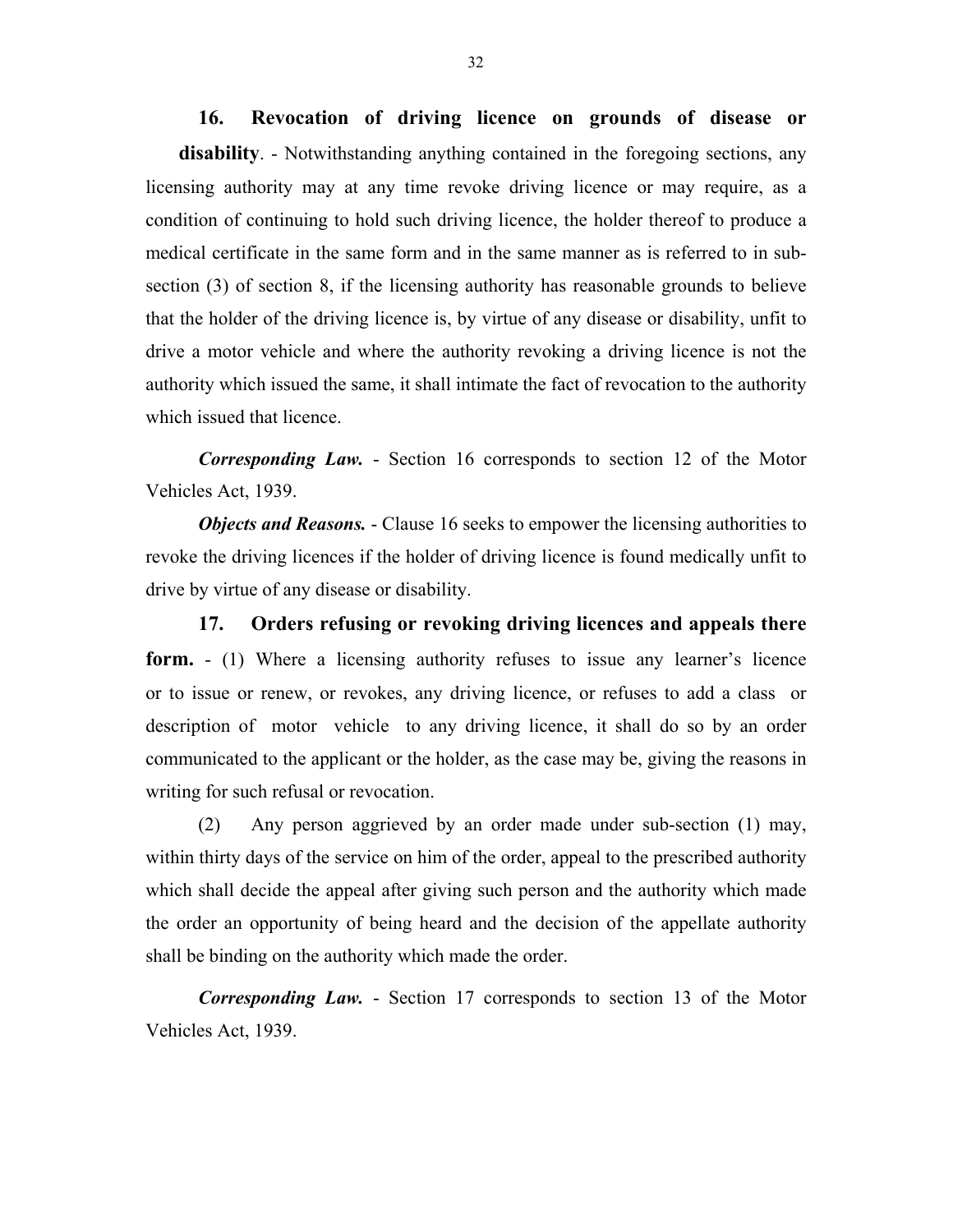**16. Revocation of driving licence on grounds of disease or disability.** - Notwithstanding anything contained in the foregoing sections, any licensing authority may at any time revoke driving licence or may require, as a condition of continuing to hold such driving licence, the holder thereof to produce a medical certificate in the same form and in the same manner as is referred to in subsection (3) of section 8, if the licensing authority has reasonable grounds to believe that the holder of the driving licence is, by virtue of any disease or disability, unfit to drive a motor vehicle and where the authority revoking a driving licence is not the authority which issued the same, it shall intimate the fact of revocation to the authority which issued that licence.

*Corresponding Law.* - Section 16 corresponds to section 12 of the Motor Vehicles Act, 1939.

*Objects and Reasons.* - Clause 16 seeks to empower the licensing authorities to revoke the driving licences if the holder of driving licence is found medically unfit to drive by virtue of any disease or disability.

**17. Orders refusing or revoking driving licences and appeals there form.** - (1) Where a licensing authority refuses to issue any learner's licence or to issue or renew, or revokes, any driving licence, or refuses to add a class or description of motor vehicle to any driving licence, it shall do so by an order communicated to the applicant or the holder, as the case may be, giving the reasons in writing for such refusal or revocation.

(2) Any person aggrieved by an order made under sub-section (1) may, within thirty days of the service on him of the order, appeal to the prescribed authority which shall decide the appeal after giving such person and the authority which made the order an opportunity of being heard and the decision of the appellate authority shall be binding on the authority which made the order.

 *Corresponding Law.* - Section 17 corresponds to section 13 of the Motor Vehicles Act, 1939.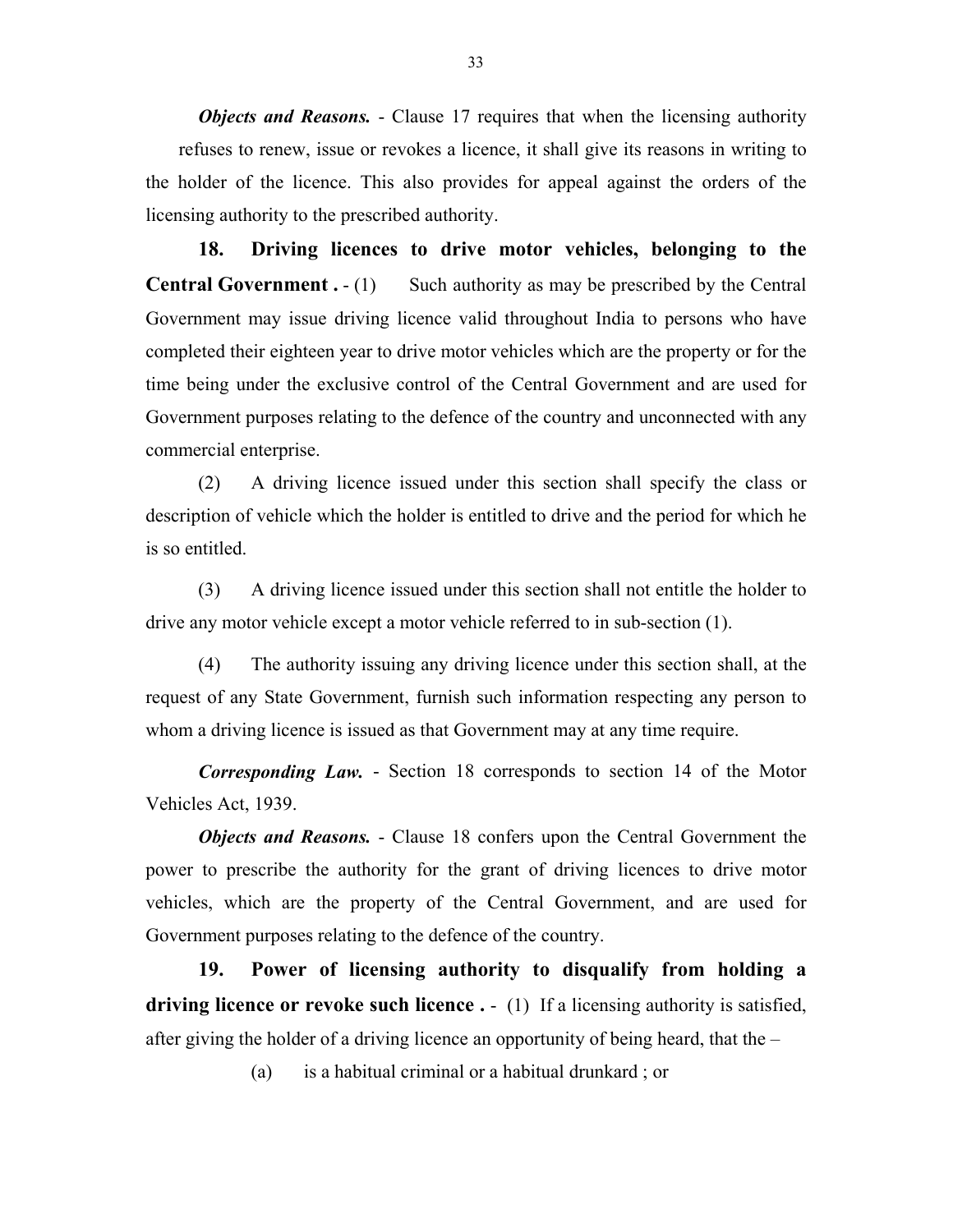*Objects and Reasons.* - Clause 17 requires that when the licensing authority refuses to renew, issue or revokes a licence, it shall give its reasons in writing to the holder of the licence. This also provides for appeal against the orders of the licensing authority to the prescribed authority.

**18. Driving licences to drive motor vehicles, belonging to the Central Government .** - (1) Such authority as may be prescribed by the Central Government may issue driving licence valid throughout India to persons who have completed their eighteen year to drive motor vehicles which are the property or for the time being under the exclusive control of the Central Government and are used for Government purposes relating to the defence of the country and unconnected with any commercial enterprise.

(2) A driving licence issued under this section shall specify the class or description of vehicle which the holder is entitled to drive and the period for which he is so entitled.

(3) A driving licence issued under this section shall not entitle the holder to drive any motor vehicle except a motor vehicle referred to in sub-section (1).

(4) The authority issuing any driving licence under this section shall, at the request of any State Government, furnish such information respecting any person to whom a driving licence is issued as that Government may at any time require.

*Corresponding Law.* - Section 18 corresponds to section 14 of the Motor Vehicles Act, 1939.

*Objects and Reasons.* - Clause 18 confers upon the Central Government the power to prescribe the authority for the grant of driving licences to drive motor vehicles, which are the property of the Central Government, and are used for Government purposes relating to the defence of the country.

**19. Power of licensing authority to disqualify from holding a driving licence or revoke such licence .** (1) If a licensing authority is satisfied, after giving the holder of a driving licence an opportunity of being heard, that the –

(a) is a habitual criminal or a habitual drunkard ; or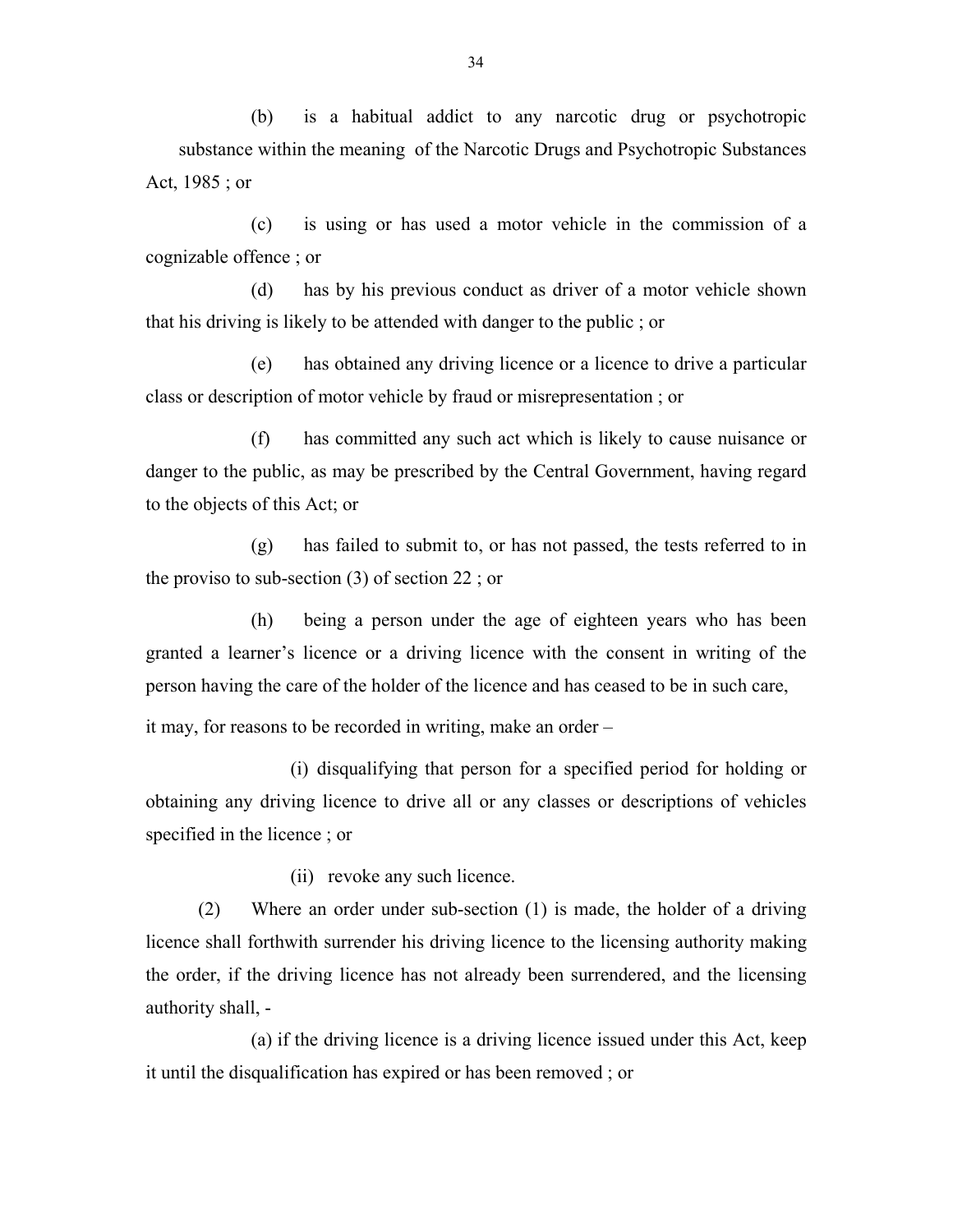(b) is a habitual addict to any narcotic drug or psychotropic substance within the meaning of the Narcotic Drugs and Psychotropic Substances Act, 1985 ; or

(c) is using or has used a motor vehicle in the commission of a cognizable offence ; or

(d) has by his previous conduct as driver of a motor vehicle shown that his driving is likely to be attended with danger to the public ; or

(e) has obtained any driving licence or a licence to drive a particular class or description of motor vehicle by fraud or misrepresentation ; or

(f) has committed any such act which is likely to cause nuisance or danger to the public, as may be prescribed by the Central Government, having regard to the objects of this Act; or

(g) has failed to submit to, or has not passed, the tests referred to in the proviso to sub-section (3) of section 22 ; or

(h) being a person under the age of eighteen years who has been granted a learner's licence or a driving licence with the consent in writing of the person having the care of the holder of the licence and has ceased to be in such care,

it may, for reasons to be recorded in writing, make an order –

(i) disqualifying that person for a specified period for holding or obtaining any driving licence to drive all or any classes or descriptions of vehicles specified in the licence ; or

(ii) revoke any such licence.

(2) Where an order under sub-section (1) is made, the holder of a driving licence shall forthwith surrender his driving licence to the licensing authority making the order, if the driving licence has not already been surrendered, and the licensing authority shall, -

(a) if the driving licence is a driving licence issued under this Act, keep it until the disqualification has expired or has been removed ; or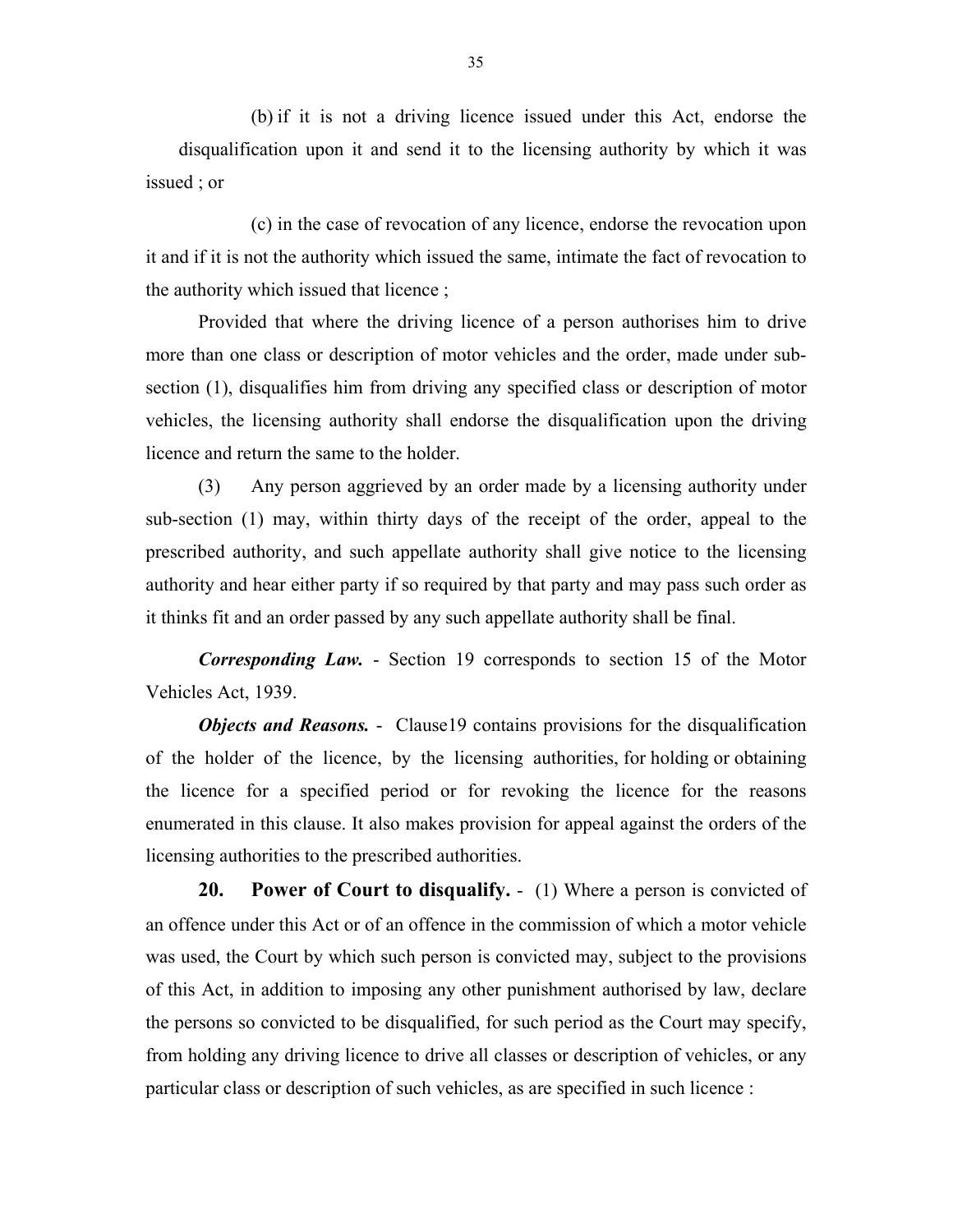(b) if it is not a driving licence issued under this Act, endorse the disqualification upon it and send it to the licensing authority by which it was issued ; or

(c) in the case of revocation of any licence, endorse the revocation upon it and if it is not the authority which issued the same, intimate the fact of revocation to the authority which issued that licence ;

Provided that where the driving licence of a person authorises him to drive more than one class or description of motor vehicles and the order, made under subsection (1), disqualifies him from driving any specified class or description of motor vehicles, the licensing authority shall endorse the disqualification upon the driving licence and return the same to the holder.

(3) Any person aggrieved by an order made by a licensing authority under sub-section (1) may, within thirty days of the receipt of the order, appeal to the prescribed authority, and such appellate authority shall give notice to the licensing authority and hear either party if so required by that party and may pass such order as it thinks fit and an order passed by any such appellate authority shall be final.

*Corresponding Law.* - Section 19 corresponds to section 15 of the Motor Vehicles Act, 1939.

*Objects and Reasons.* - Clause 19 contains provisions for the disqualification of the holder of the licence, by the licensing authorities, for holding or obtaining the licence for a specified period or for revoking the licence for the reasons enumerated in this clause. It also makes provision for appeal against the orders of the licensing authorities to the prescribed authorities.

**20. Power of Court to disqualify.** - (1) Where a person is convicted of an offence under this Act or of an offence in the commission of which a motor vehicle was used, the Court by which such person is convicted may, subject to the provisions of this Act, in addition to imposing any other punishment authorised by law, declare the persons so convicted to be disqualified, for such period as the Court may specify, from holding any driving licence to drive all classes or description of vehicles, or any particular class or description of such vehicles, as are specified in such licence :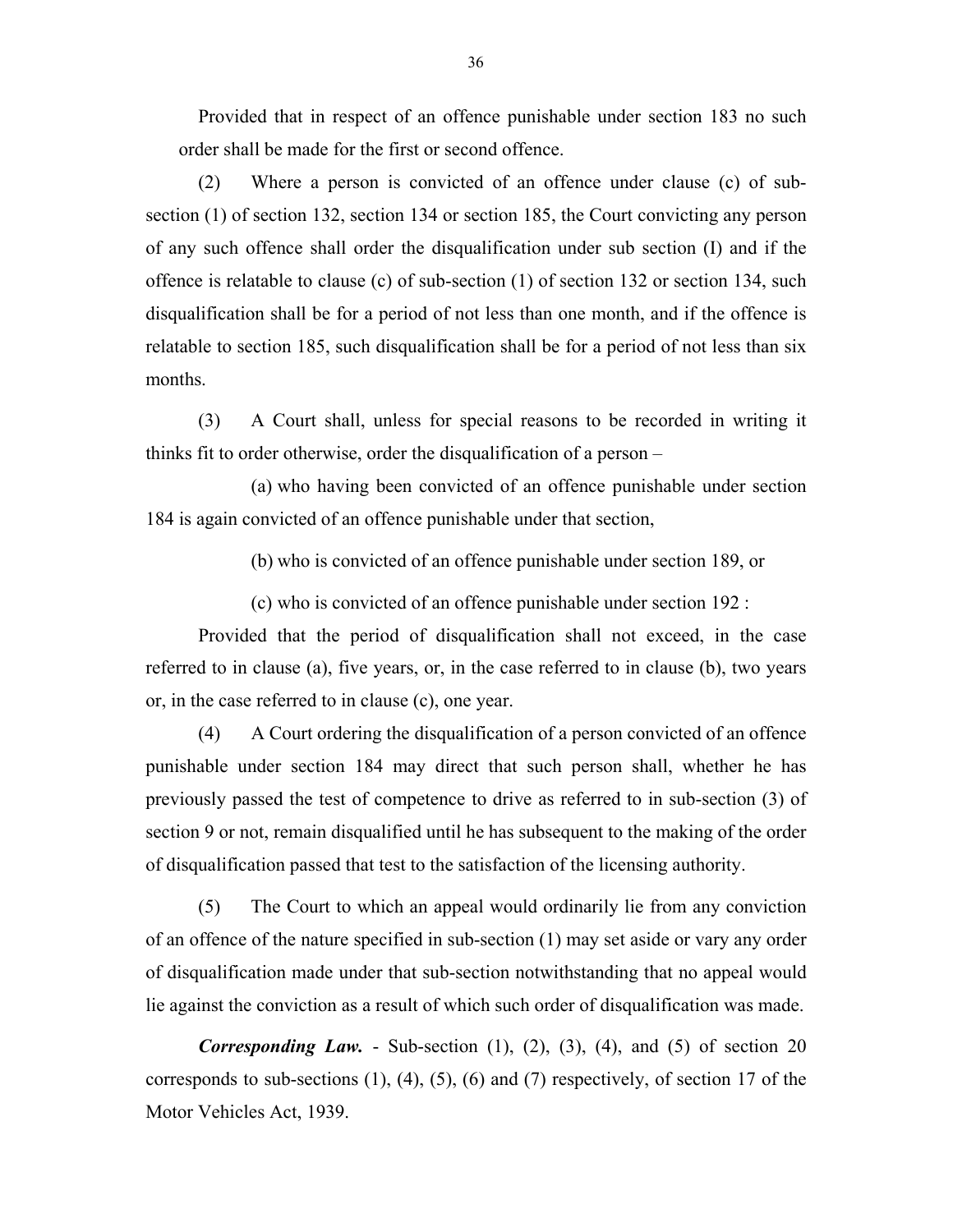Provided that in respect of an offence punishable under section 183 no such order shall be made for the first or second offence.

(2) Where a person is convicted of an offence under clause (c) of subsection (1) of section 132, section 134 or section 185, the Court convicting any person of any such offence shall order the disqualification under sub section (I) and if the offence is relatable to clause (c) of sub-section (1) of section 132 or section 134, such disqualification shall be for a period of not less than one month, and if the offence is relatable to section 185, such disqualification shall be for a period of not less than six months.

(3) A Court shall, unless for special reasons to be recorded in writing it thinks fit to order otherwise, order the disqualification of a person –

(a) who having been convicted of an offence punishable under section 184 is again convicted of an offence punishable under that section,

(b) who is convicted of an offence punishable under section 189, or

(c) who is convicted of an offence punishable under section 192 :

Provided that the period of disqualification shall not exceed, in the case referred to in clause (a), five years, or, in the case referred to in clause (b), two years or, in the case referred to in clause (c), one year.

(4) A Court ordering the disqualification of a person convicted of an offence punishable under section 184 may direct that such person shall, whether he has previously passed the test of competence to drive as referred to in sub-section (3) of section 9 or not, remain disqualified until he has subsequent to the making of the order of disqualification passed that test to the satisfaction of the licensing authority.

(5) The Court to which an appeal would ordinarily lie from any conviction of an offence of the nature specified in sub-section (1) may set aside or vary any order of disqualification made under that sub-section notwithstanding that no appeal would lie against the conviction as a result of which such order of disqualification was made.

*Corresponding Law.* - Sub-section  $(1)$ ,  $(2)$ ,  $(3)$ ,  $(4)$ , and  $(5)$  of section 20 corresponds to sub-sections  $(1)$ ,  $(4)$ ,  $(5)$ ,  $(6)$  and  $(7)$  respectively, of section 17 of the Motor Vehicles Act, 1939.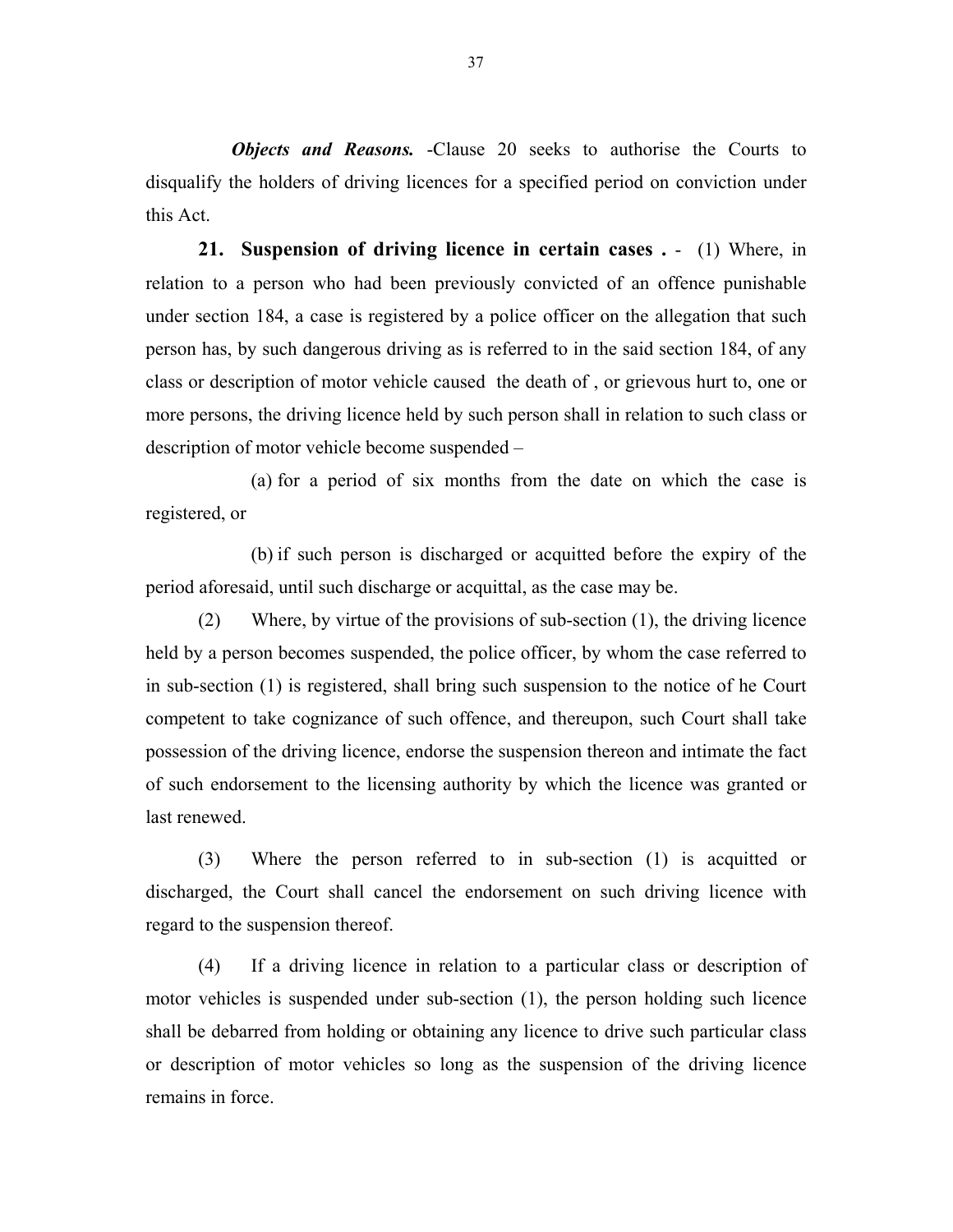*Objects and Reasons.* -Clause 20 seeks to authorise the Courts to disqualify the holders of driving licences for a specified period on conviction under this Act.

**21. Suspension of driving licence in certain cases .** - (1) Where, in relation to a person who had been previously convicted of an offence punishable under section 184, a case is registered by a police officer on the allegation that such person has, by such dangerous driving as is referred to in the said section 184, of any class or description of motor vehicle caused the death of , or grievous hurt to, one or more persons, the driving licence held by such person shall in relation to such class or description of motor vehicle become suspended –

(a) for a period of six months from the date on which the case is registered, or

(b) if such person is discharged or acquitted before the expiry of the period aforesaid, until such discharge or acquittal, as the case may be.

(2) Where, by virtue of the provisions of sub-section (1), the driving licence held by a person becomes suspended, the police officer, by whom the case referred to in sub-section (1) is registered, shall bring such suspension to the notice of he Court competent to take cognizance of such offence, and thereupon, such Court shall take possession of the driving licence, endorse the suspension thereon and intimate the fact of such endorsement to the licensing authority by which the licence was granted or last renewed.

(3) Where the person referred to in sub-section (1) is acquitted or discharged, the Court shall cancel the endorsement on such driving licence with regard to the suspension thereof.

(4) If a driving licence in relation to a particular class or description of motor vehicles is suspended under sub-section (1), the person holding such licence shall be debarred from holding or obtaining any licence to drive such particular class or description of motor vehicles so long as the suspension of the driving licence remains in force.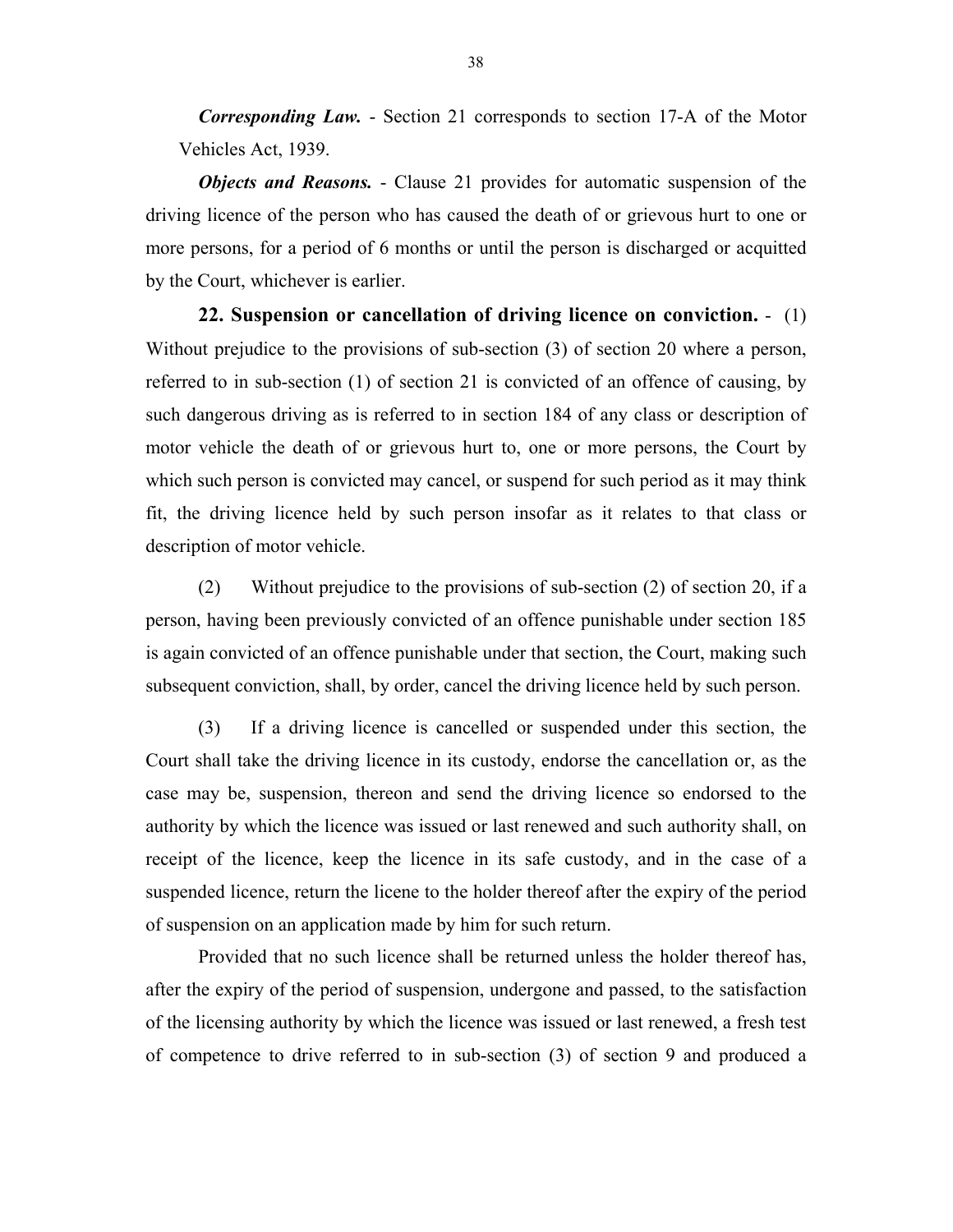*Corresponding Law.* - Section 21 corresponds to section 17-A of the Motor Vehicles Act, 1939.

*Objects and Reasons.* - Clause 21 provides for automatic suspension of the driving licence of the person who has caused the death of or grievous hurt to one or more persons, for a period of 6 months or until the person is discharged or acquitted by the Court, whichever is earlier.

**22. Suspension or cancellation of driving licence on conviction.** - (1) Without prejudice to the provisions of sub-section (3) of section 20 where a person, referred to in sub-section (1) of section 21 is convicted of an offence of causing, by such dangerous driving as is referred to in section 184 of any class or description of motor vehicle the death of or grievous hurt to, one or more persons, the Court by which such person is convicted may cancel, or suspend for such period as it may think fit, the driving licence held by such person insofar as it relates to that class or description of motor vehicle.

(2) Without prejudice to the provisions of sub-section (2) of section 20, if a person, having been previously convicted of an offence punishable under section 185 is again convicted of an offence punishable under that section, the Court, making such subsequent conviction, shall, by order, cancel the driving licence held by such person.

(3) If a driving licence is cancelled or suspended under this section, the Court shall take the driving licence in its custody, endorse the cancellation or, as the case may be, suspension, thereon and send the driving licence so endorsed to the authority by which the licence was issued or last renewed and such authority shall, on receipt of the licence, keep the licence in its safe custody, and in the case of a suspended licence, return the licene to the holder thereof after the expiry of the period of suspension on an application made by him for such return.

Provided that no such licence shall be returned unless the holder thereof has, after the expiry of the period of suspension, undergone and passed, to the satisfaction of the licensing authority by which the licence was issued or last renewed, a fresh test of competence to drive referred to in sub-section (3) of section 9 and produced a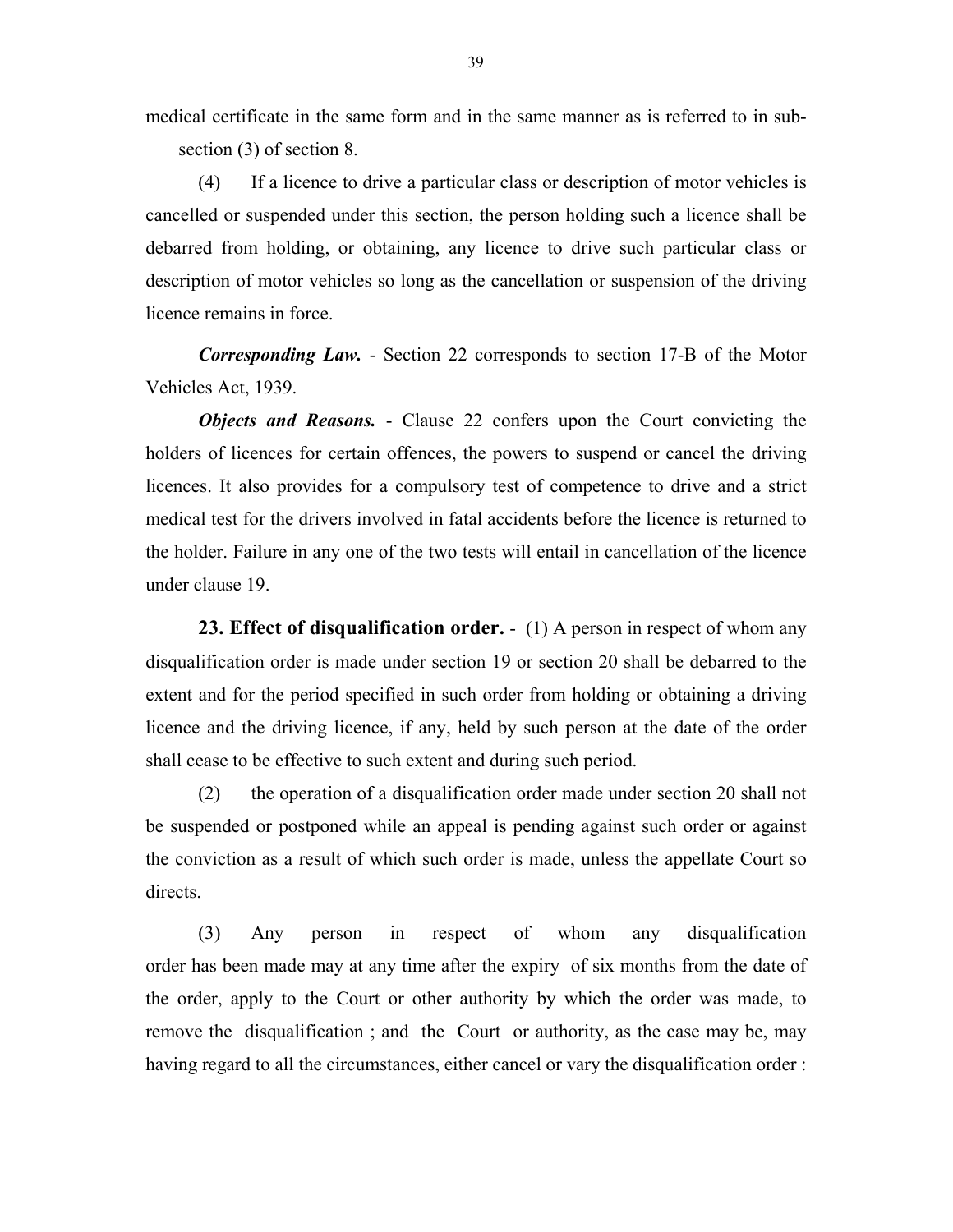medical certificate in the same form and in the same manner as is referred to in subsection (3) of section 8.

(4) If a licence to drive a particular class or description of motor vehicles is cancelled or suspended under this section, the person holding such a licence shall be debarred from holding, or obtaining, any licence to drive such particular class or description of motor vehicles so long as the cancellation or suspension of the driving licence remains in force.

*Corresponding Law.* - Section 22 corresponds to section 17-B of the Motor Vehicles Act, 1939.

*Objects and Reasons.* - Clause 22 confers upon the Court convicting the holders of licences for certain offences, the powers to suspend or cancel the driving licences. It also provides for a compulsory test of competence to drive and a strict medical test for the drivers involved in fatal accidents before the licence is returned to the holder. Failure in any one of the two tests will entail in cancellation of the licence under clause 19.

**23. Effect of disqualification order.** - (1) A person in respect of whom any disqualification order is made under section 19 or section 20 shall be debarred to the extent and for the period specified in such order from holding or obtaining a driving licence and the driving licence, if any, held by such person at the date of the order shall cease to be effective to such extent and during such period.

(2) the operation of a disqualification order made under section 20 shall not be suspended or postponed while an appeal is pending against such order or against the conviction as a result of which such order is made, unless the appellate Court so directs.

(3) Any person in respect of whom any disqualification order has been made may at any time after the expiry of six months from the date of the order, apply to the Court or other authority by which the order was made, to remove the disqualification ; and the Court or authority, as the case may be, may having regard to all the circumstances, either cancel or vary the disqualification order :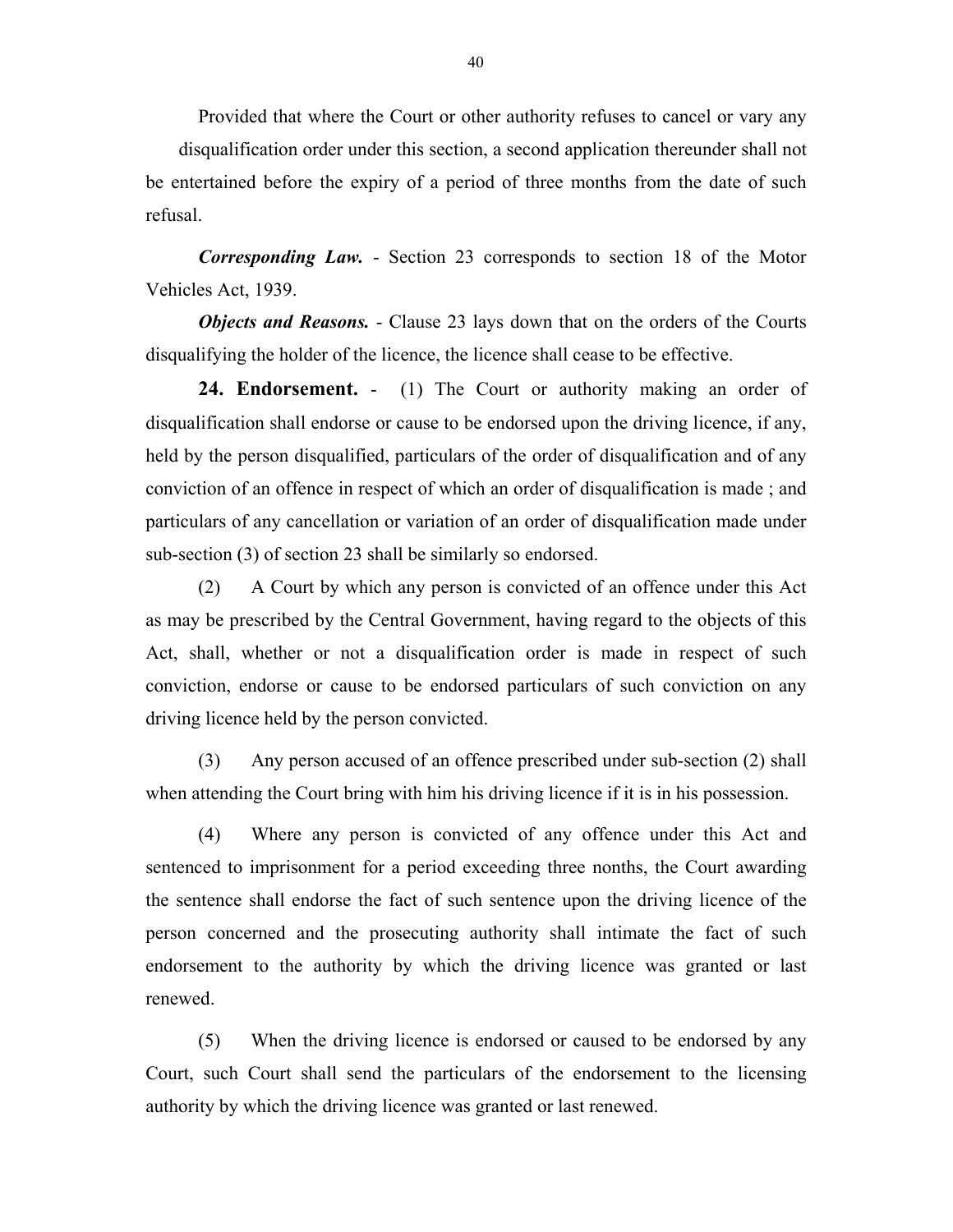Provided that where the Court or other authority refuses to cancel or vary any

disqualification order under this section, a second application thereunder shall not be entertained before the expiry of a period of three months from the date of such refusal.

*Corresponding Law.* - Section 23 corresponds to section 18 of the Motor Vehicles Act, 1939.

*Objects and Reasons.* - Clause 23 lays down that on the orders of the Courts disqualifying the holder of the licence, the licence shall cease to be effective.

24. Endorsement. - (1) The Court or authority making an order of disqualification shall endorse or cause to be endorsed upon the driving licence, if any, held by the person disqualified, particulars of the order of disqualification and of any conviction of an offence in respect of which an order of disqualification is made ; and particulars of any cancellation or variation of an order of disqualification made under sub-section (3) of section 23 shall be similarly so endorsed.

(2) A Court by which any person is convicted of an offence under this Act as may be prescribed by the Central Government, having regard to the objects of this Act, shall, whether or not a disqualification order is made in respect of such conviction, endorse or cause to be endorsed particulars of such conviction on any driving licence held by the person convicted.

(3) Any person accused of an offence prescribed under sub-section (2) shall when attending the Court bring with him his driving licence if it is in his possession.

(4) Where any person is convicted of any offence under this Act and sentenced to imprisonment for a period exceeding three nonths, the Court awarding the sentence shall endorse the fact of such sentence upon the driving licence of the person concerned and the prosecuting authority shall intimate the fact of such endorsement to the authority by which the driving licence was granted or last renewed.

(5) When the driving licence is endorsed or caused to be endorsed by any Court, such Court shall send the particulars of the endorsement to the licensing authority by which the driving licence was granted or last renewed.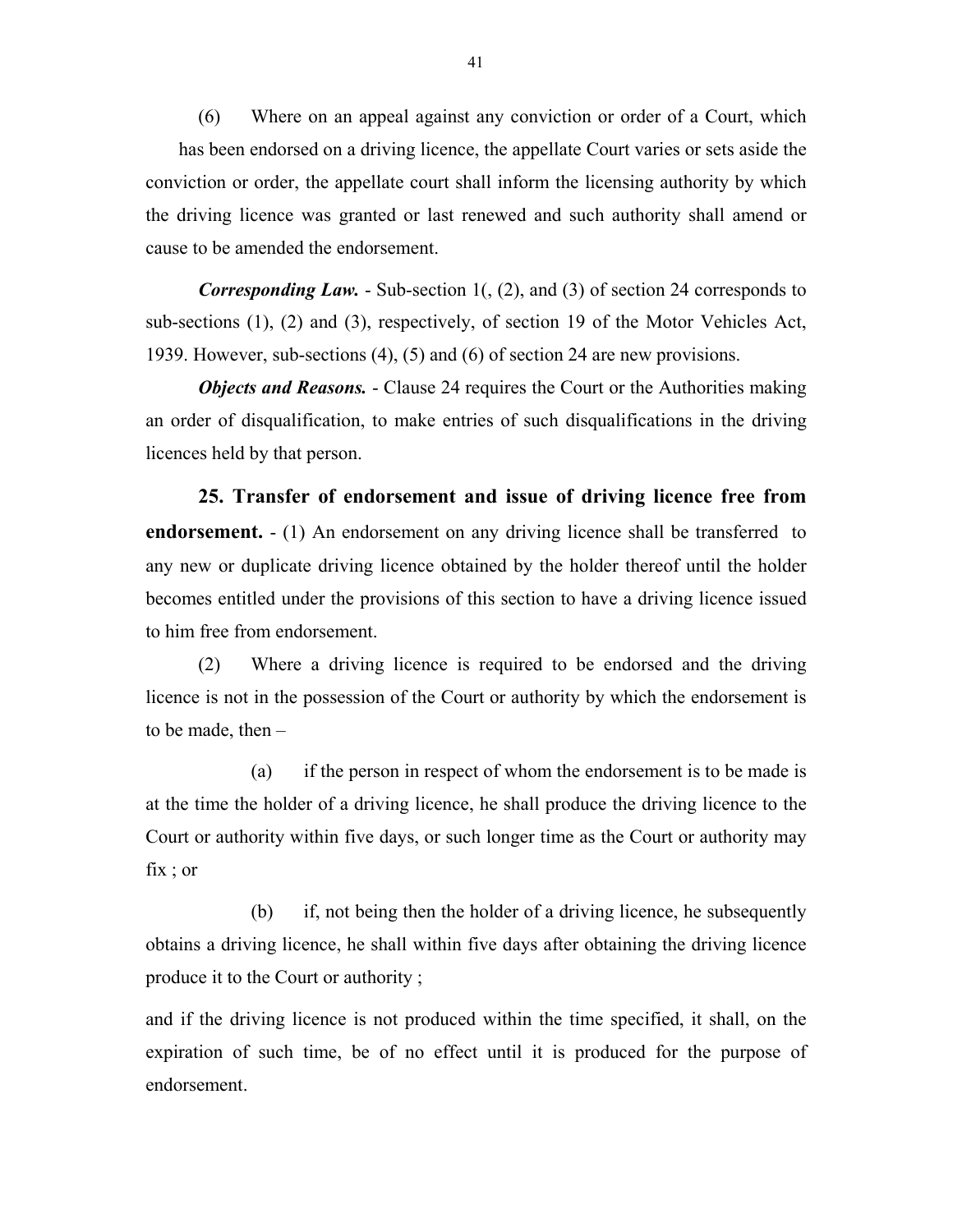(6) Where on an appeal against any conviction or order of a Court, which has been endorsed on a driving licence, the appellate Court varies or sets aside the conviction or order, the appellate court shall inform the licensing authority by which the driving licence was granted or last renewed and such authority shall amend or cause to be amended the endorsement.

*Corresponding Law.* - Sub-section 1(, (2), and (3) of section 24 corresponds to sub-sections (1), (2) and (3), respectively, of section 19 of the Motor Vehicles Act, 1939. However, sub-sections (4), (5) and (6) of section 24 are new provisions.

*Objects and Reasons.* - Clause 24 requires the Court or the Authorities making an order of disqualification, to make entries of such disqualifications in the driving licences held by that person.

**25. Transfer of endorsement and issue of driving licence free from endorsement.** - (1) An endorsement on any driving licence shall be transferred to any new or duplicate driving licence obtained by the holder thereof until the holder becomes entitled under the provisions of this section to have a driving licence issued to him free from endorsement.

(2) Where a driving licence is required to be endorsed and the driving licence is not in the possession of the Court or authority by which the endorsement is to be made, then –

(a) if the person in respect of whom the endorsement is to be made is at the time the holder of a driving licence, he shall produce the driving licence to the Court or authority within five days, or such longer time as the Court or authority may fix ; or

(b) if, not being then the holder of a driving licence, he subsequently obtains a driving licence, he shall within five days after obtaining the driving licence produce it to the Court or authority ;

and if the driving licence is not produced within the time specified, it shall, on the expiration of such time, be of no effect until it is produced for the purpose of endorsement.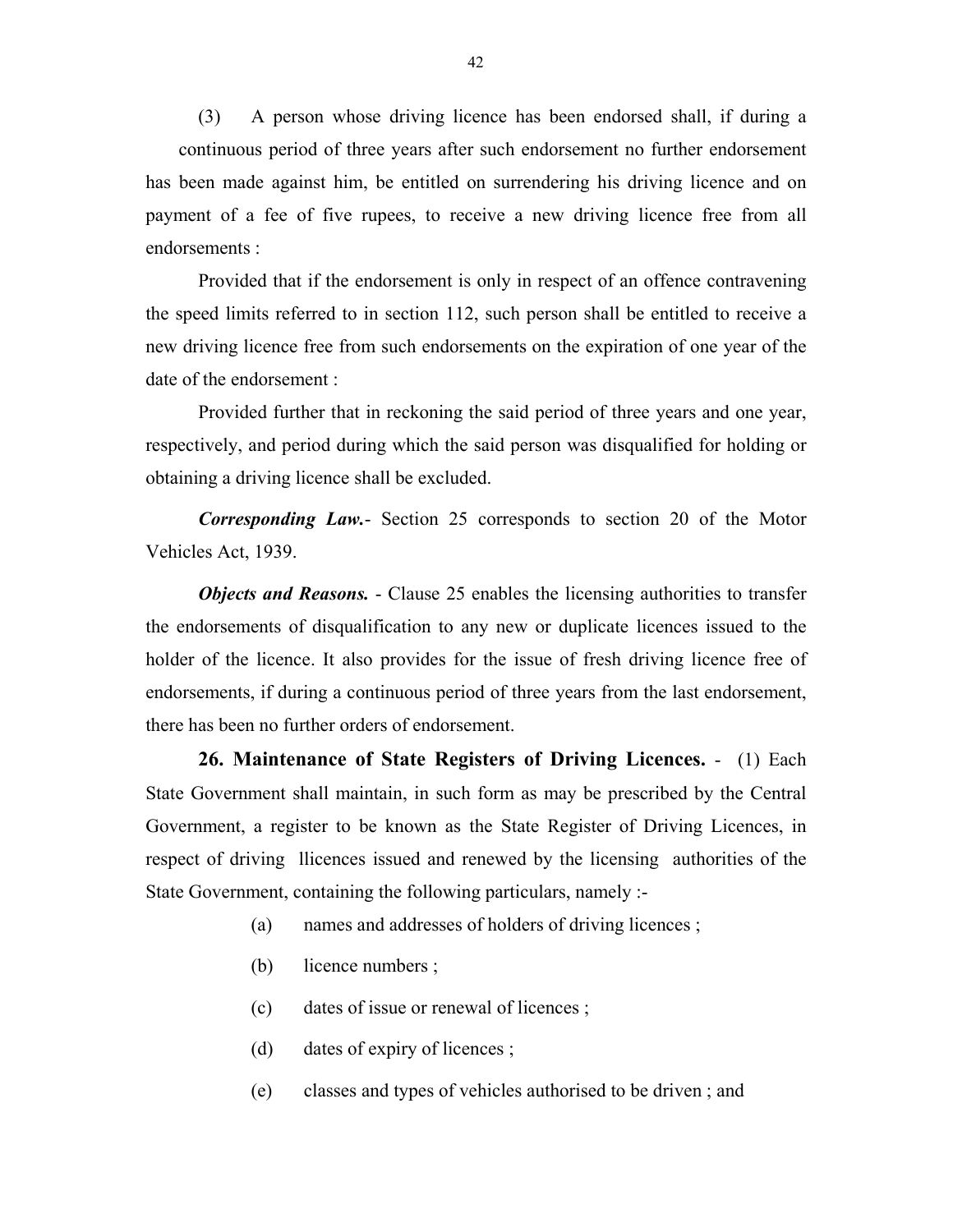(3) A person whose driving licence has been endorsed shall, if during a continuous period of three years after such endorsement no further endorsement has been made against him, be entitled on surrendering his driving licence and on payment of a fee of five rupees, to receive a new driving licence free from all endorsements :

Provided that if the endorsement is only in respect of an offence contravening the speed limits referred to in section 112, such person shall be entitled to receive a new driving licence free from such endorsements on the expiration of one year of the date of the endorsement :

Provided further that in reckoning the said period of three years and one year, respectively, and period during which the said person was disqualified for holding or obtaining a driving licence shall be excluded.

*Corresponding Law.*- Section 25 corresponds to section 20 of the Motor Vehicles Act, 1939.

*Objects and Reasons.* - Clause 25 enables the licensing authorities to transfer the endorsements of disqualification to any new or duplicate licences issued to the holder of the licence. It also provides for the issue of fresh driving licence free of endorsements, if during a continuous period of three years from the last endorsement, there has been no further orders of endorsement.

**26. Maintenance of State Registers of Driving Licences.** - (1) Each State Government shall maintain, in such form as may be prescribed by the Central Government, a register to be known as the State Register of Driving Licences, in respect of driving llicences issued and renewed by the licensing authorities of the State Government, containing the following particulars, namely :-

- (a) names and addresses of holders of driving licences ;
- (b) licence numbers ;
- (c) dates of issue or renewal of licences ;
- (d) dates of expiry of licences ;
- (e) classes and types of vehicles authorised to be driven ; and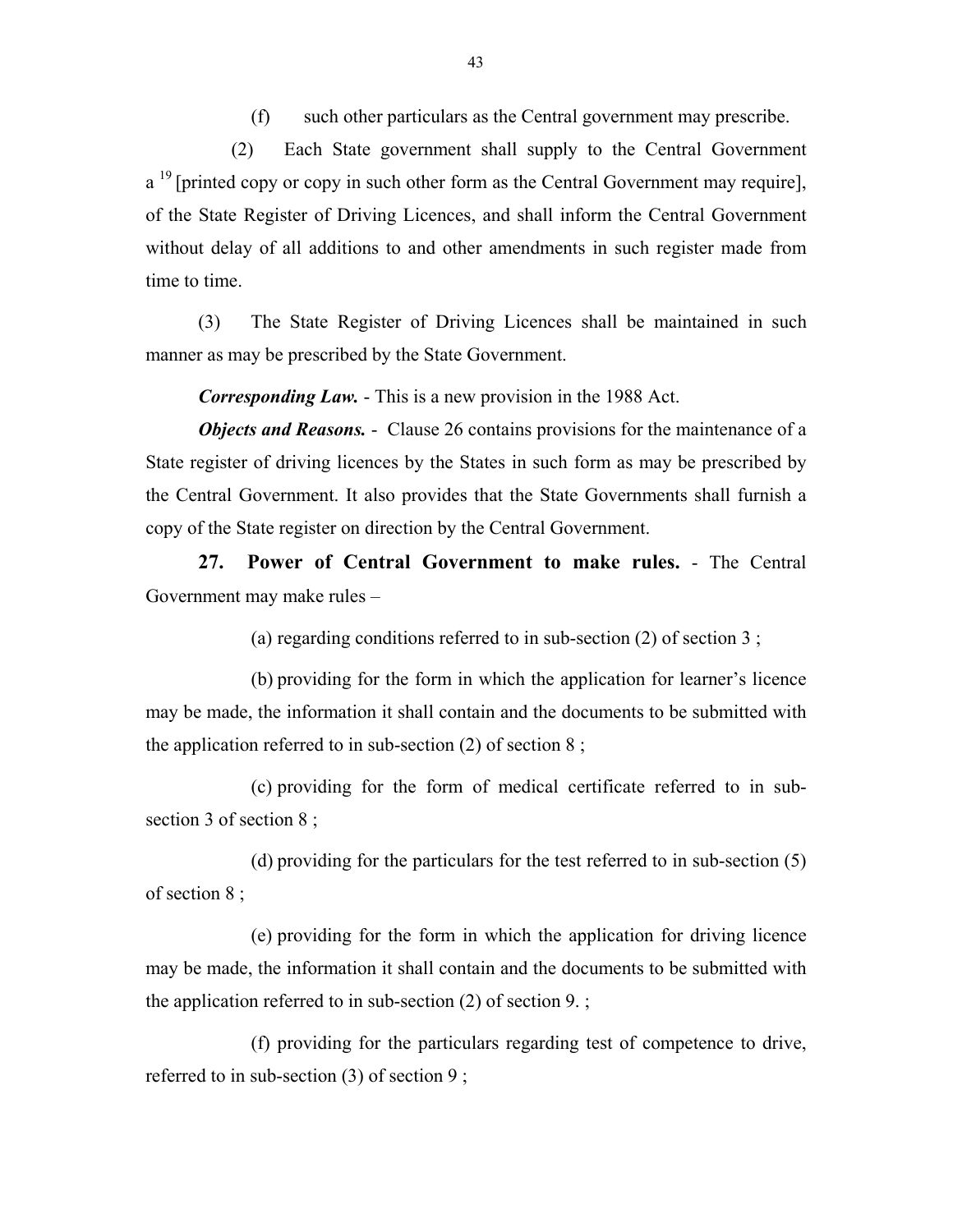(f) such other particulars as the Central government may prescribe.

(2) Each State government shall supply to the Central Government a<sup>19</sup> [printed copy or copy in such other form as the Central Government may require], of the State Register of Driving Licences, and shall inform the Central Government without delay of all additions to and other amendments in such register made from time to time.

(3) The State Register of Driving Licences shall be maintained in such manner as may be prescribed by the State Government.

*Corresponding Law.* - This is a new provision in the 1988 Act.

*Objects and Reasons.* - Clause 26 contains provisions for the maintenance of a State register of driving licences by the States in such form as may be prescribed by the Central Government. It also provides that the State Governments shall furnish a copy of the State register on direction by the Central Government.

**27. Power of Central Government to make rules.** - The Central Government may make rules –

(a) regarding conditions referred to in sub-section (2) of section 3 ;

(b) providing for the form in which the application for learner's licence may be made, the information it shall contain and the documents to be submitted with the application referred to in sub-section (2) of section 8 ;

(c) providing for the form of medical certificate referred to in subsection 3 of section 8 ;

(d) providing for the particulars for the test referred to in sub-section (5) of section 8 ;

(e) providing for the form in which the application for driving licence may be made, the information it shall contain and the documents to be submitted with the application referred to in sub-section (2) of section 9. ;

(f) providing for the particulars regarding test of competence to drive, referred to in sub-section (3) of section 9 ;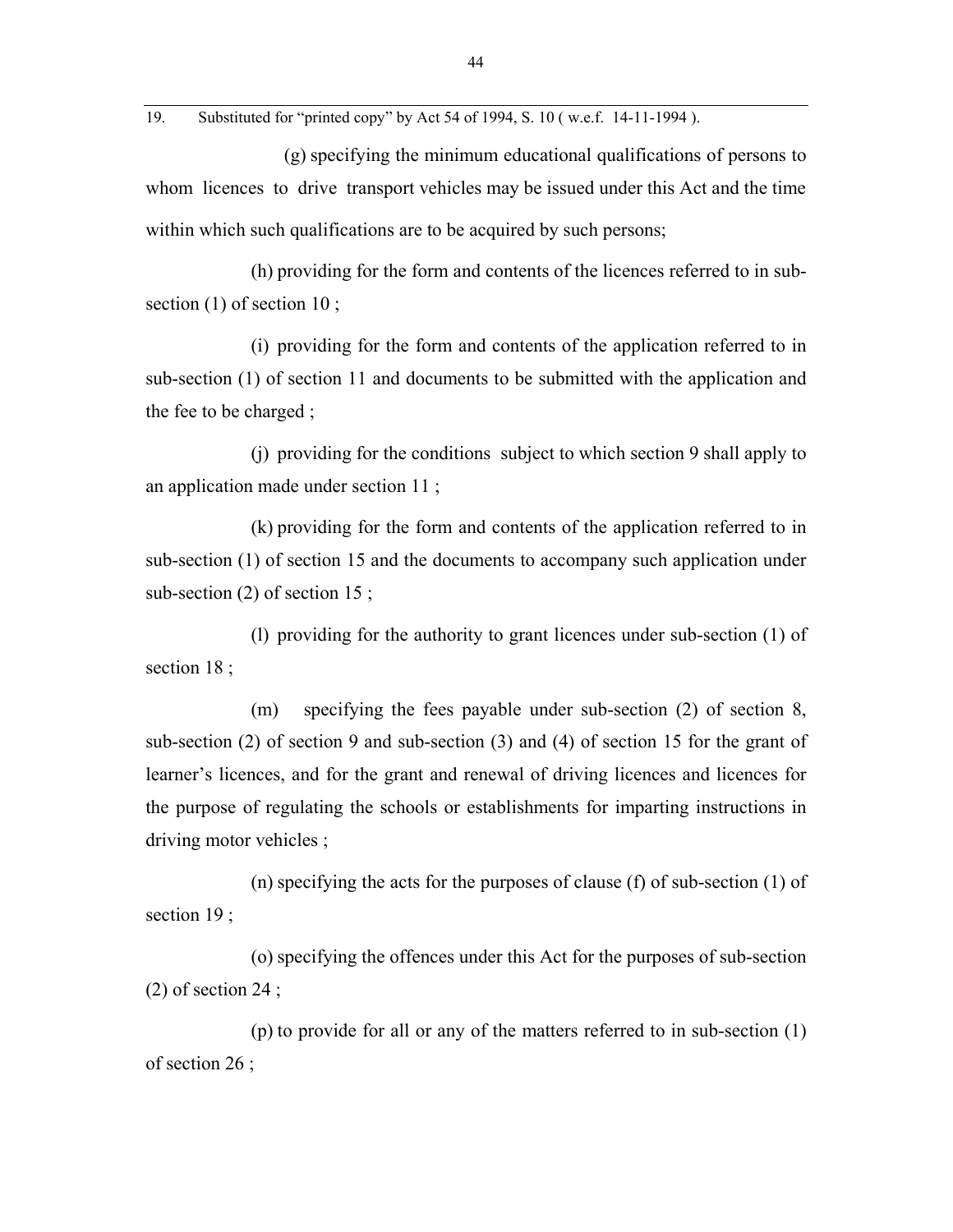19. Substituted for "printed copy" by Act 54 of 1994, S. 10 ( w.e.f. 14-11-1994 ).

(g) specifying the minimum educational qualifications of persons to whom licences to drive transport vehicles may be issued under this Act and the time within which such qualifications are to be acquired by such persons;

(h) providing for the form and contents of the licences referred to in subsection (1) of section 10;

(i) providing for the form and contents of the application referred to in sub-section (1) of section 11 and documents to be submitted with the application and the fee to be charged ;

(j) providing for the conditions subject to which section 9 shall apply to an application made under section 11 ;

(k) providing for the form and contents of the application referred to in sub-section (1) of section 15 and the documents to accompany such application under sub-section (2) of section 15;

(l) providing for the authority to grant licences under sub-section (1) of section 18 ;

(m) specifying the fees payable under sub-section (2) of section 8, sub-section (2) of section 9 and sub-section (3) and (4) of section 15 for the grant of learner's licences, and for the grant and renewal of driving licences and licences for the purpose of regulating the schools or establishments for imparting instructions in driving motor vehicles ;

(n) specifying the acts for the purposes of clause (f) of sub-section (1) of section 19;

(o) specifying the offences under this Act for the purposes of sub-section (2) of section  $24$ ;

(p) to provide for all or any of the matters referred to in sub-section (1) of section 26 ;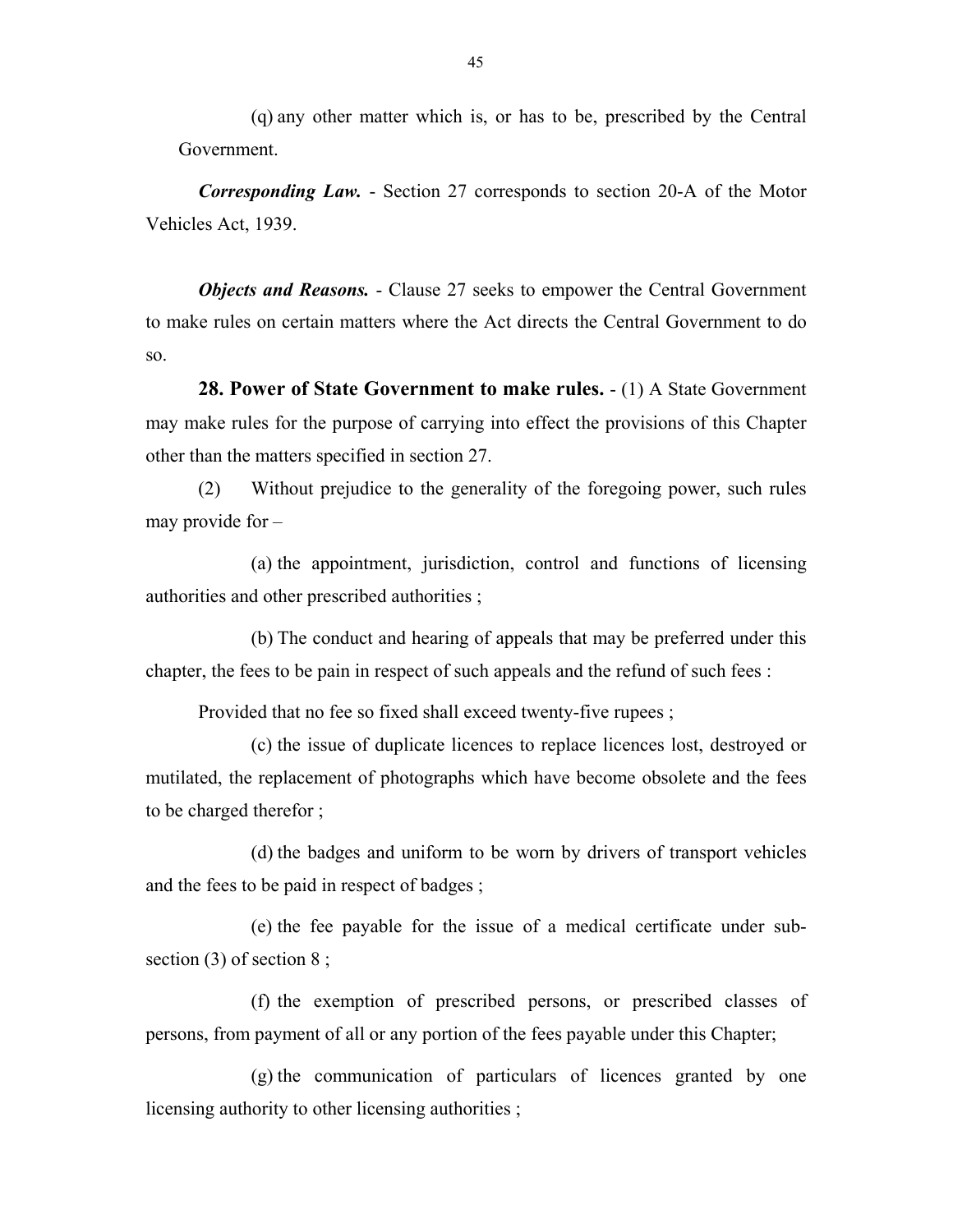(q) any other matter which is, or has to be, prescribed by the Central Government.

*Corresponding Law.* - Section 27 corresponds to section 20-A of the Motor Vehicles Act, 1939.

*Objects and Reasons.* - Clause 27 seeks to empower the Central Government to make rules on certain matters where the Act directs the Central Government to do so.

**28. Power of State Government to make rules.** - (1) A State Government may make rules for the purpose of carrying into effect the provisions of this Chapter other than the matters specified in section 27.

(2) Without prejudice to the generality of the foregoing power, such rules may provide for –

(a) the appointment, jurisdiction, control and functions of licensing authorities and other prescribed authorities ;

(b) The conduct and hearing of appeals that may be preferred under this chapter, the fees to be pain in respect of such appeals and the refund of such fees :

Provided that no fee so fixed shall exceed twenty-five rupees ;

(c) the issue of duplicate licences to replace licences lost, destroyed or mutilated, the replacement of photographs which have become obsolete and the fees to be charged therefor ;

(d) the badges and uniform to be worn by drivers of transport vehicles and the fees to be paid in respect of badges ;

(e) the fee payable for the issue of a medical certificate under subsection (3) of section 8;

(f) the exemption of prescribed persons, or prescribed classes of persons, from payment of all or any portion of the fees payable under this Chapter;

(g) the communication of particulars of licences granted by one licensing authority to other licensing authorities ;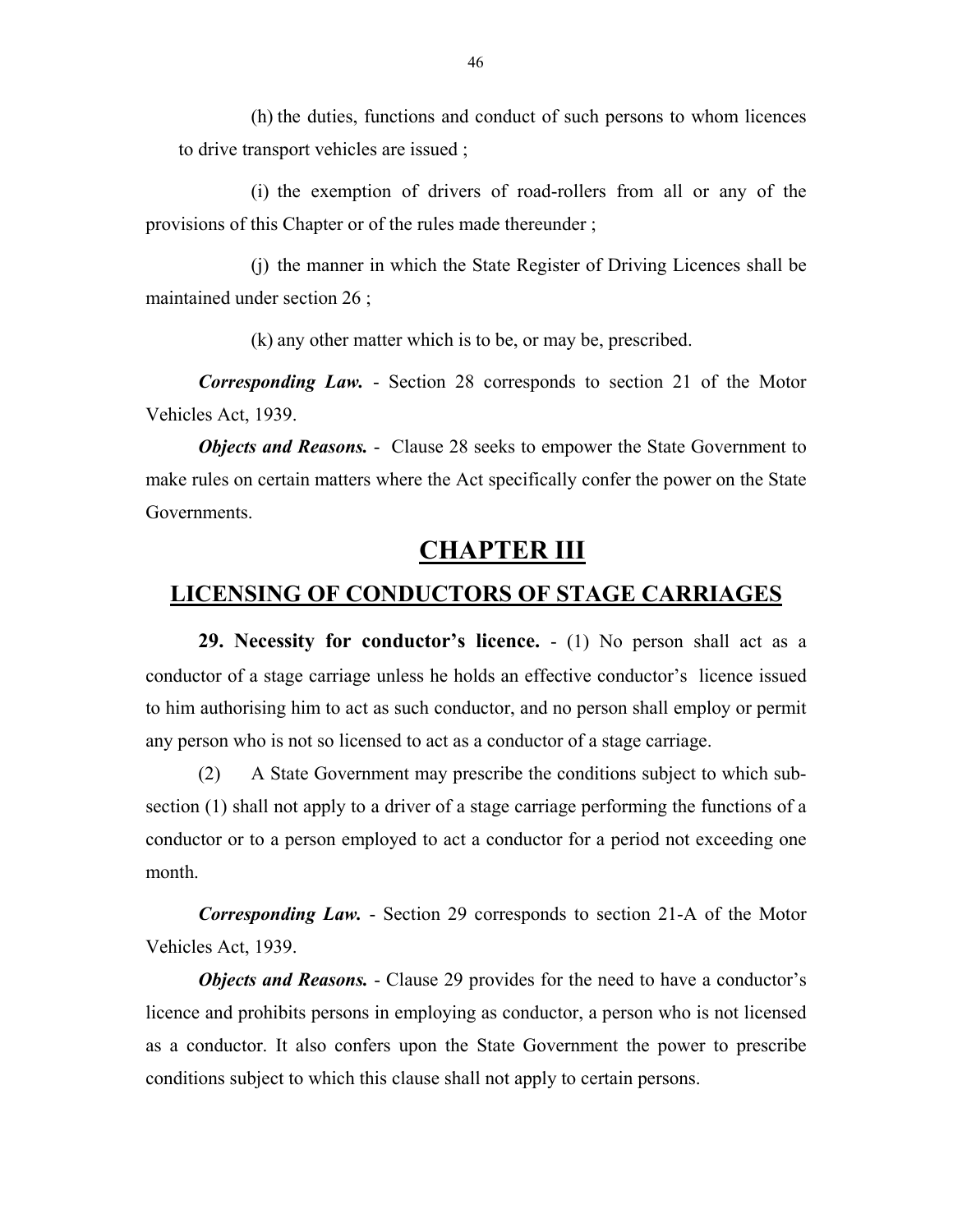(h) the duties, functions and conduct of such persons to whom licences to drive transport vehicles are issued ;

(i) the exemption of drivers of road-rollers from all or any of the provisions of this Chapter or of the rules made thereunder ;

(j) the manner in which the State Register of Driving Licences shall be maintained under section 26 ;

(k) any other matter which is to be, or may be, prescribed.

*Corresponding Law.* - Section 28 corresponds to section 21 of the Motor Vehicles Act, 1939.

*Objects and Reasons.* - Clause 28 seeks to empower the State Government to make rules on certain matters where the Act specifically confer the power on the State Governments.

## **CHAPTER III**

## **LICENSING OF CONDUCTORS OF STAGE CARRIAGES**

**29. Necessity for conductor's licence.** - (1) No person shall act as a conductor of a stage carriage unless he holds an effective conductor's licence issued to him authorising him to act as such conductor, and no person shall employ or permit any person who is not so licensed to act as a conductor of a stage carriage.

(2) A State Government may prescribe the conditions subject to which subsection (1) shall not apply to a driver of a stage carriage performing the functions of a conductor or to a person employed to act a conductor for a period not exceeding one month.

*Corresponding Law.* - Section 29 corresponds to section 21-A of the Motor Vehicles Act, 1939.

*Objects and Reasons.* - Clause 29 provides for the need to have a conductor's licence and prohibits persons in employing as conductor, a person who is not licensed as a conductor. It also confers upon the State Government the power to prescribe conditions subject to which this clause shall not apply to certain persons.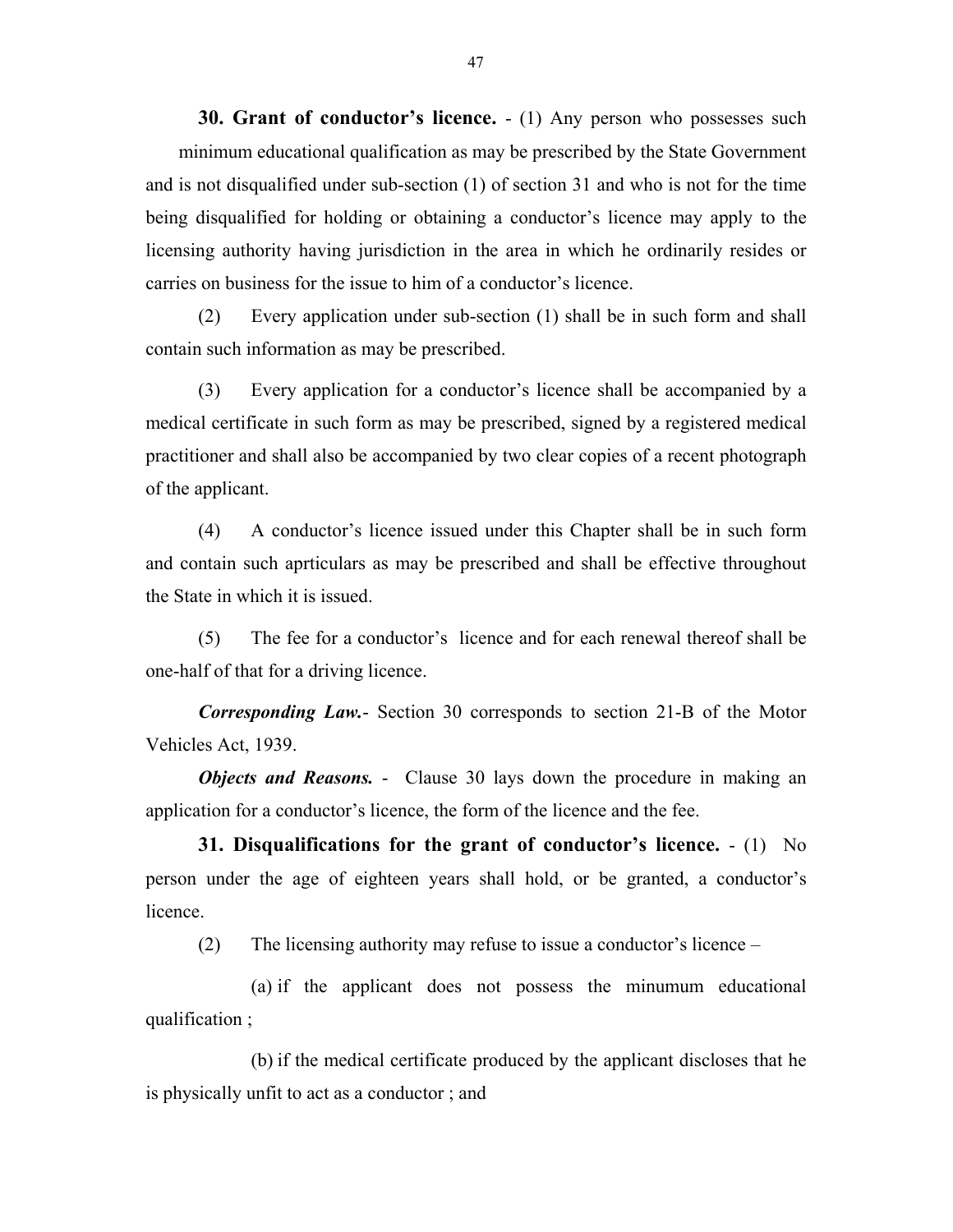**30. Grant of conductor's licence.**  $- (1)$  Any person who possesses such minimum educational qualification as may be prescribed by the State Government and is not disqualified under sub-section (1) of section 31 and who is not for the time being disqualified for holding or obtaining a conductor's licence may apply to the licensing authority having jurisdiction in the area in which he ordinarily resides or carries on business for the issue to him of a conductor's licence.

(2) Every application under sub-section (1) shall be in such form and shall contain such information as may be prescribed.

(3) Every application for a conductor's licence shall be accompanied by a medical certificate in such form as may be prescribed, signed by a registered medical practitioner and shall also be accompanied by two clear copies of a recent photograph of the applicant.

(4) A conductor's licence issued under this Chapter shall be in such form and contain such aprticulars as may be prescribed and shall be effective throughout the State in which it is issued.

(5) The fee for a conductor's licence and for each renewal thereof shall be one-half of that for a driving licence.

*Corresponding Law.*- Section 30 corresponds to section 21-B of the Motor Vehicles Act, 1939.

*Objects and Reasons.* - Clause 30 lays down the procedure in making an application for a conductor's licence, the form of the licence and the fee.

**31. Disqualifications for the grant of conductor's licence.** - (1) No person under the age of eighteen years shall hold, or be granted, a conductor's licence.

(2) The licensing authority may refuse to issue a conductor's licence –

(a) if the applicant does not possess the minumum educational qualification ;

(b) if the medical certificate produced by the applicant discloses that he is physically unfit to act as a conductor ; and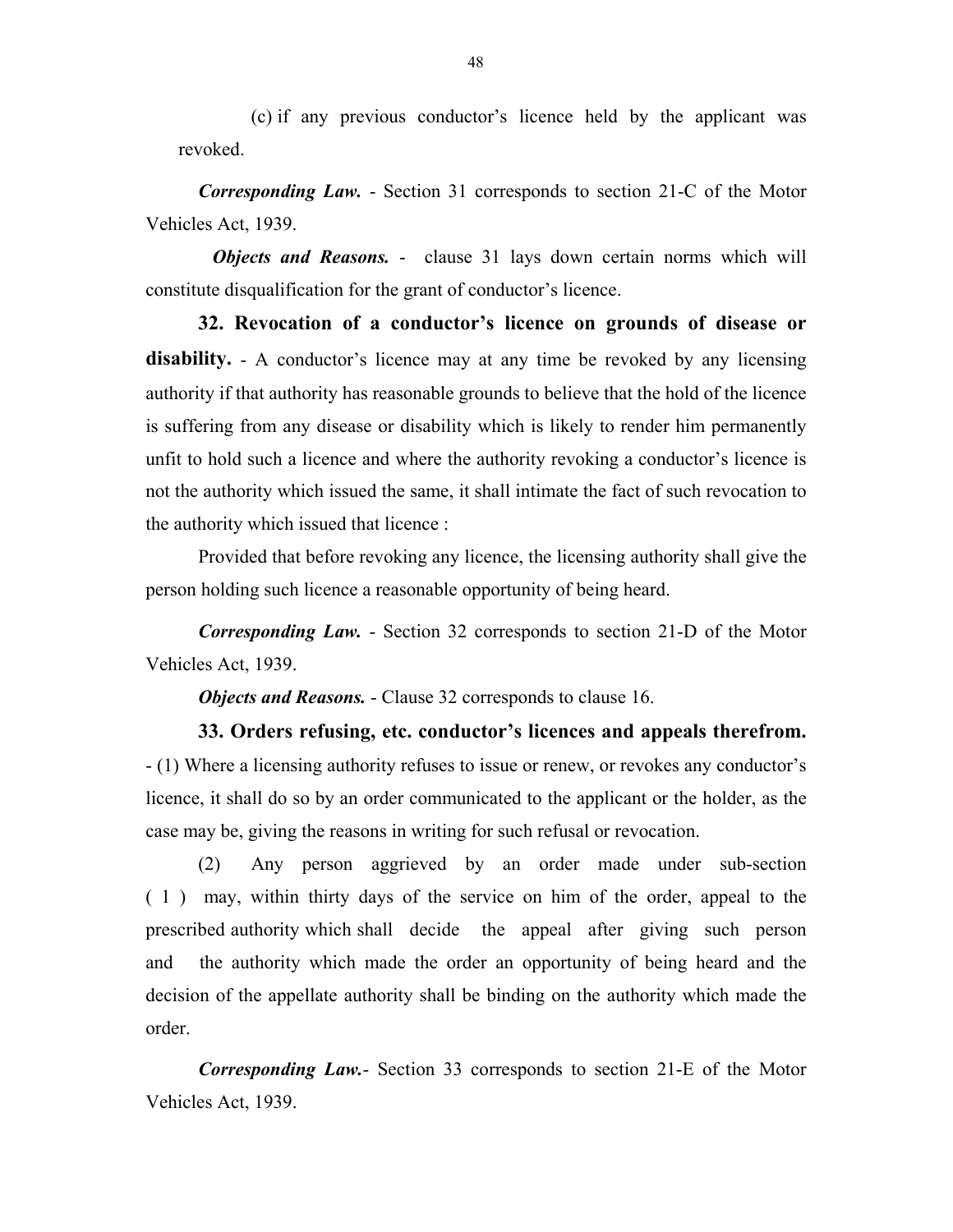(c) if any previous conductor's licence held by the applicant was revoked.

*Corresponding Law.* - Section 31 corresponds to section 21-C of the Motor Vehicles Act, 1939.

*Objects and Reasons.* - clause 31 lays down certain norms which will constitute disqualification for the grant of conductor's licence.

**32. Revocation of a conductor's licence on grounds of disease or**  disability. - A conductor's licence may at any time be revoked by any licensing authority if that authority has reasonable grounds to believe that the hold of the licence is suffering from any disease or disability which is likely to render him permanently unfit to hold such a licence and where the authority revoking a conductor's licence is not the authority which issued the same, it shall intimate the fact of such revocation to the authority which issued that licence :

Provided that before revoking any licence, the licensing authority shall give the person holding such licence a reasonable opportunity of being heard.

*Corresponding Law.* - Section 32 corresponds to section 21-D of the Motor Vehicles Act, 1939.

*Objects and Reasons.* - Clause 32 corresponds to clause 16.

**33. Orders refusing, etc. conductor's licences and appeals therefrom.**  - (1) Where a licensing authority refuses to issue or renew, or revokes any conductor's licence, it shall do so by an order communicated to the applicant or the holder, as the case may be, giving the reasons in writing for such refusal or revocation.

(2) Any person aggrieved by an order made under sub-section ( 1 ) may, within thirty days of the service on him of the order, appeal to the prescribed authority which shall decide the appeal after giving such person and the authority which made the order an opportunity of being heard and the decision of the appellate authority shall be binding on the authority which made the order.

*Corresponding Law.*- Section 33 corresponds to section 21-E of the Motor Vehicles Act, 1939.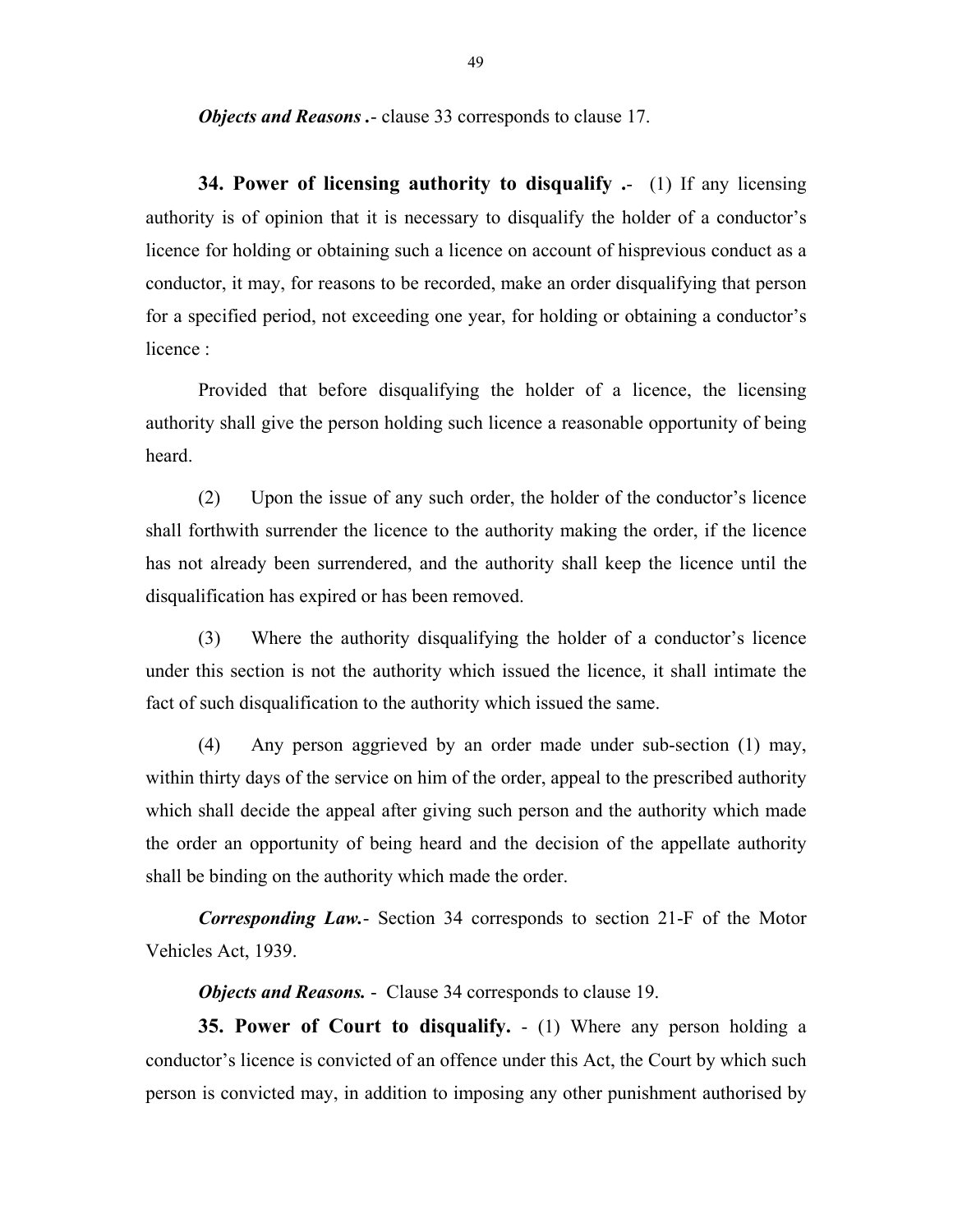*Objects and Reasons .*- clause 33 corresponds to clause 17.

**34. Power of licensing authority to disqualify .-** (1) If any licensing authority is of opinion that it is necessary to disqualify the holder of a conductor's licence for holding or obtaining such a licence on account of hisprevious conduct as a conductor, it may, for reasons to be recorded, make an order disqualifying that person for a specified period, not exceeding one year, for holding or obtaining a conductor's licence :

Provided that before disqualifying the holder of a licence, the licensing authority shall give the person holding such licence a reasonable opportunity of being heard.

(2) Upon the issue of any such order, the holder of the conductor's licence shall forthwith surrender the licence to the authority making the order, if the licence has not already been surrendered, and the authority shall keep the licence until the disqualification has expired or has been removed.

(3) Where the authority disqualifying the holder of a conductor's licence under this section is not the authority which issued the licence, it shall intimate the fact of such disqualification to the authority which issued the same.

(4) Any person aggrieved by an order made under sub-section (1) may, within thirty days of the service on him of the order, appeal to the prescribed authority which shall decide the appeal after giving such person and the authority which made the order an opportunity of being heard and the decision of the appellate authority shall be binding on the authority which made the order.

*Corresponding Law.*- Section 34 corresponds to section 21-F of the Motor Vehicles Act, 1939.

*Objects and Reasons.* - Clause 34 corresponds to clause 19.

**35. Power of Court to disqualify.** - (1) Where any person holding a conductor's licence is convicted of an offence under this Act, the Court by which such person is convicted may, in addition to imposing any other punishment authorised by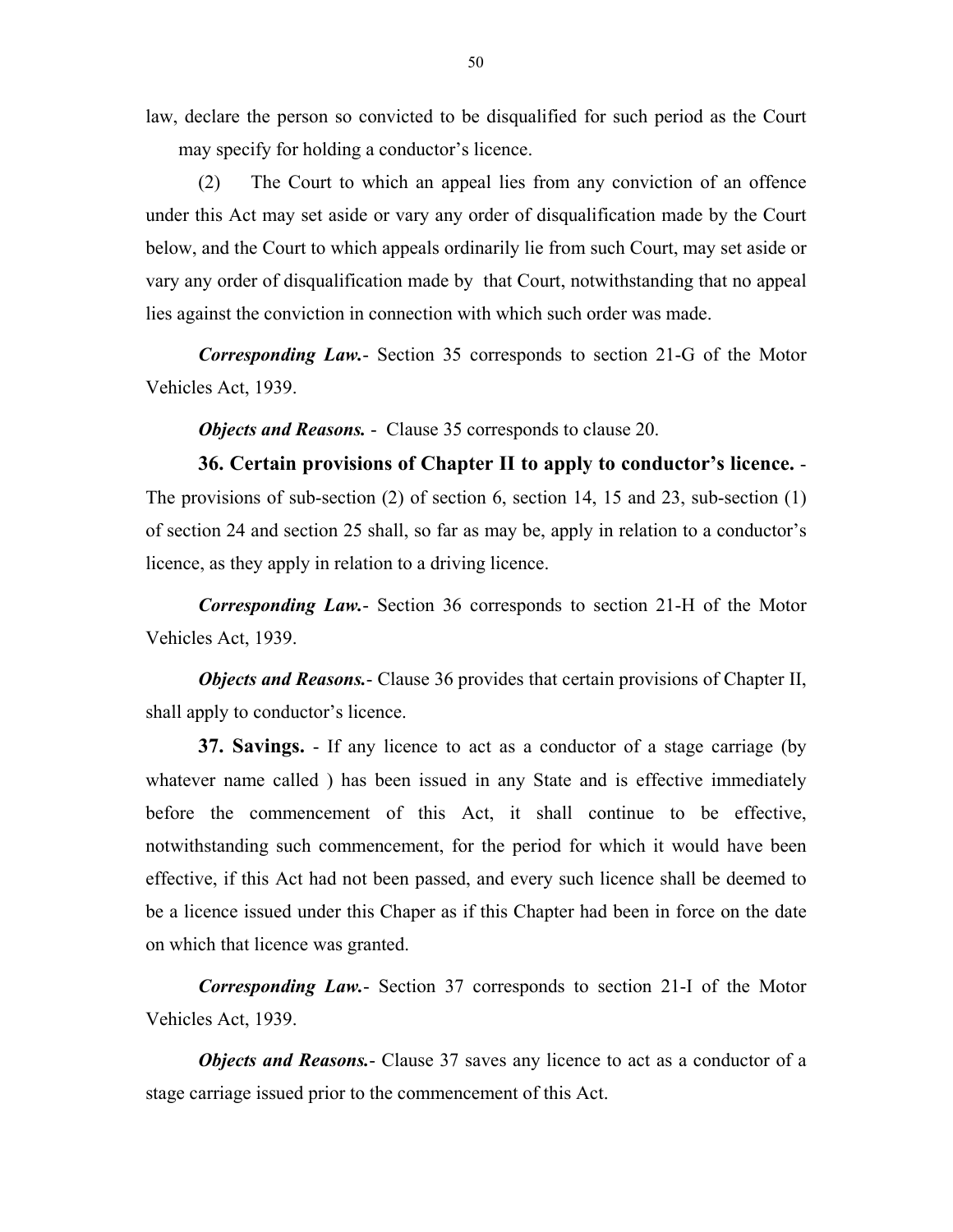law, declare the person so convicted to be disqualified for such period as the Court may specify for holding a conductor's licence.

(2) The Court to which an appeal lies from any conviction of an offence under this Act may set aside or vary any order of disqualification made by the Court below, and the Court to which appeals ordinarily lie from such Court, may set aside or vary any order of disqualification made by that Court, notwithstanding that no appeal lies against the conviction in connection with which such order was made.

*Corresponding Law.*- Section 35 corresponds to section 21-G of the Motor Vehicles Act, 1939.

*Objects and Reasons.* - Clause 35 corresponds to clause 20.

**36. Certain provisions of Chapter II to apply to conductor's licence.** - The provisions of sub-section (2) of section 6, section 14, 15 and 23, sub-section (1) of section 24 and section 25 shall, so far as may be, apply in relation to a conductor's licence, as they apply in relation to a driving licence.

*Corresponding Law.*- Section 36 corresponds to section 21-H of the Motor Vehicles Act, 1939.

*Objects and Reasons.*- Clause 36 provides that certain provisions of Chapter II, shall apply to conductor's licence.

**37. Savings.** - If any licence to act as a conductor of a stage carriage (by whatever name called ) has been issued in any State and is effective immediately before the commencement of this Act, it shall continue to be effective, notwithstanding such commencement, for the period for which it would have been effective, if this Act had not been passed, and every such licence shall be deemed to be a licence issued under this Chaper as if this Chapter had been in force on the date on which that licence was granted.

*Corresponding Law.*- Section 37 corresponds to section 21-I of the Motor Vehicles Act, 1939.

*Objects and Reasons.*- Clause 37 saves any licence to act as a conductor of a stage carriage issued prior to the commencement of this Act.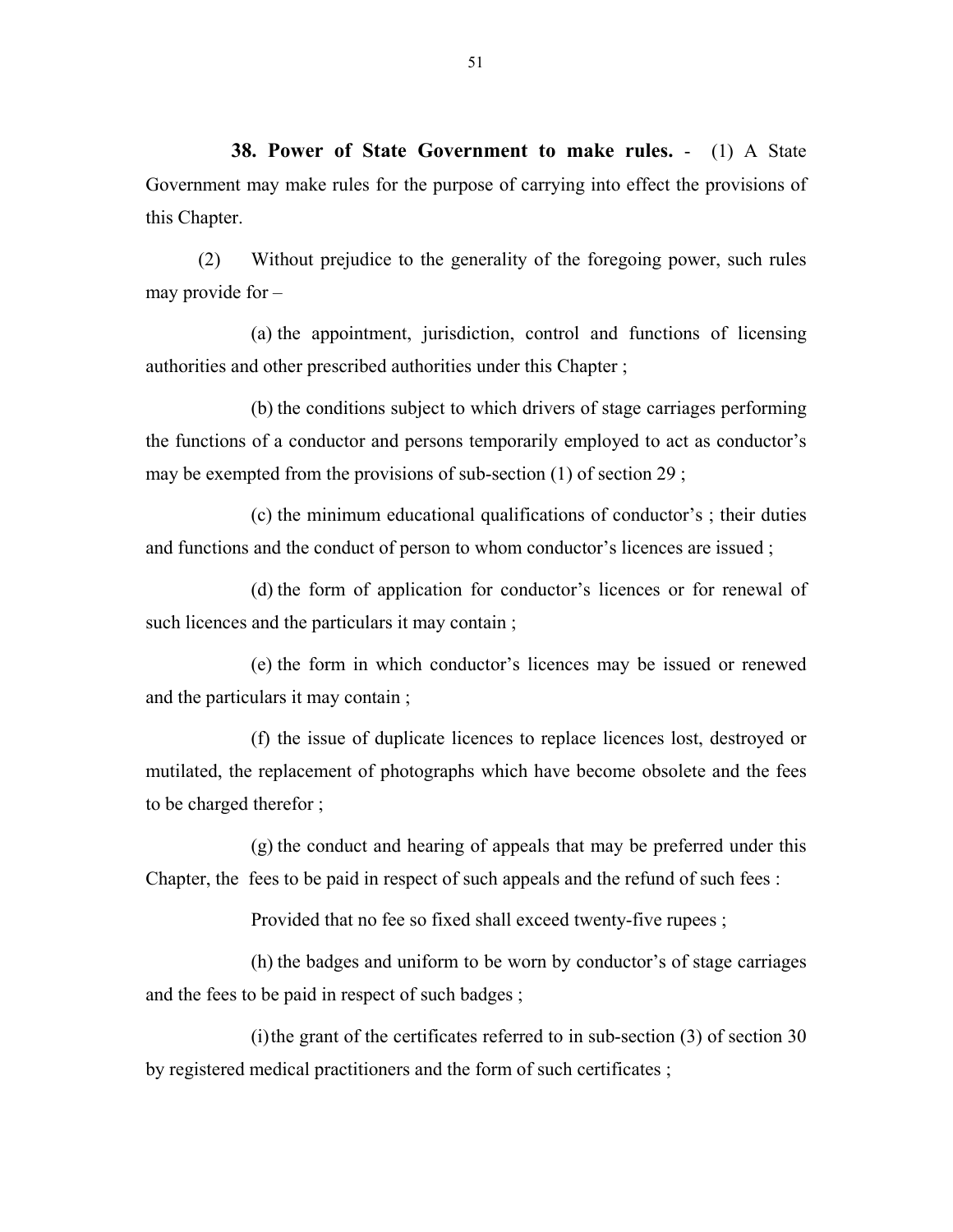**38. Power of State Government to make rules.** - (1) A State Government may make rules for the purpose of carrying into effect the provisions of this Chapter.

(2) Without prejudice to the generality of the foregoing power, such rules may provide for –

(a) the appointment, jurisdiction, control and functions of licensing authorities and other prescribed authorities under this Chapter ;

(b) the conditions subject to which drivers of stage carriages performing the functions of a conductor and persons temporarily employed to act as conductor's may be exempted from the provisions of sub-section (1) of section 29 ;

(c) the minimum educational qualifications of conductor's ; their duties and functions and the conduct of person to whom conductor's licences are issued ;

(d) the form of application for conductor's licences or for renewal of such licences and the particulars it may contain ;

(e) the form in which conductor's licences may be issued or renewed and the particulars it may contain ;

(f) the issue of duplicate licences to replace licences lost, destroyed or mutilated, the replacement of photographs which have become obsolete and the fees to be charged therefor ;

(g) the conduct and hearing of appeals that may be preferred under this Chapter, the fees to be paid in respect of such appeals and the refund of such fees :

Provided that no fee so fixed shall exceed twenty-five rupees ;

(h) the badges and uniform to be worn by conductor's of stage carriages and the fees to be paid in respect of such badges ;

 $(i)$  the grant of the certificates referred to in sub-section  $(3)$  of section 30 by registered medical practitioners and the form of such certificates ;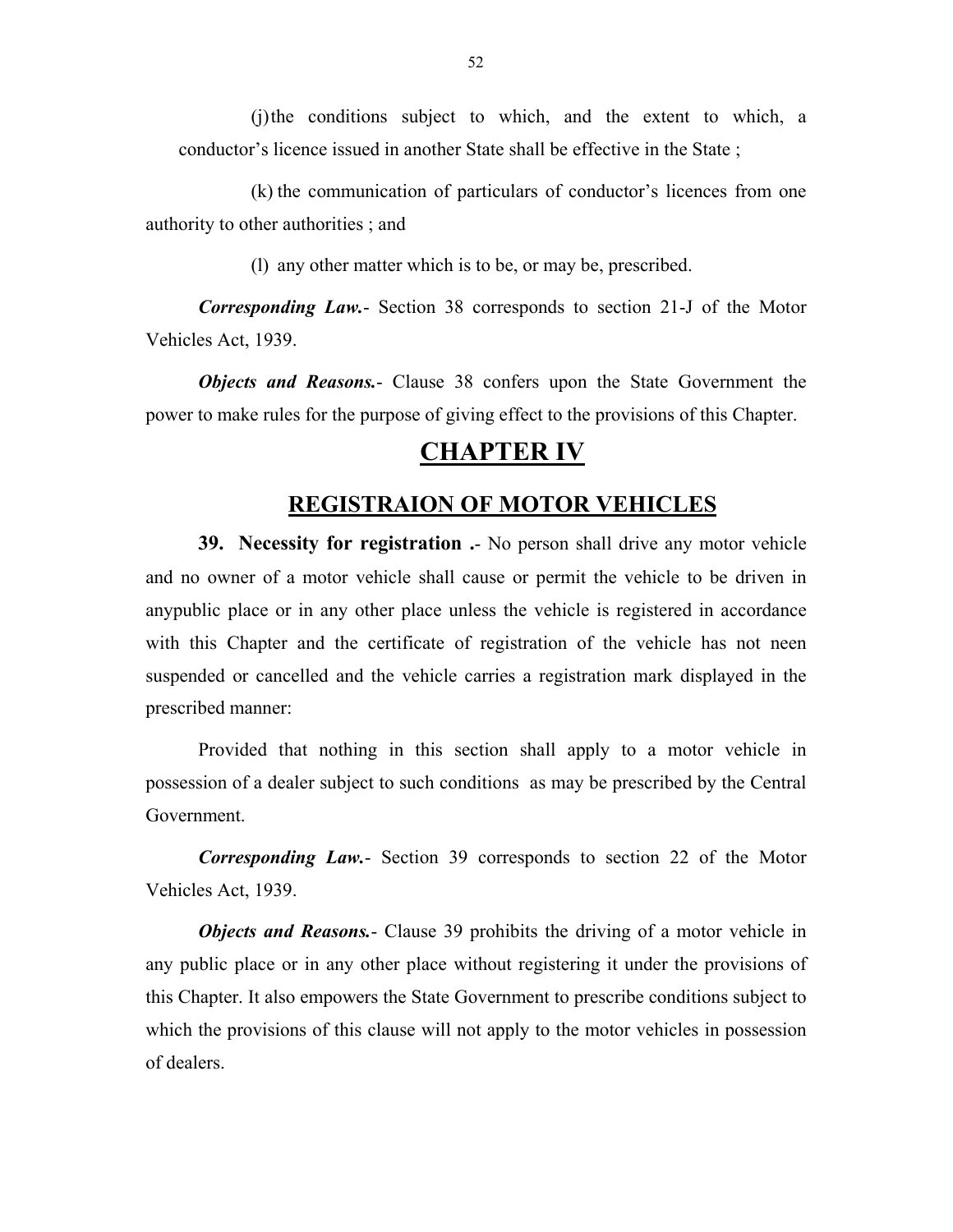(j) the conditions subject to which, and the extent to which, a conductor's licence issued in another State shall be effective in the State ;

(k) the communication of particulars of conductor's licences from one authority to other authorities ; and

(l) any other matter which is to be, or may be, prescribed.

*Corresponding Law.*- Section 38 corresponds to section 21-J of the Motor Vehicles Act, 1939.

*Objects and Reasons.*- Clause 38 confers upon the State Government the power to make rules for the purpose of giving effect to the provisions of this Chapter.

## **CHAPTER IV**

## **REGISTRAION OF MOTOR VEHICLES**

**39. Necessity for registration .-** No person shall drive any motor vehicle and no owner of a motor vehicle shall cause or permit the vehicle to be driven in anypublic place or in any other place unless the vehicle is registered in accordance with this Chapter and the certificate of registration of the vehicle has not neen suspended or cancelled and the vehicle carries a registration mark displayed in the prescribed manner:

Provided that nothing in this section shall apply to a motor vehicle in possession of a dealer subject to such conditions as may be prescribed by the Central Government.

*Corresponding Law.*- Section 39 corresponds to section 22 of the Motor Vehicles Act, 1939.

*Objects and Reasons.*- Clause 39 prohibits the driving of a motor vehicle in any public place or in any other place without registering it under the provisions of this Chapter. It also empowers the State Government to prescribe conditions subject to which the provisions of this clause will not apply to the motor vehicles in possession of dealers.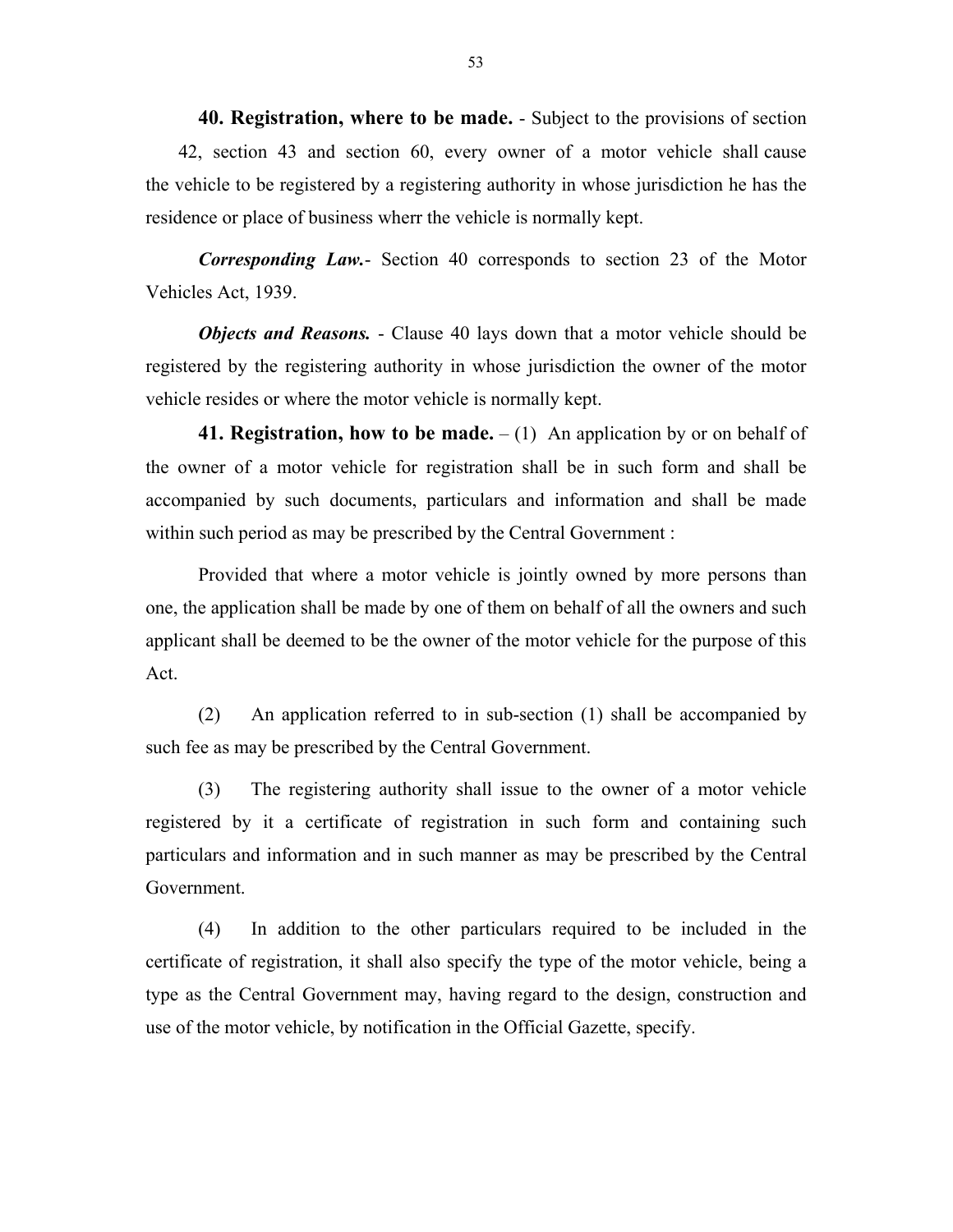**40. Registration, where to be made.** - Subject to the provisions of section 42, section 43 and section 60, every owner of a motor vehicle shall cause the vehicle to be registered by a registering authority in whose jurisdiction he has the residence or place of business wherr the vehicle is normally kept.

*Corresponding Law.*- Section 40 corresponds to section 23 of the Motor Vehicles Act, 1939.

*Objects and Reasons.* - Clause 40 lays down that a motor vehicle should be registered by the registering authority in whose jurisdiction the owner of the motor vehicle resides or where the motor vehicle is normally kept.

**41. Registration, how to be made.**  $- (1)$  An application by or on behalf of the owner of a motor vehicle for registration shall be in such form and shall be accompanied by such documents, particulars and information and shall be made within such period as may be prescribed by the Central Government :

Provided that where a motor vehicle is jointly owned by more persons than one, the application shall be made by one of them on behalf of all the owners and such applicant shall be deemed to be the owner of the motor vehicle for the purpose of this Act.

(2) An application referred to in sub-section (1) shall be accompanied by such fee as may be prescribed by the Central Government.

(3) The registering authority shall issue to the owner of a motor vehicle registered by it a certificate of registration in such form and containing such particulars and information and in such manner as may be prescribed by the Central Government.

(4) In addition to the other particulars required to be included in the certificate of registration, it shall also specify the type of the motor vehicle, being a type as the Central Government may, having regard to the design, construction and use of the motor vehicle, by notification in the Official Gazette, specify.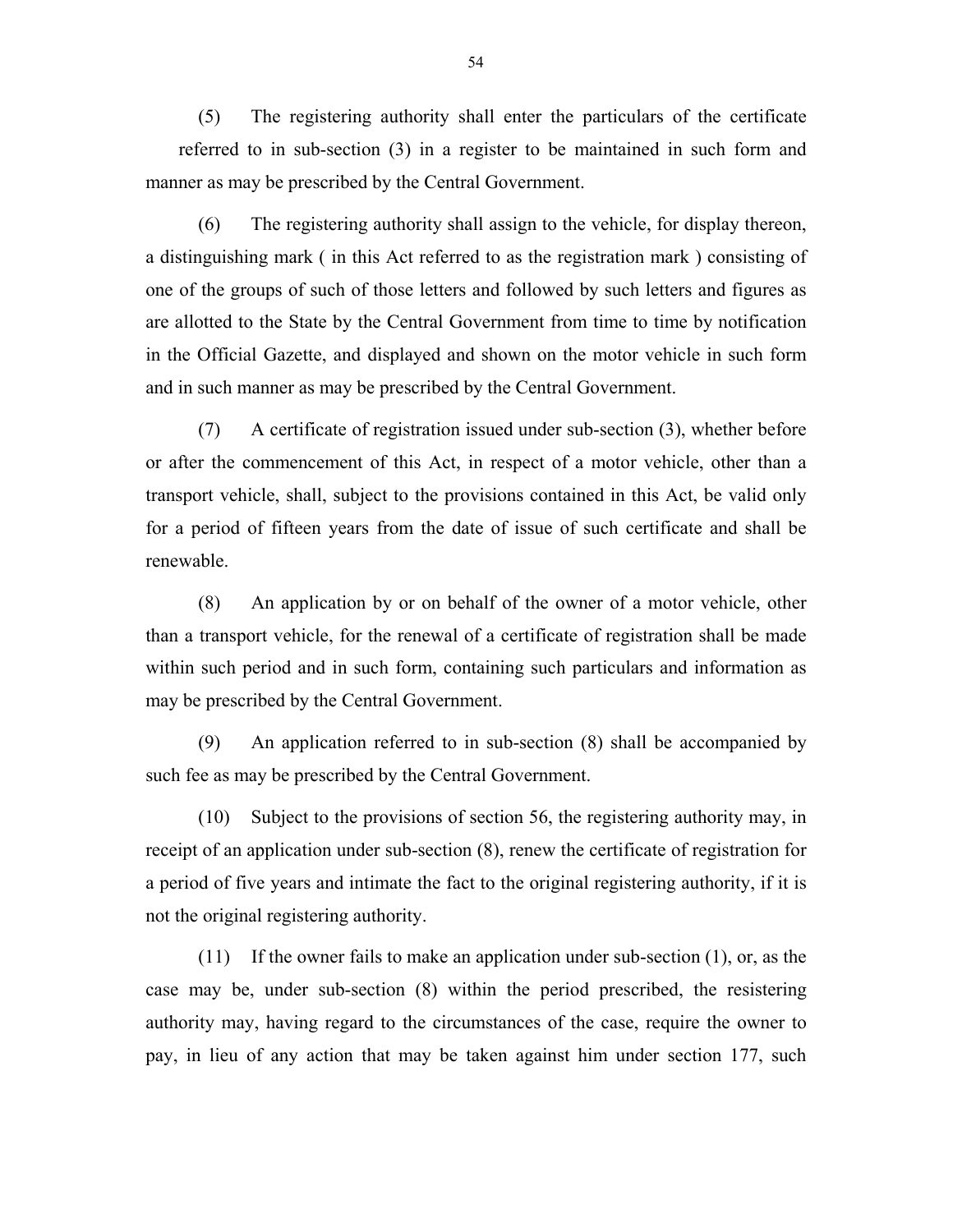(5) The registering authority shall enter the particulars of the certificate referred to in sub-section (3) in a register to be maintained in such form and manner as may be prescribed by the Central Government.

(6) The registering authority shall assign to the vehicle, for display thereon, a distinguishing mark ( in this Act referred to as the registration mark ) consisting of one of the groups of such of those letters and followed by such letters and figures as are allotted to the State by the Central Government from time to time by notification in the Official Gazette, and displayed and shown on the motor vehicle in such form and in such manner as may be prescribed by the Central Government.

(7) A certificate of registration issued under sub-section (3), whether before or after the commencement of this Act, in respect of a motor vehicle, other than a transport vehicle, shall, subject to the provisions contained in this Act, be valid only for a period of fifteen years from the date of issue of such certificate and shall be renewable.

(8) An application by or on behalf of the owner of a motor vehicle, other than a transport vehicle, for the renewal of a certificate of registration shall be made within such period and in such form, containing such particulars and information as may be prescribed by the Central Government.

(9) An application referred to in sub-section (8) shall be accompanied by such fee as may be prescribed by the Central Government.

(10) Subject to the provisions of section 56, the registering authority may, in receipt of an application under sub-section (8), renew the certificate of registration for a period of five years and intimate the fact to the original registering authority, if it is not the original registering authority.

(11) If the owner fails to make an application under sub-section (1), or, as the case may be, under sub-section (8) within the period prescribed, the resistering authority may, having regard to the circumstances of the case, require the owner to pay, in lieu of any action that may be taken against him under section 177, such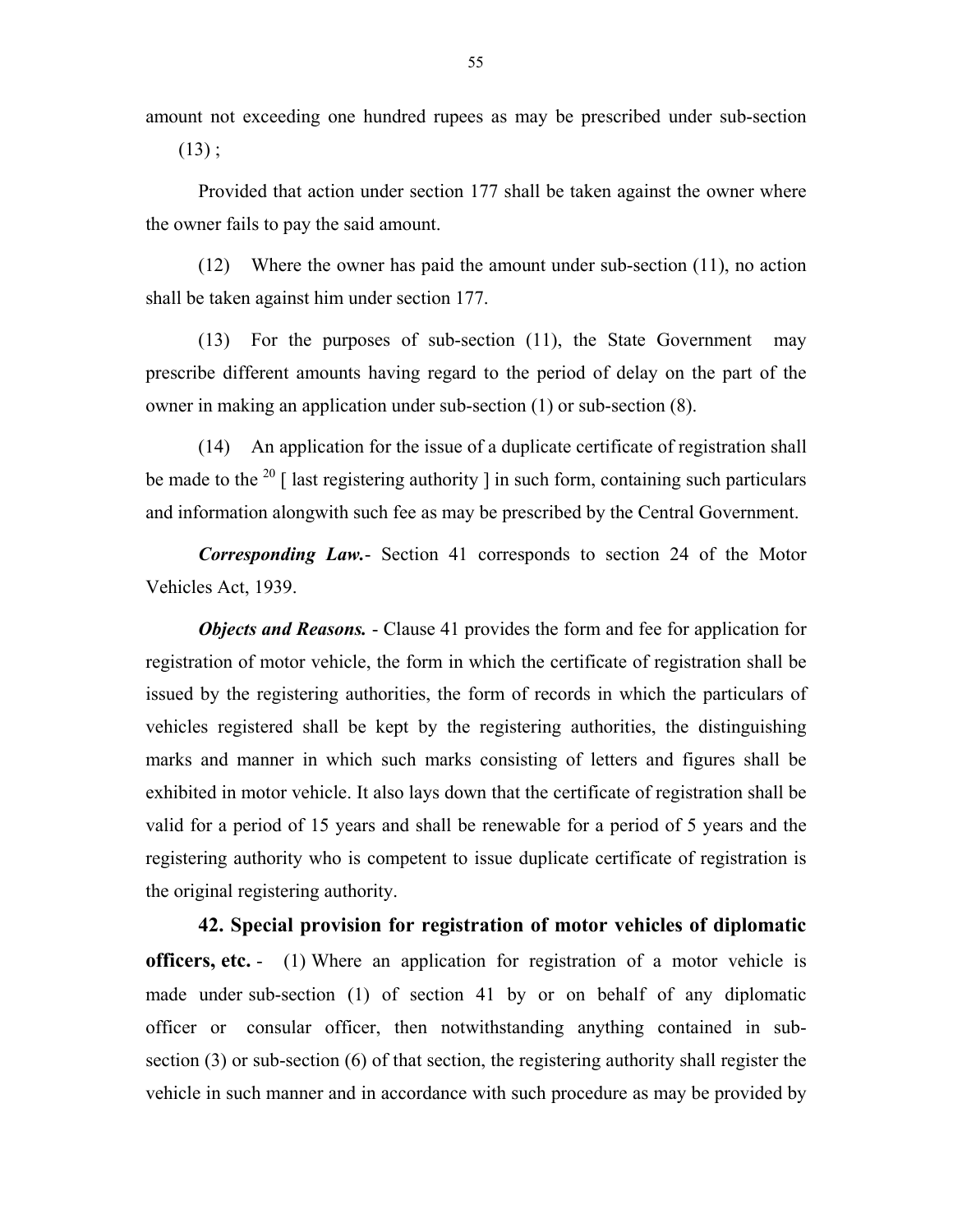amount not exceeding one hundred rupees as may be prescribed under sub-section

 $(13)$ ;

Provided that action under section 177 shall be taken against the owner where the owner fails to pay the said amount.

(12) Where the owner has paid the amount under sub-section (11), no action shall be taken against him under section 177.

(13) For the purposes of sub-section (11), the State Government may prescribe different amounts having regard to the period of delay on the part of the owner in making an application under sub-section (1) or sub-section (8).

(14) An application for the issue of a duplicate certificate of registration shall be made to the  $^{20}$  [ last registering authority ] in such form, containing such particulars and information alongwith such fee as may be prescribed by the Central Government.

*Corresponding Law.*- Section 41 corresponds to section 24 of the Motor Vehicles Act, 1939.

*Objects and Reasons.* - Clause 41 provides the form and fee for application for registration of motor vehicle, the form in which the certificate of registration shall be issued by the registering authorities, the form of records in which the particulars of vehicles registered shall be kept by the registering authorities, the distinguishing marks and manner in which such marks consisting of letters and figures shall be exhibited in motor vehicle. It also lays down that the certificate of registration shall be valid for a period of 15 years and shall be renewable for a period of 5 years and the registering authority who is competent to issue duplicate certificate of registration is the original registering authority.

**42. Special provision for registration of motor vehicles of diplomatic officers, etc.** - (1) Where an application for registration of a motor vehicle is made under sub-section (1) of section 41 by or on behalf of any diplomatic officer or consular officer, then notwithstanding anything contained in subsection (3) or sub-section (6) of that section, the registering authority shall register the vehicle in such manner and in accordance with such procedure as may be provided by

55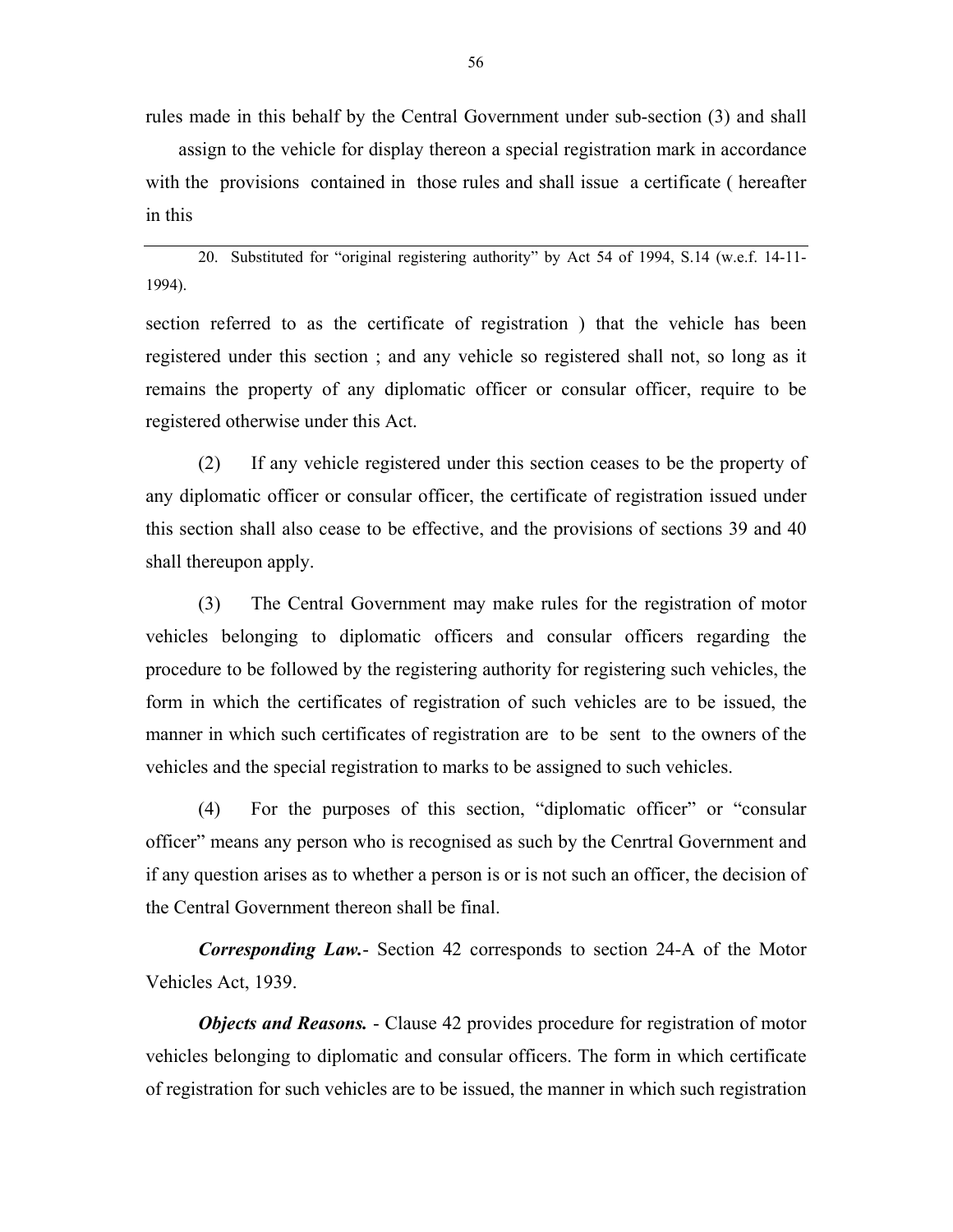rules made in this behalf by the Central Government under sub-section (3) and shall

assign to the vehicle for display thereon a special registration mark in accordance with the provisions contained in those rules and shall issue a certificate ( hereafter in this

20. Substituted for "original registering authority" by Act 54 of 1994, S.14 (w.e.f. 14-11- 1994).

section referred to as the certificate of registration ) that the vehicle has been registered under this section ; and any vehicle so registered shall not, so long as it remains the property of any diplomatic officer or consular officer, require to be registered otherwise under this Act.

(2) If any vehicle registered under this section ceases to be the property of any diplomatic officer or consular officer, the certificate of registration issued under this section shall also cease to be effective, and the provisions of sections 39 and 40 shall thereupon apply.

(3) The Central Government may make rules for the registration of motor vehicles belonging to diplomatic officers and consular officers regarding the procedure to be followed by the registering authority for registering such vehicles, the form in which the certificates of registration of such vehicles are to be issued, the manner in which such certificates of registration are to be sent to the owners of the vehicles and the special registration to marks to be assigned to such vehicles.

(4) For the purposes of this section, "diplomatic officer" or "consular officer" means any person who is recognised as such by the Cenrtral Government and if any question arises as to whether a person is or is not such an officer, the decision of the Central Government thereon shall be final.

*Corresponding Law.*- Section 42 corresponds to section 24-A of the Motor Vehicles Act, 1939.

*Objects and Reasons.* - Clause 42 provides procedure for registration of motor vehicles belonging to diplomatic and consular officers. The form in which certificate of registration for such vehicles are to be issued, the manner in which such registration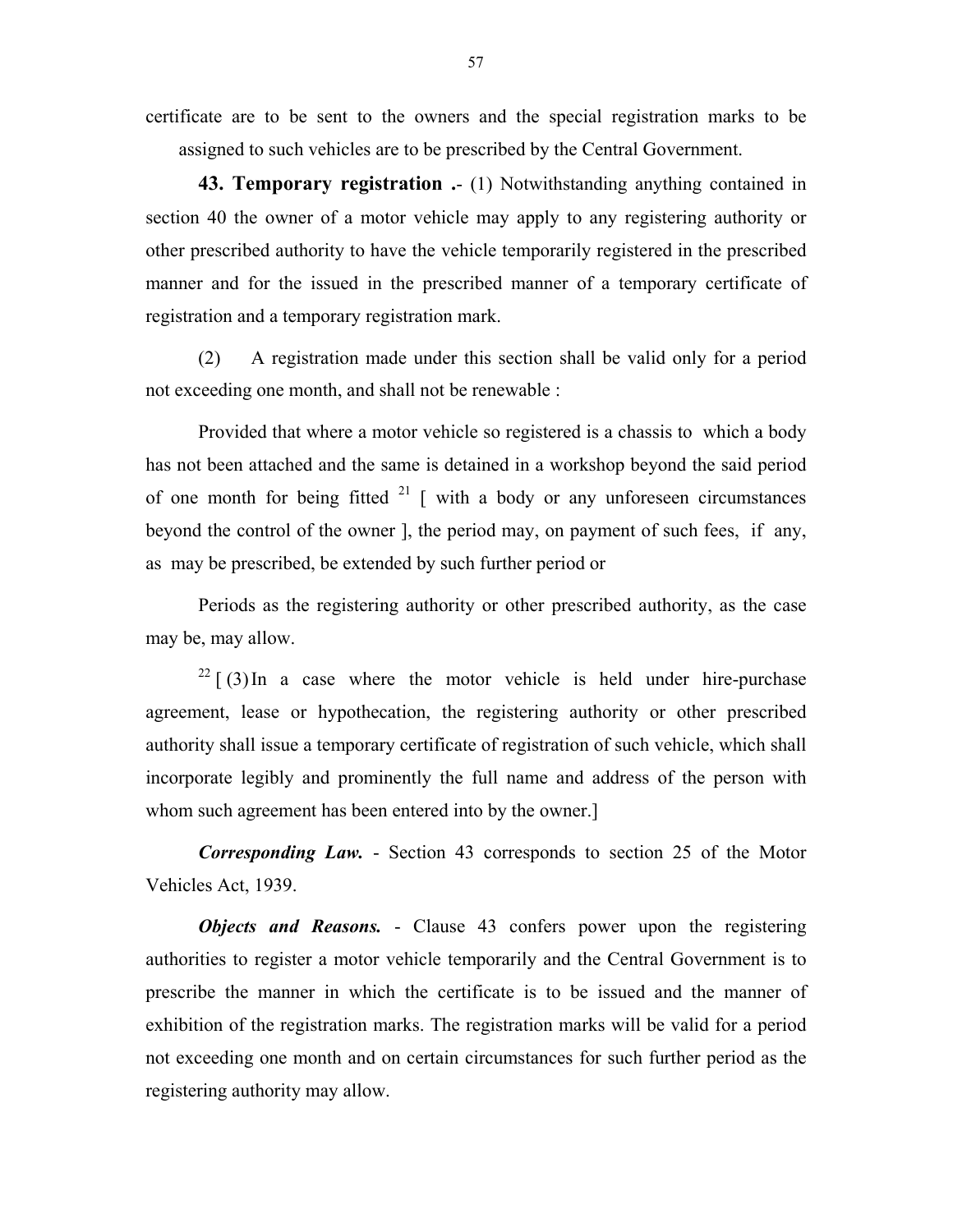certificate are to be sent to the owners and the special registration marks to be assigned to such vehicles are to be prescribed by the Central Government.

**43. Temporary registration .-** (1) Notwithstanding anything contained in section 40 the owner of a motor vehicle may apply to any registering authority or other prescribed authority to have the vehicle temporarily registered in the prescribed manner and for the issued in the prescribed manner of a temporary certificate of registration and a temporary registration mark.

(2) A registration made under this section shall be valid only for a period not exceeding one month, and shall not be renewable :

Provided that where a motor vehicle so registered is a chassis to which a body has not been attached and the same is detained in a workshop beyond the said period of one month for being fitted  $21$  [ with a body or any unforeseen circumstances beyond the control of the owner ], the period may, on payment of such fees, if any, as may be prescribed, be extended by such further period or

Periods as the registering authority or other prescribed authority, as the case may be, may allow.

 $22$  [ (3) In a case where the motor vehicle is held under hire-purchase agreement, lease or hypothecation, the registering authority or other prescribed authority shall issue a temporary certificate of registration of such vehicle, which shall incorporate legibly and prominently the full name and address of the person with whom such agreement has been entered into by the owner.]

*Corresponding Law.* - Section 43 corresponds to section 25 of the Motor Vehicles Act, 1939.

*Objects and Reasons.* - Clause 43 confers power upon the registering authorities to register a motor vehicle temporarily and the Central Government is to prescribe the manner in which the certificate is to be issued and the manner of exhibition of the registration marks. The registration marks will be valid for a period not exceeding one month and on certain circumstances for such further period as the registering authority may allow.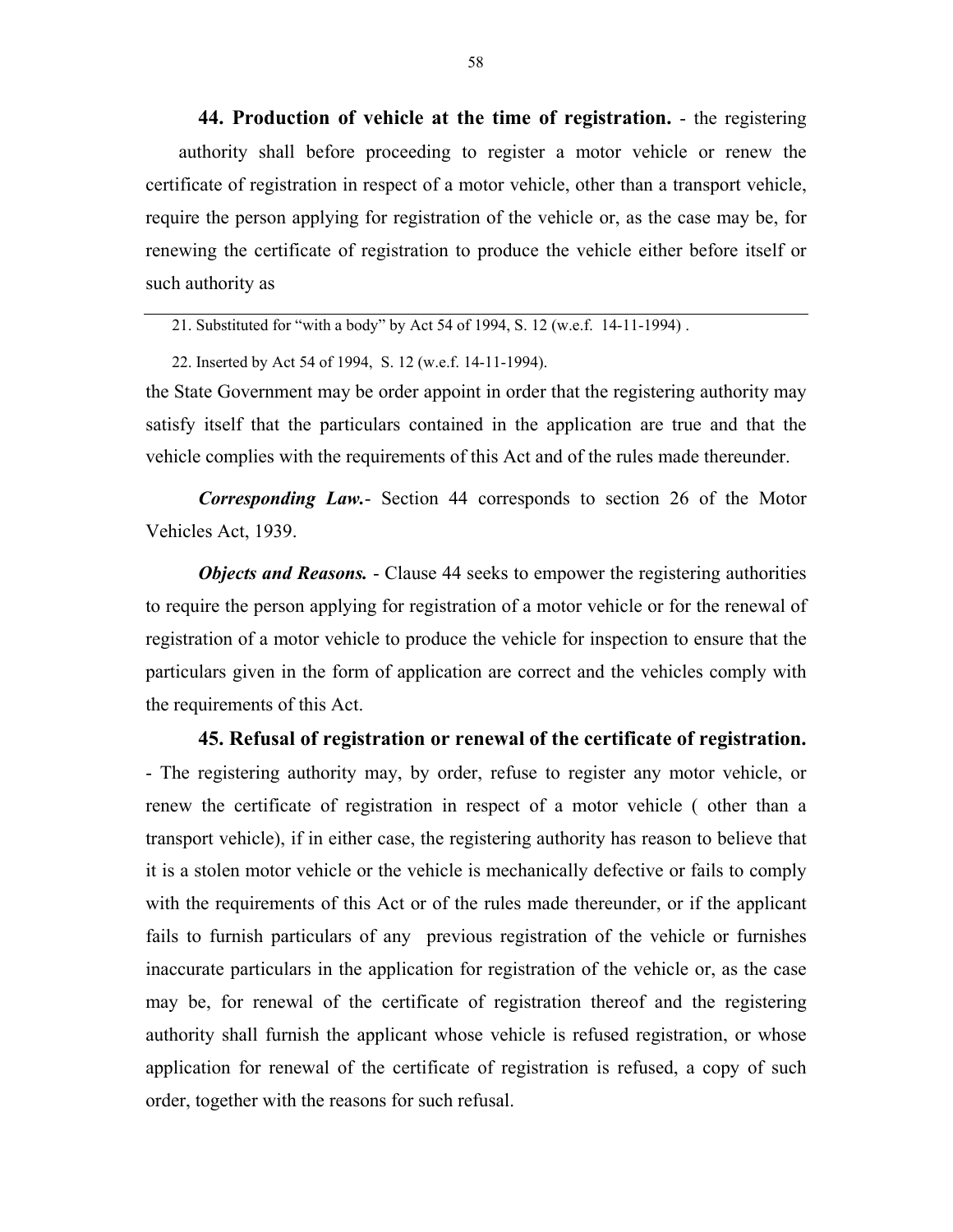**44. Production of vehicle at the time of registration.** - the registering authority shall before proceeding to register a motor vehicle or renew the certificate of registration in respect of a motor vehicle, other than a transport vehicle, require the person applying for registration of the vehicle or, as the case may be, for renewing the certificate of registration to produce the vehicle either before itself or such authority as

21. Substituted for "with a body" by Act 54 of 1994, S. 12 (w.e.f. 14-11-1994) .

22. Inserted by Act 54 of 1994, S. 12 (w.e.f. 14-11-1994).

the State Government may be order appoint in order that the registering authority may satisfy itself that the particulars contained in the application are true and that the vehicle complies with the requirements of this Act and of the rules made thereunder.

*Corresponding Law.*- Section 44 corresponds to section 26 of the Motor Vehicles Act, 1939.

*Objects and Reasons.* - Clause 44 seeks to empower the registering authorities to require the person applying for registration of a motor vehicle or for the renewal of registration of a motor vehicle to produce the vehicle for inspection to ensure that the particulars given in the form of application are correct and the vehicles comply with the requirements of this Act.

**45. Refusal of registration or renewal of the certificate of registration.** - The registering authority may, by order, refuse to register any motor vehicle, or renew the certificate of registration in respect of a motor vehicle ( other than a transport vehicle), if in either case, the registering authority has reason to believe that it is a stolen motor vehicle or the vehicle is mechanically defective or fails to comply with the requirements of this Act or of the rules made thereunder, or if the applicant fails to furnish particulars of any previous registration of the vehicle or furnishes inaccurate particulars in the application for registration of the vehicle or, as the case may be, for renewal of the certificate of registration thereof and the registering authority shall furnish the applicant whose vehicle is refused registration, or whose application for renewal of the certificate of registration is refused, a copy of such order, together with the reasons for such refusal.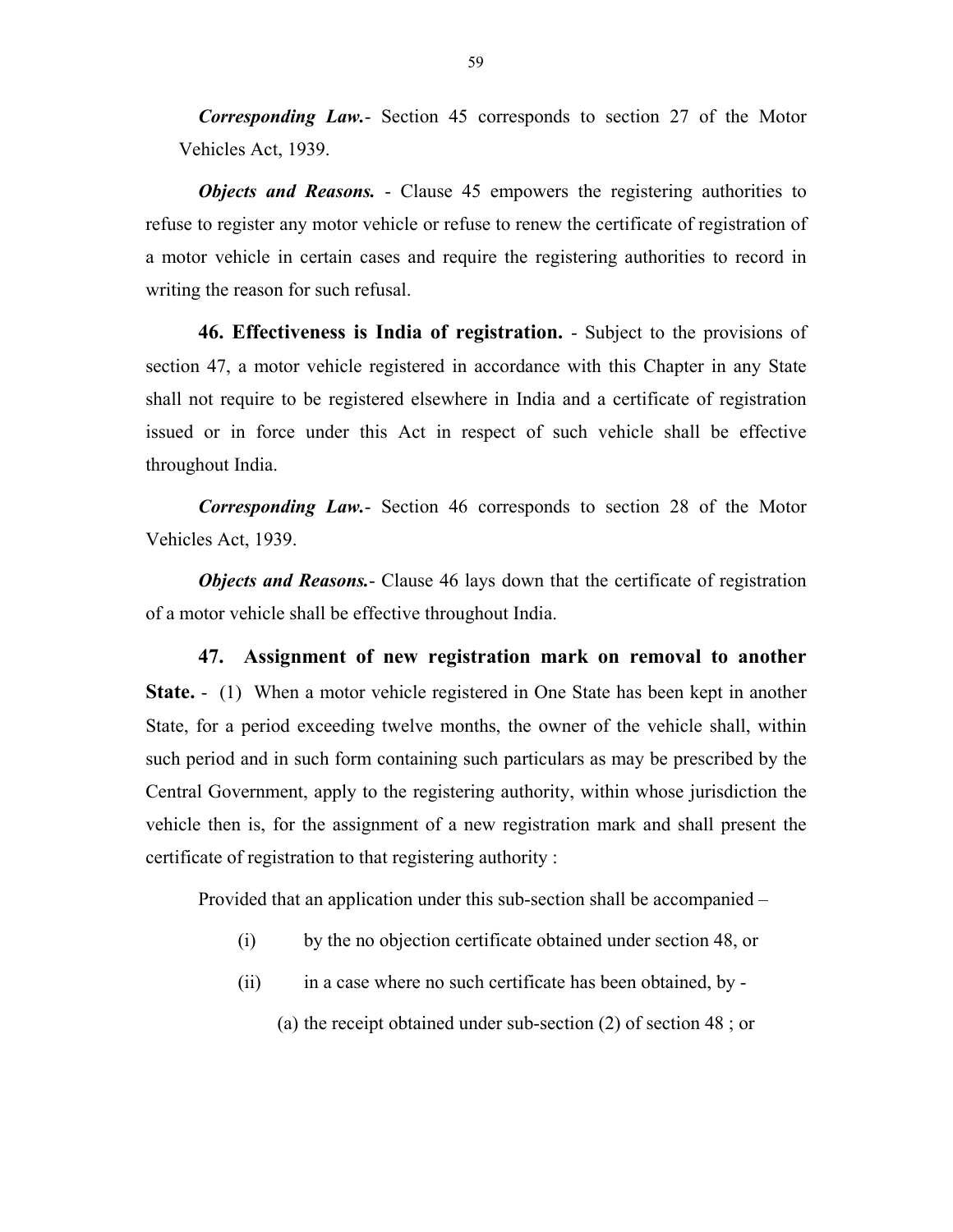*Corresponding Law.*- Section 45 corresponds to section 27 of the Motor Vehicles Act, 1939.

*Objects and Reasons.* - Clause 45 empowers the registering authorities to refuse to register any motor vehicle or refuse to renew the certificate of registration of a motor vehicle in certain cases and require the registering authorities to record in writing the reason for such refusal.

**46. Effectiveness is India of registration.** - Subject to the provisions of section 47, a motor vehicle registered in accordance with this Chapter in any State shall not require to be registered elsewhere in India and a certificate of registration issued or in force under this Act in respect of such vehicle shall be effective throughout India.

*Corresponding Law.*- Section 46 corresponds to section 28 of the Motor Vehicles Act, 1939.

*Objects and Reasons.*- Clause 46 lays down that the certificate of registration of a motor vehicle shall be effective throughout India.

**47. Assignment of new registration mark on removal to another State.** - (1) When a motor vehicle registered in One State has been kept in another State, for a period exceeding twelve months, the owner of the vehicle shall, within such period and in such form containing such particulars as may be prescribed by the Central Government, apply to the registering authority, within whose jurisdiction the vehicle then is, for the assignment of a new registration mark and shall present the certificate of registration to that registering authority :

Provided that an application under this sub-section shall be accompanied –

- (i) by the no objection certificate obtained under section 48, or
- (ii) in a case where no such certificate has been obtained, by -

(a) the receipt obtained under sub-section (2) of section 48 ; or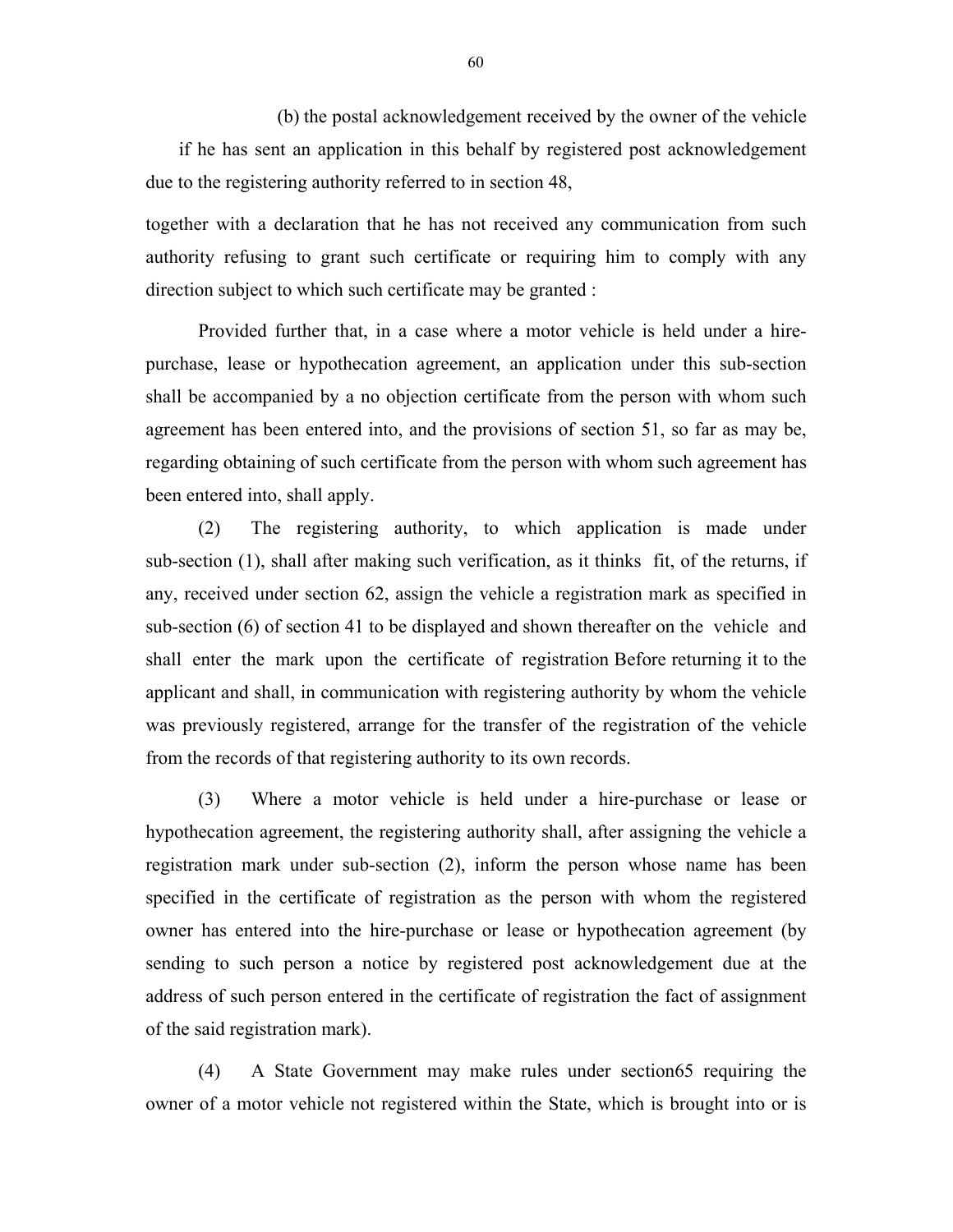(b) the postal acknowledgement received by the owner of the vehicle if he has sent an application in this behalf by registered post acknowledgement due to the registering authority referred to in section 48,

together with a declaration that he has not received any communication from such authority refusing to grant such certificate or requiring him to comply with any direction subject to which such certificate may be granted :

Provided further that, in a case where a motor vehicle is held under a hirepurchase, lease or hypothecation agreement, an application under this sub-section shall be accompanied by a no objection certificate from the person with whom such agreement has been entered into, and the provisions of section 51, so far as may be, regarding obtaining of such certificate from the person with whom such agreement has been entered into, shall apply.

(2) The registering authority, to which application is made under sub-section (1), shall after making such verification, as it thinks fit, of the returns, if any, received under section 62, assign the vehicle a registration mark as specified in sub-section (6) of section 41 to be displayed and shown thereafter on the vehicle and shall enter the mark upon the certificate of registration Before returning it to the applicant and shall, in communication with registering authority by whom the vehicle was previously registered, arrange for the transfer of the registration of the vehicle from the records of that registering authority to its own records.

(3) Where a motor vehicle is held under a hire-purchase or lease or hypothecation agreement, the registering authority shall, after assigning the vehicle a registration mark under sub-section (2), inform the person whose name has been specified in the certificate of registration as the person with whom the registered owner has entered into the hire-purchase or lease or hypothecation agreement (by sending to such person a notice by registered post acknowledgement due at the address of such person entered in the certificate of registration the fact of assignment of the said registration mark).

(4) A State Government may make rules under section65 requiring the owner of a motor vehicle not registered within the State, which is brought into or is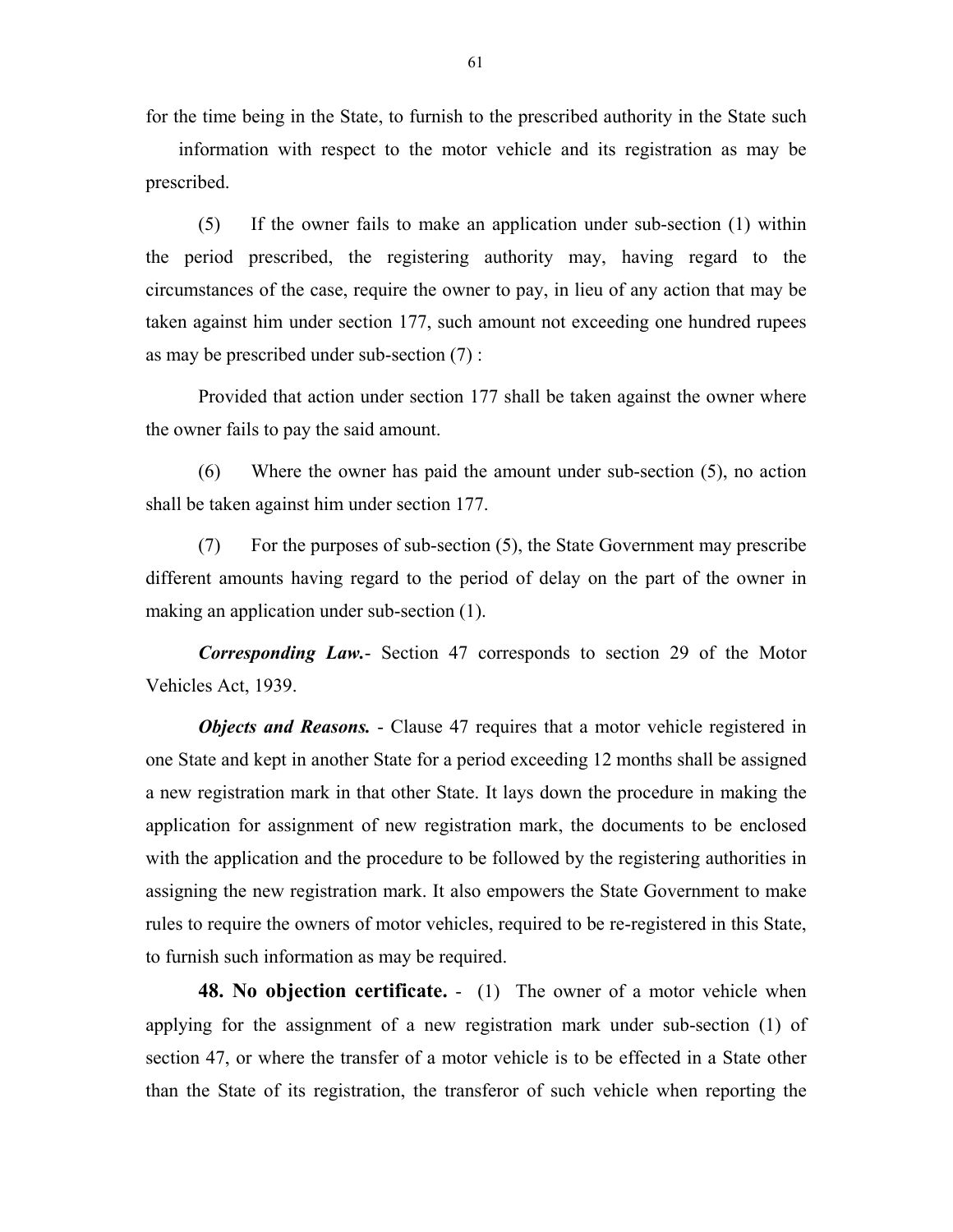for the time being in the State, to furnish to the prescribed authority in the State such

information with respect to the motor vehicle and its registration as may be prescribed.

(5) If the owner fails to make an application under sub-section (1) within the period prescribed, the registering authority may, having regard to the circumstances of the case, require the owner to pay, in lieu of any action that may be taken against him under section 177, such amount not exceeding one hundred rupees as may be prescribed under sub-section (7) :

Provided that action under section 177 shall be taken against the owner where the owner fails to pay the said amount.

(6) Where the owner has paid the amount under sub-section (5), no action shall be taken against him under section 177.

(7) For the purposes of sub-section (5), the State Government may prescribe different amounts having regard to the period of delay on the part of the owner in making an application under sub-section (1).

*Corresponding Law.*- Section 47 corresponds to section 29 of the Motor Vehicles Act, 1939.

*Objects and Reasons.* - Clause 47 requires that a motor vehicle registered in one State and kept in another State for a period exceeding 12 months shall be assigned a new registration mark in that other State. It lays down the procedure in making the application for assignment of new registration mark, the documents to be enclosed with the application and the procedure to be followed by the registering authorities in assigning the new registration mark. It also empowers the State Government to make rules to require the owners of motor vehicles, required to be re-registered in this State, to furnish such information as may be required.

**48. No objection certificate.** - (1) The owner of a motor vehicle when applying for the assignment of a new registration mark under sub-section (1) of section 47, or where the transfer of a motor vehicle is to be effected in a State other than the State of its registration, the transferor of such vehicle when reporting the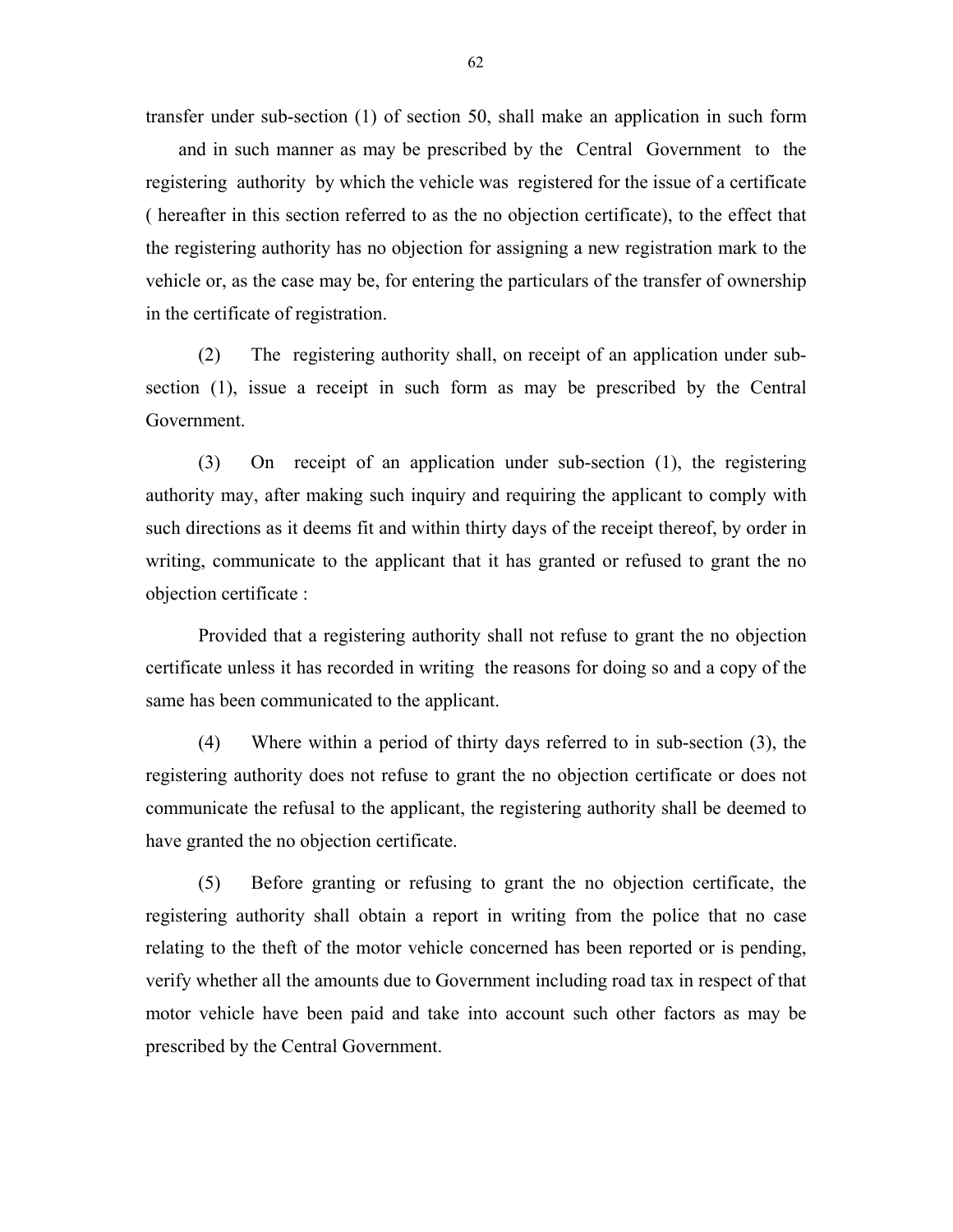transfer under sub-section (1) of section 50, shall make an application in such form

and in such manner as may be prescribed by the Central Government to the registering authority by which the vehicle was registered for the issue of a certificate ( hereafter in this section referred to as the no objection certificate), to the effect that the registering authority has no objection for assigning a new registration mark to the vehicle or, as the case may be, for entering the particulars of the transfer of ownership in the certificate of registration.

(2) The registering authority shall, on receipt of an application under subsection (1), issue a receipt in such form as may be prescribed by the Central Government.

(3) On receipt of an application under sub-section (1), the registering authority may, after making such inquiry and requiring the applicant to comply with such directions as it deems fit and within thirty days of the receipt thereof, by order in writing, communicate to the applicant that it has granted or refused to grant the no objection certificate :

Provided that a registering authority shall not refuse to grant the no objection certificate unless it has recorded in writing the reasons for doing so and a copy of the same has been communicated to the applicant.

(4) Where within a period of thirty days referred to in sub-section (3), the registering authority does not refuse to grant the no objection certificate or does not communicate the refusal to the applicant, the registering authority shall be deemed to have granted the no objection certificate.

(5) Before granting or refusing to grant the no objection certificate, the registering authority shall obtain a report in writing from the police that no case relating to the theft of the motor vehicle concerned has been reported or is pending, verify whether all the amounts due to Government including road tax in respect of that motor vehicle have been paid and take into account such other factors as may be prescribed by the Central Government.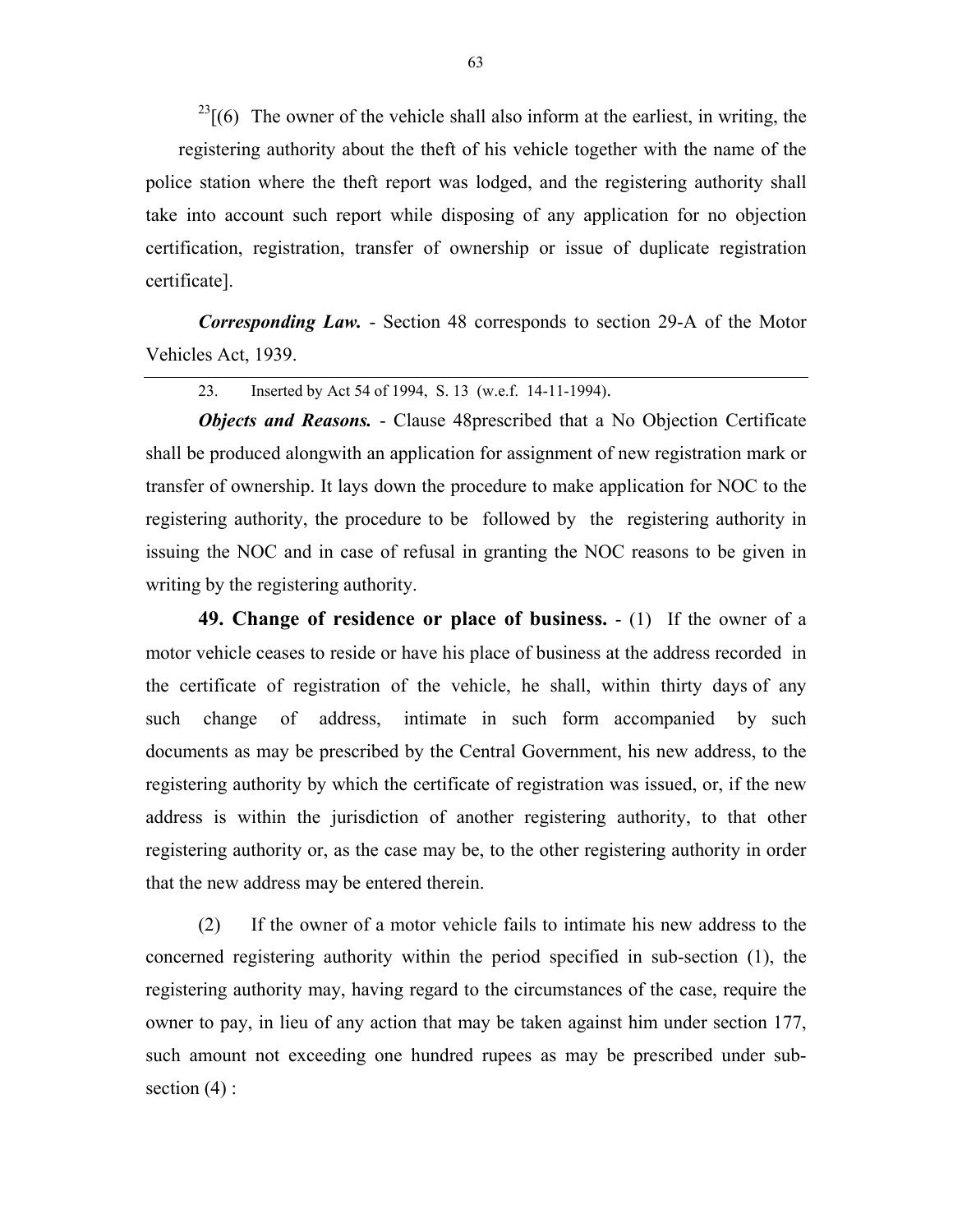$^{23}$ [(6) The owner of the vehicle shall also inform at the earliest, in writing, the registering authority about the theft of his vehicle together with the name of the police station where the theft report was lodged, and the registering authority shall take into account such report while disposing of any application for no objection certification, registration, transfer of ownership or issue of duplicate registration certificate].

*Corresponding Law.* - Section 48 corresponds to section 29-A of the Motor Vehicles Act, 1939.

23. Inserted by Act 54 of 1994, S. 13 (w.e.f. 14-11-1994).

*Objects and Reasons.* - Clause 48prescribed that a No Objection Certificate shall be produced alongwith an application for assignment of new registration mark or transfer of ownership. It lays down the procedure to make application for NOC to the registering authority, the procedure to be followed by the registering authority in issuing the NOC and in case of refusal in granting the NOC reasons to be given in writing by the registering authority.

**49. Change of residence or place of business.** - (1) If the owner of a motor vehicle ceases to reside or have his place of business at the address recorded in the certificate of registration of the vehicle, he shall, within thirty days of any such change of address, intimate in such form accompanied by such documents as may be prescribed by the Central Government, his new address, to the registering authority by which the certificate of registration was issued, or, if the new address is within the jurisdiction of another registering authority, to that other registering authority or, as the case may be, to the other registering authority in order that the new address may be entered therein.

(2) If the owner of a motor vehicle fails to intimate his new address to the concerned registering authority within the period specified in sub-section (1), the registering authority may, having regard to the circumstances of the case, require the owner to pay, in lieu of any action that may be taken against him under section 177, such amount not exceeding one hundred rupees as may be prescribed under subsection  $(4)$  :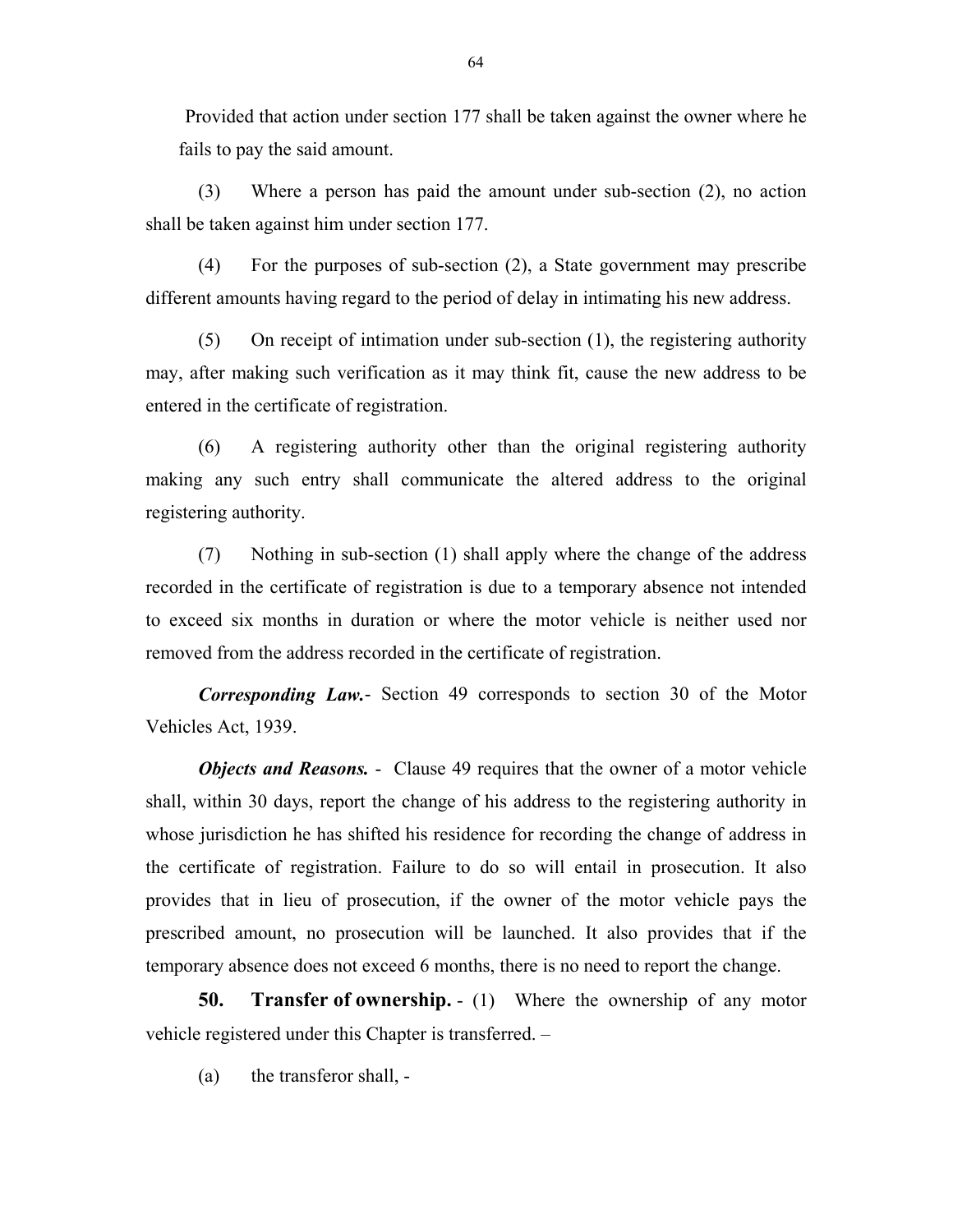Provided that action under section 177 shall be taken against the owner where he fails to pay the said amount.

(3) Where a person has paid the amount under sub-section (2), no action shall be taken against him under section 177.

(4) For the purposes of sub-section (2), a State government may prescribe different amounts having regard to the period of delay in intimating his new address.

(5) On receipt of intimation under sub-section (1), the registering authority may, after making such verification as it may think fit, cause the new address to be entered in the certificate of registration.

(6) A registering authority other than the original registering authority making any such entry shall communicate the altered address to the original registering authority.

(7) Nothing in sub-section (1) shall apply where the change of the address recorded in the certificate of registration is due to a temporary absence not intended to exceed six months in duration or where the motor vehicle is neither used nor removed from the address recorded in the certificate of registration.

*Corresponding Law.*- Section 49 corresponds to section 30 of the Motor Vehicles Act, 1939.

*Objects and Reasons.* - Clause 49 requires that the owner of a motor vehicle shall, within 30 days, report the change of his address to the registering authority in whose jurisdiction he has shifted his residence for recording the change of address in the certificate of registration. Failure to do so will entail in prosecution. It also provides that in lieu of prosecution, if the owner of the motor vehicle pays the prescribed amount, no prosecution will be launched. It also provides that if the temporary absence does not exceed 6 months, there is no need to report the change.

**50. Transfer of ownership.** - (1) Where the ownership of any motor vehicle registered under this Chapter is transferred. –

(a) the transferor shall, -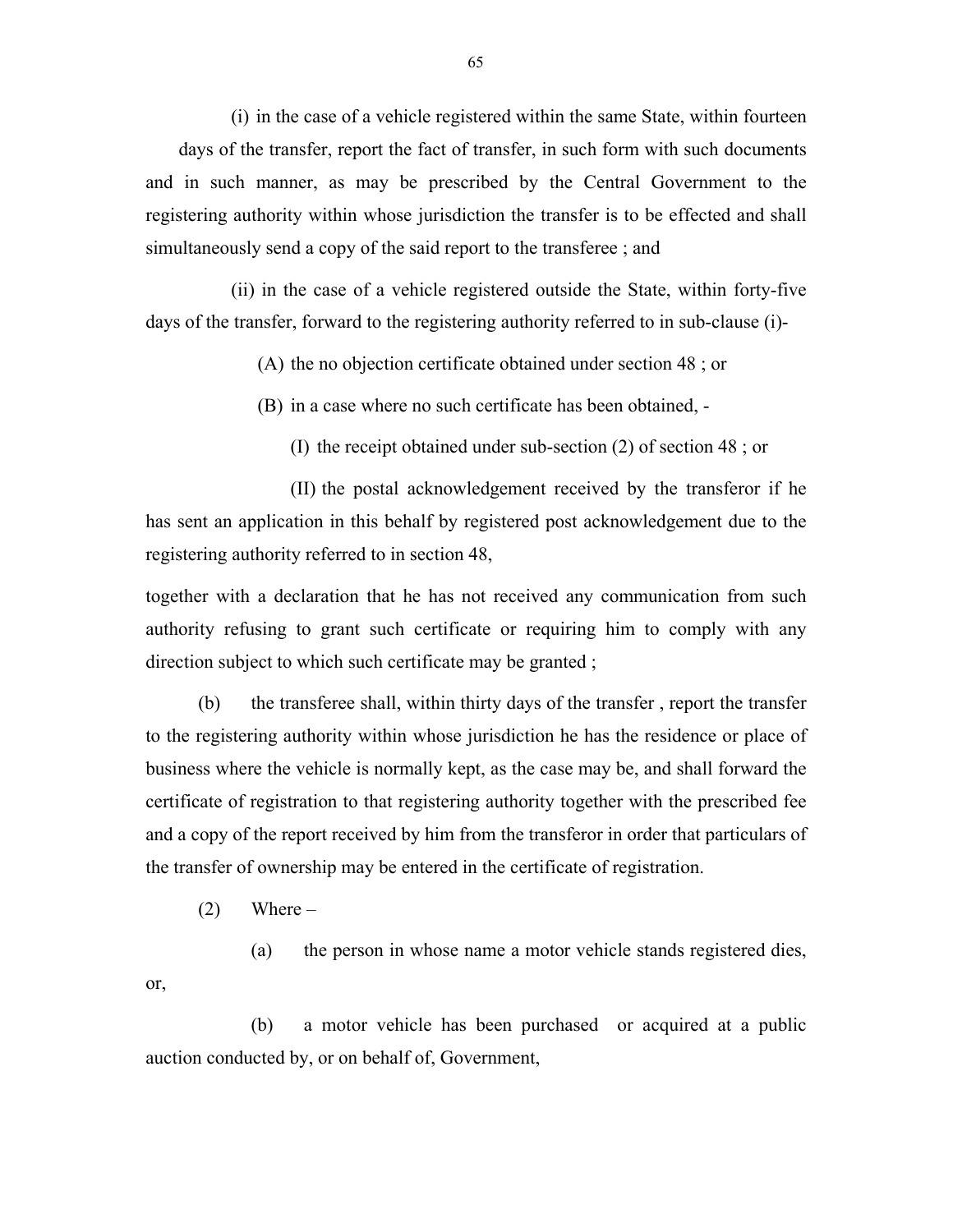(i) in the case of a vehicle registered within the same State, within fourteen days of the transfer, report the fact of transfer, in such form with such documents and in such manner, as may be prescribed by the Central Government to the registering authority within whose jurisdiction the transfer is to be effected and shall simultaneously send a copy of the said report to the transferee ; and

(ii) in the case of a vehicle registered outside the State, within forty-five days of the transfer, forward to the registering authority referred to in sub-clause (i)-

(A) the no objection certificate obtained under section 48 ; or

(B) in a case where no such certificate has been obtained, -

(I) the receipt obtained under sub-section (2) of section 48 ; or

(II) the postal acknowledgement received by the transferor if he has sent an application in this behalf by registered post acknowledgement due to the registering authority referred to in section 48,

together with a declaration that he has not received any communication from such authority refusing to grant such certificate or requiring him to comply with any direction subject to which such certificate may be granted ;

(b) the transferee shall, within thirty days of the transfer , report the transfer to the registering authority within whose jurisdiction he has the residence or place of business where the vehicle is normally kept, as the case may be, and shall forward the certificate of registration to that registering authority together with the prescribed fee and a copy of the report received by him from the transferor in order that particulars of the transfer of ownership may be entered in the certificate of registration.

 $(2)$  Where –

or,

(a) the person in whose name a motor vehicle stands registered dies,

(b) a motor vehicle has been purchased or acquired at a public auction conducted by, or on behalf of, Government,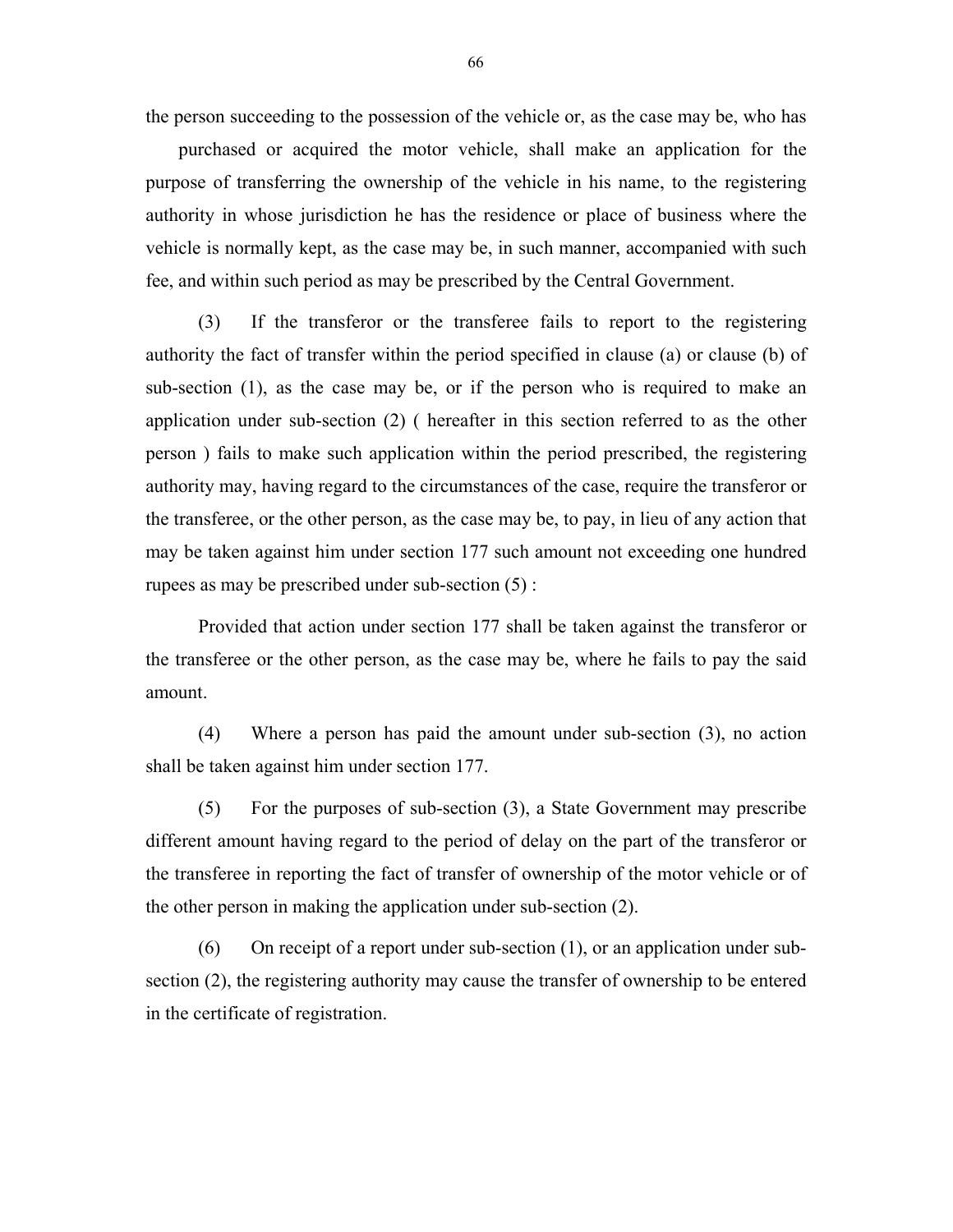the person succeeding to the possession of the vehicle or, as the case may be, who has

purchased or acquired the motor vehicle, shall make an application for the purpose of transferring the ownership of the vehicle in his name, to the registering authority in whose jurisdiction he has the residence or place of business where the vehicle is normally kept, as the case may be, in such manner, accompanied with such fee, and within such period as may be prescribed by the Central Government.

(3) If the transferor or the transferee fails to report to the registering authority the fact of transfer within the period specified in clause (a) or clause (b) of sub-section (1), as the case may be, or if the person who is required to make an application under sub-section (2) ( hereafter in this section referred to as the other person ) fails to make such application within the period prescribed, the registering authority may, having regard to the circumstances of the case, require the transferor or the transferee, or the other person, as the case may be, to pay, in lieu of any action that may be taken against him under section 177 such amount not exceeding one hundred rupees as may be prescribed under sub-section (5) :

Provided that action under section 177 shall be taken against the transferor or the transferee or the other person, as the case may be, where he fails to pay the said amount.

(4) Where a person has paid the amount under sub-section (3), no action shall be taken against him under section 177.

(5) For the purposes of sub-section (3), a State Government may prescribe different amount having regard to the period of delay on the part of the transferor or the transferee in reporting the fact of transfer of ownership of the motor vehicle or of the other person in making the application under sub-section (2).

(6) On receipt of a report under sub-section (1), or an application under subsection (2), the registering authority may cause the transfer of ownership to be entered in the certificate of registration.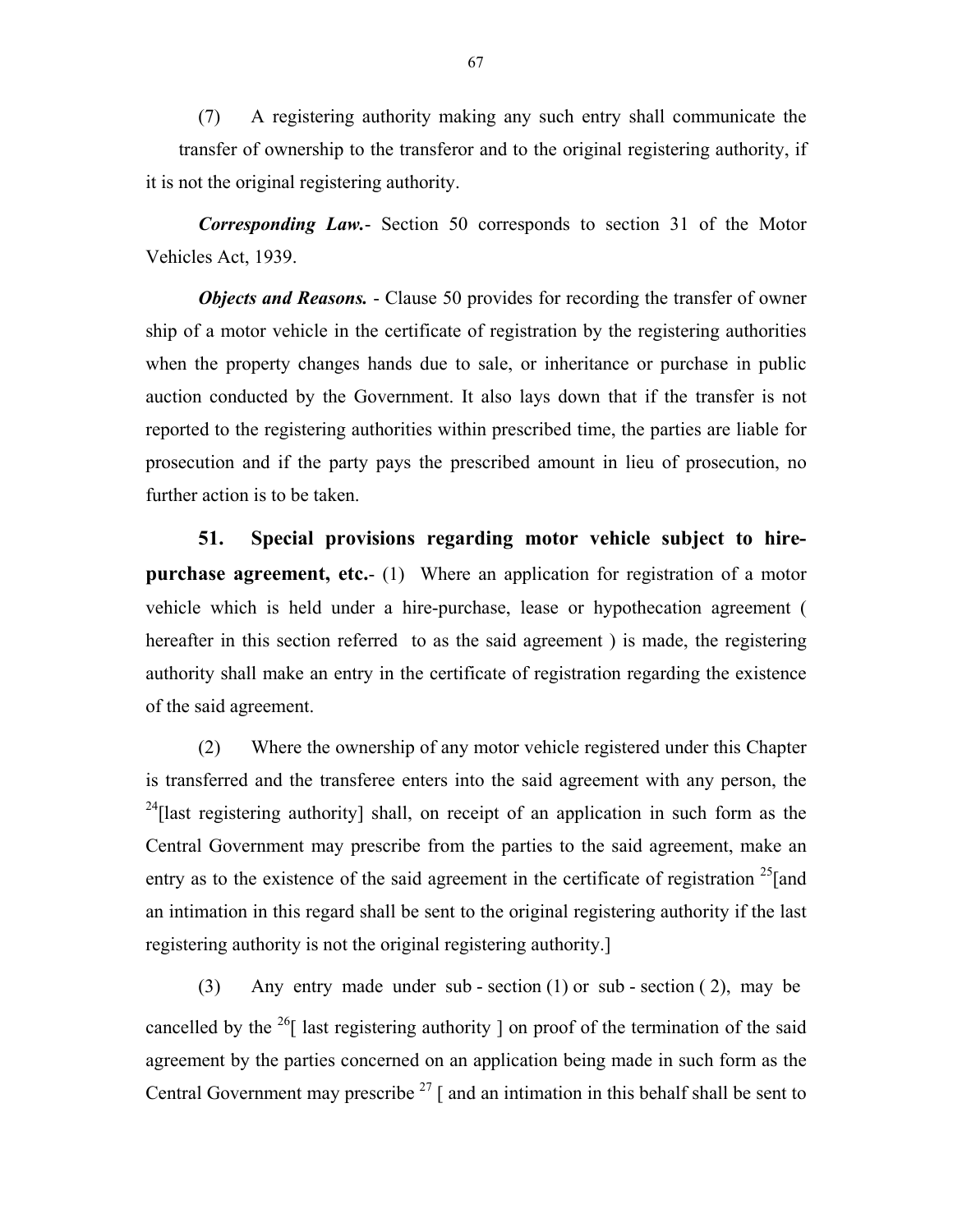(7) A registering authority making any such entry shall communicate the transfer of ownership to the transferor and to the original registering authority, if it is not the original registering authority.

*Corresponding Law.*- Section 50 corresponds to section 31 of the Motor Vehicles Act, 1939.

*Objects and Reasons.* - Clause 50 provides for recording the transfer of owner ship of a motor vehicle in the certificate of registration by the registering authorities when the property changes hands due to sale, or inheritance or purchase in public auction conducted by the Government. It also lays down that if the transfer is not reported to the registering authorities within prescribed time, the parties are liable for prosecution and if the party pays the prescribed amount in lieu of prosecution, no further action is to be taken.

**51. Special provisions regarding motor vehicle subject to hirepurchase agreement, etc.**- (1) Where an application for registration of a motor vehicle which is held under a hire-purchase, lease or hypothecation agreement ( hereafter in this section referred to as the said agreement ) is made, the registering authority shall make an entry in the certificate of registration regarding the existence of the said agreement.

(2) Where the ownership of any motor vehicle registered under this Chapter is transferred and the transferee enters into the said agreement with any person, the <sup>24</sup>[last registering authority] shall, on receipt of an application in such form as the Central Government may prescribe from the parties to the said agreement, make an entry as to the existence of the said agreement in the certificate of registration  $^{25}$ [and an intimation in this regard shall be sent to the original registering authority if the last registering authority is not the original registering authority.]

(3) Any entry made under sub - section (1) or sub - section ( 2), may be cancelled by the <sup>26</sup>[ last registering authority ] on proof of the termination of the said agreement by the parties concerned on an application being made in such form as the Central Government may prescribe  $27 \int$  and an intimation in this behalf shall be sent to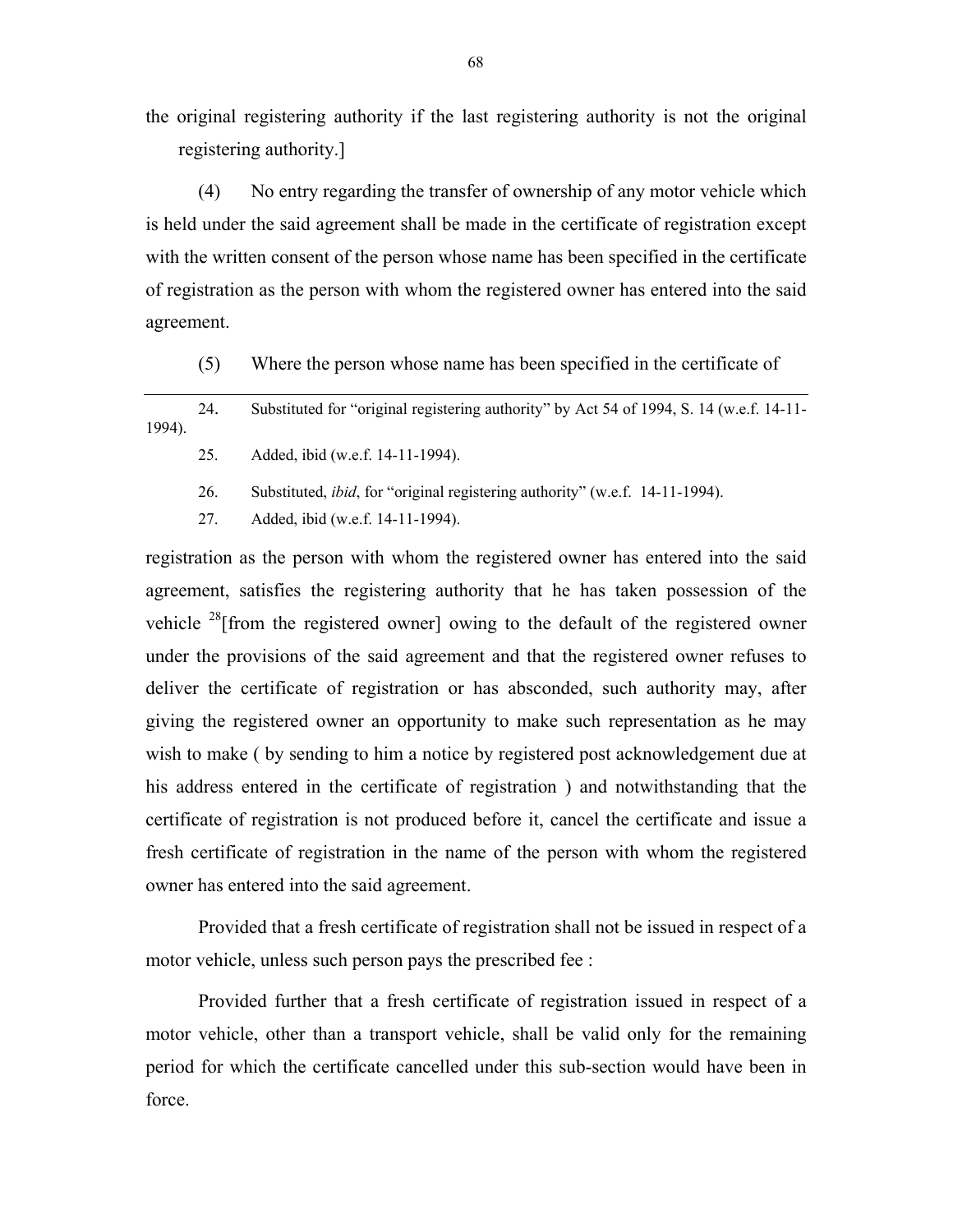the original registering authority if the last registering authority is not the original registering authority.]

(4) No entry regarding the transfer of ownership of any motor vehicle which is held under the said agreement shall be made in the certificate of registration except with the written consent of the person whose name has been specified in the certificate of registration as the person with whom the registered owner has entered into the said agreement.

(5) Where the person whose name has been specified in the certificate of

24. Substituted for "original registering authority" by Act 54 of 1994, S. 14 (w.e.f. 14-11- 1994). 25. Added, ibid (w.e.f. 14-11-1994).

26. Substituted, *ibid*, for "original registering authority" (w.e.f. 14-11-1994).

27. Added, ibid (w.e.f. 14-11-1994).

registration as the person with whom the registered owner has entered into the said agreement, satisfies the registering authority that he has taken possession of the vehicle <sup>28</sup>[from the registered owner] owing to the default of the registered owner under the provisions of the said agreement and that the registered owner refuses to deliver the certificate of registration or has absconded, such authority may, after giving the registered owner an opportunity to make such representation as he may wish to make ( by sending to him a notice by registered post acknowledgement due at his address entered in the certificate of registration ) and notwithstanding that the certificate of registration is not produced before it, cancel the certificate and issue a fresh certificate of registration in the name of the person with whom the registered owner has entered into the said agreement.

Provided that a fresh certificate of registration shall not be issued in respect of a motor vehicle, unless such person pays the prescribed fee :

Provided further that a fresh certificate of registration issued in respect of a motor vehicle, other than a transport vehicle, shall be valid only for the remaining period for which the certificate cancelled under this sub-section would have been in force.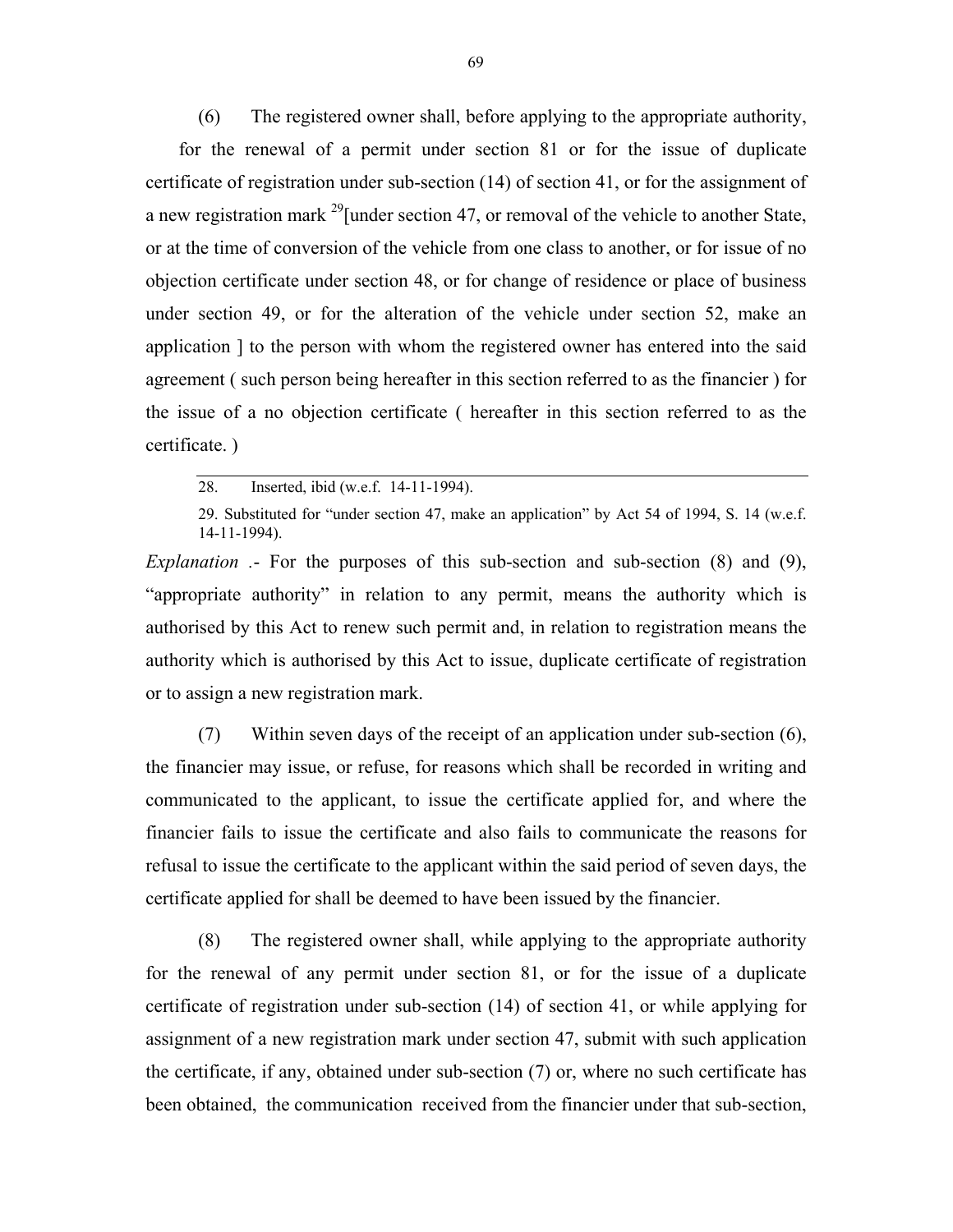(6) The registered owner shall, before applying to the appropriate authority, for the renewal of a permit under section 81 or for the issue of duplicate certificate of registration under sub-section (14) of section 41, or for the assignment of a new registration mark <sup>29</sup>[under section 47, or removal of the vehicle to another State, or at the time of conversion of the vehicle from one class to another, or for issue of no objection certificate under section 48, or for change of residence or place of business under section 49, or for the alteration of the vehicle under section 52, make an application ] to the person with whom the registered owner has entered into the said agreement ( such person being hereafter in this section referred to as the financier ) for the issue of a no objection certificate ( hereafter in this section referred to as the certificate. )

29. Substituted for "under section 47, make an application" by Act 54 of 1994, S. 14 (w.e.f. 14-11-1994).

*Explanation* .- For the purposes of this sub-section and sub-section (8) and (9), "appropriate authority" in relation to any permit, means the authority which is authorised by this Act to renew such permit and, in relation to registration means the authority which is authorised by this Act to issue, duplicate certificate of registration or to assign a new registration mark.

(7) Within seven days of the receipt of an application under sub-section (6), the financier may issue, or refuse, for reasons which shall be recorded in writing and communicated to the applicant, to issue the certificate applied for, and where the financier fails to issue the certificate and also fails to communicate the reasons for refusal to issue the certificate to the applicant within the said period of seven days, the certificate applied for shall be deemed to have been issued by the financier.

(8) The registered owner shall, while applying to the appropriate authority for the renewal of any permit under section 81, or for the issue of a duplicate certificate of registration under sub-section (14) of section 41, or while applying for assignment of a new registration mark under section 47, submit with such application the certificate, if any, obtained under sub-section (7) or, where no such certificate has been obtained, the communication received from the financier under that sub-section,

<sup>28.</sup> Inserted, ibid (w.e.f. 14-11-1994).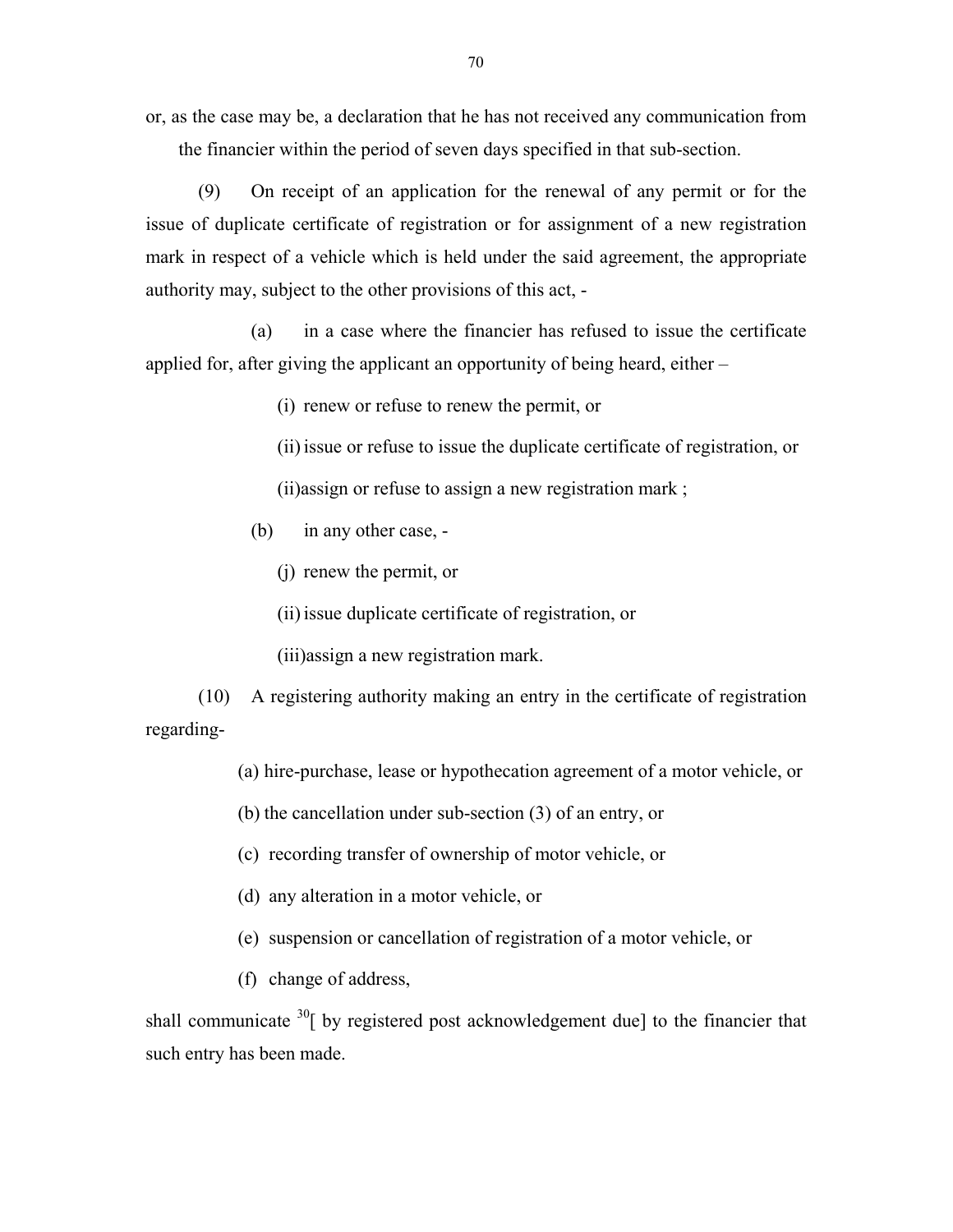or, as the case may be, a declaration that he has not received any communication from the financier within the period of seven days specified in that sub-section.

(9) On receipt of an application for the renewal of any permit or for the issue of duplicate certificate of registration or for assignment of a new registration mark in respect of a vehicle which is held under the said agreement, the appropriate authority may, subject to the other provisions of this act, -

(a) in a case where the financier has refused to issue the certificate applied for, after giving the applicant an opportunity of being heard, either –

(i) renew or refuse to renew the permit, or

(ii) issue or refuse to issue the duplicate certificate of registration, or

(ii)assign or refuse to assign a new registration mark ;

- (b) in any other case,
	- (j) renew the permit, or

(ii) issue duplicate certificate of registration, or

(iii)assign a new registration mark.

(10) A registering authority making an entry in the certificate of registration regarding-

- (a) hire-purchase, lease or hypothecation agreement of a motor vehicle, or
- (b) the cancellation under sub-section (3) of an entry, or
- (c) recording transfer of ownership of motor vehicle, or
- (d) any alteration in a motor vehicle, or
- (e) suspension or cancellation of registration of a motor vehicle, or
- (f) change of address,

shall communicate  $30$ [ by registered post acknowledgement due] to the financier that such entry has been made.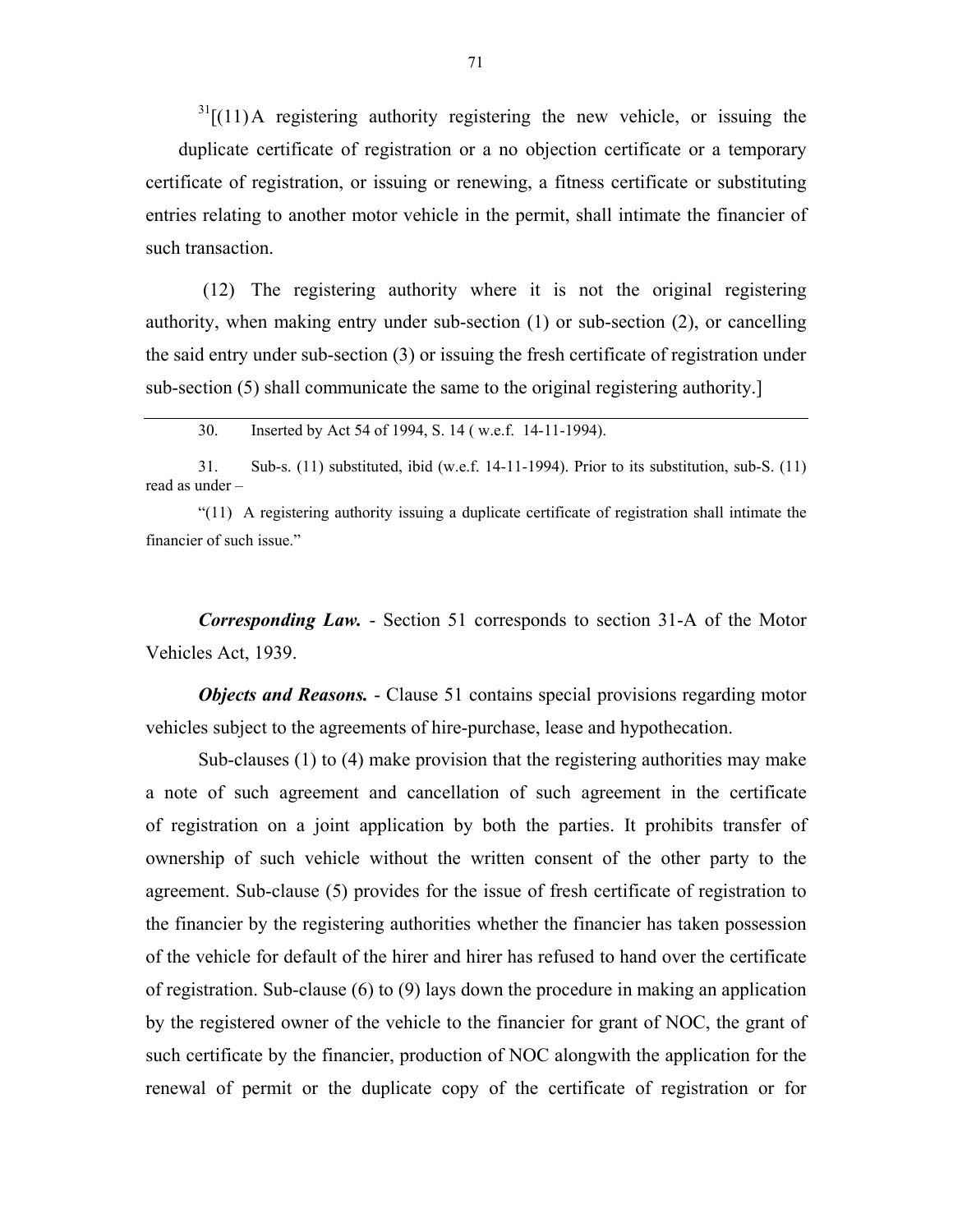$31$ [(11) A registering authority registering the new vehicle, or issuing the duplicate certificate of registration or a no objection certificate or a temporary certificate of registration, or issuing or renewing, a fitness certificate or substituting entries relating to another motor vehicle in the permit, shall intimate the financier of such transaction.

 (12) The registering authority where it is not the original registering authority, when making entry under sub-section (1) or sub-section (2), or cancelling the said entry under sub-section (3) or issuing the fresh certificate of registration under sub-section (5) shall communicate the same to the original registering authority.]

| 30. | Inserted by Act 54 of 1994, S. 14 (w.e.f. 14-11-1994). |  |
|-----|--------------------------------------------------------|--|
|     |                                                        |  |

31. Sub-s. (11) substituted, ibid (w.e.f. 14-11-1994). Prior to its substitution, sub-S. (11) read as under –

"(11) A registering authority issuing a duplicate certificate of registration shall intimate the financier of such issue."

*Corresponding Law.* - Section 51 corresponds to section 31-A of the Motor Vehicles Act, 1939.

*Objects and Reasons.* - Clause 51 contains special provisions regarding motor vehicles subject to the agreements of hire-purchase, lease and hypothecation.

Sub-clauses (1) to (4) make provision that the registering authorities may make a note of such agreement and cancellation of such agreement in the certificate of registration on a joint application by both the parties. It prohibits transfer of ownership of such vehicle without the written consent of the other party to the agreement. Sub-clause (5) provides for the issue of fresh certificate of registration to the financier by the registering authorities whether the financier has taken possession of the vehicle for default of the hirer and hirer has refused to hand over the certificate of registration. Sub-clause (6) to (9) lays down the procedure in making an application by the registered owner of the vehicle to the financier for grant of NOC, the grant of such certificate by the financier, production of NOC alongwith the application for the renewal of permit or the duplicate copy of the certificate of registration or for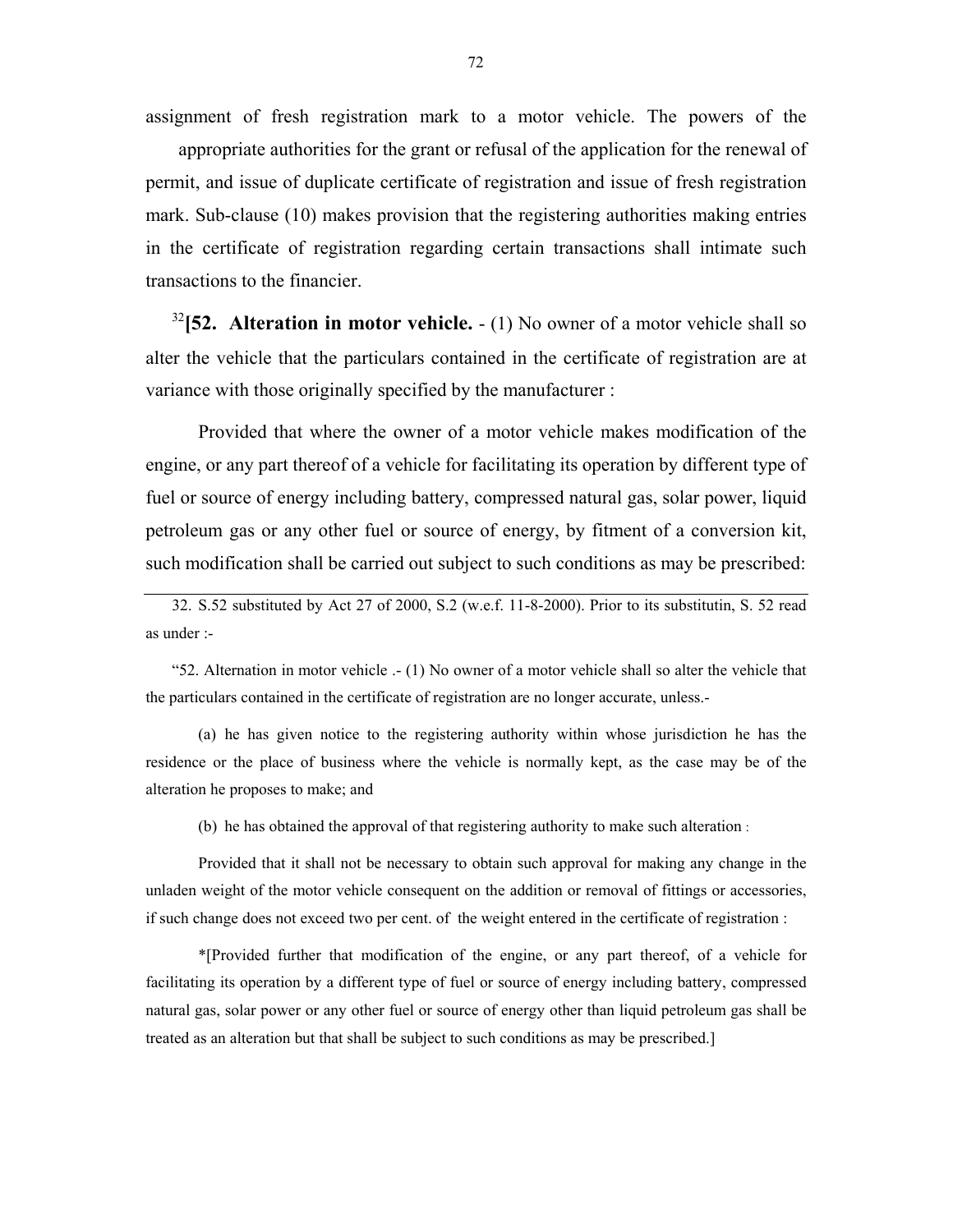assignment of fresh registration mark to a motor vehicle. The powers of the

appropriate authorities for the grant or refusal of the application for the renewal of permit, and issue of duplicate certificate of registration and issue of fresh registration mark. Sub-clause (10) makes provision that the registering authorities making entries in the certificate of registration regarding certain transactions shall intimate such transactions to the financier.

<sup>32</sup>**[52. Alteration in motor vehicle.** - (1) No owner of a motor vehicle shall so alter the vehicle that the particulars contained in the certificate of registration are at variance with those originally specified by the manufacturer :

Provided that where the owner of a motor vehicle makes modification of the engine, or any part thereof of a vehicle for facilitating its operation by different type of fuel or source of energy including battery, compressed natural gas, solar power, liquid petroleum gas or any other fuel or source of energy, by fitment of a conversion kit, such modification shall be carried out subject to such conditions as may be prescribed:

32. S.52 substituted by Act 27 of 2000, S.2 (w.e.f. 11-8-2000). Prior to its substitutin, S. 52 read as under :-

"52. Alternation in motor vehicle .- (1) No owner of a motor vehicle shall so alter the vehicle that the particulars contained in the certificate of registration are no longer accurate, unless.-

(a) he has given notice to the registering authority within whose jurisdiction he has the residence or the place of business where the vehicle is normally kept, as the case may be of the alteration he proposes to make; and

(b) he has obtained the approval of that registering authority to make such alteration :

Provided that it shall not be necessary to obtain such approval for making any change in the unladen weight of the motor vehicle consequent on the addition or removal of fittings or accessories, if such change does not exceed two per cent. of the weight entered in the certificate of registration :

\*[Provided further that modification of the engine, or any part thereof, of a vehicle for facilitating its operation by a different type of fuel or source of energy including battery, compressed natural gas, solar power or any other fuel or source of energy other than liquid petroleum gas shall be treated as an alteration but that shall be subject to such conditions as may be prescribed.]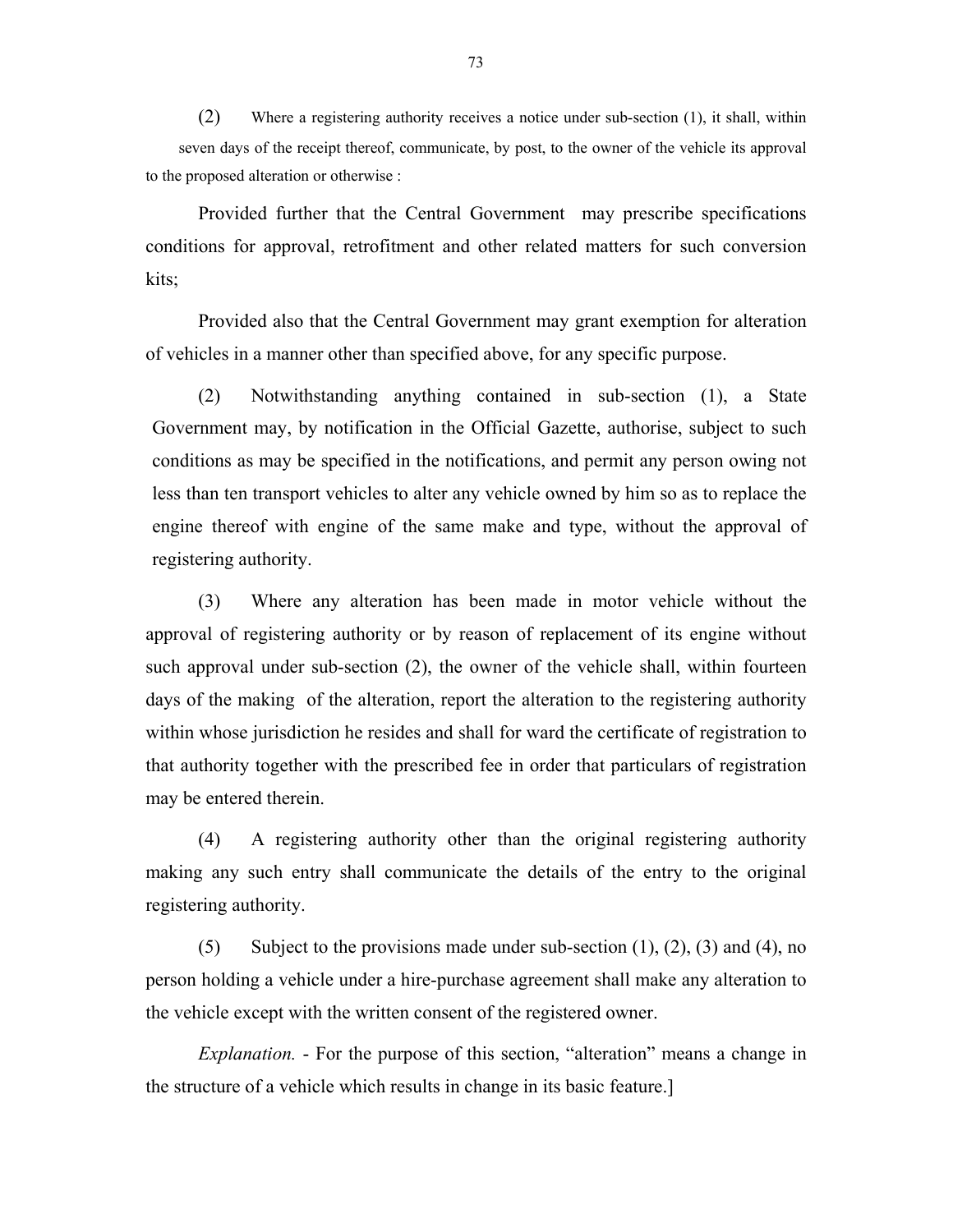(2) Where a registering authority receives a notice under sub-section (1), it shall, within seven days of the receipt thereof, communicate, by post, to the owner of the vehicle its approval to the proposed alteration or otherwise :

Provided further that the Central Government may prescribe specifications conditions for approval, retrofitment and other related matters for such conversion kits;

Provided also that the Central Government may grant exemption for alteration of vehicles in a manner other than specified above, for any specific purpose.

(2) Notwithstanding anything contained in sub-section (1), a State Government may, by notification in the Official Gazette, authorise, subject to such conditions as may be specified in the notifications, and permit any person owing not less than ten transport vehicles to alter any vehicle owned by him so as to replace the engine thereof with engine of the same make and type, without the approval of registering authority.

(3) Where any alteration has been made in motor vehicle without the approval of registering authority or by reason of replacement of its engine without such approval under sub-section (2), the owner of the vehicle shall, within fourteen days of the making of the alteration, report the alteration to the registering authority within whose jurisdiction he resides and shall for ward the certificate of registration to that authority together with the prescribed fee in order that particulars of registration may be entered therein.

(4) A registering authority other than the original registering authority making any such entry shall communicate the details of the entry to the original registering authority.

(5) Subject to the provisions made under sub-section  $(1)$ ,  $(2)$ ,  $(3)$  and  $(4)$ , no person holding a vehicle under a hire-purchase agreement shall make any alteration to the vehicle except with the written consent of the registered owner.

*Explanation.* - For the purpose of this section, "alteration" means a change in the structure of a vehicle which results in change in its basic feature.]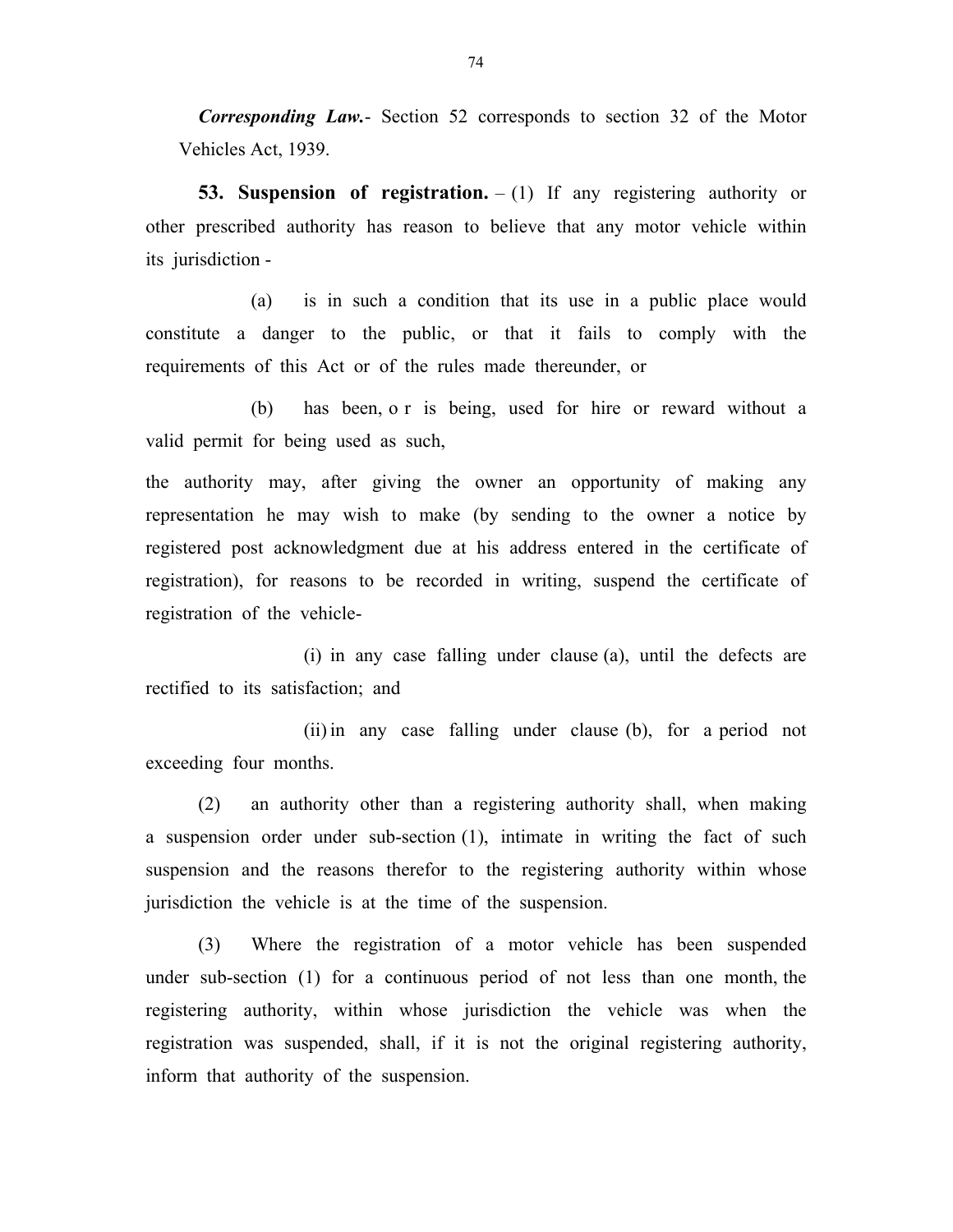*Corresponding Law.*- Section 52 corresponds to section 32 of the Motor Vehicles Act, 1939.

**53. Suspension of registration.**  $- (1)$  If any registering authority or other prescribed authority has reason to believe that any motor vehicle within its jurisdiction -

(a) is in such a condition that its use in a public place would constitute a danger to the public, or that it fails to comply with the requirements of this Act or of the rules made thereunder, or

(b) has been, o r is being, used for hire or reward without a valid permit for being used as such,

the authority may, after giving the owner an opportunity of making any representation he may wish to make (by sending to the owner a notice by registered post acknowledgment due at his address entered in the certificate of registration), for reasons to be recorded in writing, suspend the certificate of registration of the vehicle-

(i) in any case falling under clause (a), until the defects are rectified to its satisfaction; and

(ii) in any case falling under clause (b), for a period not exceeding four months.

(2) an authority other than a registering authority shall, when making a suspension order under sub-section (1), intimate in writing the fact of such suspension and the reasons therefor to the registering authority within whose jurisdiction the vehicle is at the time of the suspension.

(3) Where the registration of a motor vehicle has been suspended under sub-section (1) for a continuous period of not less than one month, the registering authority, within whose jurisdiction the vehicle was when the registration was suspended, shall, if it is not the original registering authority, inform that authority of the suspension.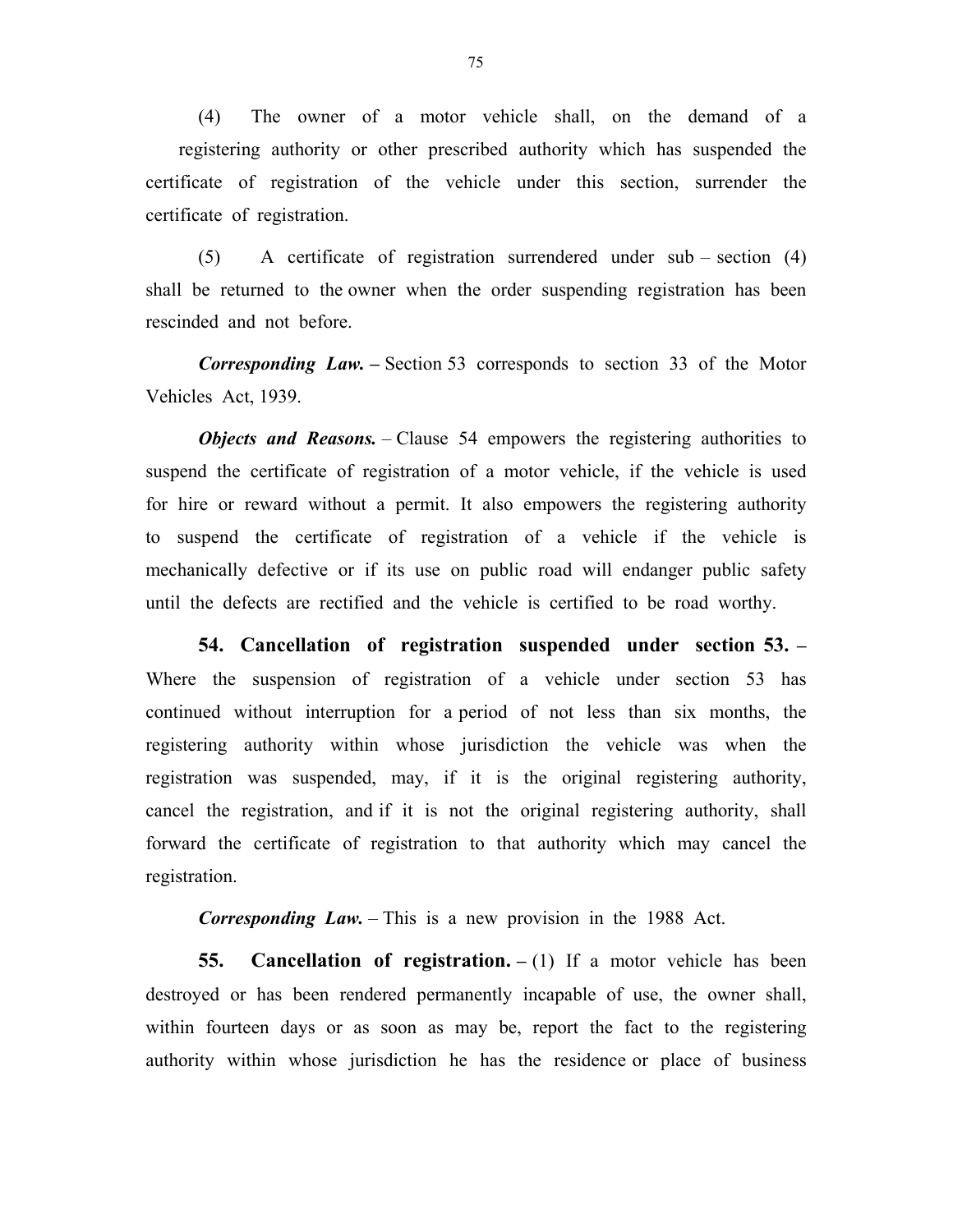(4) The owner of a motor vehicle shall, on the demand of a registering authority or other prescribed authority which has suspended the certificate of registration of the vehicle under this section, surrender the certificate of registration.

(5) A certificate of registration surrendered under sub – section (4) shall be returned to the owner when the order suspending registration has been rescinded and not before.

*Corresponding Law. –* Section 53 corresponds to section 33 of the Motor Vehicles Act, 1939.

*Objects and Reasons.* – Clause 54 empowers the registering authorities to suspend the certificate of registration of a motor vehicle, if the vehicle is used for hire or reward without a permit. It also empowers the registering authority to suspend the certificate of registration of a vehicle if the vehicle is mechanically defective or if its use on public road will endanger public safety until the defects are rectified and the vehicle is certified to be road worthy.

**54. Cancellation of registration suspended under section 53. –** Where the suspension of registration of a vehicle under section 53 has continued without interruption for a period of not less than six months, the registering authority within whose jurisdiction the vehicle was when the registration was suspended, may, if it is the original registering authority, cancel the registration, and if it is not the original registering authority, shall forward the certificate of registration to that authority which may cancel the registration.

*Corresponding Law.* – This is a new provision in the 1988 Act.

**55. Cancellation of registration.** – (1) If a motor vehicle has been destroyed or has been rendered permanently incapable of use, the owner shall, within fourteen days or as soon as may be, report the fact to the registering authority within whose jurisdiction he has the residence or place of business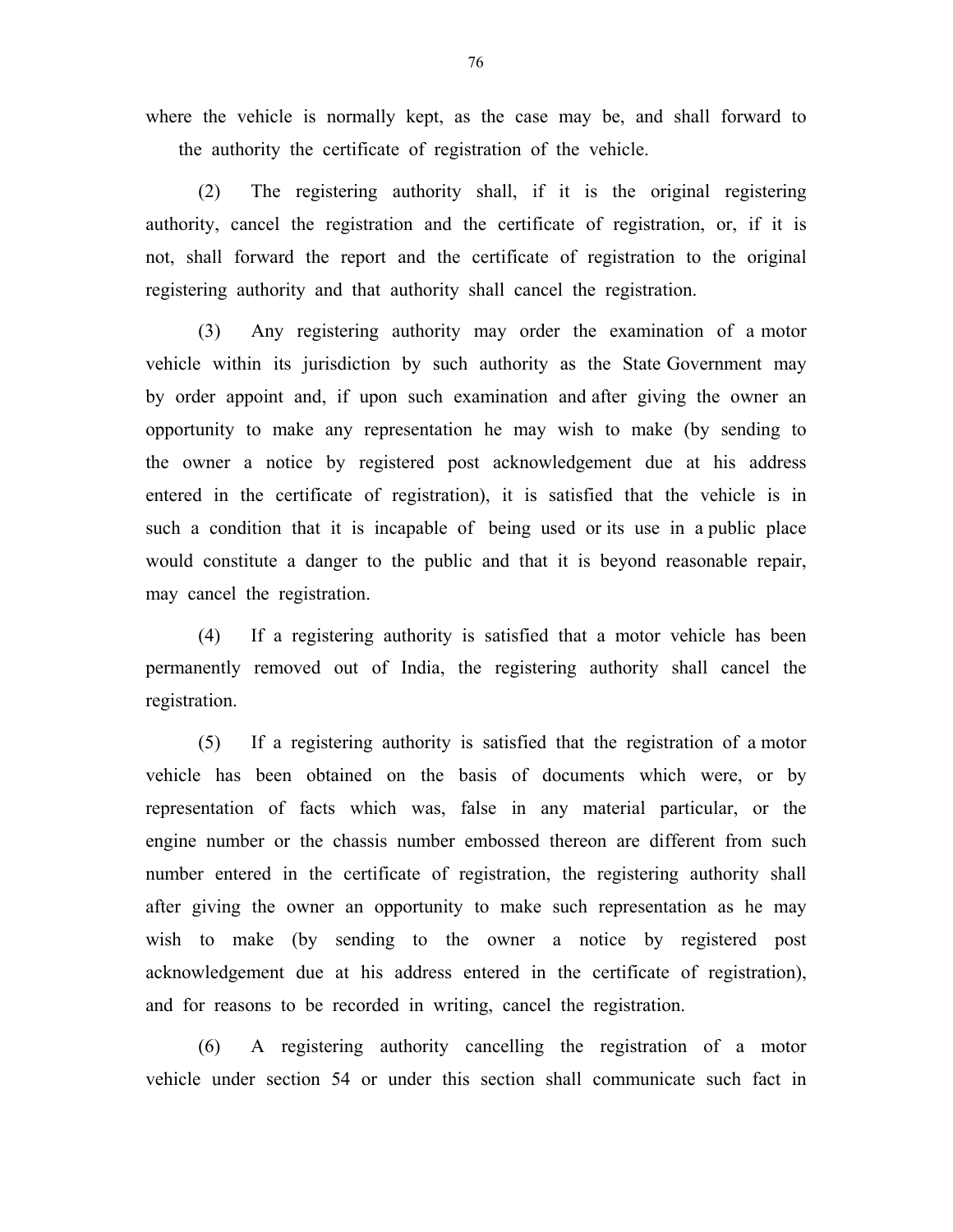where the vehicle is normally kept, as the case may be, and shall forward to the authority the certificate of registration of the vehicle.

(2) The registering authority shall, if it is the original registering authority, cancel the registration and the certificate of registration, or, if it is not, shall forward the report and the certificate of registration to the original registering authority and that authority shall cancel the registration.

(3) Any registering authority may order the examination of a motor vehicle within its jurisdiction by such authority as the State Government may by order appoint and, if upon such examination and after giving the owner an opportunity to make any representation he may wish to make (by sending to the owner a notice by registered post acknowledgement due at his address entered in the certificate of registration), it is satisfied that the vehicle is in such a condition that it is incapable of being used or its use in a public place would constitute a danger to the public and that it is beyond reasonable repair, may cancel the registration.

(4) If a registering authority is satisfied that a motor vehicle has been permanently removed out of India, the registering authority shall cancel the registration.

(5) If a registering authority is satisfied that the registration of a motor vehicle has been obtained on the basis of documents which were, or by representation of facts which was, false in any material particular, or the engine number or the chassis number embossed thereon are different from such number entered in the certificate of registration, the registering authority shall after giving the owner an opportunity to make such representation as he may wish to make (by sending to the owner a notice by registered post acknowledgement due at his address entered in the certificate of registration), and for reasons to be recorded in writing, cancel the registration.

(6) A registering authority cancelling the registration of a motor vehicle under section 54 or under this section shall communicate such fact in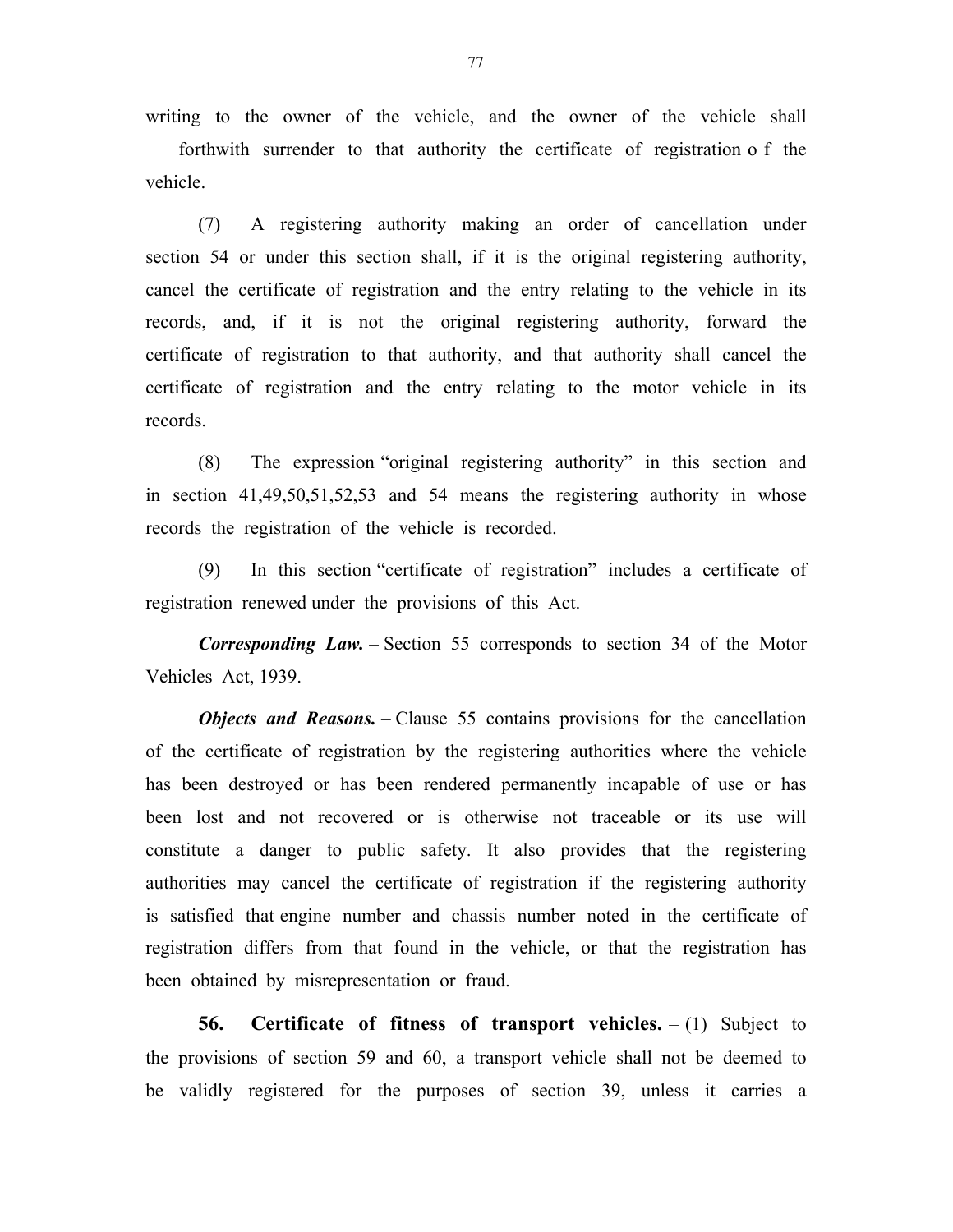writing to the owner of the vehicle, and the owner of the vehicle shall

forthwith surrender to that authority the certificate of registration o f the vehicle.

(7) A registering authority making an order of cancellation under section 54 or under this section shall, if it is the original registering authority, cancel the certificate of registration and the entry relating to the vehicle in its records, and, if it is not the original registering authority, forward the certificate of registration to that authority, and that authority shall cancel the certificate of registration and the entry relating to the motor vehicle in its records.

(8) The expression "original registering authority" in this section and in section 41,49,50,51,52,53 and 54 means the registering authority in whose records the registration of the vehicle is recorded.

(9) In this section "certificate of registration" includes a certificate of registration renewed under the provisions of this Act.

*Corresponding Law.* – Section 55 corresponds to section 34 of the Motor Vehicles Act, 1939.

*Objects and Reasons.* – Clause 55 contains provisions for the cancellation of the certificate of registration by the registering authorities where the vehicle has been destroyed or has been rendered permanently incapable of use or has been lost and not recovered or is otherwise not traceable or its use will constitute a danger to public safety. It also provides that the registering authorities may cancel the certificate of registration if the registering authority is satisfied that engine number and chassis number noted in the certificate of registration differs from that found in the vehicle, or that the registration has been obtained by misrepresentation or fraud.

**56. Certificate of fitness of transport vehicles.** – (1) Subject to the provisions of section 59 and 60, a transport vehicle shall not be deemed to be validly registered for the purposes of section 39, unless it carries a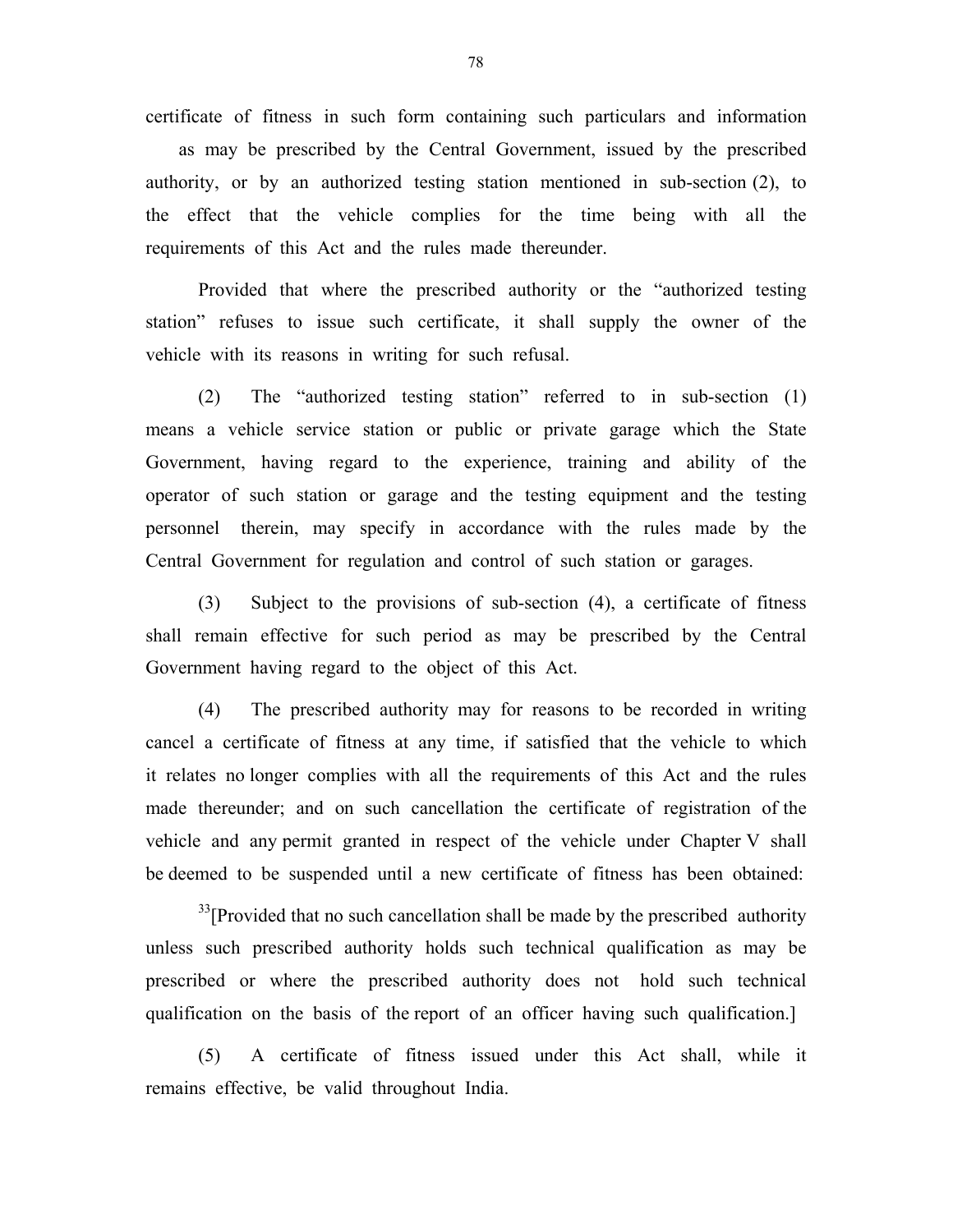certificate of fitness in such form containing such particulars and information

as may be prescribed by the Central Government, issued by the prescribed authority, or by an authorized testing station mentioned in sub-section (2), to the effect that the vehicle complies for the time being with all the requirements of this Act and the rules made thereunder.

Provided that where the prescribed authority or the "authorized testing station" refuses to issue such certificate, it shall supply the owner of the vehicle with its reasons in writing for such refusal.

(2) The "authorized testing station" referred to in sub-section (1) means a vehicle service station or public or private garage which the State Government, having regard to the experience, training and ability of the operator of such station or garage and the testing equipment and the testing personnel therein, may specify in accordance with the rules made by the Central Government for regulation and control of such station or garages.

(3) Subject to the provisions of sub-section (4), a certificate of fitness shall remain effective for such period as may be prescribed by the Central Government having regard to the object of this Act.

(4) The prescribed authority may for reasons to be recorded in writing cancel a certificate of fitness at any time, if satisfied that the vehicle to which it relates no longer complies with all the requirements of this Act and the rules made thereunder; and on such cancellation the certificate of registration of the vehicle and any permit granted in respect of the vehicle under Chapter V shall be deemed to be suspended until a new certificate of fitness has been obtained:

 $33$ [Provided that no such cancellation shall be made by the prescribed authority unless such prescribed authority holds such technical qualification as may be prescribed or where the prescribed authority does not hold such technical qualification on the basis of the report of an officer having such qualification.]

(5) A certificate of fitness issued under this Act shall, while it remains effective, be valid throughout India.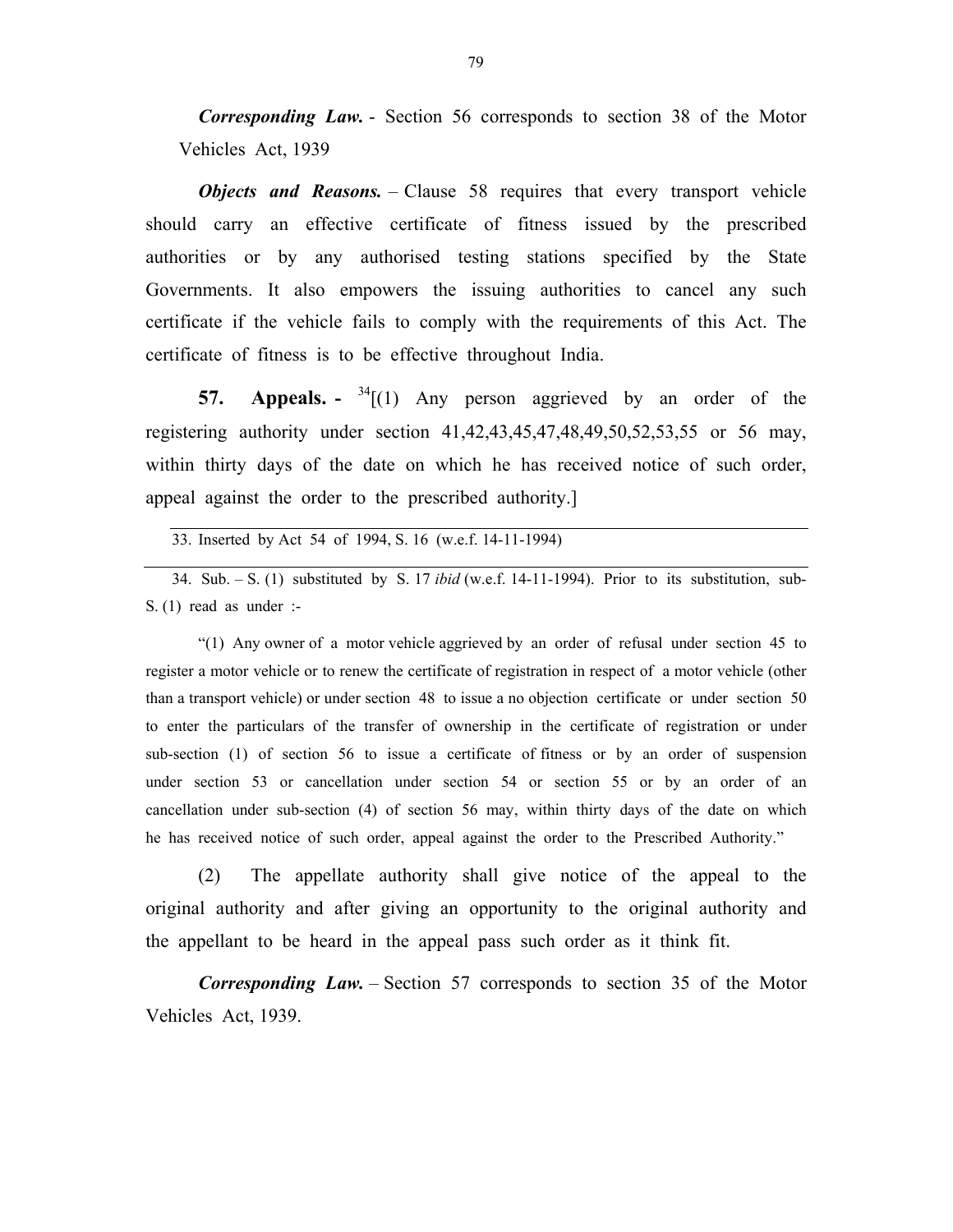*Corresponding Law.* - Section 56 corresponds to section 38 of the Motor Vehicles Act, 1939

*Objects and Reasons.* – Clause 58 requires that every transport vehicle should carry an effective certificate of fitness issued by the prescribed authorities or by any authorised testing stations specified by the State Governments. It also empowers the issuing authorities to cancel any such certificate if the vehicle fails to comply with the requirements of this Act. The certificate of fitness is to be effective throughout India.

**57. Appeals.**  $-$  <sup>34</sup>[(1) Any person aggrieved by an order of the registering authority under section 41,42,43,45,47,48,49,50,52,53,55 or 56 may, within thirty days of the date on which he has received notice of such order, appeal against the order to the prescribed authority.]

33. Inserted by Act 54 of 1994, S. 16 (w.e.f. 14-11-1994)

34. Sub. – S. (1) substituted by S. 17 *ibid* (w.e.f. 14-11-1994). Prior to its substitution, sub-S. (1) read as under :-

 "(1) Any owner of a motor vehicle aggrieved by an order of refusal under section 45 to register a motor vehicle or to renew the certificate of registration in respect of a motor vehicle (other than a transport vehicle) or under section 48 to issue a no objection certificate or under section 50 to enter the particulars of the transfer of ownership in the certificate of registration or under sub-section (1) of section 56 to issue a certificate of fitness or by an order of suspension under section 53 or cancellation under section 54 or section 55 or by an order of an cancellation under sub-section (4) of section 56 may, within thirty days of the date on which he has received notice of such order, appeal against the order to the Prescribed Authority."

(2) The appellate authority shall give notice of the appeal to the original authority and after giving an opportunity to the original authority and the appellant to be heard in the appeal pass such order as it think fit.

*Corresponding Law.* – Section 57 corresponds to section 35 of the Motor Vehicles Act, 1939.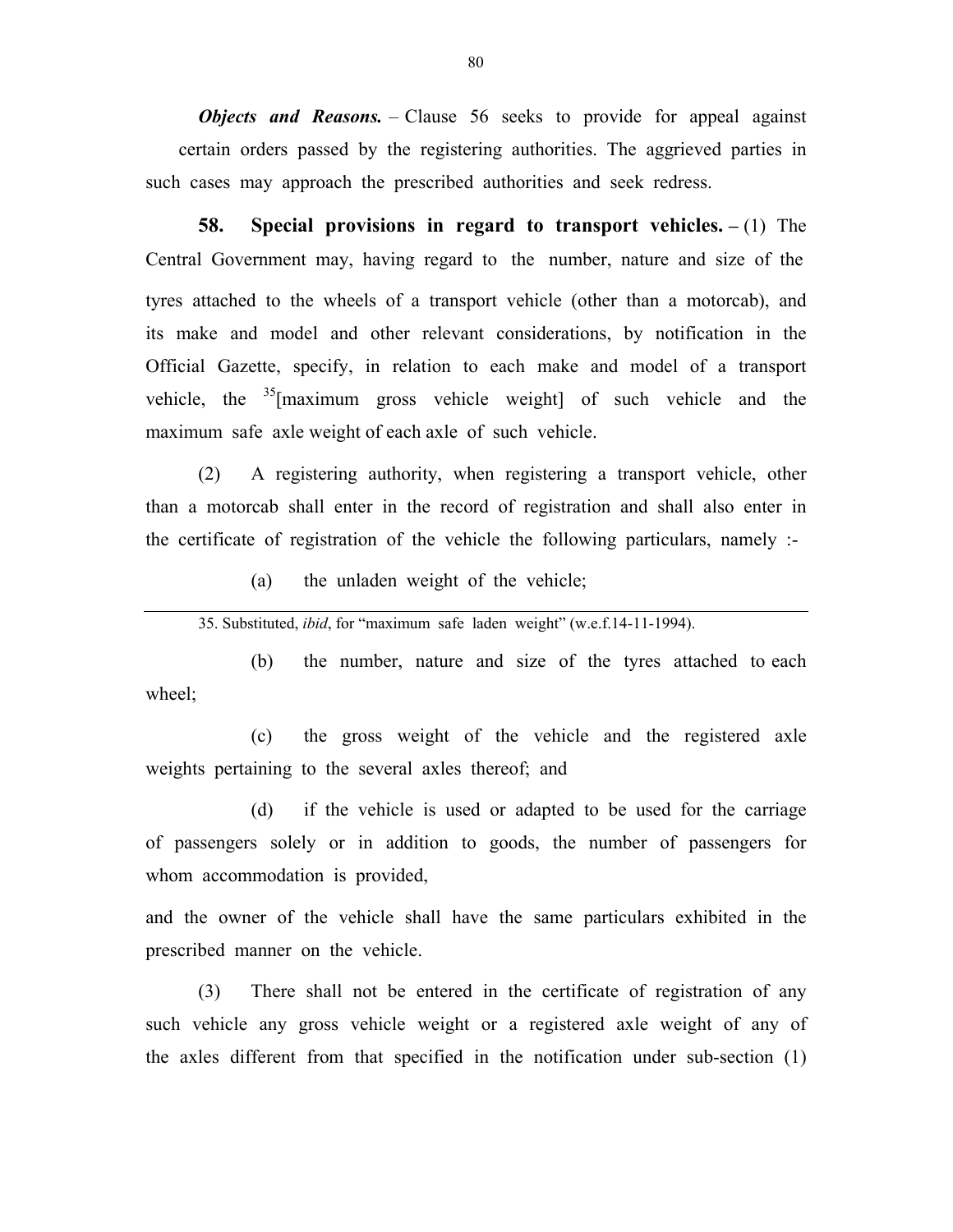*Objects and Reasons.* – Clause 56 seeks to provide for appeal against certain orders passed by the registering authorities. The aggrieved parties in such cases may approach the prescribed authorities and seek redress.

**58. Special provisions in regard to transport vehicles. –** (1) The Central Government may, having regard to the number, nature and size of the tyres attached to the wheels of a transport vehicle (other than a motorcab), and its make and model and other relevant considerations, by notification in the Official Gazette, specify, in relation to each make and model of a transport vehicle, the  $35$ [maximum gross vehicle weight] of such vehicle and the maximum safe axle weight of each axle of such vehicle.

(2) A registering authority, when registering a transport vehicle, other than a motorcab shall enter in the record of registration and shall also enter in the certificate of registration of the vehicle the following particulars, namely :-

(a) the unladen weight of the vehicle;

35. Substituted, *ibid*, for "maximum safe laden weight" (w.e.f.14-11-1994).

(b) the number, nature and size of the tyres attached to each wheel;

(c) the gross weight of the vehicle and the registered axle weights pertaining to the several axles thereof; and

(d) if the vehicle is used or adapted to be used for the carriage of passengers solely or in addition to goods, the number of passengers for whom accommodation is provided,

and the owner of the vehicle shall have the same particulars exhibited in the prescribed manner on the vehicle.

(3) There shall not be entered in the certificate of registration of any such vehicle any gross vehicle weight or a registered axle weight of any of the axles different from that specified in the notification under sub-section (1)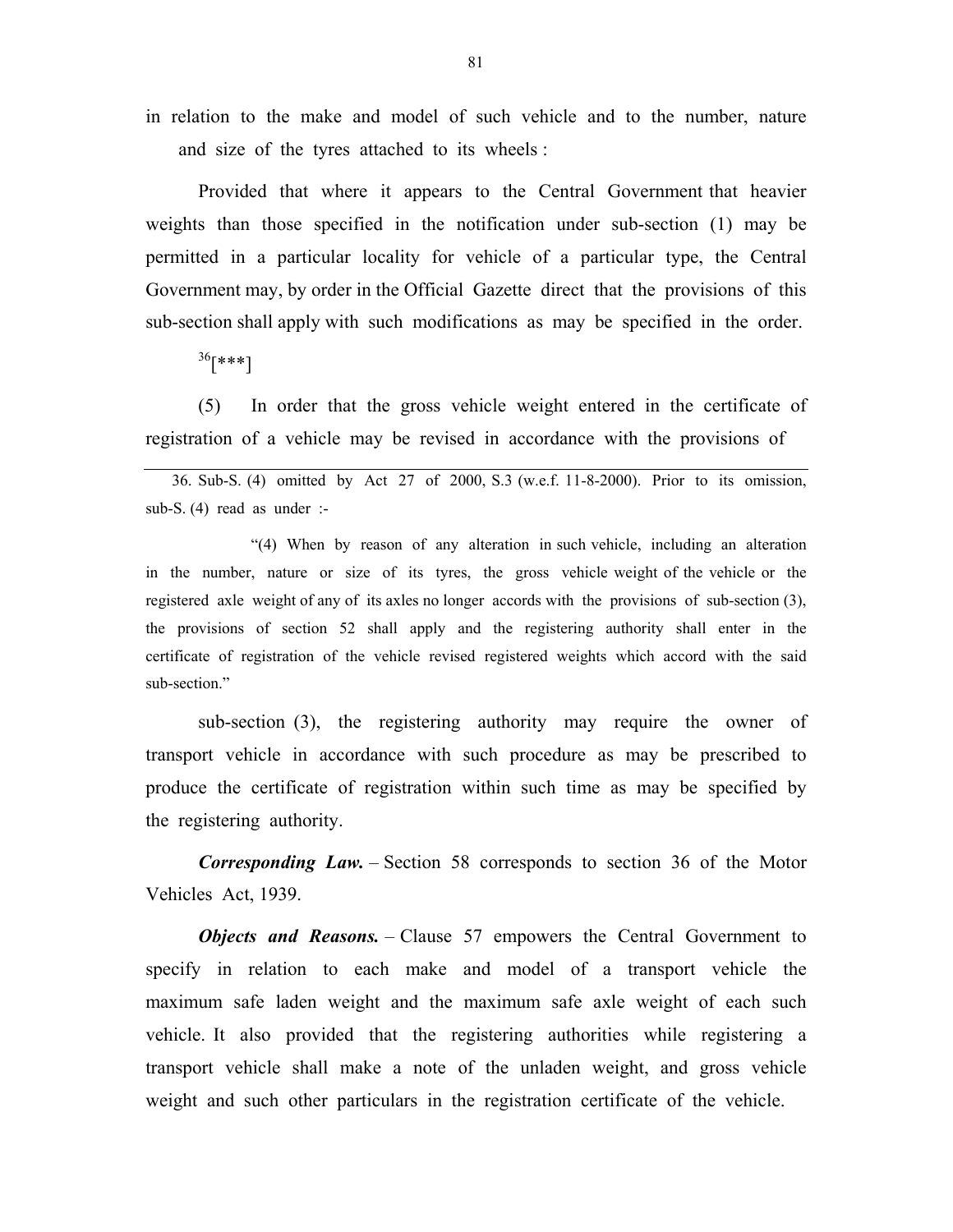in relation to the make and model of such vehicle and to the number, nature and size of the tyres attached to its wheels :

Provided that where it appears to the Central Government that heavier weights than those specified in the notification under sub-section (1) may be permitted in a particular locality for vehicle of a particular type, the Central Government may, by order in the Official Gazette direct that the provisions of this sub-section shall apply with such modifications as may be specified in the order.

 $36$ [\*\*\*]

(5) In order that the gross vehicle weight entered in the certificate of registration of a vehicle may be revised in accordance with the provisions of

36. Sub-S. (4) omitted by Act 27 of 2000, S.3 (w.e.f. 11-8-2000). Prior to its omission, sub-S. (4) read as under :-

 "(4) When by reason of any alteration in such vehicle, including an alteration in the number, nature or size of its tyres, the gross vehicle weight of the vehicle or the registered axle weight of any of its axles no longer accords with the provisions of sub-section (3), the provisions of section 52 shall apply and the registering authority shall enter in the certificate of registration of the vehicle revised registered weights which accord with the said sub-section."

sub-section (3), the registering authority may require the owner of transport vehicle in accordance with such procedure as may be prescribed to produce the certificate of registration within such time as may be specified by the registering authority.

*Corresponding Law.* – Section 58 corresponds to section 36 of the Motor Vehicles Act, 1939.

*Objects and Reasons.* – Clause 57 empowers the Central Government to specify in relation to each make and model of a transport vehicle the maximum safe laden weight and the maximum safe axle weight of each such vehicle. It also provided that the registering authorities while registering a transport vehicle shall make a note of the unladen weight, and gross vehicle weight and such other particulars in the registration certificate of the vehicle.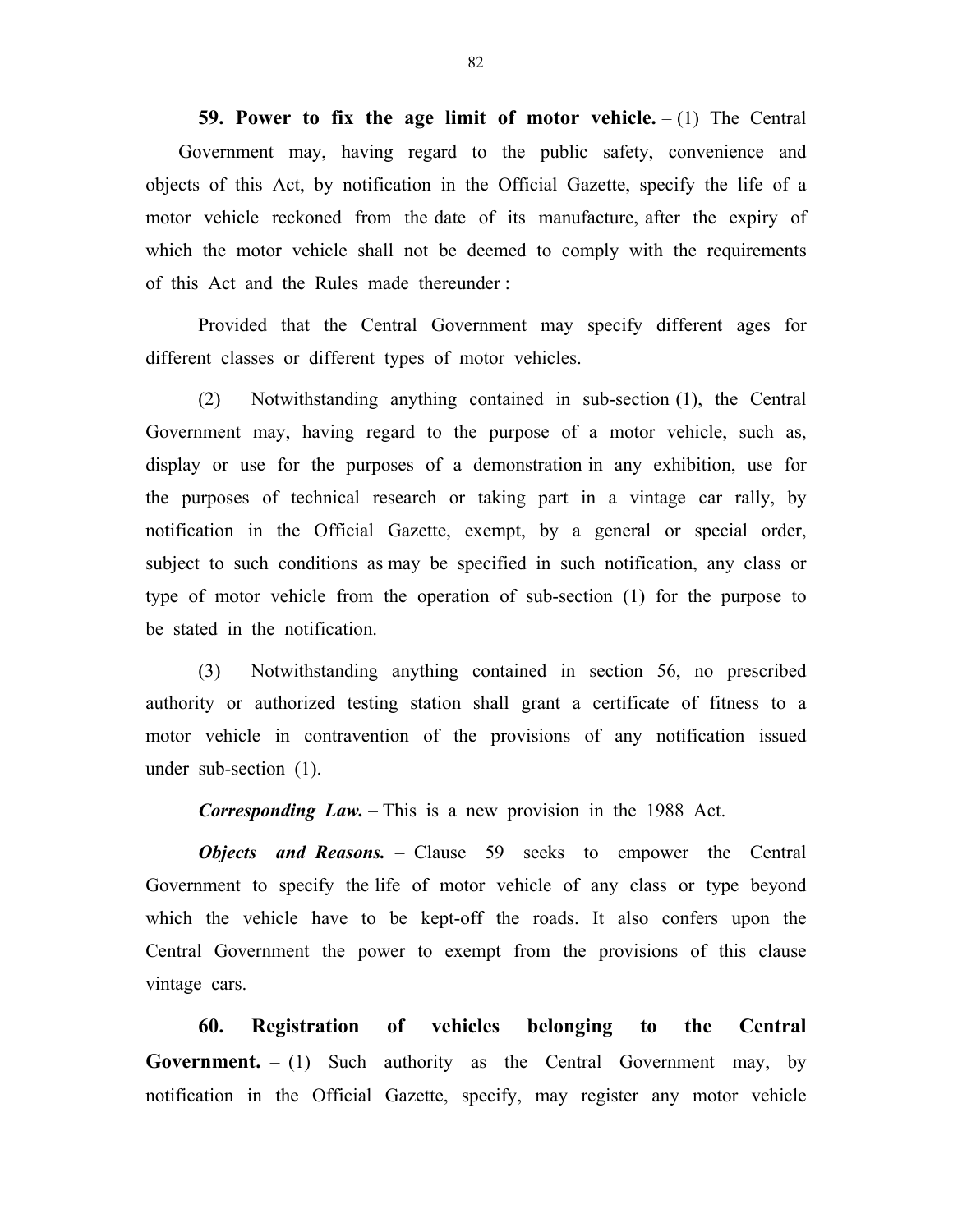**59. Power to fix the age limit of motor vehicle.**  $-(1)$  The Central Government may, having regard to the public safety, convenience and objects of this Act, by notification in the Official Gazette, specify the life of a motor vehicle reckoned from the date of its manufacture, after the expiry of which the motor vehicle shall not be deemed to comply with the requirements of this Act and the Rules made thereunder :

Provided that the Central Government may specify different ages for different classes or different types of motor vehicles.

(2) Notwithstanding anything contained in sub-section (1), the Central Government may, having regard to the purpose of a motor vehicle, such as, display or use for the purposes of a demonstration in any exhibition, use for the purposes of technical research or taking part in a vintage car rally, by notification in the Official Gazette, exempt, by a general or special order, subject to such conditions as may be specified in such notification, any class or type of motor vehicle from the operation of sub-section (1) for the purpose to be stated in the notification.

(3) Notwithstanding anything contained in section 56, no prescribed authority or authorized testing station shall grant a certificate of fitness to a motor vehicle in contravention of the provisions of any notification issued under sub-section (1).

*Corresponding Law.* – This is a new provision in the 1988 Act.

*Objects and Reasons.* – Clause 59 seeks to empower the Central Government to specify the life of motor vehicle of any class or type beyond which the vehicle have to be kept-off the roads. It also confers upon the Central Government the power to exempt from the provisions of this clause vintage cars.

**60. Registration of vehicles belonging to the Central Government.** – (1) Such authority as the Central Government may, by notification in the Official Gazette, specify, may register any motor vehicle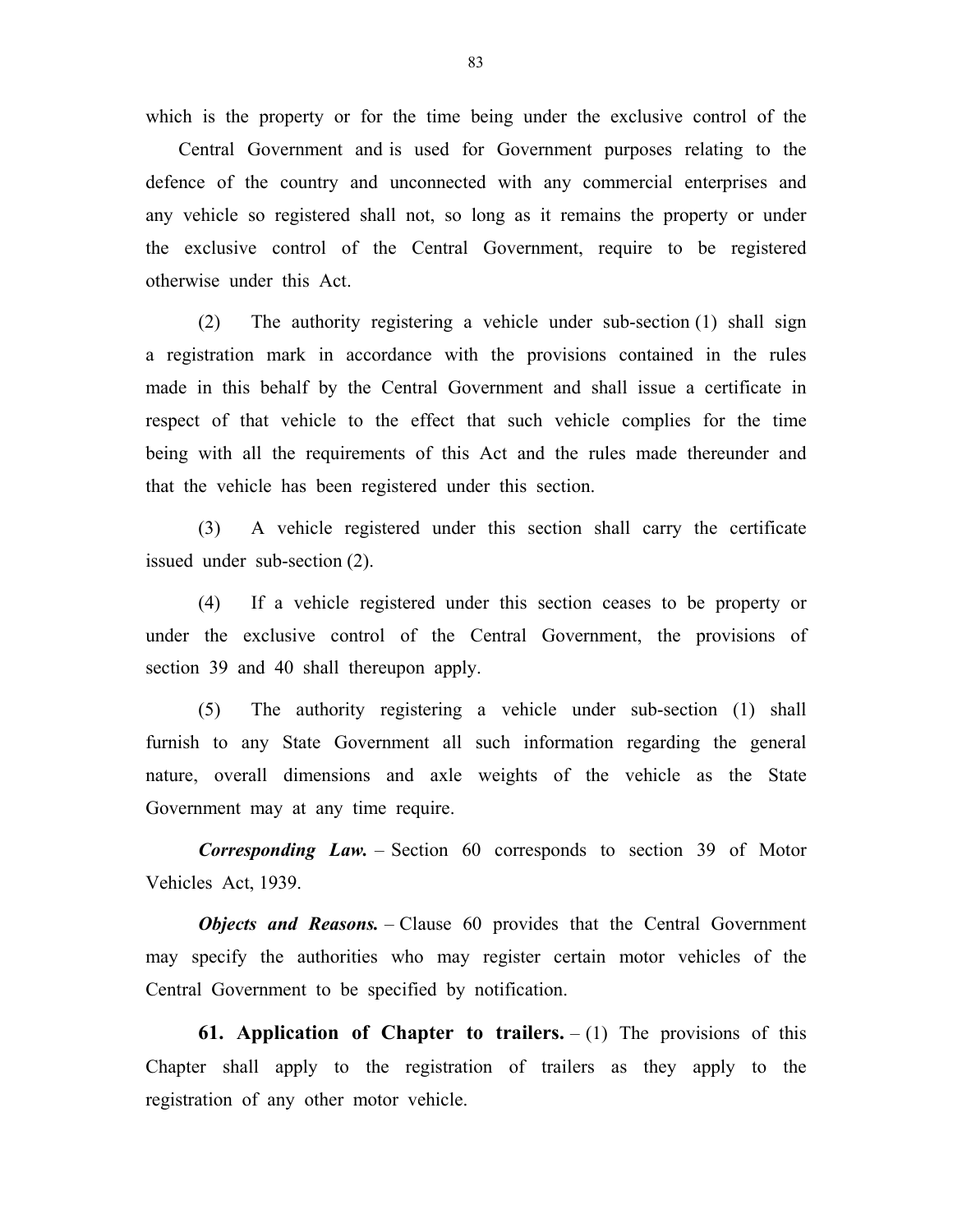which is the property or for the time being under the exclusive control of the

Central Government and is used for Government purposes relating to the defence of the country and unconnected with any commercial enterprises and any vehicle so registered shall not, so long as it remains the property or under the exclusive control of the Central Government, require to be registered otherwise under this Act.

(2) The authority registering a vehicle under sub-section (1) shall sign a registration mark in accordance with the provisions contained in the rules made in this behalf by the Central Government and shall issue a certificate in respect of that vehicle to the effect that such vehicle complies for the time being with all the requirements of this Act and the rules made thereunder and that the vehicle has been registered under this section.

(3) A vehicle registered under this section shall carry the certificate issued under sub-section (2).

(4) If a vehicle registered under this section ceases to be property or under the exclusive control of the Central Government, the provisions of section 39 and 40 shall thereupon apply.

(5) The authority registering a vehicle under sub-section (1) shall furnish to any State Government all such information regarding the general nature, overall dimensions and axle weights of the vehicle as the State Government may at any time require.

*Corresponding Law.* – Section 60 corresponds to section 39 of Motor Vehicles Act, 1939.

*Objects and Reasons.* – Clause 60 provides that the Central Government may specify the authorities who may register certain motor vehicles of the Central Government to be specified by notification.

**61. Application of Chapter to trailers.** – (1) The provisions of this Chapter shall apply to the registration of trailers as they apply to the registration of any other motor vehicle.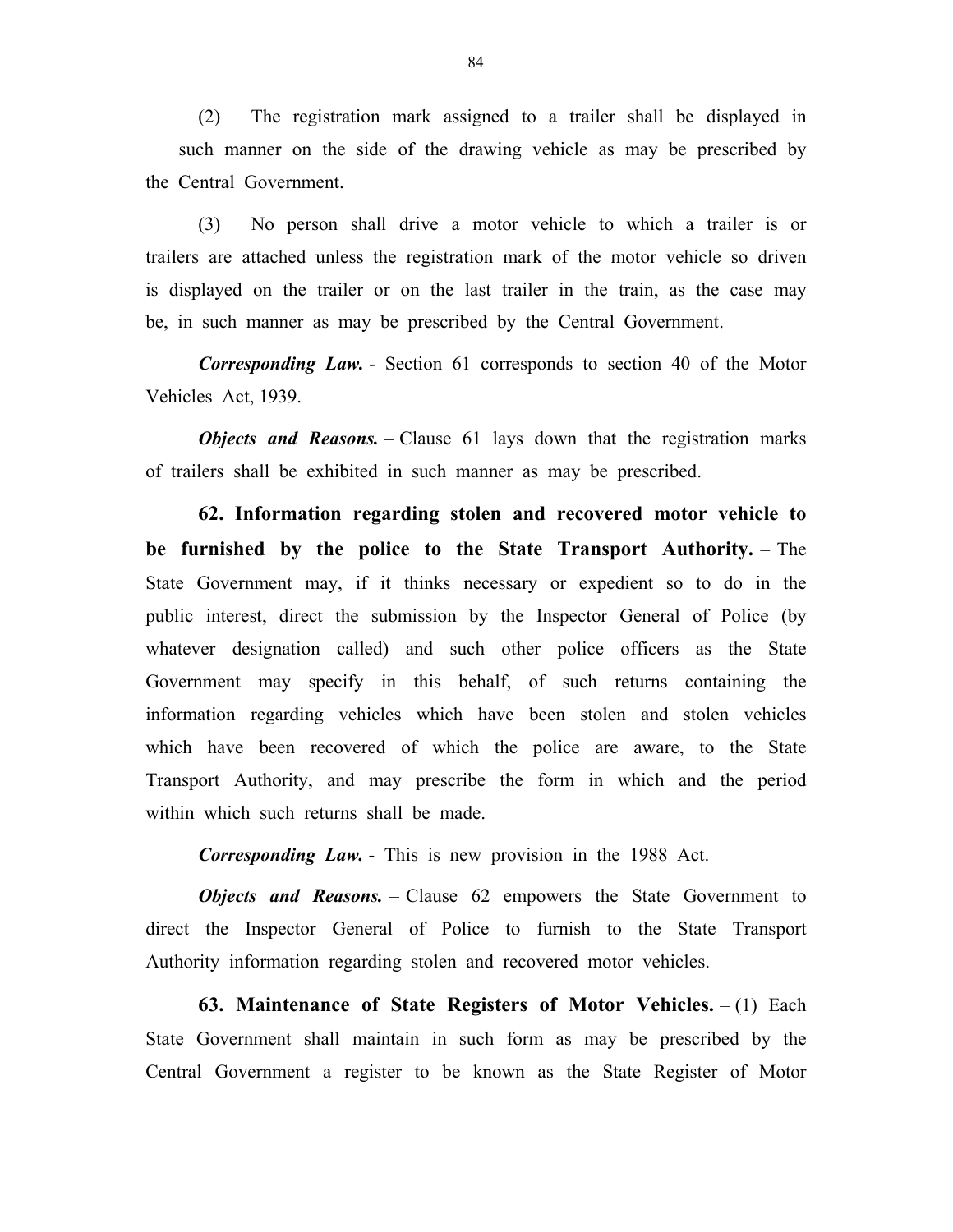(2) The registration mark assigned to a trailer shall be displayed in such manner on the side of the drawing vehicle as may be prescribed by the Central Government.

(3) No person shall drive a motor vehicle to which a trailer is or trailers are attached unless the registration mark of the motor vehicle so driven is displayed on the trailer or on the last trailer in the train, as the case may be, in such manner as may be prescribed by the Central Government.

*Corresponding Law.* - Section 61 corresponds to section 40 of the Motor Vehicles Act, 1939.

*Objects and Reasons.* – Clause 61 lays down that the registration marks of trailers shall be exhibited in such manner as may be prescribed.

**62. Information regarding stolen and recovered motor vehicle to be furnished by the police to the State Transport Authority.** – The State Government may, if it thinks necessary or expedient so to do in the public interest, direct the submission by the Inspector General of Police (by whatever designation called) and such other police officers as the State Government may specify in this behalf, of such returns containing the information regarding vehicles which have been stolen and stolen vehicles which have been recovered of which the police are aware, to the State Transport Authority, and may prescribe the form in which and the period within which such returns shall be made.

*Corresponding Law.* - This is new provision in the 1988 Act.

*Objects and Reasons.* – Clause 62 empowers the State Government to direct the Inspector General of Police to furnish to the State Transport Authority information regarding stolen and recovered motor vehicles.

**63. Maintenance of State Registers of Motor Vehicles.**  $- (1)$  Each State Government shall maintain in such form as may be prescribed by the Central Government a register to be known as the State Register of Motor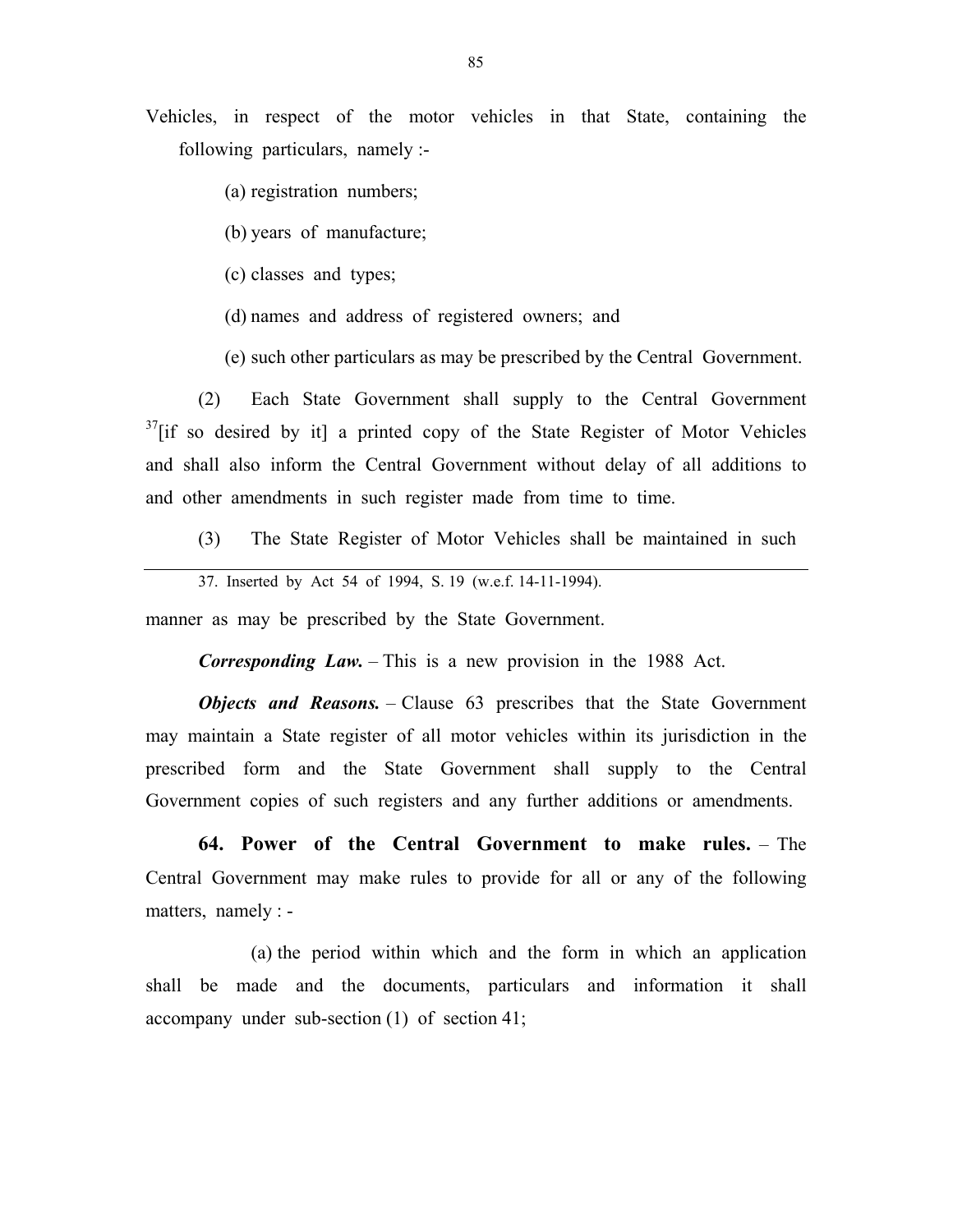Vehicles, in respect of the motor vehicles in that State, containing the following particulars, namely :-

(a) registration numbers;

(b) years of manufacture;

(c) classes and types;

(d) names and address of registered owners; and

(e) such other particulars as may be prescribed by the Central Government.

(2) Each State Government shall supply to the Central Government  $37$ [if so desired by it] a printed copy of the State Register of Motor Vehicles and shall also inform the Central Government without delay of all additions to and other amendments in such register made from time to time.

(3) The State Register of Motor Vehicles shall be maintained in such

37. Inserted by Act 54 of 1994, S. 19 (w.e.f. 14-11-1994).

manner as may be prescribed by the State Government.

*Corresponding Law.* – This is a new provision in the 1988 Act.

*Objects and Reasons.* – Clause 63 prescribes that the State Government may maintain a State register of all motor vehicles within its jurisdiction in the prescribed form and the State Government shall supply to the Central Government copies of such registers and any further additions or amendments.

**64. Power of the Central Government to make rules.** – The Central Government may make rules to provide for all or any of the following matters, namely : -

(a) the period within which and the form in which an application shall be made and the documents, particulars and information it shall accompany under sub-section (1) of section 41;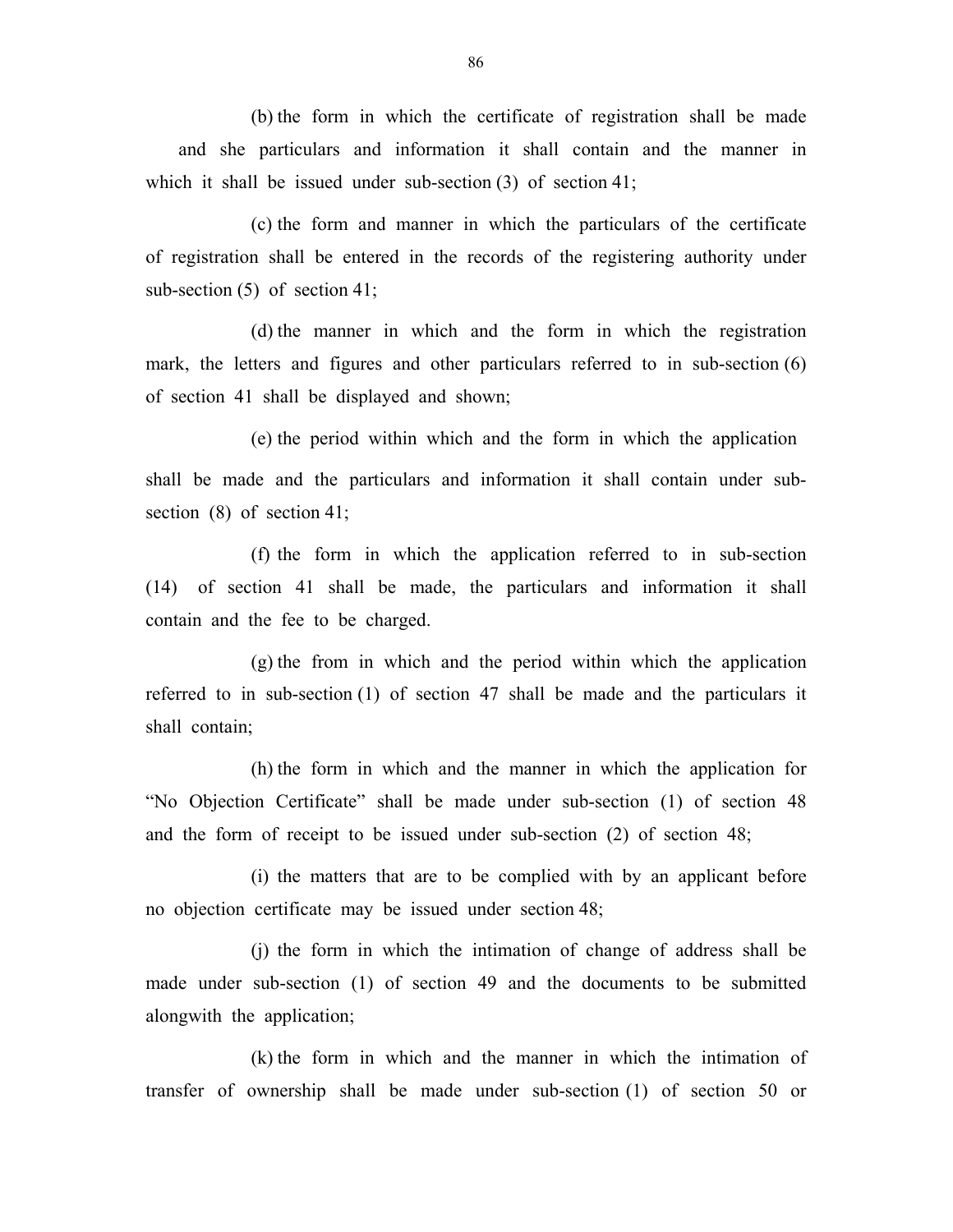(b) the form in which the certificate of registration shall be made and she particulars and information it shall contain and the manner in which it shall be issued under sub-section (3) of section 41;

(c) the form and manner in which the particulars of the certificate of registration shall be entered in the records of the registering authority under sub-section (5) of section 41;

(d) the manner in which and the form in which the registration mark, the letters and figures and other particulars referred to in sub-section (6) of section 41 shall be displayed and shown;

(e) the period within which and the form in which the application shall be made and the particulars and information it shall contain under subsection (8) of section 41;

(f) the form in which the application referred to in sub-section (14) of section 41 shall be made, the particulars and information it shall contain and the fee to be charged.

(g) the from in which and the period within which the application referred to in sub-section (1) of section 47 shall be made and the particulars it shall contain;

(h) the form in which and the manner in which the application for "No Objection Certificate" shall be made under sub-section (1) of section 48 and the form of receipt to be issued under sub-section (2) of section 48;

(i) the matters that are to be complied with by an applicant before no objection certificate may be issued under section 48;

(j) the form in which the intimation of change of address shall be made under sub-section (1) of section 49 and the documents to be submitted alongwith the application;

(k) the form in which and the manner in which the intimation of transfer of ownership shall be made under sub-section (1) of section 50 or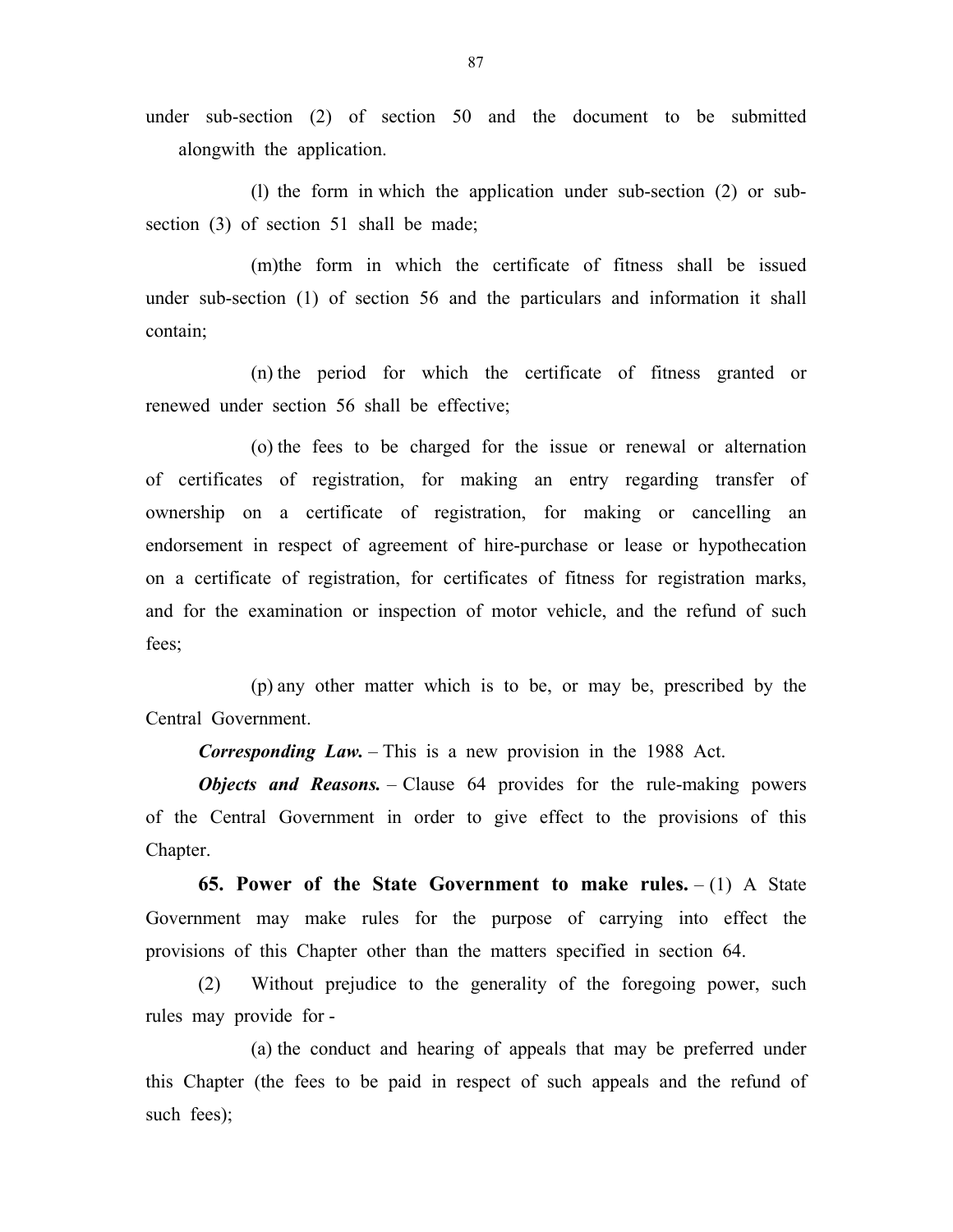under sub-section (2) of section 50 and the document to be submitted alongwith the application.

(l) the form in which the application under sub-section (2) or subsection (3) of section 51 shall be made;

(m)the form in which the certificate of fitness shall be issued under sub-section (1) of section 56 and the particulars and information it shall contain;

(n) the period for which the certificate of fitness granted or renewed under section 56 shall be effective;

(o) the fees to be charged for the issue or renewal or alternation of certificates of registration, for making an entry regarding transfer of ownership on a certificate of registration, for making or cancelling an endorsement in respect of agreement of hire-purchase or lease or hypothecation on a certificate of registration, for certificates of fitness for registration marks, and for the examination or inspection of motor vehicle, and the refund of such fees;

(p) any other matter which is to be, or may be, prescribed by the Central Government.

*Corresponding Law.* – This is a new provision in the 1988 Act.

*Objects and Reasons.* – Clause 64 provides for the rule-making powers of the Central Government in order to give effect to the provisions of this Chapter.

**65. Power of the State Government to make rules.** – (1) A State Government may make rules for the purpose of carrying into effect the provisions of this Chapter other than the matters specified in section 64.

(2) Without prejudice to the generality of the foregoing power, such rules may provide for -

(a) the conduct and hearing of appeals that may be preferred under this Chapter (the fees to be paid in respect of such appeals and the refund of such fees);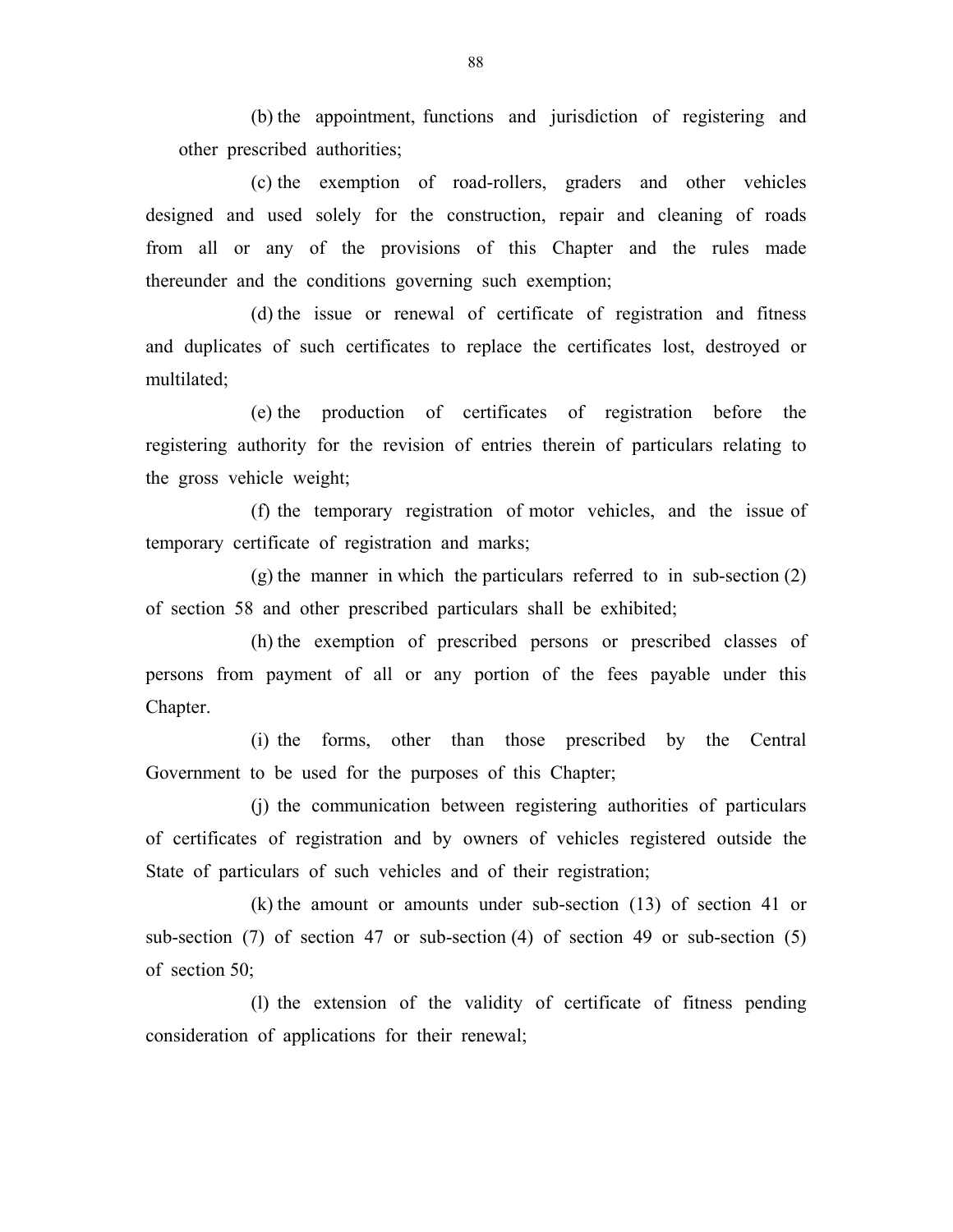(b) the appointment, functions and jurisdiction of registering and other prescribed authorities;

(c) the exemption of road-rollers, graders and other vehicles designed and used solely for the construction, repair and cleaning of roads from all or any of the provisions of this Chapter and the rules made thereunder and the conditions governing such exemption;

(d) the issue or renewal of certificate of registration and fitness and duplicates of such certificates to replace the certificates lost, destroyed or multilated;

(e) the production of certificates of registration before the registering authority for the revision of entries therein of particulars relating to the gross vehicle weight;

(f) the temporary registration of motor vehicles, and the issue of temporary certificate of registration and marks;

(g) the manner in which the particulars referred to in sub-section (2) of section 58 and other prescribed particulars shall be exhibited;

(h) the exemption of prescribed persons or prescribed classes of persons from payment of all or any portion of the fees payable under this Chapter.

(i) the forms, other than those prescribed by the Central Government to be used for the purposes of this Chapter;

(j) the communication between registering authorities of particulars of certificates of registration and by owners of vehicles registered outside the State of particulars of such vehicles and of their registration;

(k) the amount or amounts under sub-section (13) of section 41 or sub-section (7) of section 47 or sub-section (4) of section 49 or sub-section (5) of section 50;

(l) the extension of the validity of certificate of fitness pending consideration of applications for their renewal;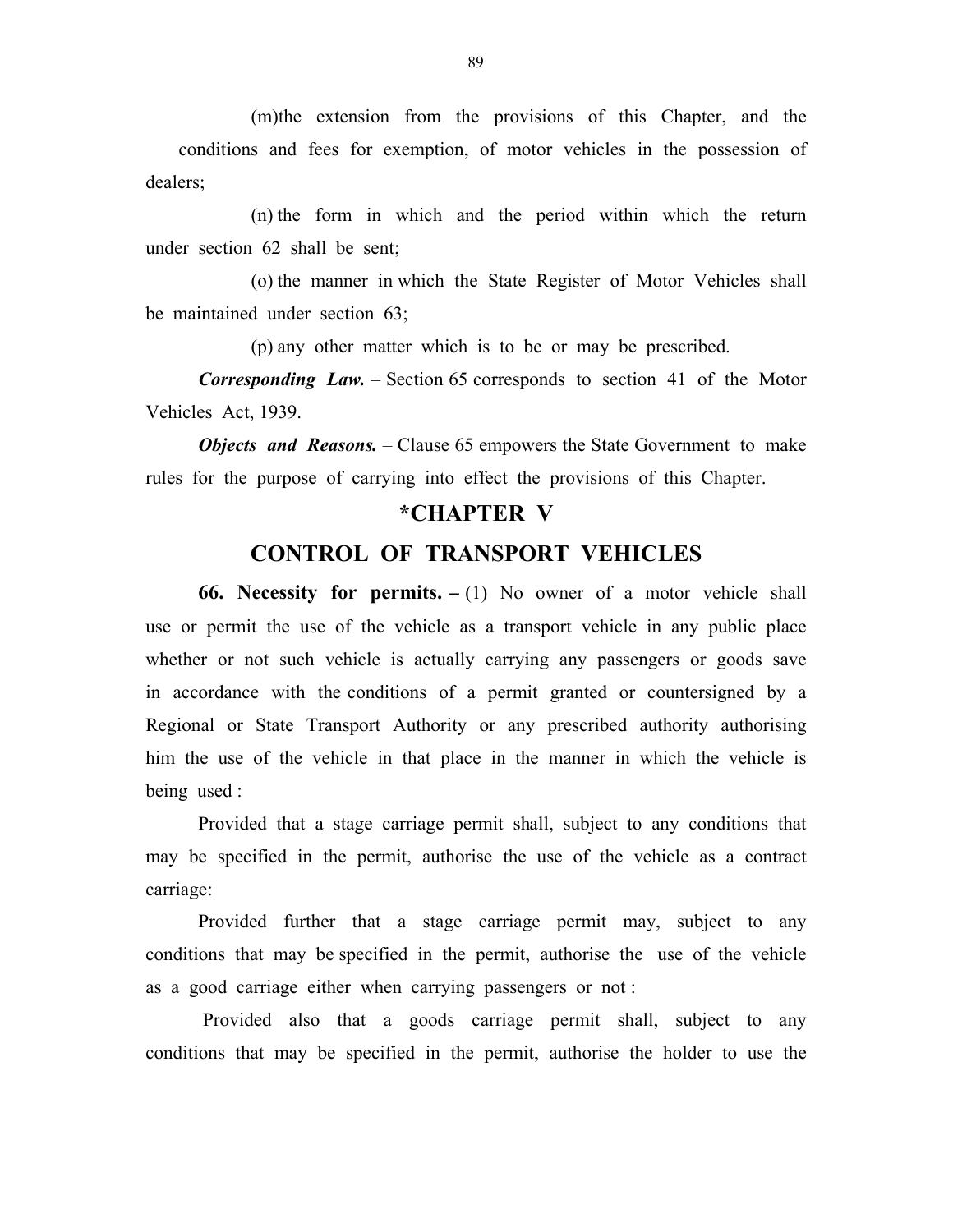(m)the extension from the provisions of this Chapter, and the conditions and fees for exemption, of motor vehicles in the possession of dealers;

(n) the form in which and the period within which the return under section 62 shall be sent;

(o) the manner in which the State Register of Motor Vehicles shall be maintained under section 63;

(p) any other matter which is to be or may be prescribed.

*Corresponding Law.* – Section 65 corresponds to section 41 of the Motor Vehicles Act, 1939.

*Objects and Reasons.* – Clause 65 empowers the State Government to make rules for the purpose of carrying into effect the provisions of this Chapter.

## **\*CHAPTER V**

## **CONTROL OF TRANSPORT VEHICLES**

**66. Necessity for permits. –** (1) No owner of a motor vehicle shall use or permit the use of the vehicle as a transport vehicle in any public place whether or not such vehicle is actually carrying any passengers or goods save in accordance with the conditions of a permit granted or countersigned by a Regional or State Transport Authority or any prescribed authority authorising him the use of the vehicle in that place in the manner in which the vehicle is being used :

Provided that a stage carriage permit shall, subject to any conditions that may be specified in the permit, authorise the use of the vehicle as a contract carriage:

Provided further that a stage carriage permit may, subject to any conditions that may be specified in the permit, authorise the use of the vehicle as a good carriage either when carrying passengers or not :

 Provided also that a goods carriage permit shall, subject to any conditions that may be specified in the permit, authorise the holder to use the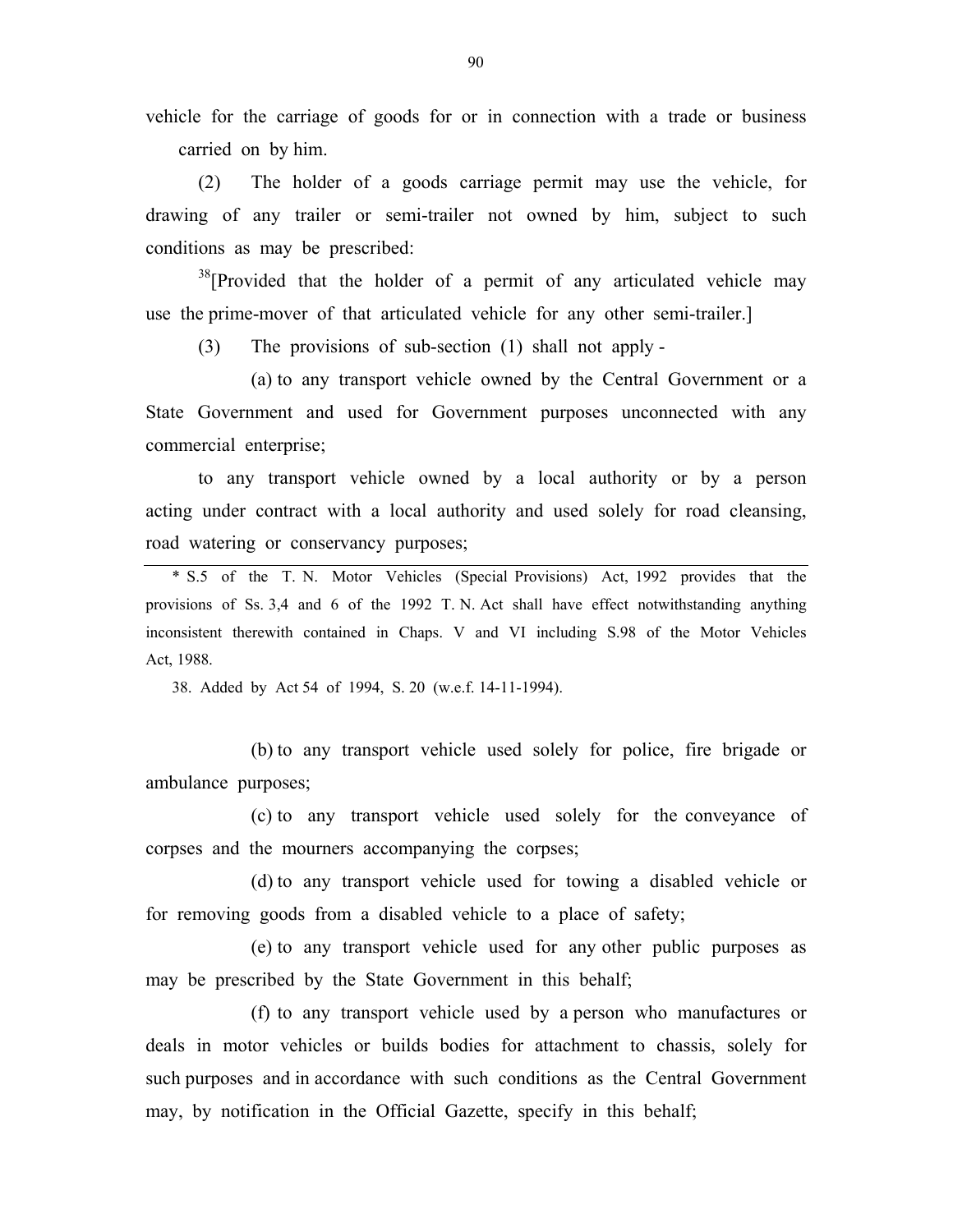vehicle for the carriage of goods for or in connection with a trade or business carried on by him.

(2) The holder of a goods carriage permit may use the vehicle, for drawing of any trailer or semi-trailer not owned by him, subject to such conditions as may be prescribed:

 $38$ [Provided that the holder of a permit of any articulated vehicle may use the prime-mover of that articulated vehicle for any other semi-trailer.]

(3) The provisions of sub-section (1) shall not apply -

(a) to any transport vehicle owned by the Central Government or a State Government and used for Government purposes unconnected with any commercial enterprise;

to any transport vehicle owned by a local authority or by a person acting under contract with a local authority and used solely for road cleansing, road watering or conservancy purposes;

\* S.5 of the T. N. Motor Vehicles (Special Provisions) Act, 1992 provides that the provisions of Ss. 3,4 and 6 of the 1992 T. N. Act shall have effect notwithstanding anything inconsistent therewith contained in Chaps. V and VI including S.98 of the Motor Vehicles Act, 1988.

38. Added by Act 54 of 1994, S. 20 (w.e.f. 14-11-1994).

(b) to any transport vehicle used solely for police, fire brigade or ambulance purposes;

(c) to any transport vehicle used solely for the conveyance of corpses and the mourners accompanying the corpses;

(d) to any transport vehicle used for towing a disabled vehicle or for removing goods from a disabled vehicle to a place of safety;

(e) to any transport vehicle used for any other public purposes as may be prescribed by the State Government in this behalf;

(f) to any transport vehicle used by a person who manufactures or deals in motor vehicles or builds bodies for attachment to chassis, solely for such purposes and in accordance with such conditions as the Central Government may, by notification in the Official Gazette, specify in this behalf;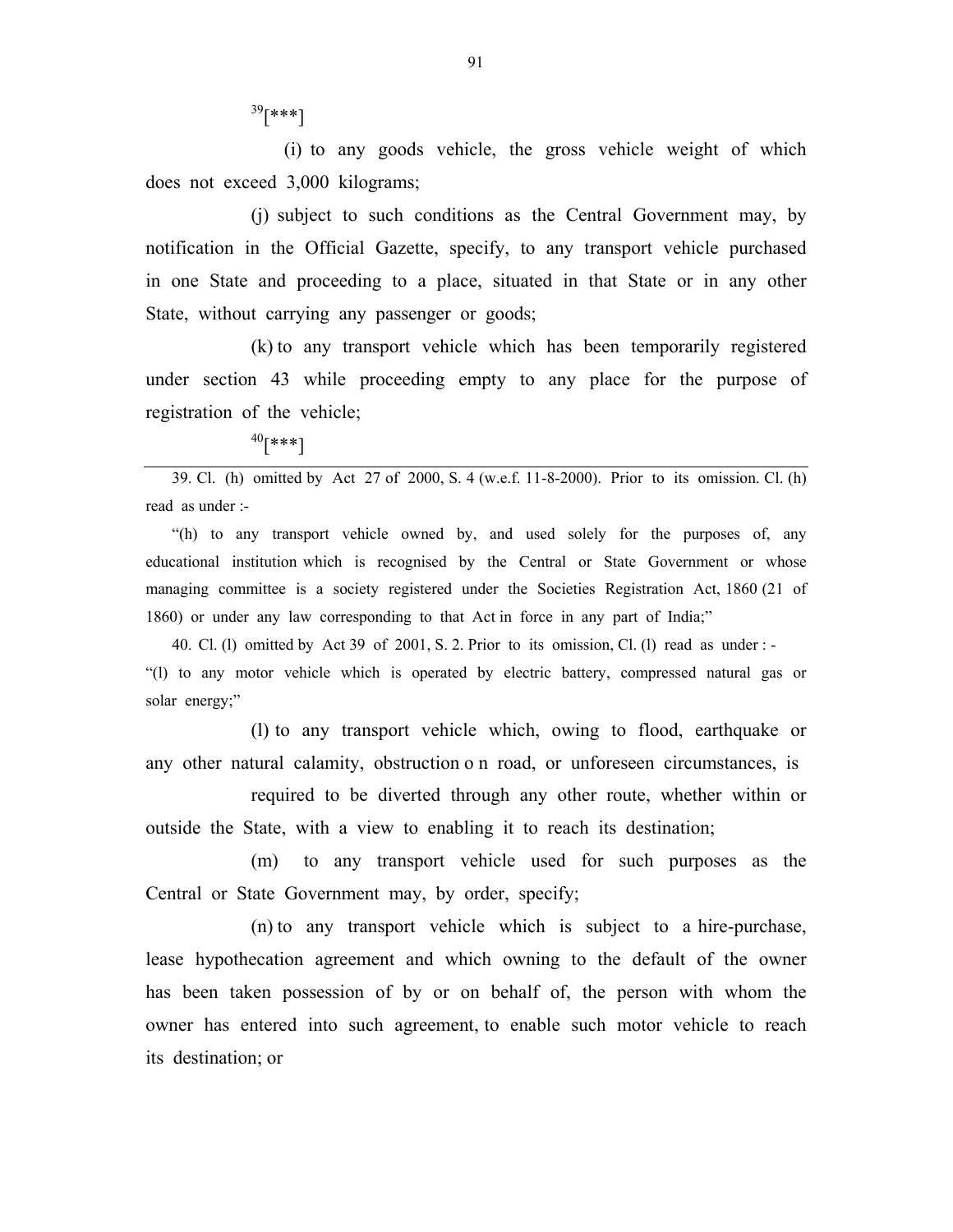$39$ [\*\*\*]

(i) to any goods vehicle, the gross vehicle weight of which does not exceed 3,000 kilograms;

(j) subject to such conditions as the Central Government may, by notification in the Official Gazette, specify, to any transport vehicle purchased in one State and proceeding to a place, situated in that State or in any other State, without carrying any passenger or goods;

(k) to any transport vehicle which has been temporarily registered under section 43 while proceeding empty to any place for the purpose of registration of the vehicle;

 $^{40}[***]$ 

39. Cl. (h) omitted by Act 27 of 2000, S. 4 (w.e.f. 11-8-2000). Prior to its omission. Cl. (h) read as under :-

"(h) to any transport vehicle owned by, and used solely for the purposes of, any educational institution which is recognised by the Central or State Government or whose managing committee is a society registered under the Societies Registration Act, 1860 (21 of 1860) or under any law corresponding to that Act in force in any part of India;"

40. Cl. (l) omitted by Act 39 of 2001, S. 2. Prior to its omission, Cl. (l) read as under : - "(l) to any motor vehicle which is operated by electric battery, compressed natural gas or solar energy;"

(l) to any transport vehicle which, owing to flood, earthquake or any other natural calamity, obstruction o n road, or unforeseen circumstances, is

required to be diverted through any other route, whether within or outside the State, with a view to enabling it to reach its destination;

(m) to any transport vehicle used for such purposes as the Central or State Government may, by order, specify;

(n) to any transport vehicle which is subject to a hire-purchase, lease hypothecation agreement and which owning to the default of the owner has been taken possession of by or on behalf of, the person with whom the owner has entered into such agreement, to enable such motor vehicle to reach its destination; or

91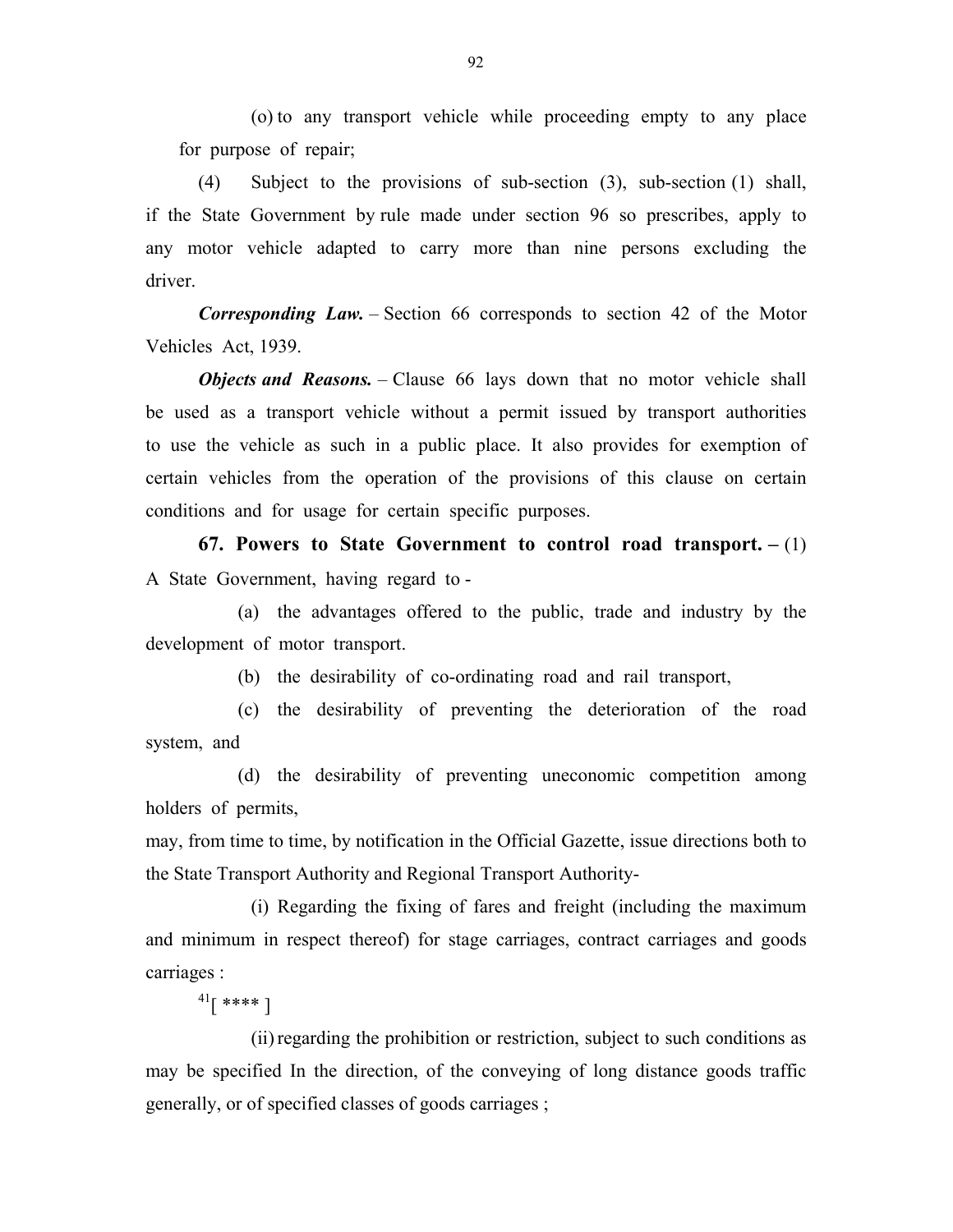(o) to any transport vehicle while proceeding empty to any place for purpose of repair;

(4) Subject to the provisions of sub-section (3), sub-section (1) shall, if the State Government by rule made under section 96 so prescribes, apply to any motor vehicle adapted to carry more than nine persons excluding the driver.

*Corresponding Law.* – Section 66 corresponds to section 42 of the Motor Vehicles Act, 1939.

*Objects and Reasons.* – Clause 66 lays down that no motor vehicle shall be used as a transport vehicle without a permit issued by transport authorities to use the vehicle as such in a public place. It also provides for exemption of certain vehicles from the operation of the provisions of this clause on certain conditions and for usage for certain specific purposes.

**67. Powers to State Government to control road transport. –** (1) A State Government, having regard to -

(a) the advantages offered to the public, trade and industry by the development of motor transport.

(b) the desirability of co-ordinating road and rail transport,

(c) the desirability of preventing the deterioration of the road system, and

(d) the desirability of preventing uneconomic competition among holders of permits,

may, from time to time, by notification in the Official Gazette, issue directions both to the State Transport Authority and Regional Transport Authority-

(i) Regarding the fixing of fares and freight (including the maximum and minimum in respect thereof) for stage carriages, contract carriages and goods carriages :

 $41$ [ \*\*\*\* ]

(ii) regarding the prohibition or restriction, subject to such conditions as may be specified In the direction, of the conveying of long distance goods traffic generally, or of specified classes of goods carriages ;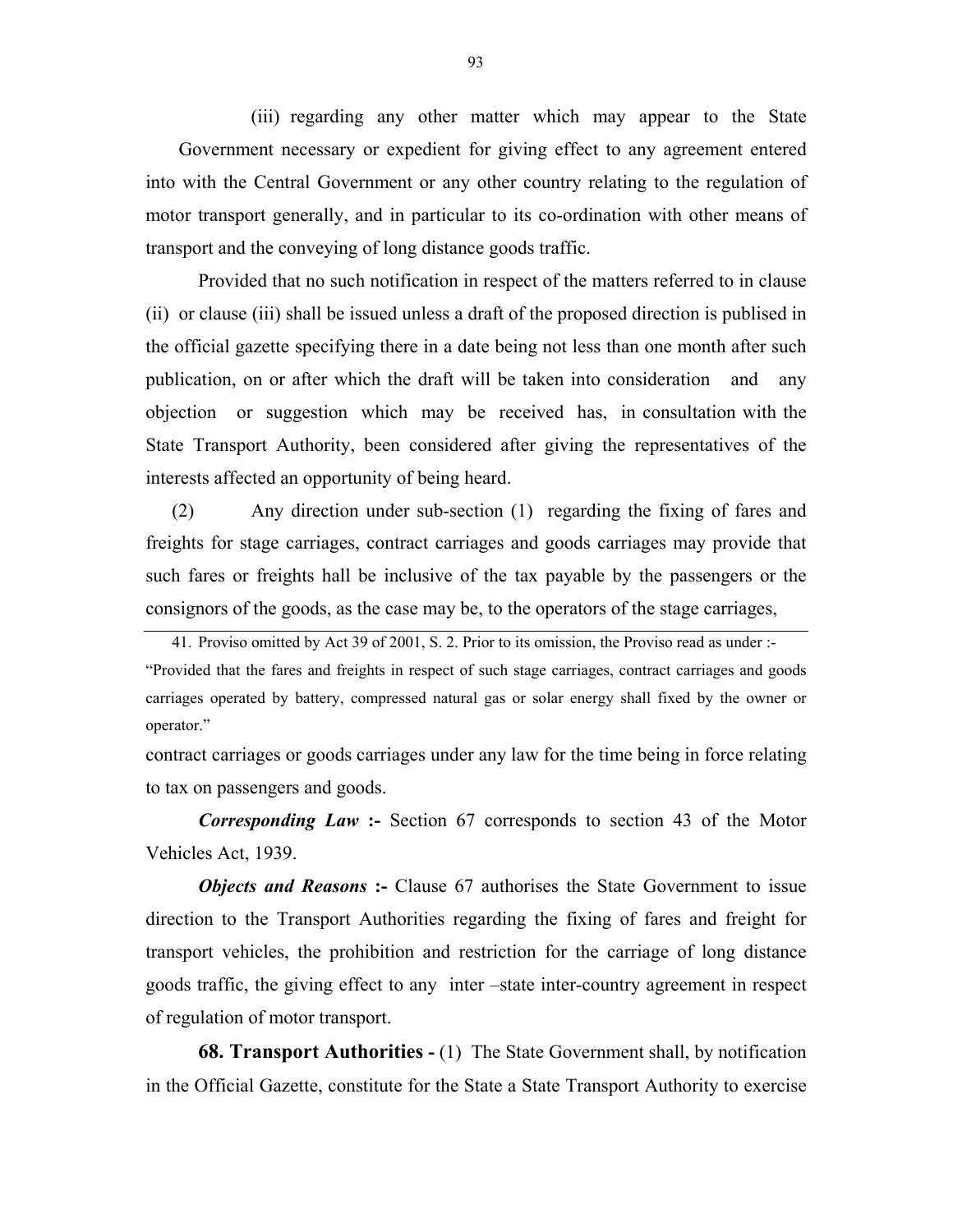(iii) regarding any other matter which may appear to the State Government necessary or expedient for giving effect to any agreement entered into with the Central Government or any other country relating to the regulation of motor transport generally, and in particular to its co-ordination with other means of transport and the conveying of long distance goods traffic.

 Provided that no such notification in respect of the matters referred to in clause (ii) or clause (iii) shall be issued unless a draft of the proposed direction is publised in the official gazette specifying there in a date being not less than one month after such publication, on or after which the draft will be taken into consideration and any objection or suggestion which may be received has, in consultation with the State Transport Authority, been considered after giving the representatives of the interests affected an opportunity of being heard.

(2) Any direction under sub-section (1) regarding the fixing of fares and freights for stage carriages, contract carriages and goods carriages may provide that such fares or freights hall be inclusive of the tax payable by the passengers or the consignors of the goods, as the case may be, to the operators of the stage carriages,

41. Proviso omitted by Act 39 of 2001, S. 2. Prior to its omission, the Proviso read as under :- "Provided that the fares and freights in respect of such stage carriages, contract carriages and goods carriages operated by battery, compressed natural gas or solar energy shall fixed by the owner or operator."

contract carriages or goods carriages under any law for the time being in force relating to tax on passengers and goods.

*Corresponding Law* **:-** Section 67 corresponds to section 43 of the Motor Vehicles Act, 1939.

*Objects and Reasons* :- Clause 67 authorises the State Government to issue direction to the Transport Authorities regarding the fixing of fares and freight for transport vehicles, the prohibition and restriction for the carriage of long distance goods traffic, the giving effect to any inter –state inter-country agreement in respect of regulation of motor transport.

**68. Transport Authorities -** (1) The State Government shall, by notification in the Official Gazette, constitute for the State a State Transport Authority to exercise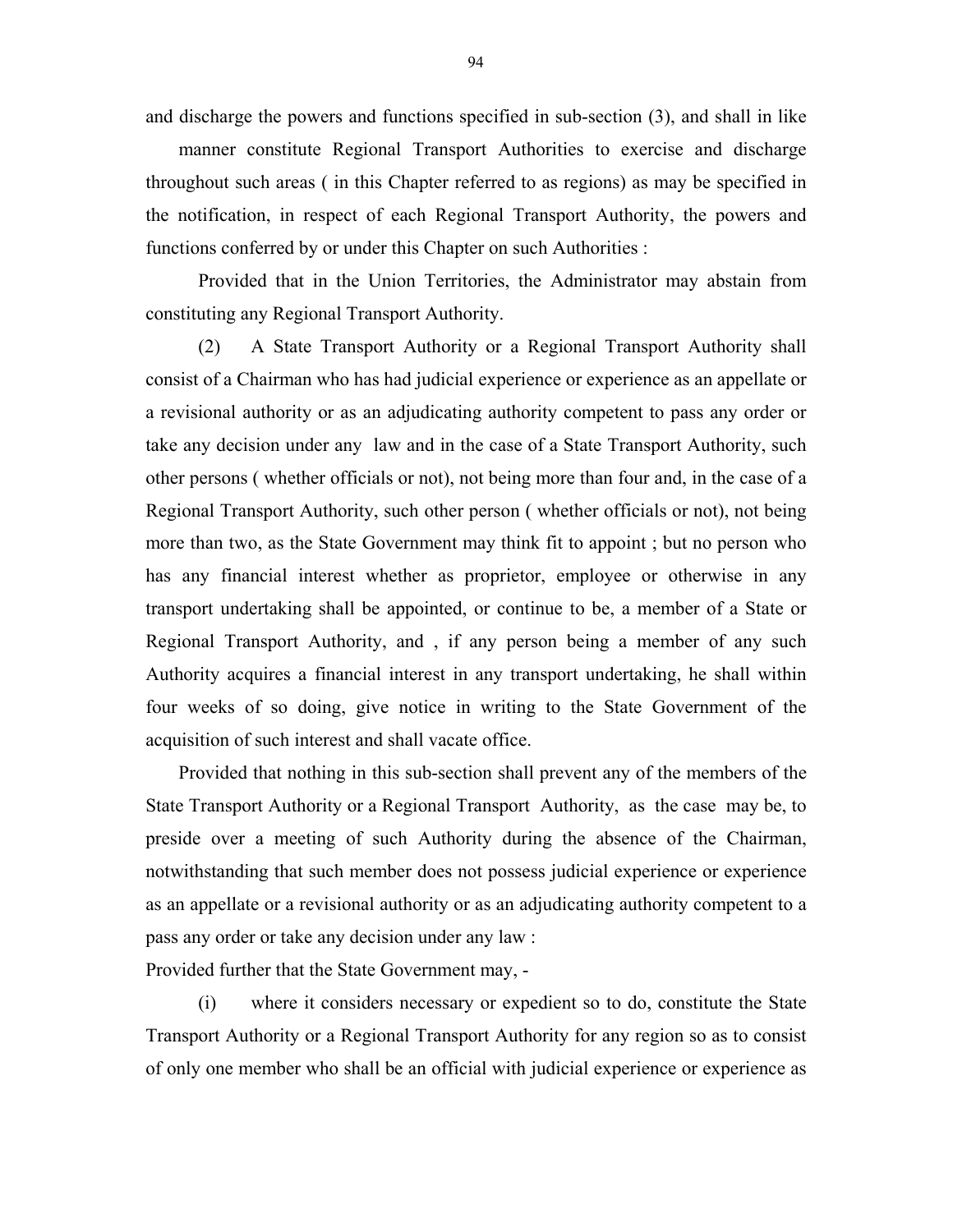and discharge the powers and functions specified in sub-section (3), and shall in like

manner constitute Regional Transport Authorities to exercise and discharge throughout such areas ( in this Chapter referred to as regions) as may be specified in the notification, in respect of each Regional Transport Authority, the powers and functions conferred by or under this Chapter on such Authorities :

Provided that in the Union Territories, the Administrator may abstain from constituting any Regional Transport Authority.

(2) A State Transport Authority or a Regional Transport Authority shall consist of a Chairman who has had judicial experience or experience as an appellate or a revisional authority or as an adjudicating authority competent to pass any order or take any decision under any law and in the case of a State Transport Authority, such other persons ( whether officials or not), not being more than four and, in the case of a Regional Transport Authority, such other person ( whether officials or not), not being more than two, as the State Government may think fit to appoint ; but no person who has any financial interest whether as proprietor, employee or otherwise in any transport undertaking shall be appointed, or continue to be, a member of a State or Regional Transport Authority, and , if any person being a member of any such Authority acquires a financial interest in any transport undertaking, he shall within four weeks of so doing, give notice in writing to the State Government of the acquisition of such interest and shall vacate office.

Provided that nothing in this sub-section shall prevent any of the members of the State Transport Authority or a Regional Transport Authority, as the case may be, to preside over a meeting of such Authority during the absence of the Chairman, notwithstanding that such member does not possess judicial experience or experience as an appellate or a revisional authority or as an adjudicating authority competent to a pass any order or take any decision under any law :

Provided further that the State Government may, -

(i) where it considers necessary or expedient so to do, constitute the State Transport Authority or a Regional Transport Authority for any region so as to consist of only one member who shall be an official with judicial experience or experience as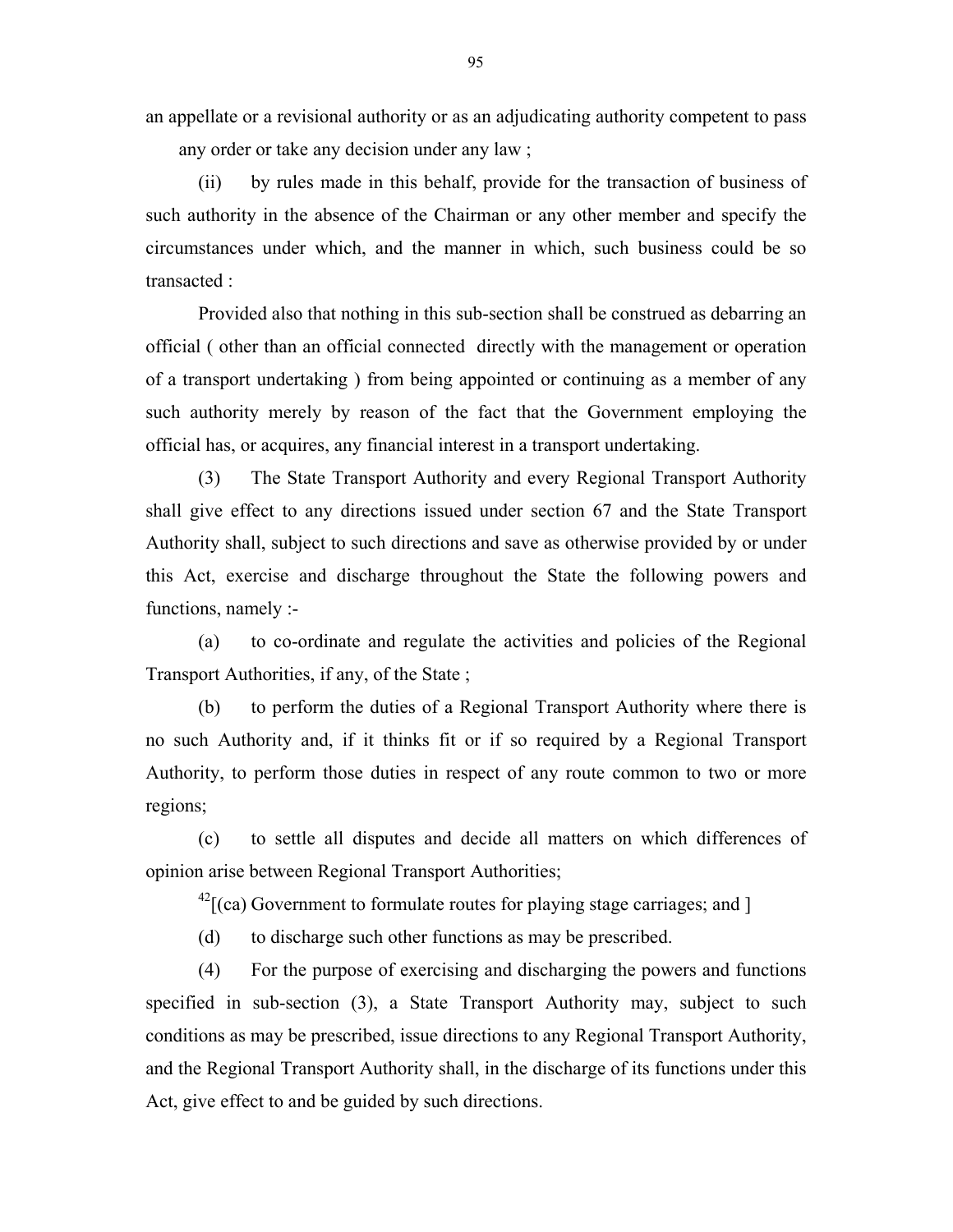an appellate or a revisional authority or as an adjudicating authority competent to pass

any order or take any decision under any law ;

(ii) by rules made in this behalf, provide for the transaction of business of such authority in the absence of the Chairman or any other member and specify the circumstances under which, and the manner in which, such business could be so transacted :

Provided also that nothing in this sub-section shall be construed as debarring an official ( other than an official connected directly with the management or operation of a transport undertaking ) from being appointed or continuing as a member of any such authority merely by reason of the fact that the Government employing the official has, or acquires, any financial interest in a transport undertaking.

(3) The State Transport Authority and every Regional Transport Authority shall give effect to any directions issued under section 67 and the State Transport Authority shall, subject to such directions and save as otherwise provided by or under this Act, exercise and discharge throughout the State the following powers and functions, namely :-

(a) to co-ordinate and regulate the activities and policies of the Regional Transport Authorities, if any, of the State ;

(b) to perform the duties of a Regional Transport Authority where there is no such Authority and, if it thinks fit or if so required by a Regional Transport Authority, to perform those duties in respect of any route common to two or more regions;

(c) to settle all disputes and decide all matters on which differences of opinion arise between Regional Transport Authorities;

 $^{42}$ [(ca) Government to formulate routes for playing stage carriages; and ]

(d) to discharge such other functions as may be prescribed.

(4) For the purpose of exercising and discharging the powers and functions specified in sub-section (3), a State Transport Authority may, subject to such conditions as may be prescribed, issue directions to any Regional Transport Authority, and the Regional Transport Authority shall, in the discharge of its functions under this Act, give effect to and be guided by such directions.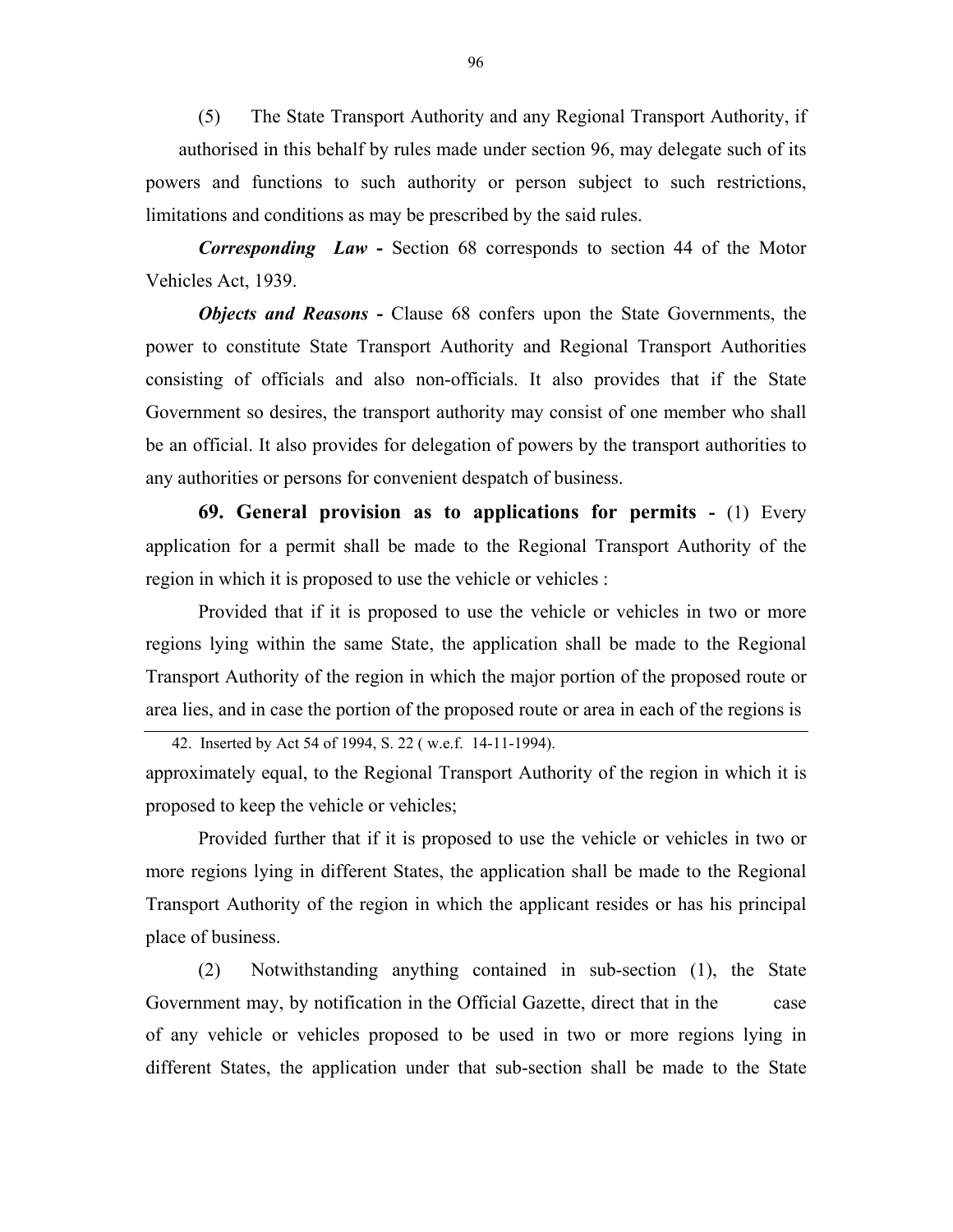(5) The State Transport Authority and any Regional Transport Authority, if authorised in this behalf by rules made under section 96, may delegate such of its powers and functions to such authority or person subject to such restrictions, limitations and conditions as may be prescribed by the said rules.

*Corresponding Law* **-** Section 68 corresponds to section 44 of the Motor Vehicles Act, 1939.

*Objects and Reasons* **-** Clause 68 confers upon the State Governments, the power to constitute State Transport Authority and Regional Transport Authorities consisting of officials and also non-officials. It also provides that if the State Government so desires, the transport authority may consist of one member who shall be an official. It also provides for delegation of powers by the transport authorities to any authorities or persons for convenient despatch of business.

**69. General provision as to applications for permits -** (1) Every application for a permit shall be made to the Regional Transport Authority of the region in which it is proposed to use the vehicle or vehicles :

Provided that if it is proposed to use the vehicle or vehicles in two or more regions lying within the same State, the application shall be made to the Regional Transport Authority of the region in which the major portion of the proposed route or area lies, and in case the portion of the proposed route or area in each of the regions is

42. Inserted by Act 54 of 1994, S. 22 ( w.e.f. 14-11-1994).

approximately equal, to the Regional Transport Authority of the region in which it is proposed to keep the vehicle or vehicles;

Provided further that if it is proposed to use the vehicle or vehicles in two or more regions lying in different States, the application shall be made to the Regional Transport Authority of the region in which the applicant resides or has his principal place of business.

(2) Notwithstanding anything contained in sub-section (1), the State Government may, by notification in the Official Gazette, direct that in the case of any vehicle or vehicles proposed to be used in two or more regions lying in different States, the application under that sub-section shall be made to the State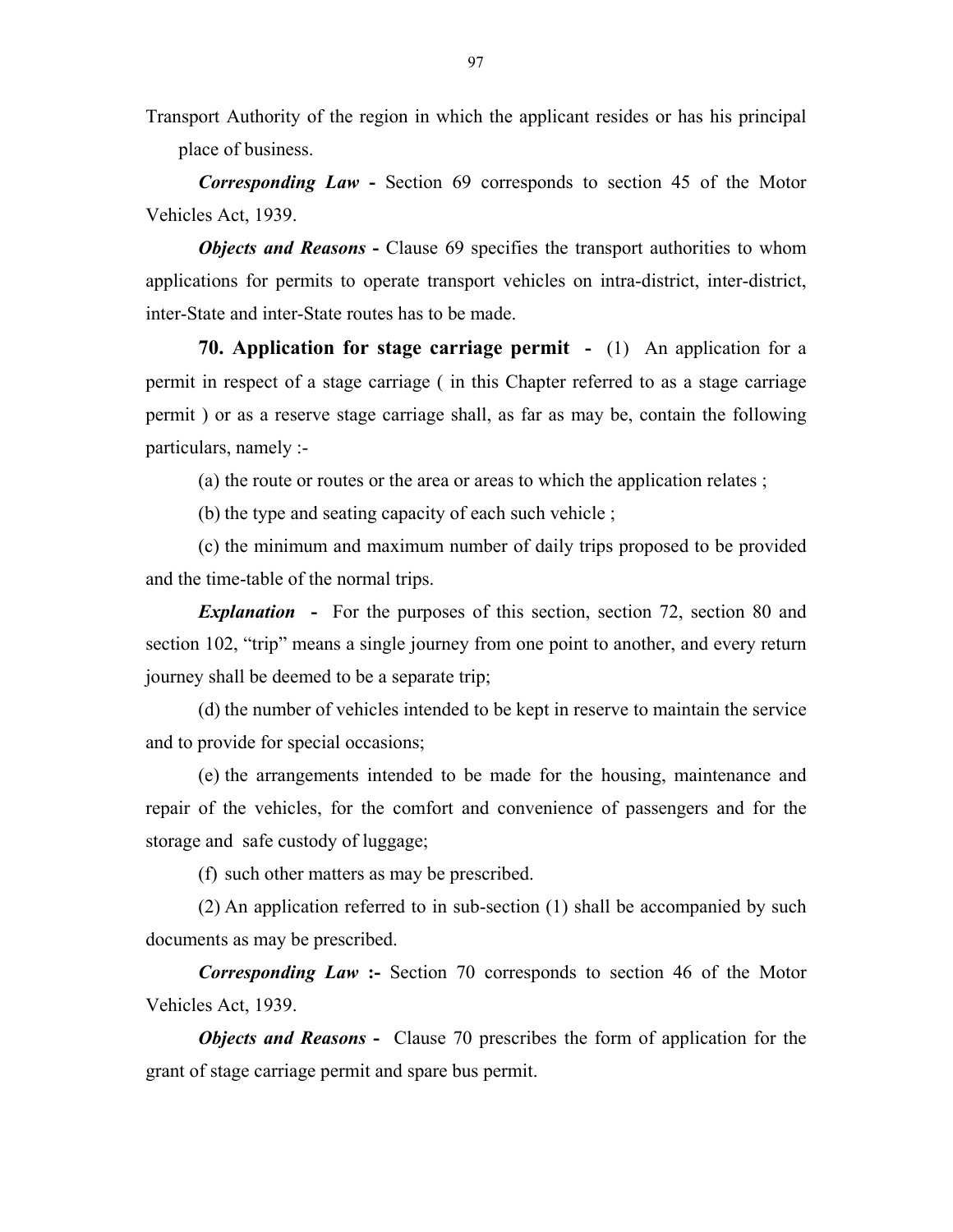Transport Authority of the region in which the applicant resides or has his principal place of business.

*Corresponding Law* **-** Section 69 corresponds to section 45 of the Motor Vehicles Act, 1939.

*Objects and Reasons* - Clause 69 specifies the transport authorities to whom applications for permits to operate transport vehicles on intra-district, inter-district, inter-State and inter-State routes has to be made.

**70. Application for stage carriage permit -** (1) An application for a permit in respect of a stage carriage ( in this Chapter referred to as a stage carriage permit ) or as a reserve stage carriage shall, as far as may be, contain the following particulars, namely :-

(a) the route or routes or the area or areas to which the application relates ;

(b) the type and seating capacity of each such vehicle ;

(c) the minimum and maximum number of daily trips proposed to be provided and the time-table of the normal trips.

**Explanation** - For the purposes of this section, section 72, section 80 and section 102, "trip" means a single journey from one point to another, and every return journey shall be deemed to be a separate trip;

(d) the number of vehicles intended to be kept in reserve to maintain the service and to provide for special occasions;

(e) the arrangements intended to be made for the housing, maintenance and repair of the vehicles, for the comfort and convenience of passengers and for the storage and safe custody of luggage;

(f) such other matters as may be prescribed.

(2) An application referred to in sub-section (1) shall be accompanied by such documents as may be prescribed.

*Corresponding Law* **:-** Section 70 corresponds to section 46 of the Motor Vehicles Act, 1939.

*Objects and Reasons* **-** Clause 70 prescribes the form of application for the grant of stage carriage permit and spare bus permit.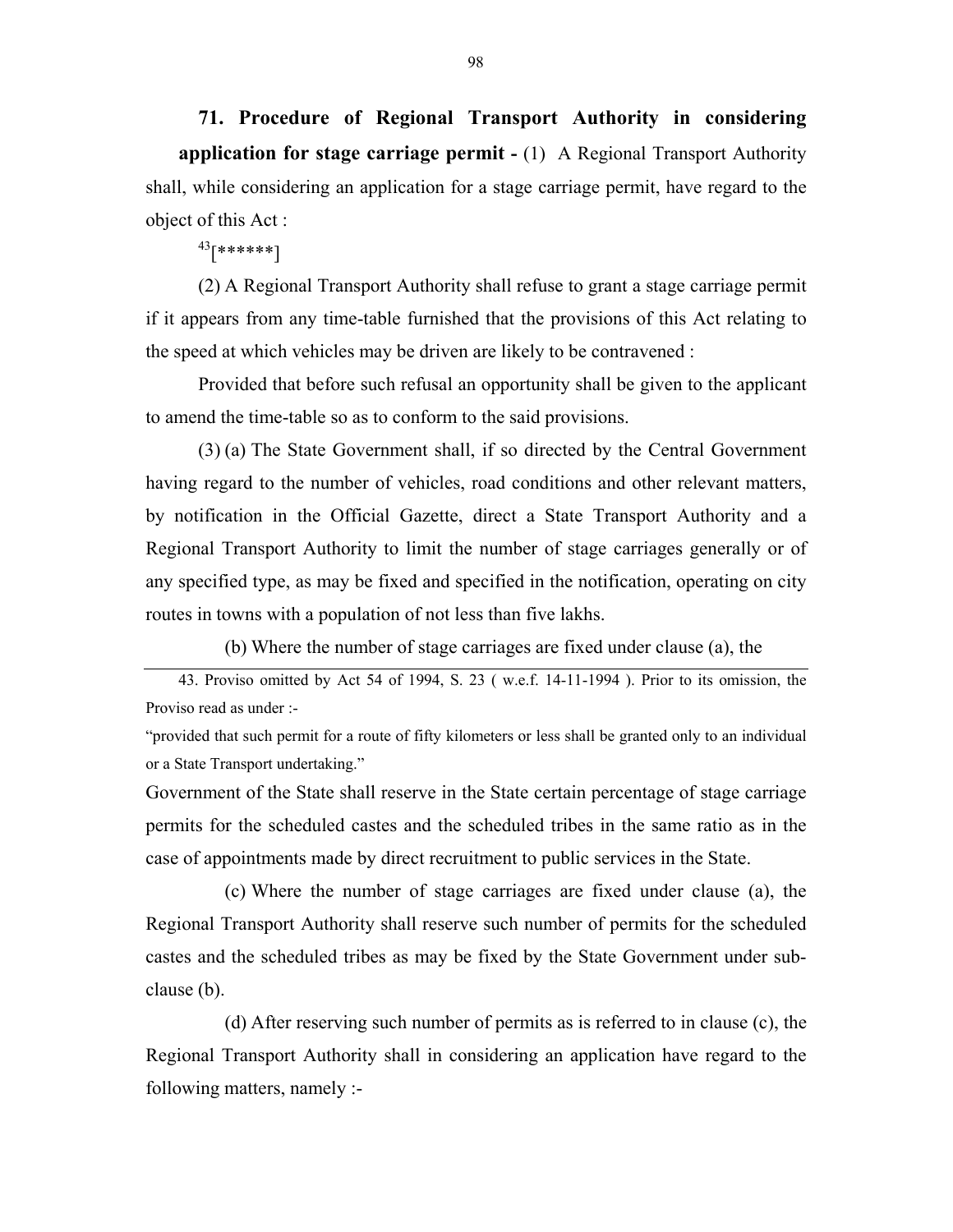**71. Procedure of Regional Transport Authority in considering application for stage carriage permit -** (1) A Regional Transport Authority shall, while considering an application for a stage carriage permit, have regard to the object of this Act :

 $43$ [\*\*\*\*\*\*]

(2) A Regional Transport Authority shall refuse to grant a stage carriage permit if it appears from any time-table furnished that the provisions of this Act relating to the speed at which vehicles may be driven are likely to be contravened :

Provided that before such refusal an opportunity shall be given to the applicant to amend the time-table so as to conform to the said provisions.

(3) (a) The State Government shall, if so directed by the Central Government having regard to the number of vehicles, road conditions and other relevant matters, by notification in the Official Gazette, direct a State Transport Authority and a Regional Transport Authority to limit the number of stage carriages generally or of any specified type, as may be fixed and specified in the notification, operating on city routes in towns with a population of not less than five lakhs.

(b) Where the number of stage carriages are fixed under clause (a), the

43. Proviso omitted by Act 54 of 1994, S. 23 ( w.e.f. 14-11-1994 ). Prior to its omission, the Proviso read as under :-

"provided that such permit for a route of fifty kilometers or less shall be granted only to an individual or a State Transport undertaking."

Government of the State shall reserve in the State certain percentage of stage carriage permits for the scheduled castes and the scheduled tribes in the same ratio as in the case of appointments made by direct recruitment to public services in the State.

(c) Where the number of stage carriages are fixed under clause (a), the Regional Transport Authority shall reserve such number of permits for the scheduled castes and the scheduled tribes as may be fixed by the State Government under subclause (b).

(d) After reserving such number of permits as is referred to in clause (c), the Regional Transport Authority shall in considering an application have regard to the following matters, namely :-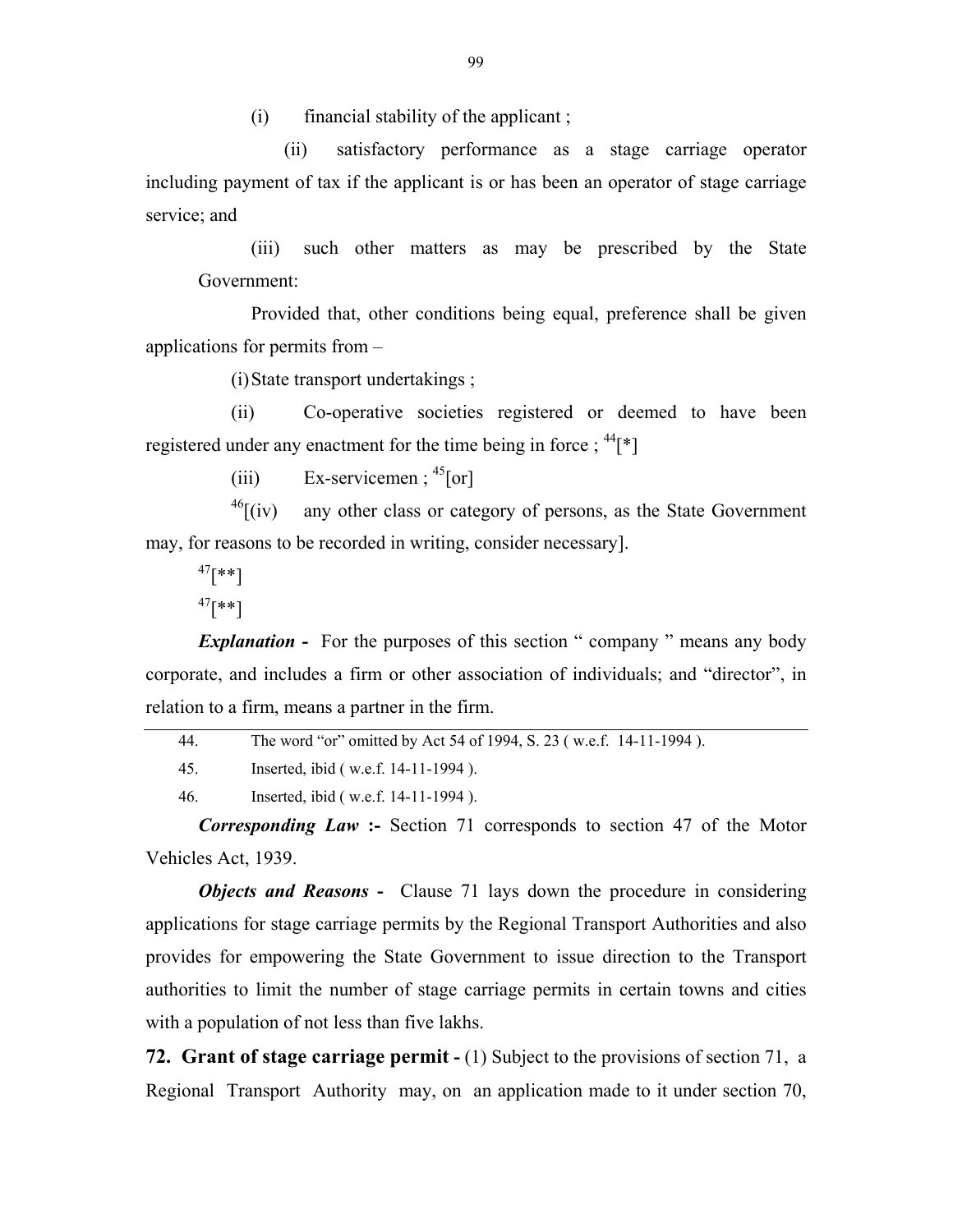(i) financial stability of the applicant ;

(ii) satisfactory performance as a stage carriage operator including payment of tax if the applicant is or has been an operator of stage carriage service; and

(iii) such other matters as may be prescribed by the State Government:

Provided that, other conditions being equal, preference shall be given applications for permits from –

(i) State transport undertakings ;

(ii) Co-operative societies registered or deemed to have been registered under any enactment for the time being in force;  $44$ [\*]

(iii) Ex-servicemen;  $^{45}$ [or]

 $^{46}$ [(iv) any other class or category of persons, as the State Government may, for reasons to be recorded in writing, consider necessary].

 $47$ [\*\*]  $^{47}[**]$ 

**Explanation** - For the purposes of this section " company " means any body corporate, and includes a firm or other association of individuals; and "director", in relation to a firm, means a partner in the firm.

44. The word "or" omitted by Act 54 of 1994, S. 23 ( w.e.f. 14-11-1994 ).

45. Inserted, ibid ( w.e.f. 14-11-1994 ).

46. Inserted, ibid ( w.e.f. 14-11-1994 ).

*Corresponding Law* **:-** Section 71 corresponds to section 47 of the Motor Vehicles Act, 1939.

*Objects and Reasons* - Clause 71 lays down the procedure in considering applications for stage carriage permits by the Regional Transport Authorities and also provides for empowering the State Government to issue direction to the Transport authorities to limit the number of stage carriage permits in certain towns and cities with a population of not less than five lakhs.

**72. Grant of stage carriage permit -** (1) Subject to the provisions of section 71, a Regional Transport Authority may, on an application made to it under section 70,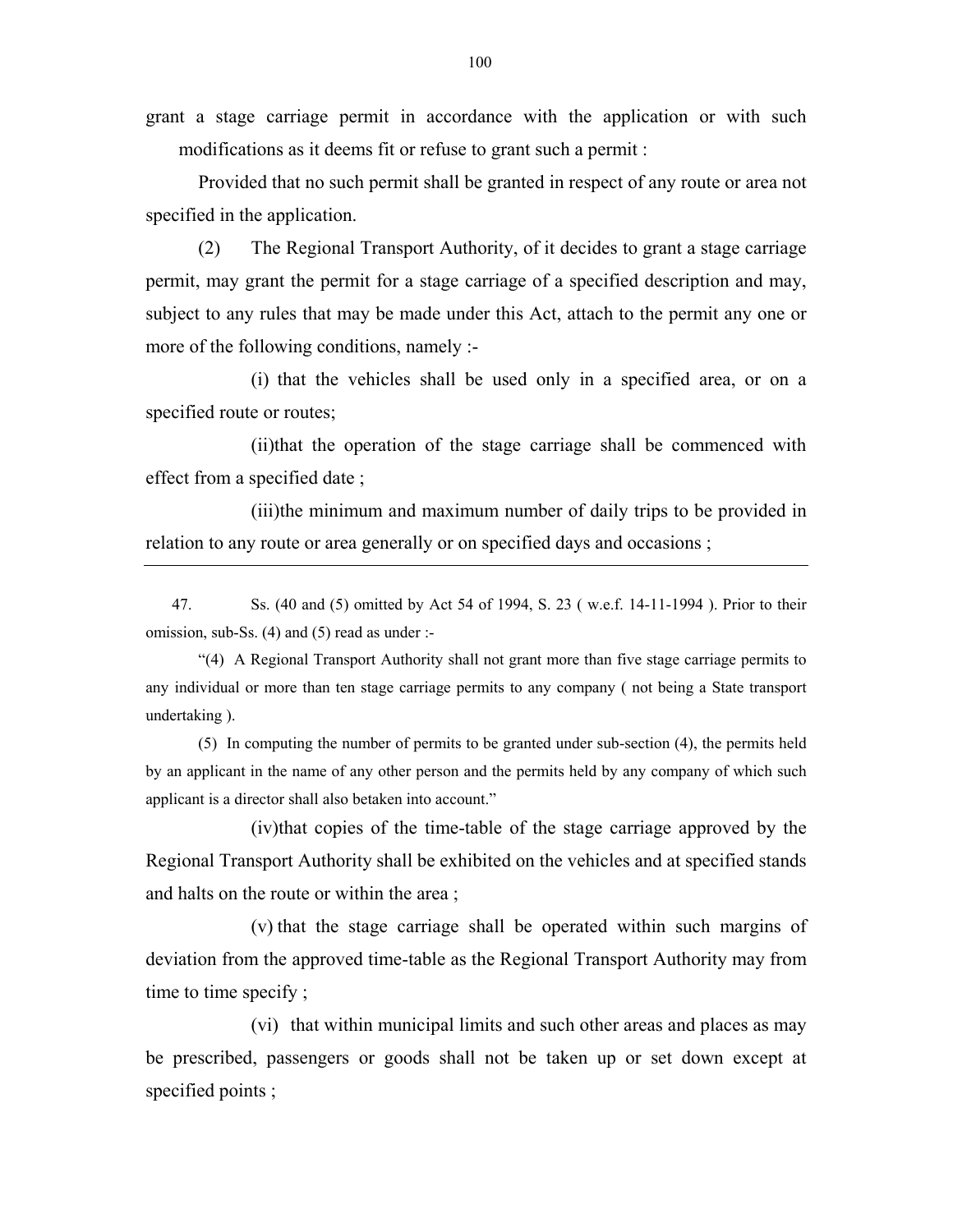grant a stage carriage permit in accordance with the application or with such modifications as it deems fit or refuse to grant such a permit :

Provided that no such permit shall be granted in respect of any route or area not specified in the application.

(2) The Regional Transport Authority, of it decides to grant a stage carriage permit, may grant the permit for a stage carriage of a specified description and may, subject to any rules that may be made under this Act, attach to the permit any one or more of the following conditions, namely :-

(i) that the vehicles shall be used only in a specified area, or on a specified route or routes;

(ii)that the operation of the stage carriage shall be commenced with effect from a specified date ;

(iii)the minimum and maximum number of daily trips to be provided in relation to any route or area generally or on specified days and occasions ;

47. Ss. (40 and (5) omitted by Act 54 of 1994, S. 23 ( w.e.f. 14-11-1994 ). Prior to their omission, sub-Ss. (4) and (5) read as under :-

"(4) A Regional Transport Authority shall not grant more than five stage carriage permits to any individual or more than ten stage carriage permits to any company ( not being a State transport undertaking ).

(5) In computing the number of permits to be granted under sub-section (4), the permits held by an applicant in the name of any other person and the permits held by any company of which such applicant is a director shall also betaken into account."

(iv)that copies of the time-table of the stage carriage approved by the Regional Transport Authority shall be exhibited on the vehicles and at specified stands and halts on the route or within the area ;

(v) that the stage carriage shall be operated within such margins of deviation from the approved time-table as the Regional Transport Authority may from time to time specify ;

(vi) that within municipal limits and such other areas and places as may be prescribed, passengers or goods shall not be taken up or set down except at specified points ;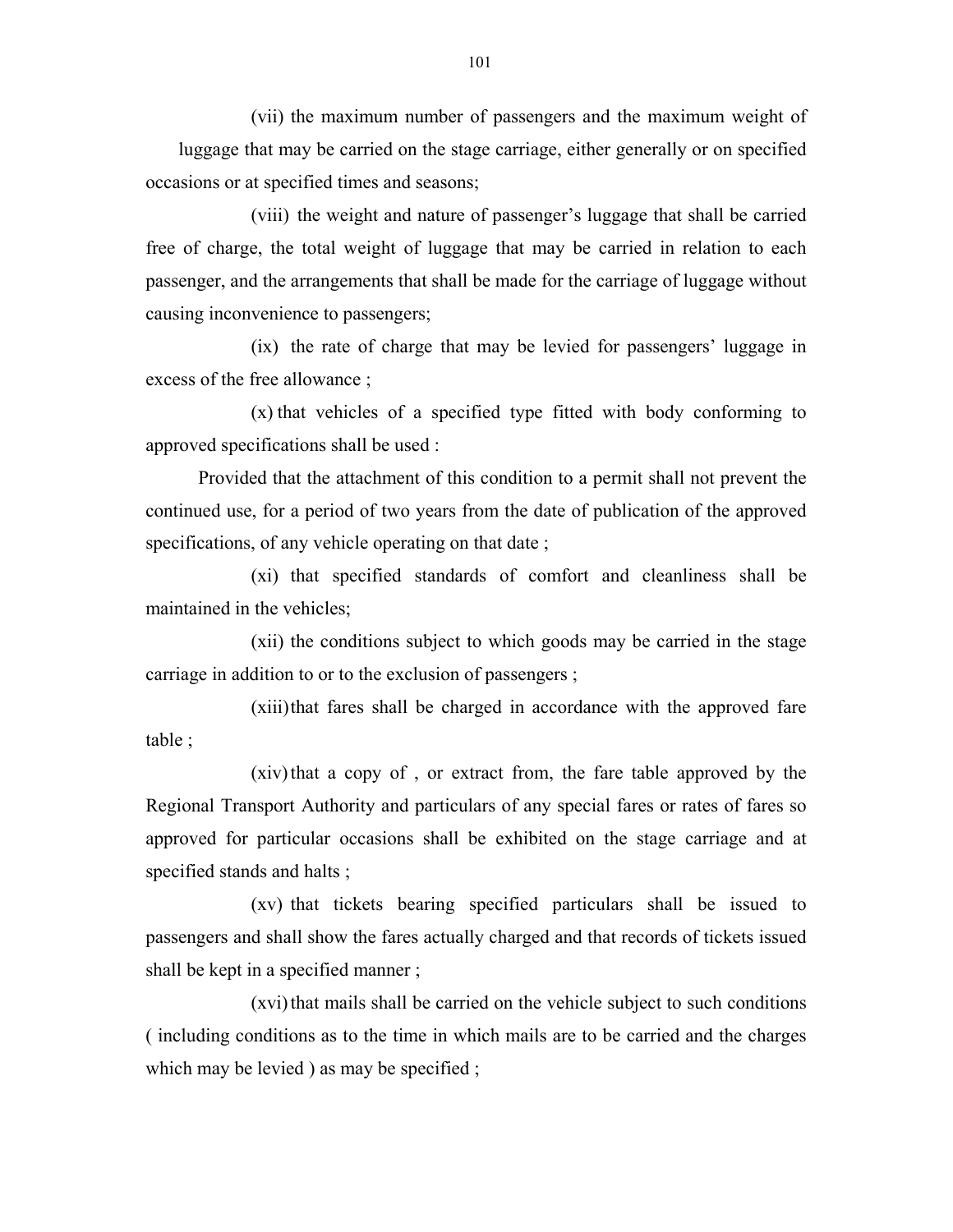(vii) the maximum number of passengers and the maximum weight of luggage that may be carried on the stage carriage, either generally or on specified occasions or at specified times and seasons;

(viii) the weight and nature of passenger's luggage that shall be carried free of charge, the total weight of luggage that may be carried in relation to each passenger, and the arrangements that shall be made for the carriage of luggage without causing inconvenience to passengers;

(ix) the rate of charge that may be levied for passengers' luggage in excess of the free allowance ;

(x) that vehicles of a specified type fitted with body conforming to approved specifications shall be used :

Provided that the attachment of this condition to a permit shall not prevent the continued use, for a period of two years from the date of publication of the approved specifications, of any vehicle operating on that date;

(xi) that specified standards of comfort and cleanliness shall be maintained in the vehicles;

(xii) the conditions subject to which goods may be carried in the stage carriage in addition to or to the exclusion of passengers ;

(xiii) that fares shall be charged in accordance with the approved fare table ;

(xiv) that a copy of , or extract from, the fare table approved by the Regional Transport Authority and particulars of any special fares or rates of fares so approved for particular occasions shall be exhibited on the stage carriage and at specified stands and halts ;

(xv) that tickets bearing specified particulars shall be issued to passengers and shall show the fares actually charged and that records of tickets issued shall be kept in a specified manner ;

(xvi) that mails shall be carried on the vehicle subject to such conditions ( including conditions as to the time in which mails are to be carried and the charges which may be levied ) as may be specified ;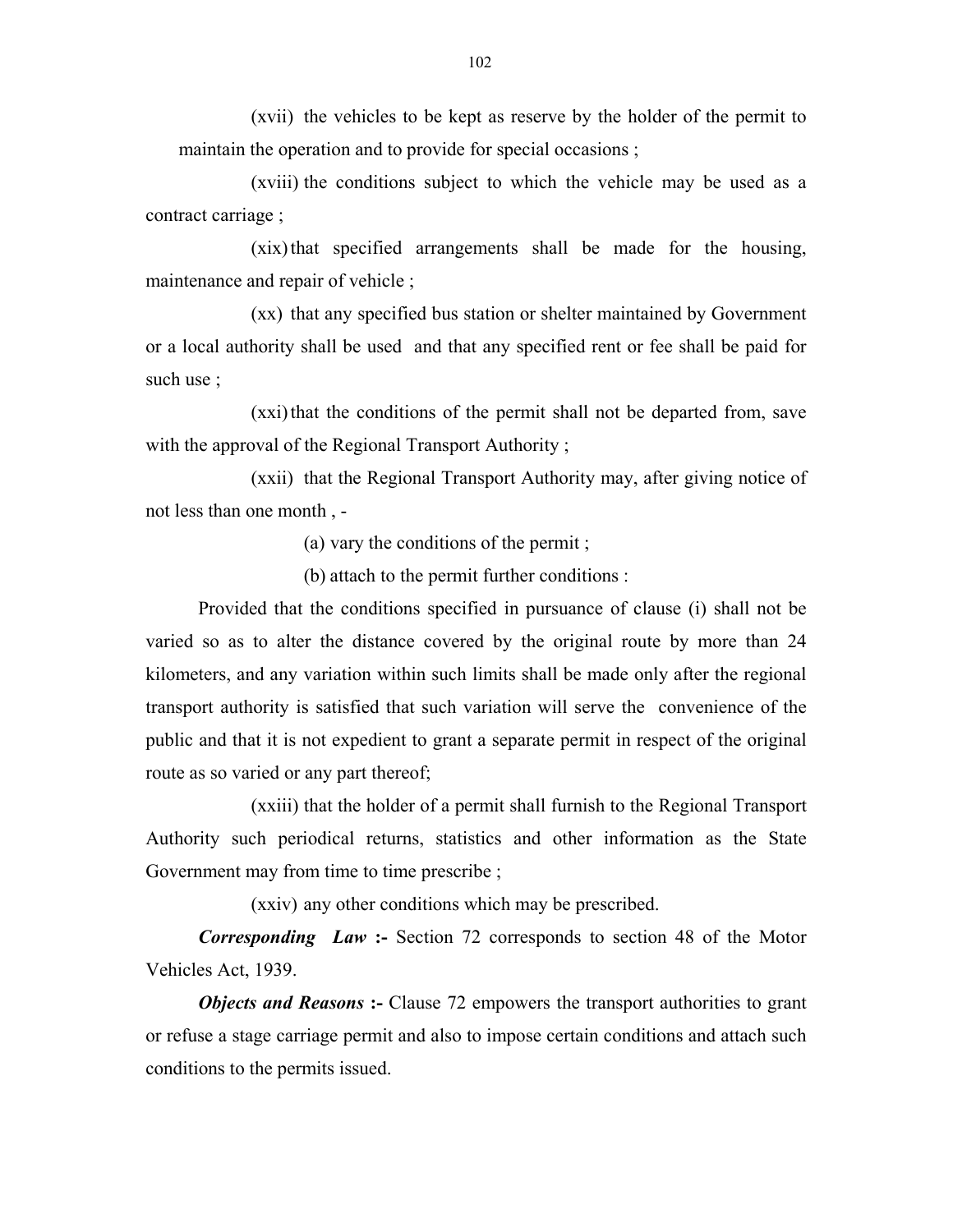(xvii) the vehicles to be kept as reserve by the holder of the permit to maintain the operation and to provide for special occasions ;

(xviii) the conditions subject to which the vehicle may be used as a contract carriage ;

(xix) that specified arrangements shall be made for the housing, maintenance and repair of vehicle ;

(xx) that any specified bus station or shelter maintained by Government or a local authority shall be used and that any specified rent or fee shall be paid for such use ;

(xxi) that the conditions of the permit shall not be departed from, save with the approval of the Regional Transport Authority;

(xxii) that the Regional Transport Authority may, after giving notice of not less than one month , -

(a) vary the conditions of the permit ;

(b) attach to the permit further conditions :

Provided that the conditions specified in pursuance of clause (i) shall not be varied so as to alter the distance covered by the original route by more than 24 kilometers, and any variation within such limits shall be made only after the regional transport authority is satisfied that such variation will serve the convenience of the public and that it is not expedient to grant a separate permit in respect of the original route as so varied or any part thereof;

(xxiii) that the holder of a permit shall furnish to the Regional Transport Authority such periodical returns, statistics and other information as the State Government may from time to time prescribe ;

(xxiv) any other conditions which may be prescribed.

*Corresponding Law* **:-** Section 72 corresponds to section 48 of the Motor Vehicles Act, 1939.

*Objects and Reasons* :- Clause 72 empowers the transport authorities to grant or refuse a stage carriage permit and also to impose certain conditions and attach such conditions to the permits issued.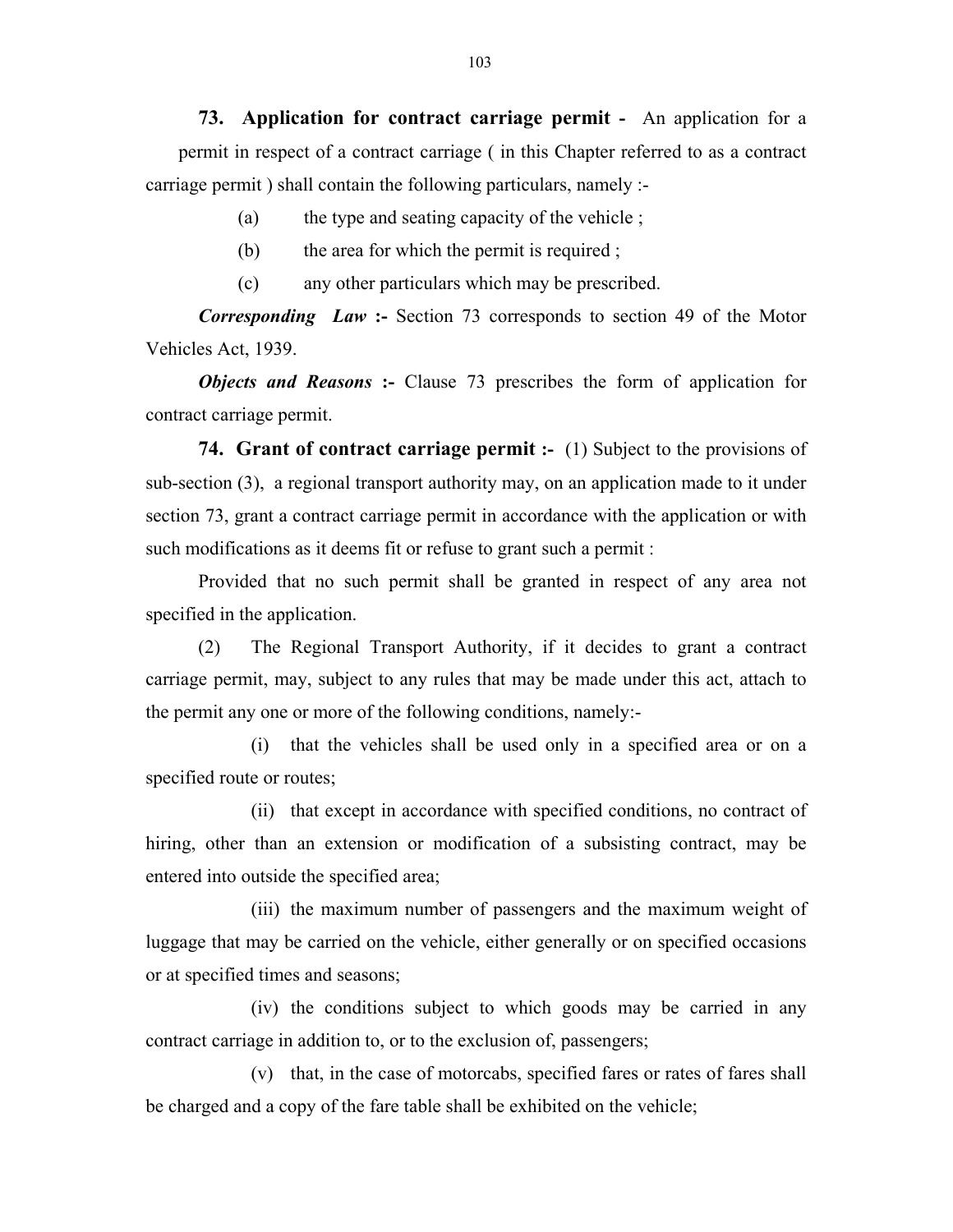**73. Application for contract carriage permit -** An application for a permit in respect of a contract carriage ( in this Chapter referred to as a contract carriage permit ) shall contain the following particulars, namely :-

- (a) the type and seating capacity of the vehicle ;
- (b) the area for which the permit is required ;
- (c) any other particulars which may be prescribed.

*Corresponding Law* **:-** Section 73 corresponds to section 49 of the Motor Vehicles Act, 1939.

*Objects and Reasons* :- Clause 73 prescribes the form of application for contract carriage permit.

**74. Grant of contract carriage permit :-** (1) Subject to the provisions of sub-section (3), a regional transport authority may, on an application made to it under section 73, grant a contract carriage permit in accordance with the application or with such modifications as it deems fit or refuse to grant such a permit :

Provided that no such permit shall be granted in respect of any area not specified in the application.

(2) The Regional Transport Authority, if it decides to grant a contract carriage permit, may, subject to any rules that may be made under this act, attach to the permit any one or more of the following conditions, namely:-

(i) that the vehicles shall be used only in a specified area or on a specified route or routes;

(ii) that except in accordance with specified conditions, no contract of hiring, other than an extension or modification of a subsisting contract, may be entered into outside the specified area;

(iii) the maximum number of passengers and the maximum weight of luggage that may be carried on the vehicle, either generally or on specified occasions or at specified times and seasons;

(iv) the conditions subject to which goods may be carried in any contract carriage in addition to, or to the exclusion of, passengers;

(v) that, in the case of motorcabs, specified fares or rates of fares shall be charged and a copy of the fare table shall be exhibited on the vehicle;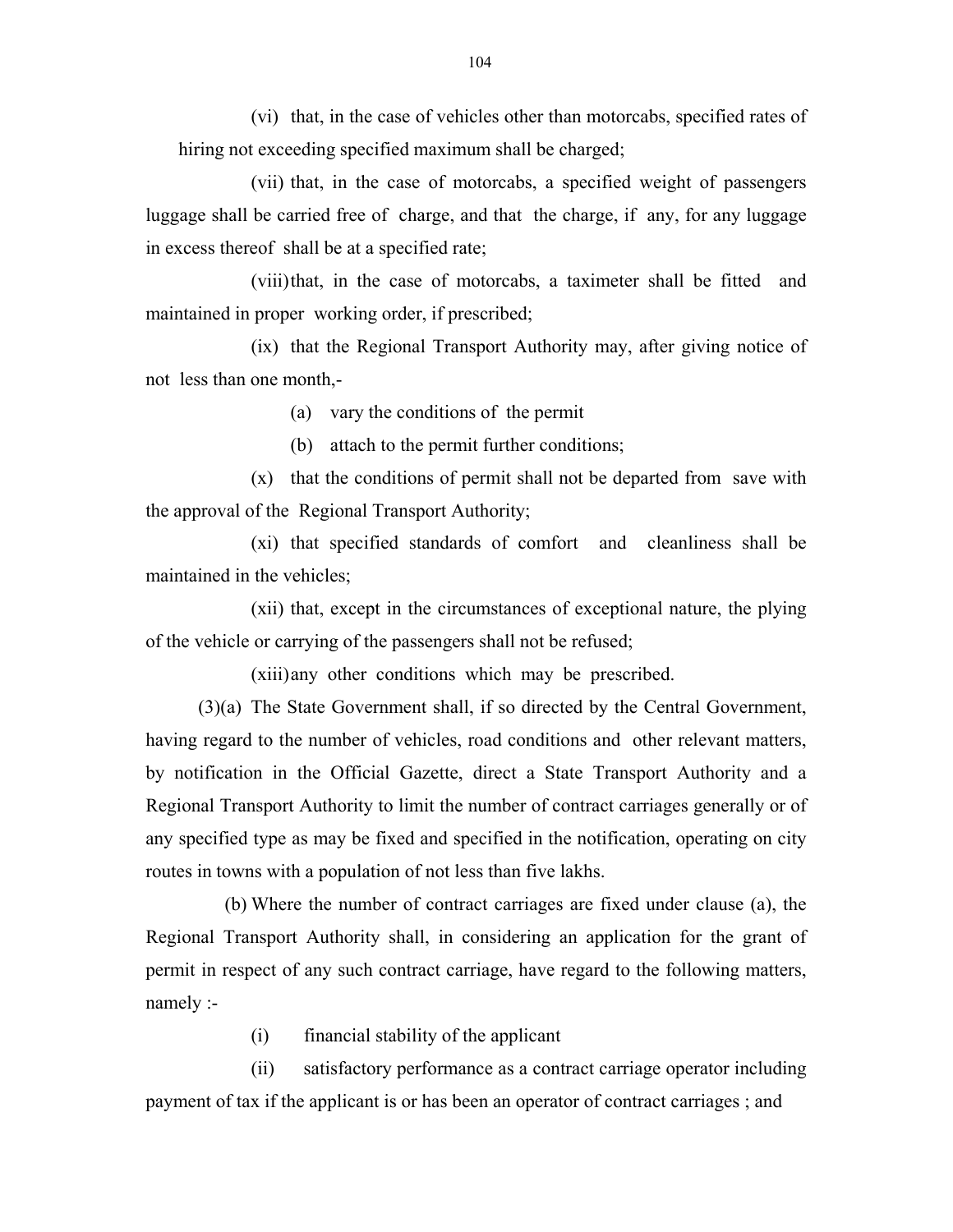(vi) that, in the case of vehicles other than motorcabs, specified rates of hiring not exceeding specified maximum shall be charged;

(vii) that, in the case of motorcabs, a specified weight of passengers luggage shall be carried free of charge, and that the charge, if any, for any luggage in excess thereof shall be at a specified rate;

(viii) that, in the case of motorcabs, a taximeter shall be fitted and maintained in proper working order, if prescribed;

(ix) that the Regional Transport Authority may, after giving notice of not less than one month,-

(a) vary the conditions of the permit

(b) attach to the permit further conditions;

(x) that the conditions of permit shall not be departed from save with the approval of the Regional Transport Authority;

(xi) that specified standards of comfort and cleanliness shall be maintained in the vehicles;

(xii) that, except in the circumstances of exceptional nature, the plying of the vehicle or carrying of the passengers shall not be refused;

(xiii) any other conditions which may be prescribed.

(3)(a) The State Government shall, if so directed by the Central Government, having regard to the number of vehicles, road conditions and other relevant matters, by notification in the Official Gazette, direct a State Transport Authority and a Regional Transport Authority to limit the number of contract carriages generally or of any specified type as may be fixed and specified in the notification, operating on city routes in towns with a population of not less than five lakhs.

(b) Where the number of contract carriages are fixed under clause (a), the Regional Transport Authority shall, in considering an application for the grant of permit in respect of any such contract carriage, have regard to the following matters, namely :-

(i) financial stability of the applicant

(ii) satisfactory performance as a contract carriage operator including payment of tax if the applicant is or has been an operator of contract carriages ; and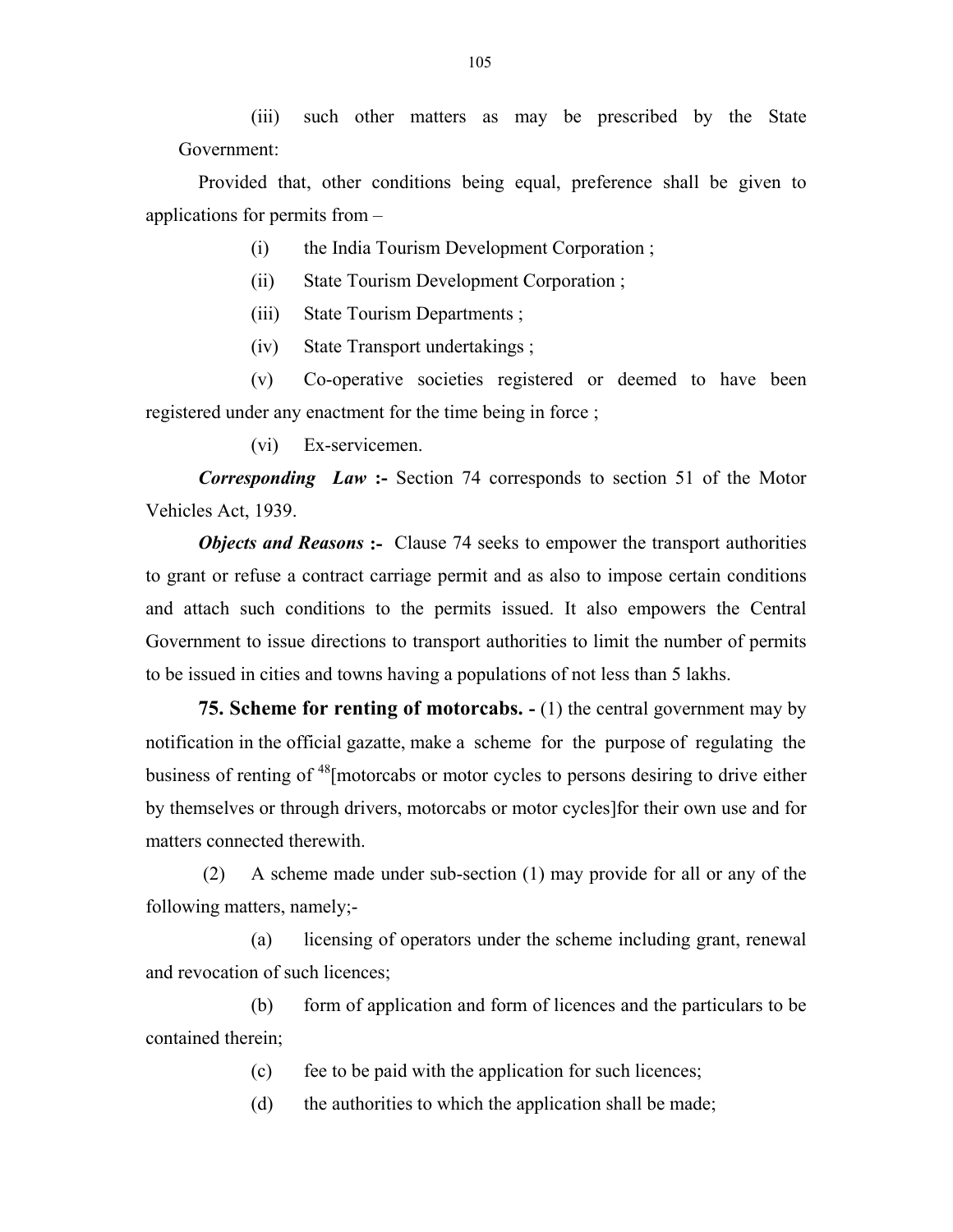(iii) such other matters as may be prescribed by the State Government:

Provided that, other conditions being equal, preference shall be given to applications for permits from –

(i) the India Tourism Development Corporation ;

(ii) State Tourism Development Corporation ;

(iii) State Tourism Departments ;

(iv) State Transport undertakings ;

(v) Co-operative societies registered or deemed to have been registered under any enactment for the time being in force ;

(vi) Ex-servicemen.

*Corresponding Law* **:-** Section 74 corresponds to section 51 of the Motor Vehicles Act, 1939.

*Objects and Reasons* :- Clause 74 seeks to empower the transport authorities to grant or refuse a contract carriage permit and as also to impose certain conditions and attach such conditions to the permits issued. It also empowers the Central Government to issue directions to transport authorities to limit the number of permits to be issued in cities and towns having a populations of not less than 5 lakhs.

**75. Scheme for renting of motorcabs. -** (1) the central government may by notification in the official gazatte, make a scheme for the purpose of regulating the business of renting of 48[motorcabs or motor cycles to persons desiring to drive either by themselves or through drivers, motorcabs or motor cycles]for their own use and for matters connected therewith.

 (2) A scheme made under sub-section (1) may provide for all or any of the following matters, namely;-

(a) licensing of operators under the scheme including grant, renewal and revocation of such licences;

(b) form of application and form of licences and the particulars to be contained therein;

(c) fee to be paid with the application for such licences;

(d) the authorities to which the application shall be made;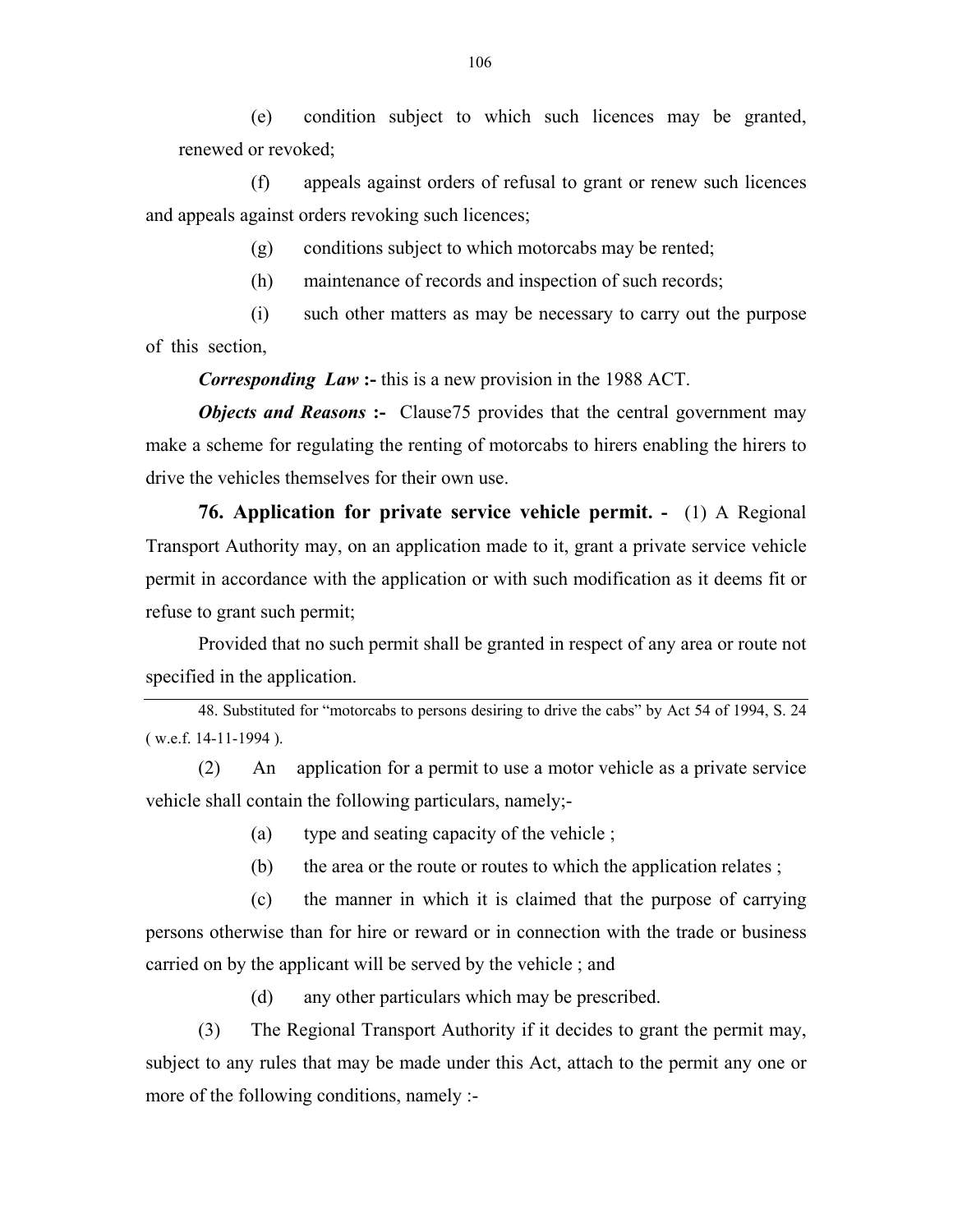(e) condition subject to which such licences may be granted, renewed or revoked;

(f) appeals against orders of refusal to grant or renew such licences and appeals against orders revoking such licences;

(g) conditions subject to which motorcabs may be rented;

(h) maintenance of records and inspection of such records;

(i) such other matters as may be necessary to carry out the purpose of this section,

*Corresponding Law* **:-** this is a new provision in the 1988 ACT.

*Objects and Reasons* :- Clause 75 provides that the central government may make a scheme for regulating the renting of motorcabs to hirers enabling the hirers to drive the vehicles themselves for their own use.

**76. Application for private service vehicle permit. -** (1) A Regional Transport Authority may, on an application made to it, grant a private service vehicle permit in accordance with the application or with such modification as it deems fit or refuse to grant such permit;

Provided that no such permit shall be granted in respect of any area or route not specified in the application.

48. Substituted for "motorcabs to persons desiring to drive the cabs" by Act 54 of 1994, S. 24 ( w.e.f. 14-11-1994 ).

(2) An application for a permit to use a motor vehicle as a private service vehicle shall contain the following particulars, namely;-

(a) type and seating capacity of the vehicle ;

(b) the area or the route or routes to which the application relates ;

(c) the manner in which it is claimed that the purpose of carrying persons otherwise than for hire or reward or in connection with the trade or business carried on by the applicant will be served by the vehicle ; and

(d) any other particulars which may be prescribed.

(3) The Regional Transport Authority if it decides to grant the permit may, subject to any rules that may be made under this Act, attach to the permit any one or more of the following conditions, namely :-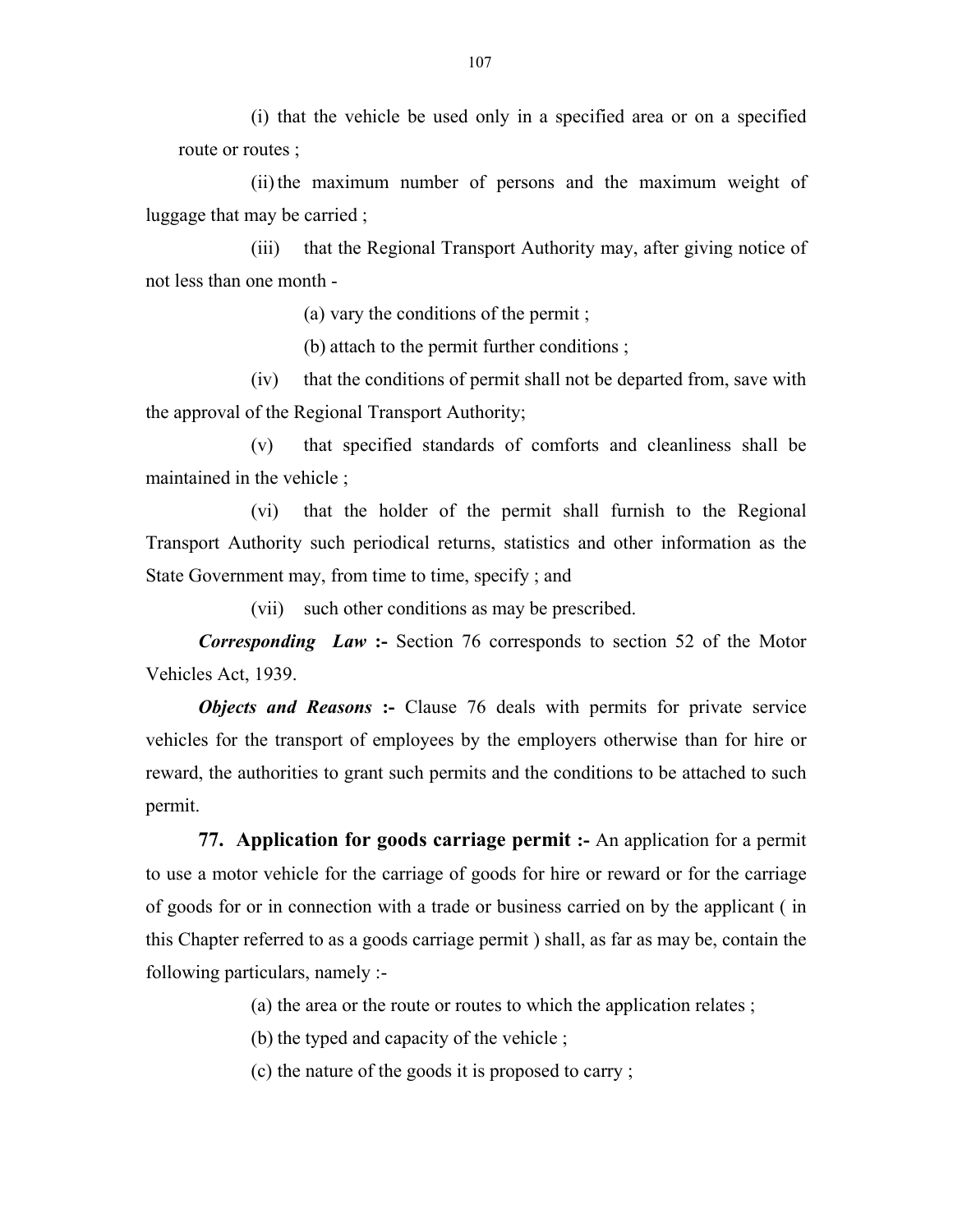(i) that the vehicle be used only in a specified area or on a specified route or routes;

(ii) the maximum number of persons and the maximum weight of luggage that may be carried ;

(iii) that the Regional Transport Authority may, after giving notice of not less than one month -

(a) vary the conditions of the permit ;

(b) attach to the permit further conditions ;

(iv) that the conditions of permit shall not be departed from, save with the approval of the Regional Transport Authority;

(v) that specified standards of comforts and cleanliness shall be maintained in the vehicle ;

(vi) that the holder of the permit shall furnish to the Regional Transport Authority such periodical returns, statistics and other information as the State Government may, from time to time, specify ; and

(vii) such other conditions as may be prescribed.

*Corresponding Law* **:-** Section 76 corresponds to section 52 of the Motor Vehicles Act, 1939.

*Objects and Reasons* :- Clause 76 deals with permits for private service vehicles for the transport of employees by the employers otherwise than for hire or reward, the authorities to grant such permits and the conditions to be attached to such permit.

**77. Application for goods carriage permit :-** An application for a permit to use a motor vehicle for the carriage of goods for hire or reward or for the carriage of goods for or in connection with a trade or business carried on by the applicant ( in this Chapter referred to as a goods carriage permit ) shall, as far as may be, contain the following particulars, namely :-

(a) the area or the route or routes to which the application relates ;

(b) the typed and capacity of the vehicle ;

(c) the nature of the goods it is proposed to carry ;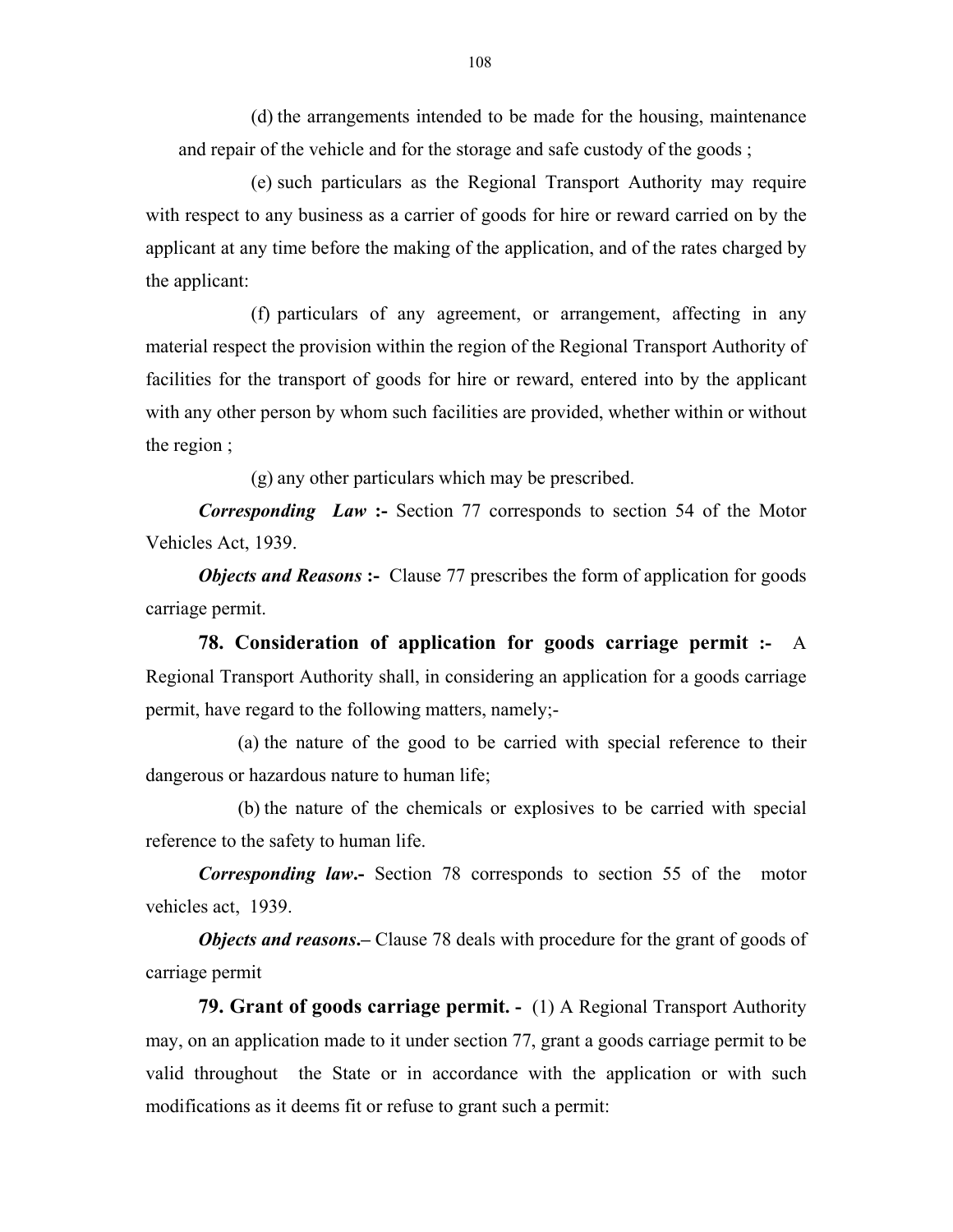(d) the arrangements intended to be made for the housing, maintenance and repair of the vehicle and for the storage and safe custody of the goods ;

(e) such particulars as the Regional Transport Authority may require with respect to any business as a carrier of goods for hire or reward carried on by the applicant at any time before the making of the application, and of the rates charged by the applicant:

(f) particulars of any agreement, or arrangement, affecting in any material respect the provision within the region of the Regional Transport Authority of facilities for the transport of goods for hire or reward, entered into by the applicant with any other person by whom such facilities are provided, whether within or without the region ;

(g) any other particulars which may be prescribed.

*Corresponding Law* **:-** Section 77 corresponds to section 54 of the Motor Vehicles Act, 1939.

*Objects and Reasons* :- Clause 77 prescribes the form of application for goods carriage permit.

**78. Consideration of application for goods carriage permit :-** A Regional Transport Authority shall, in considering an application for a goods carriage permit, have regard to the following matters, namely;-

(a) the nature of the good to be carried with special reference to their dangerous or hazardous nature to human life;

(b) the nature of the chemicals or explosives to be carried with special reference to the safety to human life.

*Corresponding law***.-** Section 78 corresponds to section 55 of the motor vehicles act, 1939.

*Objects and reasons*— Clause 78 deals with procedure for the grant of goods of carriage permit

**79. Grant of goods carriage permit. -** (1) A Regional Transport Authority may, on an application made to it under section 77, grant a goods carriage permit to be valid throughout the State or in accordance with the application or with such modifications as it deems fit or refuse to grant such a permit: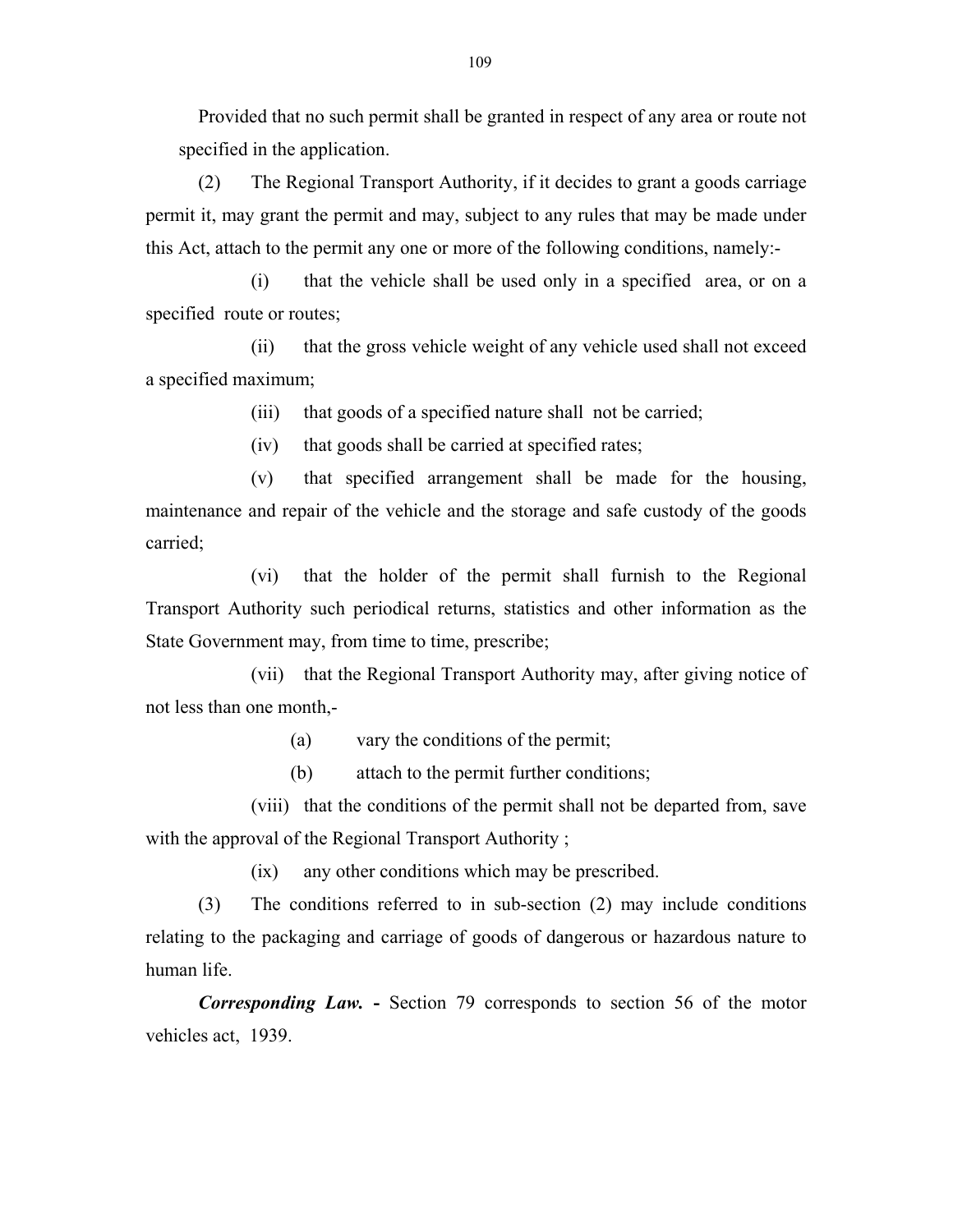Provided that no such permit shall be granted in respect of any area or route not specified in the application.

(2) The Regional Transport Authority, if it decides to grant a goods carriage permit it, may grant the permit and may, subject to any rules that may be made under this Act, attach to the permit any one or more of the following conditions, namely:-

(i) that the vehicle shall be used only in a specified area, or on a specified route or routes;

(ii) that the gross vehicle weight of any vehicle used shall not exceed a specified maximum;

(iii) that goods of a specified nature shall not be carried;

(iv) that goods shall be carried at specified rates;

(v) that specified arrangement shall be made for the housing, maintenance and repair of the vehicle and the storage and safe custody of the goods carried;

(vi) that the holder of the permit shall furnish to the Regional Transport Authority such periodical returns, statistics and other information as the State Government may, from time to time, prescribe;

(vii) that the Regional Transport Authority may, after giving notice of not less than one month,-

(a) vary the conditions of the permit;

(b) attach to the permit further conditions;

(viii) that the conditions of the permit shall not be departed from, save with the approval of the Regional Transport Authority ;

(ix) any other conditions which may be prescribed.

(3) The conditions referred to in sub-section (2) may include conditions relating to the packaging and carriage of goods of dangerous or hazardous nature to human life.

*Corresponding Law.* **-** Section 79 corresponds to section 56 of the motor vehicles act, 1939.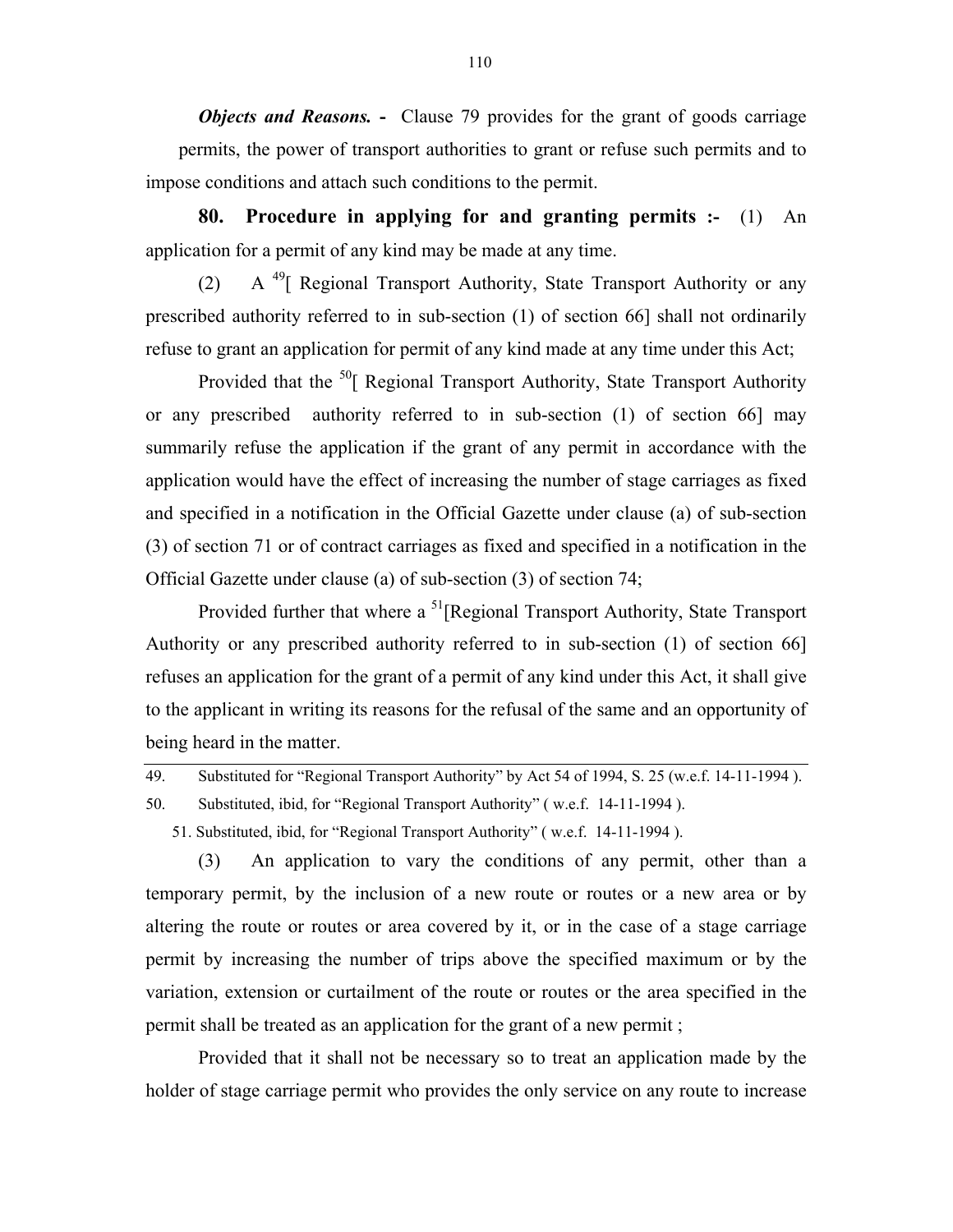*Objects and Reasons.* - Clause 79 provides for the grant of goods carriage permits, the power of transport authorities to grant or refuse such permits and to impose conditions and attach such conditions to the permit.

**80. Procedure in applying for and granting permits :-** (1) An application for a permit of any kind may be made at any time.

(2) A  $^{49}$ [ Regional Transport Authority, State Transport Authority or any prescribed authority referred to in sub-section (1) of section 66] shall not ordinarily refuse to grant an application for permit of any kind made at any time under this Act;

Provided that the <sup>50</sup>[ Regional Transport Authority, State Transport Authority or any prescribed authority referred to in sub-section (1) of section 66] may summarily refuse the application if the grant of any permit in accordance with the application would have the effect of increasing the number of stage carriages as fixed and specified in a notification in the Official Gazette under clause (a) of sub-section (3) of section 71 or of contract carriages as fixed and specified in a notification in the Official Gazette under clause (a) of sub-section (3) of section 74;

Provided further that where a <sup>51</sup>[Regional Transport Authority, State Transport Authority or any prescribed authority referred to in sub-section (1) of section 66] refuses an application for the grant of a permit of any kind under this Act, it shall give to the applicant in writing its reasons for the refusal of the same and an opportunity of being heard in the matter.

(3) An application to vary the conditions of any permit, other than a temporary permit, by the inclusion of a new route or routes or a new area or by altering the route or routes or area covered by it, or in the case of a stage carriage permit by increasing the number of trips above the specified maximum or by the variation, extension or curtailment of the route or routes or the area specified in the permit shall be treated as an application for the grant of a new permit ;

Provided that it shall not be necessary so to treat an application made by the holder of stage carriage permit who provides the only service on any route to increase

<sup>49.</sup> Substituted for "Regional Transport Authority" by Act 54 of 1994, S. 25 (w.e.f. 14-11-1994 ).

<sup>50.</sup> Substituted, ibid, for "Regional Transport Authority" ( w.e.f. 14-11-1994 ).

<sup>51.</sup> Substituted, ibid, for "Regional Transport Authority" ( w.e.f. 14-11-1994 ).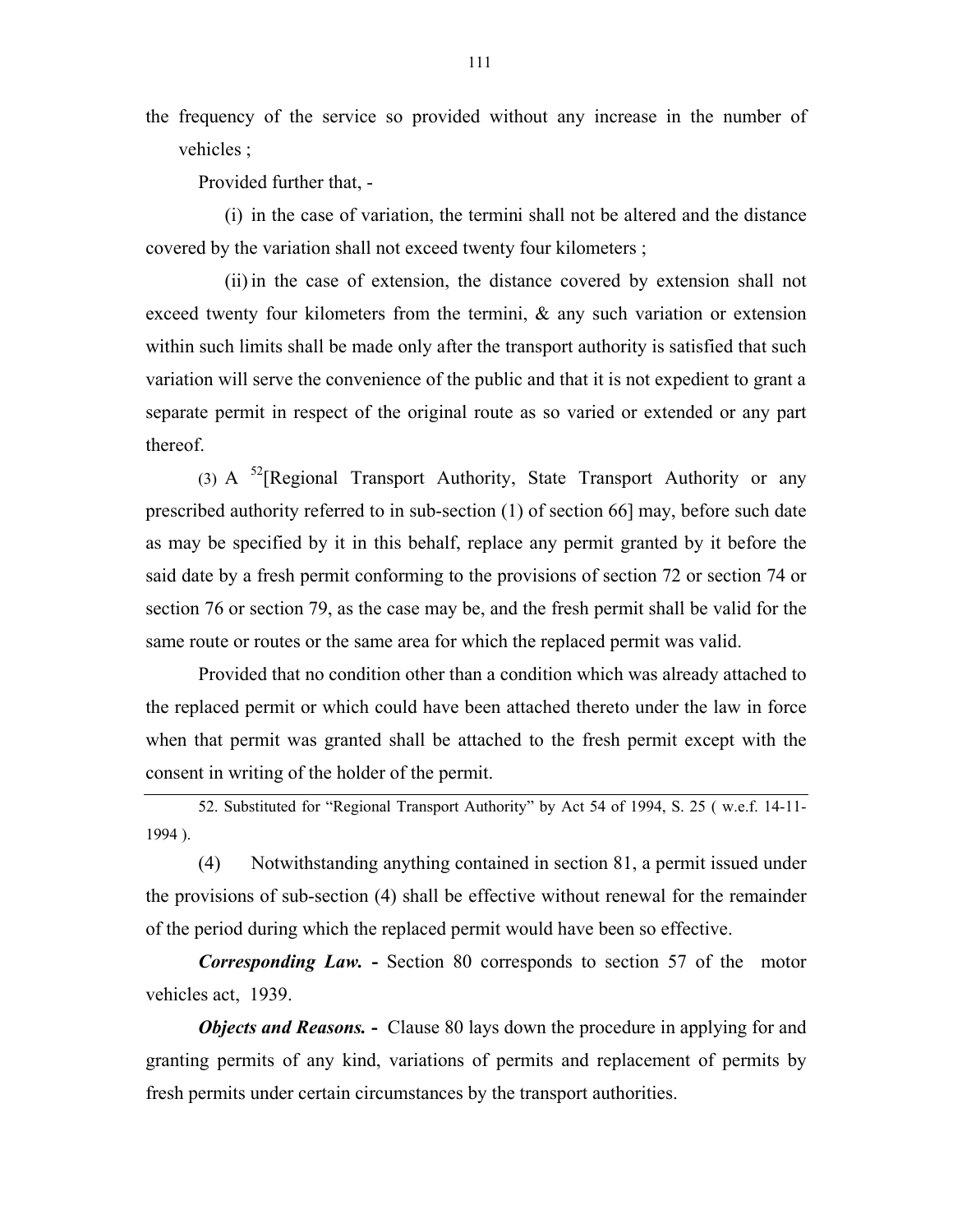the frequency of the service so provided without any increase in the number of vehicles ;

Provided further that, -

(i) in the case of variation, the termini shall not be altered and the distance covered by the variation shall not exceed twenty four kilometers ;

(ii) in the case of extension, the distance covered by extension shall not exceed twenty four kilometers from the termini,  $\&$  any such variation or extension within such limits shall be made only after the transport authority is satisfied that such variation will serve the convenience of the public and that it is not expedient to grant a separate permit in respect of the original route as so varied or extended or any part thereof.

(3) A  $^{52}$ [Regional Transport Authority, State Transport Authority or any prescribed authority referred to in sub-section (1) of section 66] may, before such date as may be specified by it in this behalf, replace any permit granted by it before the said date by a fresh permit conforming to the provisions of section 72 or section 74 or section 76 or section 79, as the case may be, and the fresh permit shall be valid for the same route or routes or the same area for which the replaced permit was valid.

Provided that no condition other than a condition which was already attached to the replaced permit or which could have been attached thereto under the law in force when that permit was granted shall be attached to the fresh permit except with the consent in writing of the holder of the permit.

52. Substituted for "Regional Transport Authority" by Act 54 of 1994, S. 25 ( w.e.f. 14-11- 1994 ).

(4) Notwithstanding anything contained in section 81, a permit issued under the provisions of sub-section (4) shall be effective without renewal for the remainder of the period during which the replaced permit would have been so effective.

*Corresponding Law.* **-** Section 80 corresponds to section 57 of the motor vehicles act, 1939.

*Objects and Reasons.* - Clause 80 lays down the procedure in applying for and granting permits of any kind, variations of permits and replacement of permits by fresh permits under certain circumstances by the transport authorities.

111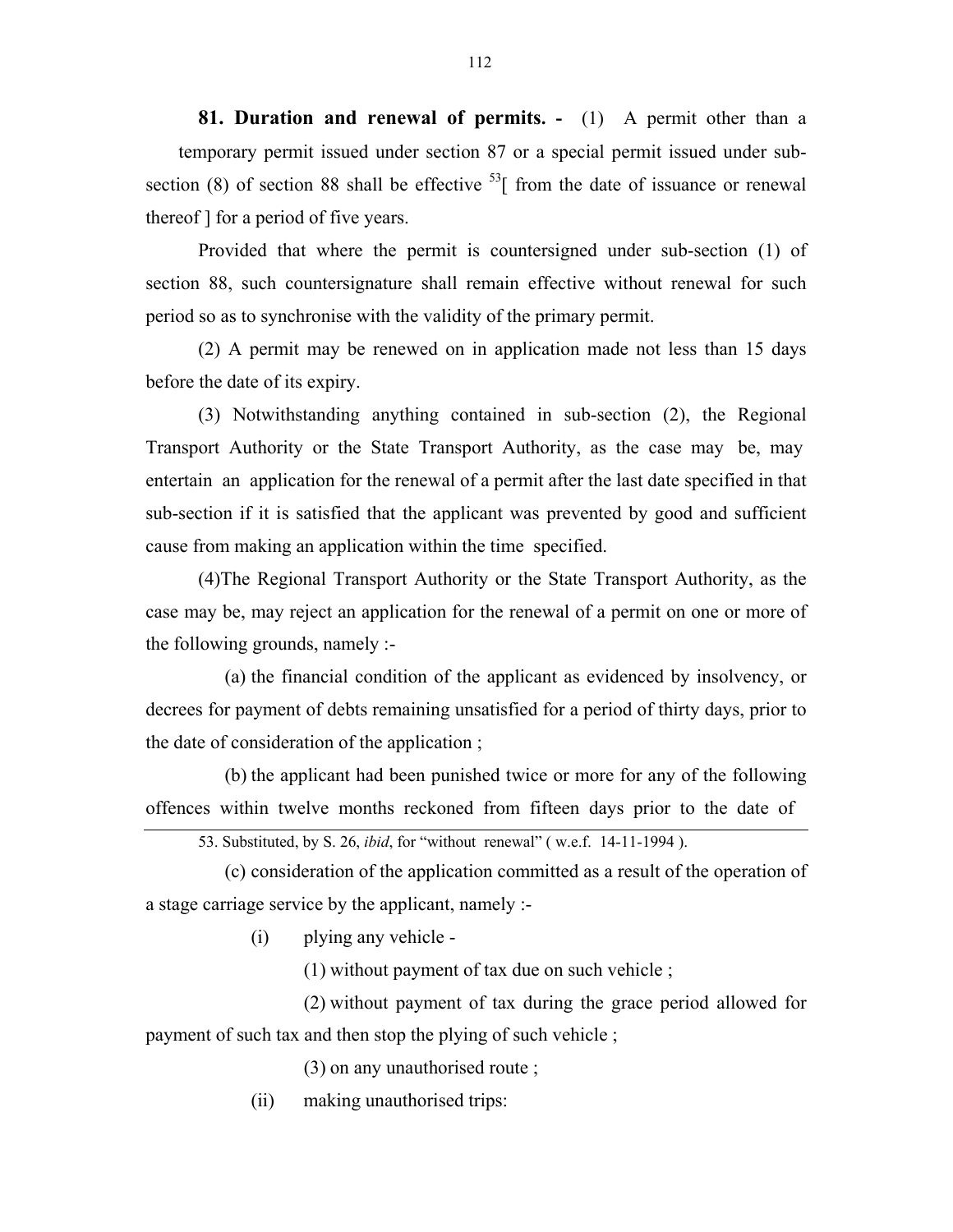**81. Duration and renewal of permits. -** (1) A permit other than a temporary permit issued under section 87 or a special permit issued under subsection (8) of section 88 shall be effective  $53$ [ from the date of issuance or renewal thereof ] for a period of five years.

Provided that where the permit is countersigned under sub-section (1) of section 88, such countersignature shall remain effective without renewal for such period so as to synchronise with the validity of the primary permit.

(2) A permit may be renewed on in application made not less than 15 days before the date of its expiry.

(3) Notwithstanding anything contained in sub-section (2), the Regional Transport Authority or the State Transport Authority, as the case may be, may entertain an application for the renewal of a permit after the last date specified in that sub-section if it is satisfied that the applicant was prevented by good and sufficient cause from making an application within the time specified.

(4)The Regional Transport Authority or the State Transport Authority, as the case may be, may reject an application for the renewal of a permit on one or more of the following grounds, namely :-

(a) the financial condition of the applicant as evidenced by insolvency, or decrees for payment of debts remaining unsatisfied for a period of thirty days, prior to the date of consideration of the application ;

(b) the applicant had been punished twice or more for any of the following offences within twelve months reckoned from fifteen days prior to the date of

53. Substituted, by S. 26, *ibid*, for "without renewal" ( w.e.f. 14-11-1994 ).

(c) consideration of the application committed as a result of the operation of a stage carriage service by the applicant, namely :-

(i) plying any vehicle -

(1) without payment of tax due on such vehicle ;

(2) without payment of tax during the grace period allowed for payment of such tax and then stop the plying of such vehicle ;

(3) on any unauthorised route ;

(ii) making unauthorised trips: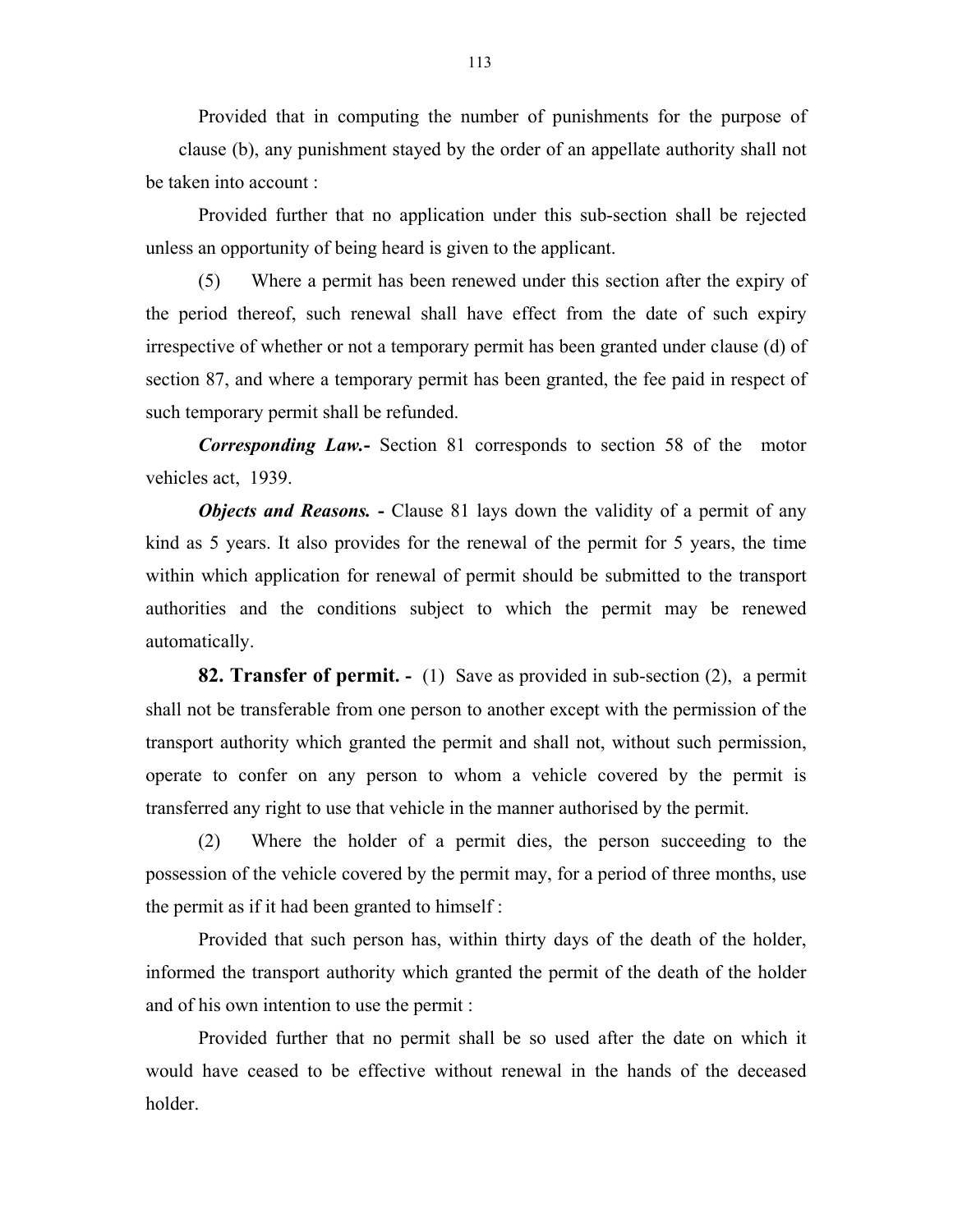Provided that in computing the number of punishments for the purpose of clause (b), any punishment stayed by the order of an appellate authority shall not be taken into account :

Provided further that no application under this sub-section shall be rejected unless an opportunity of being heard is given to the applicant.

(5) Where a permit has been renewed under this section after the expiry of the period thereof, such renewal shall have effect from the date of such expiry irrespective of whether or not a temporary permit has been granted under clause (d) of section 87, and where a temporary permit has been granted, the fee paid in respect of such temporary permit shall be refunded.

*Corresponding Law.***-** Section 81 corresponds to section 58 of the motor vehicles act, 1939.

*Objects and Reasons.* - Clause 81 lays down the validity of a permit of any kind as 5 years. It also provides for the renewal of the permit for 5 years, the time within which application for renewal of permit should be submitted to the transport authorities and the conditions subject to which the permit may be renewed automatically.

**82. Transfer of permit. -** (1) Save as provided in sub-section (2), a permit shall not be transferable from one person to another except with the permission of the transport authority which granted the permit and shall not, without such permission, operate to confer on any person to whom a vehicle covered by the permit is transferred any right to use that vehicle in the manner authorised by the permit.

(2) Where the holder of a permit dies, the person succeeding to the possession of the vehicle covered by the permit may, for a period of three months, use the permit as if it had been granted to himself :

Provided that such person has, within thirty days of the death of the holder, informed the transport authority which granted the permit of the death of the holder and of his own intention to use the permit :

Provided further that no permit shall be so used after the date on which it would have ceased to be effective without renewal in the hands of the deceased holder.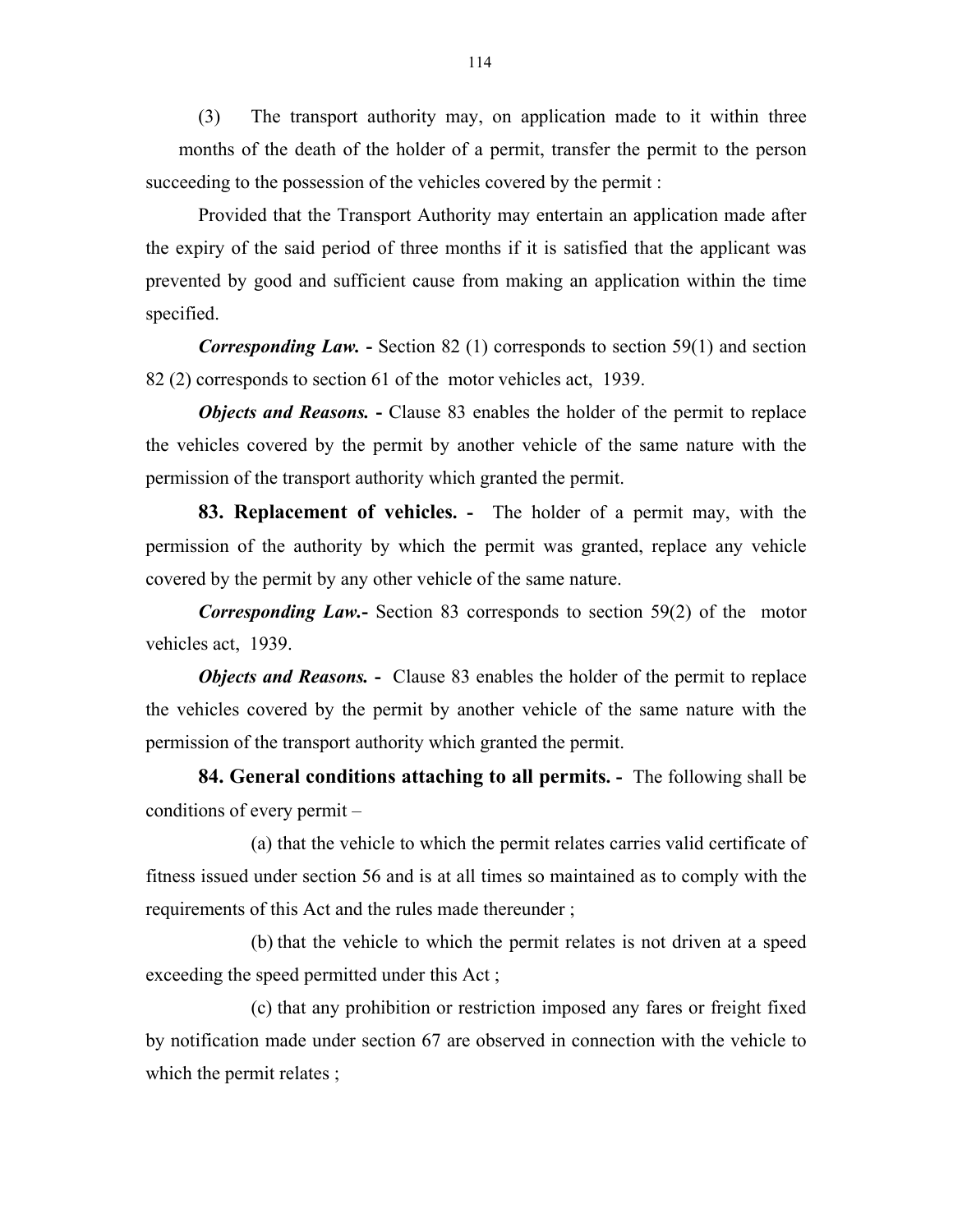(3) The transport authority may, on application made to it within three months of the death of the holder of a permit, transfer the permit to the person succeeding to the possession of the vehicles covered by the permit :

Provided that the Transport Authority may entertain an application made after the expiry of the said period of three months if it is satisfied that the applicant was prevented by good and sufficient cause from making an application within the time specified.

*Corresponding Law.* **-** Section 82 (1) corresponds to section 59(1) and section 82 (2) corresponds to section 61 of the motor vehicles act, 1939.

*Objects and Reasons.* - Clause 83 enables the holder of the permit to replace the vehicles covered by the permit by another vehicle of the same nature with the permission of the transport authority which granted the permit.

**83. Replacement of vehicles. -** The holder of a permit may, with the permission of the authority by which the permit was granted, replace any vehicle covered by the permit by any other vehicle of the same nature.

*Corresponding Law.***-** Section 83 corresponds to section 59(2) of the motor vehicles act, 1939.

*Objects and Reasons.* - Clause 83 enables the holder of the permit to replace the vehicles covered by the permit by another vehicle of the same nature with the permission of the transport authority which granted the permit.

**84. General conditions attaching to all permits. -** The following shall be conditions of every permit –

(a) that the vehicle to which the permit relates carries valid certificate of fitness issued under section 56 and is at all times so maintained as to comply with the requirements of this Act and the rules made thereunder ;

(b) that the vehicle to which the permit relates is not driven at a speed exceeding the speed permitted under this Act ;

(c) that any prohibition or restriction imposed any fares or freight fixed by notification made under section 67 are observed in connection with the vehicle to which the permit relates ;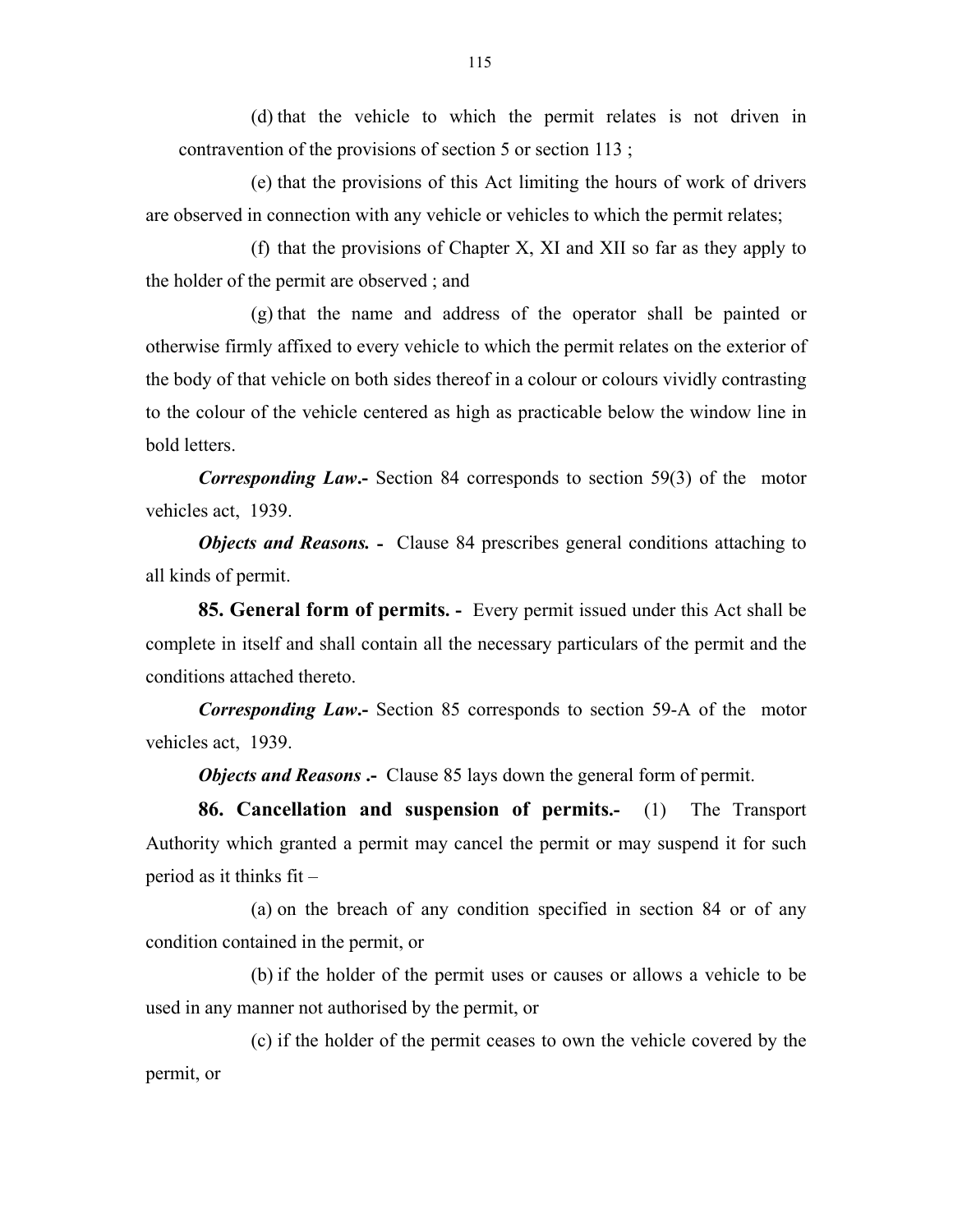(d) that the vehicle to which the permit relates is not driven in contravention of the provisions of section 5 or section 113;

(e) that the provisions of this Act limiting the hours of work of drivers are observed in connection with any vehicle or vehicles to which the permit relates;

(f) that the provisions of Chapter X, XI and XII so far as they apply to the holder of the permit are observed ; and

(g) that the name and address of the operator shall be painted or otherwise firmly affixed to every vehicle to which the permit relates on the exterior of the body of that vehicle on both sides thereof in a colour or colours vividly contrasting to the colour of the vehicle centered as high as practicable below the window line in bold letters.

*Corresponding Law***.-** Section 84 corresponds to section 59(3) of the motor vehicles act, 1939.

*Objects and Reasons.* **-** Clause 84 prescribes general conditions attaching to all kinds of permit.

**85. General form of permits. -** Every permit issued under this Act shall be complete in itself and shall contain all the necessary particulars of the permit and the conditions attached thereto.

*Corresponding Law***.-** Section 85 corresponds to section 59-A of the motor vehicles act, 1939.

*Objects and Reasons* .- Clause 85 lays down the general form of permit.

**86. Cancellation and suspension of permits.-** (1) The Transport Authority which granted a permit may cancel the permit or may suspend it for such period as it thinks fit –

(a) on the breach of any condition specified in section 84 or of any condition contained in the permit, or

(b) if the holder of the permit uses or causes or allows a vehicle to be used in any manner not authorised by the permit, or

(c) if the holder of the permit ceases to own the vehicle covered by the permit, or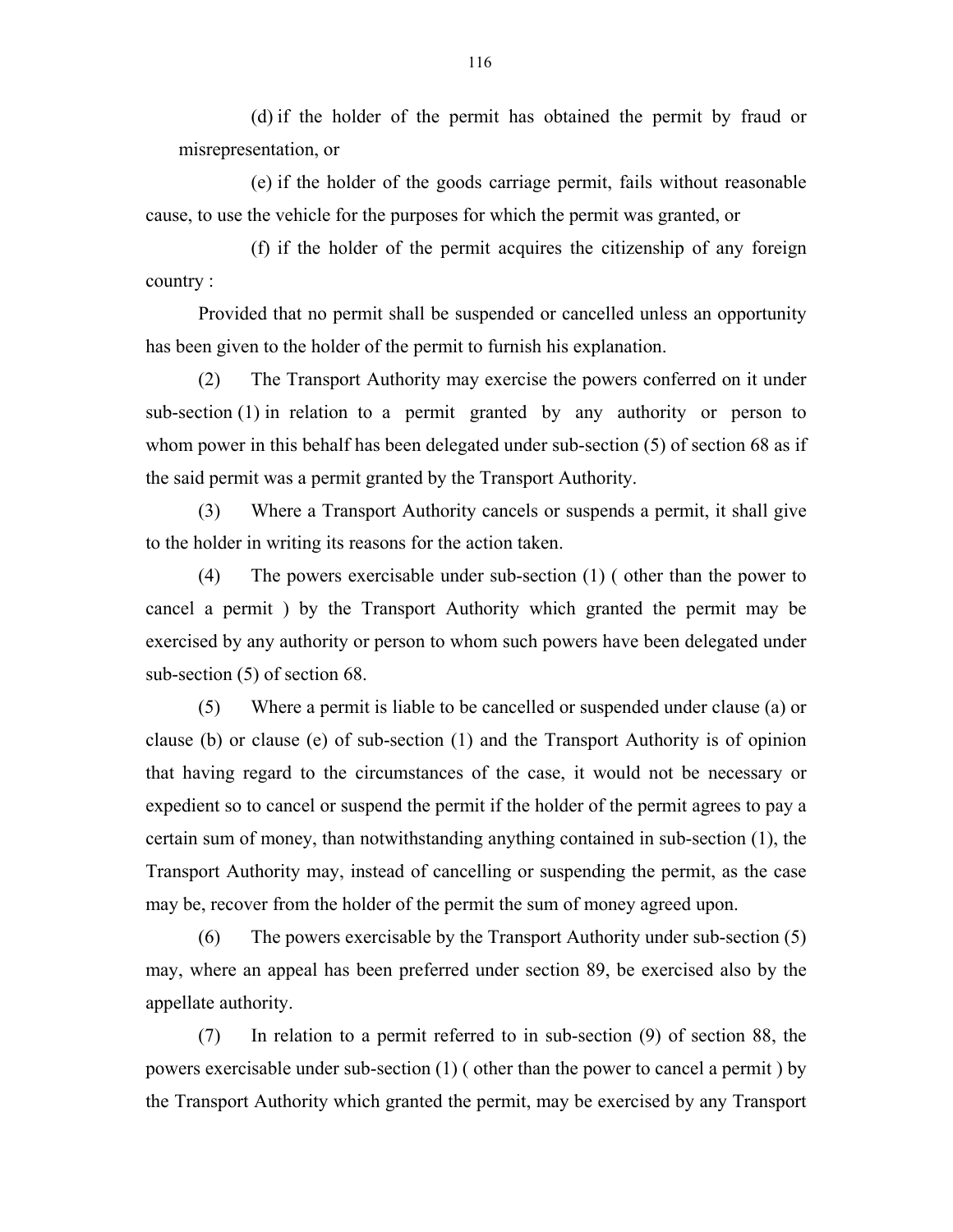(d) if the holder of the permit has obtained the permit by fraud or misrepresentation, or

(e) if the holder of the goods carriage permit, fails without reasonable cause, to use the vehicle for the purposes for which the permit was granted, or

(f) if the holder of the permit acquires the citizenship of any foreign country :

Provided that no permit shall be suspended or cancelled unless an opportunity has been given to the holder of the permit to furnish his explanation.

(2) The Transport Authority may exercise the powers conferred on it under sub-section (1) in relation to a permit granted by any authority or person to whom power in this behalf has been delegated under sub-section (5) of section 68 as if the said permit was a permit granted by the Transport Authority.

(3) Where a Transport Authority cancels or suspends a permit, it shall give to the holder in writing its reasons for the action taken.

(4) The powers exercisable under sub-section (1) ( other than the power to cancel a permit ) by the Transport Authority which granted the permit may be exercised by any authority or person to whom such powers have been delegated under sub-section (5) of section 68.

(5) Where a permit is liable to be cancelled or suspended under clause (a) or clause (b) or clause (e) of sub-section (1) and the Transport Authority is of opinion that having regard to the circumstances of the case, it would not be necessary or expedient so to cancel or suspend the permit if the holder of the permit agrees to pay a certain sum of money, than notwithstanding anything contained in sub-section (1), the Transport Authority may, instead of cancelling or suspending the permit, as the case may be, recover from the holder of the permit the sum of money agreed upon.

(6) The powers exercisable by the Transport Authority under sub-section (5) may, where an appeal has been preferred under section 89, be exercised also by the appellate authority.

(7) In relation to a permit referred to in sub-section (9) of section 88, the powers exercisable under sub-section (1) ( other than the power to cancel a permit ) by the Transport Authority which granted the permit, may be exercised by any Transport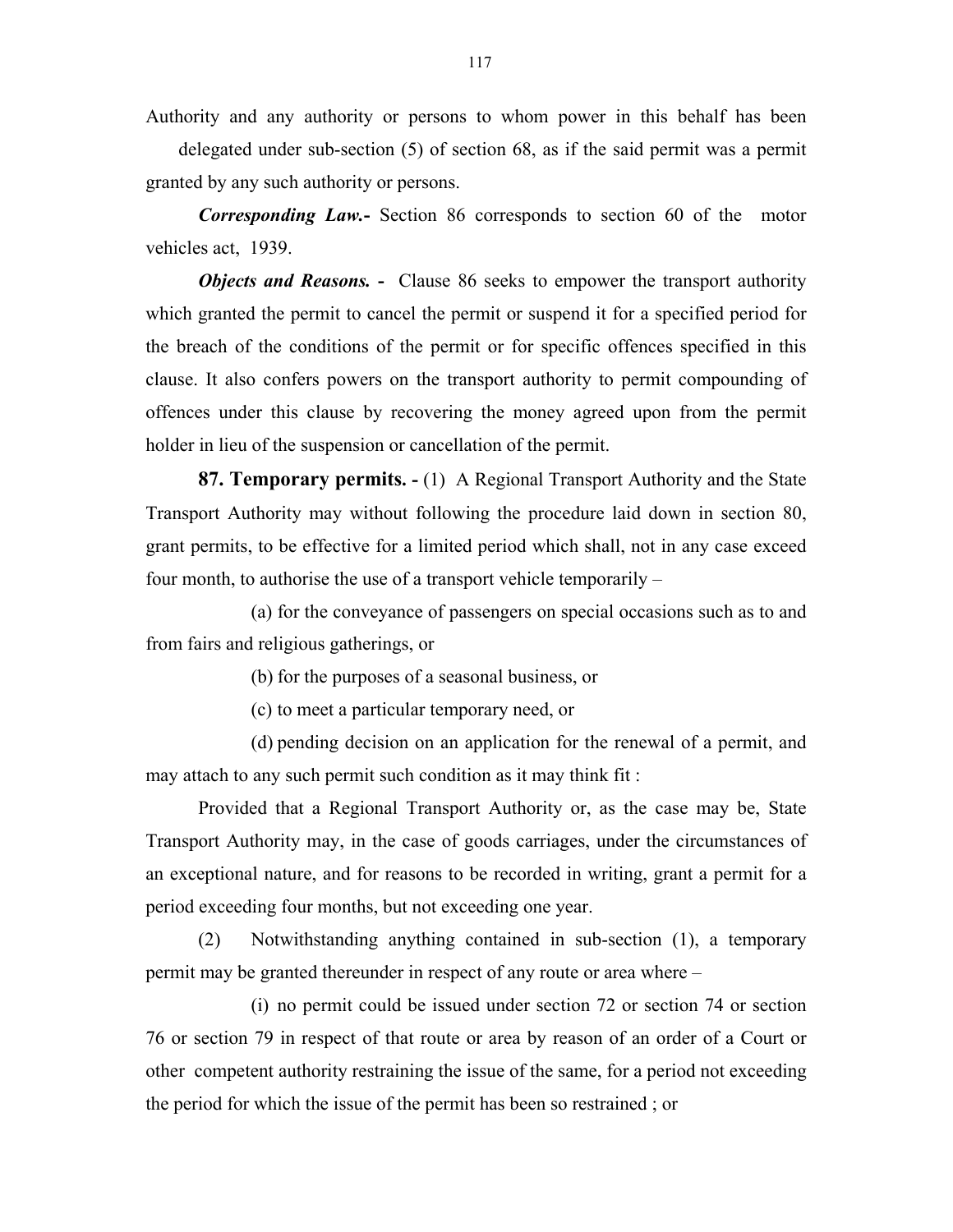Authority and any authority or persons to whom power in this behalf has been

delegated under sub-section (5) of section 68, as if the said permit was a permit granted by any such authority or persons.

*Corresponding Law.***-** Section 86 corresponds to section 60 of the motor vehicles act, 1939.

*Objects and Reasons.* - Clause 86 seeks to empower the transport authority which granted the permit to cancel the permit or suspend it for a specified period for the breach of the conditions of the permit or for specific offences specified in this clause. It also confers powers on the transport authority to permit compounding of offences under this clause by recovering the money agreed upon from the permit holder in lieu of the suspension or cancellation of the permit.

**87. Temporary permits. -** (1) A Regional Transport Authority and the State Transport Authority may without following the procedure laid down in section 80, grant permits, to be effective for a limited period which shall, not in any case exceed four month, to authorise the use of a transport vehicle temporarily –

(a) for the conveyance of passengers on special occasions such as to and from fairs and religious gatherings, or

(b) for the purposes of a seasonal business, or

(c) to meet a particular temporary need, or

(d) pending decision on an application for the renewal of a permit, and may attach to any such permit such condition as it may think fit :

Provided that a Regional Transport Authority or, as the case may be, State Transport Authority may, in the case of goods carriages, under the circumstances of an exceptional nature, and for reasons to be recorded in writing, grant a permit for a period exceeding four months, but not exceeding one year.

(2) Notwithstanding anything contained in sub-section (1), a temporary permit may be granted thereunder in respect of any route or area where –

(i) no permit could be issued under section 72 or section 74 or section 76 or section 79 in respect of that route or area by reason of an order of a Court or other competent authority restraining the issue of the same, for a period not exceeding the period for which the issue of the permit has been so restrained ; or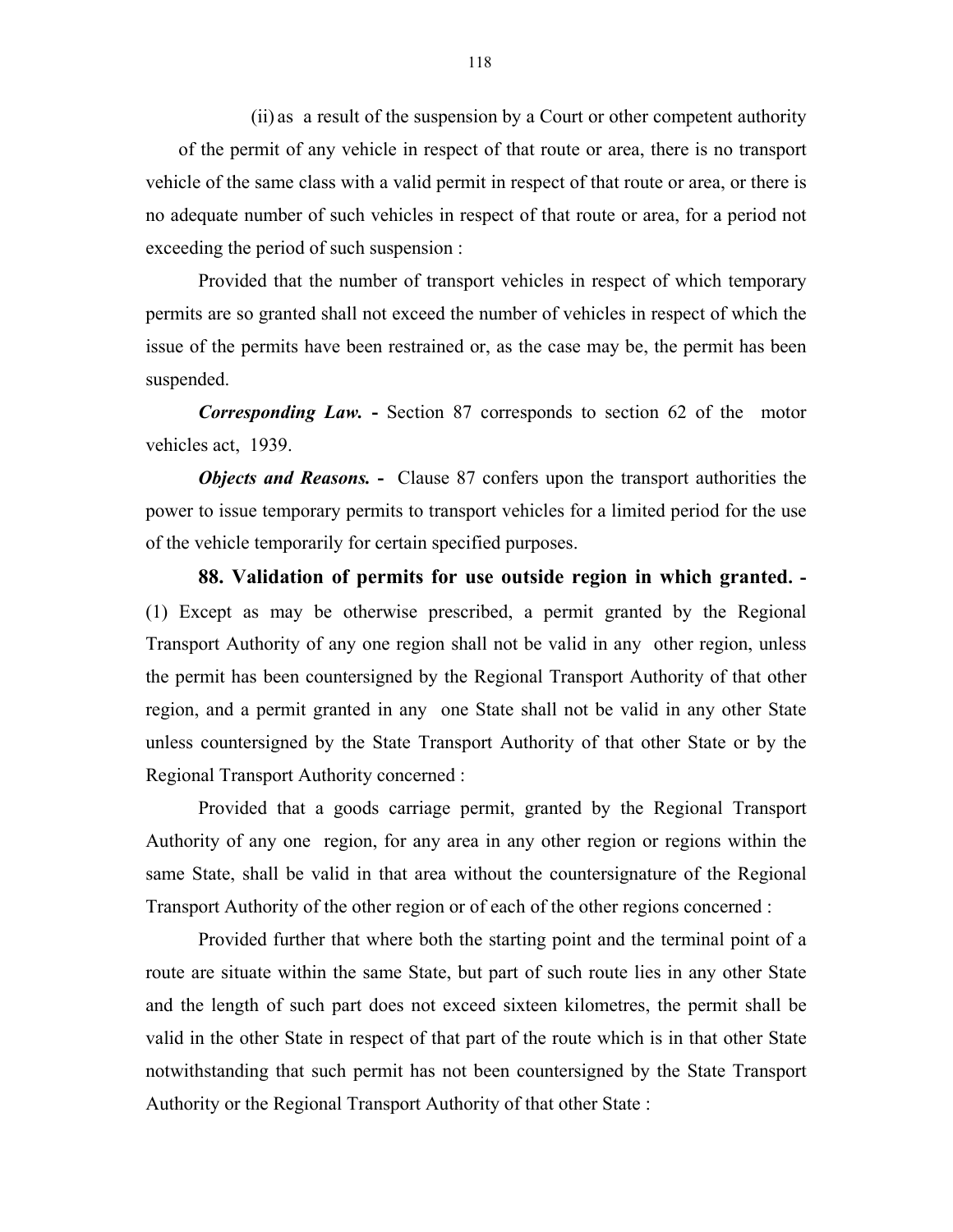(ii) as a result of the suspension by a Court or other competent authority of the permit of any vehicle in respect of that route or area, there is no transport vehicle of the same class with a valid permit in respect of that route or area, or there is no adequate number of such vehicles in respect of that route or area, for a period not exceeding the period of such suspension :

Provided that the number of transport vehicles in respect of which temporary permits are so granted shall not exceed the number of vehicles in respect of which the issue of the permits have been restrained or, as the case may be, the permit has been suspended.

*Corresponding Law.* **-** Section 87 corresponds to section 62 of the motor vehicles act, 1939.

*Objects and Reasons.* - Clause 87 confers upon the transport authorities the power to issue temporary permits to transport vehicles for a limited period for the use of the vehicle temporarily for certain specified purposes.

**88. Validation of permits for use outside region in which granted. -** (1) Except as may be otherwise prescribed, a permit granted by the Regional Transport Authority of any one region shall not be valid in any other region, unless the permit has been countersigned by the Regional Transport Authority of that other region, and a permit granted in any one State shall not be valid in any other State unless countersigned by the State Transport Authority of that other State or by the Regional Transport Authority concerned :

Provided that a goods carriage permit, granted by the Regional Transport Authority of any one region, for any area in any other region or regions within the same State, shall be valid in that area without the countersignature of the Regional Transport Authority of the other region or of each of the other regions concerned :

Provided further that where both the starting point and the terminal point of a route are situate within the same State, but part of such route lies in any other State and the length of such part does not exceed sixteen kilometres, the permit shall be valid in the other State in respect of that part of the route which is in that other State notwithstanding that such permit has not been countersigned by the State Transport Authority or the Regional Transport Authority of that other State :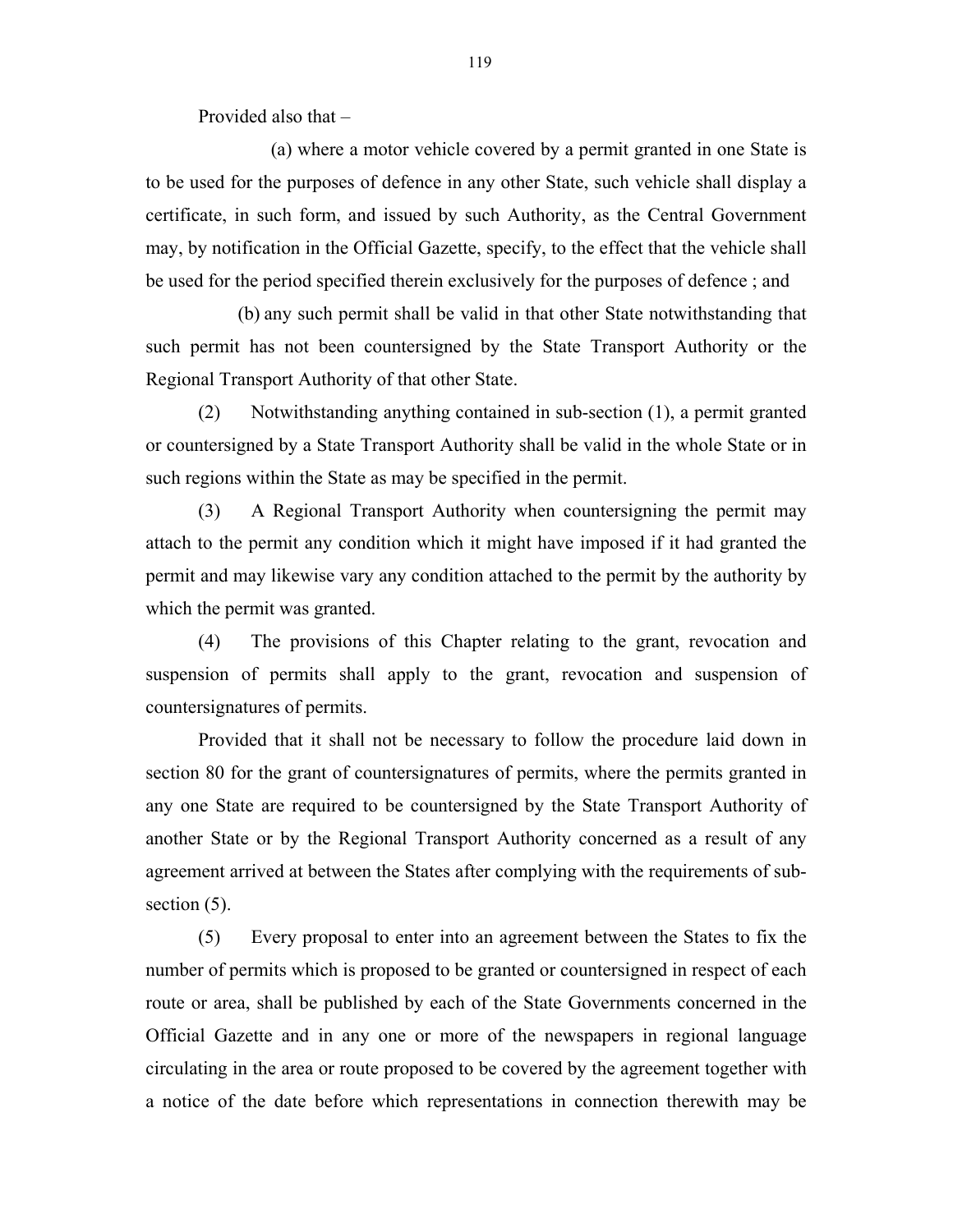Provided also that –

(a) where a motor vehicle covered by a permit granted in one State is to be used for the purposes of defence in any other State, such vehicle shall display a certificate, in such form, and issued by such Authority, as the Central Government may, by notification in the Official Gazette, specify, to the effect that the vehicle shall be used for the period specified therein exclusively for the purposes of defence ; and

(b) any such permit shall be valid in that other State notwithstanding that such permit has not been countersigned by the State Transport Authority or the Regional Transport Authority of that other State.

(2) Notwithstanding anything contained in sub-section (1), a permit granted or countersigned by a State Transport Authority shall be valid in the whole State or in such regions within the State as may be specified in the permit.

(3) A Regional Transport Authority when countersigning the permit may attach to the permit any condition which it might have imposed if it had granted the permit and may likewise vary any condition attached to the permit by the authority by which the permit was granted.

(4) The provisions of this Chapter relating to the grant, revocation and suspension of permits shall apply to the grant, revocation and suspension of countersignatures of permits.

Provided that it shall not be necessary to follow the procedure laid down in section 80 for the grant of countersignatures of permits, where the permits granted in any one State are required to be countersigned by the State Transport Authority of another State or by the Regional Transport Authority concerned as a result of any agreement arrived at between the States after complying with the requirements of subsection  $(5)$ .

(5) Every proposal to enter into an agreement between the States to fix the number of permits which is proposed to be granted or countersigned in respect of each route or area, shall be published by each of the State Governments concerned in the Official Gazette and in any one or more of the newspapers in regional language circulating in the area or route proposed to be covered by the agreement together with a notice of the date before which representations in connection therewith may be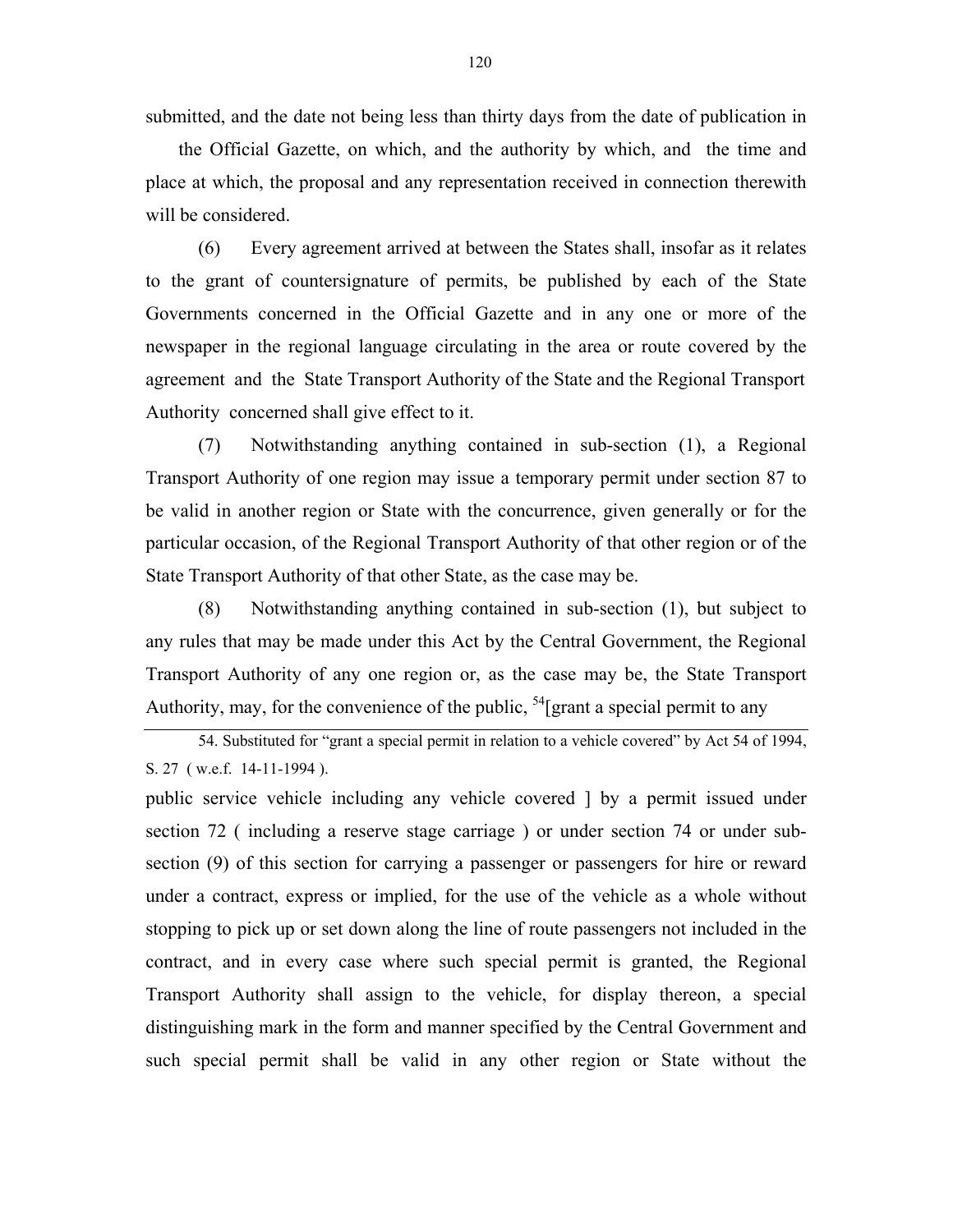submitted, and the date not being less than thirty days from the date of publication in

the Official Gazette, on which, and the authority by which, and the time and place at which, the proposal and any representation received in connection therewith will be considered.

(6) Every agreement arrived at between the States shall, insofar as it relates to the grant of countersignature of permits, be published by each of the State Governments concerned in the Official Gazette and in any one or more of the newspaper in the regional language circulating in the area or route covered by the agreement and the State Transport Authority of the State and the Regional Transport Authority concerned shall give effect to it.

(7) Notwithstanding anything contained in sub-section (1), a Regional Transport Authority of one region may issue a temporary permit under section 87 to be valid in another region or State with the concurrence, given generally or for the particular occasion, of the Regional Transport Authority of that other region or of the State Transport Authority of that other State, as the case may be.

(8) Notwithstanding anything contained in sub-section (1), but subject to any rules that may be made under this Act by the Central Government, the Regional Transport Authority of any one region or, as the case may be, the State Transport Authority, may, for the convenience of the public,  $54$ [grant a special permit to any

 54. Substituted for "grant a special permit in relation to a vehicle covered" by Act 54 of 1994, S. 27 ( w.e.f. 14-11-1994 ).

public service vehicle including any vehicle covered ] by a permit issued under section 72 ( including a reserve stage carriage ) or under section 74 or under subsection (9) of this section for carrying a passenger or passengers for hire or reward under a contract, express or implied, for the use of the vehicle as a whole without stopping to pick up or set down along the line of route passengers not included in the contract, and in every case where such special permit is granted, the Regional Transport Authority shall assign to the vehicle, for display thereon, a special distinguishing mark in the form and manner specified by the Central Government and such special permit shall be valid in any other region or State without the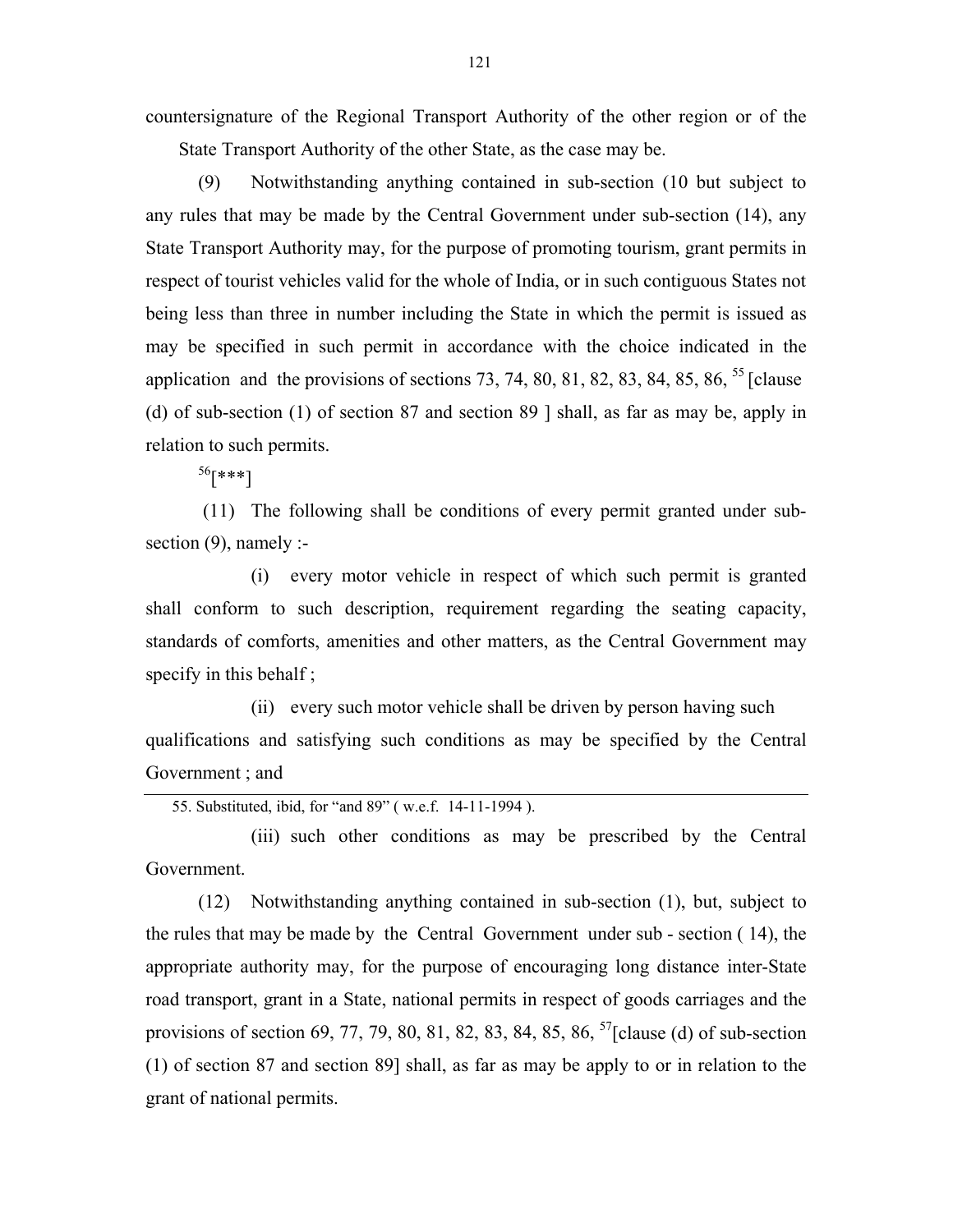countersignature of the Regional Transport Authority of the other region or of the

State Transport Authority of the other State, as the case may be.

(9) Notwithstanding anything contained in sub-section (10 but subject to any rules that may be made by the Central Government under sub-section (14), any State Transport Authority may, for the purpose of promoting tourism, grant permits in respect of tourist vehicles valid for the whole of India, or in such contiguous States not being less than three in number including the State in which the permit is issued as may be specified in such permit in accordance with the choice indicated in the application and the provisions of sections 73, 74, 80, 81, 82, 83, 84, 85, 86,  $^{55}$  [clause] (d) of sub-section (1) of section 87 and section 89 ] shall, as far as may be, apply in relation to such permits.

 $56$ [\*\*\*]

 (11) The following shall be conditions of every permit granted under subsection  $(9)$ , namely :-

(i) every motor vehicle in respect of which such permit is granted shall conform to such description, requirement regarding the seating capacity, standards of comforts, amenities and other matters, as the Central Government may specify in this behalf;

(ii) every such motor vehicle shall be driven by person having such qualifications and satisfying such conditions as may be specified by the Central Government ; and

55. Substituted, ibid, for "and 89" ( w.e.f. 14-11-1994 ).

(iii) such other conditions as may be prescribed by the Central Government.

(12) Notwithstanding anything contained in sub-section (1), but, subject to the rules that may be made by the Central Government under sub - section ( 14), the appropriate authority may, for the purpose of encouraging long distance inter-State road transport, grant in a State, national permits in respect of goods carriages and the provisions of section 69, 77, 79, 80, 81, 82, 83, 84, 85, 86,  $^{57}$ [clause (d) of sub-section (1) of section 87 and section 89] shall, as far as may be apply to or in relation to the grant of national permits.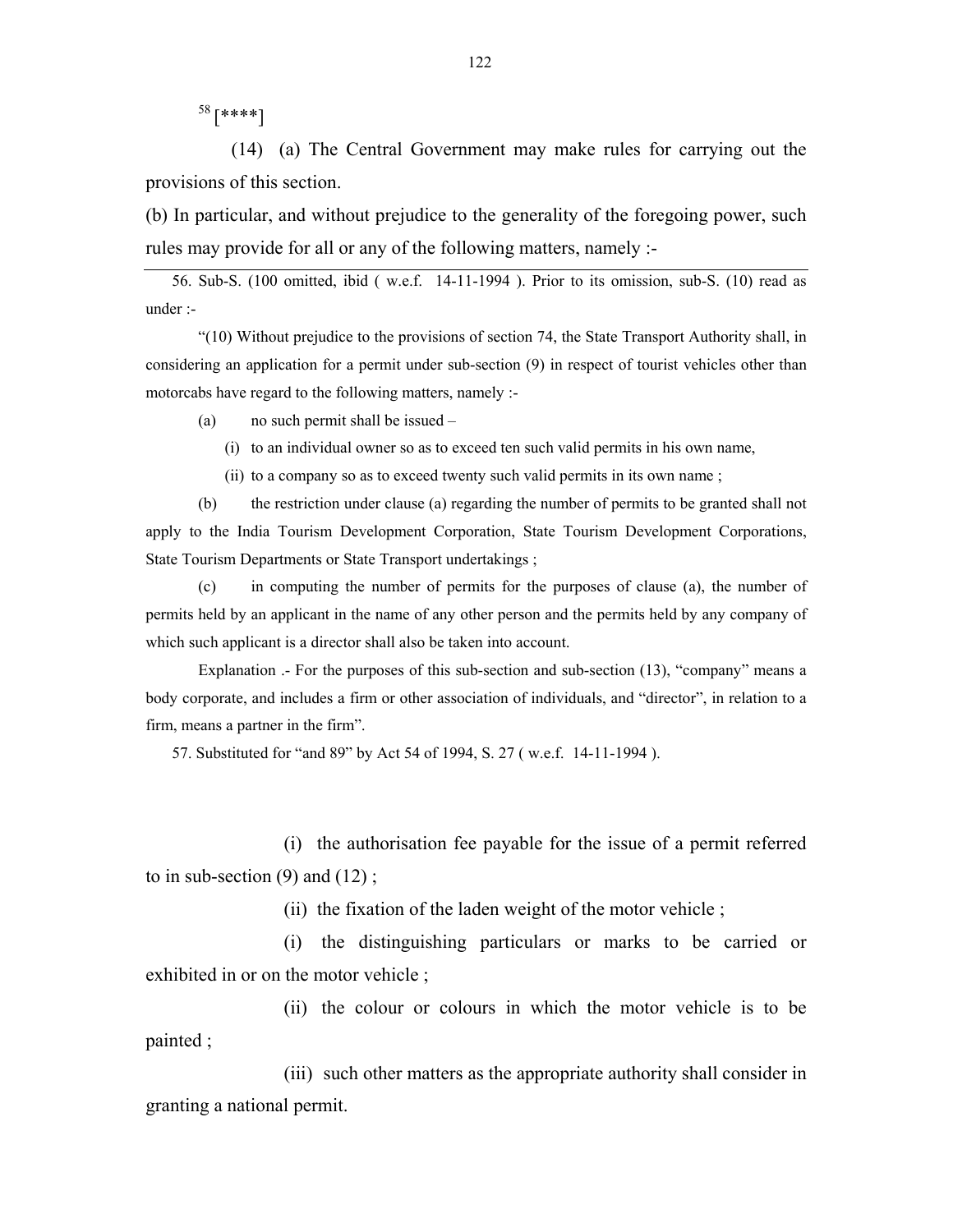58 [\*\*\*\*]

 (14) (a) The Central Government may make rules for carrying out the provisions of this section.

(b) In particular, and without prejudice to the generality of the foregoing power, such rules may provide for all or any of the following matters, namely :-

56. Sub-S. (100 omitted, ibid ( w.e.f. 14-11-1994 ). Prior to its omission, sub-S. (10) read as under :-

"(10) Without prejudice to the provisions of section 74, the State Transport Authority shall, in considering an application for a permit under sub-section (9) in respect of tourist vehicles other than motorcabs have regard to the following matters, namely :-

(a) no such permit shall be issued –

- (i) to an individual owner so as to exceed ten such valid permits in his own name,
- (ii) to a company so as to exceed twenty such valid permits in its own name ;

(b) the restriction under clause (a) regarding the number of permits to be granted shall not apply to the India Tourism Development Corporation, State Tourism Development Corporations, State Tourism Departments or State Transport undertakings ;

(c) in computing the number of permits for the purposes of clause (a), the number of permits held by an applicant in the name of any other person and the permits held by any company of which such applicant is a director shall also be taken into account.

Explanation .- For the purposes of this sub-section and sub-section (13), "company" means a body corporate, and includes a firm or other association of individuals, and "director", in relation to a firm, means a partner in the firm".

57. Substituted for "and 89" by Act 54 of 1994, S. 27 ( w.e.f. 14-11-1994 ).

(i) the authorisation fee payable for the issue of a permit referred to in sub-section  $(9)$  and  $(12)$ ;

(ii) the fixation of the laden weight of the motor vehicle ;

(i) the distinguishing particulars or marks to be carried or exhibited in or on the motor vehicle ;

(ii) the colour or colours in which the motor vehicle is to be painted ;

(iii) such other matters as the appropriate authority shall consider in granting a national permit.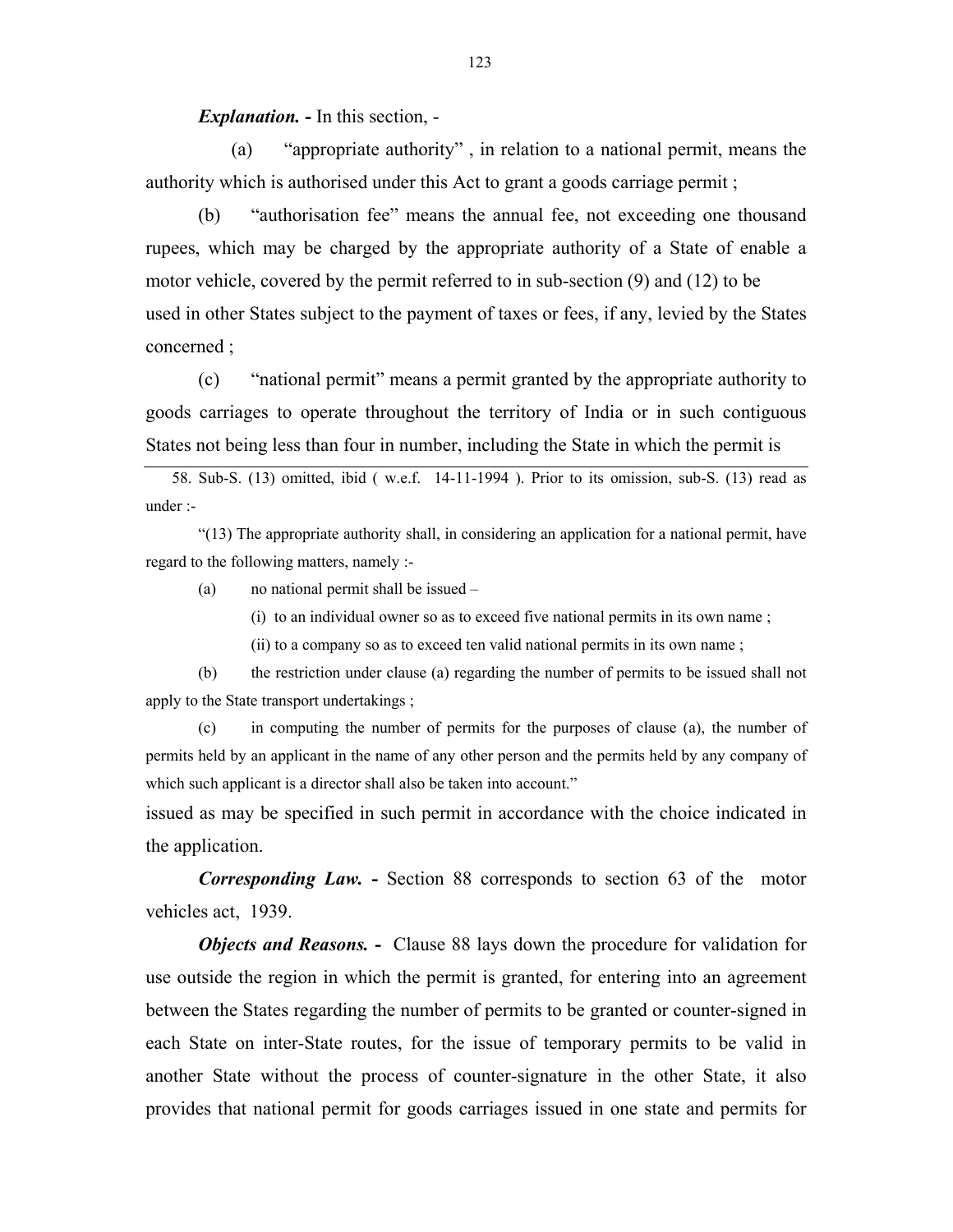*Explanation.* **-** In this section, -

(a) "appropriate authority" , in relation to a national permit, means the authority which is authorised under this Act to grant a goods carriage permit ;

(b) "authorisation fee" means the annual fee, not exceeding one thousand rupees, which may be charged by the appropriate authority of a State of enable a motor vehicle, covered by the permit referred to in sub-section (9) and (12) to be used in other States subject to the payment of taxes or fees, if any, levied by the States concerned ;

(c) "national permit" means a permit granted by the appropriate authority to goods carriages to operate throughout the territory of India or in such contiguous States not being less than four in number, including the State in which the permit is

58. Sub-S. (13) omitted, ibid ( w.e.f. 14-11-1994 ). Prior to its omission, sub-S. (13) read as under :-

"(13) The appropriate authority shall, in considering an application for a national permit, have regard to the following matters, namely :-

(a) no national permit shall be issued –

(i) to an individual owner so as to exceed five national permits in its own name ;

(ii) to a company so as to exceed ten valid national permits in its own name ;

(b) the restriction under clause (a) regarding the number of permits to be issued shall not apply to the State transport undertakings ;

(c) in computing the number of permits for the purposes of clause (a), the number of permits held by an applicant in the name of any other person and the permits held by any company of which such applicant is a director shall also be taken into account."

issued as may be specified in such permit in accordance with the choice indicated in the application.

*Corresponding Law.* **-** Section 88 corresponds to section 63 of the motor vehicles act, 1939.

*Objects and Reasons.* **-** Clause 88 lays down the procedure for validation for use outside the region in which the permit is granted, for entering into an agreement between the States regarding the number of permits to be granted or counter-signed in each State on inter-State routes, for the issue of temporary permits to be valid in another State without the process of counter-signature in the other State, it also provides that national permit for goods carriages issued in one state and permits for

123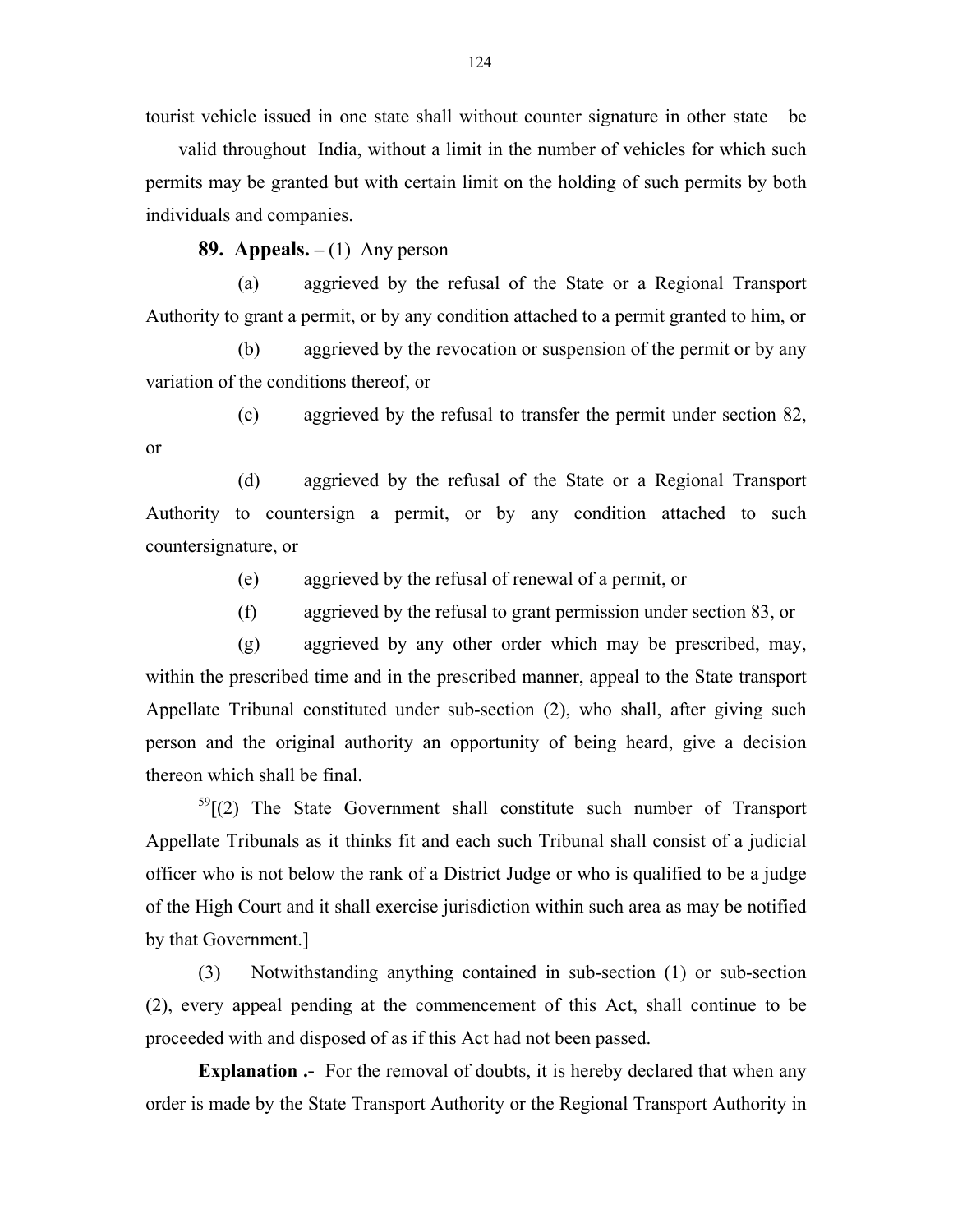tourist vehicle issued in one state shall without counter signature in other state be

valid throughout India, without a limit in the number of vehicles for which such permits may be granted but with certain limit on the holding of such permits by both individuals and companies.

**89. Appeals. –** (1) Any person –

or

(a) aggrieved by the refusal of the State or a Regional Transport Authority to grant a permit, or by any condition attached to a permit granted to him, or

(b) aggrieved by the revocation or suspension of the permit or by any variation of the conditions thereof, or

(c) aggrieved by the refusal to transfer the permit under section 82,

(d) aggrieved by the refusal of the State or a Regional Transport Authority to countersign a permit, or by any condition attached to such countersignature, or

(e) aggrieved by the refusal of renewal of a permit, or

(f) aggrieved by the refusal to grant permission under section 83, or

(g) aggrieved by any other order which may be prescribed, may, within the prescribed time and in the prescribed manner, appeal to the State transport Appellate Tribunal constituted under sub-section (2), who shall, after giving such person and the original authority an opportunity of being heard, give a decision thereon which shall be final.

 $59$ [(2) The State Government shall constitute such number of Transport Appellate Tribunals as it thinks fit and each such Tribunal shall consist of a judicial officer who is not below the rank of a District Judge or who is qualified to be a judge of the High Court and it shall exercise jurisdiction within such area as may be notified by that Government.]

(3) Notwithstanding anything contained in sub-section (1) or sub-section (2), every appeal pending at the commencement of this Act, shall continue to be proceeded with and disposed of as if this Act had not been passed.

**Explanation .-** For the removal of doubts, it is hereby declared that when any order is made by the State Transport Authority or the Regional Transport Authority in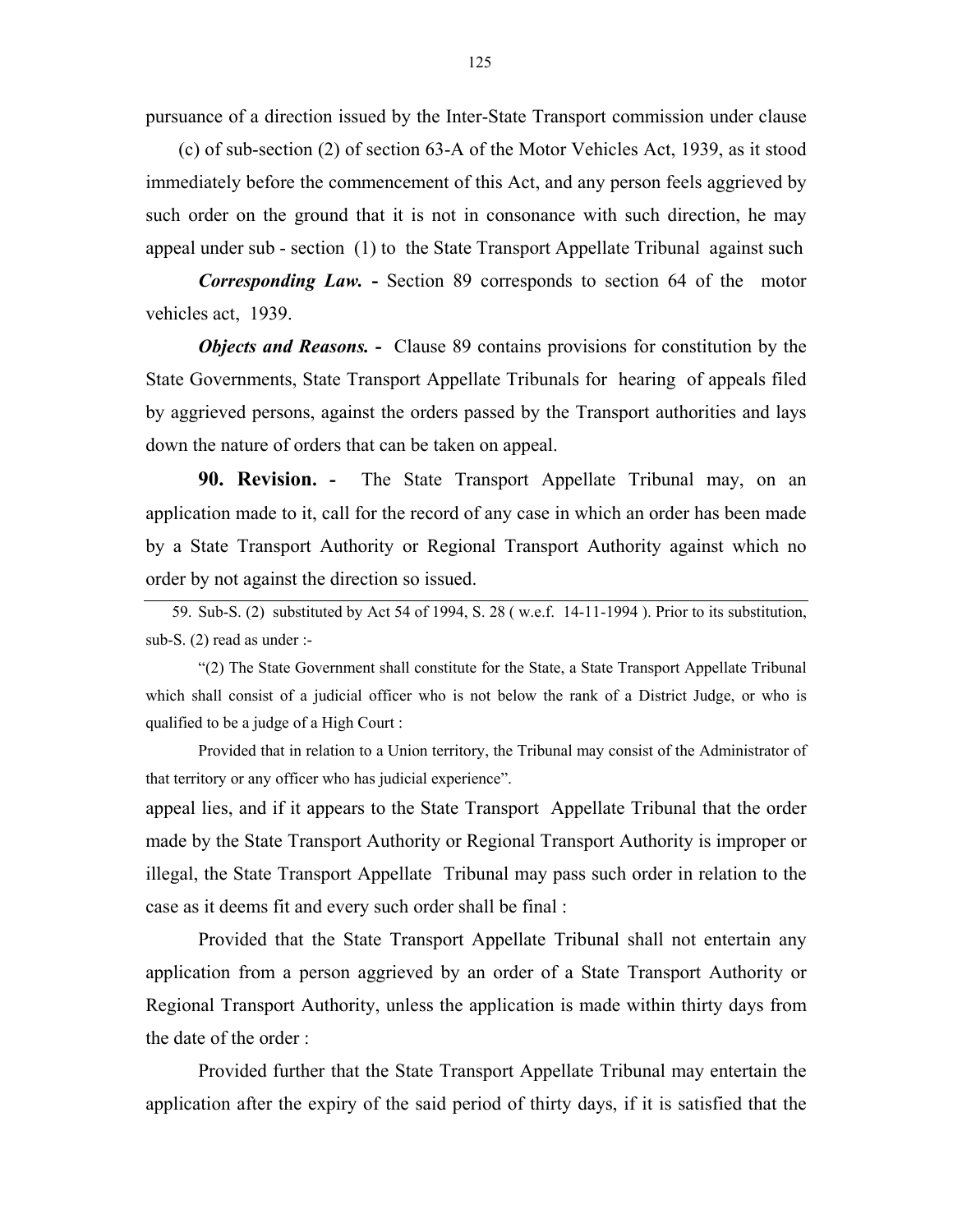pursuance of a direction issued by the Inter-State Transport commission under clause

(c) of sub-section (2) of section 63-A of the Motor Vehicles Act, 1939, as it stood immediately before the commencement of this Act, and any person feels aggrieved by such order on the ground that it is not in consonance with such direction, he may appeal under sub - section (1) to the State Transport Appellate Tribunal against such

*Corresponding Law.* **-** Section 89 corresponds to section 64 of the motor vehicles act, 1939.

*Objects and Reasons.* - Clause 89 contains provisions for constitution by the State Governments, State Transport Appellate Tribunals for hearing of appeals filed by aggrieved persons, against the orders passed by the Transport authorities and lays down the nature of orders that can be taken on appeal.

**90. Revision. -** The State Transport Appellate Tribunal may, on an application made to it, call for the record of any case in which an order has been made by a State Transport Authority or Regional Transport Authority against which no order by not against the direction so issued.

59. Sub-S. (2) substituted by Act 54 of 1994, S. 28 ( w.e.f. 14-11-1994 ). Prior to its substitution, sub-S. (2) read as under :-

"(2) The State Government shall constitute for the State, a State Transport Appellate Tribunal which shall consist of a judicial officer who is not below the rank of a District Judge, or who is qualified to be a judge of a High Court :

Provided that in relation to a Union territory, the Tribunal may consist of the Administrator of that territory or any officer who has judicial experience".

appeal lies, and if it appears to the State Transport Appellate Tribunal that the order made by the State Transport Authority or Regional Transport Authority is improper or illegal, the State Transport Appellate Tribunal may pass such order in relation to the case as it deems fit and every such order shall be final :

Provided that the State Transport Appellate Tribunal shall not entertain any application from a person aggrieved by an order of a State Transport Authority or Regional Transport Authority, unless the application is made within thirty days from the date of the order :

Provided further that the State Transport Appellate Tribunal may entertain the application after the expiry of the said period of thirty days, if it is satisfied that the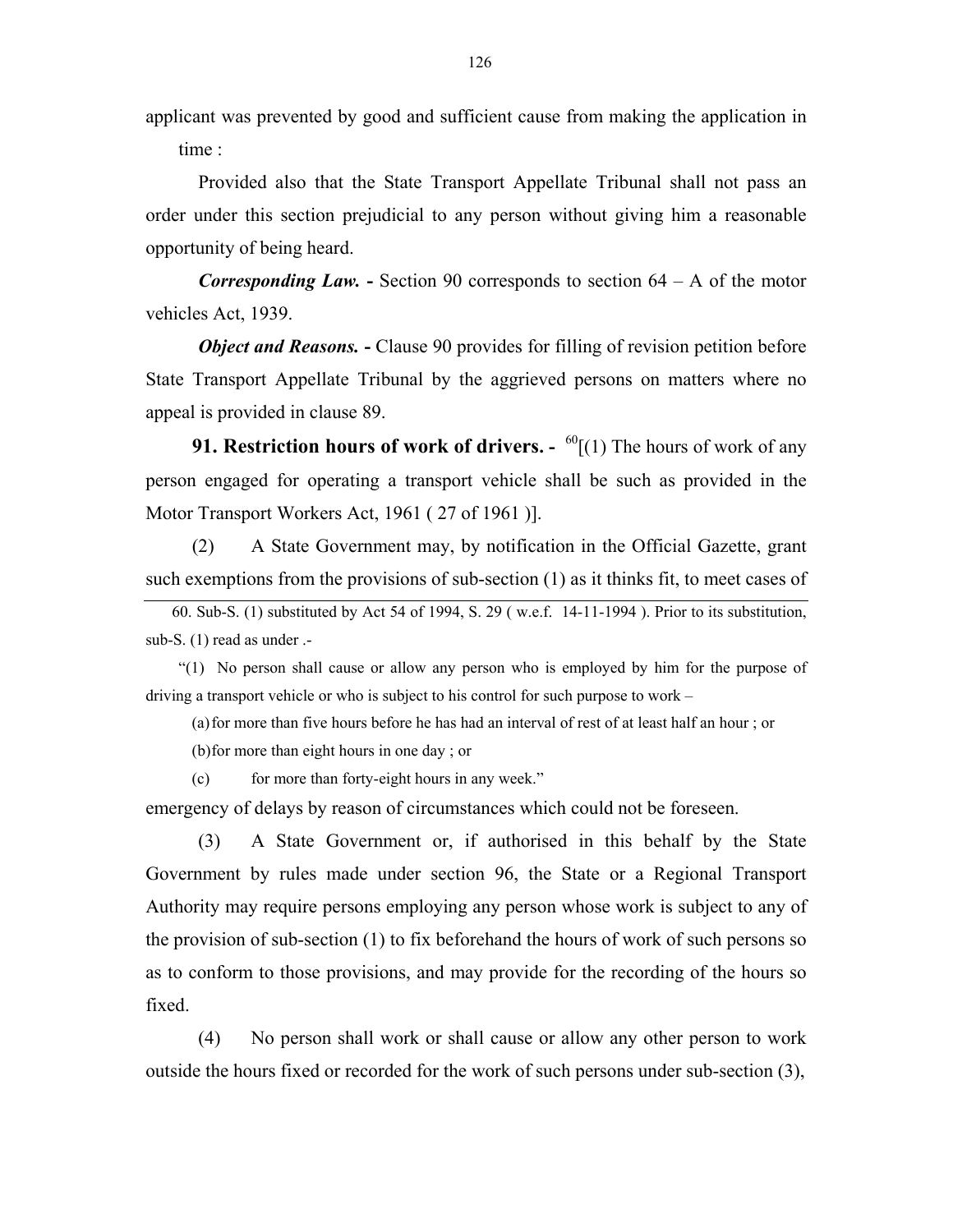applicant was prevented by good and sufficient cause from making the application in time :

Provided also that the State Transport Appellate Tribunal shall not pass an order under this section prejudicial to any person without giving him a reasonable opportunity of being heard.

*Corresponding Law.* - Section 90 corresponds to section  $64 - A$  of the motor vehicles Act, 1939.

*Object and Reasons.* **-** Clause 90 provides for filling of revision petition before State Transport Appellate Tribunal by the aggrieved persons on matters where no appeal is provided in clause 89.

**91. Restriction hours of work of drivers.** - <sup>60</sup>[(1) The hours of work of any person engaged for operating a transport vehicle shall be such as provided in the Motor Transport Workers Act, 1961 ( 27 of 1961 )].

(2) A State Government may, by notification in the Official Gazette, grant such exemptions from the provisions of sub-section (1) as it thinks fit, to meet cases of

60. Sub-S. (1) substituted by Act 54 of 1994, S. 29 ( w.e.f. 14-11-1994 ). Prior to its substitution, sub-S. (1) read as under .-

"(1) No person shall cause or allow any person who is employed by him for the purpose of driving a transport vehicle or who is subject to his control for such purpose to work –

(a) for more than five hours before he has had an interval of rest of at least half an hour ; or

(b) for more than eight hours in one day ; or

(c) for more than forty-eight hours in any week."

emergency of delays by reason of circumstances which could not be foreseen.

(3) A State Government or, if authorised in this behalf by the State Government by rules made under section 96, the State or a Regional Transport Authority may require persons employing any person whose work is subject to any of the provision of sub-section (1) to fix beforehand the hours of work of such persons so as to conform to those provisions, and may provide for the recording of the hours so fixed.

(4) No person shall work or shall cause or allow any other person to work outside the hours fixed or recorded for the work of such persons under sub-section (3),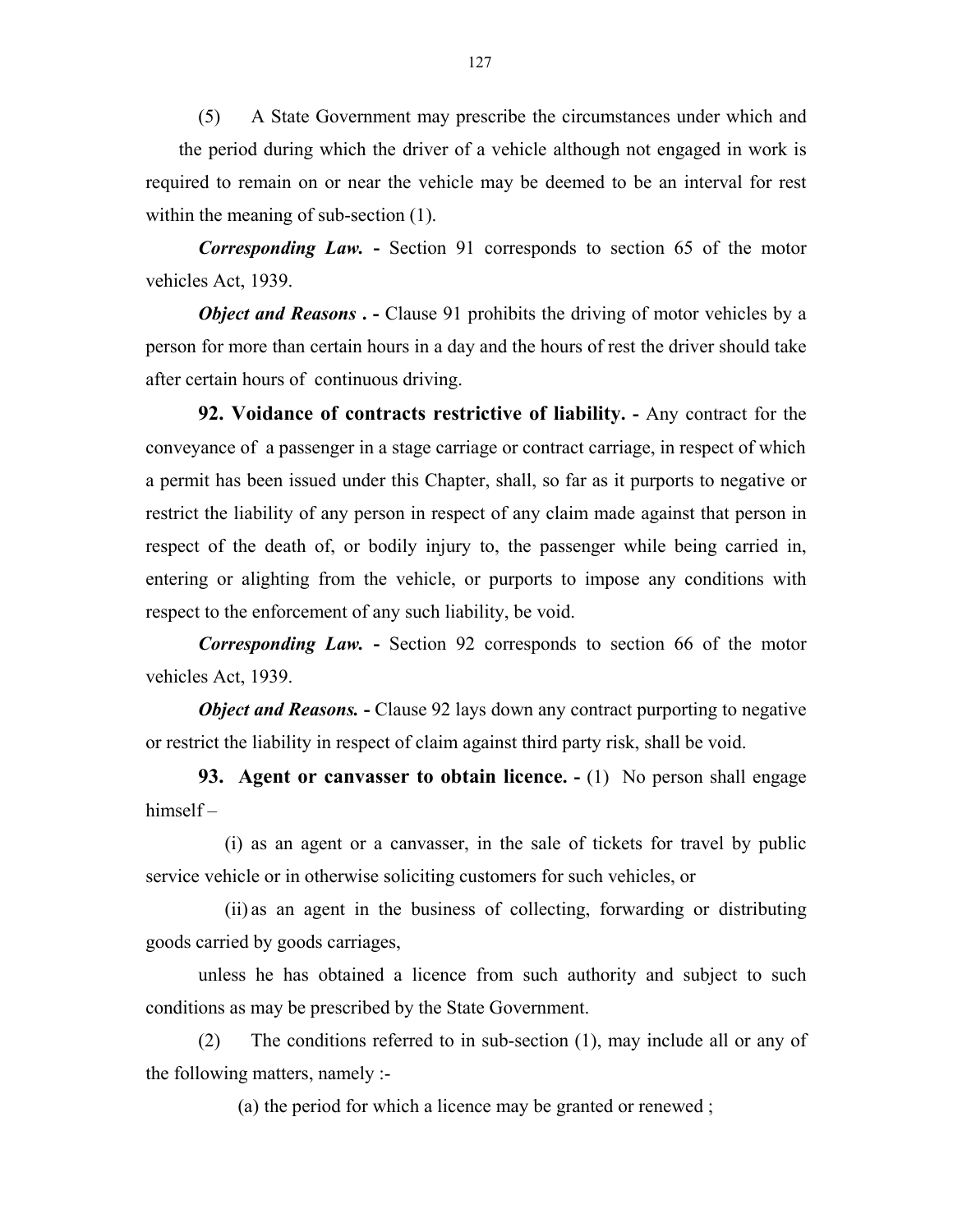(5) A State Government may prescribe the circumstances under which and the period during which the driver of a vehicle although not engaged in work is required to remain on or near the vehicle may be deemed to be an interval for rest within the meaning of sub-section (1).

*Corresponding Law.* **-** Section 91 corresponds to section 65 of the motor vehicles Act, 1939.

*Object and Reasons* . - Clause 91 prohibits the driving of motor vehicles by a person for more than certain hours in a day and the hours of rest the driver should take after certain hours of continuous driving.

**92. Voidance of contracts restrictive of liability. -** Any contract for the conveyance of a passenger in a stage carriage or contract carriage, in respect of which a permit has been issued under this Chapter, shall, so far as it purports to negative or restrict the liability of any person in respect of any claim made against that person in respect of the death of, or bodily injury to, the passenger while being carried in, entering or alighting from the vehicle, or purports to impose any conditions with respect to the enforcement of any such liability, be void.

*Corresponding Law.* **-** Section 92 corresponds to section 66 of the motor vehicles Act, 1939.

*Object and Reasons.* - Clause 92 lays down any contract purporting to negative or restrict the liability in respect of claim against third party risk, shall be void.

**93. Agent or canvasser to obtain licence. -** (1) No person shall engage himself –

(i) as an agent or a canvasser, in the sale of tickets for travel by public service vehicle or in otherwise soliciting customers for such vehicles, or

(ii) as an agent in the business of collecting, forwarding or distributing goods carried by goods carriages,

unless he has obtained a licence from such authority and subject to such conditions as may be prescribed by the State Government.

(2) The conditions referred to in sub-section (1), may include all or any of the following matters, namely :-

(a) the period for which a licence may be granted or renewed ;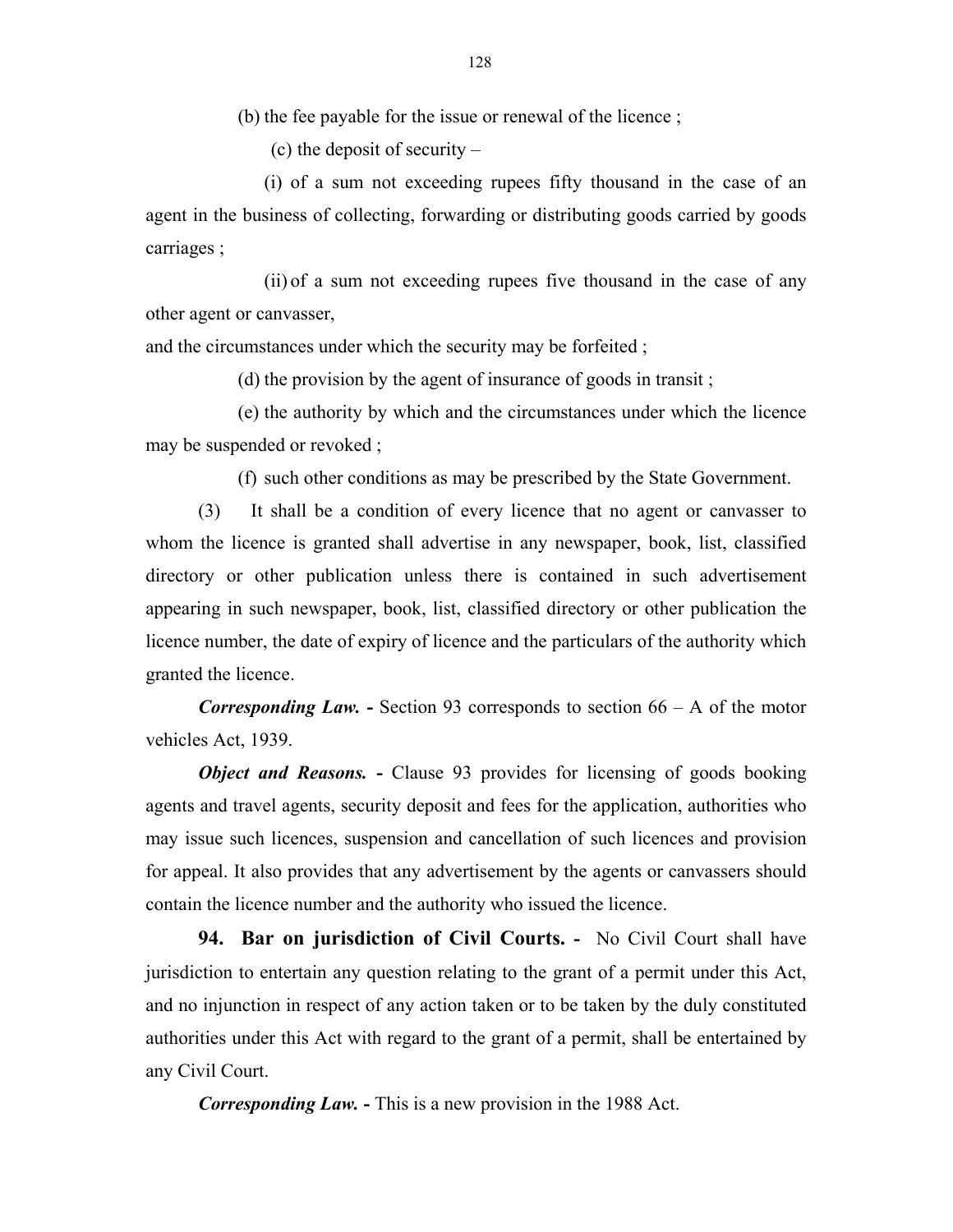(b) the fee payable for the issue or renewal of the licence ;

(c) the deposit of security –

(i) of a sum not exceeding rupees fifty thousand in the case of an agent in the business of collecting, forwarding or distributing goods carried by goods carriages ;

(ii) of a sum not exceeding rupees five thousand in the case of any other agent or canvasser,

and the circumstances under which the security may be forfeited ;

(d) the provision by the agent of insurance of goods in transit ;

(e) the authority by which and the circumstances under which the licence may be suspended or revoked ;

(f) such other conditions as may be prescribed by the State Government.

(3) It shall be a condition of every licence that no agent or canvasser to whom the licence is granted shall advertise in any newspaper, book, list, classified directory or other publication unless there is contained in such advertisement appearing in such newspaper, book, list, classified directory or other publication the licence number, the date of expiry of licence and the particulars of the authority which granted the licence.

*Corresponding Law.* - Section 93 corresponds to section  $66 - A$  of the motor vehicles Act, 1939.

*Object and Reasons.* - Clause 93 provides for licensing of goods booking agents and travel agents, security deposit and fees for the application, authorities who may issue such licences, suspension and cancellation of such licences and provision for appeal. It also provides that any advertisement by the agents or canvassers should contain the licence number and the authority who issued the licence.

**94. Bar on jurisdiction of Civil Courts. -** No Civil Court shall have jurisdiction to entertain any question relating to the grant of a permit under this Act, and no injunction in respect of any action taken or to be taken by the duly constituted authorities under this Act with regard to the grant of a permit, shall be entertained by any Civil Court.

*Corresponding Law.* **-** This is a new provision in the 1988 Act.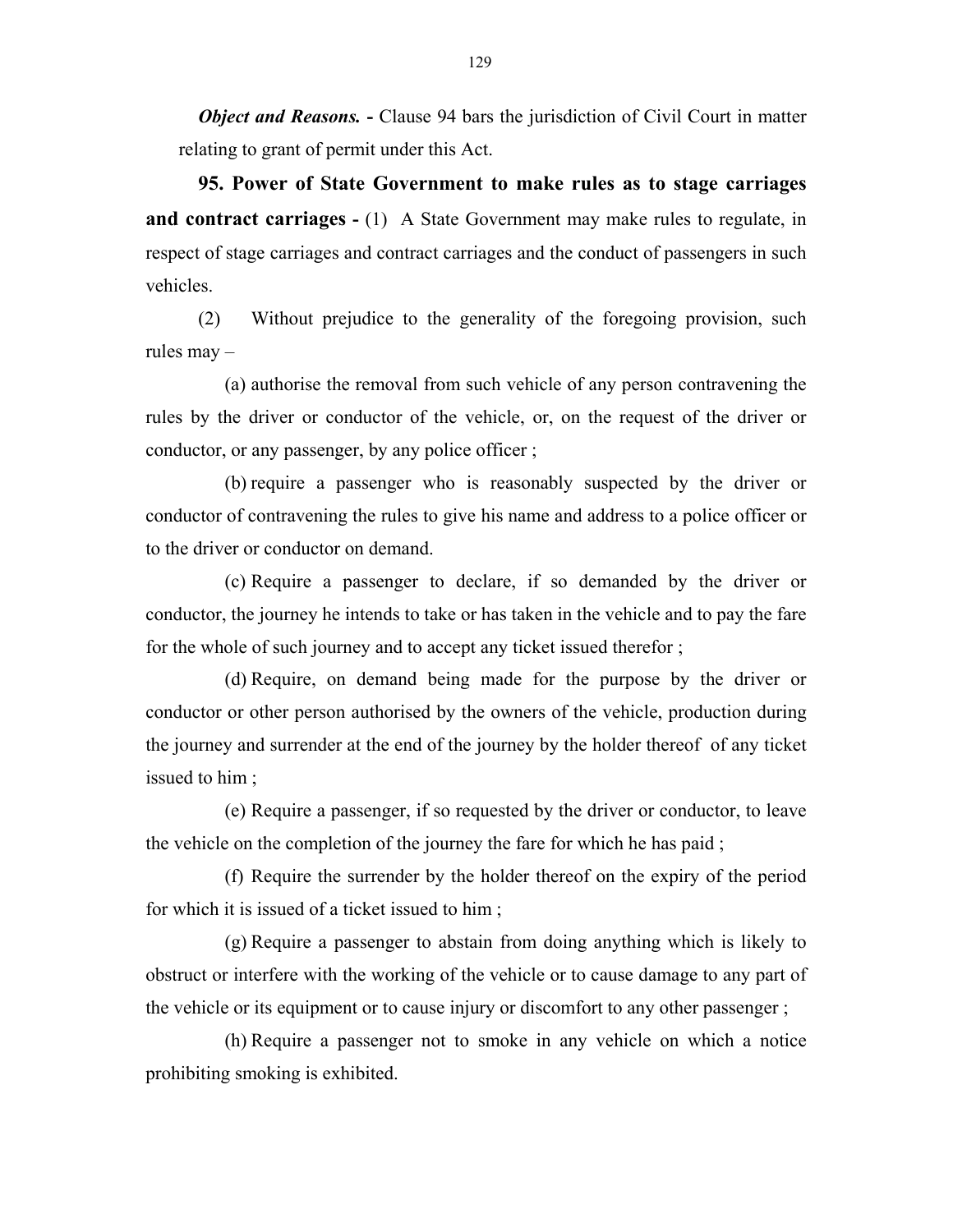*Object and Reasons.* - Clause 94 bars the jurisdiction of Civil Court in matter relating to grant of permit under this Act.

**95. Power of State Government to make rules as to stage carriages and contract carriages -** (1) A State Government may make rules to regulate, in respect of stage carriages and contract carriages and the conduct of passengers in such vehicles.

(2) Without prejudice to the generality of the foregoing provision, such rules may –

(a) authorise the removal from such vehicle of any person contravening the rules by the driver or conductor of the vehicle, or, on the request of the driver or conductor, or any passenger, by any police officer ;

(b) require a passenger who is reasonably suspected by the driver or conductor of contravening the rules to give his name and address to a police officer or to the driver or conductor on demand.

(c) Require a passenger to declare, if so demanded by the driver or conductor, the journey he intends to take or has taken in the vehicle and to pay the fare for the whole of such journey and to accept any ticket issued therefor ;

(d) Require, on demand being made for the purpose by the driver or conductor or other person authorised by the owners of the vehicle, production during the journey and surrender at the end of the journey by the holder thereof of any ticket issued to him ;

(e) Require a passenger, if so requested by the driver or conductor, to leave the vehicle on the completion of the journey the fare for which he has paid ;

(f) Require the surrender by the holder thereof on the expiry of the period for which it is issued of a ticket issued to him ;

(g) Require a passenger to abstain from doing anything which is likely to obstruct or interfere with the working of the vehicle or to cause damage to any part of the vehicle or its equipment or to cause injury or discomfort to any other passenger ;

(h) Require a passenger not to smoke in any vehicle on which a notice prohibiting smoking is exhibited.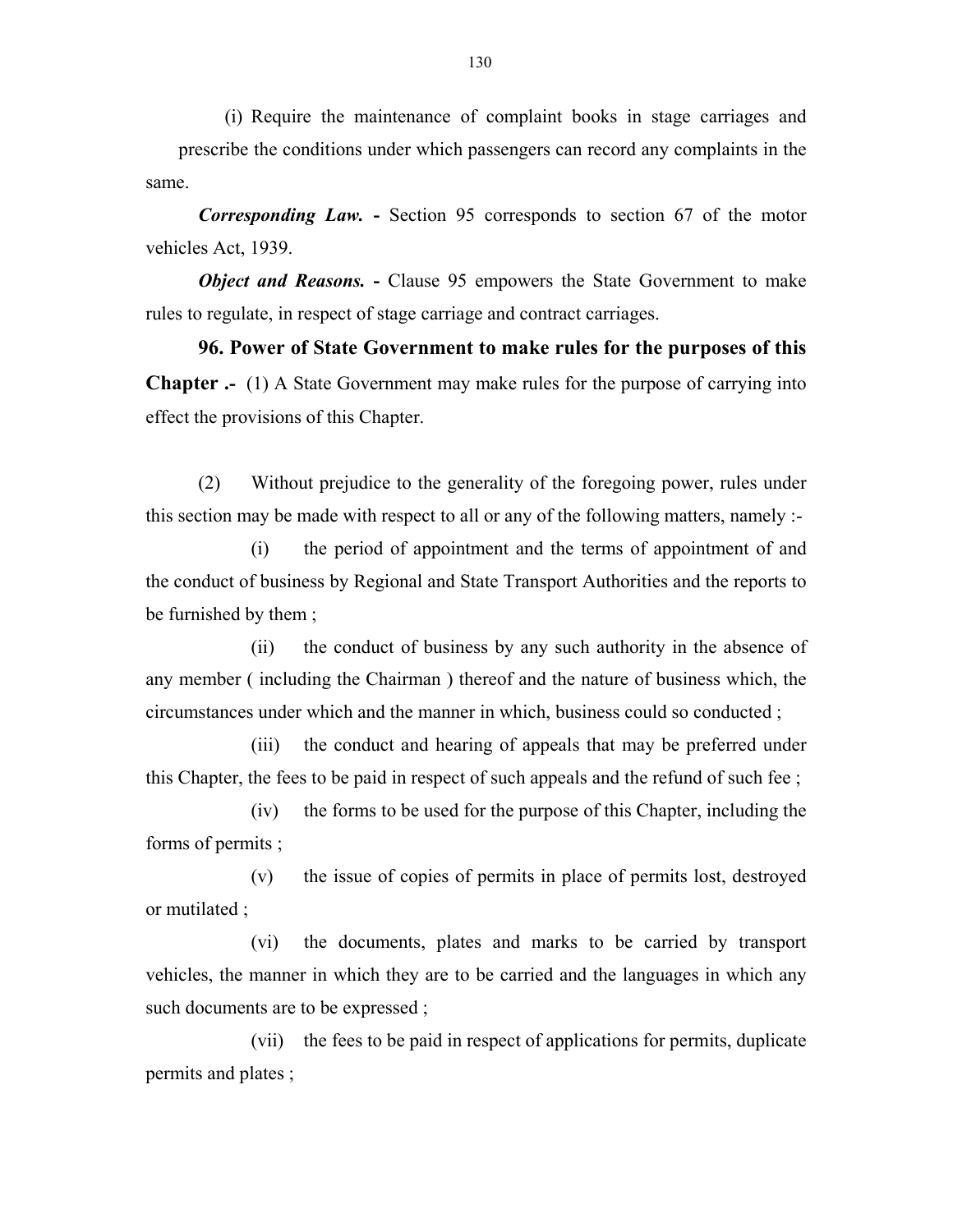(i) Require the maintenance of complaint books in stage carriages and prescribe the conditions under which passengers can record any complaints in the same.

*Corresponding Law.* **-** Section 95 corresponds to section 67 of the motor vehicles Act, 1939.

*Object and Reasons.* - Clause 95 empowers the State Government to make rules to regulate, in respect of stage carriage and contract carriages.

**96. Power of State Government to make rules for the purposes of this Chapter .-** (1) A State Government may make rules for the purpose of carrying into effect the provisions of this Chapter.

(2) Without prejudice to the generality of the foregoing power, rules under this section may be made with respect to all or any of the following matters, namely :-

(i) the period of appointment and the terms of appointment of and the conduct of business by Regional and State Transport Authorities and the reports to be furnished by them ;

(ii) the conduct of business by any such authority in the absence of any member ( including the Chairman ) thereof and the nature of business which, the circumstances under which and the manner in which, business could so conducted ;

(iii) the conduct and hearing of appeals that may be preferred under this Chapter, the fees to be paid in respect of such appeals and the refund of such fee ;

(iv) the forms to be used for the purpose of this Chapter, including the forms of permits ;

(v) the issue of copies of permits in place of permits lost, destroyed or mutilated ;

(vi) the documents, plates and marks to be carried by transport vehicles, the manner in which they are to be carried and the languages in which any such documents are to be expressed ;

(vii) the fees to be paid in respect of applications for permits, duplicate permits and plates ;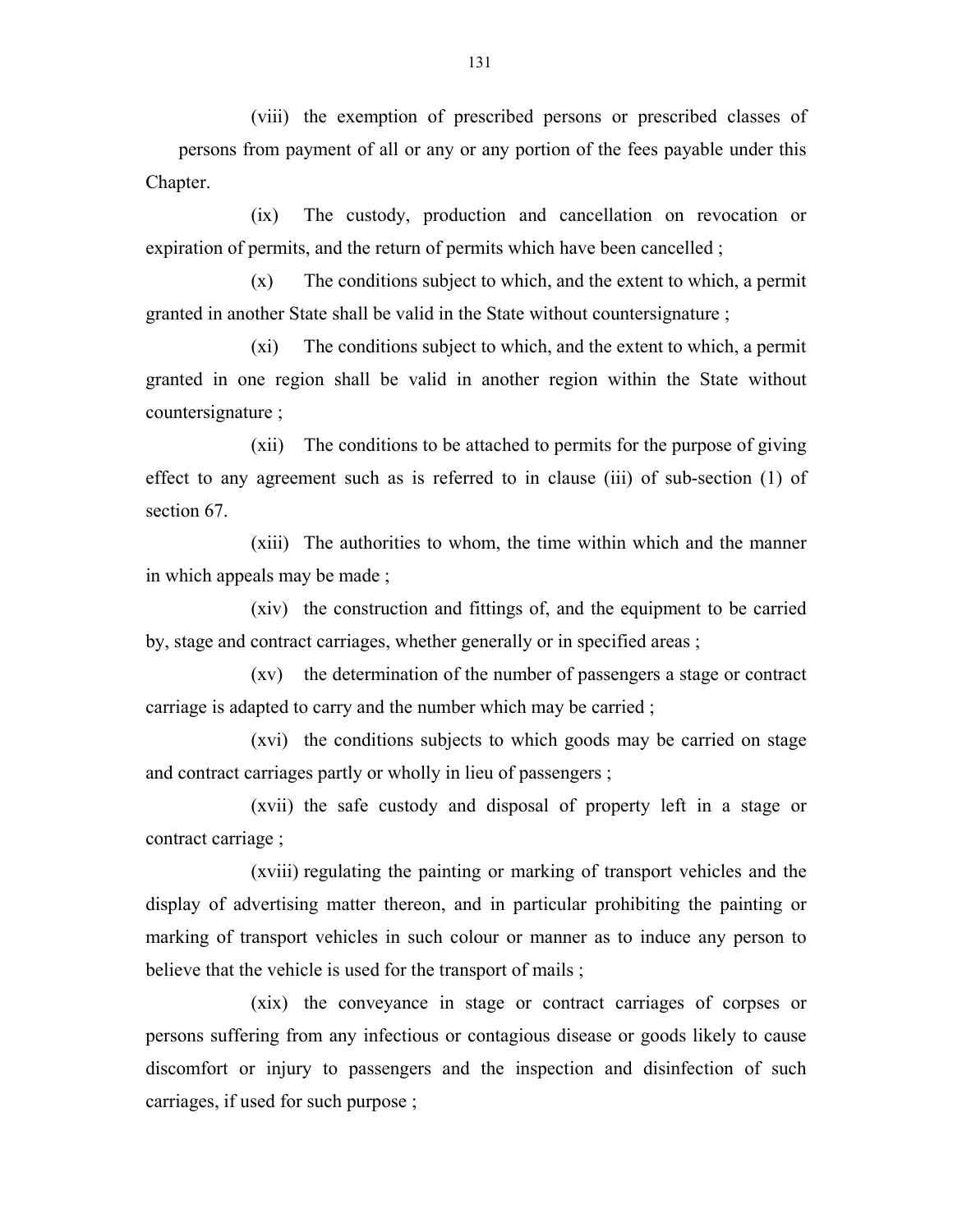(viii) the exemption of prescribed persons or prescribed classes of persons from payment of all or any or any portion of the fees payable under this Chapter.

(ix) The custody, production and cancellation on revocation or expiration of permits, and the return of permits which have been cancelled ;

(x) The conditions subject to which, and the extent to which, a permit granted in another State shall be valid in the State without countersignature ;

(xi) The conditions subject to which, and the extent to which, a permit granted in one region shall be valid in another region within the State without countersignature ;

(xii) The conditions to be attached to permits for the purpose of giving effect to any agreement such as is referred to in clause (iii) of sub-section (1) of section 67.

(xiii) The authorities to whom, the time within which and the manner in which appeals may be made ;

(xiv) the construction and fittings of, and the equipment to be carried by, stage and contract carriages, whether generally or in specified areas ;

(xv) the determination of the number of passengers a stage or contract carriage is adapted to carry and the number which may be carried ;

(xvi) the conditions subjects to which goods may be carried on stage and contract carriages partly or wholly in lieu of passengers ;

(xvii) the safe custody and disposal of property left in a stage or contract carriage ;

(xviii) regulating the painting or marking of transport vehicles and the display of advertising matter thereon, and in particular prohibiting the painting or marking of transport vehicles in such colour or manner as to induce any person to believe that the vehicle is used for the transport of mails;

(xix) the conveyance in stage or contract carriages of corpses or persons suffering from any infectious or contagious disease or goods likely to cause discomfort or injury to passengers and the inspection and disinfection of such carriages, if used for such purpose ;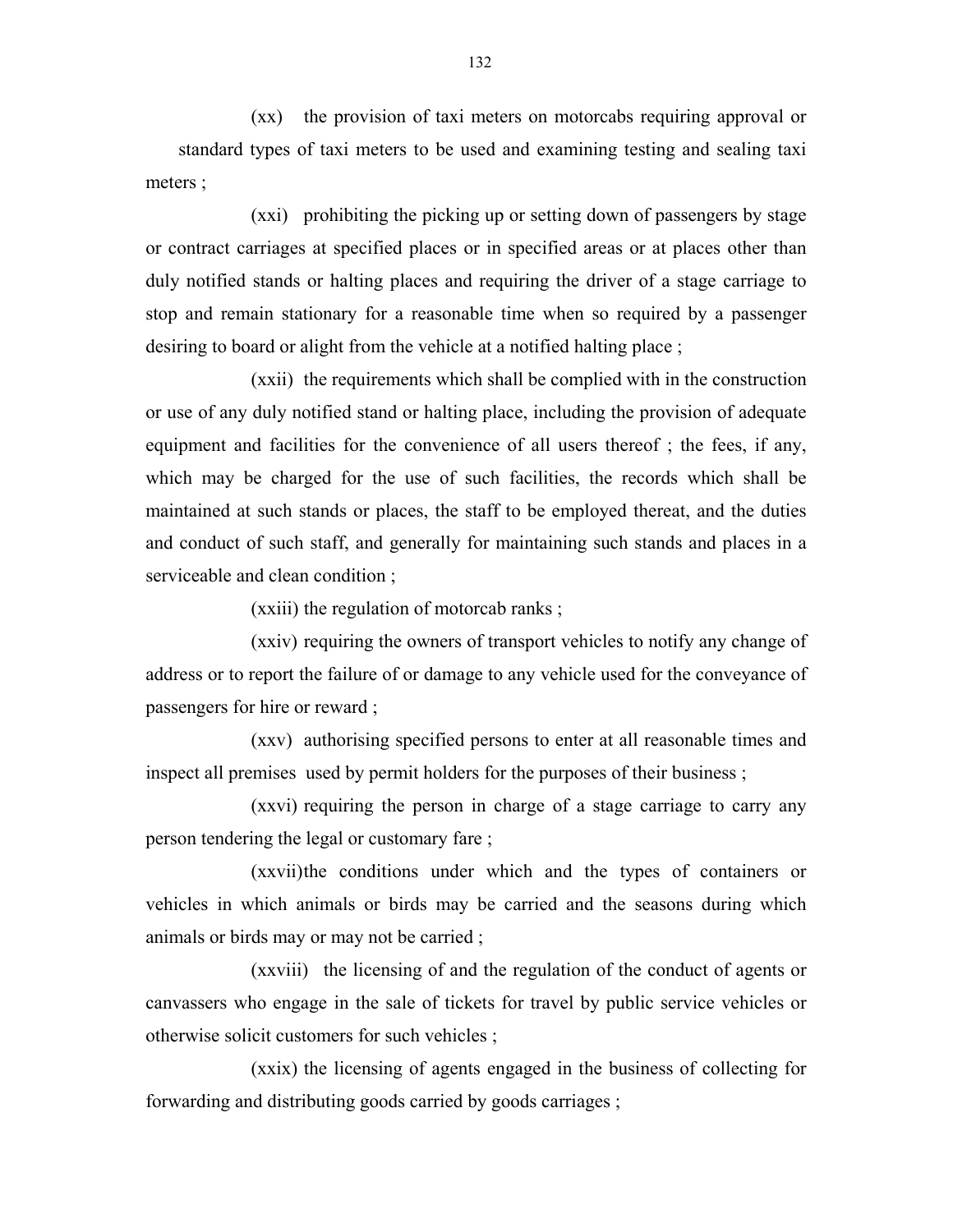(xx) the provision of taxi meters on motorcabs requiring approval or standard types of taxi meters to be used and examining testing and sealing taxi meters ;

(xxi) prohibiting the picking up or setting down of passengers by stage or contract carriages at specified places or in specified areas or at places other than duly notified stands or halting places and requiring the driver of a stage carriage to stop and remain stationary for a reasonable time when so required by a passenger desiring to board or alight from the vehicle at a notified halting place ;

(xxii) the requirements which shall be complied with in the construction or use of any duly notified stand or halting place, including the provision of adequate equipment and facilities for the convenience of all users thereof ; the fees, if any, which may be charged for the use of such facilities, the records which shall be maintained at such stands or places, the staff to be employed thereat, and the duties and conduct of such staff, and generally for maintaining such stands and places in a serviceable and clean condition ;

(xxiii) the regulation of motorcab ranks ;

(xxiv) requiring the owners of transport vehicles to notify any change of address or to report the failure of or damage to any vehicle used for the conveyance of passengers for hire or reward ;

(xxv) authorising specified persons to enter at all reasonable times and inspect all premises used by permit holders for the purposes of their business ;

(xxvi) requiring the person in charge of a stage carriage to carry any person tendering the legal or customary fare ;

(xxvii) the conditions under which and the types of containers or vehicles in which animals or birds may be carried and the seasons during which animals or birds may or may not be carried ;

(xxviii) the licensing of and the regulation of the conduct of agents or canvassers who engage in the sale of tickets for travel by public service vehicles or otherwise solicit customers for such vehicles ;

(xxix) the licensing of agents engaged in the business of collecting for forwarding and distributing goods carried by goods carriages ;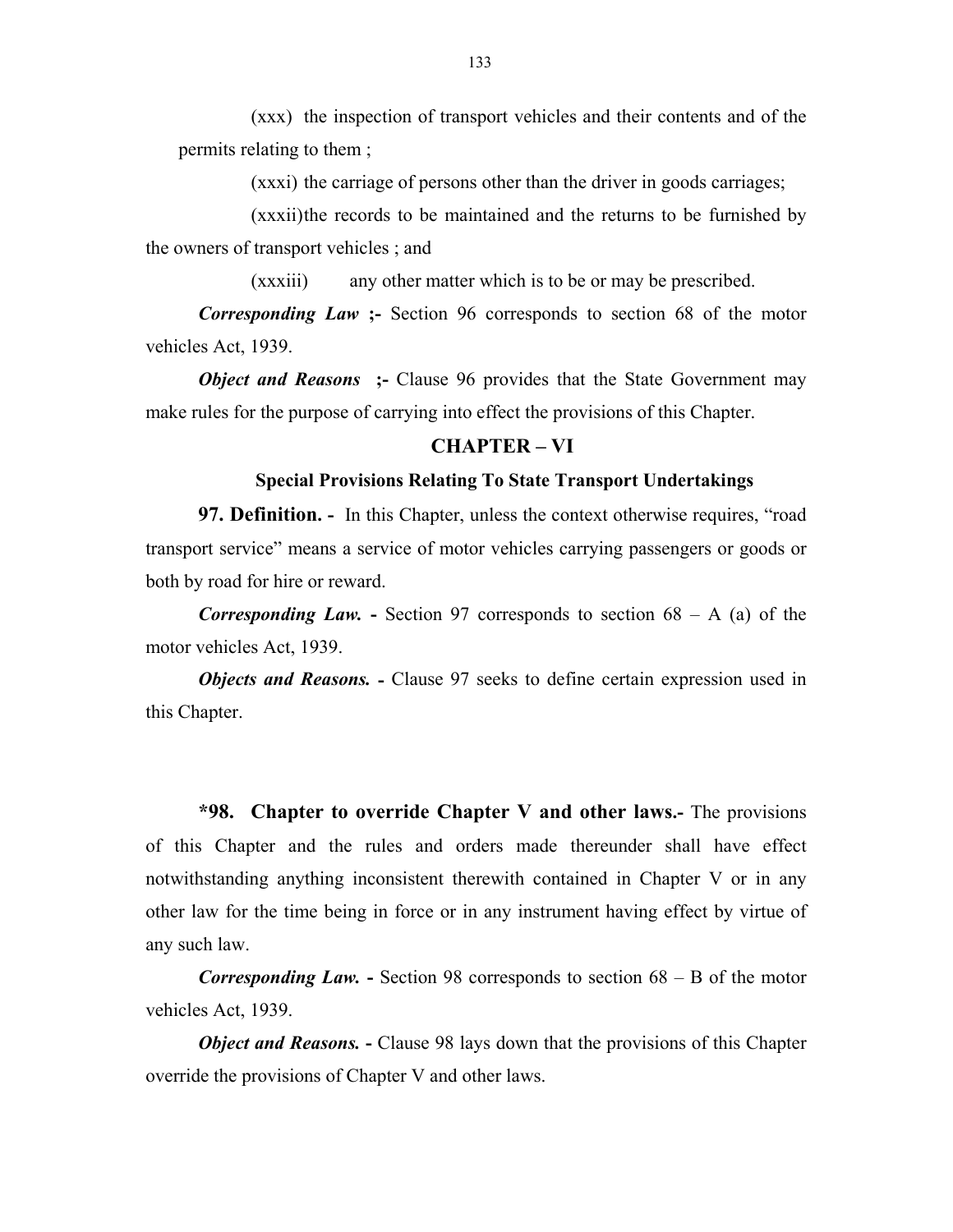(xxx) the inspection of transport vehicles and their contents and of the permits relating to them ;

(xxxi) the carriage of persons other than the driver in goods carriages;

(xxxii) the records to be maintained and the returns to be furnished by the owners of transport vehicles ; and

(xxxiii) any other matter which is to be or may be prescribed.

*Corresponding Law* **;-** Section 96 corresponds to section 68 of the motor vehicles Act, 1939.

*Object and Reasons* :- Clause 96 provides that the State Government may make rules for the purpose of carrying into effect the provisions of this Chapter.

## **CHAPTER – VI**

## **Special Provisions Relating To State Transport Undertakings**

**97. Definition. -** In this Chapter, unless the context otherwise requires, "road transport service" means a service of motor vehicles carrying passengers or goods or both by road for hire or reward.

*Corresponding Law.* - Section 97 corresponds to section  $68 - A$  (a) of the motor vehicles Act, 1939.

*Objects and Reasons.* **-** Clause 97 seeks to define certain expression used in this Chapter.

**\*98. Chapter to override Chapter V and other laws.-** The provisions of this Chapter and the rules and orders made thereunder shall have effect notwithstanding anything inconsistent therewith contained in Chapter V or in any other law for the time being in force or in any instrument having effect by virtue of any such law.

*Corresponding Law.* **-** Section 98 corresponds to section 68 – B of the motor vehicles Act, 1939.

*Object and Reasons.* - Clause 98 lays down that the provisions of this Chapter override the provisions of Chapter V and other laws.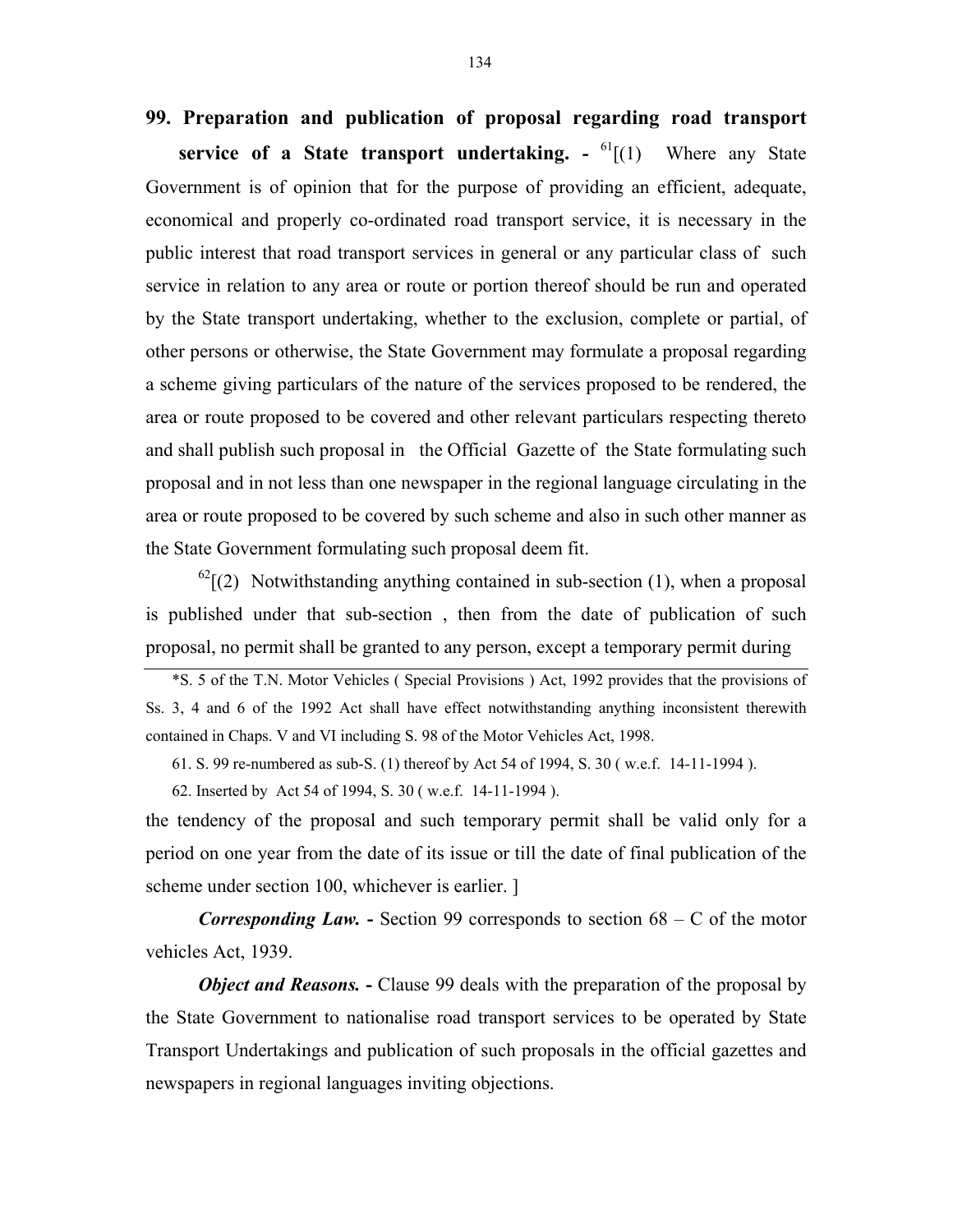**99. Preparation and publication of proposal regarding road transport service of a State transport undertaking.** - <sup>61</sup>[(1) Where any State Government is of opinion that for the purpose of providing an efficient, adequate, economical and properly co-ordinated road transport service, it is necessary in the public interest that road transport services in general or any particular class of such service in relation to any area or route or portion thereof should be run and operated by the State transport undertaking, whether to the exclusion, complete or partial, of other persons or otherwise, the State Government may formulate a proposal regarding a scheme giving particulars of the nature of the services proposed to be rendered, the area or route proposed to be covered and other relevant particulars respecting thereto and shall publish such proposal in the Official Gazette of the State formulating such proposal and in not less than one newspaper in the regional language circulating in the area or route proposed to be covered by such scheme and also in such other manner as the State Government formulating such proposal deem fit.

 $^{62}$ [(2) Notwithstanding anything contained in sub-section (1), when a proposal is published under that sub-section , then from the date of publication of such proposal, no permit shall be granted to any person, except a temporary permit during

61. S. 99 re-numbered as sub-S. (1) thereof by Act 54 of 1994, S. 30 ( w.e.f. 14-11-1994 ).

62. Inserted by Act 54 of 1994, S. 30 ( w.e.f. 14-11-1994 ).

the tendency of the proposal and such temporary permit shall be valid only for a period on one year from the date of its issue or till the date of final publication of the scheme under section 100, whichever is earlier. ]

*Corresponding Law.* - Section 99 corresponds to section  $68 - C$  of the motor vehicles Act, 1939.

*Object and Reasons.* - Clause 99 deals with the preparation of the proposal by the State Government to nationalise road transport services to be operated by State Transport Undertakings and publication of such proposals in the official gazettes and newspapers in regional languages inviting objections.

<sup>\*</sup>S. 5 of the T.N. Motor Vehicles ( Special Provisions ) Act, 1992 provides that the provisions of Ss. 3, 4 and 6 of the 1992 Act shall have effect notwithstanding anything inconsistent therewith contained in Chaps. V and VI including S. 98 of the Motor Vehicles Act, 1998.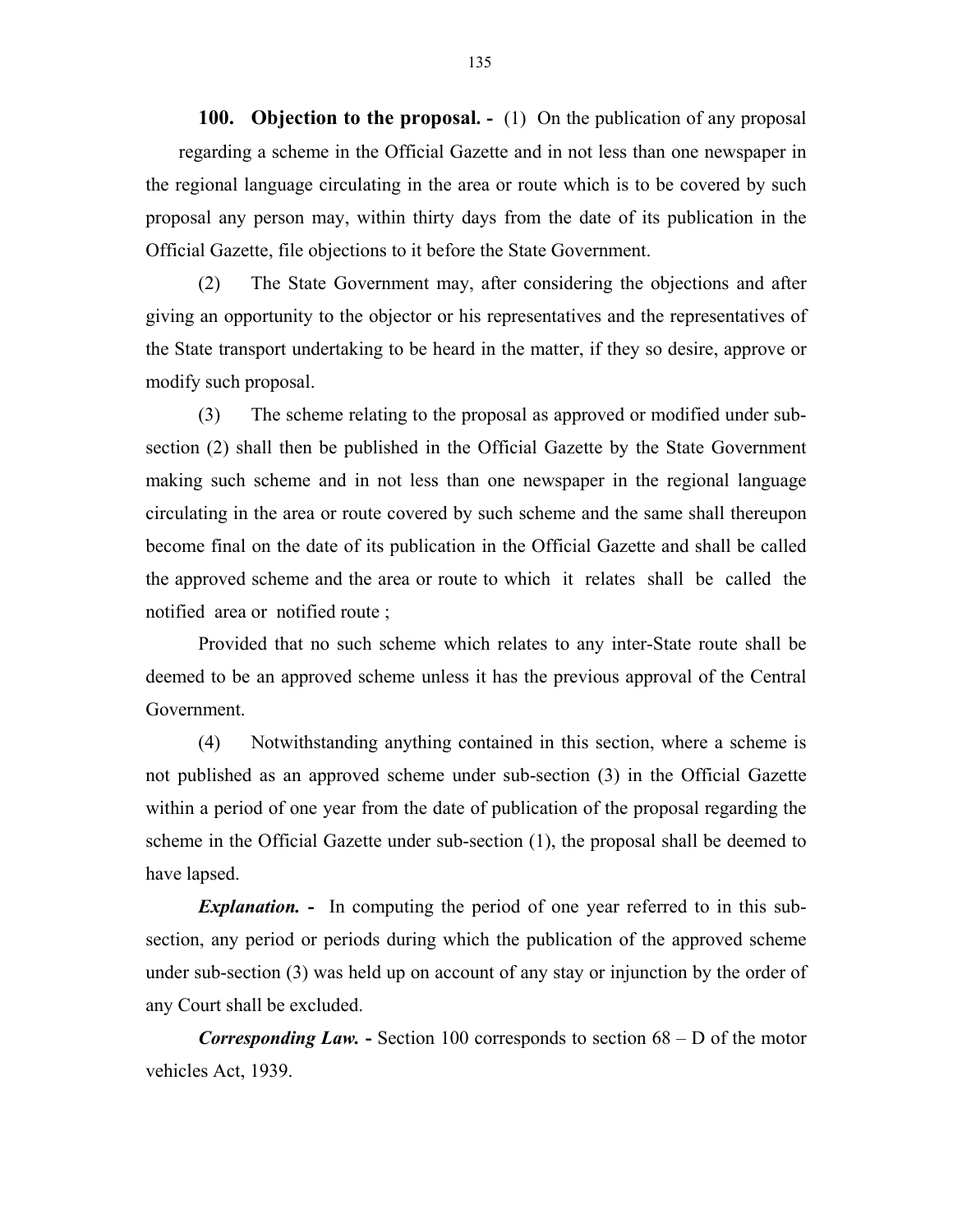**100. Objection to the proposal.** - (1) On the publication of any proposal regarding a scheme in the Official Gazette and in not less than one newspaper in the regional language circulating in the area or route which is to be covered by such proposal any person may, within thirty days from the date of its publication in the Official Gazette, file objections to it before the State Government.

(2) The State Government may, after considering the objections and after giving an opportunity to the objector or his representatives and the representatives of the State transport undertaking to be heard in the matter, if they so desire, approve or modify such proposal.

(3) The scheme relating to the proposal as approved or modified under subsection (2) shall then be published in the Official Gazette by the State Government making such scheme and in not less than one newspaper in the regional language circulating in the area or route covered by such scheme and the same shall thereupon become final on the date of its publication in the Official Gazette and shall be called the approved scheme and the area or route to which it relates shall be called the notified area or notified route ;

Provided that no such scheme which relates to any inter-State route shall be deemed to be an approved scheme unless it has the previous approval of the Central Government.

(4) Notwithstanding anything contained in this section, where a scheme is not published as an approved scheme under sub-section (3) in the Official Gazette within a period of one year from the date of publication of the proposal regarding the scheme in the Official Gazette under sub-section (1), the proposal shall be deemed to have lapsed.

*Explanation.* **-** In computing the period of one year referred to in this subsection, any period or periods during which the publication of the approved scheme under sub-section (3) was held up on account of any stay or injunction by the order of any Court shall be excluded.

*Corresponding Law.* **-** Section 100 corresponds to section 68 – D of the motor vehicles Act, 1939.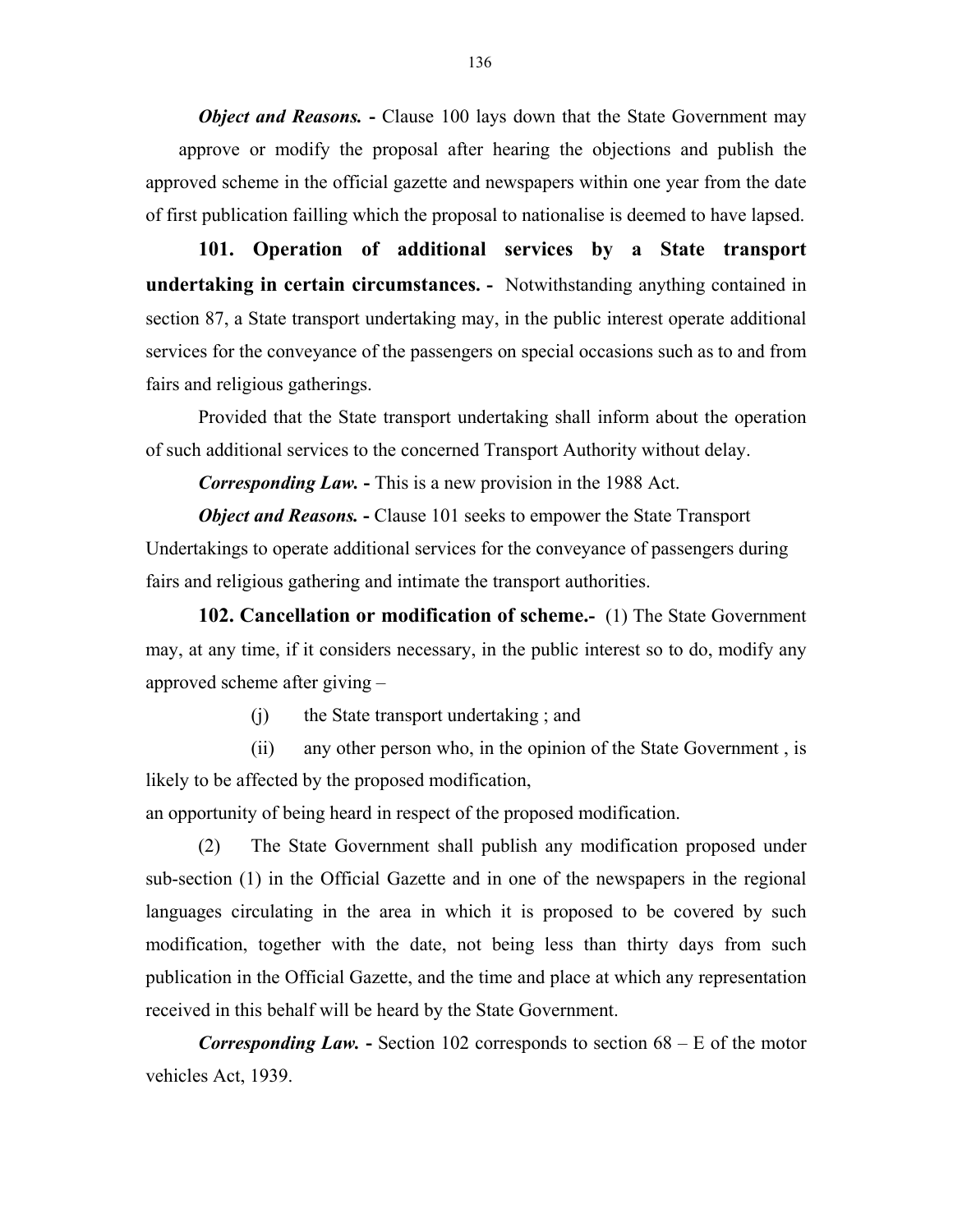*Object and Reasons.* - Clause 100 lays down that the State Government may approve or modify the proposal after hearing the objections and publish the approved scheme in the official gazette and newspapers within one year from the date of first publication failling which the proposal to nationalise is deemed to have lapsed.

**101. Operation of additional services by a State transport undertaking in certain circumstances. -** Notwithstanding anything contained in section 87, a State transport undertaking may, in the public interest operate additional services for the conveyance of the passengers on special occasions such as to and from fairs and religious gatherings.

Provided that the State transport undertaking shall inform about the operation of such additional services to the concerned Transport Authority without delay.

*Corresponding Law.* **-** This is a new provision in the 1988 Act.

*Object and Reasons.* - Clause 101 seeks to empower the State Transport Undertakings to operate additional services for the conveyance of passengers during fairs and religious gathering and intimate the transport authorities.

**102. Cancellation or modification of scheme.-** (1) The State Government may, at any time, if it considers necessary, in the public interest so to do, modify any approved scheme after giving –

(j) the State transport undertaking ; and

(ii) any other person who, in the opinion of the State Government , is likely to be affected by the proposed modification,

an opportunity of being heard in respect of the proposed modification.

(2) The State Government shall publish any modification proposed under sub-section (1) in the Official Gazette and in one of the newspapers in the regional languages circulating in the area in which it is proposed to be covered by such modification, together with the date, not being less than thirty days from such publication in the Official Gazette, and the time and place at which any representation received in this behalf will be heard by the State Government.

*Corresponding Law.* - Section 102 corresponds to section  $68 - E$  of the motor vehicles Act, 1939.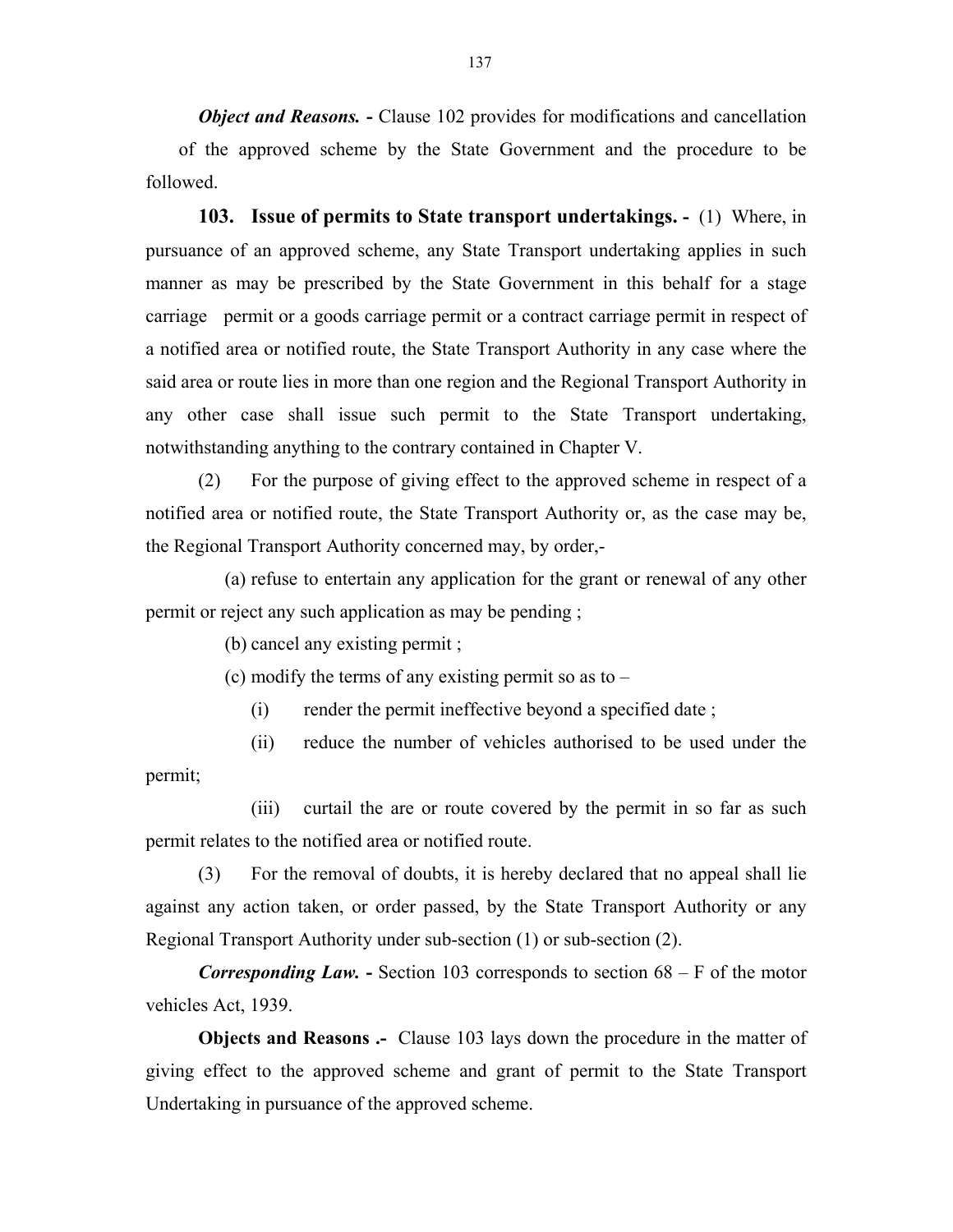*Object and Reasons.* - Clause 102 provides for modifications and cancellation of the approved scheme by the State Government and the procedure to be followed.

**103. Issue of permits to State transport undertakings. -** (1) Where, in pursuance of an approved scheme, any State Transport undertaking applies in such manner as may be prescribed by the State Government in this behalf for a stage carriage permit or a goods carriage permit or a contract carriage permit in respect of a notified area or notified route, the State Transport Authority in any case where the said area or route lies in more than one region and the Regional Transport Authority in any other case shall issue such permit to the State Transport undertaking, notwithstanding anything to the contrary contained in Chapter V.

(2) For the purpose of giving effect to the approved scheme in respect of a notified area or notified route, the State Transport Authority or, as the case may be, the Regional Transport Authority concerned may, by order,-

(a) refuse to entertain any application for the grant or renewal of any other permit or reject any such application as may be pending ;

(b) cancel any existing permit ;

(c) modify the terms of any existing permit so as to  $-$ 

(i) render the permit ineffective beyond a specified date ;

(ii) reduce the number of vehicles authorised to be used under the permit;

(iii) curtail the are or route covered by the permit in so far as such permit relates to the notified area or notified route.

(3) For the removal of doubts, it is hereby declared that no appeal shall lie against any action taken, or order passed, by the State Transport Authority or any Regional Transport Authority under sub-section (1) or sub-section (2).

*Corresponding Law.* **-** Section 103 corresponds to section 68 – F of the motor vehicles Act, 1939.

**Objects and Reasons .-** Clause 103 lays down the procedure in the matter of giving effect to the approved scheme and grant of permit to the State Transport Undertaking in pursuance of the approved scheme.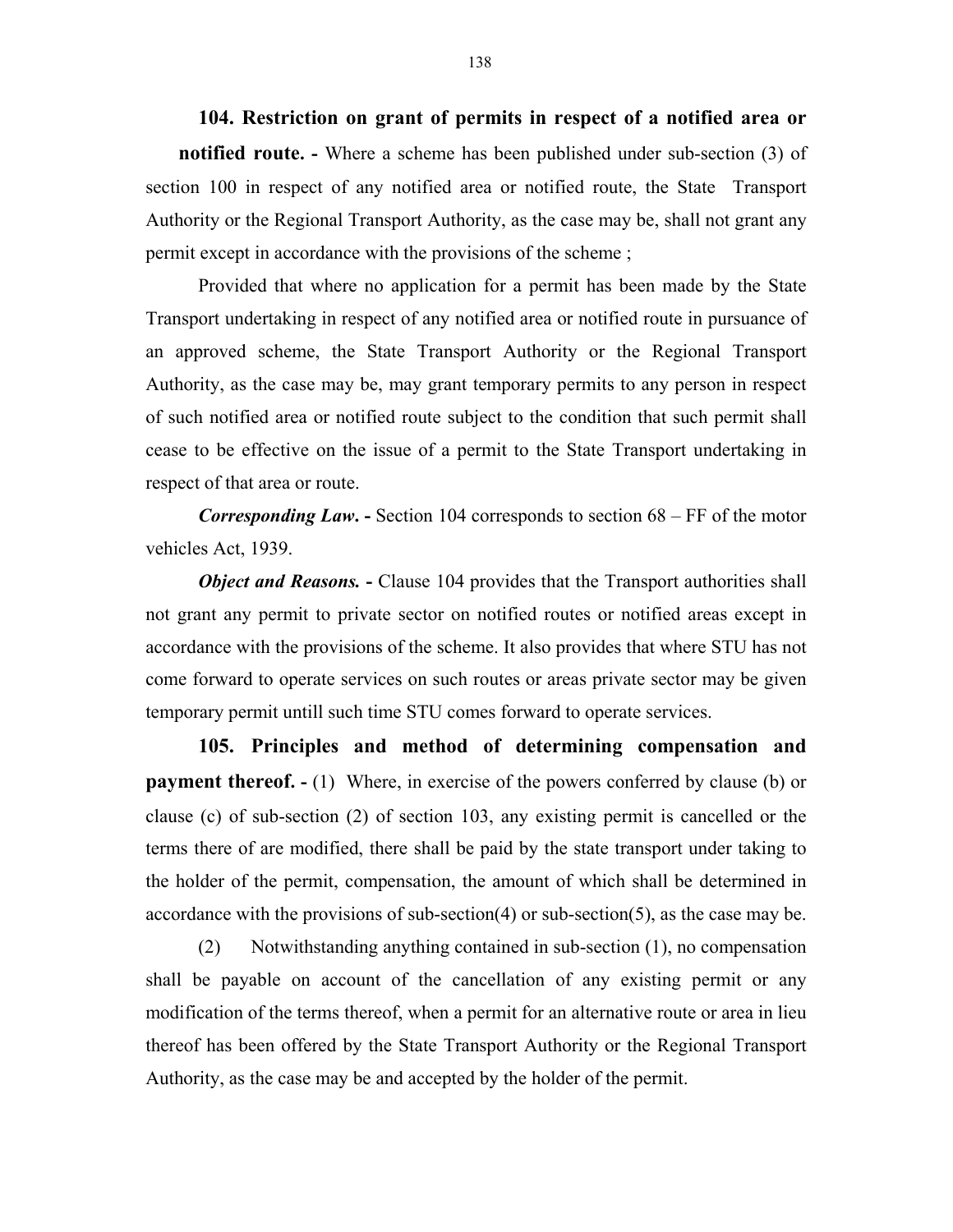**104. Restriction on grant of permits in respect of a notified area or** 

**notified route. -** Where a scheme has been published under sub-section (3) of section 100 in respect of any notified area or notified route, the State Transport Authority or the Regional Transport Authority, as the case may be, shall not grant any permit except in accordance with the provisions of the scheme ;

Provided that where no application for a permit has been made by the State Transport undertaking in respect of any notified area or notified route in pursuance of an approved scheme, the State Transport Authority or the Regional Transport Authority, as the case may be, may grant temporary permits to any person in respect of such notified area or notified route subject to the condition that such permit shall cease to be effective on the issue of a permit to the State Transport undertaking in respect of that area or route.

*Corresponding Law***. -** Section 104 corresponds to section 68 – FF of the motor vehicles Act, 1939.

*Object and Reasons.* - Clause 104 provides that the Transport authorities shall not grant any permit to private sector on notified routes or notified areas except in accordance with the provisions of the scheme. It also provides that where STU has not come forward to operate services on such routes or areas private sector may be given temporary permit untill such time STU comes forward to operate services.

**105. Principles and method of determining compensation and payment thereof.** - (1) Where, in exercise of the powers conferred by clause (b) or clause (c) of sub-section (2) of section 103, any existing permit is cancelled or the terms there of are modified, there shall be paid by the state transport under taking to the holder of the permit, compensation, the amount of which shall be determined in accordance with the provisions of sub-section(4) or sub-section(5), as the case may be.

(2) Notwithstanding anything contained in sub-section (1), no compensation shall be payable on account of the cancellation of any existing permit or any modification of the terms thereof, when a permit for an alternative route or area in lieu thereof has been offered by the State Transport Authority or the Regional Transport Authority, as the case may be and accepted by the holder of the permit.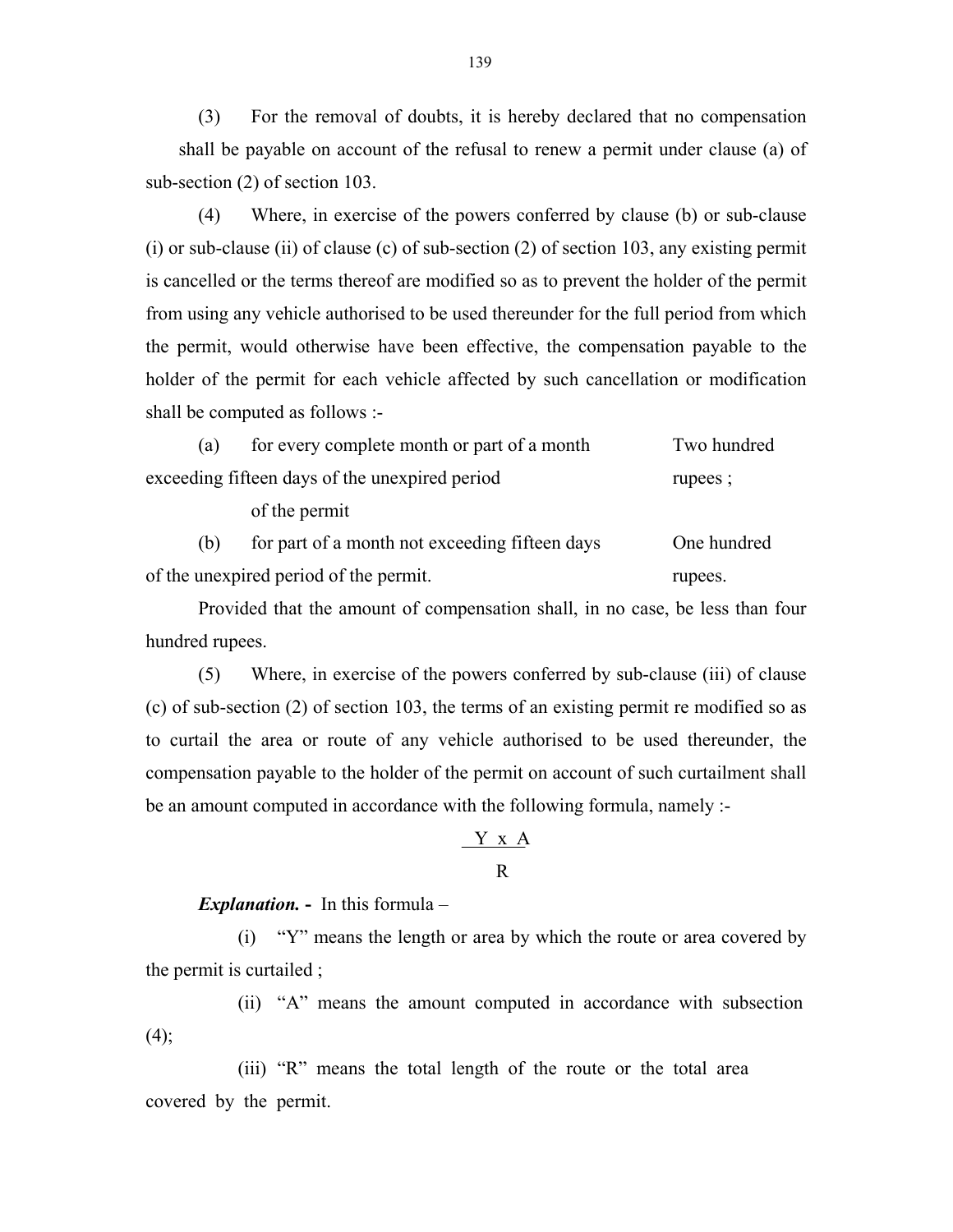(3) For the removal of doubts, it is hereby declared that no compensation shall be payable on account of the refusal to renew a permit under clause (a) of sub-section (2) of section 103.

(4) Where, in exercise of the powers conferred by clause (b) or sub-clause (i) or sub-clause (ii) of clause (c) of sub-section (2) of section 103, any existing permit is cancelled or the terms thereof are modified so as to prevent the holder of the permit from using any vehicle authorised to be used thereunder for the full period from which the permit, would otherwise have been effective, the compensation payable to the holder of the permit for each vehicle affected by such cancellation or modification shall be computed as follows :-

(a) for every complete month or part of a month Two hundred exceeding fifteen days of the unexpired period rupees;

of the permit

(b) for part of a month not exceeding fifteen days One hundred of the unexpired period of the permit. rupees.

Provided that the amount of compensation shall, in no case, be less than four hundred rupees.

(5) Where, in exercise of the powers conferred by sub-clause (iii) of clause (c) of sub-section (2) of section 103, the terms of an existing permit re modified so as to curtail the area or route of any vehicle authorised to be used thereunder, the compensation payable to the holder of the permit on account of such curtailment shall be an amount computed in accordance with the following formula, namely :-

$$
\frac{Y \times A}{R}
$$

*Explanation.* **-** In this formula –

(i) "Y" means the length or area by which the route or area covered by the permit is curtailed ;

(ii) "A" means the amount computed in accordance with subsection  $(4);$ 

(iii) "R" means the total length of the route or the total area covered by the permit.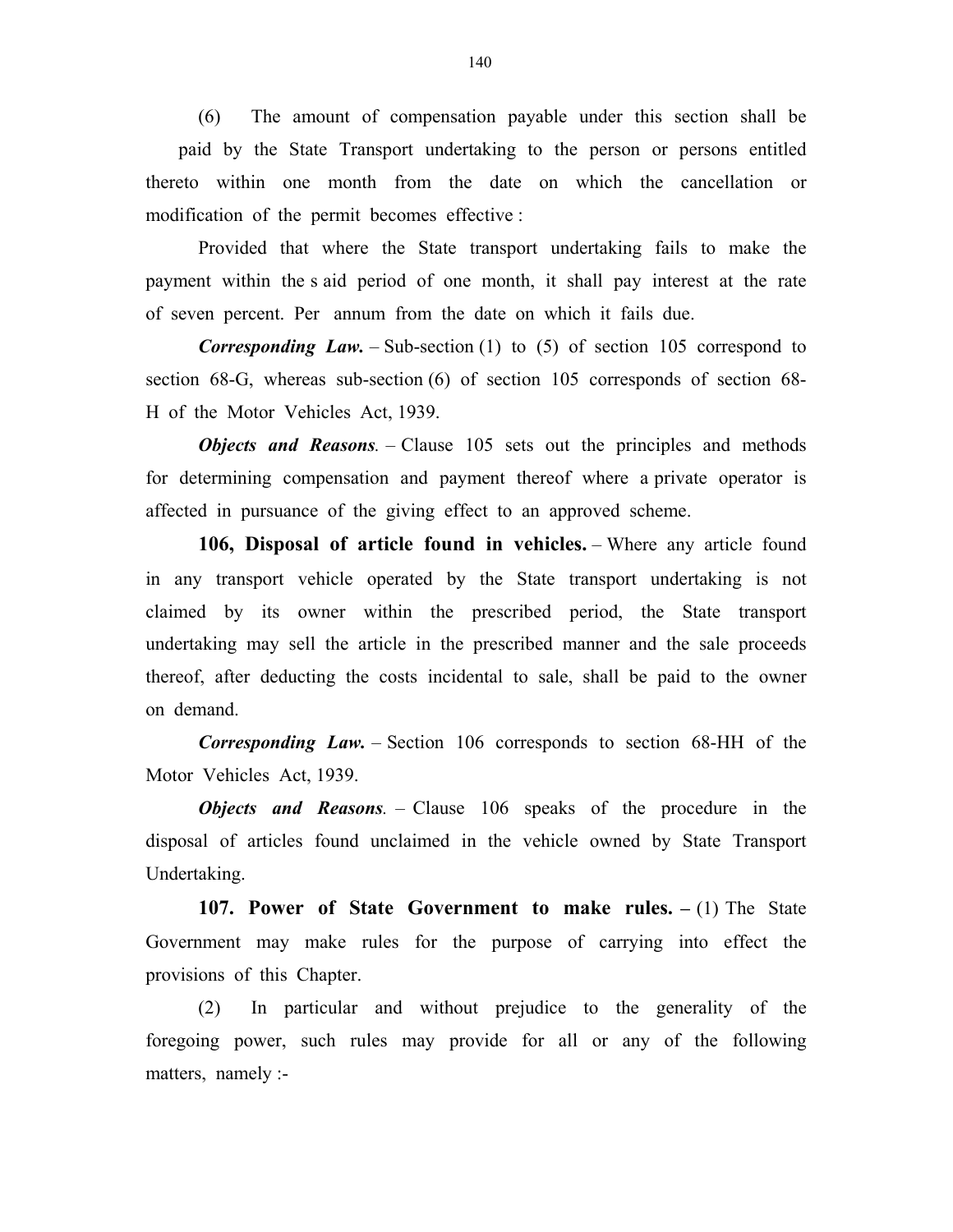(6) The amount of compensation payable under this section shall be paid by the State Transport undertaking to the person or persons entitled thereto within one month from the date on which the cancellation or modification of the permit becomes effective :

Provided that where the State transport undertaking fails to make the payment within the s aid period of one month, it shall pay interest at the rate of seven percent. Per annum from the date on which it fails due.

*Corresponding Law.* – Sub-section (1) to (5) of section 105 correspond to section 68-G, whereas sub-section (6) of section 105 corresponds of section 68- H of the Motor Vehicles Act, 1939.

*Objects and Reasons.* – Clause 105 sets out the principles and methods for determining compensation and payment thereof where a private operator is affected in pursuance of the giving effect to an approved scheme.

**106, Disposal of article found in vehicles.** – Where any article found in any transport vehicle operated by the State transport undertaking is not claimed by its owner within the prescribed period, the State transport undertaking may sell the article in the prescribed manner and the sale proceeds thereof, after deducting the costs incidental to sale, shall be paid to the owner on demand.

*Corresponding Law. –* Section 106 corresponds to section 68-HH of the Motor Vehicles Act, 1939.

*Objects and Reasons.* – Clause 106 speaks of the procedure in the disposal of articles found unclaimed in the vehicle owned by State Transport Undertaking.

**107. Power of State Government to make rules. –** (1) The State Government may make rules for the purpose of carrying into effect the provisions of this Chapter.

(2) In particular and without prejudice to the generality of the foregoing power, such rules may provide for all or any of the following matters, namely :-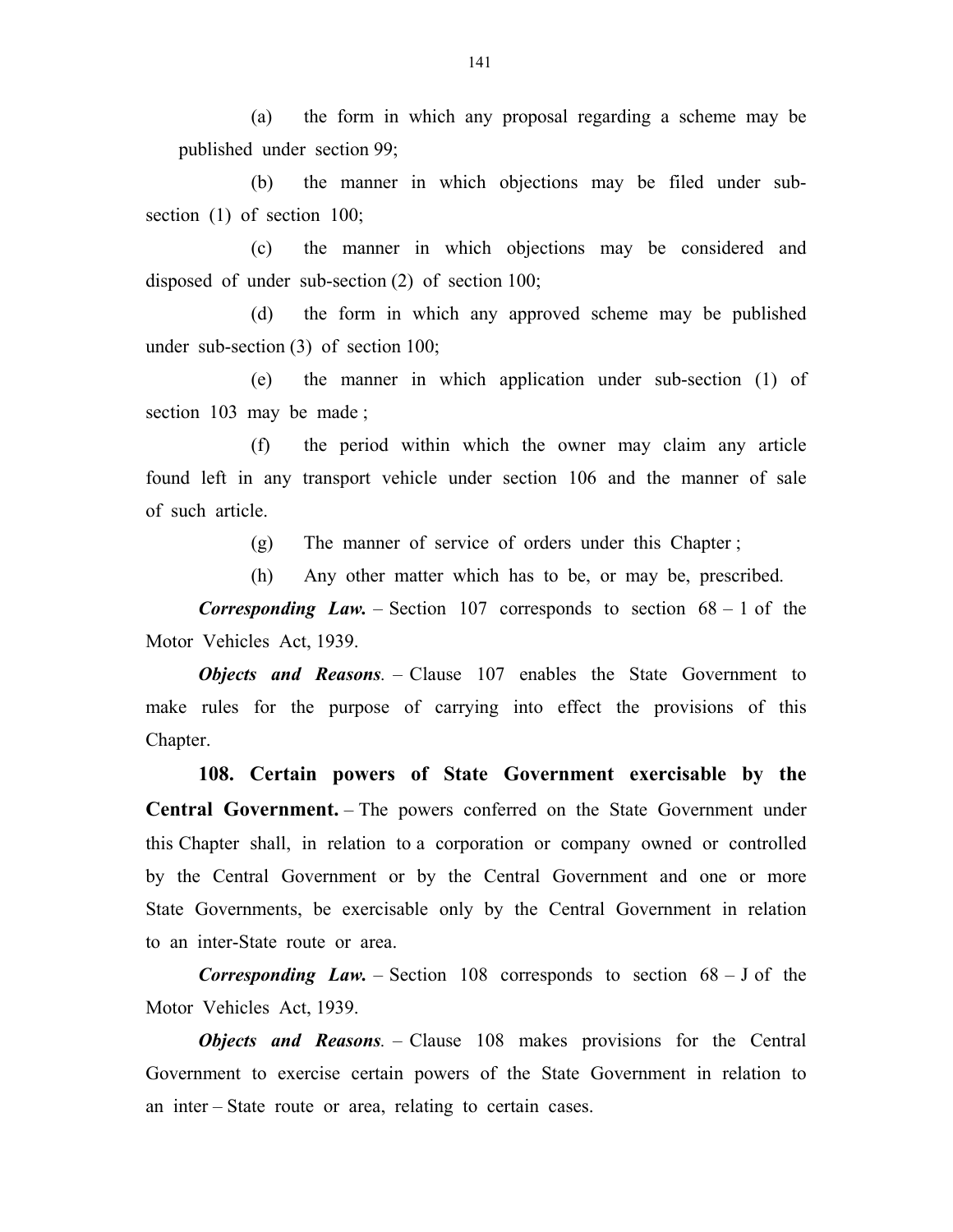(a) the form in which any proposal regarding a scheme may be published under section 99;

(b) the manner in which objections may be filed under subsection (1) of section 100;

(c) the manner in which objections may be considered and disposed of under sub-section (2) of section 100;

(d) the form in which any approved scheme may be published under sub-section (3) of section 100;

(e) the manner in which application under sub-section (1) of section 103 may be made ;

(f) the period within which the owner may claim any article found left in any transport vehicle under section 106 and the manner of sale of such article.

(g) The manner of service of orders under this Chapter ;

(h) Any other matter which has to be, or may be, prescribed.

*Corresponding Law.* – Section 107 corresponds to section  $68 - 1$  of the Motor Vehicles Act, 1939.

*Objects and Reasons.* – Clause 107 enables the State Government to make rules for the purpose of carrying into effect the provisions of this Chapter.

**108. Certain powers of State Government exercisable by the Central Government.** – The powers conferred on the State Government under this Chapter shall, in relation to a corporation or company owned or controlled by the Central Government or by the Central Government and one or more State Governments, be exercisable only by the Central Government in relation to an inter-State route or area.

*Corresponding Law.* – Section 108 corresponds to section  $68 - J$  of the Motor Vehicles Act, 1939.

*Objects and Reasons.* – Clause 108 makes provisions for the Central Government to exercise certain powers of the State Government in relation to an inter – State route or area, relating to certain cases.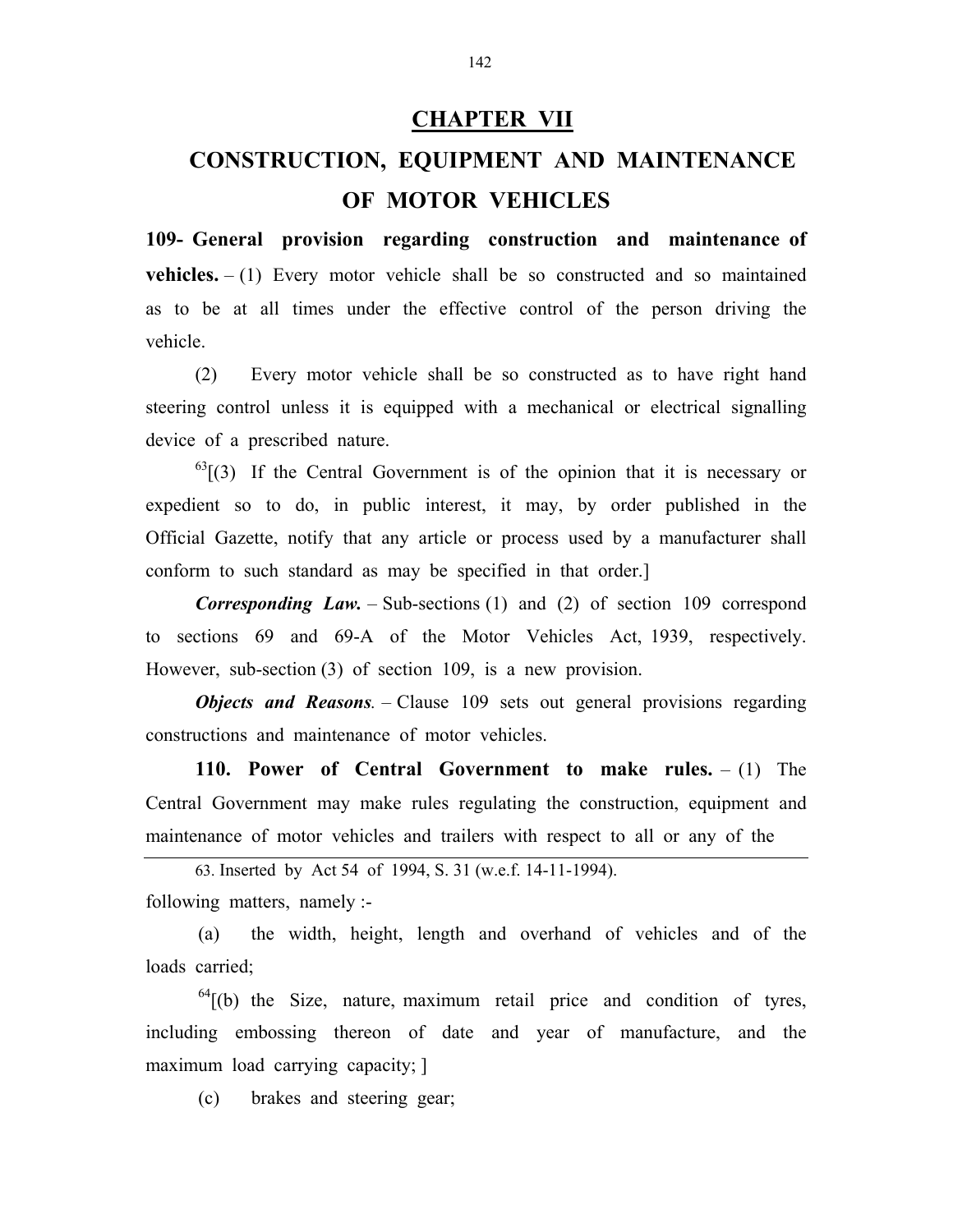## **CHAPTER VII**

## **CONSTRUCTION, EQUIPMENT AND MAINTENANCE OF MOTOR VEHICLES**

**109- General provision regarding construction and maintenance of vehicles.**  $- (1)$  Every motor vehicle shall be so constructed and so maintained as to be at all times under the effective control of the person driving the vehicle.

(2) Every motor vehicle shall be so constructed as to have right hand steering control unless it is equipped with a mechanical or electrical signalling device of a prescribed nature.

 $^{63}$ [(3) If the Central Government is of the opinion that it is necessary or expedient so to do, in public interest, it may, by order published in the Official Gazette, notify that any article or process used by a manufacturer shall conform to such standard as may be specified in that order.]

*Corresponding Law.* – Sub-sections (1) and (2) of section 109 correspond to sections 69 and 69-A of the Motor Vehicles Act, 1939, respectively. However, sub-section (3) of section 109, is a new provision.

*Objects and Reasons.* – Clause 109 sets out general provisions regarding constructions and maintenance of motor vehicles.

**110. Power of Central Government to make rules.** – (1) The Central Government may make rules regulating the construction, equipment and maintenance of motor vehicles and trailers with respect to all or any of the

63. Inserted by Act 54 of 1994, S. 31 (w.e.f. 14-11-1994). following matters, namely :-

(a) the width, height, length and overhand of vehicles and of the loads carried;

 $^{64}$ [(b) the Size, nature, maximum retail price and condition of tyres, including embossing thereon of date and year of manufacture, and the maximum load carrying capacity; ]

(c) brakes and steering gear;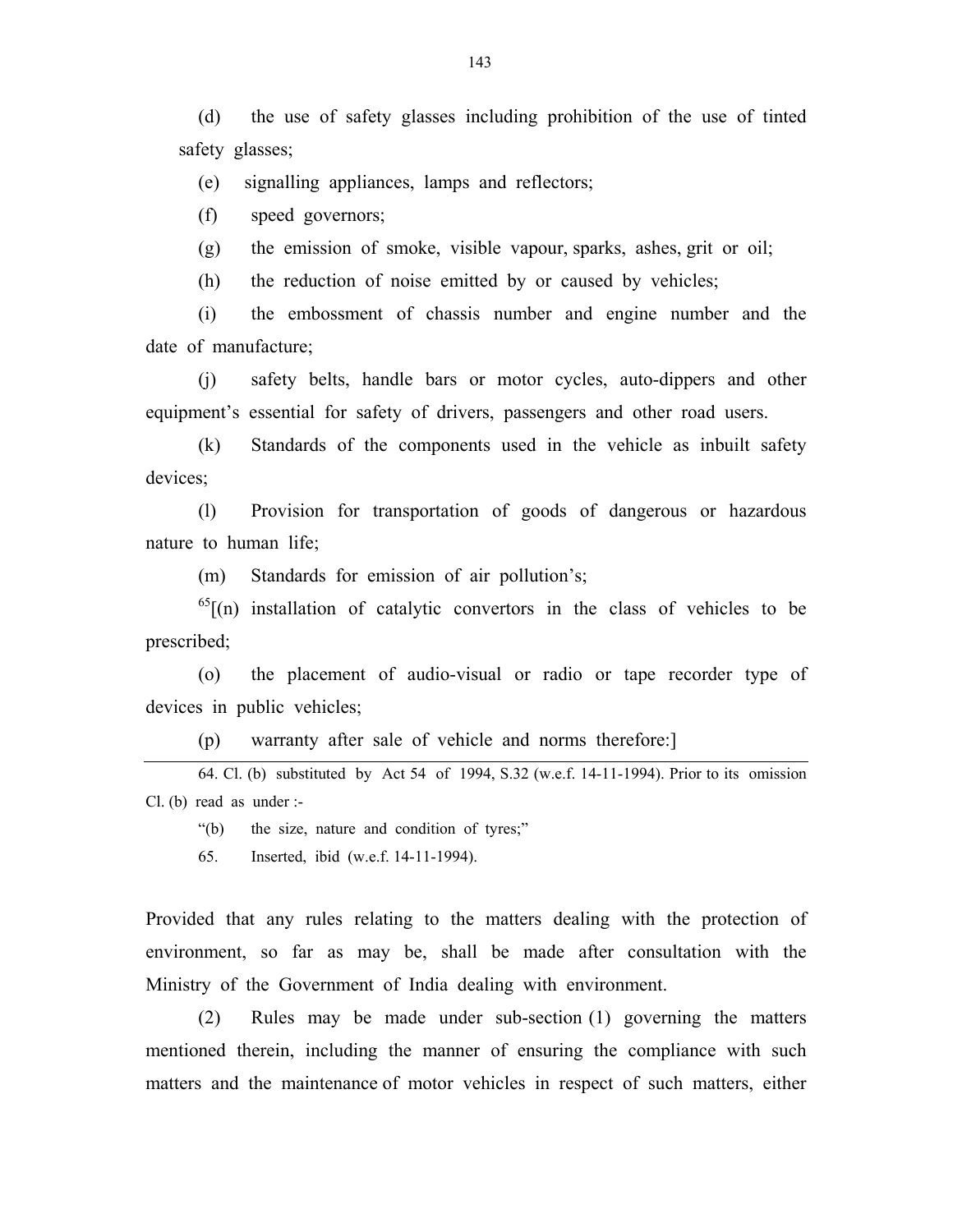(d) the use of safety glasses including prohibition of the use of tinted safety glasses;

(e) signalling appliances, lamps and reflectors;

(f) speed governors;

(g) the emission of smoke, visible vapour, sparks, ashes, grit or oil;

(h) the reduction of noise emitted by or caused by vehicles;

(i) the embossment of chassis number and engine number and the date of manufacture;

(j) safety belts, handle bars or motor cycles, auto-dippers and other equipment's essential for safety of drivers, passengers and other road users.

(k) Standards of the components used in the vehicle as inbuilt safety devices;

(l) Provision for transportation of goods of dangerous or hazardous nature to human life;

(m) Standards for emission of air pollution's;

 $^{65}$ [(n) installation of catalytic convertors in the class of vehicles to be prescribed;

(o) the placement of audio-visual or radio or tape recorder type of devices in public vehicles;

(p) warranty after sale of vehicle and norms therefore:]

64. Cl. (b) substituted by Act 54 of 1994, S.32 (w.e.f. 14-11-1994). Prior to its omission Cl. (b) read as under :-

"(b) the size, nature and condition of tyres;"

65. Inserted, ibid (w.e.f. 14-11-1994).

Provided that any rules relating to the matters dealing with the protection of environment, so far as may be, shall be made after consultation with the Ministry of the Government of India dealing with environment.

(2) Rules may be made under sub-section (1) governing the matters mentioned therein, including the manner of ensuring the compliance with such matters and the maintenance of motor vehicles in respect of such matters, either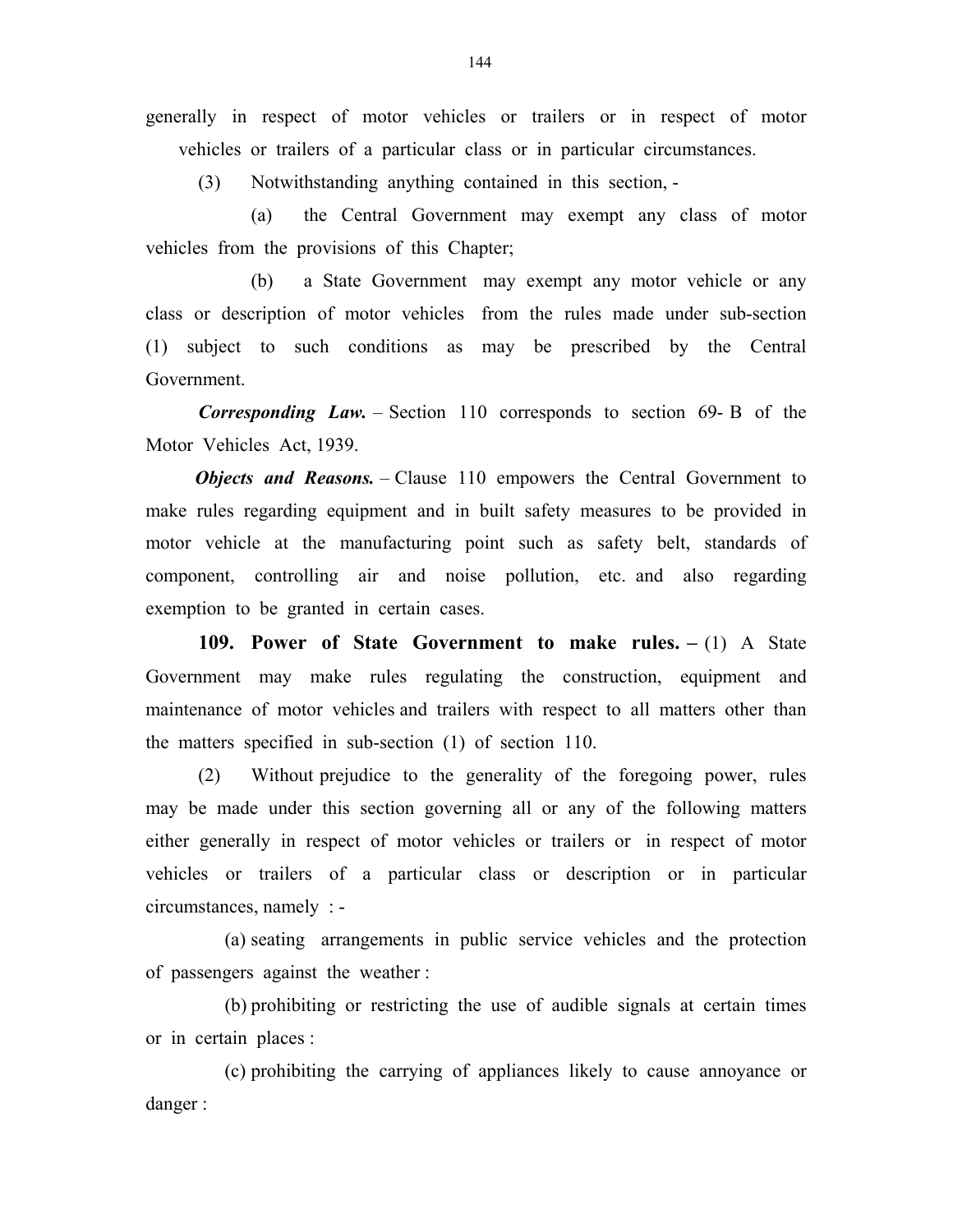generally in respect of motor vehicles or trailers or in respect of motor vehicles or trailers of a particular class or in particular circumstances.

(3) Notwithstanding anything contained in this section, -

(a) the Central Government may exempt any class of motor vehicles from the provisions of this Chapter;

(b) a State Government may exempt any motor vehicle or any class or description of motor vehicles from the rules made under sub-section (1) subject to such conditions as may be prescribed by the Central Government.

*Corresponding Law.* – Section 110 corresponds to section 69- B of the Motor Vehicles Act, 1939.

*Objects and Reasons.* – Clause 110 empowers the Central Government to make rules regarding equipment and in built safety measures to be provided in motor vehicle at the manufacturing point such as safety belt, standards of component, controlling air and noise pollution, etc. and also regarding exemption to be granted in certain cases.

**109. Power of State Government to make rules. –** (1) A State Government may make rules regulating the construction, equipment and maintenance of motor vehicles and trailers with respect to all matters other than the matters specified in sub-section (1) of section 110.

(2) Without prejudice to the generality of the foregoing power, rules may be made under this section governing all or any of the following matters either generally in respect of motor vehicles or trailers or in respect of motor vehicles or trailers of a particular class or description or in particular circumstances, namely : -

(a) seating arrangements in public service vehicles and the protection of passengers against the weather :

(b) prohibiting or restricting the use of audible signals at certain times or in certain places :

(c) prohibiting the carrying of appliances likely to cause annoyance or danger :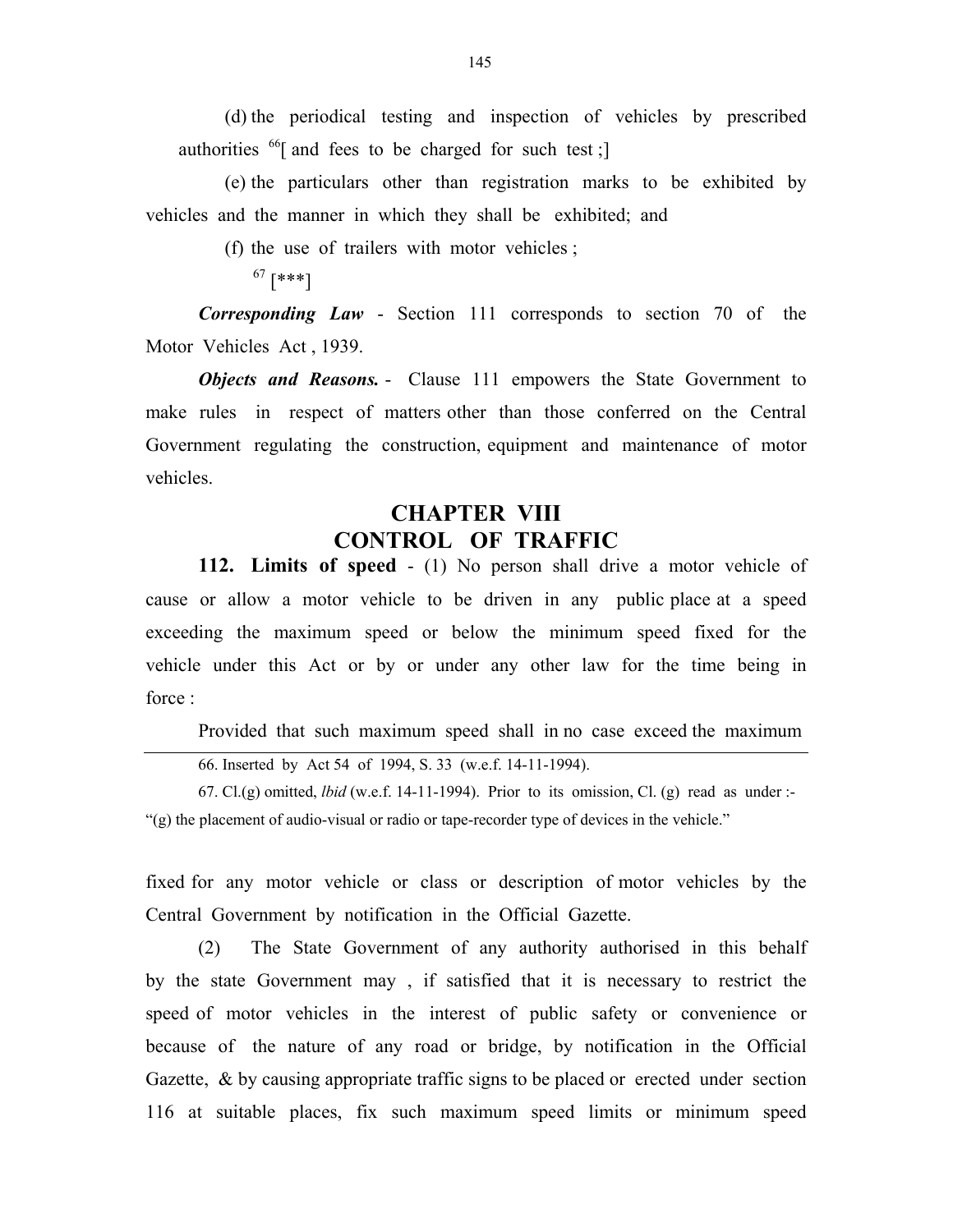(d) the periodical testing and inspection of vehicles by prescribed authorities  $^{66}$ [ and fees to be charged for such test ;]

(e) the particulars other than registration marks to be exhibited by vehicles and the manner in which they shall be exhibited; and

(f) the use of trailers with motor vehicles ;

 $^{67}$  [\*\*\*]

*Corresponding Law* - Section 111 corresponds to section 70 of the Motor Vehicles Act , 1939.

*Objects and Reasons.* - Clause 111 empowers the State Government to make rules in respect of matters other than those conferred on the Central Government regulating the construction, equipment and maintenance of motor vehicles.

## **CHAPTER VIII CONTROL OF TRAFFIC**

**112. Limits of speed** - (1) No person shall drive a motor vehicle of cause or allow a motor vehicle to be driven in any public place at a speed exceeding the maximum speed or below the minimum speed fixed for the vehicle under this Act or by or under any other law for the time being in force :

Provided that such maximum speed shall in no case exceed the maximum

66. Inserted by Act 54 of 1994, S. 33 (w.e.f. 14-11-1994).

67. Cl.(g) omitted, *lbid* (w.e.f. 14-11-1994). Prior to its omission, Cl. (g) read as under :-"(g) the placement of audio-visual or radio or tape-recorder type of devices in the vehicle."

fixed for any motor vehicle or class or description of motor vehicles by the Central Government by notification in the Official Gazette.

(2) The State Government of any authority authorised in this behalf by the state Government may , if satisfied that it is necessary to restrict the speed of motor vehicles in the interest of public safety or convenience or because of the nature of any road or bridge, by notification in the Official Gazette, & by causing appropriate traffic signs to be placed or erected under section 116 at suitable places, fix such maximum speed limits or minimum speed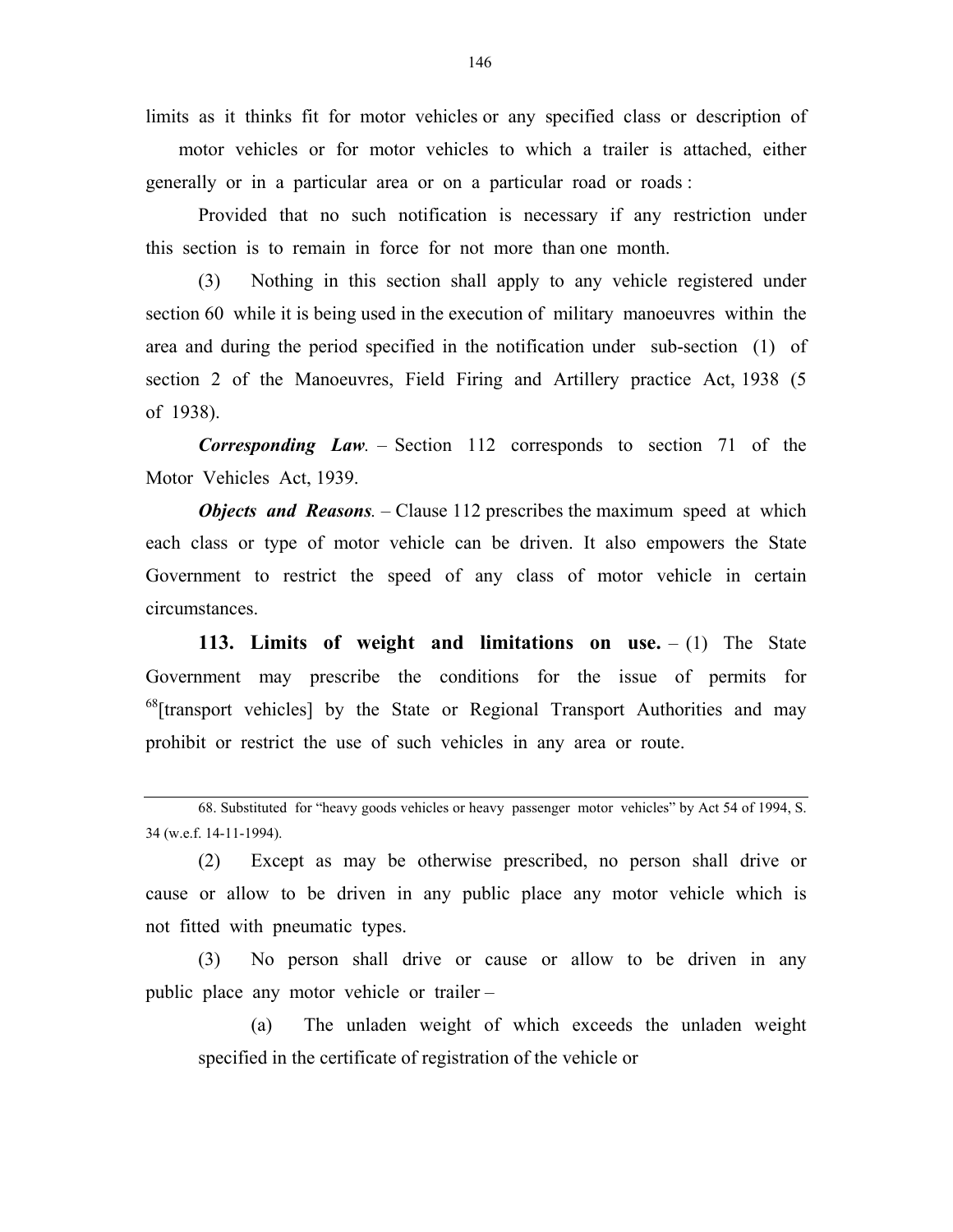limits as it thinks fit for motor vehicles or any specified class or description of

motor vehicles or for motor vehicles to which a trailer is attached, either generally or in a particular area or on a particular road or roads :

Provided that no such notification is necessary if any restriction under this section is to remain in force for not more than one month.

(3) Nothing in this section shall apply to any vehicle registered under section 60 while it is being used in the execution of military manoeuvres within the area and during the period specified in the notification under sub-section (1) of section 2 of the Manoeuvres, Field Firing and Artillery practice Act, 1938 (5 of 1938).

*Corresponding Law. –* Section 112 corresponds to section 71 of the Motor Vehicles Act, 1939.

*Objects and Reasons.* – Clause 112 prescribes the maximum speed at which each class or type of motor vehicle can be driven. It also empowers the State Government to restrict the speed of any class of motor vehicle in certain circumstances.

**113. Limits of weight and limitations on use.** – (1) The State Government may prescribe the conditions for the issue of permits for <sup>68</sup>[transport vehicles] by the State or Regional Transport Authorities and may prohibit or restrict the use of such vehicles in any area or route.

(2) Except as may be otherwise prescribed, no person shall drive or cause or allow to be driven in any public place any motor vehicle which is not fitted with pneumatic types.

(3) No person shall drive or cause or allow to be driven in any public place any motor vehicle or trailer –

(a) The unladen weight of which exceeds the unladen weight specified in the certificate of registration of the vehicle or

<sup>68.</sup> Substituted for "heavy goods vehicles or heavy passenger motor vehicles" by Act 54 of 1994, S. 34 (w.e.f. 14-11-1994).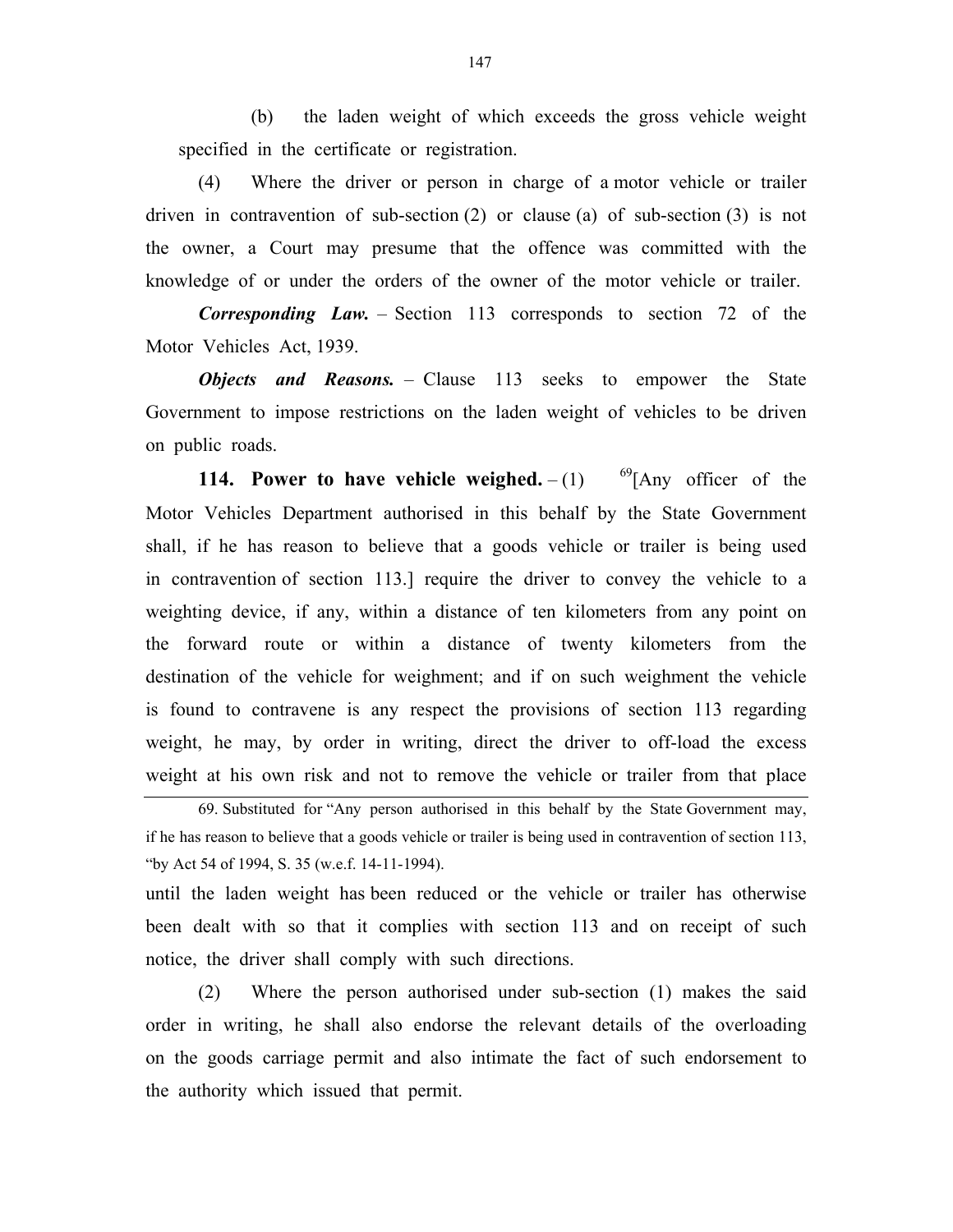(b) the laden weight of which exceeds the gross vehicle weight specified in the certificate or registration.

(4) Where the driver or person in charge of a motor vehicle or trailer driven in contravention of sub-section (2) or clause (a) of sub-section (3) is not the owner, a Court may presume that the offence was committed with the knowledge of or under the orders of the owner of the motor vehicle or trailer.

*Corresponding Law. –* Section 113 corresponds to section 72 of the Motor Vehicles Act, 1939.

*Objects and Reasons.* – Clause 113 seeks to empower the State Government to impose restrictions on the laden weight of vehicles to be driven on public roads.

**114. Power to have vehicle weighed.**  $-(1)$  <sup>69</sup>[Any officer of the Motor Vehicles Department authorised in this behalf by the State Government shall, if he has reason to believe that a goods vehicle or trailer is being used in contravention of section 113.] require the driver to convey the vehicle to a weighting device, if any, within a distance of ten kilometers from any point on the forward route or within a distance of twenty kilometers from the destination of the vehicle for weighment; and if on such weighment the vehicle is found to contravene is any respect the provisions of section 113 regarding weight, he may, by order in writing, direct the driver to off-load the excess weight at his own risk and not to remove the vehicle or trailer from that place

until the laden weight has been reduced or the vehicle or trailer has otherwise been dealt with so that it complies with section 113 and on receipt of such notice, the driver shall comply with such directions.

(2) Where the person authorised under sub-section (1) makes the said order in writing, he shall also endorse the relevant details of the overloading on the goods carriage permit and also intimate the fact of such endorsement to the authority which issued that permit.

<sup>69.</sup> Substituted for "Any person authorised in this behalf by the State Government may, if he has reason to believe that a goods vehicle or trailer is being used in contravention of section 113, "by Act 54 of 1994, S. 35 (w.e.f. 14-11-1994).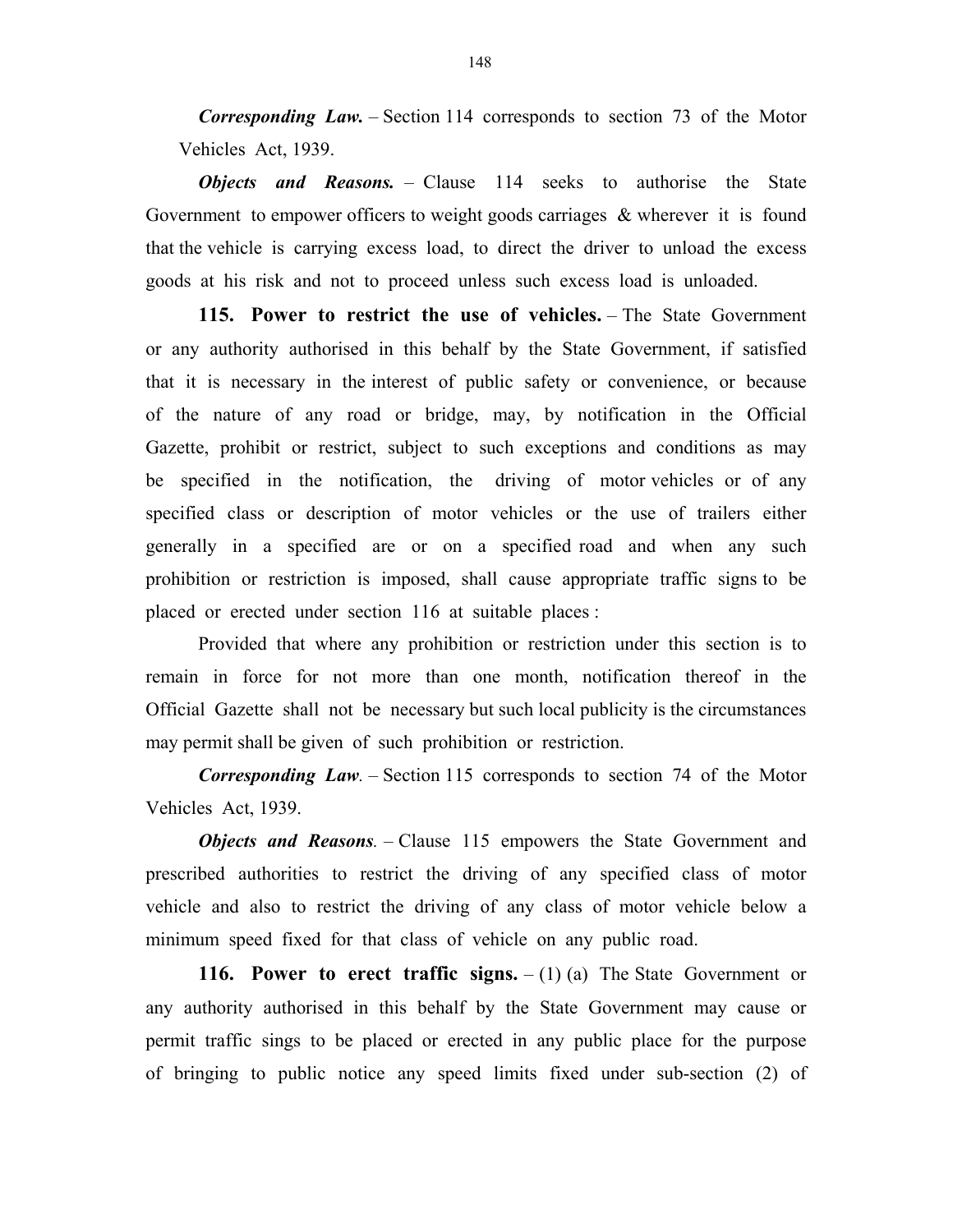*Corresponding Law.* – Section 114 corresponds to section 73 of the Motor Vehicles Act, 1939.

*Objects and Reasons.* – Clause 114 seeks to authorise the State Government to empower officers to weight goods carriages & wherever it is found that the vehicle is carrying excess load, to direct the driver to unload the excess goods at his risk and not to proceed unless such excess load is unloaded.

**115. Power to restrict the use of vehicles.** – The State Government or any authority authorised in this behalf by the State Government, if satisfied that it is necessary in the interest of public safety or convenience, or because of the nature of any road or bridge, may, by notification in the Official Gazette, prohibit or restrict, subject to such exceptions and conditions as may be specified in the notification, the driving of motor vehicles or of any specified class or description of motor vehicles or the use of trailers either generally in a specified are or on a specified road and when any such prohibition or restriction is imposed, shall cause appropriate traffic signs to be placed or erected under section 116 at suitable places :

 Provided that where any prohibition or restriction under this section is to remain in force for not more than one month, notification thereof in the Official Gazette shall not be necessary but such local publicity is the circumstances may permit shall be given of such prohibition or restriction.

*Corresponding Law.* – Section 115 corresponds to section 74 of the Motor Vehicles Act, 1939.

*Objects and Reasons.* – Clause 115 empowers the State Government and prescribed authorities to restrict the driving of any specified class of motor vehicle and also to restrict the driving of any class of motor vehicle below a minimum speed fixed for that class of vehicle on any public road.

**116. Power to erect traffic signs.** – (1) (a) The State Government or any authority authorised in this behalf by the State Government may cause or permit traffic sings to be placed or erected in any public place for the purpose of bringing to public notice any speed limits fixed under sub-section (2) of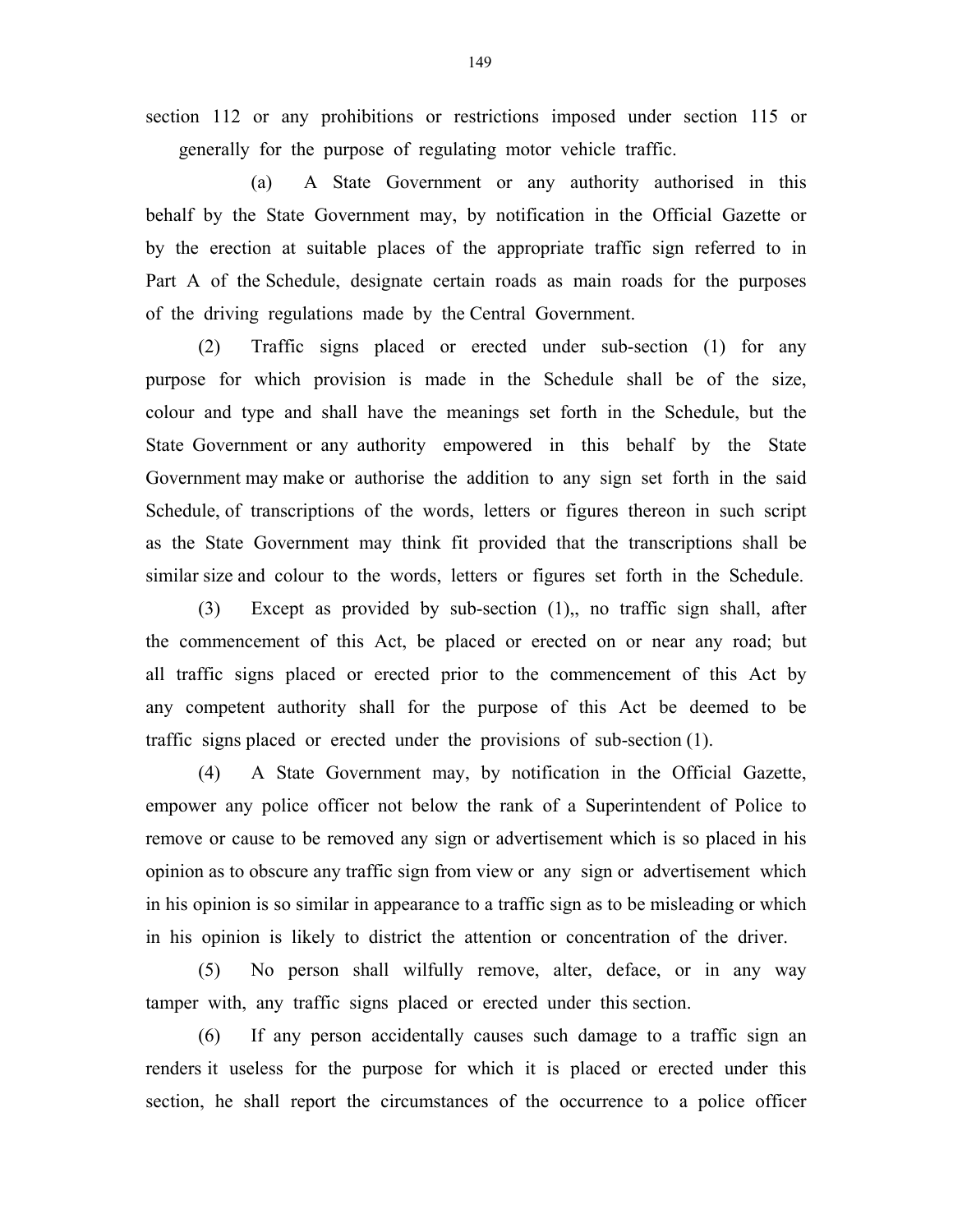section 112 or any prohibitions or restrictions imposed under section 115 or generally for the purpose of regulating motor vehicle traffic.

(a) A State Government or any authority authorised in this behalf by the State Government may, by notification in the Official Gazette or by the erection at suitable places of the appropriate traffic sign referred to in Part A of the Schedule, designate certain roads as main roads for the purposes of the driving regulations made by the Central Government.

(2) Traffic signs placed or erected under sub-section (1) for any purpose for which provision is made in the Schedule shall be of the size, colour and type and shall have the meanings set forth in the Schedule, but the State Government or any authority empowered in this behalf by the State Government may make or authorise the addition to any sign set forth in the said Schedule, of transcriptions of the words, letters or figures thereon in such script as the State Government may think fit provided that the transcriptions shall be similar size and colour to the words, letters or figures set forth in the Schedule.

(3) Except as provided by sub-section (1),, no traffic sign shall, after the commencement of this Act, be placed or erected on or near any road; but all traffic signs placed or erected prior to the commencement of this Act by any competent authority shall for the purpose of this Act be deemed to be traffic signs placed or erected under the provisions of sub-section (1).

(4) A State Government may, by notification in the Official Gazette, empower any police officer not below the rank of a Superintendent of Police to remove or cause to be removed any sign or advertisement which is so placed in his opinion as to obscure any traffic sign from view or any sign or advertisement which in his opinion is so similar in appearance to a traffic sign as to be misleading or which in his opinion is likely to district the attention or concentration of the driver.

(5) No person shall wilfully remove, alter, deface, or in any way tamper with, any traffic signs placed or erected under this section.

(6) If any person accidentally causes such damage to a traffic sign an renders it useless for the purpose for which it is placed or erected under this section, he shall report the circumstances of the occurrence to a police officer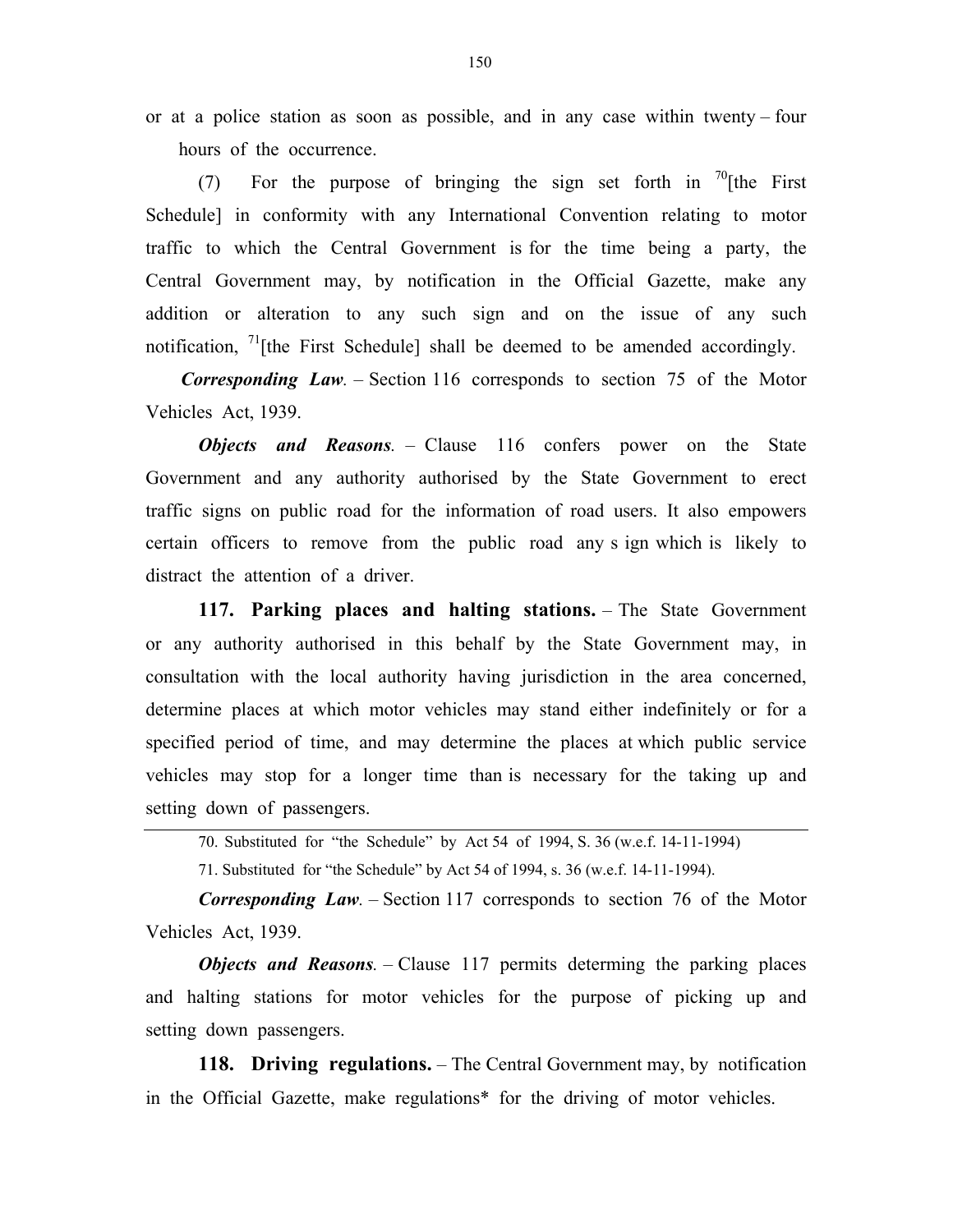or at a police station as soon as possible, and in any case within twenty – four hours of the occurrence.

(7) For the purpose of bringing the sign set forth in  $\frac{70}{1}$  the First Schedule) in conformity with any International Convention relating to motor traffic to which the Central Government is for the time being a party, the Central Government may, by notification in the Official Gazette, make any addition or alteration to any such sign and on the issue of any such notification,  $\frac{1}{1}$ [the First Schedule] shall be deemed to be amended accordingly.

*Corresponding Law.* – Section 116 corresponds to section 75 of the Motor Vehicles Act, 1939.

*Objects and Reasons.* – Clause 116 confers power on the State Government and any authority authorised by the State Government to erect traffic signs on public road for the information of road users. It also empowers certain officers to remove from the public road any s ign which is likely to distract the attention of a driver.

**117. Parking places and halting stations.** – The State Government or any authority authorised in this behalf by the State Government may, in consultation with the local authority having jurisdiction in the area concerned, determine places at which motor vehicles may stand either indefinitely or for a specified period of time, and may determine the places at which public service vehicles may stop for a longer time than is necessary for the taking up and setting down of passengers.

70. Substituted for "the Schedule" by Act 54 of 1994, S. 36 (w.e.f. 14-11-1994)

71. Substituted for "the Schedule" by Act 54 of 1994, s. 36 (w.e.f. 14-11-1994).

*Corresponding Law.* – Section 117 corresponds to section 76 of the Motor Vehicles Act, 1939.

*Objects and Reasons.* – Clause 117 permits determing the parking places and halting stations for motor vehicles for the purpose of picking up and setting down passengers.

**118. Driving regulations.** – The Central Government may, by notification in the Official Gazette, make regulations\* for the driving of motor vehicles.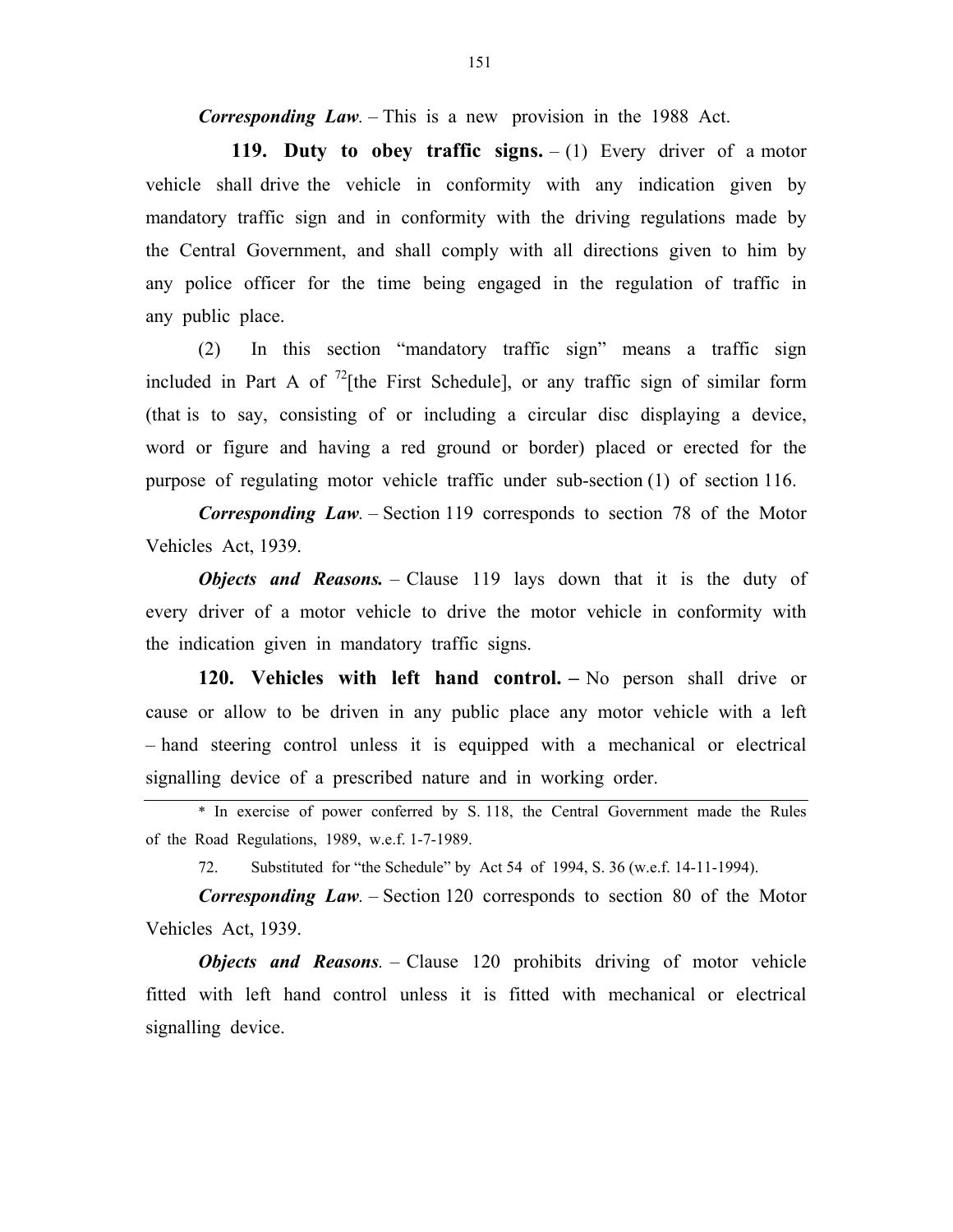*Corresponding Law.* – This is a new provision in the 1988 Act.

**119. Duty to obey traffic signs.** – (1) Every driver of a motor vehicle shall drive the vehicle in conformity with any indication given by mandatory traffic sign and in conformity with the driving regulations made by the Central Government, and shall comply with all directions given to him by any police officer for the time being engaged in the regulation of traffic in any public place.

 (2) In this section "mandatory traffic sign" means a traffic sign included in Part A of  $^{72}$ [the First Schedule], or any traffic sign of similar form (that is to say, consisting of or including a circular disc displaying a device, word or figure and having a red ground or border) placed or erected for the purpose of regulating motor vehicle traffic under sub-section (1) of section 116.

*Corresponding Law.* – Section 119 corresponds to section 78 of the Motor Vehicles Act, 1939.

*Objects and Reasons.* – Clause 119 lays down that it is the duty of every driver of a motor vehicle to drive the motor vehicle in conformity with the indication given in mandatory traffic signs.

**120. Vehicles with left hand control. –** No person shall drive or cause or allow to be driven in any public place any motor vehicle with a left – hand steering control unless it is equipped with a mechanical or electrical signalling device of a prescribed nature and in working order.

\* In exercise of power conferred by S. 118, the Central Government made the Rules of the Road Regulations, 1989, w.e.f. 1-7-1989.

72. Substituted for "the Schedule" by Act 54 of 1994, S. 36 (w.e.f. 14-11-1994).

*Corresponding Law.* – Section 120 corresponds to section 80 of the Motor Vehicles Act, 1939.

*Objects and Reasons.* – Clause 120 prohibits driving of motor vehicle fitted with left hand control unless it is fitted with mechanical or electrical signalling device.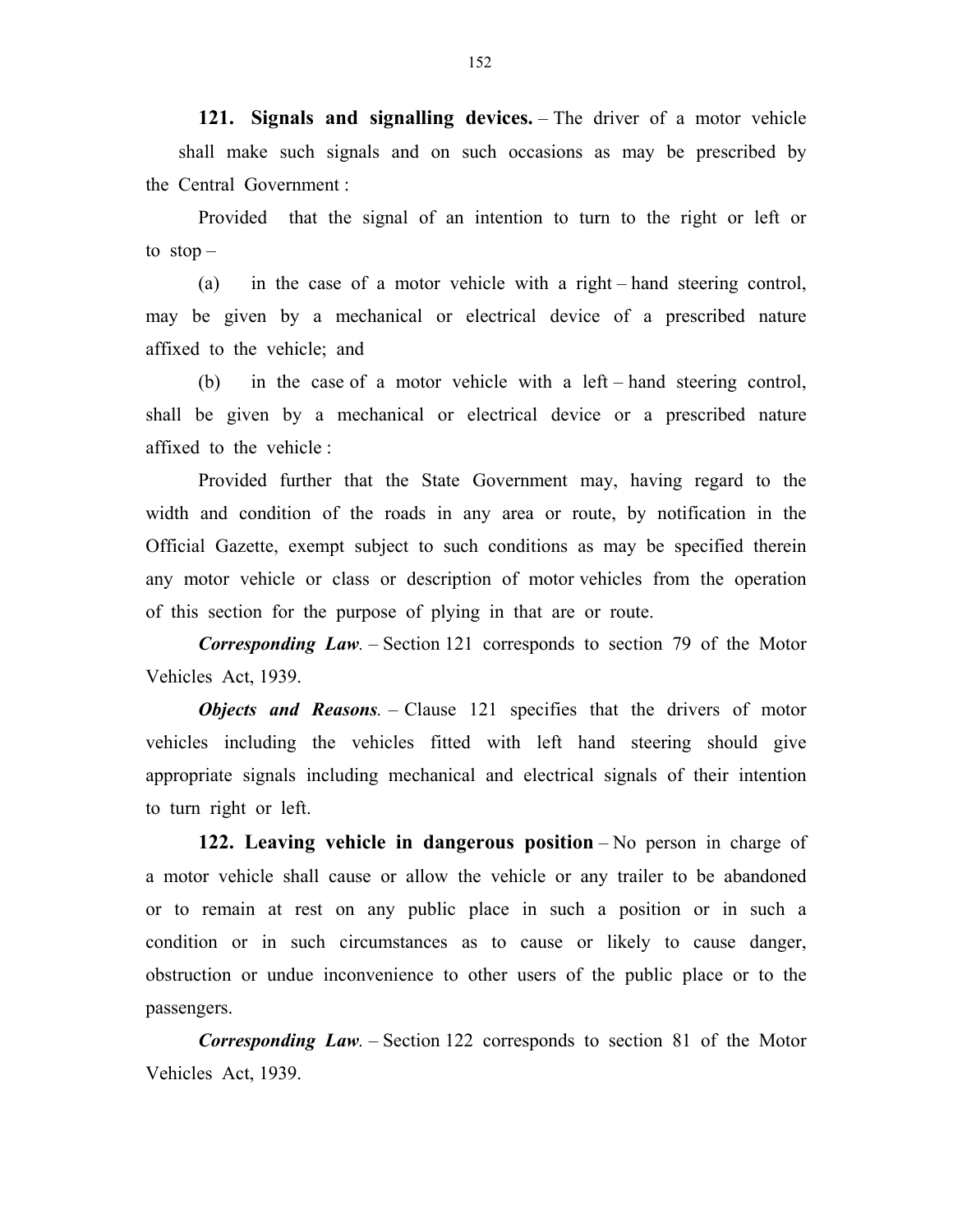**121. Signals and signalling devices.** – The driver of a motor vehicle shall make such signals and on such occasions as may be prescribed by the Central Government :

Provided that the signal of an intention to turn to the right or left or to stop –

(a) in the case of a motor vehicle with a right – hand steering control, may be given by a mechanical or electrical device of a prescribed nature affixed to the vehicle; and

(b) in the case of a motor vehicle with a left – hand steering control, shall be given by a mechanical or electrical device or a prescribed nature affixed to the vehicle :

Provided further that the State Government may, having regard to the width and condition of the roads in any area or route, by notification in the Official Gazette, exempt subject to such conditions as may be specified therein any motor vehicle or class or description of motor vehicles from the operation of this section for the purpose of plying in that are or route.

*Corresponding Law.* – Section 121 corresponds to section 79 of the Motor Vehicles Act, 1939.

*Objects and Reasons.* – Clause 121 specifies that the drivers of motor vehicles including the vehicles fitted with left hand steering should give appropriate signals including mechanical and electrical signals of their intention to turn right or left.

**122. Leaving vehicle in dangerous position** – No person in charge of a motor vehicle shall cause or allow the vehicle or any trailer to be abandoned or to remain at rest on any public place in such a position or in such a condition or in such circumstances as to cause or likely to cause danger, obstruction or undue inconvenience to other users of the public place or to the passengers.

*Corresponding Law.* – Section 122 corresponds to section 81 of the Motor Vehicles Act, 1939.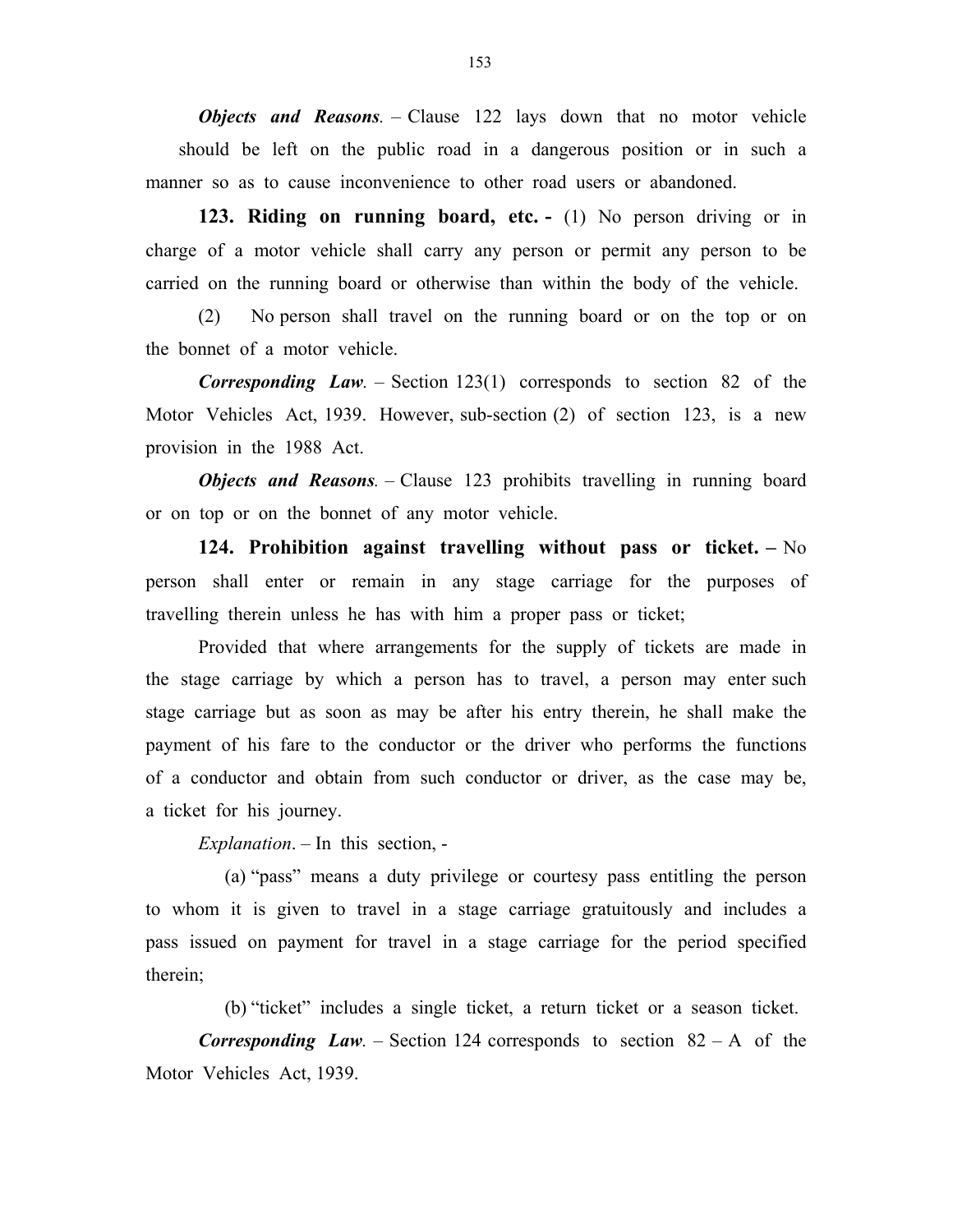*Objects and Reasons.* – Clause 122 lays down that no motor vehicle should be left on the public road in a dangerous position or in such a manner so as to cause inconvenience to other road users or abandoned.

**123. Riding on running board, etc. -** (1) No person driving or in charge of a motor vehicle shall carry any person or permit any person to be carried on the running board or otherwise than within the body of the vehicle.

 (2) No person shall travel on the running board or on the top or on the bonnet of a motor vehicle.

*Corresponding Law.* – Section 123(1) corresponds to section 82 of the Motor Vehicles Act, 1939. However, sub-section (2) of section 123, is a new provision in the 1988 Act.

*Objects and Reasons.* – Clause 123 prohibits travelling in running board or on top or on the bonnet of any motor vehicle.

**124. Prohibition against travelling without pass or ticket. –** No person shall enter or remain in any stage carriage for the purposes of travelling therein unless he has with him a proper pass or ticket;

Provided that where arrangements for the supply of tickets are made in the stage carriage by which a person has to travel, a person may enter such stage carriage but as soon as may be after his entry therein, he shall make the payment of his fare to the conductor or the driver who performs the functions of a conductor and obtain from such conductor or driver, as the case may be, a ticket for his journey.

*Explanation*. – In this section, -

(a) "pass" means a duty privilege or courtesy pass entitling the person to whom it is given to travel in a stage carriage gratuitously and includes a pass issued on payment for travel in a stage carriage for the period specified therein;

(b) "ticket" includes a single ticket, a return ticket or a season ticket.

*Corresponding Law.* – Section 124 corresponds to section  $82 - A$  of the Motor Vehicles Act, 1939.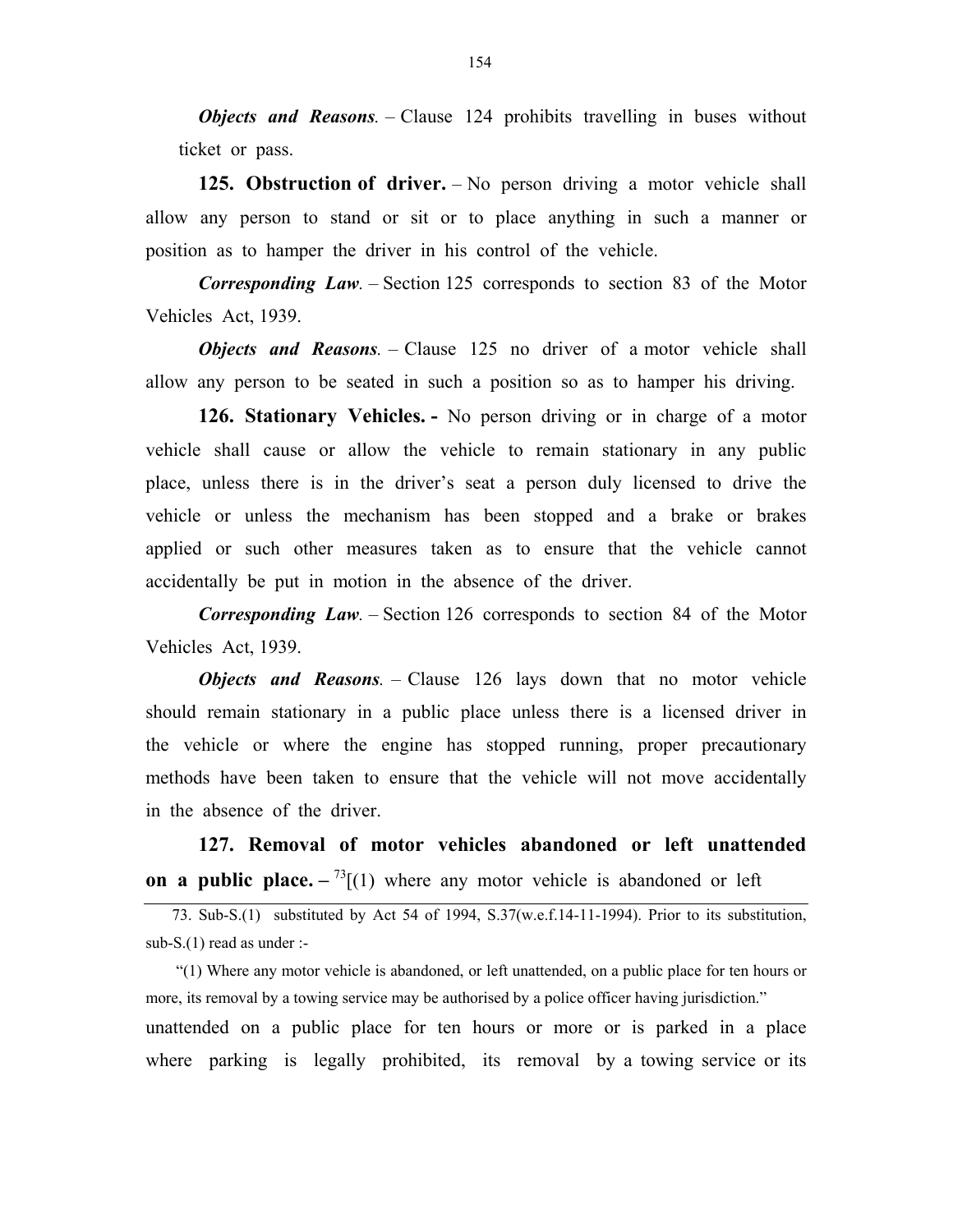*Objects and Reasons.* – Clause 124 prohibits travelling in buses without ticket or pass.

**125. Obstruction of driver.** – No person driving a motor vehicle shall allow any person to stand or sit or to place anything in such a manner or position as to hamper the driver in his control of the vehicle.

*Corresponding Law.* – Section 125 corresponds to section 83 of the Motor Vehicles Act, 1939.

*Objects and Reasons.* – Clause 125 no driver of a motor vehicle shall allow any person to be seated in such a position so as to hamper his driving.

**126. Stationary Vehicles. -** No person driving or in charge of a motor vehicle shall cause or allow the vehicle to remain stationary in any public place, unless there is in the driver's seat a person duly licensed to drive the vehicle or unless the mechanism has been stopped and a brake or brakes applied or such other measures taken as to ensure that the vehicle cannot accidentally be put in motion in the absence of the driver.

*Corresponding Law.* – Section 126 corresponds to section 84 of the Motor Vehicles Act, 1939.

*Objects and Reasons.* – Clause 126 lays down that no motor vehicle should remain stationary in a public place unless there is a licensed driver in the vehicle or where the engine has stopped running, proper precautionary methods have been taken to ensure that the vehicle will not move accidentally in the absence of the driver.

**127. Removal of motor vehicles abandoned or left unattended on a public place.**  $-^{73}$ [(1) where any motor vehicle is abandoned or left

73. Sub-S.(1) substituted by Act 54 of 1994, S.37(w.e.f.14-11-1994). Prior to its substitution, sub-S.(1) read as under :-

 "(1) Where any motor vehicle is abandoned, or left unattended, on a public place for ten hours or more, its removal by a towing service may be authorised by a police officer having jurisdiction." unattended on a public place for ten hours or more or is parked in a place where parking is legally prohibited, its removal by a towing service or its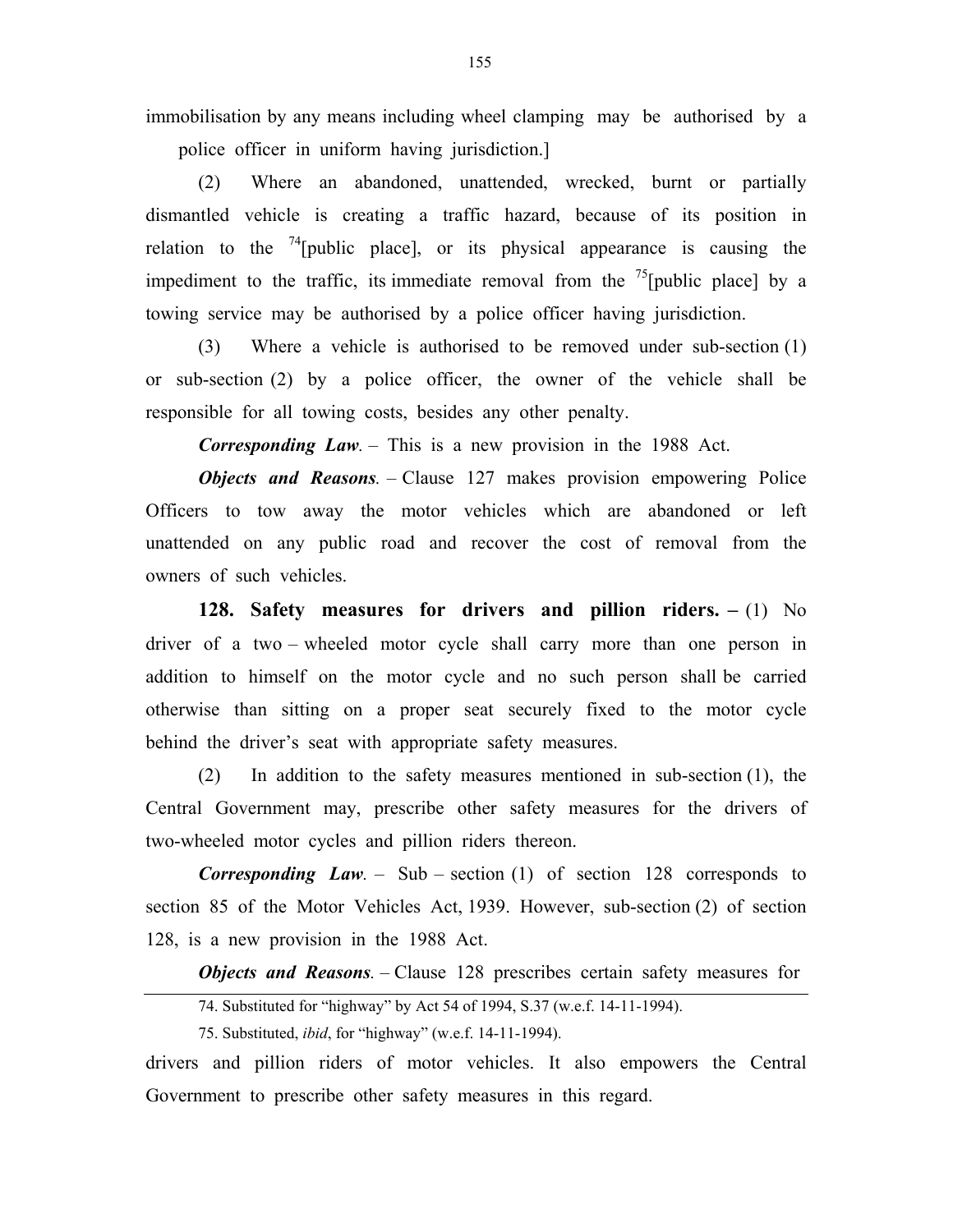immobilisation by any means including wheel clamping may be authorised by a

police officer in uniform having jurisdiction.]

(2) Where an abandoned, unattended, wrecked, burnt or partially dismantled vehicle is creating a traffic hazard, because of its position in relation to the  $^{74}$ [public place], or its physical appearance is causing the impediment to the traffic, its immediate removal from the  $75$ [public place] by a towing service may be authorised by a police officer having jurisdiction.

(3) Where a vehicle is authorised to be removed under sub-section (1) or sub-section (2) by a police officer, the owner of the vehicle shall be responsible for all towing costs, besides any other penalty.

*Corresponding Law.* – This is a new provision in the 1988 Act.

*Objects and Reasons.* – Clause 127 makes provision empowering Police Officers to tow away the motor vehicles which are abandoned or left unattended on any public road and recover the cost of removal from the owners of such vehicles.

**128. Safety measures for drivers and pillion riders. –** (1) No driver of a two – wheeled motor cycle shall carry more than one person in addition to himself on the motor cycle and no such person shall be carried otherwise than sitting on a proper seat securely fixed to the motor cycle behind the driver's seat with appropriate safety measures.

 (2) In addition to the safety measures mentioned in sub-section (1), the Central Government may, prescribe other safety measures for the drivers of two-wheeled motor cycles and pillion riders thereon.

*Corresponding Law.* – Sub – section (1) of section 128 corresponds to section 85 of the Motor Vehicles Act, 1939. However, sub-section (2) of section 128, is a new provision in the 1988 Act.

*Objects and Reasons.* – Clause 128 prescribes certain safety measures for

<sup>74.</sup> Substituted for "highway" by Act 54 of 1994, S.37 (w.e.f. 14-11-1994).

<sup>75.</sup> Substituted, *ibid*, for "highway" (w.e.f. 14-11-1994).

drivers and pillion riders of motor vehicles. It also empowers the Central Government to prescribe other safety measures in this regard.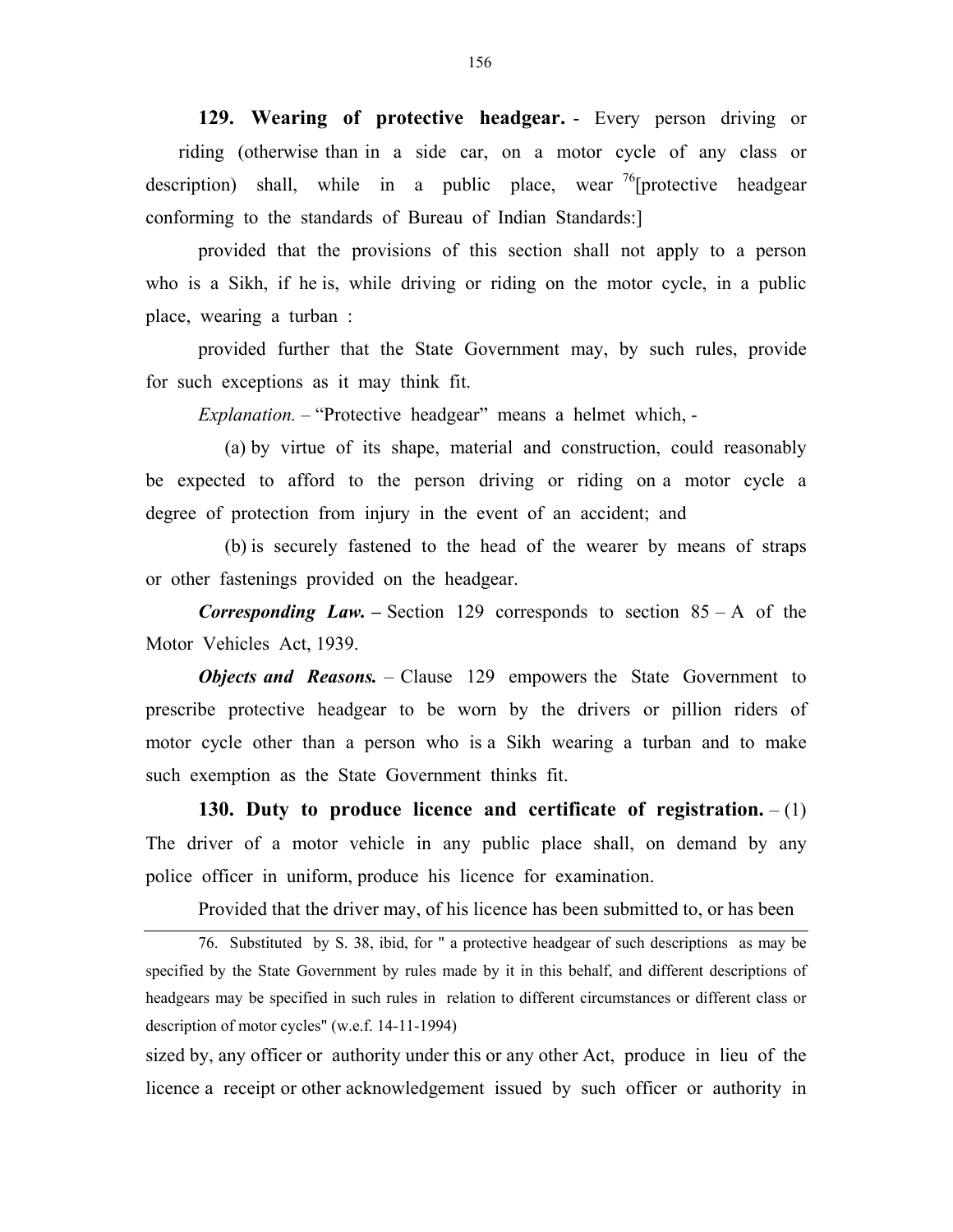**129. Wearing of protective headgear.** - Every person driving or riding (otherwise than in a side car, on a motor cycle of any class or description) shall, while in a public place, wear  $\frac{76}{5}$ [protective headgear conforming to the standards of Bureau of Indian Standards:]

provided that the provisions of this section shall not apply to a person who is a Sikh, if he is, while driving or riding on the motor cycle, in a public place, wearing a turban :

provided further that the State Government may, by such rules, provide for such exceptions as it may think fit.

*Explanation.* – "Protective headgear" means a helmet which, -

(a) by virtue of its shape, material and construction, could reasonably be expected to afford to the person driving or riding on a motor cycle a degree of protection from injury in the event of an accident; and

(b) is securely fastened to the head of the wearer by means of straps or other fastenings provided on the headgear.

*Corresponding Law.* – Section 129 corresponds to section  $85 - A$  of the Motor Vehicles Act, 1939.

*Objects* and Reasons. – Clause 129 empowers the State Government to prescribe protective headgear to be worn by the drivers or pillion riders of motor cycle other than a person who is a Sikh wearing a turban and to make such exemption as the State Government thinks fit.

 **130. Duty to produce licence and certificate of registration.** – (1) The driver of a motor vehicle in any public place shall, on demand by any police officer in uniform, produce his licence for examination.

Provided that the driver may, of his licence has been submitted to, or has been

76. Substituted by S. 38, ibid, for " a protective headgear of such descriptions as may be specified by the State Government by rules made by it in this behalf, and different descriptions of headgears may be specified in such rules in relation to different circumstances or different class or description of motor cycles" (w.e.f. 14-11-1994)

sized by, any officer or authority under this or any other Act, produce in lieu of the licence a receipt or other acknowledgement issued by such officer or authority in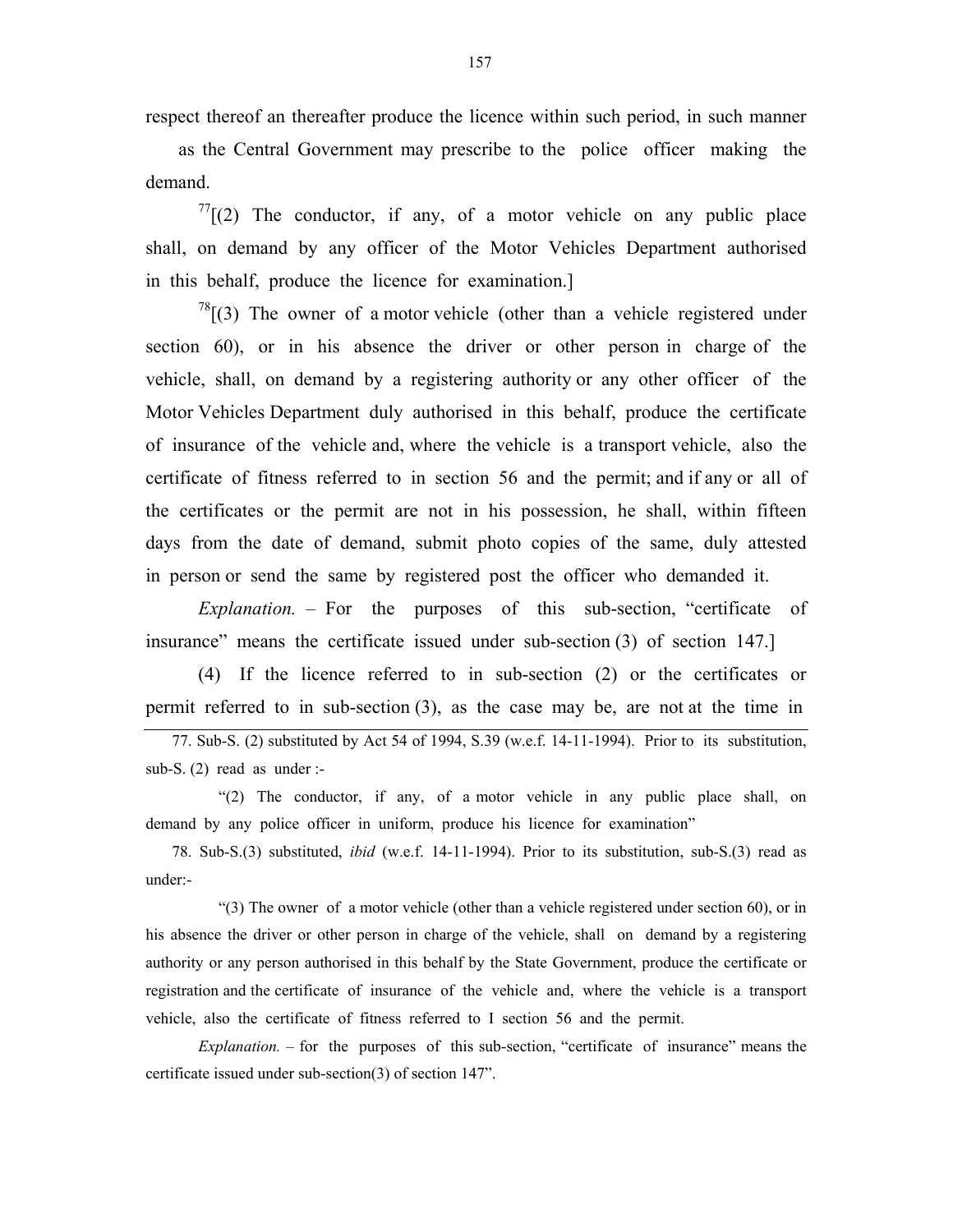respect thereof an thereafter produce the licence within such period, in such manner

as the Central Government may prescribe to the police officer making the demand.

 $77$ [(2) The conductor, if any, of a motor vehicle on any public place shall, on demand by any officer of the Motor Vehicles Department authorised in this behalf, produce the licence for examination.]

 $\binom{8}{3}$  The owner of a motor vehicle (other than a vehicle registered under section 60), or in his absence the driver or other person in charge of the vehicle, shall, on demand by a registering authority or any other officer of the Motor Vehicles Department duly authorised in this behalf, produce the certificate of insurance of the vehicle and, where the vehicle is a transport vehicle, also the certificate of fitness referred to in section 56 and the permit; and if any or all of the certificates or the permit are not in his possession, he shall, within fifteen days from the date of demand, submit photo copies of the same, duly attested in person or send the same by registered post the officer who demanded it.

*Explanation. –* For the purposes of this sub-section, "certificate of insurance" means the certificate issued under sub-section (3) of section 147.]

 (4) If the licence referred to in sub-section (2) or the certificates or permit referred to in sub-section (3), as the case may be, are not at the time in

77. Sub-S. (2) substituted by Act 54 of 1994, S.39 (w.e.f. 14-11-1994). Prior to its substitution, sub-S. (2) read as under :-

 "(2) The conductor, if any, of a motor vehicle in any public place shall, on demand by any police officer in uniform, produce his licence for examination"

78. Sub-S.(3) substituted, *ibid* (w.e.f. 14-11-1994). Prior to its substitution, sub-S.(3) read as under:-

 "(3) The owner of a motor vehicle (other than a vehicle registered under section 60), or in his absence the driver or other person in charge of the vehicle, shall on demand by a registering authority or any person authorised in this behalf by the State Government, produce the certificate or registration and the certificate of insurance of the vehicle and, where the vehicle is a transport vehicle, also the certificate of fitness referred to I section 56 and the permit.

*Explanation.* – for the purposes of this sub-section, "certificate of insurance" means the certificate issued under sub-section(3) of section 147".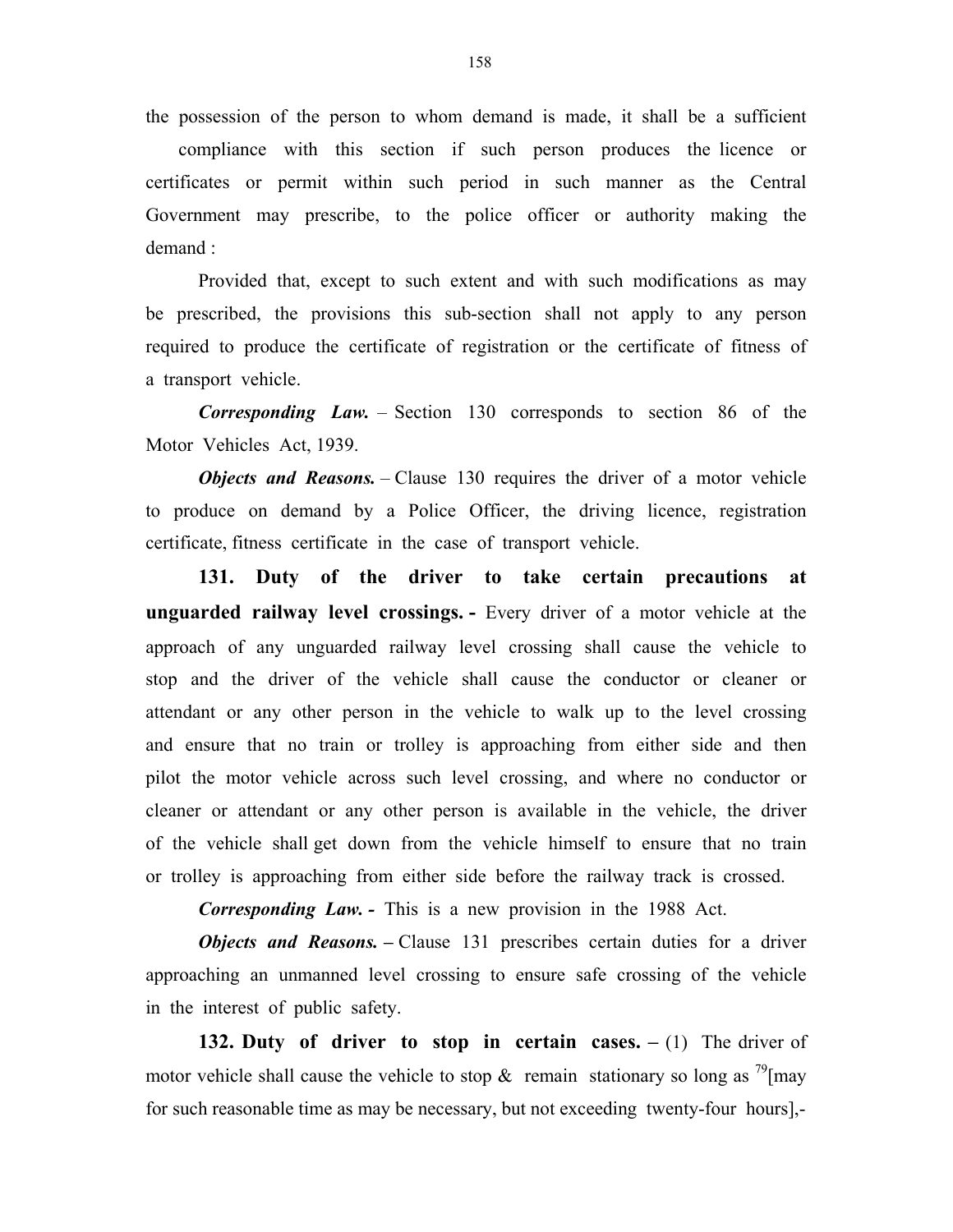the possession of the person to whom demand is made, it shall be a sufficient

compliance with this section if such person produces the licence or certificates or permit within such period in such manner as the Central Government may prescribe, to the police officer or authority making the demand :

 Provided that, except to such extent and with such modifications as may be prescribed, the provisions this sub-section shall not apply to any person required to produce the certificate of registration or the certificate of fitness of a transport vehicle.

 *Corresponding Law.* – Section 130 corresponds to section 86 of the Motor Vehicles Act, 1939.

*Objects and Reasons.* – Clause 130 requires the driver of a motor vehicle to produce on demand by a Police Officer, the driving licence, registration certificate, fitness certificate in the case of transport vehicle.

**131. Duty of the driver to take certain precautions at unguarded railway level crossings. -** Every driver of a motor vehicle at the approach of any unguarded railway level crossing shall cause the vehicle to stop and the driver of the vehicle shall cause the conductor or cleaner or attendant or any other person in the vehicle to walk up to the level crossing and ensure that no train or trolley is approaching from either side and then pilot the motor vehicle across such level crossing, and where no conductor or cleaner or attendant or any other person is available in the vehicle, the driver of the vehicle shall get down from the vehicle himself to ensure that no train or trolley is approaching from either side before the railway track is crossed.

*Corresponding Law. -* This is a new provision in the 1988 Act.

*Objects and Reasons.* – Clause 131 prescribes certain duties for a driver approaching an unmanned level crossing to ensure safe crossing of the vehicle in the interest of public safety.

**132. Duty of driver to stop in certain cases.**  $- (1)$  The driver of motor vehicle shall cause the vehicle to stop  $\&$  remain stationary so long as <sup>79</sup>[may for such reasonable time as may be necessary, but not exceeding twenty-four hours],-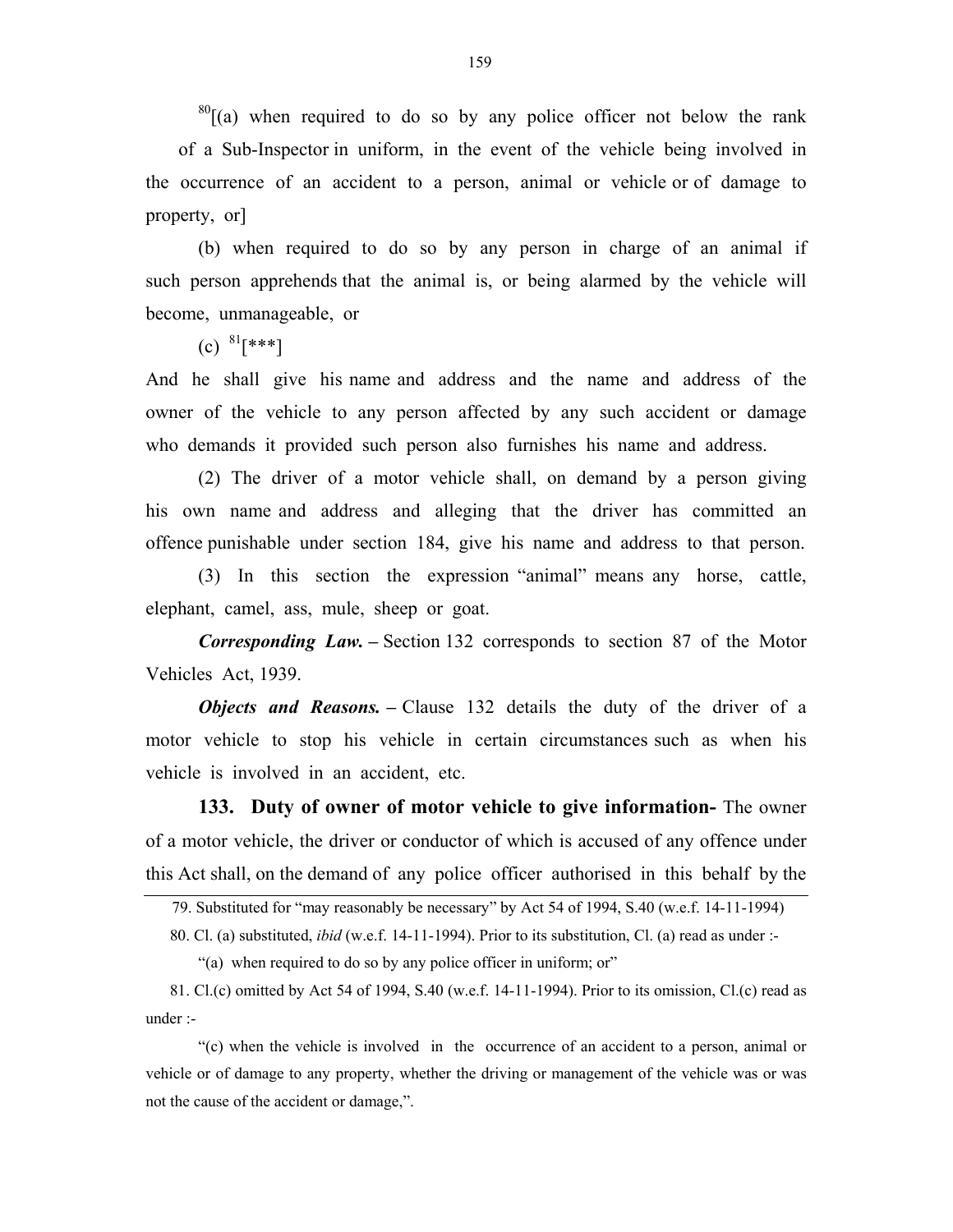$\frac{80}{9}$ [(a) when required to do so by any police officer not below the rank of a Sub-Inspector in uniform, in the event of the vehicle being involved in the occurrence of an accident to a person, animal or vehicle or of damage to property, or]

 (b) when required to do so by any person in charge of an animal if such person apprehends that the animal is, or being alarmed by the vehicle will become, unmanageable, or

(c)  $81$ [\*\*\*]

And he shall give his name and address and the name and address of the owner of the vehicle to any person affected by any such accident or damage who demands it provided such person also furnishes his name and address.

 (2) The driver of a motor vehicle shall, on demand by a person giving his own name and address and alleging that the driver has committed an offence punishable under section 184, give his name and address to that person.

 (3) In this section the expression "animal" means any horse, cattle, elephant, camel, ass, mule, sheep or goat.

*Corresponding Law. –* Section 132 corresponds to section 87 of the Motor Vehicles Act, 1939.

*Objects and Reasons.* – Clause 132 details the duty of the driver of a motor vehicle to stop his vehicle in certain circumstances such as when his vehicle is involved in an accident, etc.

**133. Duty of owner of motor vehicle to give information-** The owner of a motor vehicle, the driver or conductor of which is accused of any offence under this Act shall, on the demand of any police officer authorised in this behalf by the

"(a) when required to do so by any police officer in uniform; or"

 81. Cl.(c) omitted by Act 54 of 1994, S.40 (w.e.f. 14-11-1994). Prior to its omission, Cl.(c) read as under :-

 "(c) when the vehicle is involved in the occurrence of an accident to a person, animal or vehicle or of damage to any property, whether the driving or management of the vehicle was or was not the cause of the accident or damage,".

<sup>79.</sup> Substituted for "may reasonably be necessary" by Act 54 of 1994, S.40 (w.e.f. 14-11-1994)

 <sup>80.</sup> Cl. (a) substituted, *ibid* (w.e.f. 14-11-1994). Prior to its substitution, Cl. (a) read as under :-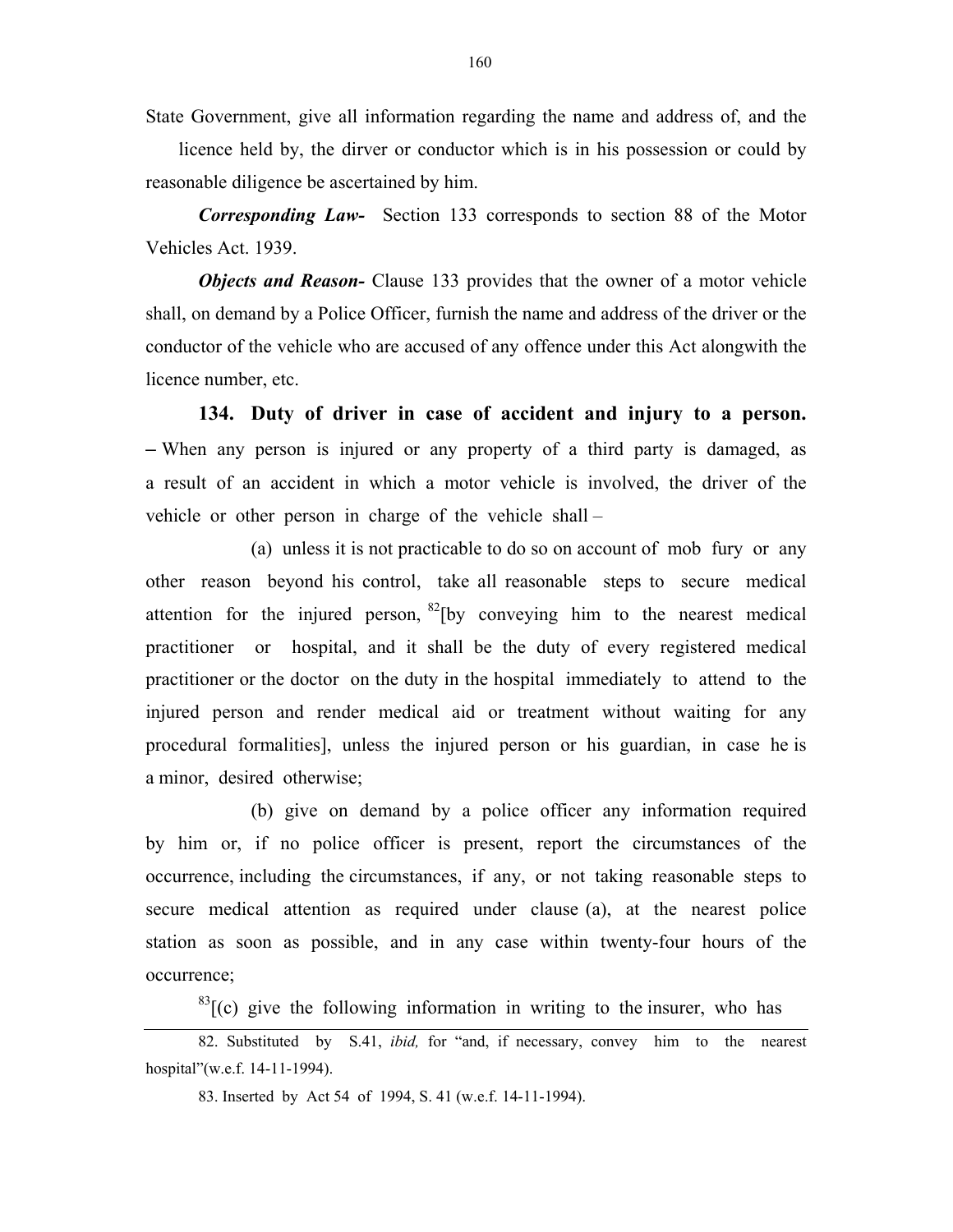State Government, give all information regarding the name and address of, and the

licence held by, the dirver or conductor which is in his possession or could by reasonable diligence be ascertained by him.

*Corresponding Law-* Section 133 corresponds to section 88 of the Motor Vehicles Act. 1939.

*Objects and Reason-* Clause 133 provides that the owner of a motor vehicle shall, on demand by a Police Officer, furnish the name and address of the driver or the conductor of the vehicle who are accused of any offence under this Act alongwith the licence number, etc.

**134. Duty of driver in case of accident and injury to a person. –** When any person is injured or any property of a third party is damaged, as a result of an accident in which a motor vehicle is involved, the driver of the vehicle or other person in charge of the vehicle shall –

(a) unless it is not practicable to do so on account of mob fury or any other reason beyond his control, take all reasonable steps to secure medical attention for the injured person,  ${}^{82}$ [by conveying him to the nearest medical practitioner or hospital, and it shall be the duty of every registered medical practitioner or the doctor on the duty in the hospital immediately to attend to the injured person and render medical aid or treatment without waiting for any procedural formalities], unless the injured person or his guardian, in case he is a minor, desired otherwise;

(b) give on demand by a police officer any information required by him or, if no police officer is present, report the circumstances of the occurrence, including the circumstances, if any, or not taking reasonable steps to secure medical attention as required under clause (a), at the nearest police station as soon as possible, and in any case within twenty-four hours of the occurrence;

 $^{83}$ [(c) give the following information in writing to the insurer, who has

82. Substituted by S.41, *ibid,* for "and, if necessary, convey him to the nearest hospital"(w.e.f. 14-11-1994).

83. Inserted by Act 54 of 1994, S. 41 (w.e.f. 14-11-1994).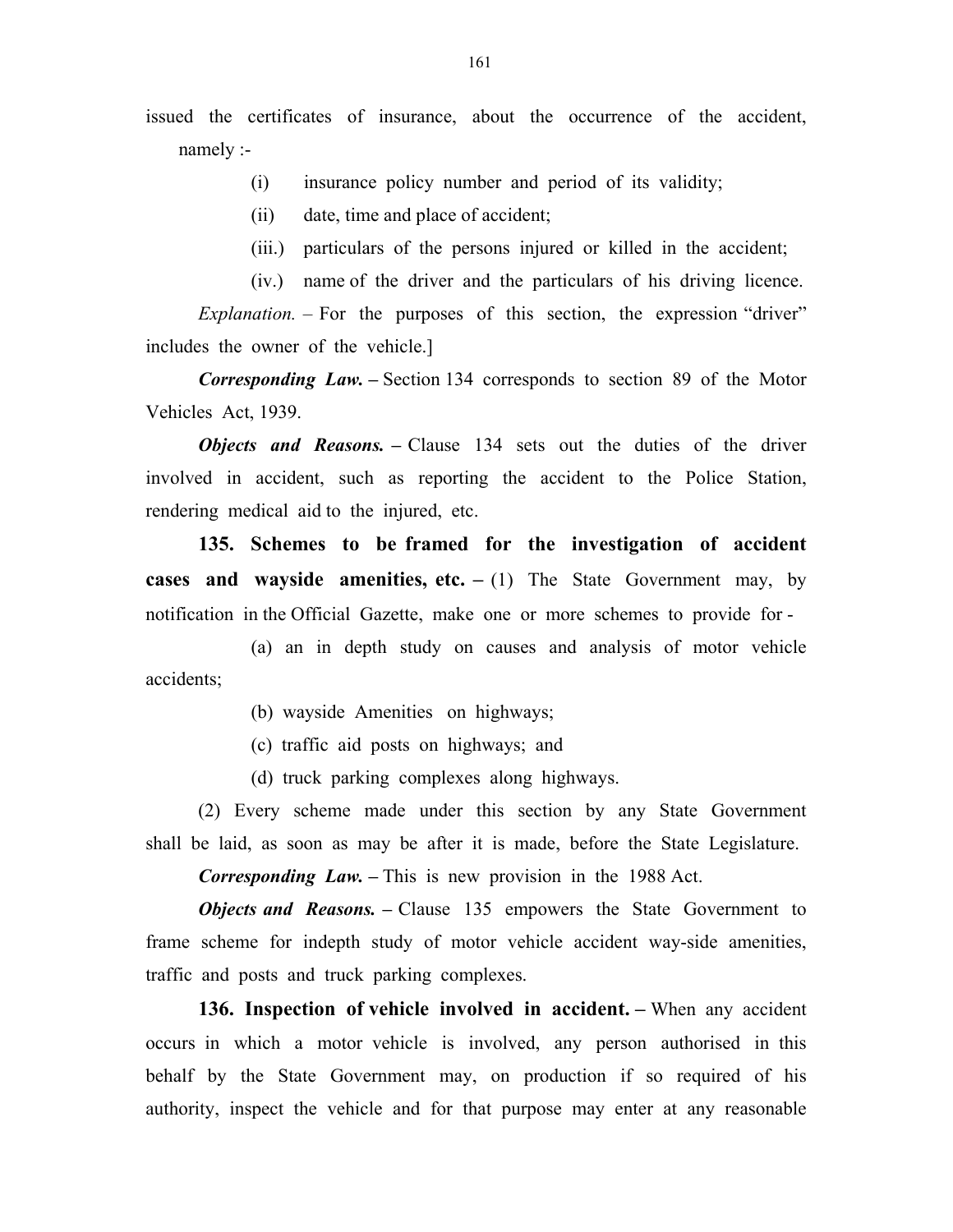issued the certificates of insurance, about the occurrence of the accident, namely :-

- (i) insurance policy number and period of its validity;
- (ii) date, time and place of accident;
- (iii.) particulars of the persons injured or killed in the accident;
- (iv.) name of the driver and the particulars of his driving licence.

*Explanation.* – For the purposes of this section, the expression "driver" includes the owner of the vehicle.]

*Corresponding Law. –* Section 134 corresponds to section 89 of the Motor Vehicles Act, 1939.

*Objects and Reasons.* – Clause 134 sets out the duties of the driver involved in accident, such as reporting the accident to the Police Station, rendering medical aid to the injured, etc.

**135. Schemes to be framed for the investigation of accident cases and wayside amenities, etc.**  $- (1)$  The State Government may, by notification in the Official Gazette, make one or more schemes to provide for -

 (a) an in depth study on causes and analysis of motor vehicle accidents;

- (b) wayside Amenities on highways;
- (c) traffic aid posts on highways; and
- (d) truck parking complexes along highways.

 (2) Every scheme made under this section by any State Government shall be laid, as soon as may be after it is made, before the State Legislature.

*Corresponding Law. –* This is new provision in the 1988 Act.

*Objects and Reasons.* – Clause 135 empowers the State Government to frame scheme for indepth study of motor vehicle accident way-side amenities, traffic and posts and truck parking complexes.

**136. Inspection of vehicle involved in accident. –** When any accident occurs in which a motor vehicle is involved, any person authorised in this behalf by the State Government may, on production if so required of his authority, inspect the vehicle and for that purpose may enter at any reasonable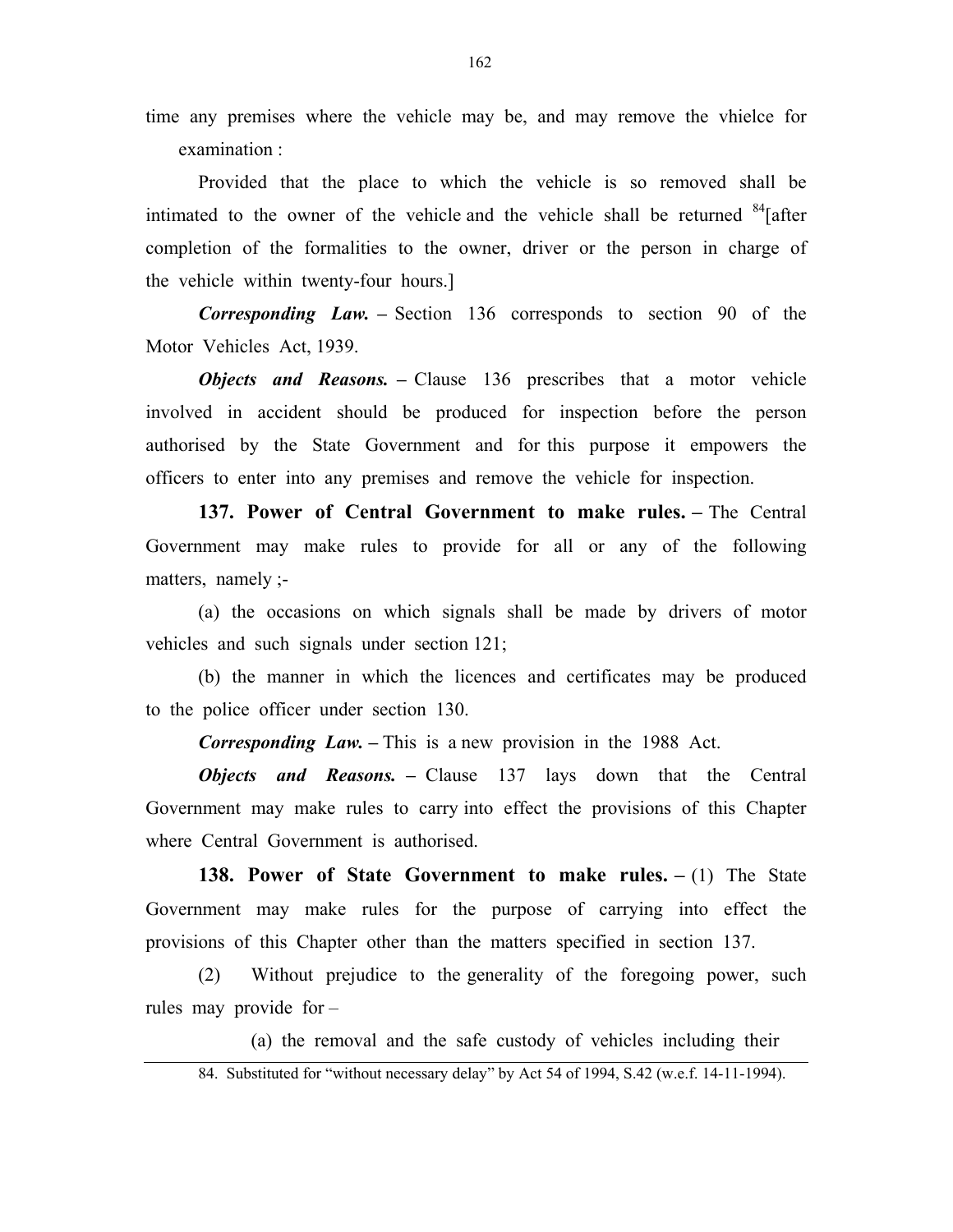time any premises where the vehicle may be, and may remove the vhielce for examination :

 Provided that the place to which the vehicle is so removed shall be intimated to the owner of the vehicle and the vehicle shall be returned  $84$ [after completion of the formalities to the owner, driver or the person in charge of the vehicle within twenty-four hours.]

*Corresponding Law. –* Section 136 corresponds to section 90 of the Motor Vehicles Act, 1939.

*Objects and Reasons.* – Clause 136 prescribes that a motor vehicle involved in accident should be produced for inspection before the person authorised by the State Government and for this purpose it empowers the officers to enter into any premises and remove the vehicle for inspection.

**137. Power of Central Government to make rules.** – The Central Government may make rules to provide for all or any of the following matters, namely ;-

(a) the occasions on which signals shall be made by drivers of motor vehicles and such signals under section 121;

(b) the manner in which the licences and certificates may be produced to the police officer under section 130.

*Corresponding Law. –* This is a new provision in the 1988 Act.

*Objects and Reasons.* – Clause 137 lays down that the Central Government may make rules to carry into effect the provisions of this Chapter where Central Government is authorised.

**138. Power of State Government to make rules.**  $- (1)$  The State Government may make rules for the purpose of carrying into effect the provisions of this Chapter other than the matters specified in section 137.

(2) Without prejudice to the generality of the foregoing power, such rules may provide for –

(a) the removal and the safe custody of vehicles including their

84. Substituted for "without necessary delay" by Act 54 of 1994, S.42 (w.e.f. 14-11-1994).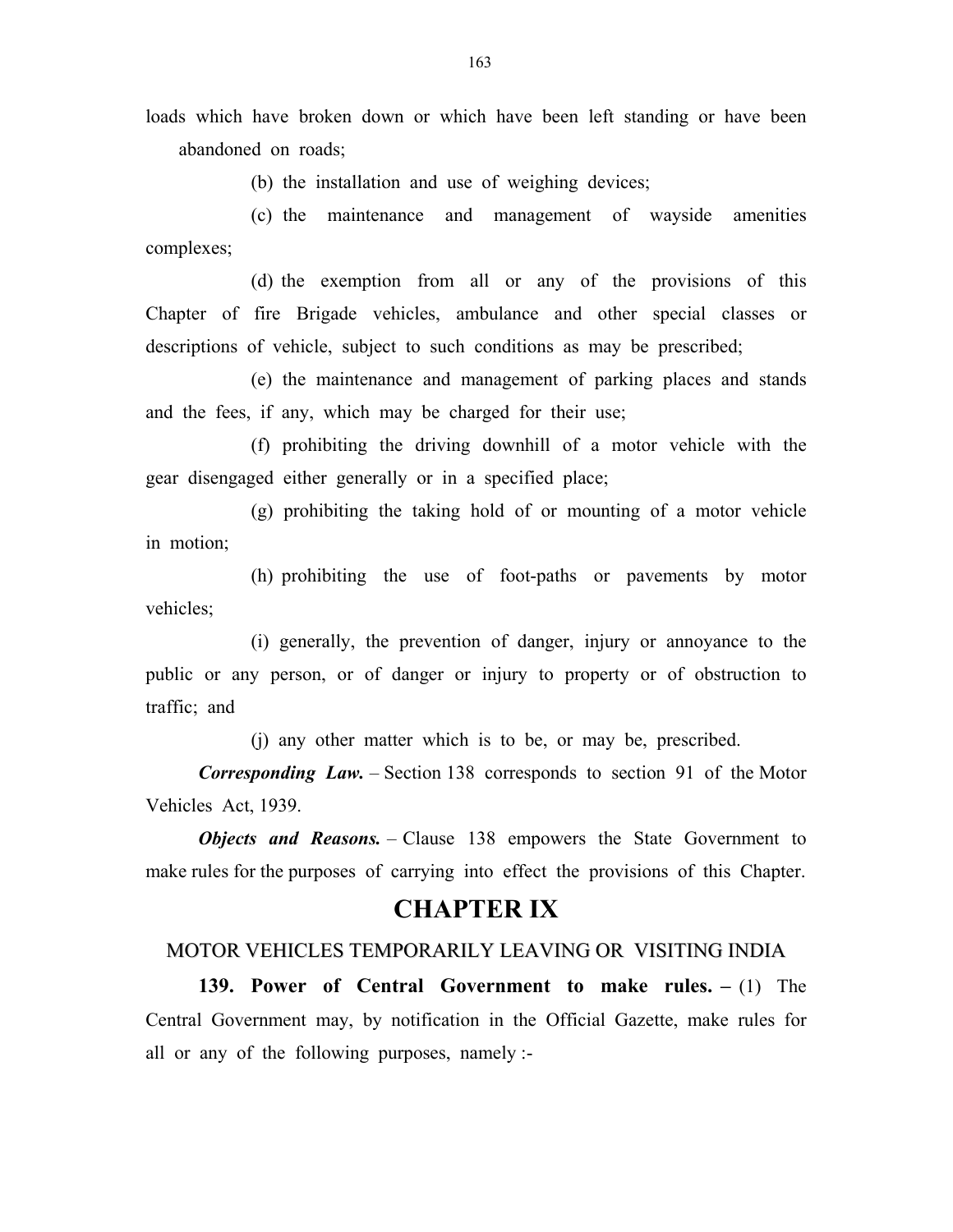loads which have broken down or which have been left standing or have been abandoned on roads;

(b) the installation and use of weighing devices;

 (c) the maintenance and management of wayside amenities complexes;

 (d) the exemption from all or any of the provisions of this Chapter of fire Brigade vehicles, ambulance and other special classes or descriptions of vehicle, subject to such conditions as may be prescribed;

 (e) the maintenance and management of parking places and stands and the fees, if any, which may be charged for their use;

 (f) prohibiting the driving downhill of a motor vehicle with the gear disengaged either generally or in a specified place;

 (g) prohibiting the taking hold of or mounting of a motor vehicle in motion;

 (h) prohibiting the use of foot-paths or pavements by motor vehicles;

 (i) generally, the prevention of danger, injury or annoyance to the public or any person, or of danger or injury to property or of obstruction to traffic; and

(j) any other matter which is to be, or may be, prescribed.

*Corresponding Law.* – Section 138 corresponds to section 91 of the Motor Vehicles Act, 1939.

*Objects and Reasons.* – Clause 138 empowers the State Government to make rules for the purposes of carrying into effect the provisions of this Chapter.

## **CHAPTER IX**

#### MOTOR VEHICLES TEMPORARILY LEAVING OR VISITING INDIA

**139. Power of Central Government to make rules.**  $- (1)$  The Central Government may, by notification in the Official Gazette, make rules for all or any of the following purposes, namely :-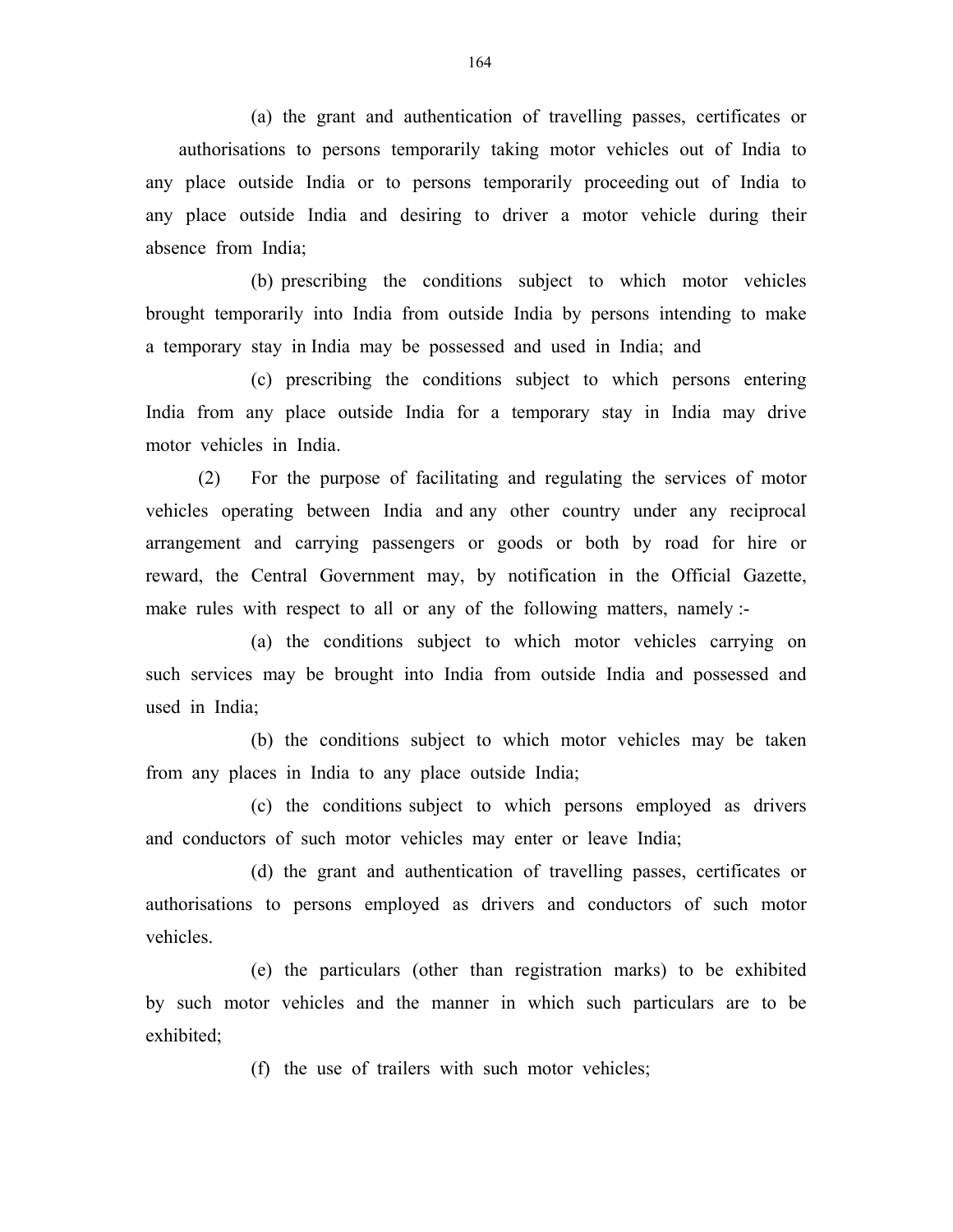(a) the grant and authentication of travelling passes, certificates or authorisations to persons temporarily taking motor vehicles out of India to any place outside India or to persons temporarily proceeding out of India to any place outside India and desiring to driver a motor vehicle during their absence from India;

 (b) prescribing the conditions subject to which motor vehicles brought temporarily into India from outside India by persons intending to make a temporary stay in India may be possessed and used in India; and

 (c) prescribing the conditions subject to which persons entering India from any place outside India for a temporary stay in India may drive motor vehicles in India.

(2) For the purpose of facilitating and regulating the services of motor vehicles operating between India and any other country under any reciprocal arrangement and carrying passengers or goods or both by road for hire or reward, the Central Government may, by notification in the Official Gazette, make rules with respect to all or any of the following matters, namely :-

 (a) the conditions subject to which motor vehicles carrying on such services may be brought into India from outside India and possessed and used in India;

 (b) the conditions subject to which motor vehicles may be taken from any places in India to any place outside India;

 (c) the conditions subject to which persons employed as drivers and conductors of such motor vehicles may enter or leave India;

 (d) the grant and authentication of travelling passes, certificates or authorisations to persons employed as drivers and conductors of such motor vehicles.

 (e) the particulars (other than registration marks) to be exhibited by such motor vehicles and the manner in which such particulars are to be exhibited;

(f) the use of trailers with such motor vehicles;

164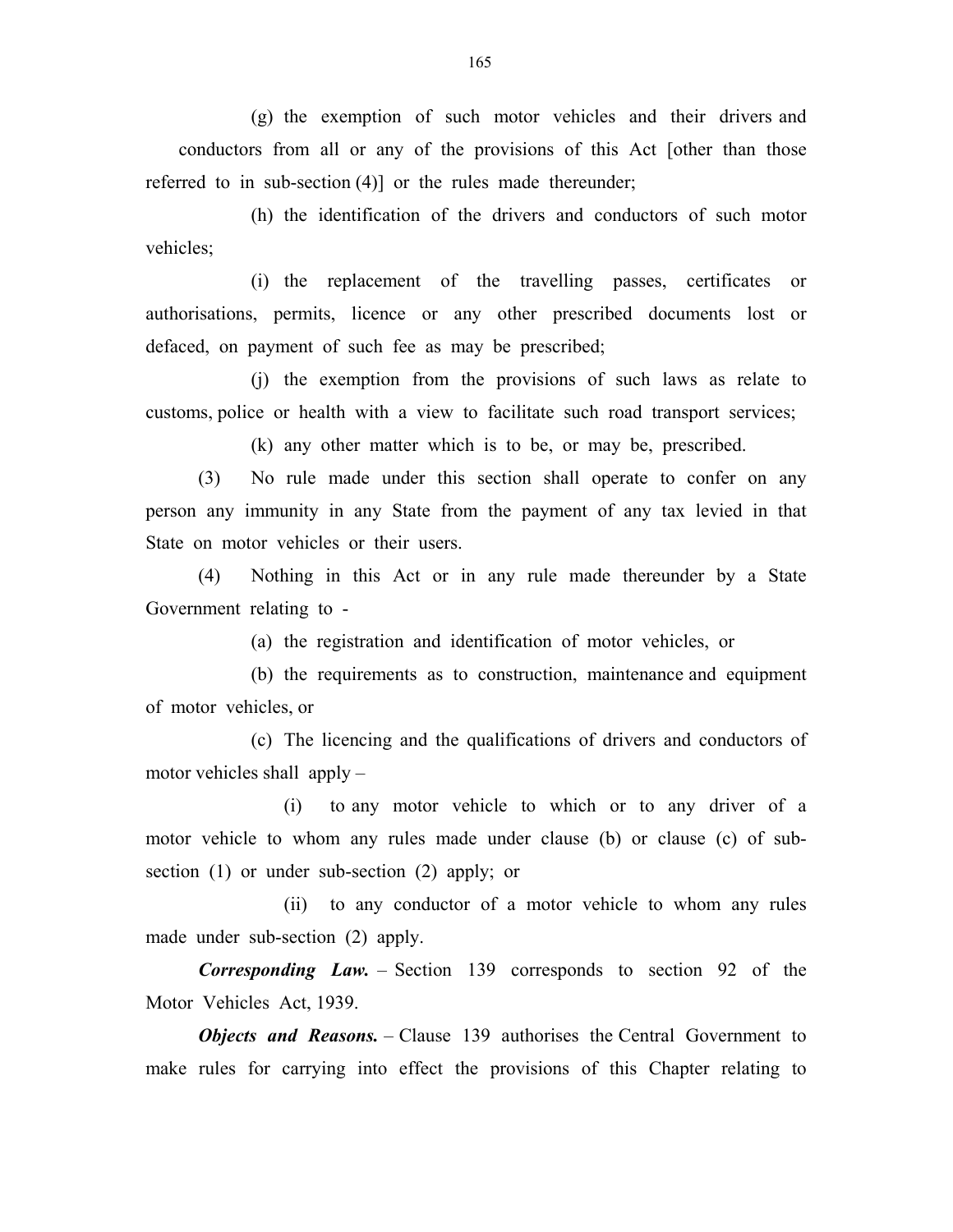(g) the exemption of such motor vehicles and their drivers and conductors from all or any of the provisions of this Act [other than those referred to in sub-section (4)] or the rules made thereunder;

(h) the identification of the drivers and conductors of such motor vehicles;

(i) the replacement of the travelling passes, certificates or authorisations, permits, licence or any other prescribed documents lost or defaced, on payment of such fee as may be prescribed;

(j) the exemption from the provisions of such laws as relate to customs, police or health with a view to facilitate such road transport services;

(k) any other matter which is to be, or may be, prescribed.

(3) No rule made under this section shall operate to confer on any person any immunity in any State from the payment of any tax levied in that State on motor vehicles or their users.

(4) Nothing in this Act or in any rule made thereunder by a State Government relating to -

(a) the registration and identification of motor vehicles, or

(b) the requirements as to construction, maintenance and equipment of motor vehicles, or

(c) The licencing and the qualifications of drivers and conductors of motor vehicles shall apply –

 (i) to any motor vehicle to which or to any driver of a motor vehicle to whom any rules made under clause (b) or clause (c) of subsection (1) or under sub-section (2) apply; or

 (ii) to any conductor of a motor vehicle to whom any rules made under sub-section (2) apply.

*Corresponding Law.* – Section 139 corresponds to section 92 of the Motor Vehicles Act, 1939.

*Objects and Reasons.* – Clause 139 authorises the Central Government to make rules for carrying into effect the provisions of this Chapter relating to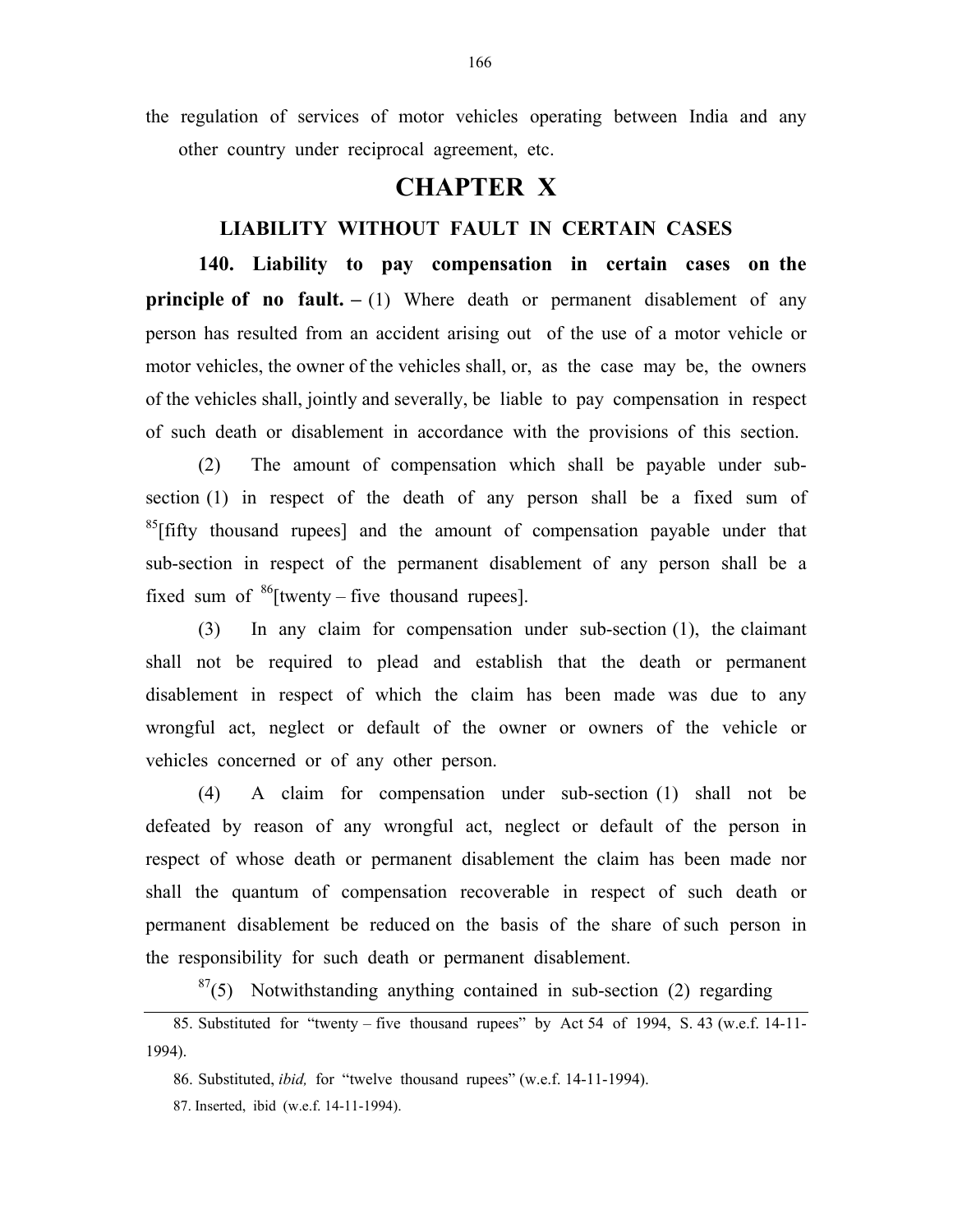the regulation of services of motor vehicles operating between India and any other country under reciprocal agreement, etc.

## **CHAPTER X**

### **LIABILITY WITHOUT FAULT IN CERTAIN CASES**

**140. Liability to pay compensation in certain cases on the principle of no fault.**  $- (1)$  Where death or permanent disablement of any person has resulted from an accident arising out of the use of a motor vehicle or motor vehicles, the owner of the vehicles shall, or, as the case may be, the owners of the vehicles shall, jointly and severally, be liable to pay compensation in respect of such death or disablement in accordance with the provisions of this section.

 (2) The amount of compensation which shall be payable under subsection (1) in respect of the death of any person shall be a fixed sum of <sup>85</sup>[fifty thousand rupees] and the amount of compensation payable under that sub-section in respect of the permanent disablement of any person shall be a fixed sum of  $^{86}$ [twenty – five thousand rupees].

 (3) In any claim for compensation under sub-section (1), the claimant shall not be required to plead and establish that the death or permanent disablement in respect of which the claim has been made was due to any wrongful act, neglect or default of the owner or owners of the vehicle or vehicles concerned or of any other person.

 (4) A claim for compensation under sub-section (1) shall not be defeated by reason of any wrongful act, neglect or default of the person in respect of whose death or permanent disablement the claim has been made nor shall the quantum of compensation recoverable in respect of such death or permanent disablement be reduced on the basis of the share of such person in the responsibility for such death or permanent disablement.

 $87(5)$  Notwithstanding anything contained in sub-section (2) regarding

<sup>85.</sup> Substituted for "twenty – five thousand rupees" by Act 54 of 1994, S. 43 (w.e.f. 14-11- 1994).

<sup>86.</sup> Substituted, *ibid,* for "twelve thousand rupees" (w.e.f. 14-11-1994).

<sup>87.</sup> Inserted, ibid (w.e.f. 14-11-1994).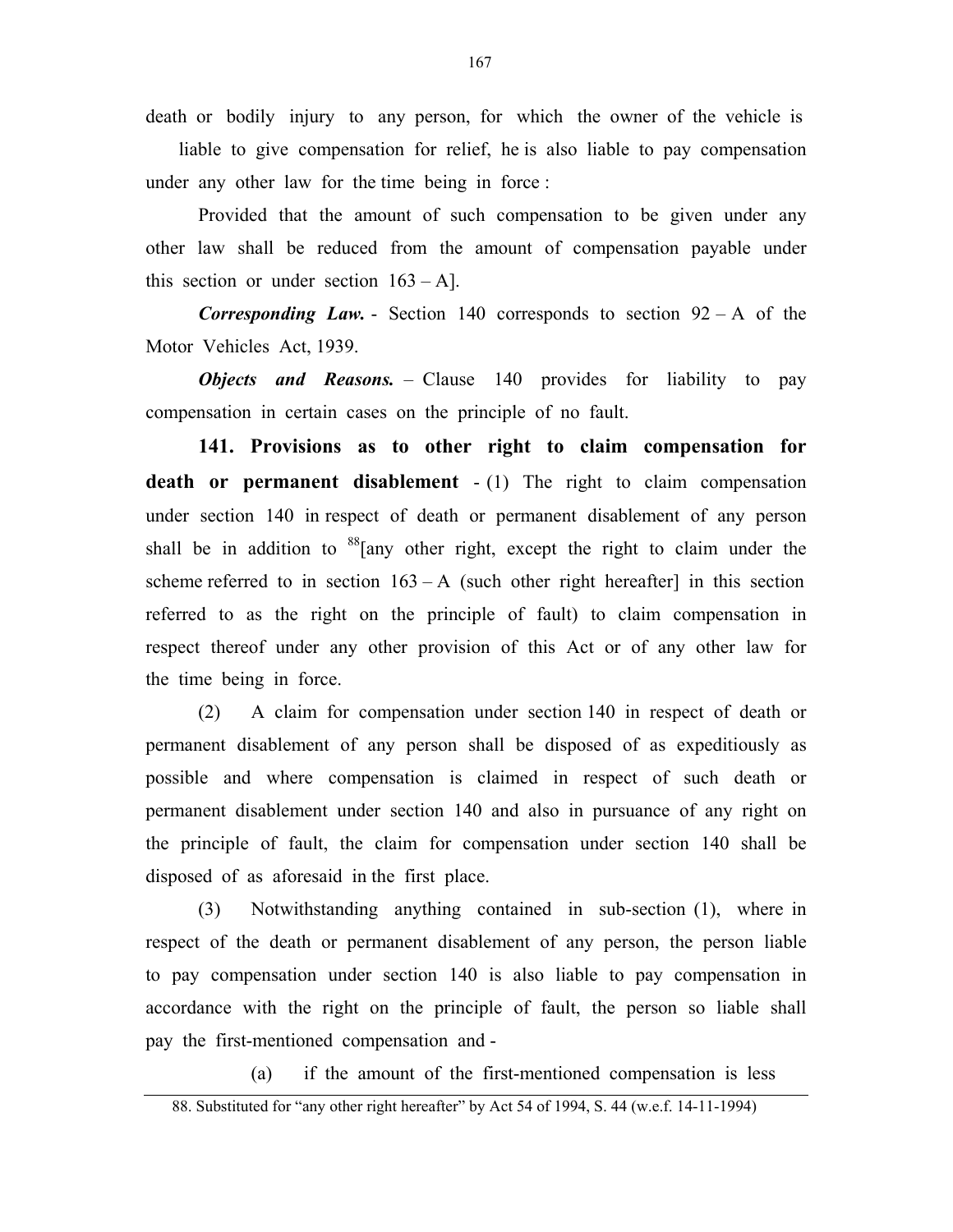death or bodily injury to any person, for which the owner of the vehicle is

liable to give compensation for relief, he is also liable to pay compensation under any other law for the time being in force :

 Provided that the amount of such compensation to be given under any other law shall be reduced from the amount of compensation payable under this section or under section  $163 - A$ ].

*Corresponding Law.* - Section 140 corresponds to section  $92 - A$  of the Motor Vehicles Act, 1939.

*Objects and Reasons.* – Clause 140 provides for liability to pay compensation in certain cases on the principle of no fault.

**141. Provisions as to other right to claim compensation for death or permanent disablement** - (1) The right to claim compensation under section 140 in respect of death or permanent disablement of any person shall be in addition to  $^{88}$ [any other right, except the right to claim under the scheme referred to in section  $163 - A$  (such other right hereafter) in this section referred to as the right on the principle of fault) to claim compensation in respect thereof under any other provision of this Act or of any other law for the time being in force.

 (2) A claim for compensation under section 140 in respect of death or permanent disablement of any person shall be disposed of as expeditiously as possible and where compensation is claimed in respect of such death or permanent disablement under section 140 and also in pursuance of any right on the principle of fault, the claim for compensation under section 140 shall be disposed of as aforesaid in the first place.

 (3) Notwithstanding anything contained in sub-section (1), where in respect of the death or permanent disablement of any person, the person liable to pay compensation under section 140 is also liable to pay compensation in accordance with the right on the principle of fault, the person so liable shall pay the first-mentioned compensation and -

(a) if the amount of the first-mentioned compensation is less

<sup>88.</sup> Substituted for "any other right hereafter" by Act 54 of 1994, S. 44 (w.e.f. 14-11-1994)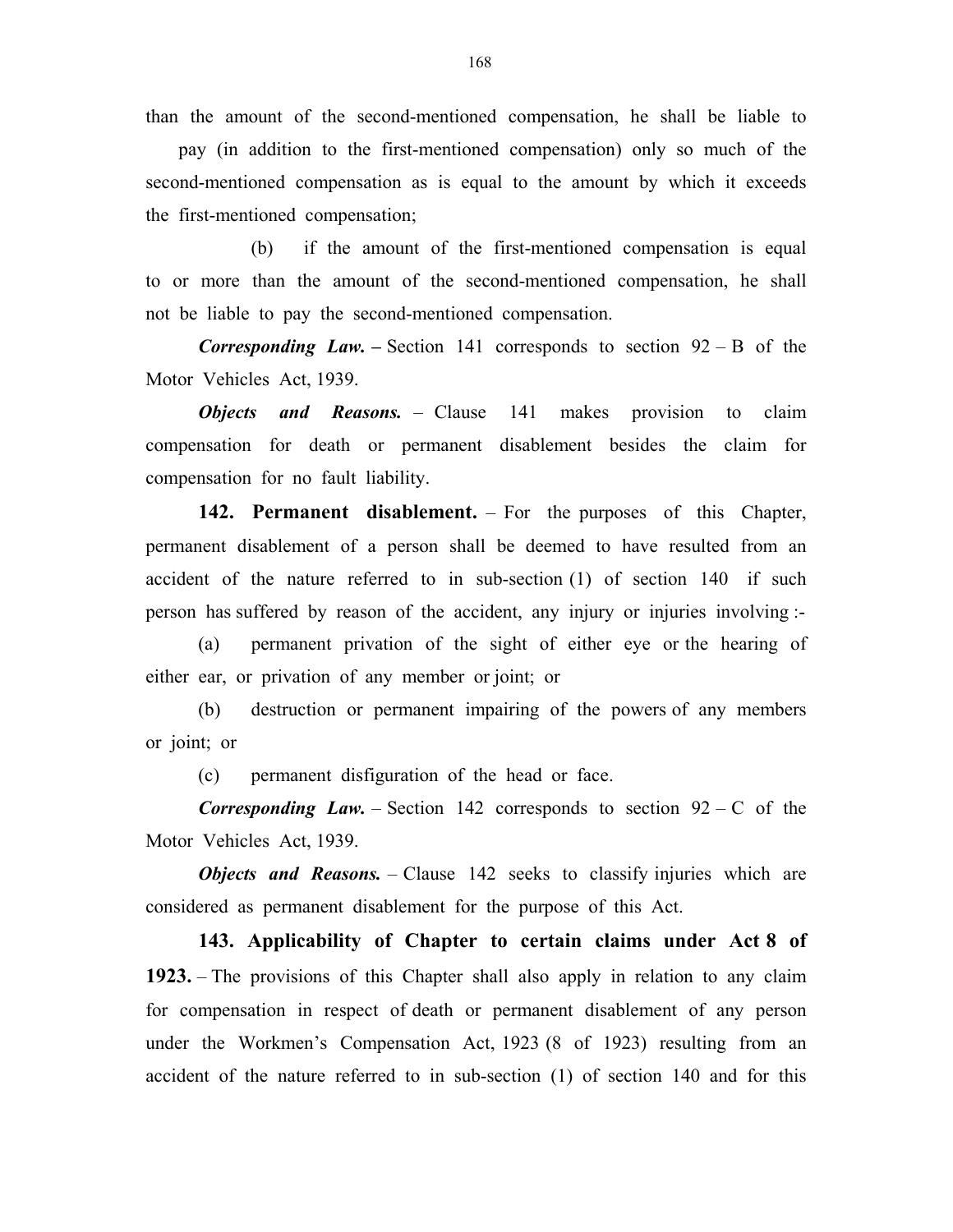than the amount of the second-mentioned compensation, he shall be liable to

pay (in addition to the first-mentioned compensation) only so much of the second-mentioned compensation as is equal to the amount by which it exceeds the first-mentioned compensation;

 (b) if the amount of the first-mentioned compensation is equal to or more than the amount of the second-mentioned compensation, he shall not be liable to pay the second-mentioned compensation.

*Corresponding Law.* – Section 141 corresponds to section  $92 - B$  of the Motor Vehicles Act, 1939.

*Objects and Reasons.* – Clause 141 makes provision to claim compensation for death or permanent disablement besides the claim for compensation for no fault liability.

**142. Permanent disablement.** – For the purposes of this Chapter, permanent disablement of a person shall be deemed to have resulted from an accident of the nature referred to in sub-section (1) of section 140 if such person has suffered by reason of the accident, any injury or injuries involving :-

(a) permanent privation of the sight of either eye or the hearing of either ear, or privation of any member or joint; or

(b) destruction or permanent impairing of the powers of any members or joint; or

(c) permanent disfiguration of the head or face.

*Corresponding Law.* – Section 142 corresponds to section  $92 - C$  of the Motor Vehicles Act, 1939.

*Objects and Reasons.* – Clause 142 seeks to classify injuries which are considered as permanent disablement for the purpose of this Act.

**143. Applicability of Chapter to certain claims under Act 8 of 1923.** – The provisions of this Chapter shall also apply in relation to any claim for compensation in respect of death or permanent disablement of any person under the Workmen's Compensation Act, 1923 (8 of 1923) resulting from an accident of the nature referred to in sub-section (1) of section 140 and for this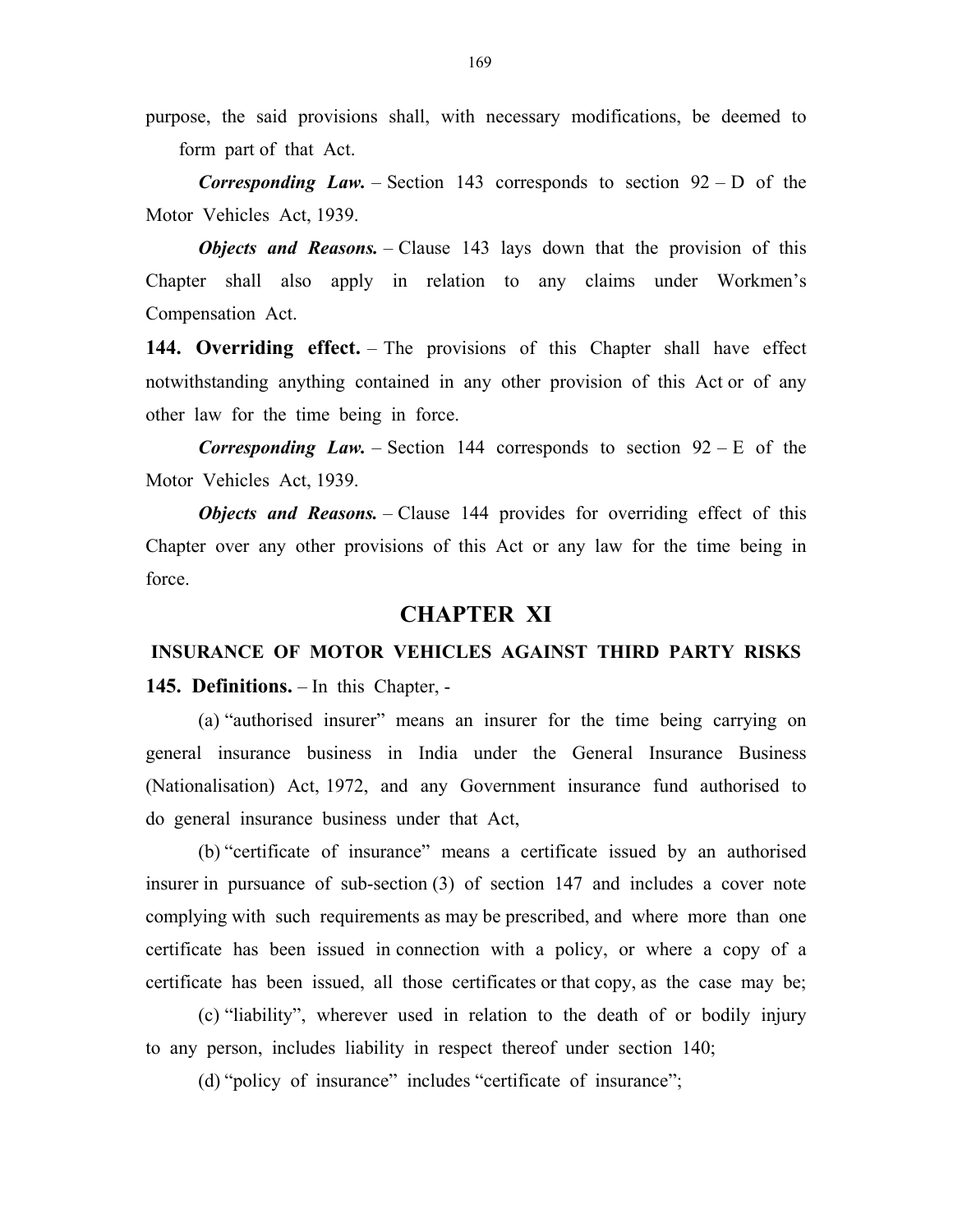purpose, the said provisions shall, with necessary modifications, be deemed to form part of that Act.

*Corresponding Law.* – Section 143 corresponds to section  $92 - D$  of the Motor Vehicles Act, 1939.

*Objects and Reasons.* – Clause 143 lays down that the provision of this Chapter shall also apply in relation to any claims under Workmen's Compensation Act.

**144. Overriding effect.** – The provisions of this Chapter shall have effect notwithstanding anything contained in any other provision of this Act or of any other law for the time being in force.

*Corresponding Law.* – Section 144 corresponds to section  $92 - E$  of the Motor Vehicles Act, 1939.

*Objects and Reasons.* – Clause 144 provides for overriding effect of this Chapter over any other provisions of this Act or any law for the time being in force.

### **CHAPTER XI**

# **INSURANCE OF MOTOR VEHICLES AGAINST THIRD PARTY RISKS 145. Definitions.** – In this Chapter, -

(a) "authorised insurer" means an insurer for the time being carrying on general insurance business in India under the General Insurance Business (Nationalisation) Act, 1972, and any Government insurance fund authorised to do general insurance business under that Act,

(b) "certificate of insurance" means a certificate issued by an authorised insurer in pursuance of sub-section (3) of section 147 and includes a cover note complying with such requirements as may be prescribed, and where more than one certificate has been issued in connection with a policy, or where a copy of a certificate has been issued, all those certificates or that copy, as the case may be;

(c) "liability", wherever used in relation to the death of or bodily injury to any person, includes liability in respect thereof under section 140;

(d) "policy of insurance" includes "certificate of insurance";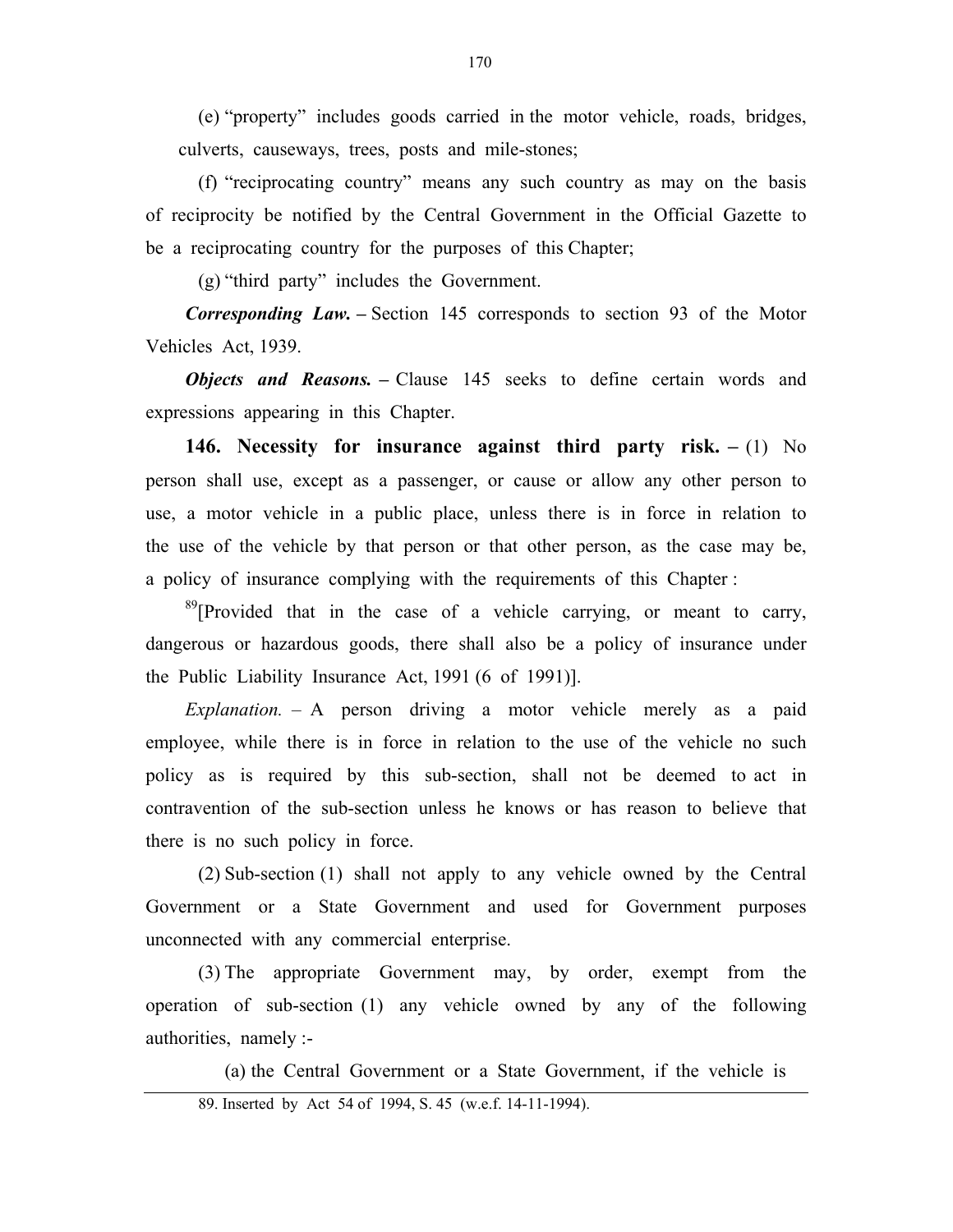(e) "property" includes goods carried in the motor vehicle, roads, bridges, culverts, causeways, trees, posts and mile-stones;

(f) "reciprocating country" means any such country as may on the basis of reciprocity be notified by the Central Government in the Official Gazette to be a reciprocating country for the purposes of this Chapter;

(g) "third party" includes the Government.

*Corresponding Law.* **–** Section 145 corresponds to section 93 of the Motor Vehicles Act, 1939.

*Objects and Reasons.* – Clause 145 seeks to define certain words and expressions appearing in this Chapter.

**146. Necessity for insurance against third party risk. –** (1) No person shall use, except as a passenger, or cause or allow any other person to use, a motor vehicle in a public place, unless there is in force in relation to the use of the vehicle by that person or that other person, as the case may be, a policy of insurance complying with the requirements of this Chapter :

 $8^9$ [Provided that in the case of a vehicle carrying, or meant to carry, dangerous or hazardous goods, there shall also be a policy of insurance under the Public Liability Insurance Act, 1991 (6 of 1991)].

*Explanation. –* A person driving a motor vehicle merely as a paid employee, while there is in force in relation to the use of the vehicle no such policy as is required by this sub-section, shall not be deemed to act in contravention of the sub-section unless he knows or has reason to believe that there is no such policy in force.

(2) Sub-section (1) shall not apply to any vehicle owned by the Central Government or a State Government and used for Government purposes unconnected with any commercial enterprise.

(3) The appropriate Government may, by order, exempt from the operation of sub-section (1) any vehicle owned by any of the following authorities, namely :-

(a) the Central Government or a State Government, if the vehicle is

 <sup>89.</sup> Inserted by Act 54 of 1994, S. 45 (w.e.f. 14-11-1994).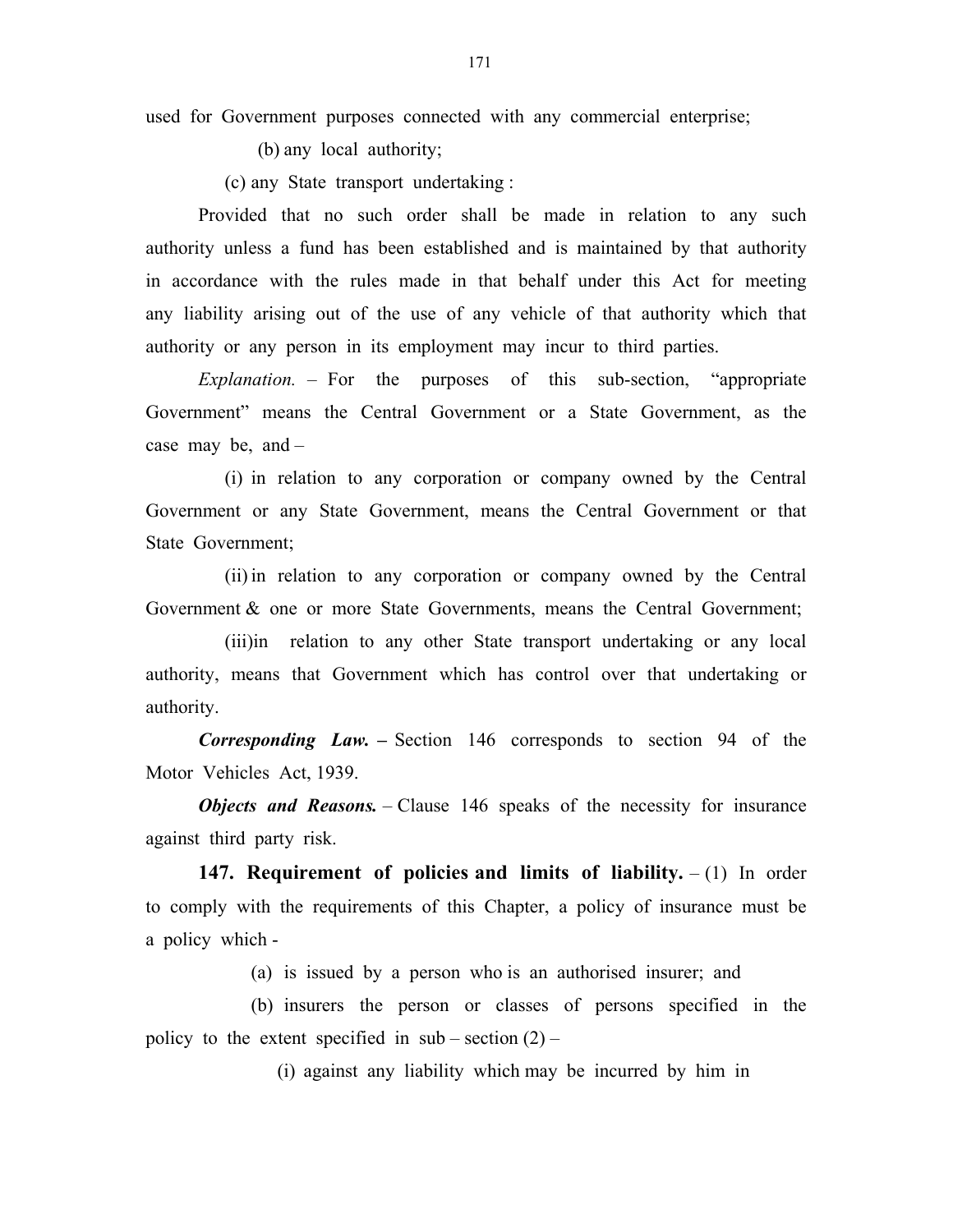used for Government purposes connected with any commercial enterprise;

(b) any local authority;

(c) any State transport undertaking :

Provided that no such order shall be made in relation to any such authority unless a fund has been established and is maintained by that authority in accordance with the rules made in that behalf under this Act for meeting any liability arising out of the use of any vehicle of that authority which that authority or any person in its employment may incur to third parties.

*Explanation.* – For the purposes of this sub-section, "appropriate Government" means the Central Government or a State Government, as the case may be, and –

(i) in relation to any corporation or company owned by the Central Government or any State Government, means the Central Government or that State Government;

(ii) in relation to any corporation or company owned by the Central Government & one or more State Governments, means the Central Government;

(iii)in relation to any other State transport undertaking or any local authority, means that Government which has control over that undertaking or authority.

*Corresponding Law. –* Section 146 corresponds to section 94 of the Motor Vehicles Act, 1939.

*Objects and Reasons.* – Clause 146 speaks of the necessity for insurance against third party risk.

**147. Requirement of policies and limits of liability.**  $- (1)$  In order to comply with the requirements of this Chapter, a policy of insurance must be a policy which -

(a) is issued by a person who is an authorised insurer; and

(b) insurers the person or classes of persons specified in the policy to the extent specified in  $sub-$  section  $(2)$  –

(i) against any liability which may be incurred by him in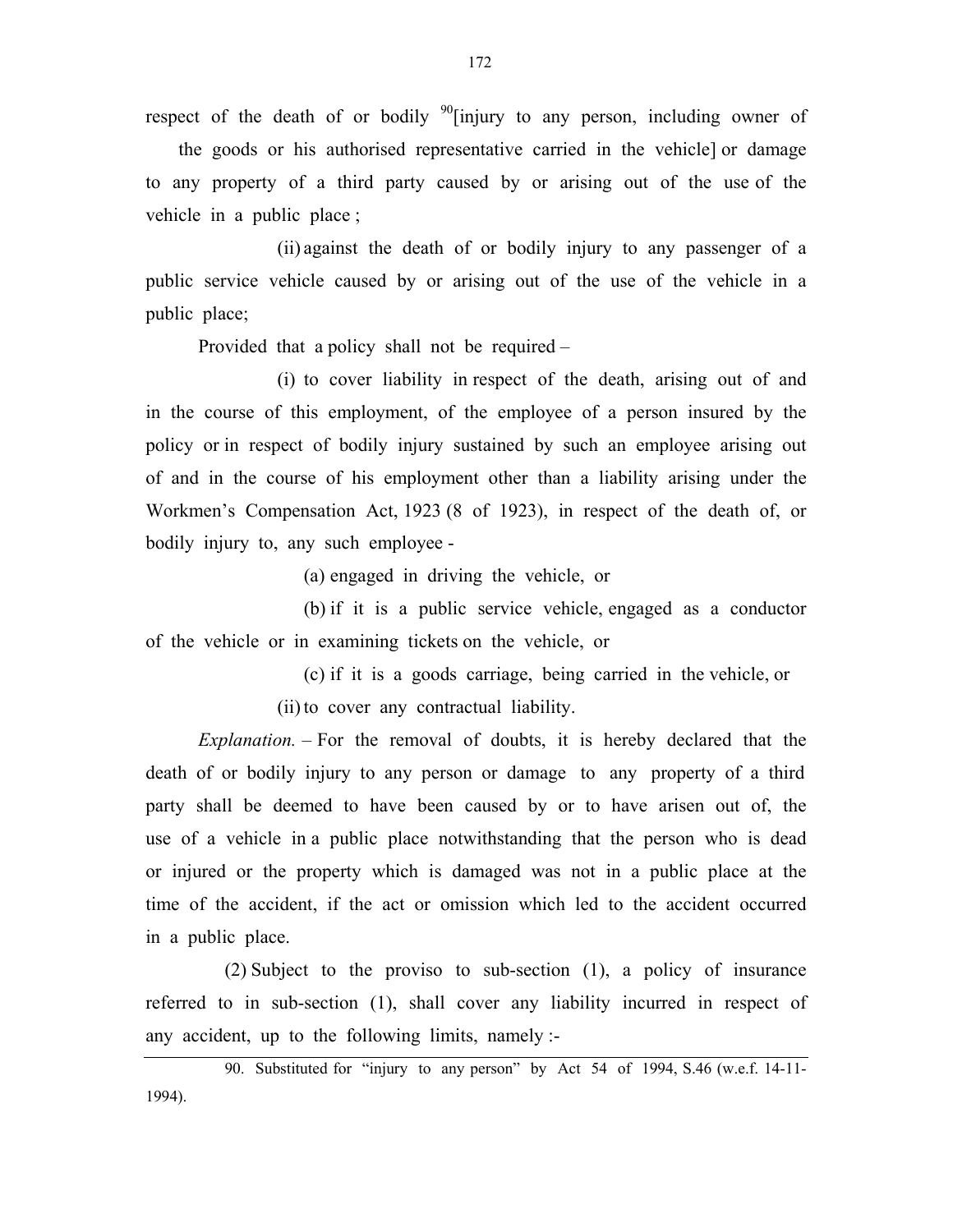respect of the death of or bodily  $90$ [injury to any person, including owner of

the goods or his authorised representative carried in the vehicle] or damage to any property of a third party caused by or arising out of the use of the vehicle in a public place ;

(ii) against the death of or bodily injury to any passenger of a public service vehicle caused by or arising out of the use of the vehicle in a public place;

Provided that a policy shall not be required –

(i) to cover liability in respect of the death, arising out of and in the course of this employment, of the employee of a person insured by the policy or in respect of bodily injury sustained by such an employee arising out of and in the course of his employment other than a liability arising under the Workmen's Compensation Act, 1923 (8 of 1923), in respect of the death of, or bodily injury to, any such employee -

(a) engaged in driving the vehicle, or

(b) if it is a public service vehicle, engaged as a conductor of the vehicle or in examining tickets on the vehicle, or

> (c) if it is a goods carriage, being carried in the vehicle, or (ii) to cover any contractual liability.

*Explanation.* – For the removal of doubts, it is hereby declared that the death of or bodily injury to any person or damage to any property of a third party shall be deemed to have been caused by or to have arisen out of, the use of a vehicle in a public place notwithstanding that the person who is dead or injured or the property which is damaged was not in a public place at the time of the accident, if the act or omission which led to the accident occurred in a public place.

(2) Subject to the proviso to sub-section (1), a policy of insurance referred to in sub-section (1), shall cover any liability incurred in respect of any accident, up to the following limits, namely :-

90. Substituted for "injury to any person" by Act 54 of 1994, S.46 (w.e.f. 14-11- 1994).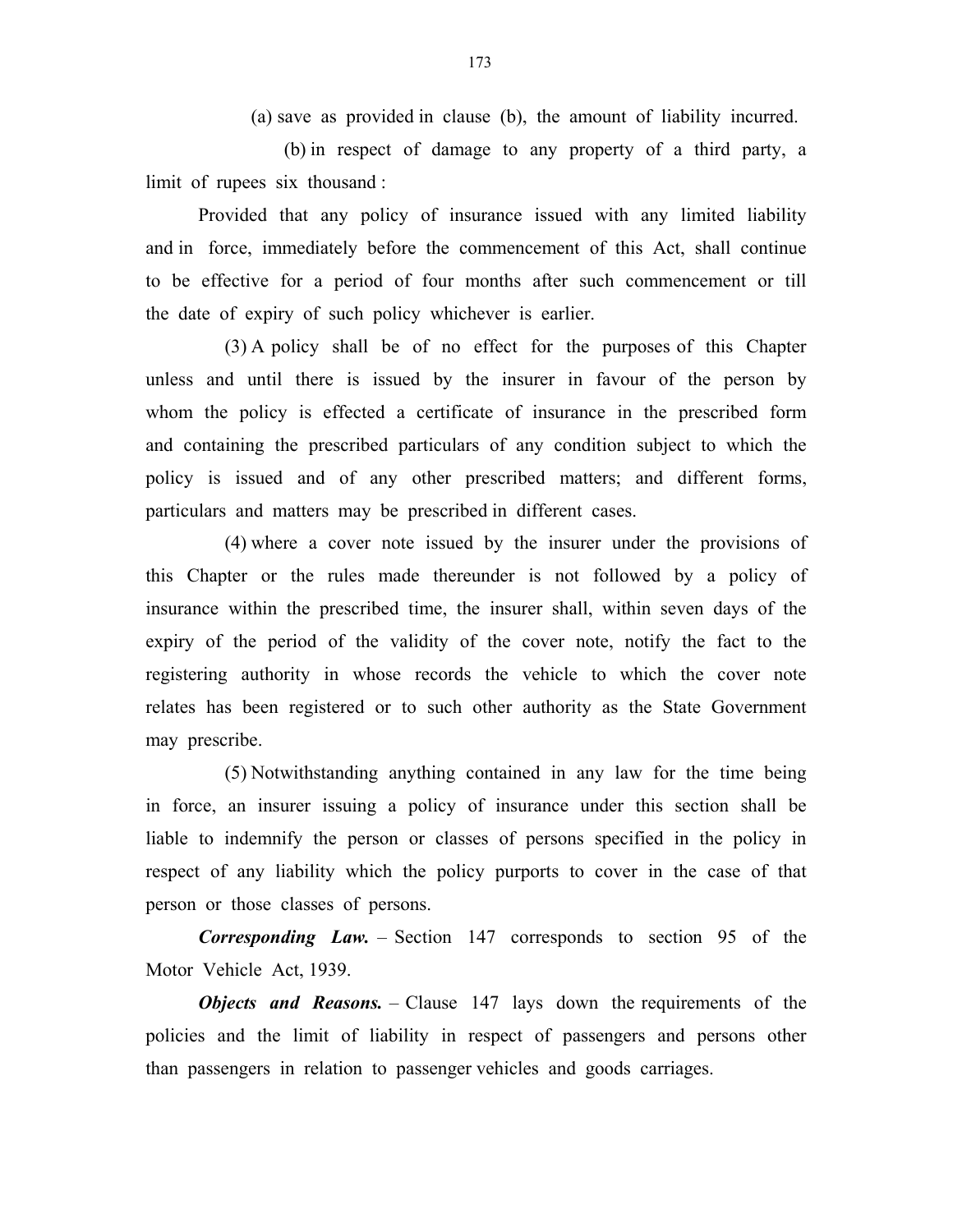(a) save as provided in clause (b), the amount of liability incurred.

(b) in respect of damage to any property of a third party, a limit of rupees six thousand :

Provided that any policy of insurance issued with any limited liability and in force, immediately before the commencement of this Act, shall continue to be effective for a period of four months after such commencement or till the date of expiry of such policy whichever is earlier.

(3) A policy shall be of no effect for the purposes of this Chapter unless and until there is issued by the insurer in favour of the person by whom the policy is effected a certificate of insurance in the prescribed form and containing the prescribed particulars of any condition subject to which the policy is issued and of any other prescribed matters; and different forms, particulars and matters may be prescribed in different cases.

(4) where a cover note issued by the insurer under the provisions of this Chapter or the rules made thereunder is not followed by a policy of insurance within the prescribed time, the insurer shall, within seven days of the expiry of the period of the validity of the cover note, notify the fact to the registering authority in whose records the vehicle to which the cover note relates has been registered or to such other authority as the State Government may prescribe.

(5) Notwithstanding anything contained in any law for the time being in force, an insurer issuing a policy of insurance under this section shall be liable to indemnify the person or classes of persons specified in the policy in respect of any liability which the policy purports to cover in the case of that person or those classes of persons.

*Corresponding Law.* – Section 147 corresponds to section 95 of the Motor Vehicle Act, 1939.

*Objects and Reasons.* – Clause 147 lays down the requirements of the policies and the limit of liability in respect of passengers and persons other than passengers in relation to passenger vehicles and goods carriages.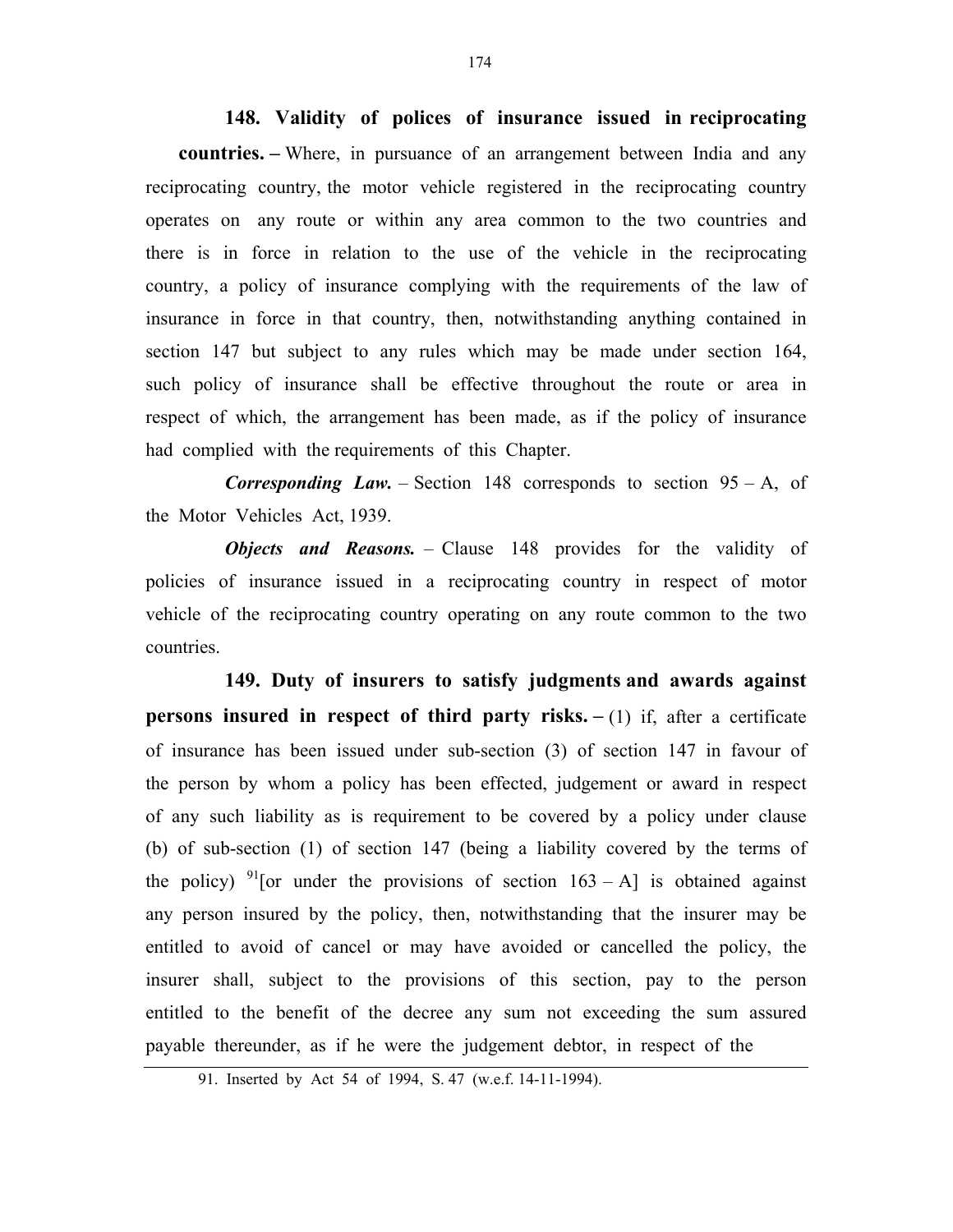**148. Validity of polices of insurance issued in reciprocating countries. –** Where, in pursuance of an arrangement between India and any reciprocating country, the motor vehicle registered in the reciprocating country operates on any route or within any area common to the two countries and there is in force in relation to the use of the vehicle in the reciprocating country, a policy of insurance complying with the requirements of the law of insurance in force in that country, then, notwithstanding anything contained in section 147 but subject to any rules which may be made under section 164, such policy of insurance shall be effective throughout the route or area in respect of which, the arrangement has been made, as if the policy of insurance had complied with the requirements of this Chapter.

*Corresponding Law.* – Section 148 corresponds to section  $95 - A$ , of the Motor Vehicles Act, 1939.

*Objects and Reasons.* – Clause 148 provides for the validity of policies of insurance issued in a reciprocating country in respect of motor vehicle of the reciprocating country operating on any route common to the two countries.

**149. Duty of insurers to satisfy judgments and awards against persons insured in respect of third party risks.** - (1) if, after a certificate of insurance has been issued under sub-section (3) of section 147 in favour of the person by whom a policy has been effected, judgement or award in respect of any such liability as is requirement to be covered by a policy under clause (b) of sub-section (1) of section 147 (being a liability covered by the terms of the policy) <sup>91</sup>[or under the provisions of section  $163 - A$ ] is obtained against any person insured by the policy, then, notwithstanding that the insurer may be entitled to avoid of cancel or may have avoided or cancelled the policy, the insurer shall, subject to the provisions of this section, pay to the person entitled to the benefit of the decree any sum not exceeding the sum assured payable thereunder, as if he were the judgement debtor, in respect of the

 <sup>91.</sup> Inserted by Act 54 of 1994, S. 47 (w.e.f. 14-11-1994).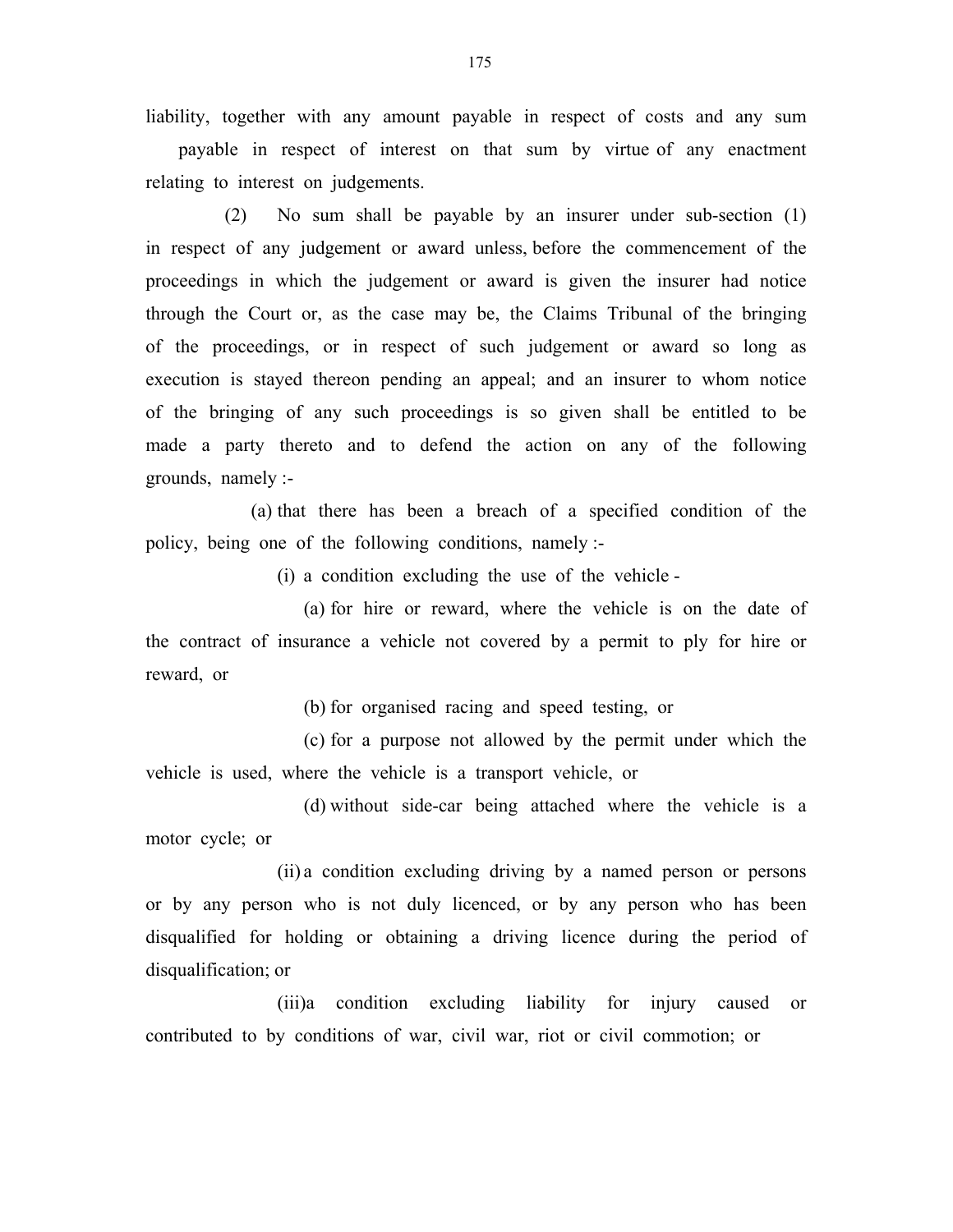liability, together with any amount payable in respect of costs and any sum

payable in respect of interest on that sum by virtue of any enactment relating to interest on judgements.

(2) No sum shall be payable by an insurer under sub-section (1) in respect of any judgement or award unless, before the commencement of the proceedings in which the judgement or award is given the insurer had notice through the Court or, as the case may be, the Claims Tribunal of the bringing of the proceedings, or in respect of such judgement or award so long as execution is stayed thereon pending an appeal; and an insurer to whom notice of the bringing of any such proceedings is so given shall be entitled to be made a party thereto and to defend the action on any of the following grounds, namely :-

(a) that there has been a breach of a specified condition of the policy, being one of the following conditions, namely :-

(i) a condition excluding the use of the vehicle -

(a) for hire or reward, where the vehicle is on the date of the contract of insurance a vehicle not covered by a permit to ply for hire or reward, or

(b) for organised racing and speed testing, or

(c) for a purpose not allowed by the permit under which the vehicle is used, where the vehicle is a transport vehicle, or

(d) without side-car being attached where the vehicle is a motor cycle; or

(ii) a condition excluding driving by a named person or persons or by any person who is not duly licenced, or by any person who has been disqualified for holding or obtaining a driving licence during the period of disqualification; or

(iii)a condition excluding liability for injury caused or contributed to by conditions of war, civil war, riot or civil commotion; or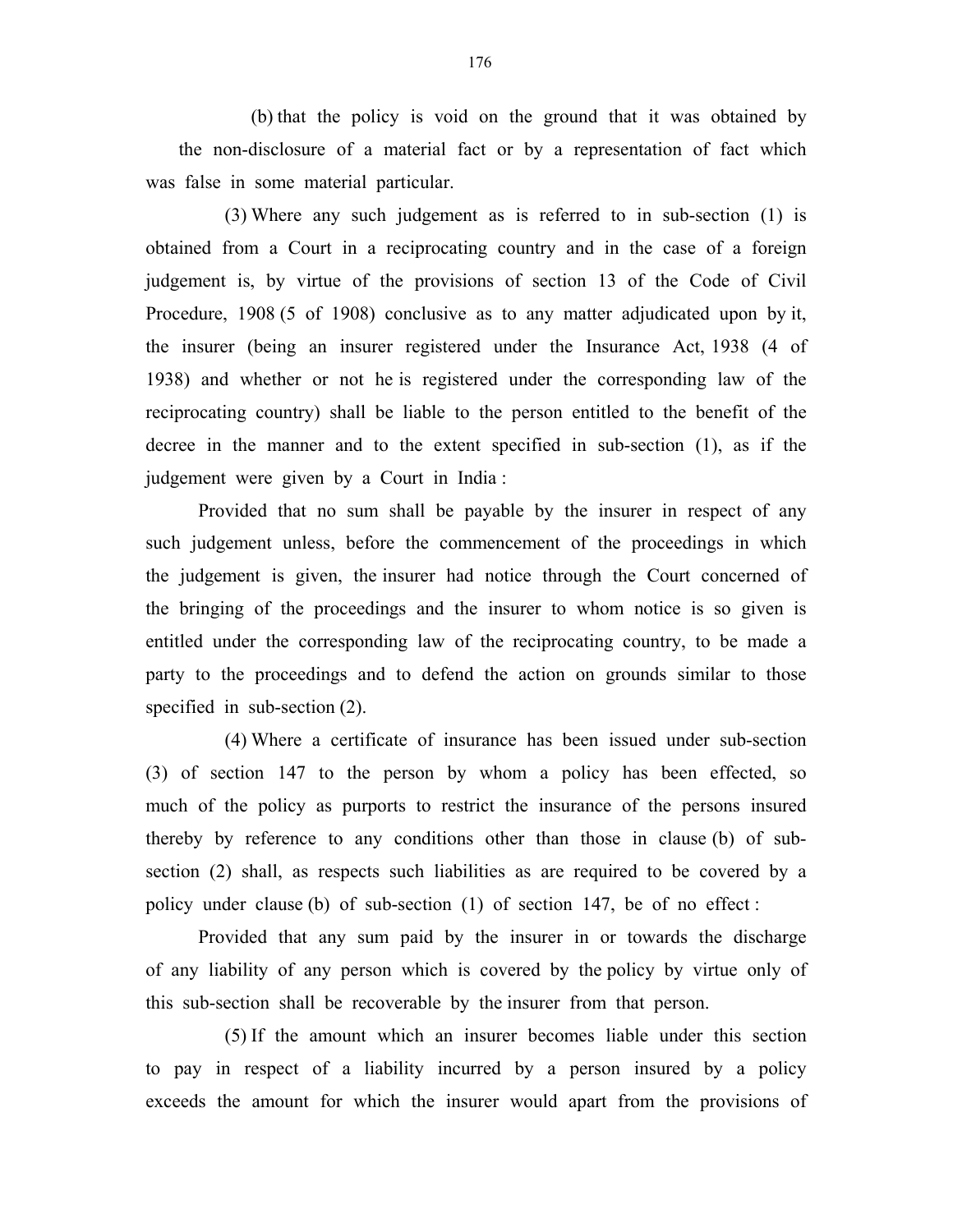(b) that the policy is void on the ground that it was obtained by the non-disclosure of a material fact or by a representation of fact which was false in some material particular.

(3) Where any such judgement as is referred to in sub-section (1) is obtained from a Court in a reciprocating country and in the case of a foreign judgement is, by virtue of the provisions of section 13 of the Code of Civil Procedure, 1908 (5 of 1908) conclusive as to any matter adjudicated upon by it, the insurer (being an insurer registered under the Insurance Act, 1938 (4 of 1938) and whether or not he is registered under the corresponding law of the reciprocating country) shall be liable to the person entitled to the benefit of the decree in the manner and to the extent specified in sub-section (1), as if the judgement were given by a Court in India :

Provided that no sum shall be payable by the insurer in respect of any such judgement unless, before the commencement of the proceedings in which the judgement is given, the insurer had notice through the Court concerned of the bringing of the proceedings and the insurer to whom notice is so given is entitled under the corresponding law of the reciprocating country, to be made a party to the proceedings and to defend the action on grounds similar to those specified in sub-section (2).

(4) Where a certificate of insurance has been issued under sub-section (3) of section 147 to the person by whom a policy has been effected, so much of the policy as purports to restrict the insurance of the persons insured thereby by reference to any conditions other than those in clause (b) of subsection (2) shall, as respects such liabilities as are required to be covered by a policy under clause (b) of sub-section (1) of section 147, be of no effect :

Provided that any sum paid by the insurer in or towards the discharge of any liability of any person which is covered by the policy by virtue only of this sub-section shall be recoverable by the insurer from that person.

(5) If the amount which an insurer becomes liable under this section to pay in respect of a liability incurred by a person insured by a policy exceeds the amount for which the insurer would apart from the provisions of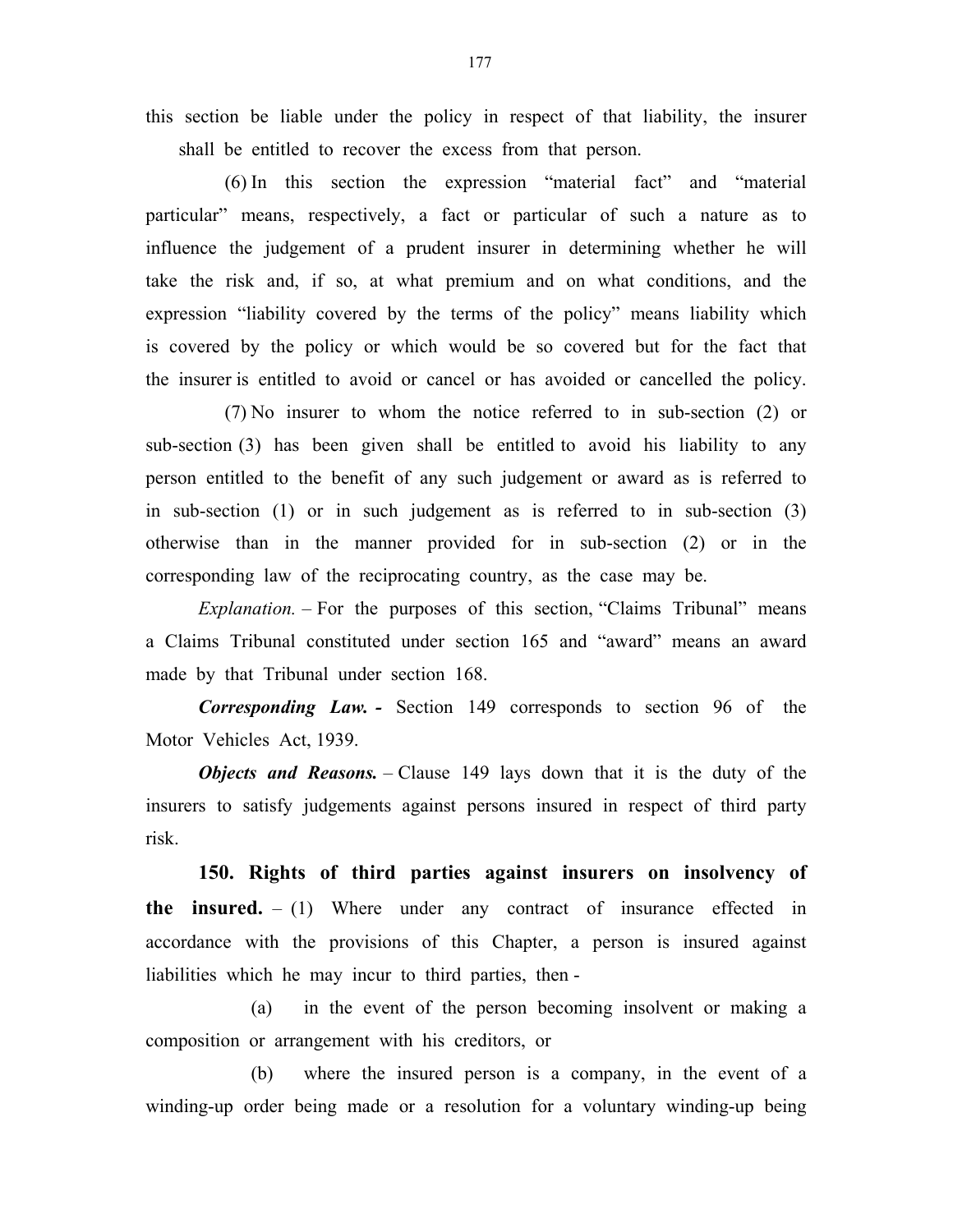this section be liable under the policy in respect of that liability, the insurer shall be entitled to recover the excess from that person.

(6) In this section the expression "material fact" and "material particular" means, respectively, a fact or particular of such a nature as to influence the judgement of a prudent insurer in determining whether he will take the risk and, if so, at what premium and on what conditions, and the expression "liability covered by the terms of the policy" means liability which is covered by the policy or which would be so covered but for the fact that the insurer is entitled to avoid or cancel or has avoided or cancelled the policy.

(7) No insurer to whom the notice referred to in sub-section (2) or sub-section (3) has been given shall be entitled to avoid his liability to any person entitled to the benefit of any such judgement or award as is referred to in sub-section (1) or in such judgement as is referred to in sub-section (3) otherwise than in the manner provided for in sub-section (2) or in the corresponding law of the reciprocating country, as the case may be.

*Explanation. –* For the purposes of this section, "Claims Tribunal" means a Claims Tribunal constituted under section 165 and "award" means an award made by that Tribunal under section 168.

*Corresponding Law. -* Section 149 corresponds to section 96 of the Motor Vehicles Act, 1939.

*Objects and Reasons.* – Clause 149 lays down that it is the duty of the insurers to satisfy judgements against persons insured in respect of third party risk.

**150. Rights of third parties against insurers on insolvency of the insured.** – (1) Where under any contract of insurance effected in accordance with the provisions of this Chapter, a person is insured against liabilities which he may incur to third parties, then -

(a) in the event of the person becoming insolvent or making a composition or arrangement with his creditors, or

(b) where the insured person is a company, in the event of a winding-up order being made or a resolution for a voluntary winding-up being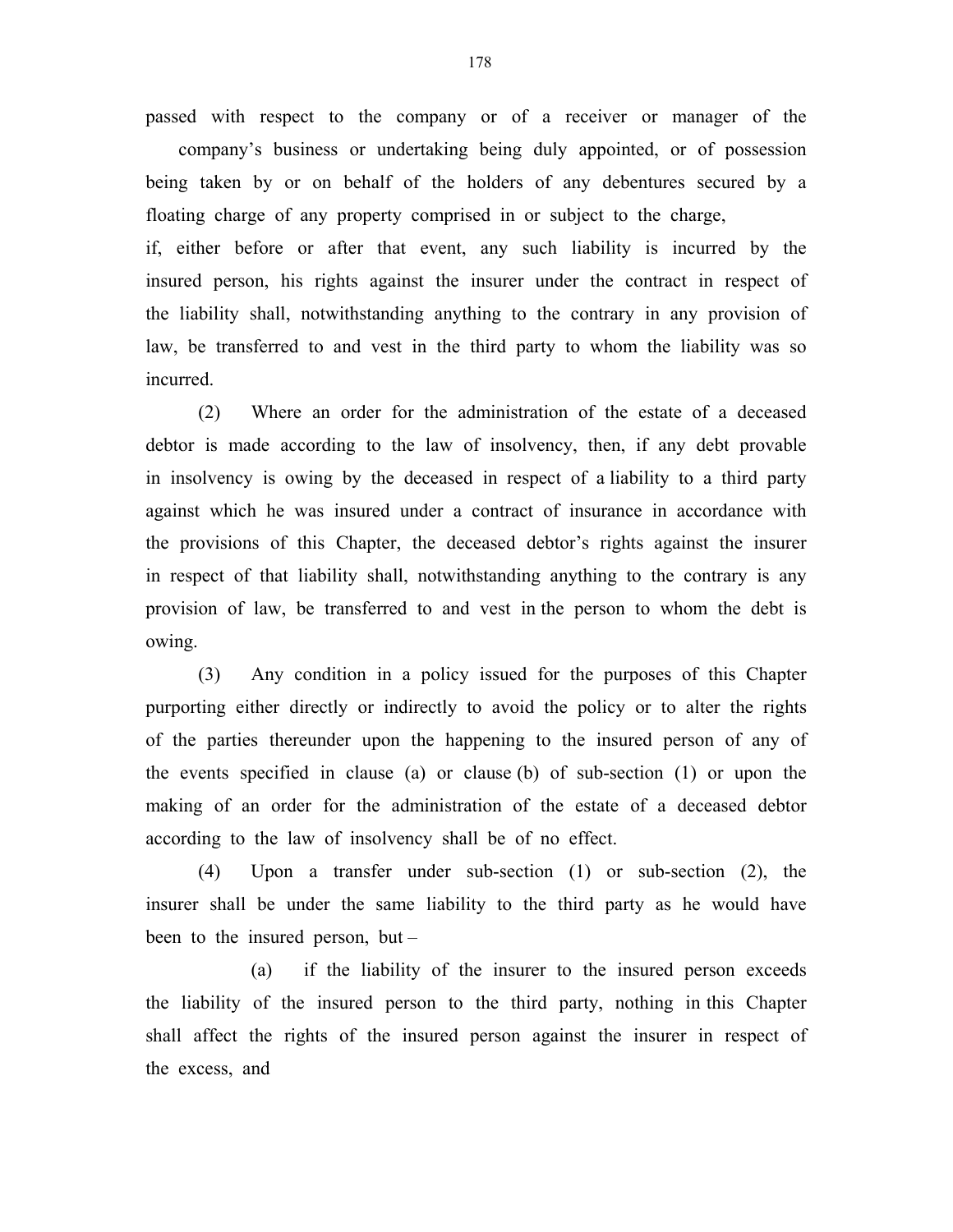passed with respect to the company or of a receiver or manager of the

company's business or undertaking being duly appointed, or of possession being taken by or on behalf of the holders of any debentures secured by a floating charge of any property comprised in or subject to the charge, if, either before or after that event, any such liability is incurred by the insured person, his rights against the insurer under the contract in respect of the liability shall, notwithstanding anything to the contrary in any provision of law, be transferred to and vest in the third party to whom the liability was so

incurred.

(2) Where an order for the administration of the estate of a deceased debtor is made according to the law of insolvency, then, if any debt provable in insolvency is owing by the deceased in respect of a liability to a third party against which he was insured under a contract of insurance in accordance with the provisions of this Chapter, the deceased debtor's rights against the insurer in respect of that liability shall, notwithstanding anything to the contrary is any provision of law, be transferred to and vest in the person to whom the debt is owing.

(3) Any condition in a policy issued for the purposes of this Chapter purporting either directly or indirectly to avoid the policy or to alter the rights of the parties thereunder upon the happening to the insured person of any of the events specified in clause (a) or clause (b) of sub-section (1) or upon the making of an order for the administration of the estate of a deceased debtor according to the law of insolvency shall be of no effect.

(4) Upon a transfer under sub-section (1) or sub-section (2), the insurer shall be under the same liability to the third party as he would have been to the insured person, but –

(a) if the liability of the insurer to the insured person exceeds the liability of the insured person to the third party, nothing in this Chapter shall affect the rights of the insured person against the insurer in respect of the excess, and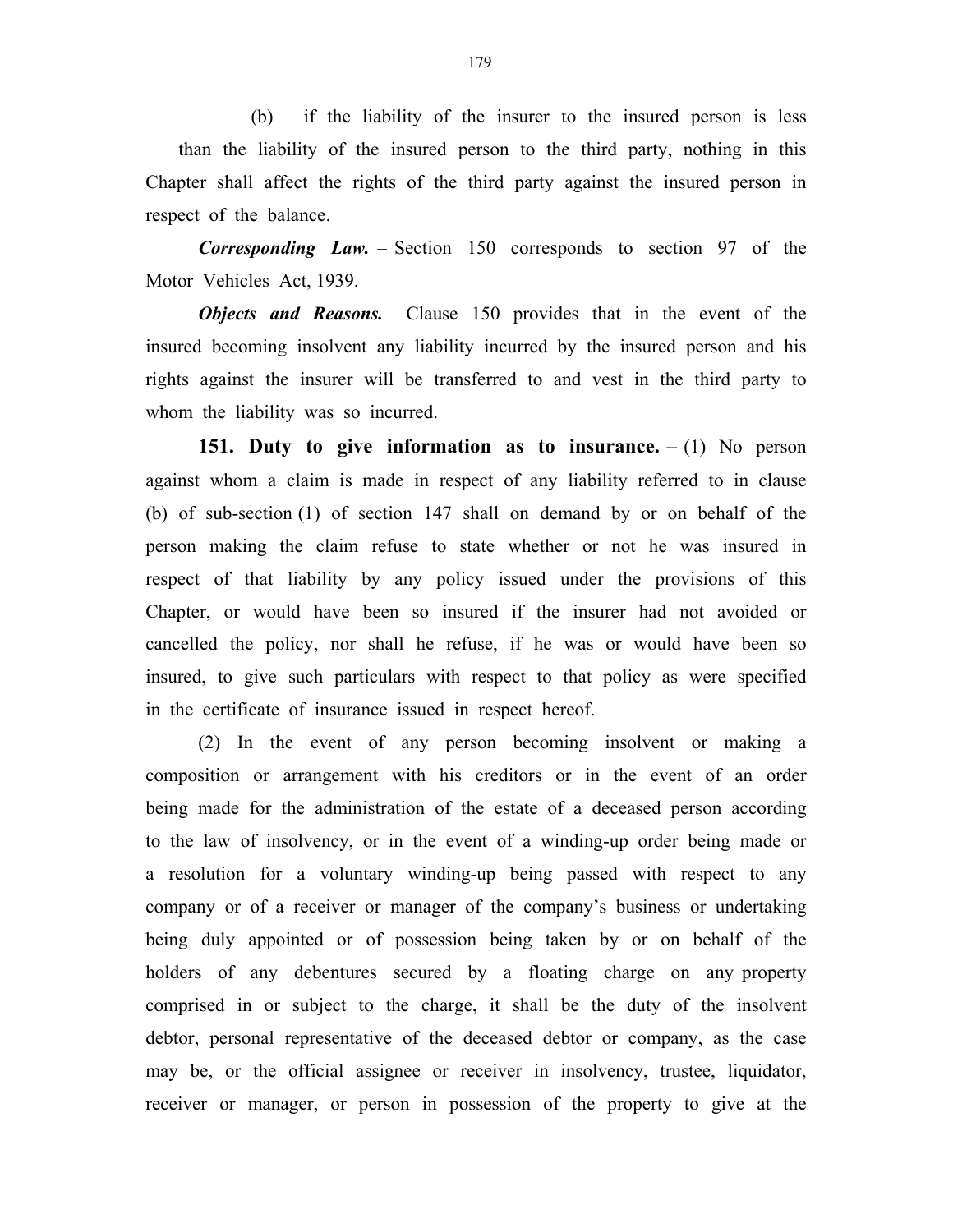(b) if the liability of the insurer to the insured person is less than the liability of the insured person to the third party, nothing in this Chapter shall affect the rights of the third party against the insured person in respect of the balance.

*Corresponding Law.* – Section 150 corresponds to section 97 of the Motor Vehicles Act, 1939.

*Objects and Reasons.* – Clause 150 provides that in the event of the insured becoming insolvent any liability incurred by the insured person and his rights against the insurer will be transferred to and vest in the third party to whom the liability was so incurred.

**151. Duty to give information as to insurance. –** (1) No person against whom a claim is made in respect of any liability referred to in clause (b) of sub-section (1) of section 147 shall on demand by or on behalf of the person making the claim refuse to state whether or not he was insured in respect of that liability by any policy issued under the provisions of this Chapter, or would have been so insured if the insurer had not avoided or cancelled the policy, nor shall he refuse, if he was or would have been so insured, to give such particulars with respect to that policy as were specified in the certificate of insurance issued in respect hereof.

 (2) In the event of any person becoming insolvent or making a composition or arrangement with his creditors or in the event of an order being made for the administration of the estate of a deceased person according to the law of insolvency, or in the event of a winding-up order being made or a resolution for a voluntary winding-up being passed with respect to any company or of a receiver or manager of the company's business or undertaking being duly appointed or of possession being taken by or on behalf of the holders of any debentures secured by a floating charge on any property comprised in or subject to the charge, it shall be the duty of the insolvent debtor, personal representative of the deceased debtor or company, as the case may be, or the official assignee or receiver in insolvency, trustee, liquidator, receiver or manager, or person in possession of the property to give at the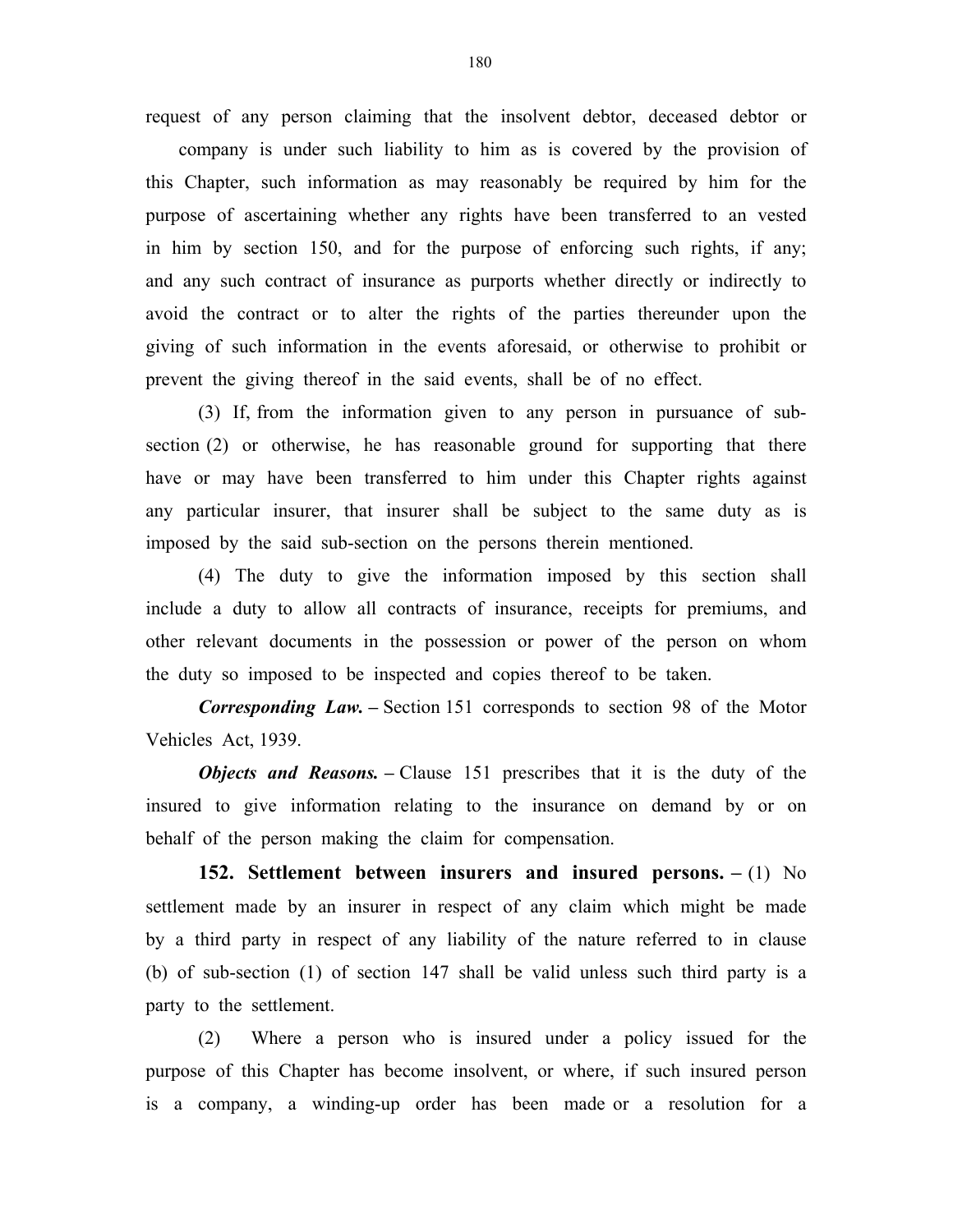request of any person claiming that the insolvent debtor, deceased debtor or

company is under such liability to him as is covered by the provision of this Chapter, such information as may reasonably be required by him for the purpose of ascertaining whether any rights have been transferred to an vested in him by section 150, and for the purpose of enforcing such rights, if any; and any such contract of insurance as purports whether directly or indirectly to avoid the contract or to alter the rights of the parties thereunder upon the giving of such information in the events aforesaid, or otherwise to prohibit or prevent the giving thereof in the said events, shall be of no effect.

(3) If, from the information given to any person in pursuance of subsection (2) or otherwise, he has reasonable ground for supporting that there have or may have been transferred to him under this Chapter rights against any particular insurer, that insurer shall be subject to the same duty as is imposed by the said sub-section on the persons therein mentioned.

(4) The duty to give the information imposed by this section shall include a duty to allow all contracts of insurance, receipts for premiums, and other relevant documents in the possession or power of the person on whom the duty so imposed to be inspected and copies thereof to be taken.

*Corresponding Law. –* Section 151 corresponds to section 98 of the Motor Vehicles Act, 1939.

*Objects and Reasons.* – Clause 151 prescribes that it is the duty of the insured to give information relating to the insurance on demand by or on behalf of the person making the claim for compensation.

**152.** Settlement between insurers and insured persons. – (1) No settlement made by an insurer in respect of any claim which might be made by a third party in respect of any liability of the nature referred to in clause (b) of sub-section (1) of section 147 shall be valid unless such third party is a party to the settlement.

(2) Where a person who is insured under a policy issued for the purpose of this Chapter has become insolvent, or where, if such insured person is a company, a winding-up order has been made or a resolution for a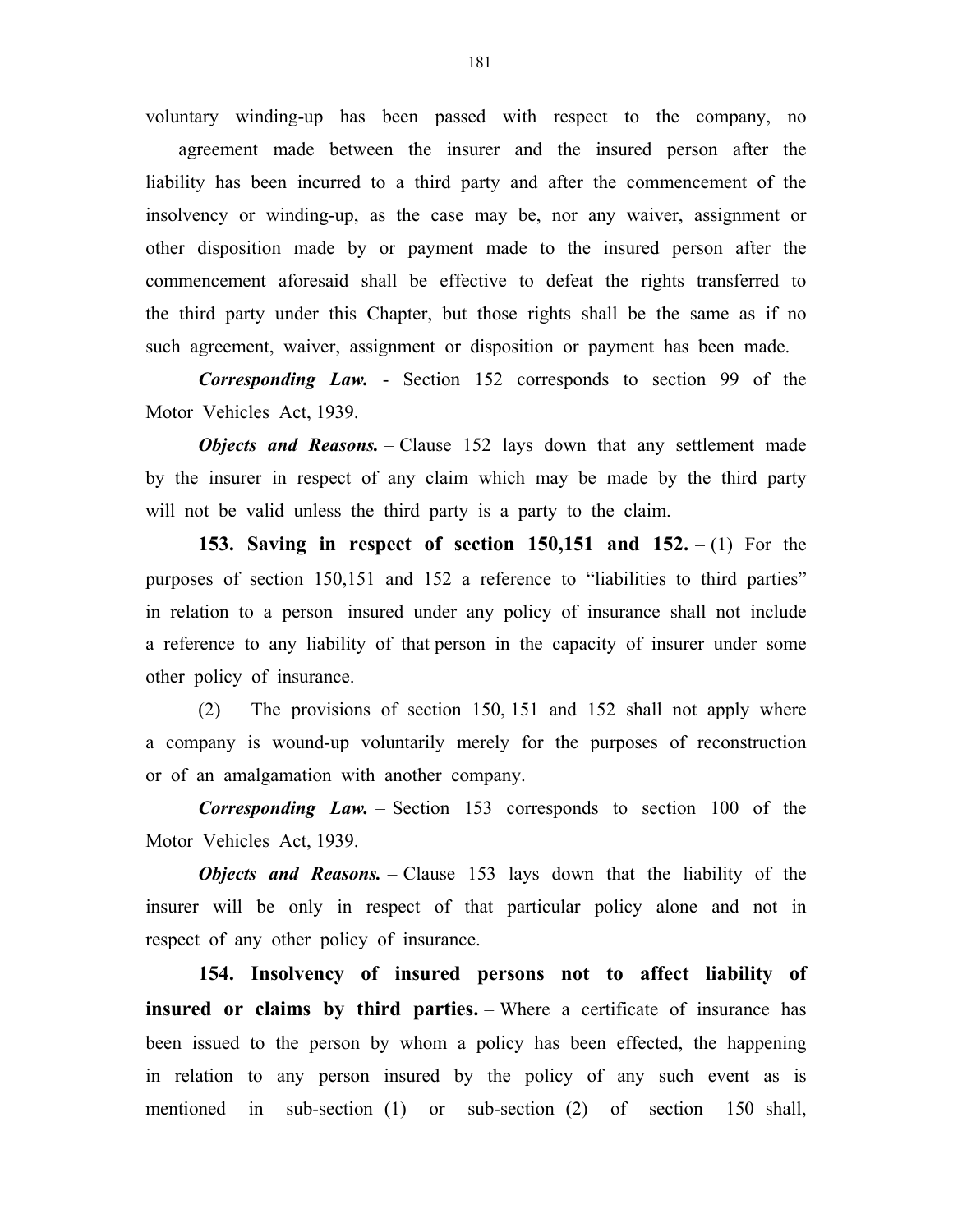voluntary winding-up has been passed with respect to the company, no

agreement made between the insurer and the insured person after the liability has been incurred to a third party and after the commencement of the insolvency or winding-up, as the case may be, nor any waiver, assignment or other disposition made by or payment made to the insured person after the commencement aforesaid shall be effective to defeat the rights transferred to the third party under this Chapter, but those rights shall be the same as if no such agreement, waiver, assignment or disposition or payment has been made.

*Corresponding Law.* - Section 152 corresponds to section 99 of the Motor Vehicles Act, 1939.

*Objects and Reasons.* – Clause 152 lays down that any settlement made by the insurer in respect of any claim which may be made by the third party will not be valid unless the third party is a party to the claim.

**153.** Saving in respect of section  $150,151$  and  $152. - (1)$  For the purposes of section 150,151 and 152 a reference to "liabilities to third parties" in relation to a person insured under any policy of insurance shall not include a reference to any liability of that person in the capacity of insurer under some other policy of insurance.

(2) The provisions of section 150, 151 and 152 shall not apply where a company is wound-up voluntarily merely for the purposes of reconstruction or of an amalgamation with another company.

*Corresponding Law.* – Section 153 corresponds to section 100 of the Motor Vehicles Act, 1939.

*Objects and Reasons.* – Clause 153 lays down that the liability of the insurer will be only in respect of that particular policy alone and not in respect of any other policy of insurance.

**154. Insolvency of insured persons not to affect liability of insured or claims by third parties.** – Where a certificate of insurance has been issued to the person by whom a policy has been effected, the happening in relation to any person insured by the policy of any such event as is mentioned in sub-section (1) or sub-section (2) of section 150 shall,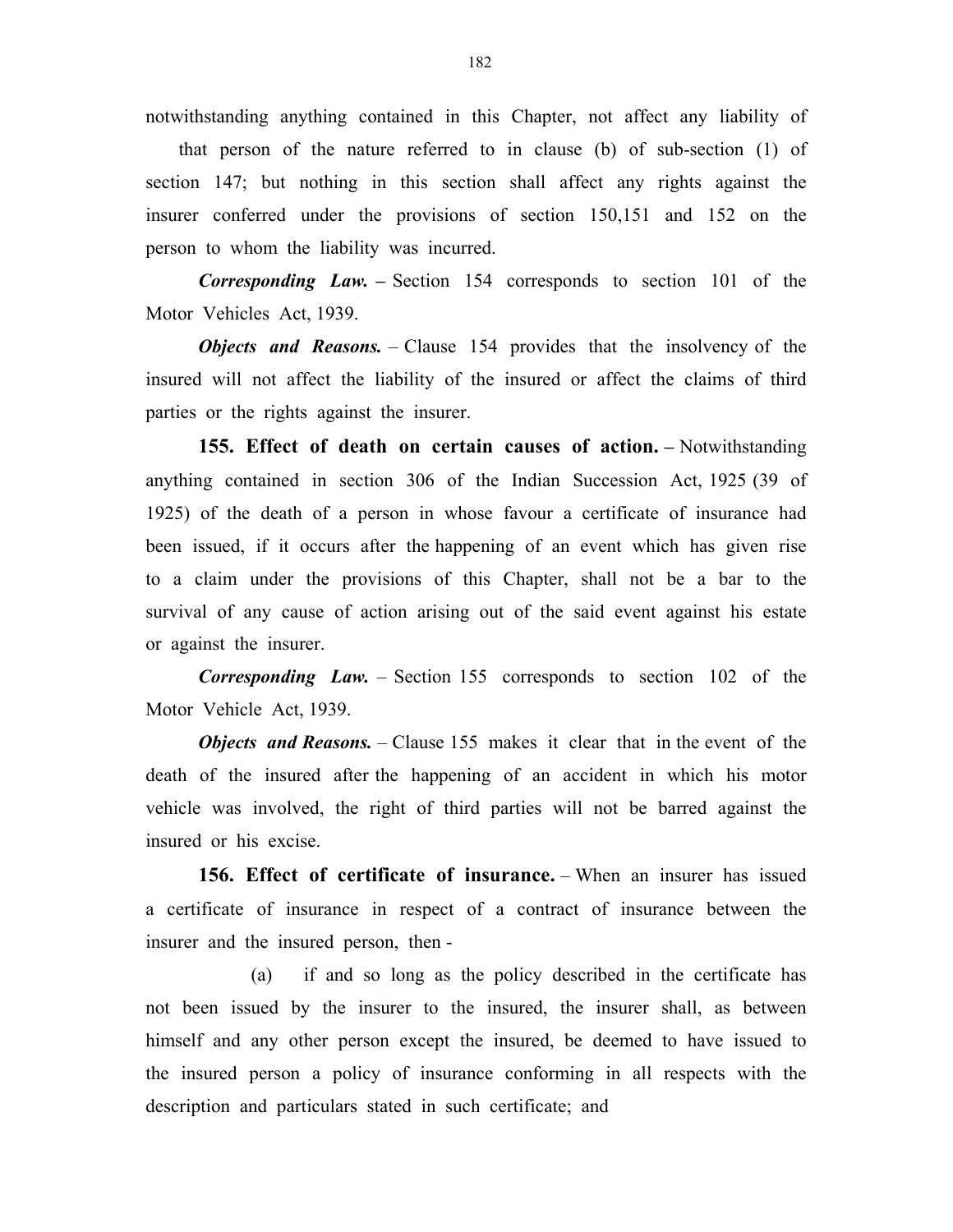notwithstanding anything contained in this Chapter, not affect any liability of

that person of the nature referred to in clause (b) of sub-section (1) of section 147; but nothing in this section shall affect any rights against the insurer conferred under the provisions of section 150,151 and 152 on the person to whom the liability was incurred.

*Corresponding Law.* **–** Section 154 corresponds to section 101 of the Motor Vehicles Act, 1939.

*Objects and Reasons.* – Clause 154 provides that the insolvency of the insured will not affect the liability of the insured or affect the claims of third parties or the rights against the insurer.

155. Effect of death on certain causes of action. – Notwithstanding anything contained in section 306 of the Indian Succession Act, 1925 (39 of 1925) of the death of a person in whose favour a certificate of insurance had been issued, if it occurs after the happening of an event which has given rise to a claim under the provisions of this Chapter, shall not be a bar to the survival of any cause of action arising out of the said event against his estate or against the insurer.

*Corresponding Law.* – Section 155 corresponds to section 102 of the Motor Vehicle Act, 1939.

*Objects and Reasons.* – Clause 155 makes it clear that in the event of the death of the insured after the happening of an accident in which his motor vehicle was involved, the right of third parties will not be barred against the insured or his excise.

**156. Effect of certificate of insurance.** – When an insurer has issued a certificate of insurance in respect of a contract of insurance between the insurer and the insured person, then -

(a) if and so long as the policy described in the certificate has not been issued by the insurer to the insured, the insurer shall, as between himself and any other person except the insured, be deemed to have issued to the insured person a policy of insurance conforming in all respects with the description and particulars stated in such certificate; and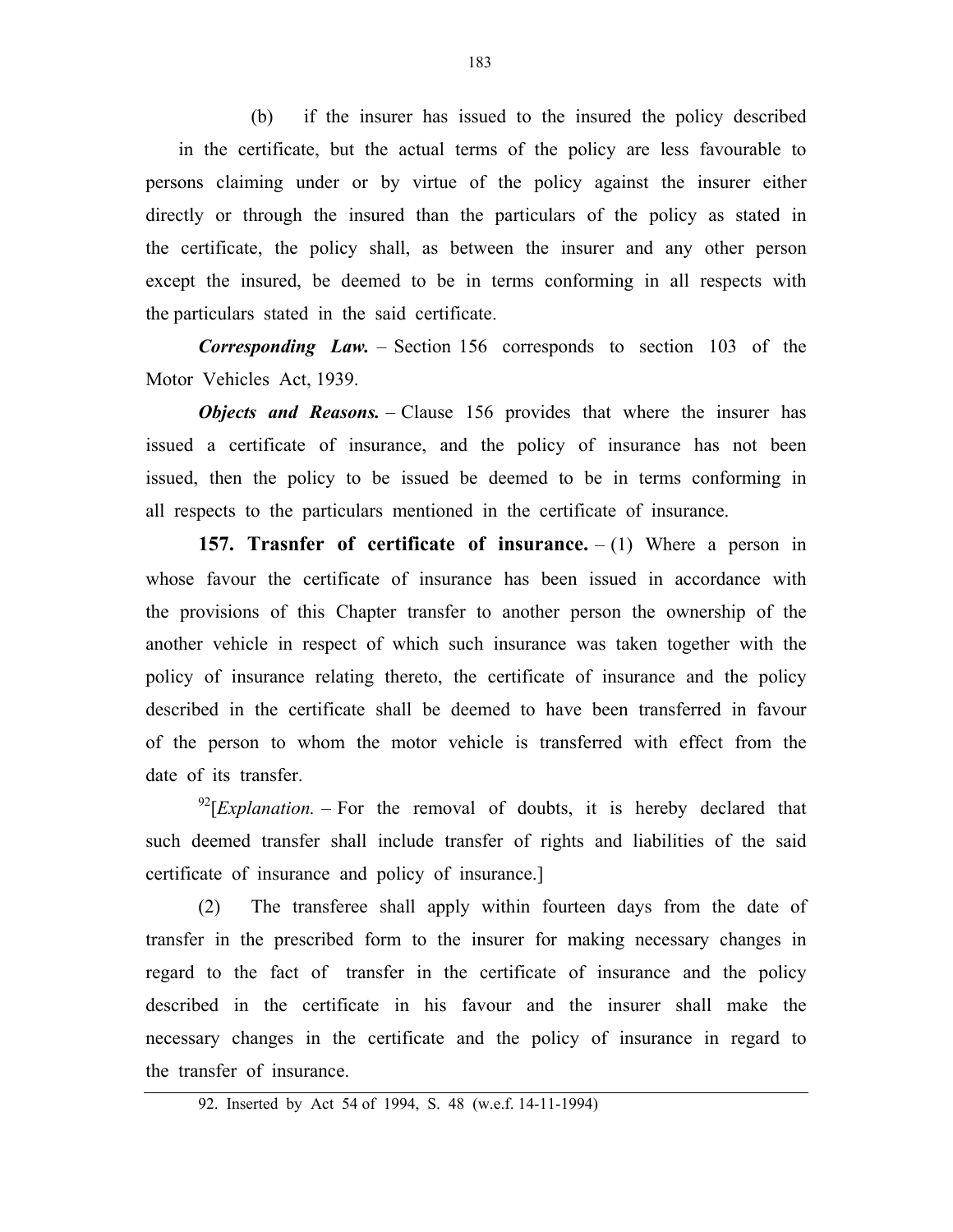(b) if the insurer has issued to the insured the policy described in the certificate, but the actual terms of the policy are less favourable to persons claiming under or by virtue of the policy against the insurer either directly or through the insured than the particulars of the policy as stated in the certificate, the policy shall, as between the insurer and any other person except the insured, be deemed to be in terms conforming in all respects with the particulars stated in the said certificate.

*Corresponding Law.* – Section 156 corresponds to section 103 of the Motor Vehicles Act, 1939.

*Objects and Reasons.* – Clause 156 provides that where the insurer has issued a certificate of insurance, and the policy of insurance has not been issued, then the policy to be issued be deemed to be in terms conforming in all respects to the particulars mentioned in the certificate of insurance.

**157. Trasnfer of certificate of insurance.**  $- (1)$  Where a person in whose favour the certificate of insurance has been issued in accordance with the provisions of this Chapter transfer to another person the ownership of the another vehicle in respect of which such insurance was taken together with the policy of insurance relating thereto, the certificate of insurance and the policy described in the certificate shall be deemed to have been transferred in favour of the person to whom the motor vehicle is transferred with effect from the date of its transfer.

 $\frac{92}{2}$ *Explanation.* – For the removal of doubts, it is hereby declared that such deemed transfer shall include transfer of rights and liabilities of the said certificate of insurance and policy of insurance.]

(2) The transferee shall apply within fourteen days from the date of transfer in the prescribed form to the insurer for making necessary changes in regard to the fact of transfer in the certificate of insurance and the policy described in the certificate in his favour and the insurer shall make the necessary changes in the certificate and the policy of insurance in regard to the transfer of insurance.

<sup>92.</sup> Inserted by Act 54 of 1994, S. 48 (w.e.f. 14-11-1994)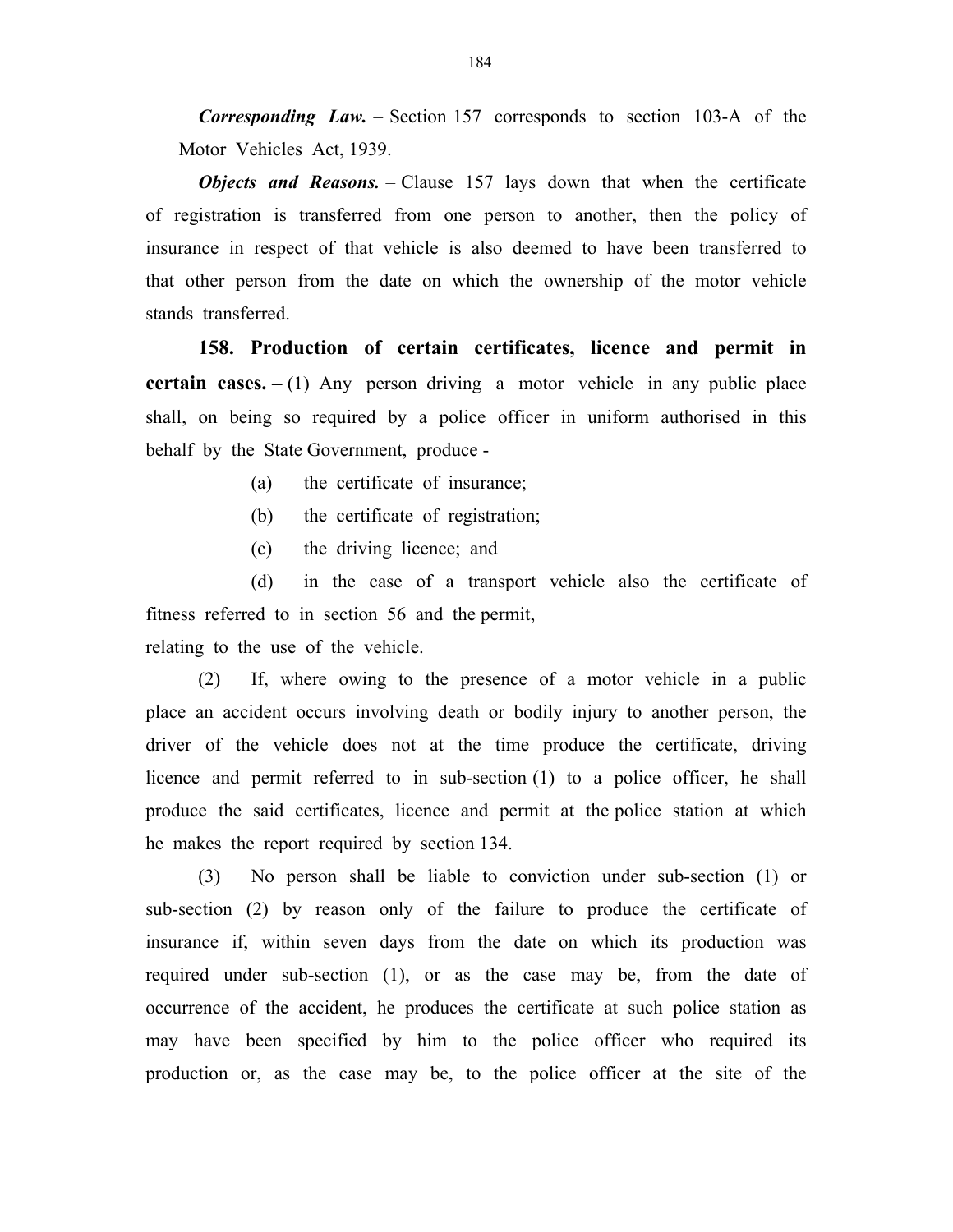*Corresponding Law.* – Section 157 corresponds to section 103-A of the Motor Vehicles Act, 1939.

*Objects and Reasons.* – Clause 157 lays down that when the certificate of registration is transferred from one person to another, then the policy of insurance in respect of that vehicle is also deemed to have been transferred to that other person from the date on which the ownership of the motor vehicle stands transferred.

**158. Production of certain certificates, licence and permit in certain cases.**  $- (1)$  Any person driving a motor vehicle in any public place shall, on being so required by a police officer in uniform authorised in this behalf by the State Government, produce -

- (a) the certificate of insurance;
- (b) the certificate of registration;
- (c) the driving licence; and

(d) in the case of a transport vehicle also the certificate of fitness referred to in section 56 and the permit, relating to the use of the vehicle.

(2) If, where owing to the presence of a motor vehicle in a public place an accident occurs involving death or bodily injury to another person, the driver of the vehicle does not at the time produce the certificate, driving licence and permit referred to in sub-section (1) to a police officer, he shall produce the said certificates, licence and permit at the police station at which he makes the report required by section 134.

(3) No person shall be liable to conviction under sub-section (1) or sub-section (2) by reason only of the failure to produce the certificate of insurance if, within seven days from the date on which its production was required under sub-section (1), or as the case may be, from the date of occurrence of the accident, he produces the certificate at such police station as may have been specified by him to the police officer who required its production or, as the case may be, to the police officer at the site of the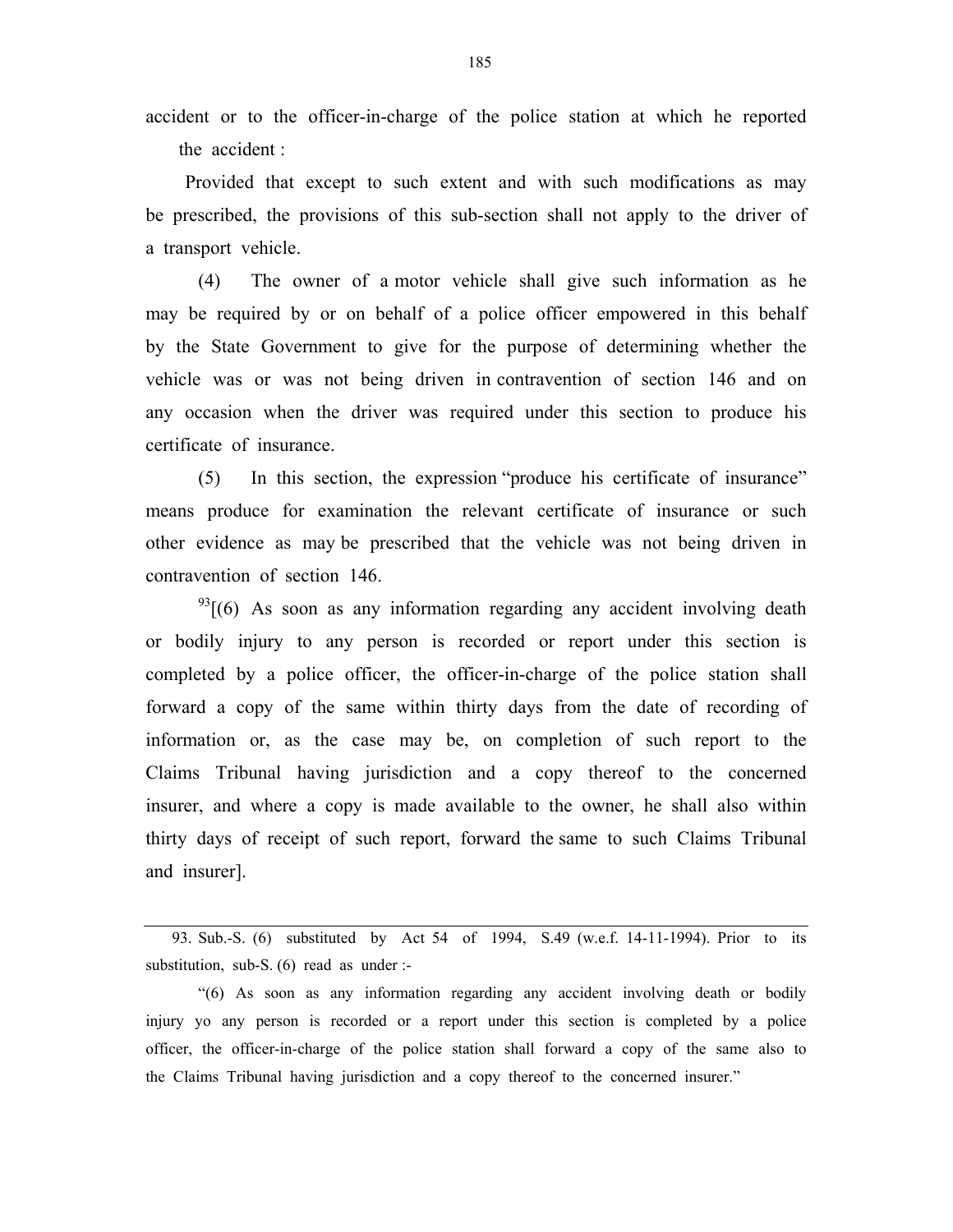accident or to the officer-in-charge of the police station at which he reported the accident :

Provided that except to such extent and with such modifications as may be prescribed, the provisions of this sub-section shall not apply to the driver of a transport vehicle.

(4) The owner of a motor vehicle shall give such information as he may be required by or on behalf of a police officer empowered in this behalf by the State Government to give for the purpose of determining whether the vehicle was or was not being driven in contravention of section 146 and on any occasion when the driver was required under this section to produce his certificate of insurance.

(5) In this section, the expression "produce his certificate of insurance" means produce for examination the relevant certificate of insurance or such other evidence as may be prescribed that the vehicle was not being driven in contravention of section 146.

 $^{93}$ [(6) As soon as any information regarding any accident involving death or bodily injury to any person is recorded or report under this section is completed by a police officer, the officer-in-charge of the police station shall forward a copy of the same within thirty days from the date of recording of information or, as the case may be, on completion of such report to the Claims Tribunal having jurisdiction and a copy thereof to the concerned insurer, and where a copy is made available to the owner, he shall also within thirty days of receipt of such report, forward the same to such Claims Tribunal and insurer].

93. Sub.-S. (6) substituted by Act 54 of 1994, S.49 (w.e.f. 14-11-1994). Prior to its substitution, sub-S. (6) read as under :-

"(6) As soon as any information regarding any accident involving death or bodily injury yo any person is recorded or a report under this section is completed by a police officer, the officer-in-charge of the police station shall forward a copy of the same also to the Claims Tribunal having jurisdiction and a copy thereof to the concerned insurer."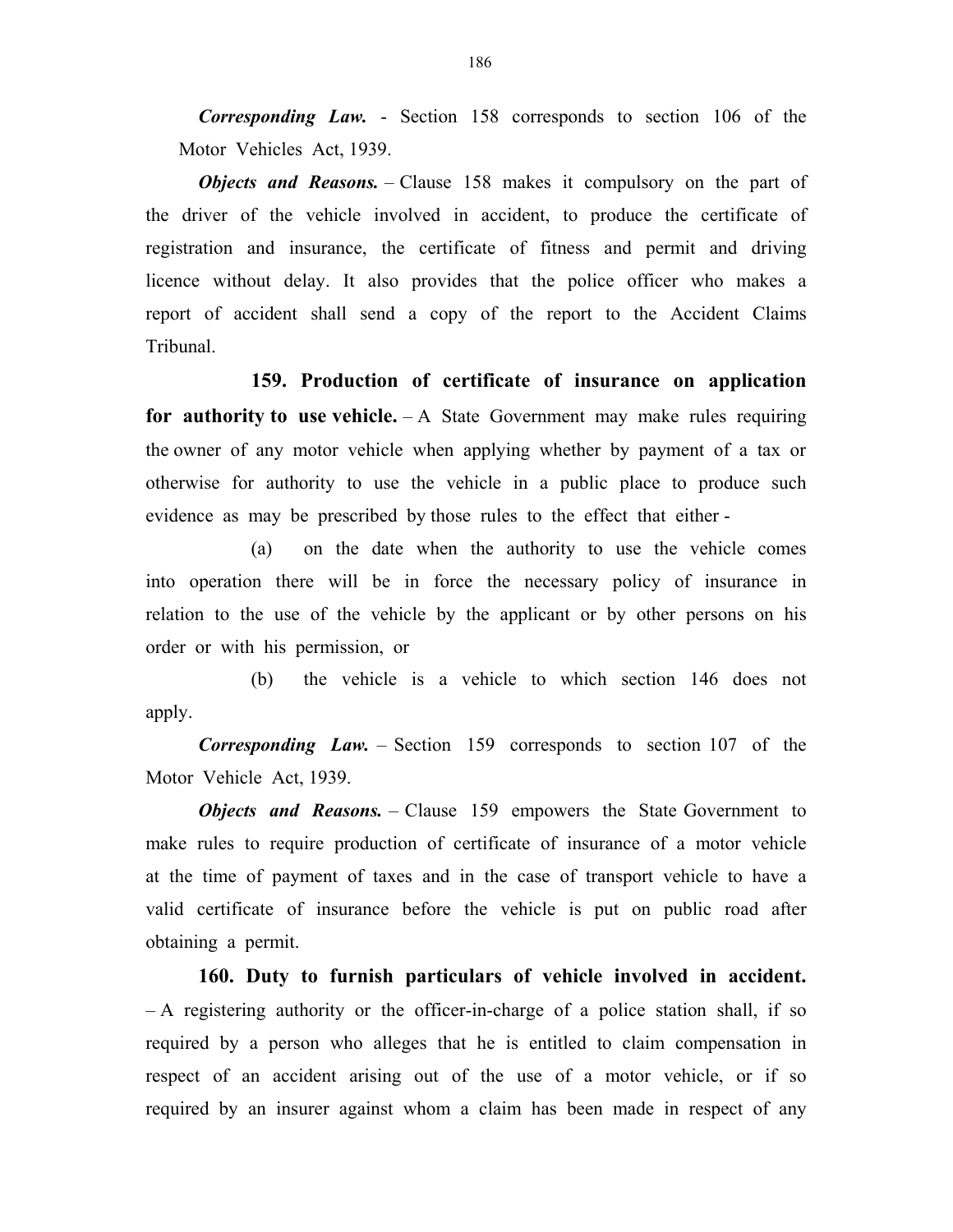*Corresponding Law.* - Section 158 corresponds to section 106 of the Motor Vehicles Act, 1939.

*Objects and Reasons.* – Clause 158 makes it compulsory on the part of the driver of the vehicle involved in accident, to produce the certificate of registration and insurance, the certificate of fitness and permit and driving licence without delay. It also provides that the police officer who makes a report of accident shall send a copy of the report to the Accident Claims Tribunal.

**159. Production of certificate of insurance on application for authority to use vehicle.**  $- A$  State Government may make rules requiring the owner of any motor vehicle when applying whether by payment of a tax or otherwise for authority to use the vehicle in a public place to produce such evidence as may be prescribed by those rules to the effect that either -

(a) on the date when the authority to use the vehicle comes into operation there will be in force the necessary policy of insurance in relation to the use of the vehicle by the applicant or by other persons on his order or with his permission, or

(b) the vehicle is a vehicle to which section 146 does not apply.

*Corresponding Law.* – Section 159 corresponds to section 107 of the Motor Vehicle Act, 1939.

*Objects and Reasons.* – Clause 159 empowers the State Government to make rules to require production of certificate of insurance of a motor vehicle at the time of payment of taxes and in the case of transport vehicle to have a valid certificate of insurance before the vehicle is put on public road after obtaining a permit.

**160. Duty to furnish particulars of vehicle involved in accident.** – A registering authority or the officer-in-charge of a police station shall, if so required by a person who alleges that he is entitled to claim compensation in respect of an accident arising out of the use of a motor vehicle, or if so required by an insurer against whom a claim has been made in respect of any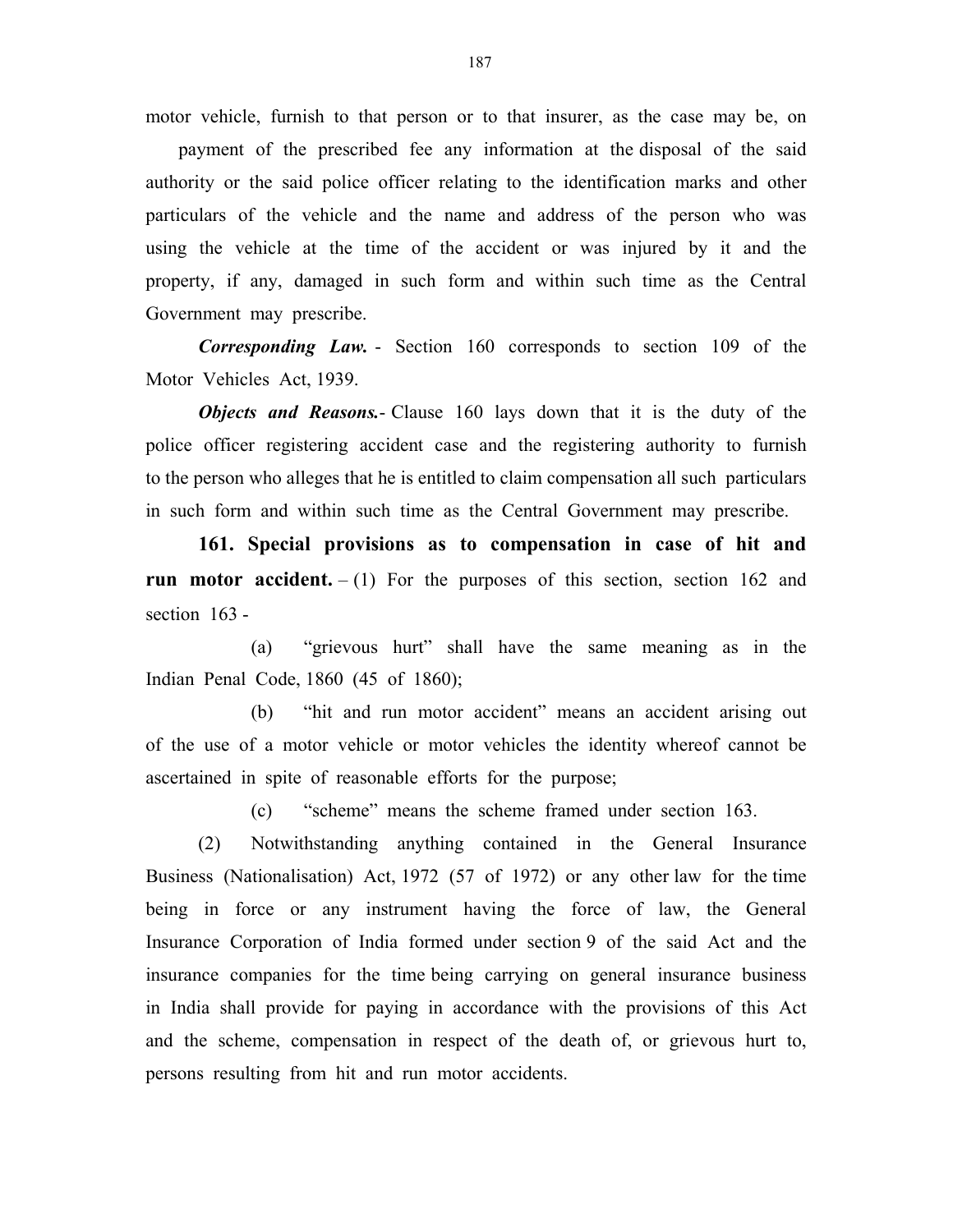motor vehicle, furnish to that person or to that insurer, as the case may be, on

payment of the prescribed fee any information at the disposal of the said authority or the said police officer relating to the identification marks and other particulars of the vehicle and the name and address of the person who was using the vehicle at the time of the accident or was injured by it and the property, if any, damaged in such form and within such time as the Central Government may prescribe.

*Corresponding Law.* - Section 160 corresponds to section 109 of the Motor Vehicles Act, 1939.

*Objects and Reasons.*- Clause 160 lays down that it is the duty of the police officer registering accident case and the registering authority to furnish to the person who alleges that he is entitled to claim compensation all such particulars in such form and within such time as the Central Government may prescribe.

**161. Special provisions as to compensation in case of hit and run motor accident.**  $- (1)$  For the purposes of this section, section 162 and section 163 -

(a) "grievous hurt" shall have the same meaning as in the Indian Penal Code, 1860 (45 of 1860);

(b) "hit and run motor accident" means an accident arising out of the use of a motor vehicle or motor vehicles the identity whereof cannot be ascertained in spite of reasonable efforts for the purpose;

(c) "scheme" means the scheme framed under section 163.

(2) Notwithstanding anything contained in the General Insurance Business (Nationalisation) Act, 1972 (57 of 1972) or any other law for the time being in force or any instrument having the force of law, the General Insurance Corporation of India formed under section 9 of the said Act and the insurance companies for the time being carrying on general insurance business in India shall provide for paying in accordance with the provisions of this Act and the scheme, compensation in respect of the death of, or grievous hurt to, persons resulting from hit and run motor accidents.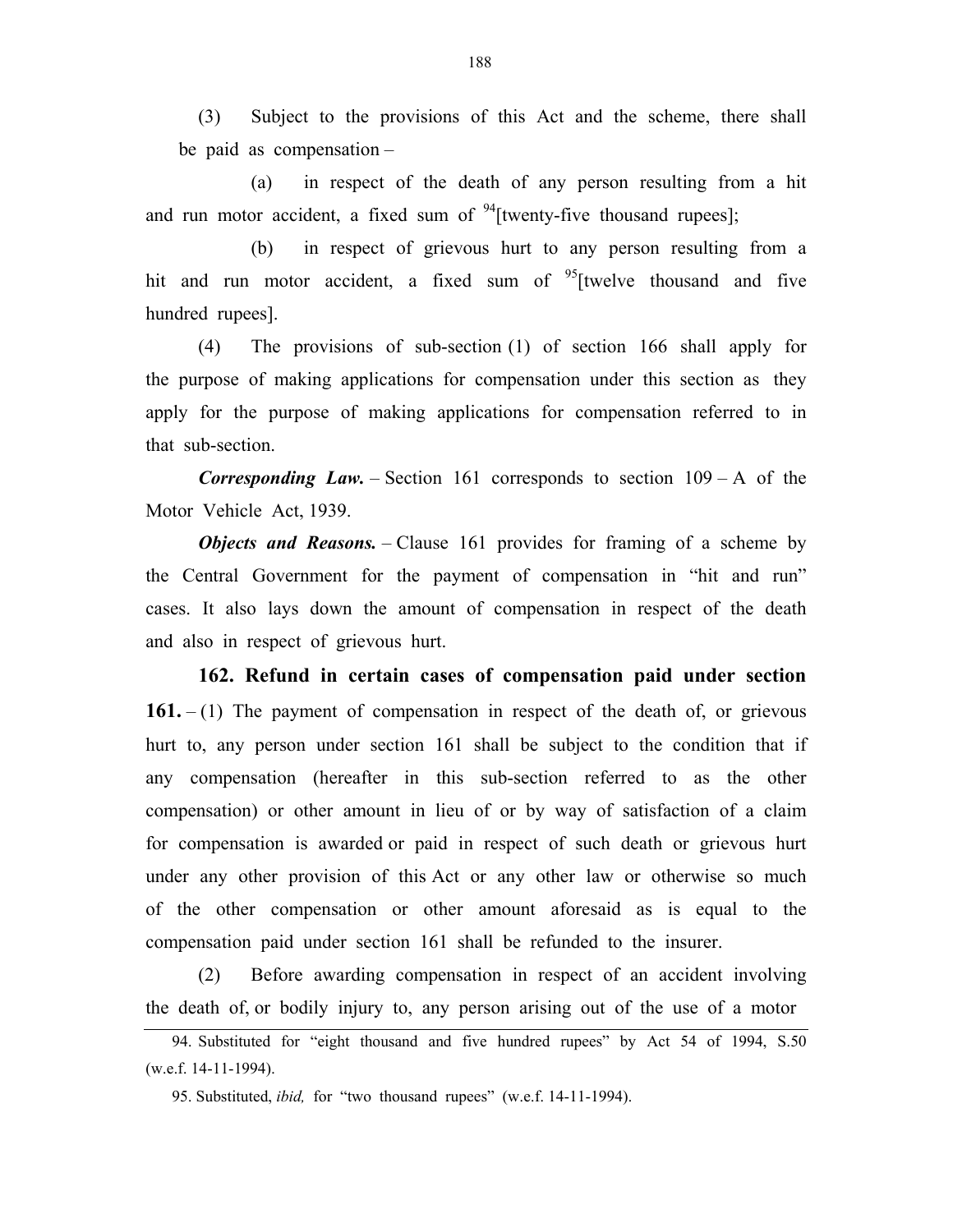(3) Subject to the provisions of this Act and the scheme, there shall be paid as compensation –

(a) in respect of the death of any person resulting from a hit and run motor accident, a fixed sum of  $94$ [twenty-five thousand rupees];

(b) in respect of grievous hurt to any person resulting from a hit and run motor accident, a fixed sum of  $95$ [twelve thousand and five hundred rupees].

(4) The provisions of sub-section (1) of section 166 shall apply for the purpose of making applications for compensation under this section as they apply for the purpose of making applications for compensation referred to in that sub-section.

*Corresponding Law.* – Section 161 corresponds to section  $109 - A$  of the Motor Vehicle Act, 1939.

*Objects and Reasons.* – Clause 161 provides for framing of a scheme by the Central Government for the payment of compensation in "hit and run" cases. It also lays down the amount of compensation in respect of the death and also in respect of grievous hurt.

**162. Refund in certain cases of compensation paid under section 161.** – (1) The payment of compensation in respect of the death of, or grievous hurt to, any person under section 161 shall be subject to the condition that if any compensation (hereafter in this sub-section referred to as the other compensation) or other amount in lieu of or by way of satisfaction of a claim for compensation is awarded or paid in respect of such death or grievous hurt under any other provision of this Act or any other law or otherwise so much of the other compensation or other amount aforesaid as is equal to the compensation paid under section 161 shall be refunded to the insurer.

(2) Before awarding compensation in respect of an accident involving the death of, or bodily injury to, any person arising out of the use of a motor

<sup>94.</sup> Substituted for "eight thousand and five hundred rupees" by Act 54 of 1994, S.50 (w.e.f. 14-11-1994).

<sup>95.</sup> Substituted, *ibid,* for "two thousand rupees" (w.e.f. 14-11-1994).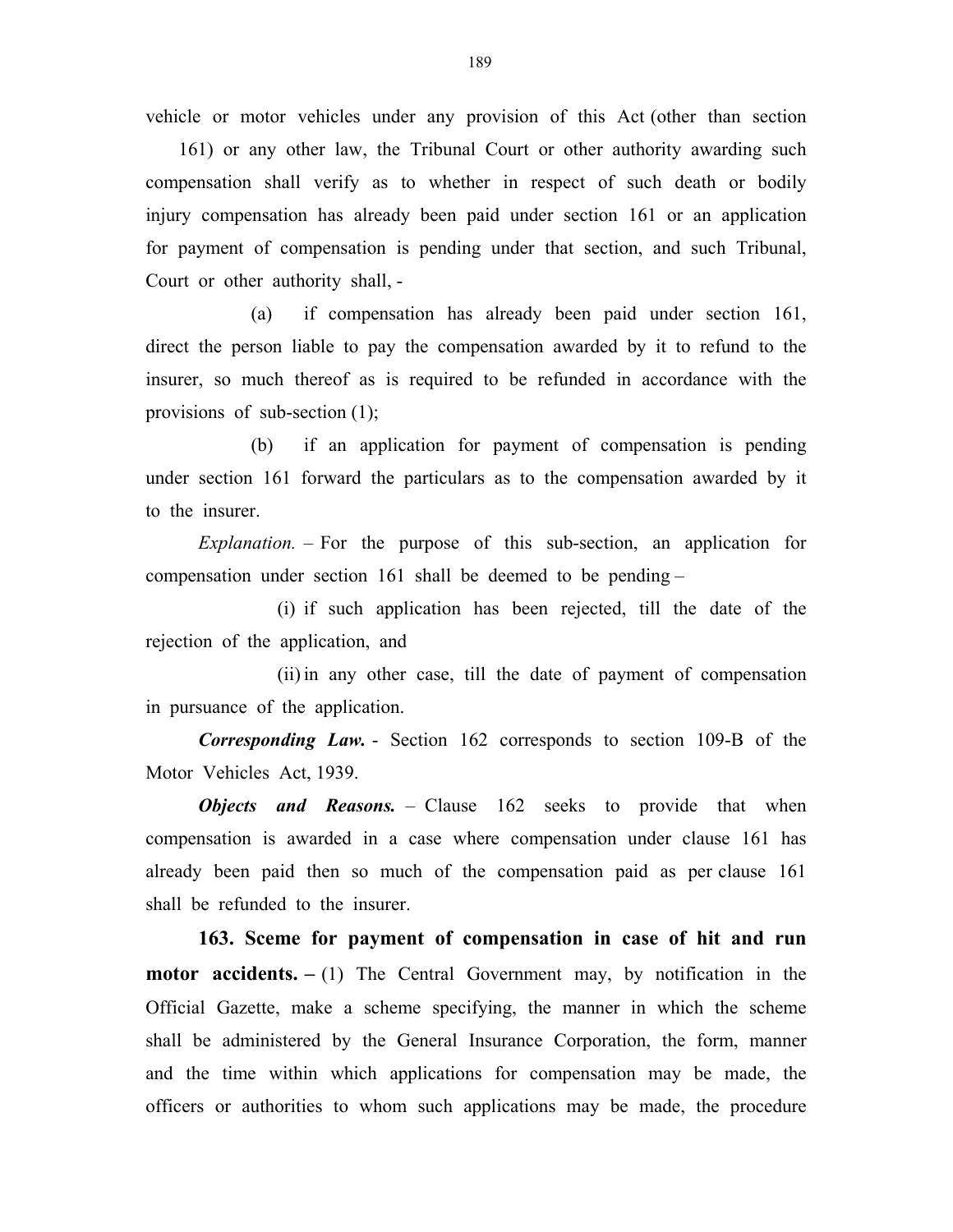vehicle or motor vehicles under any provision of this Act (other than section

161) or any other law, the Tribunal Court or other authority awarding such compensation shall verify as to whether in respect of such death or bodily injury compensation has already been paid under section 161 or an application for payment of compensation is pending under that section, and such Tribunal, Court or other authority shall, -

(a) if compensation has already been paid under section 161, direct the person liable to pay the compensation awarded by it to refund to the insurer, so much thereof as is required to be refunded in accordance with the provisions of sub-section (1);

(b) if an application for payment of compensation is pending under section 161 forward the particulars as to the compensation awarded by it to the insurer.

*Explanation.* – For the purpose of this sub-section, an application for compensation under section 161 shall be deemed to be pending –

(i) if such application has been rejected, till the date of the rejection of the application, and

(ii) in any other case, till the date of payment of compensation in pursuance of the application.

*Corresponding Law.* - Section 162 corresponds to section 109-B of the Motor Vehicles Act, 1939.

*Objects and Reasons.* – Clause 162 seeks to provide that when compensation is awarded in a case where compensation under clause 161 has already been paid then so much of the compensation paid as per clause 161 shall be refunded to the insurer.

 **163. Sceme for payment of compensation in case of hit and run motor accidents.** – (1) The Central Government may, by notification in the Official Gazette, make a scheme specifying, the manner in which the scheme shall be administered by the General Insurance Corporation, the form, manner and the time within which applications for compensation may be made, the officers or authorities to whom such applications may be made, the procedure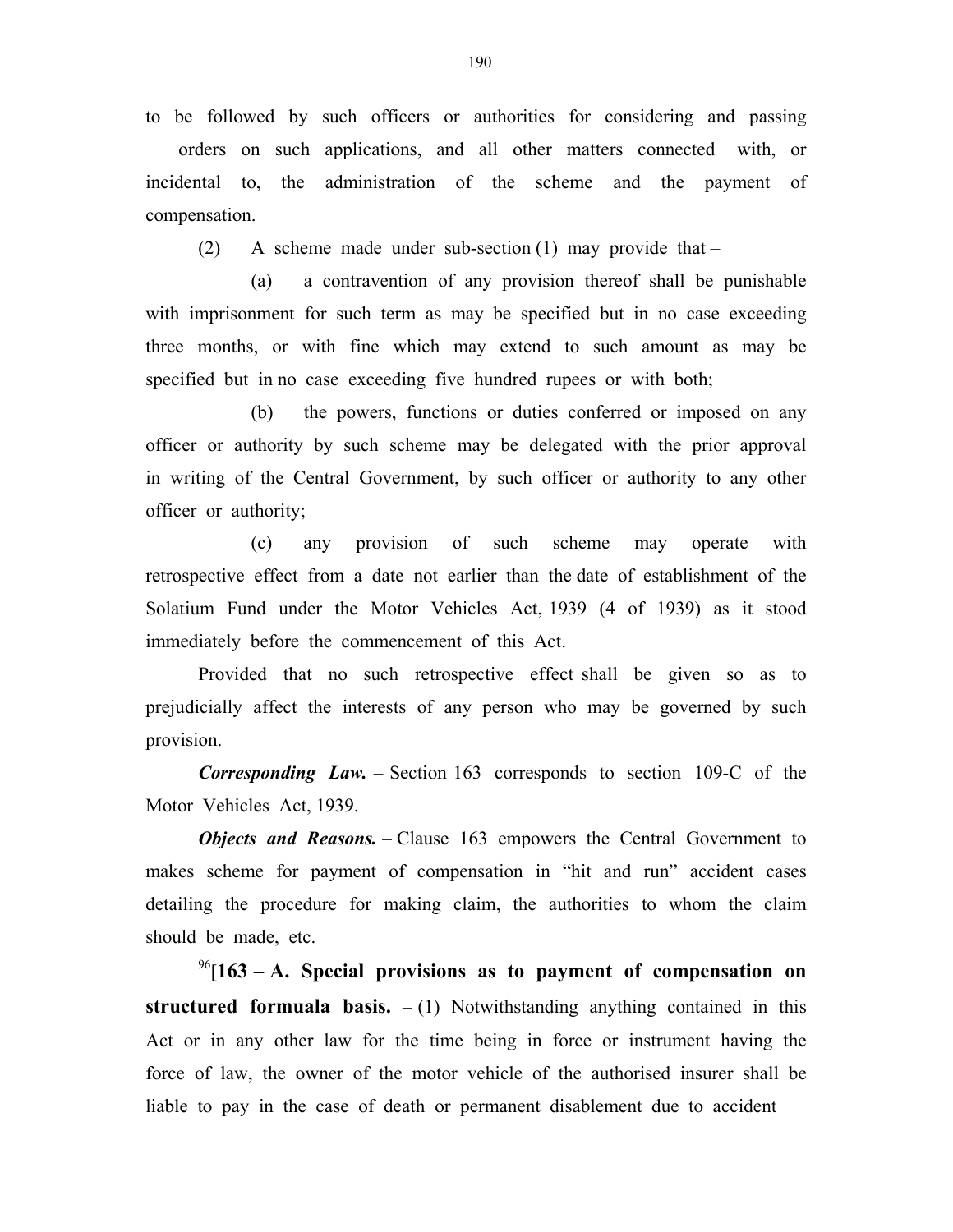to be followed by such officers or authorities for considering and passing orders on such applications, and all other matters connected with, or incidental to, the administration of the scheme and the payment of compensation.

(2) A scheme made under sub-section (1) may provide that –

(a) a contravention of any provision thereof shall be punishable with imprisonment for such term as may be specified but in no case exceeding three months, or with fine which may extend to such amount as may be specified but in no case exceeding five hundred rupees or with both;

(b) the powers, functions or duties conferred or imposed on any officer or authority by such scheme may be delegated with the prior approval in writing of the Central Government, by such officer or authority to any other officer or authority;

(c) any provision of such scheme may operate with retrospective effect from a date not earlier than the date of establishment of the Solatium Fund under the Motor Vehicles Act, 1939 (4 of 1939) as it stood immediately before the commencement of this Act.

Provided that no such retrospective effect shall be given so as to prejudicially affect the interests of any person who may be governed by such provision.

*Corresponding Law.* – Section 163 corresponds to section 109-C of the Motor Vehicles Act, 1939.

*Objects and Reasons.* – Clause 163 empowers the Central Government to makes scheme for payment of compensation in "hit and run" accident cases detailing the procedure for making claim, the authorities to whom the claim should be made, etc.

96[**163 – A. Special provisions as to payment of compensation on structured formuala basis.**  $- (1)$  Notwithstanding anything contained in this Act or in any other law for the time being in force or instrument having the force of law, the owner of the motor vehicle of the authorised insurer shall be liable to pay in the case of death or permanent disablement due to accident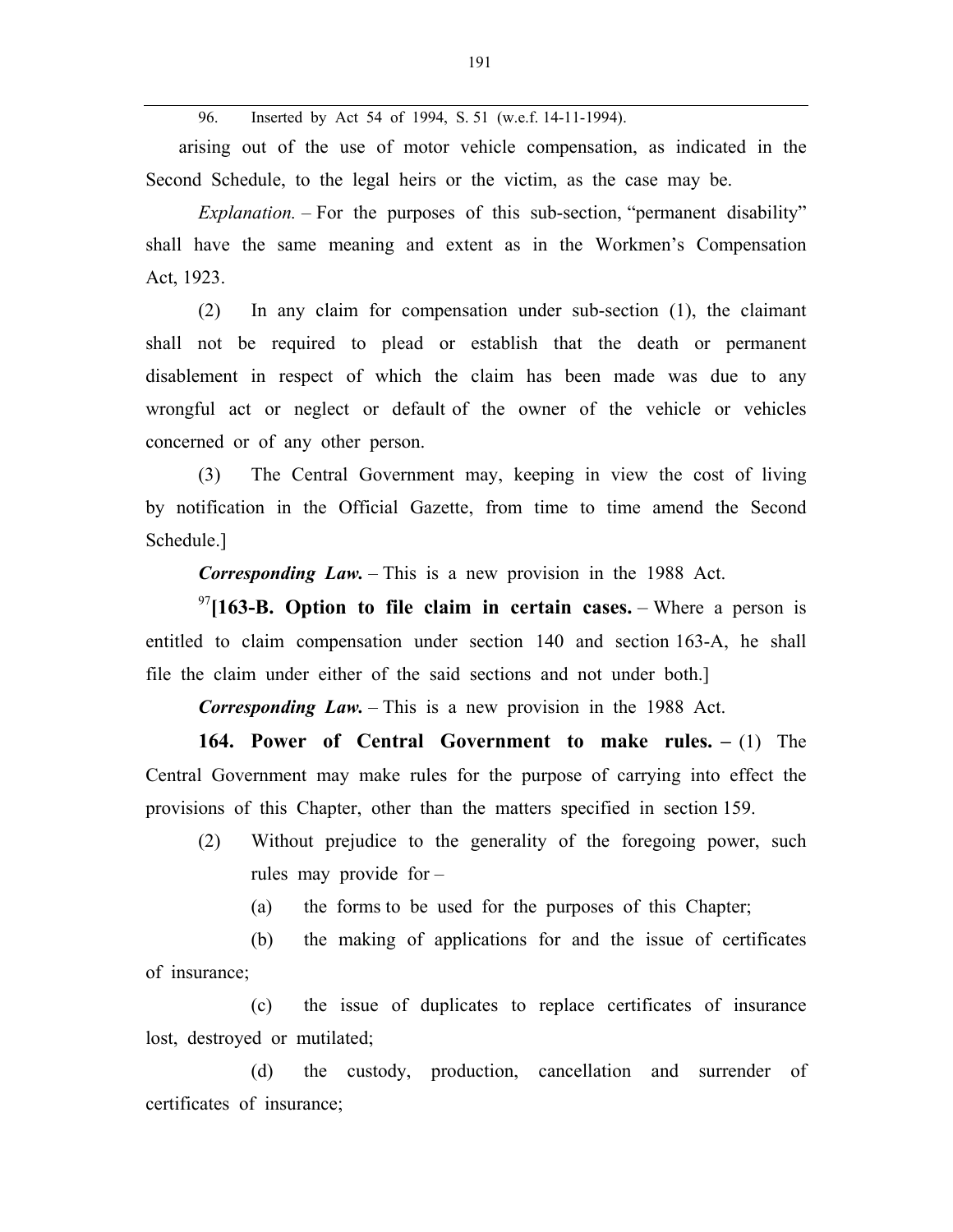96. Inserted by Act 54 of 1994, S. 51 (w.e.f. 14-11-1994).

arising out of the use of motor vehicle compensation, as indicated in the Second Schedule, to the legal heirs or the victim, as the case may be.

*Explanation.* – For the purposes of this sub-section, "permanent disability" shall have the same meaning and extent as in the Workmen's Compensation Act, 1923.

(2) In any claim for compensation under sub-section (1), the claimant shall not be required to plead or establish that the death or permanent disablement in respect of which the claim has been made was due to any wrongful act or neglect or default of the owner of the vehicle or vehicles concerned or of any other person.

(3) The Central Government may, keeping in view the cost of living by notification in the Official Gazette, from time to time amend the Second Schedule.]

*Corresponding Law.* – This is a new provision in the 1988 Act.

<sup>97</sup>**[163-B. Option to file claim in certain cases.** *–* Where a person is entitled to claim compensation under section 140 and section 163-A, he shall file the claim under either of the said sections and not under both.]

*Corresponding Law.* – This is a new provision in the 1988 Act.

**164. Power of Central Government to make rules. –** (1) The Central Government may make rules for the purpose of carrying into effect the provisions of this Chapter, other than the matters specified in section 159.

(2) Without prejudice to the generality of the foregoing power, such rules may provide for –

(a) the forms to be used for the purposes of this Chapter;

(b) the making of applications for and the issue of certificates of insurance;

(c) the issue of duplicates to replace certificates of insurance lost, destroyed or mutilated;

(d) the custody, production, cancellation and surrender of certificates of insurance;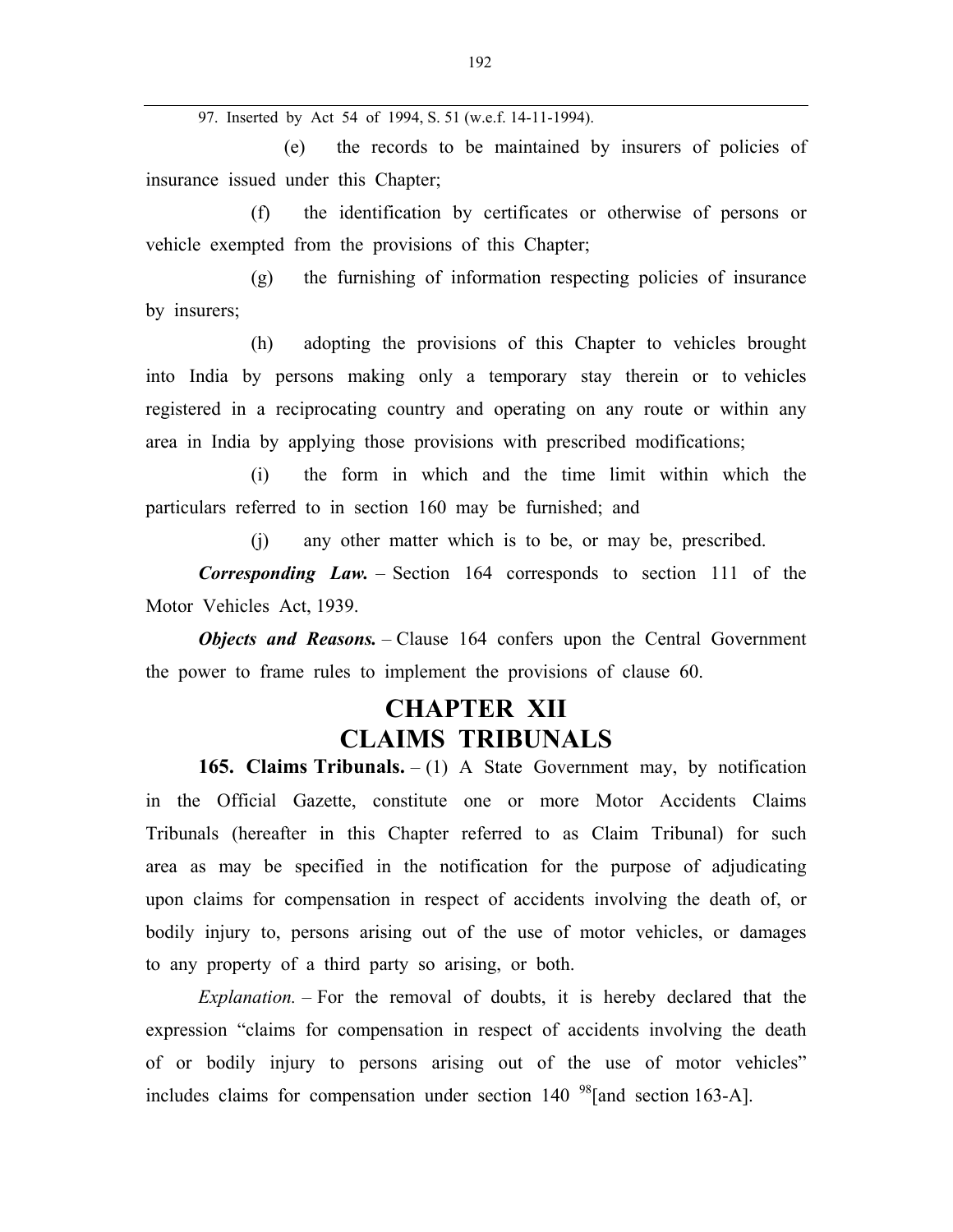97. Inserted by Act 54 of 1994, S. 51 (w.e.f. 14-11-1994).

(e) the records to be maintained by insurers of policies of insurance issued under this Chapter;

(f) the identification by certificates or otherwise of persons or vehicle exempted from the provisions of this Chapter;

(g) the furnishing of information respecting policies of insurance by insurers;

(h) adopting the provisions of this Chapter to vehicles brought into India by persons making only a temporary stay therein or to vehicles registered in a reciprocating country and operating on any route or within any area in India by applying those provisions with prescribed modifications;

(i) the form in which and the time limit within which the particulars referred to in section 160 may be furnished; and

(j) any other matter which is to be, or may be, prescribed.

*Corresponding Law.* – Section 164 corresponds to section 111 of the Motor Vehicles Act, 1939.

*Objects and Reasons.* – Clause 164 confers upon the Central Government the power to frame rules to implement the provisions of clause 60.

## **CHAPTER XII CLAIMS TRIBUNALS**

**165. Claims Tribunals.** – (1) A State Government may, by notification in the Official Gazette, constitute one or more Motor Accidents Claims Tribunals (hereafter in this Chapter referred to as Claim Tribunal) for such area as may be specified in the notification for the purpose of adjudicating upon claims for compensation in respect of accidents involving the death of, or bodily injury to, persons arising out of the use of motor vehicles, or damages to any property of a third party so arising, or both.

*Explanation.* – For the removal of doubts, it is hereby declared that the expression "claims for compensation in respect of accidents involving the death of or bodily injury to persons arising out of the use of motor vehicles" includes claims for compensation under section 140<sup>98</sup>[and section 163-A].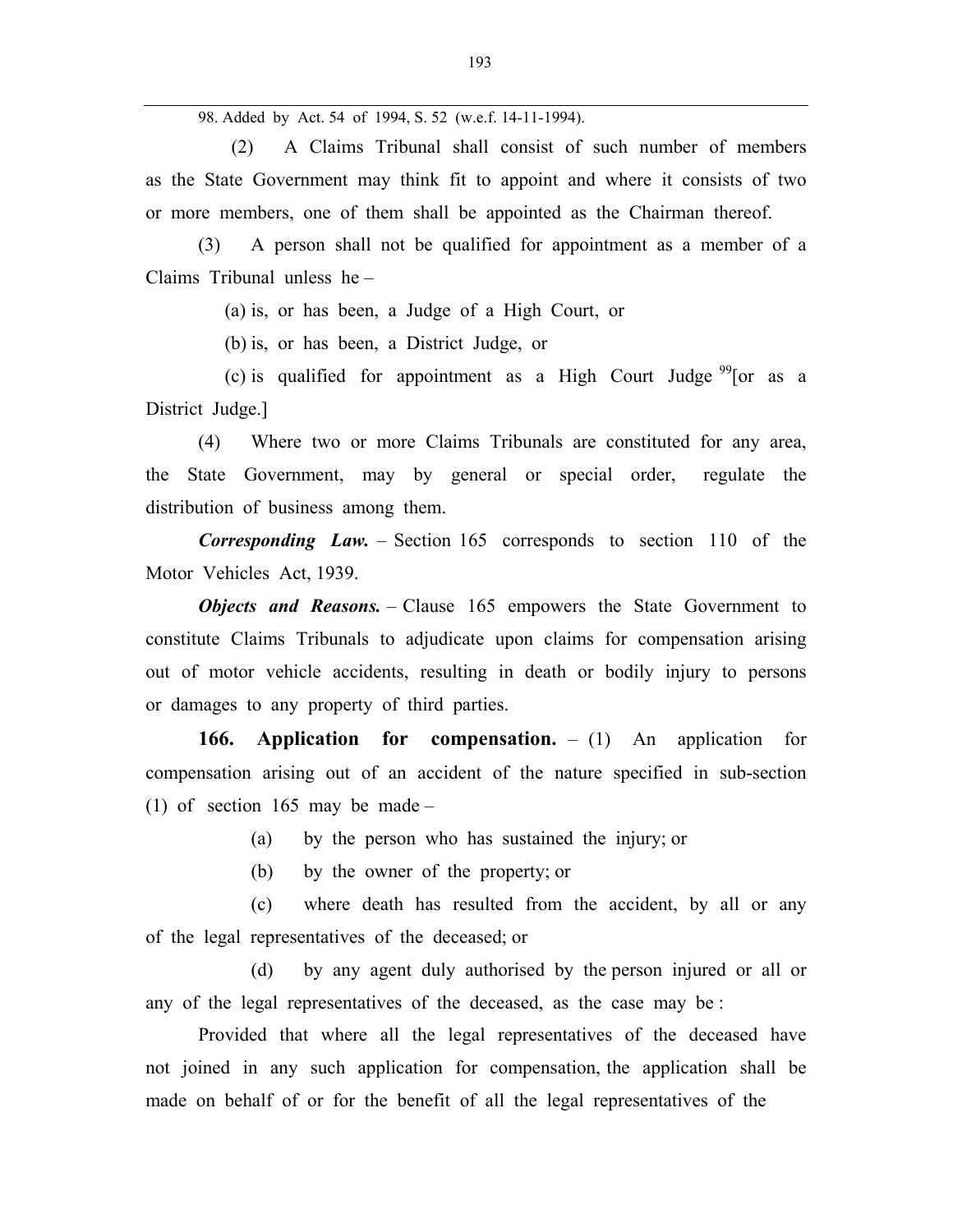98. Added by Act. 54 of 1994, S. 52 (w.e.f. 14-11-1994).

(2) A Claims Tribunal shall consist of such number of members as the State Government may think fit to appoint and where it consists of two or more members, one of them shall be appointed as the Chairman thereof.

(3) A person shall not be qualified for appointment as a member of a Claims Tribunal unless he –

(a) is, or has been, a Judge of a High Court, or

(b) is, or has been, a District Judge, or

(c) is qualified for appointment as a High Court Judge  $99$ [or as a District Judge.]

(4) Where two or more Claims Tribunals are constituted for any area, the State Government, may by general or special order, regulate the distribution of business among them.

*Corresponding Law.* – Section 165 corresponds to section 110 of the Motor Vehicles Act, 1939.

*Objects and Reasons.* – Clause 165 empowers the State Government to constitute Claims Tribunals to adjudicate upon claims for compensation arising out of motor vehicle accidents, resulting in death or bodily injury to persons or damages to any property of third parties.

**166. Application for compensation.**  $- (1)$  An application for compensation arising out of an accident of the nature specified in sub-section (1) of section  $165$  may be made –

(a) by the person who has sustained the injury; or

(b) by the owner of the property; or

(c) where death has resulted from the accident, by all or any of the legal representatives of the deceased; or

(d) by any agent duly authorised by the person injured or all or any of the legal representatives of the deceased, as the case may be :

Provided that where all the legal representatives of the deceased have not joined in any such application for compensation, the application shall be made on behalf of or for the benefit of all the legal representatives of the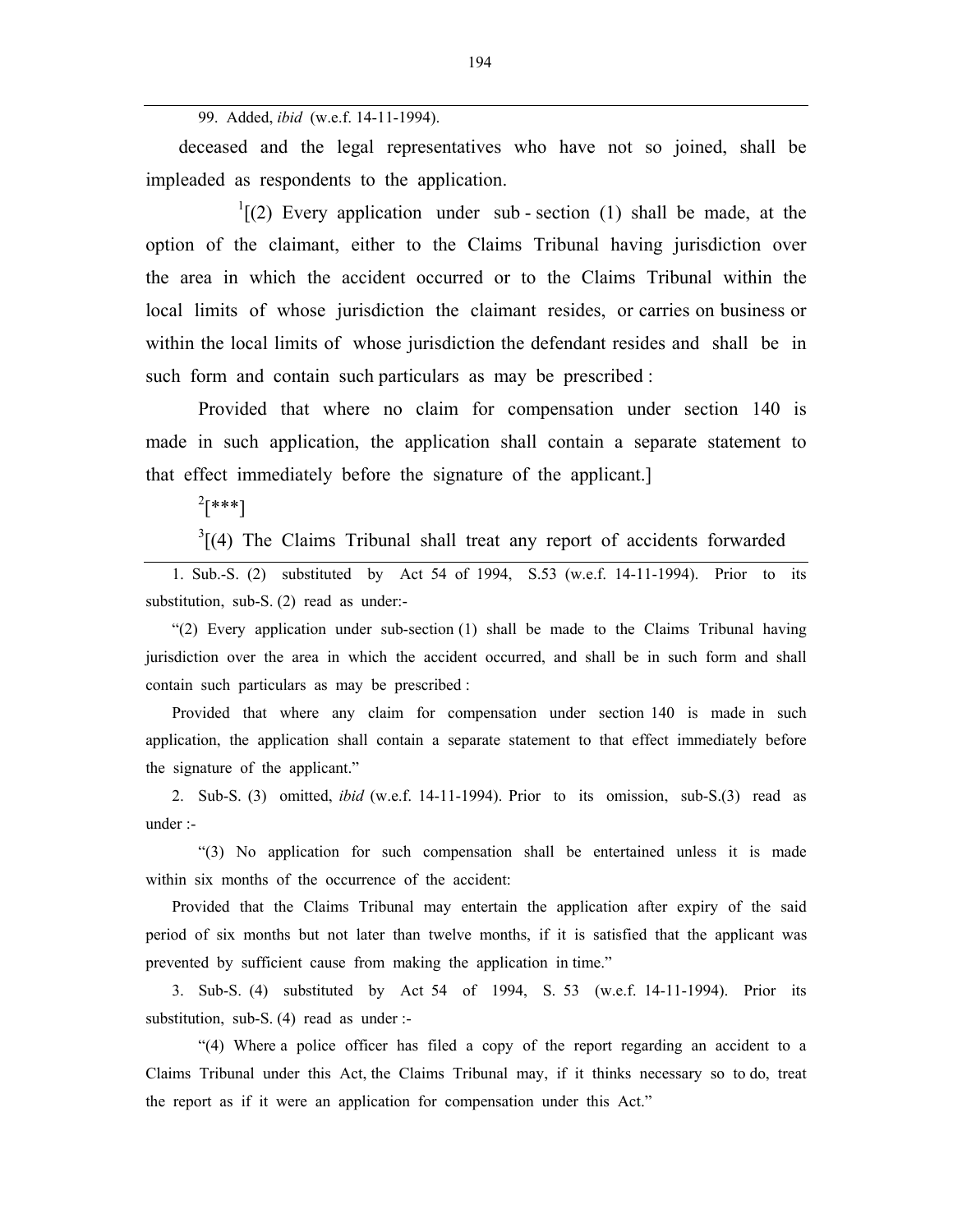99. Added, *ibid* (w.e.f. 14-11-1994).

deceased and the legal representatives who have not so joined, shall be impleaded as respondents to the application.

 $\frac{1}{2}$  Every application under sub-section (1) shall be made, at the option of the claimant, either to the Claims Tribunal having jurisdiction over the area in which the accident occurred or to the Claims Tribunal within the local limits of whose jurisdiction the claimant resides, or carries on business or within the local limits of whose jurisdiction the defendant resides and shall be in such form and contain such particulars as may be prescribed :

Provided that where no claim for compensation under section 140 is made in such application, the application shall contain a separate statement to that effect immediately before the signature of the applicant.]

 $^{2}$ [\*\*\*]

 $3(4)$  The Claims Tribunal shall treat any report of accidents forwarded

1. Sub.-S. (2) substituted by Act 54 of 1994, S.53 (w.e.f. 14-11-1994). Prior to its substitution, sub-S. (2) read as under:-

"(2) Every application under sub-section (1) shall be made to the Claims Tribunal having jurisdiction over the area in which the accident occurred, and shall be in such form and shall contain such particulars as may be prescribed :

Provided that where any claim for compensation under section 140 is made in such application, the application shall contain a separate statement to that effect immediately before the signature of the applicant."

2. Sub-S. (3) omitted, *ibid* (w.e.f. 14-11-1994). Prior to its omission, sub-S.(3) read as under :-

"(3) No application for such compensation shall be entertained unless it is made within six months of the occurrence of the accident:

Provided that the Claims Tribunal may entertain the application after expiry of the said period of six months but not later than twelve months, if it is satisfied that the applicant was prevented by sufficient cause from making the application in time."

3. Sub-S. (4) substituted by Act 54 of 1994, S. 53 (w.e.f. 14-11-1994). Prior its substitution, sub-S. (4) read as under :-

"(4) Where a police officer has filed a copy of the report regarding an accident to a Claims Tribunal under this Act, the Claims Tribunal may, if it thinks necessary so to do, treat the report as if it were an application for compensation under this Act."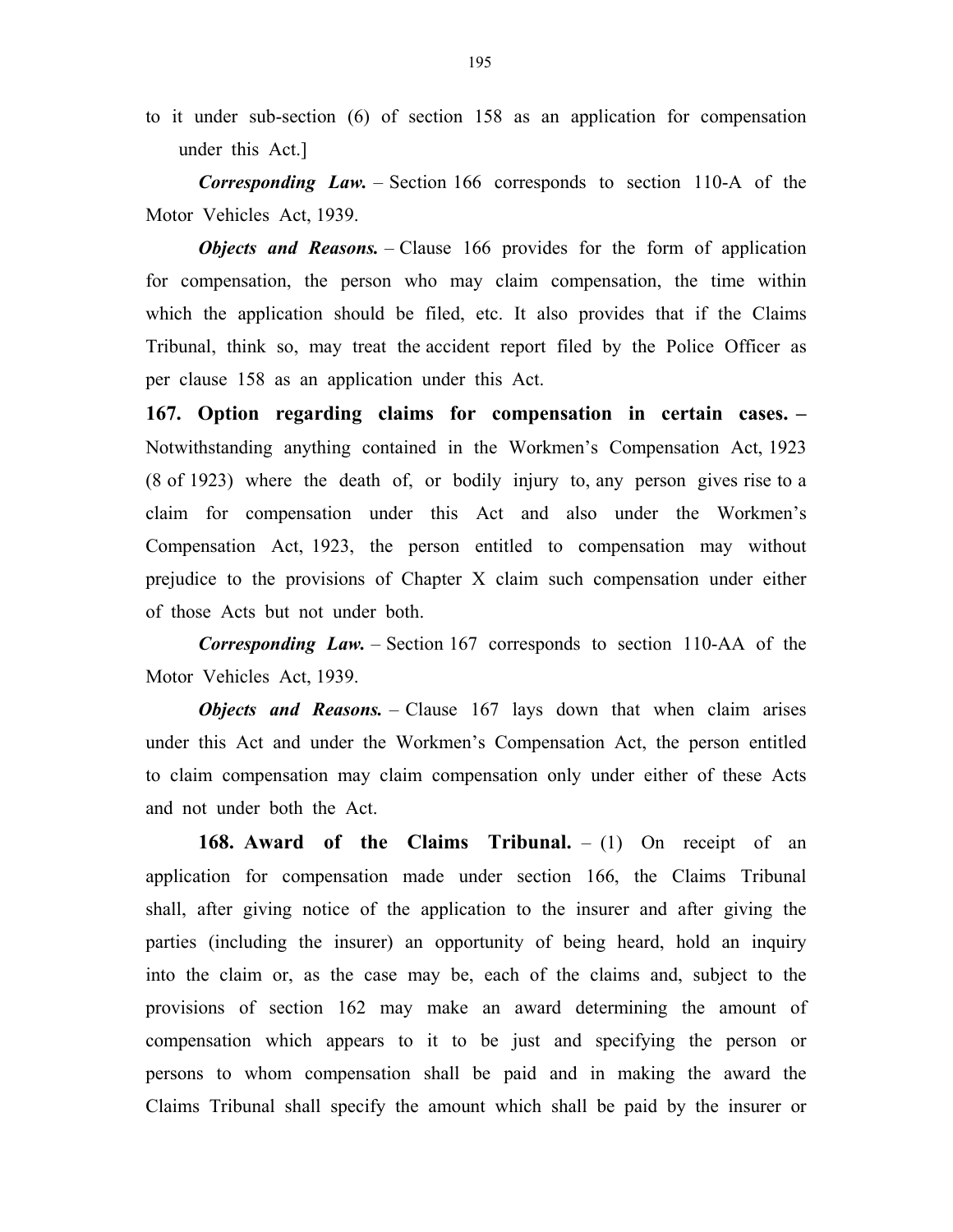to it under sub-section (6) of section 158 as an application for compensation under this Act.]

*Corresponding Law.* – Section 166 corresponds to section 110-A of the Motor Vehicles Act, 1939.

*Objects and Reasons.* – Clause 166 provides for the form of application for compensation, the person who may claim compensation, the time within which the application should be filed, etc. It also provides that if the Claims Tribunal, think so, may treat the accident report filed by the Police Officer as per clause 158 as an application under this Act.

**167. Option regarding claims for compensation in certain cases. –** Notwithstanding anything contained in the Workmen's Compensation Act, 1923 (8 of 1923) where the death of, or bodily injury to, any person gives rise to a claim for compensation under this Act and also under the Workmen's Compensation Act, 1923, the person entitled to compensation may without prejudice to the provisions of Chapter X claim such compensation under either of those Acts but not under both.

*Corresponding Law.* – Section 167 corresponds to section 110-AA of the Motor Vehicles Act, 1939.

*Objects and Reasons.* – Clause 167 lays down that when claim arises under this Act and under the Workmen's Compensation Act, the person entitled to claim compensation may claim compensation only under either of these Acts and not under both the Act.

**168. Award of the Claims Tribunal.**  $- (1)$  On receipt of an application for compensation made under section 166, the Claims Tribunal shall, after giving notice of the application to the insurer and after giving the parties (including the insurer) an opportunity of being heard, hold an inquiry into the claim or, as the case may be, each of the claims and, subject to the provisions of section 162 may make an award determining the amount of compensation which appears to it to be just and specifying the person or persons to whom compensation shall be paid and in making the award the Claims Tribunal shall specify the amount which shall be paid by the insurer or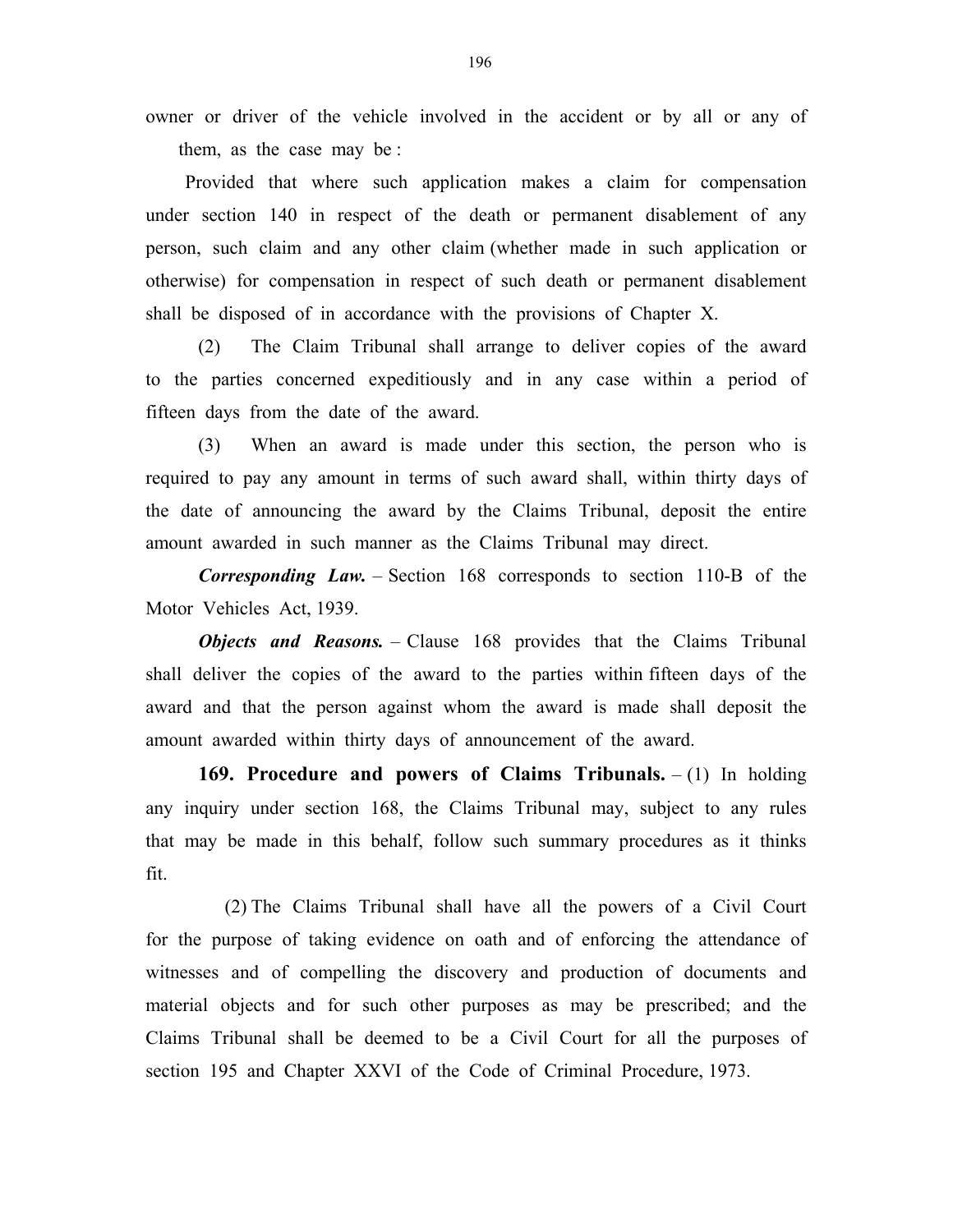owner or driver of the vehicle involved in the accident or by all or any of them, as the case may be :

Provided that where such application makes a claim for compensation under section 140 in respect of the death or permanent disablement of any person, such claim and any other claim (whether made in such application or otherwise) for compensation in respect of such death or permanent disablement shall be disposed of in accordance with the provisions of Chapter X.

(2) The Claim Tribunal shall arrange to deliver copies of the award to the parties concerned expeditiously and in any case within a period of fifteen days from the date of the award.

(3) When an award is made under this section, the person who is required to pay any amount in terms of such award shall, within thirty days of the date of announcing the award by the Claims Tribunal, deposit the entire amount awarded in such manner as the Claims Tribunal may direct.

*Corresponding Law.* – Section 168 corresponds to section 110-B of the Motor Vehicles Act, 1939.

*Objects and Reasons.* – Clause 168 provides that the Claims Tribunal shall deliver the copies of the award to the parties within fifteen days of the award and that the person against whom the award is made shall deposit the amount awarded within thirty days of announcement of the award.

**169. Procedure and powers of Claims Tribunals.**  $- (1)$  In holding any inquiry under section 168, the Claims Tribunal may, subject to any rules that may be made in this behalf, follow such summary procedures as it thinks fit.

(2) The Claims Tribunal shall have all the powers of a Civil Court for the purpose of taking evidence on oath and of enforcing the attendance of witnesses and of compelling the discovery and production of documents and material objects and for such other purposes as may be prescribed; and the Claims Tribunal shall be deemed to be a Civil Court for all the purposes of section 195 and Chapter XXVI of the Code of Criminal Procedure, 1973.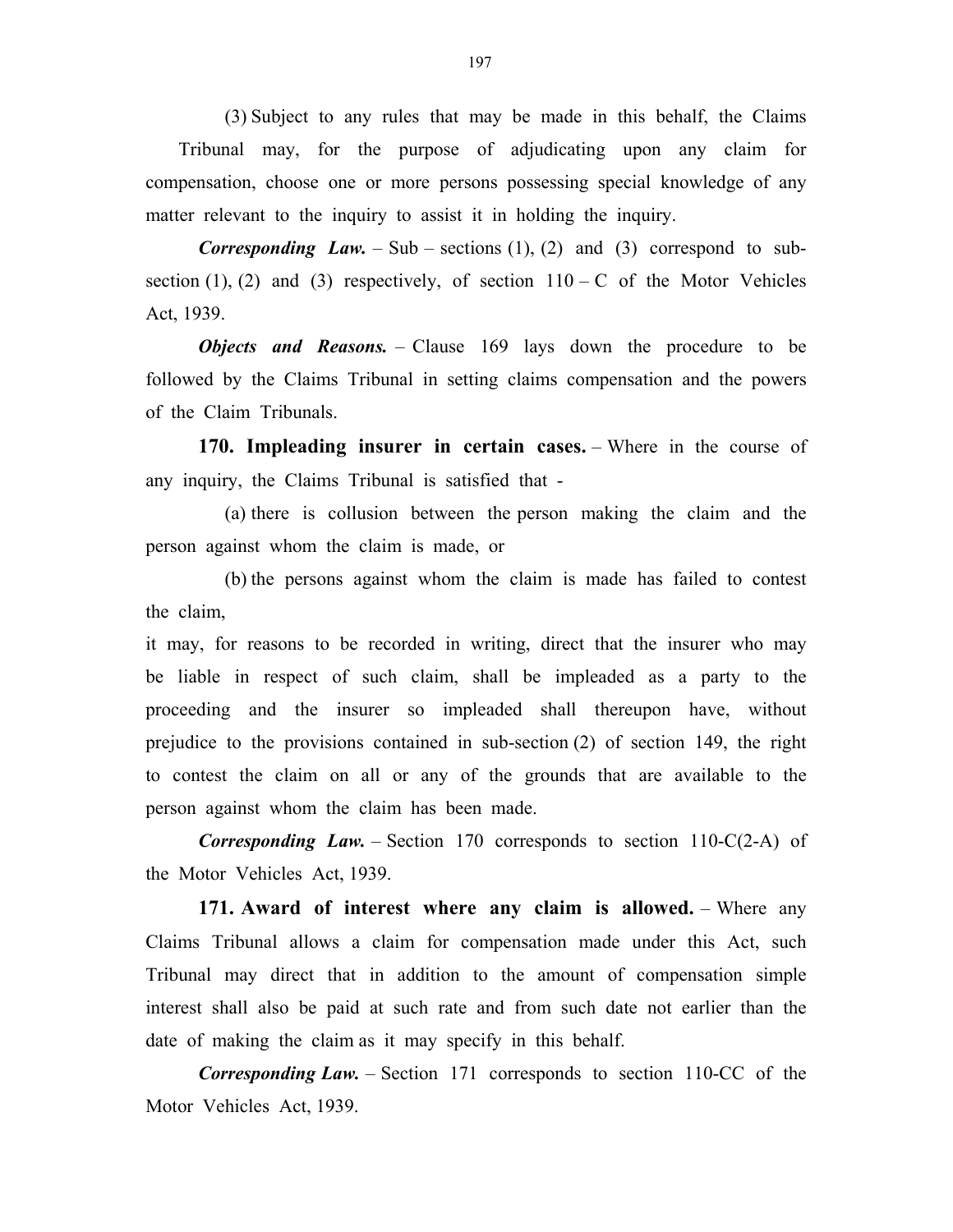(3) Subject to any rules that may be made in this behalf, the Claims Tribunal may, for the purpose of adjudicating upon any claim for compensation, choose one or more persons possessing special knowledge of any matter relevant to the inquiry to assist it in holding the inquiry.

*Corresponding Law.* – Sub – sections (1), (2) and (3) correspond to subsection (1), (2) and (3) respectively, of section  $110 - C$  of the Motor Vehicles Act, 1939.

*Objects and Reasons.* – Clause 169 lays down the procedure to be followed by the Claims Tribunal in setting claims compensation and the powers of the Claim Tribunals.

**170. Impleading insurer in certain cases.** – Where in the course of any inquiry, the Claims Tribunal is satisfied that -

(a) there is collusion between the person making the claim and the person against whom the claim is made, or

(b) the persons against whom the claim is made has failed to contest the claim,

it may, for reasons to be recorded in writing, direct that the insurer who may be liable in respect of such claim, shall be impleaded as a party to the proceeding and the insurer so impleaded shall thereupon have, without prejudice to the provisions contained in sub-section (2) of section 149, the right to contest the claim on all or any of the grounds that are available to the person against whom the claim has been made.

*Corresponding Law.* – Section 170 corresponds to section 110-C(2-A) of the Motor Vehicles Act, 1939.

**171. Award of interest where any claim is allowed.** – Where any Claims Tribunal allows a claim for compensation made under this Act, such Tribunal may direct that in addition to the amount of compensation simple interest shall also be paid at such rate and from such date not earlier than the date of making the claim as it may specify in this behalf.

*Corresponding Law.* – Section 171 corresponds to section 110-CC of the Motor Vehicles Act, 1939.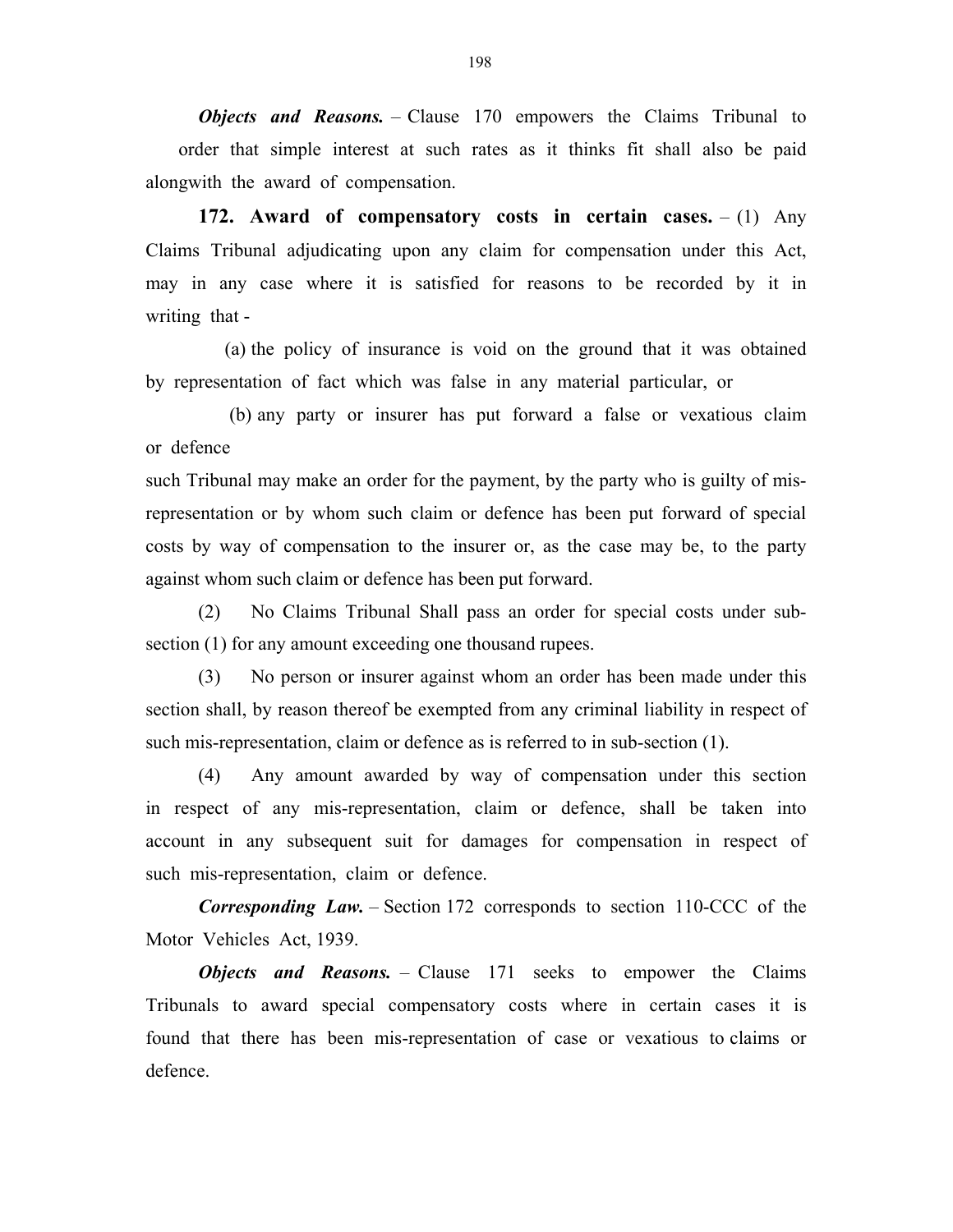*Objects and Reasons.* – Clause 170 empowers the Claims Tribunal to order that simple interest at such rates as it thinks fit shall also be paid alongwith the award of compensation.

 **172. Award of compensatory costs in certain cases.** – (1) Any Claims Tribunal adjudicating upon any claim for compensation under this Act, may in any case where it is satisfied for reasons to be recorded by it in writing that -

(a) the policy of insurance is void on the ground that it was obtained by representation of fact which was false in any material particular, or

 (b) any party or insurer has put forward a false or vexatious claim or defence

such Tribunal may make an order for the payment, by the party who is guilty of misrepresentation or by whom such claim or defence has been put forward of special costs by way of compensation to the insurer or, as the case may be, to the party against whom such claim or defence has been put forward.

 (2) No Claims Tribunal Shall pass an order for special costs under subsection (1) for any amount exceeding one thousand rupees.

 (3) No person or insurer against whom an order has been made under this section shall, by reason thereof be exempted from any criminal liability in respect of such mis-representation, claim or defence as is referred to in sub-section (1).

(4) Any amount awarded by way of compensation under this section in respect of any mis-representation, claim or defence, shall be taken into account in any subsequent suit for damages for compensation in respect of such mis-representation, claim or defence.

*Corresponding Law.* – Section 172 corresponds to section 110-CCC of the Motor Vehicles Act, 1939.

*Objects and Reasons.* – Clause 171 seeks to empower the Claims Tribunals to award special compensatory costs where in certain cases it is found that there has been mis-representation of case or vexatious to claims or defence.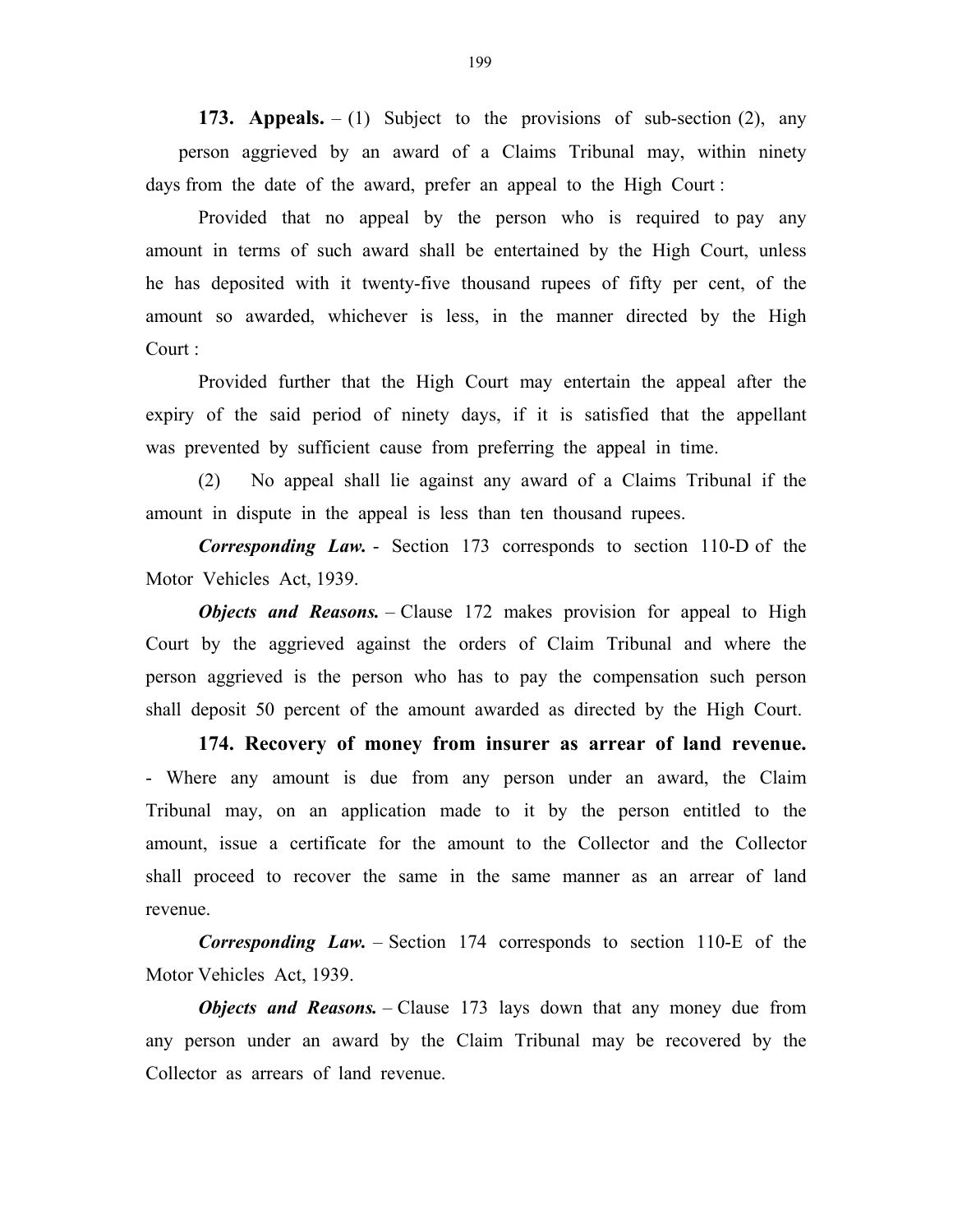**173. Appeals.** – (1) Subject to the provisions of sub-section (2), any person aggrieved by an award of a Claims Tribunal may, within ninety days from the date of the award, prefer an appeal to the High Court :

 Provided that no appeal by the person who is required to pay any amount in terms of such award shall be entertained by the High Court, unless he has deposited with it twenty-five thousand rupees of fifty per cent, of the amount so awarded, whichever is less, in the manner directed by the High Court :

 Provided further that the High Court may entertain the appeal after the expiry of the said period of ninety days, if it is satisfied that the appellant was prevented by sufficient cause from preferring the appeal in time.

(2) No appeal shall lie against any award of a Claims Tribunal if the amount in dispute in the appeal is less than ten thousand rupees.

*Corresponding Law.* - Section 173 corresponds to section 110-D of the Motor Vehicles Act, 1939.

*Objects and Reasons.* – Clause 172 makes provision for appeal to High Court by the aggrieved against the orders of Claim Tribunal and where the person aggrieved is the person who has to pay the compensation such person shall deposit 50 percent of the amount awarded as directed by the High Court.

**174. Recovery of money from insurer as arrear of land revenue.** - Where any amount is due from any person under an award, the Claim Tribunal may, on an application made to it by the person entitled to the amount, issue a certificate for the amount to the Collector and the Collector shall proceed to recover the same in the same manner as an arrear of land revenue.

*Corresponding Law.* – Section 174 corresponds to section 110-E of the Motor Vehicles Act, 1939.

*Objects and Reasons.* – Clause 173 lays down that any money due from any person under an award by the Claim Tribunal may be recovered by the Collector as arrears of land revenue.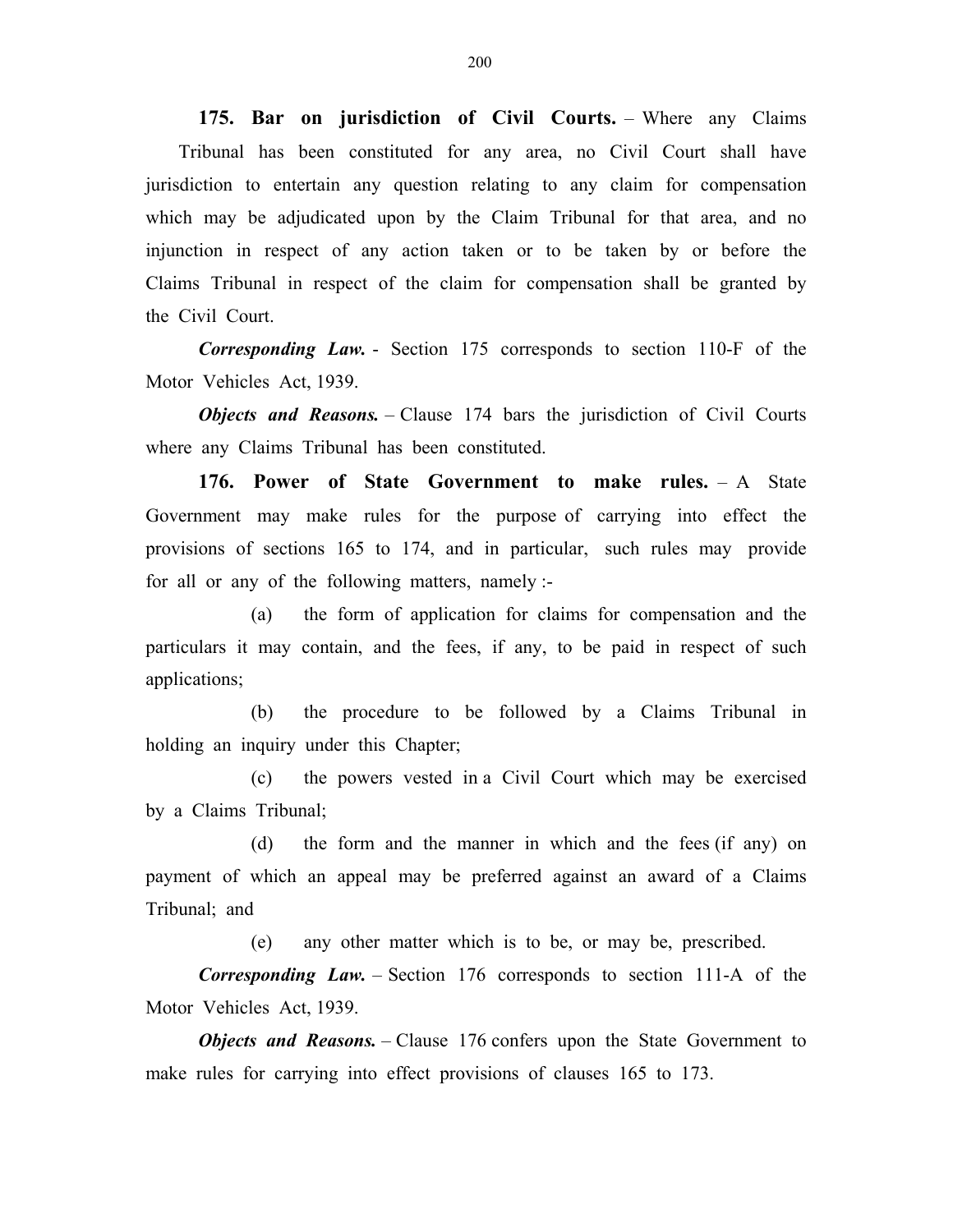**175. Bar on jurisdiction of Civil Courts.** – Where any Claims Tribunal has been constituted for any area, no Civil Court shall have jurisdiction to entertain any question relating to any claim for compensation which may be adjudicated upon by the Claim Tribunal for that area, and no injunction in respect of any action taken or to be taken by or before the Claims Tribunal in respect of the claim for compensation shall be granted by the Civil Court.

*Corresponding Law.* - Section 175 corresponds to section 110-F of the Motor Vehicles Act, 1939.

*Objects and Reasons.* – Clause 174 bars the jurisdiction of Civil Courts where any Claims Tribunal has been constituted.

**176. Power of State Government to make rules.** – A State Government may make rules for the purpose of carrying into effect the provisions of sections 165 to 174, and in particular, such rules may provide for all or any of the following matters, namely :-

(a) the form of application for claims for compensation and the particulars it may contain, and the fees, if any, to be paid in respect of such applications;

(b) the procedure to be followed by a Claims Tribunal in holding an inquiry under this Chapter;

(c) the powers vested in a Civil Court which may be exercised by a Claims Tribunal;

(d) the form and the manner in which and the fees (if any) on payment of which an appeal may be preferred against an award of a Claims Tribunal; and

(e) any other matter which is to be, or may be, prescribed.

*Corresponding Law.* – Section 176 corresponds to section 111-A of the Motor Vehicles Act, 1939.

*Objects and Reasons.* – Clause 176 confers upon the State Government to make rules for carrying into effect provisions of clauses 165 to 173.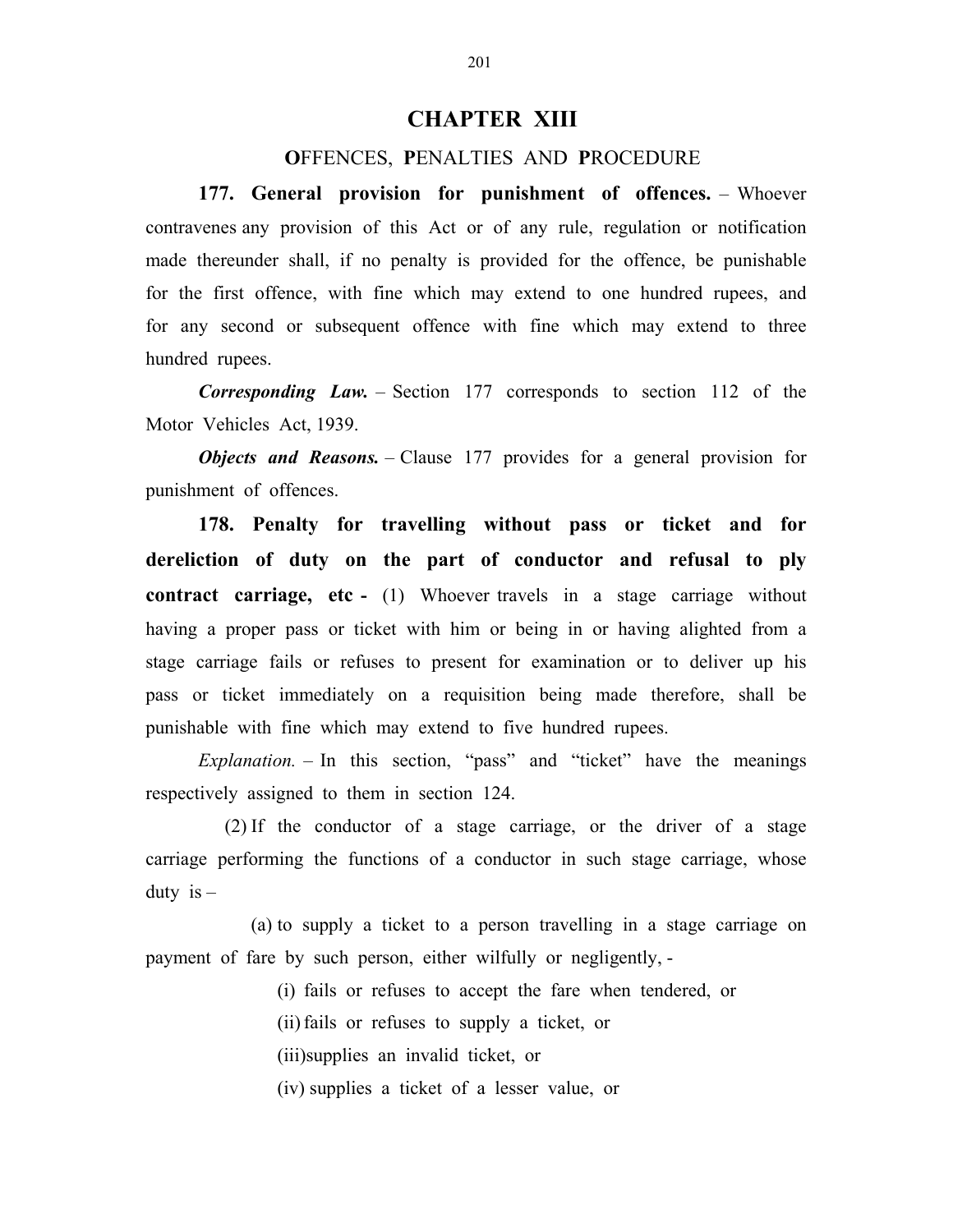## **CHAPTER XIII**

## **O**FFENCES, **P**ENALTIES AND **P**ROCEDURE

 **177. General provision for punishment of offences.** – Whoever contravenes any provision of this Act or of any rule, regulation or notification made thereunder shall, if no penalty is provided for the offence, be punishable for the first offence, with fine which may extend to one hundred rupees, and for any second or subsequent offence with fine which may extend to three hundred rupees.

*Corresponding Law.* – Section 177 corresponds to section 112 of the Motor Vehicles Act, 1939.

*Objects and Reasons.* – Clause 177 provides for a general provision for punishment of offences.

**178. Penalty for travelling without pass or ticket and for dereliction of duty on the part of conductor and refusal to ply contract carriage, etc** - (1) Whoever travels in a stage carriage without having a proper pass or ticket with him or being in or having alighted from a stage carriage fails or refuses to present for examination or to deliver up his pass or ticket immediately on a requisition being made therefore, shall be punishable with fine which may extend to five hundred rupees.

 *Explanation.* – In this section, "pass" and "ticket" have the meanings respectively assigned to them in section 124.

(2) If the conductor of a stage carriage, or the driver of a stage carriage performing the functions of a conductor in such stage carriage, whose duty is  $-$ 

(a) to supply a ticket to a person travelling in a stage carriage on payment of fare by such person, either wilfully or negligently, -

> (i) fails or refuses to accept the fare when tendered, or (ii) fails or refuses to supply a ticket, or (iii)supplies an invalid ticket, or (iv) supplies a ticket of a lesser value, or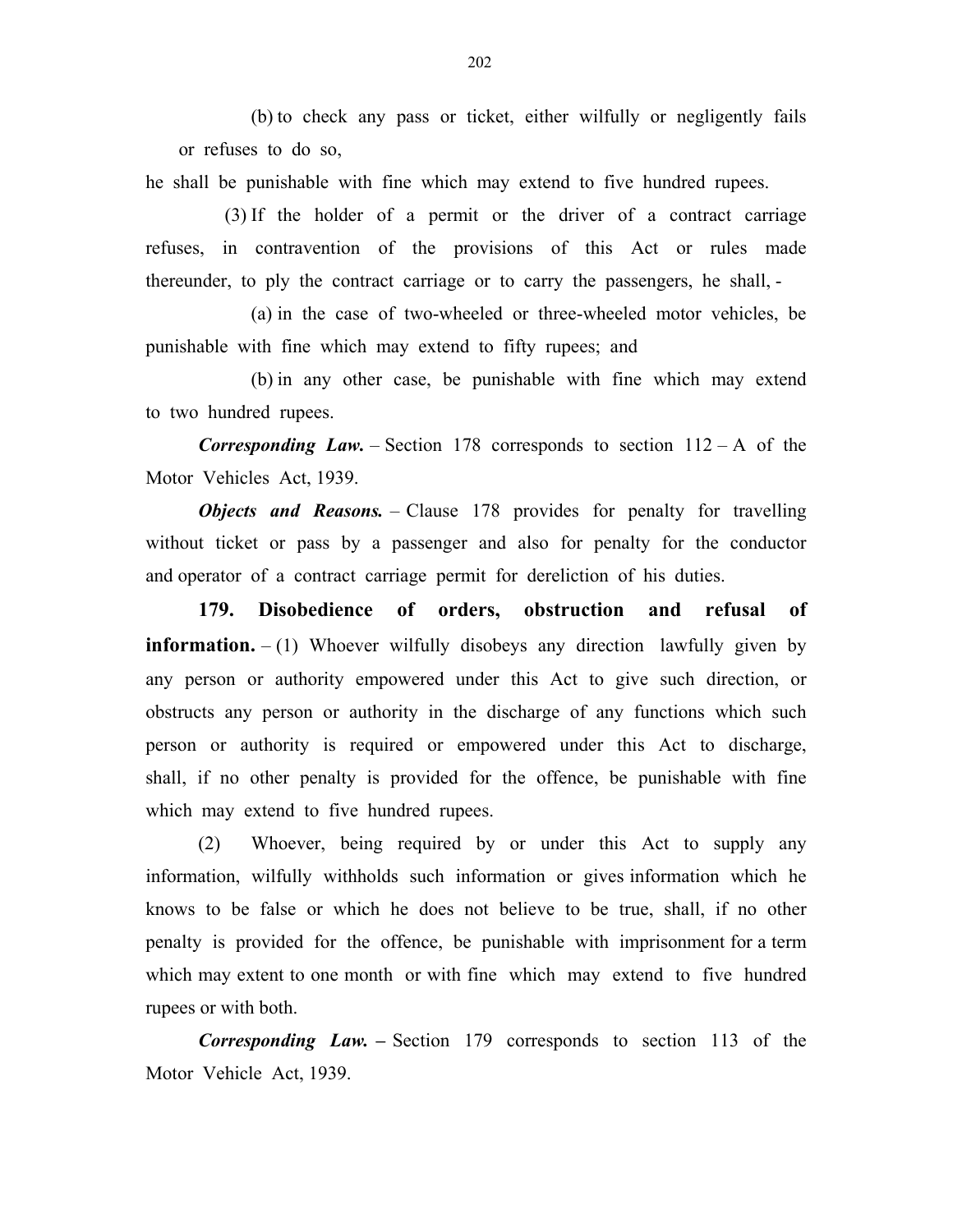(b) to check any pass or ticket, either wilfully or negligently fails or refuses to do so,

he shall be punishable with fine which may extend to five hundred rupees.

(3) If the holder of a permit or the driver of a contract carriage refuses, in contravention of the provisions of this Act or rules made thereunder, to ply the contract carriage or to carry the passengers, he shall, -

(a) in the case of two-wheeled or three-wheeled motor vehicles, be punishable with fine which may extend to fifty rupees; and

(b) in any other case, be punishable with fine which may extend to two hundred rupees.

*Corresponding Law.* – Section 178 corresponds to section  $112 - A$  of the Motor Vehicles Act, 1939.

*Objects and Reasons.* – Clause 178 provides for penalty for travelling without ticket or pass by a passenger and also for penalty for the conductor and operator of a contract carriage permit for dereliction of his duties.

**179. Disobedience of orders, obstruction and refusal of information.**  $- (1)$  Whoever wilfully disobeys any direction lawfully given by any person or authority empowered under this Act to give such direction, or obstructs any person or authority in the discharge of any functions which such person or authority is required or empowered under this Act to discharge, shall, if no other penalty is provided for the offence, be punishable with fine which may extend to five hundred rupees.

 (2) Whoever, being required by or under this Act to supply any information, wilfully withholds such information or gives information which he knows to be false or which he does not believe to be true, shall, if no other penalty is provided for the offence, be punishable with imprisonment for a term which may extent to one month or with fine which may extend to five hundred rupees or with both.

*Corresponding Law.* **–** Section 179 corresponds to section 113 of the Motor Vehicle Act, 1939.

202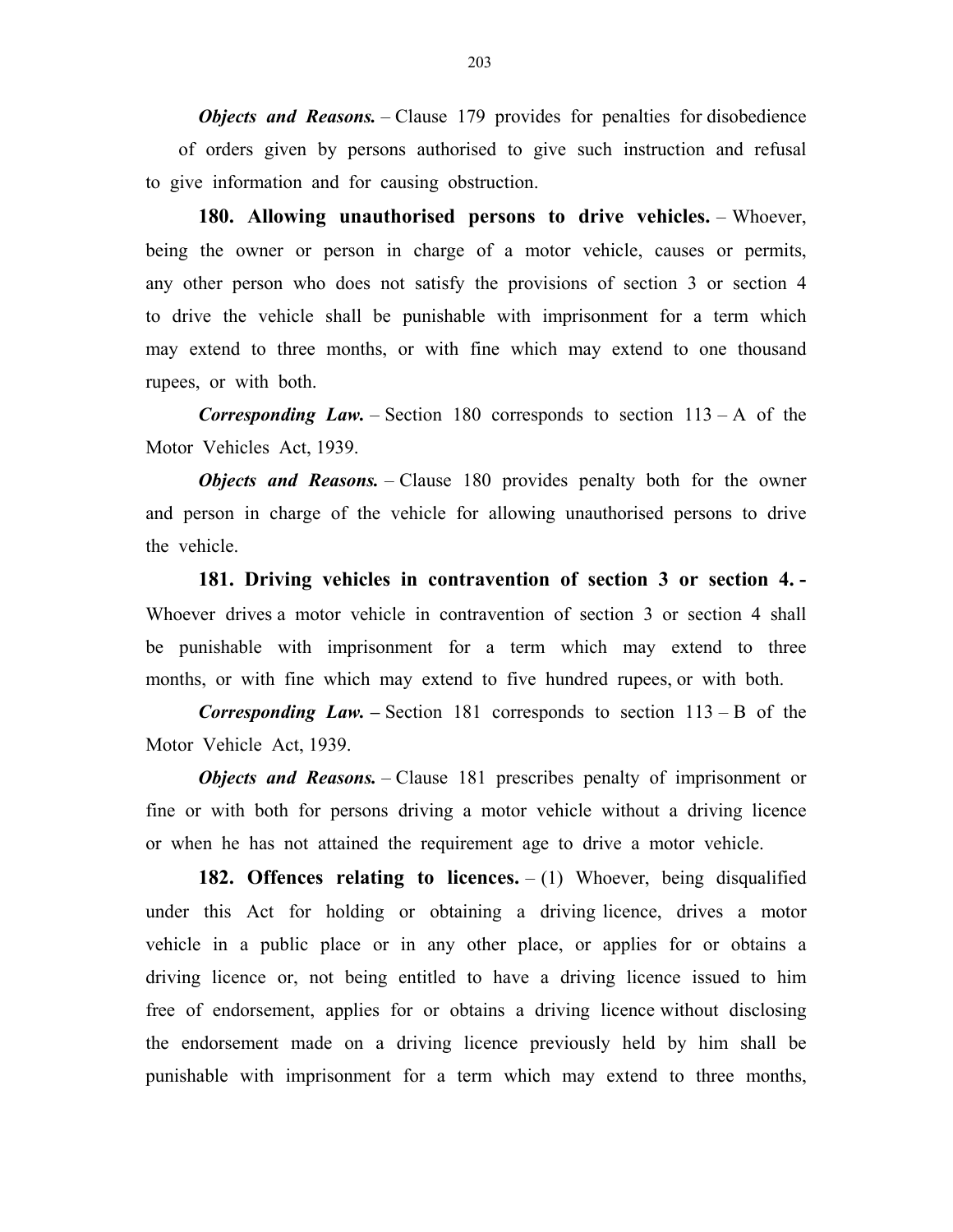*Objects and Reasons.* – Clause 179 provides for penalties for disobedience of orders given by persons authorised to give such instruction and refusal to give information and for causing obstruction.

 **180. Allowing unauthorised persons to drive vehicles.** – Whoever, being the owner or person in charge of a motor vehicle, causes or permits, any other person who does not satisfy the provisions of section 3 or section 4 to drive the vehicle shall be punishable with imprisonment for a term which may extend to three months, or with fine which may extend to one thousand rupees, or with both.

*Corresponding Law.* – Section 180 corresponds to section  $113 - A$  of the Motor Vehicles Act, 1939.

*Objects and Reasons.* – Clause 180 provides penalty both for the owner and person in charge of the vehicle for allowing unauthorised persons to drive the vehicle.

**181. Driving vehicles in contravention of section 3 or section 4. -**  Whoeverdrives a motor vehicle in contravention of section 3 or section 4 shall be punishable with imprisonment for a term which may extend to three months, or with fine which may extend to five hundred rupees, or with both.

*Corresponding Law.* – Section 181 corresponds to section  $113 - B$  of the Motor Vehicle Act, 1939.

*Objects and Reasons.* – Clause 181 prescribes penalty of imprisonment or fine or with both for persons driving a motor vehicle without a driving licence or when he has not attained the requirement age to drive a motor vehicle.

**182. Offences relating to licences.** – (1) Whoever, being disqualified under this Act for holding or obtaining a driving licence, drives a motor vehicle in a public place or in any other place, or applies for or obtains a driving licence or, not being entitled to have a driving licence issued to him free of endorsement, applies for or obtains a driving licence without disclosing the endorsement made on a driving licence previously held by him shall be punishable with imprisonment for a term which may extend to three months,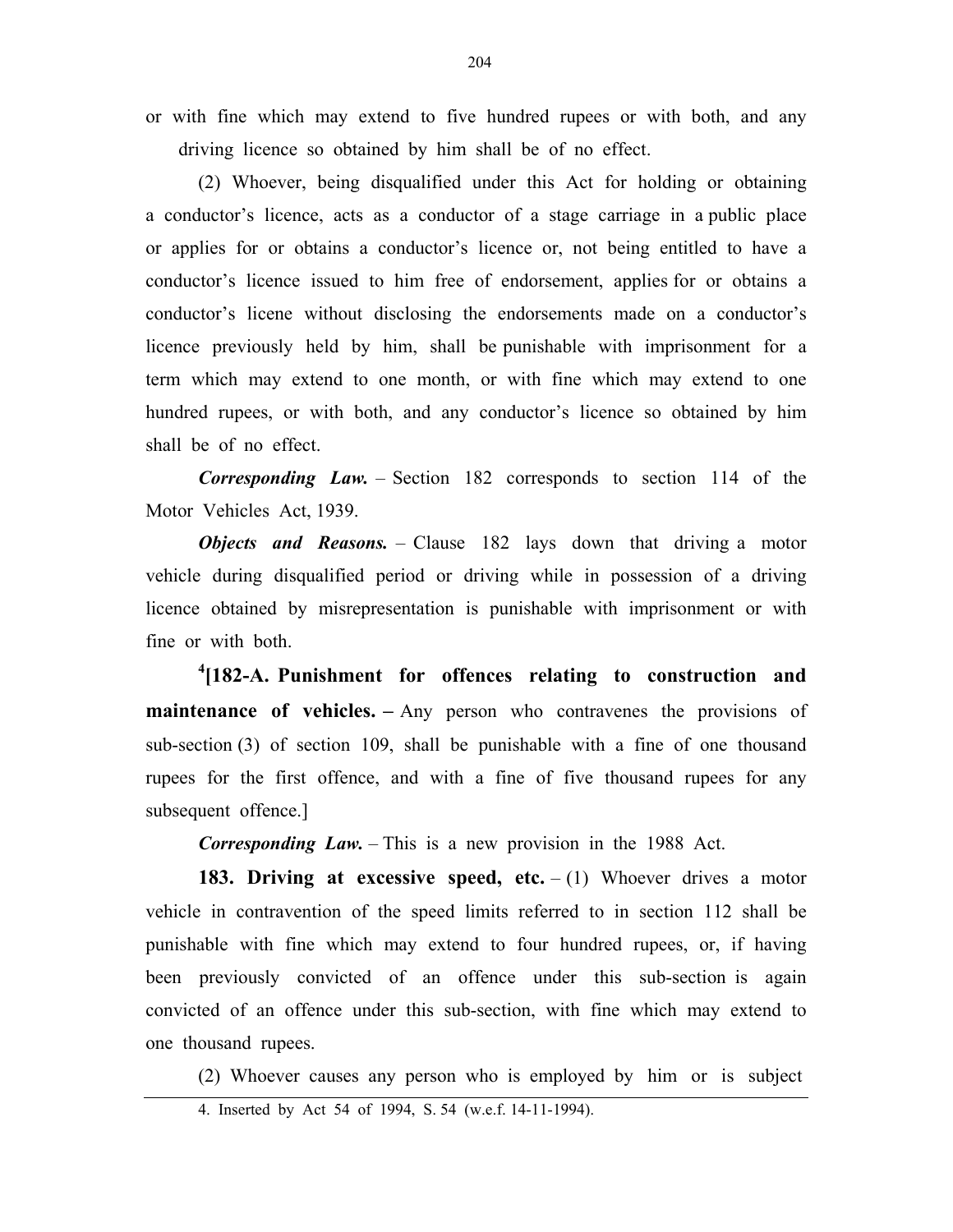or with fine which may extend to five hundred rupees or with both, and any driving licence so obtained by him shall be of no effect.

 (2) Whoever, being disqualified under this Act for holding or obtaining a conductor's licence, acts as a conductor of a stage carriage in a public place or applies for or obtains a conductor's licence or, not being entitled to have a conductor's licence issued to him free of endorsement, applies for or obtains a conductor's licene without disclosing the endorsements made on a conductor's licence previously held by him, shall be punishable with imprisonment for a term which may extend to one month, or with fine which may extend to one hundred rupees, or with both, and any conductor's licence so obtained by him shall be of no effect.

*Corresponding Law.* – Section 182 corresponds to section 114 of the Motor Vehicles Act, 1939.

*Objects and Reasons.* – Clause 182 lays down that driving a motor vehicle during disqualified period or driving while in possession of a driving licence obtained by misrepresentation is punishable with imprisonment or with fine or with both.

**4 [182-A. Punishment for offences relating to construction and maintenance of vehicles.** – Any person who contravenes the provisions of sub-section (3) of section 109, shall be punishable with a fine of one thousand rupees for the first offence, and with a fine of five thousand rupees for any subsequent offence.]

*Corresponding Law.* – This is a new provision in the 1988 Act.

**183. Driving at excessive speed, etc.**  $- (1)$  Whoever drives a motor vehicle in contravention of the speed limits referred to in section 112 shall be punishable with fine which may extend to four hundred rupees, or, if having been previously convicted of an offence under this sub-section is again convicted of an offence under this sub-section, with fine which may extend to one thousand rupees.

 (2) Whoever causes any person who is employed by him or is subject 4. Inserted by Act 54 of 1994, S. 54 (w.e.f. 14-11-1994).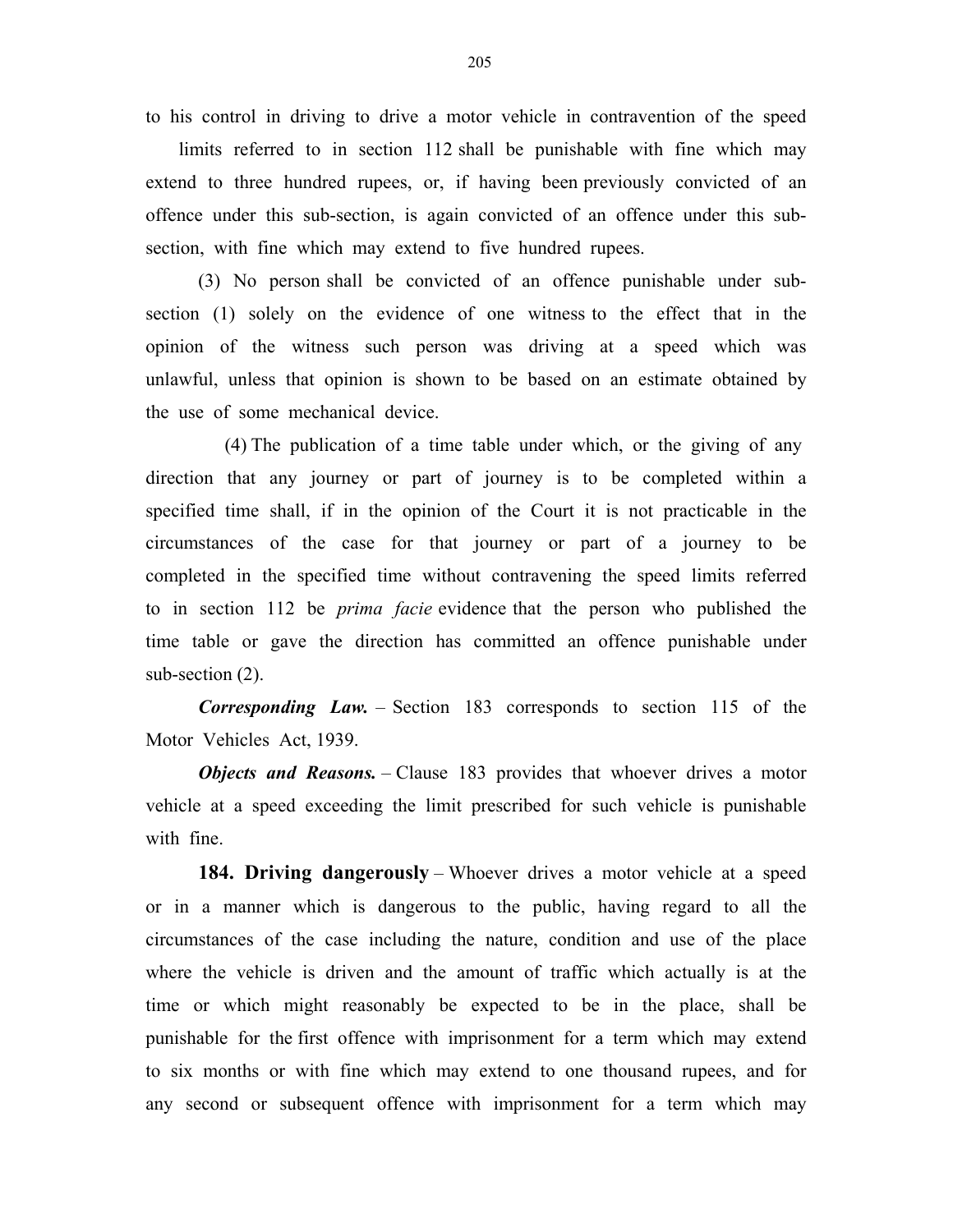to his control in driving to drive a motor vehicle in contravention of the speed

limits referred to in section 112 shall be punishable with fine which may extend to three hundred rupees, or, if having been previously convicted of an offence under this sub-section, is again convicted of an offence under this subsection, with fine which may extend to five hundred rupees.

 (3) No person shall be convicted of an offence punishable under subsection (1) solely on the evidence of one witness to the effect that in the opinion of the witness such person was driving at a speed which was unlawful, unless that opinion is shown to be based on an estimate obtained by the use of some mechanical device.

(4) The publication of a time table under which, or the giving of any direction that any journey or part of journey is to be completed within a specified time shall, if in the opinion of the Court it is not practicable in the circumstances of the case for that journey or part of a journey to be completed in the specified time without contravening the speed limits referred to in section 112 be *prima facie* evidence that the person who published the time table or gave the direction has committed an offence punishable under sub-section (2).

*Corresponding Law.* – Section 183 corresponds to section 115 of the Motor Vehicles Act, 1939.

*Objects and Reasons.* – Clause 183 provides that whoever drives a motor vehicle at a speed exceeding the limit prescribed for such vehicle is punishable with fine.

**184. Driving dangerously** – Whoever drives a motor vehicle at a speed or in a manner which is dangerous to the public, having regard to all the circumstances of the case including the nature, condition and use of the place where the vehicle is driven and the amount of traffic which actually is at the time or which might reasonably be expected to be in the place, shall be punishable for the first offence with imprisonment for a term which may extend to six months or with fine which may extend to one thousand rupees, and for any second or subsequent offence with imprisonment for a term which may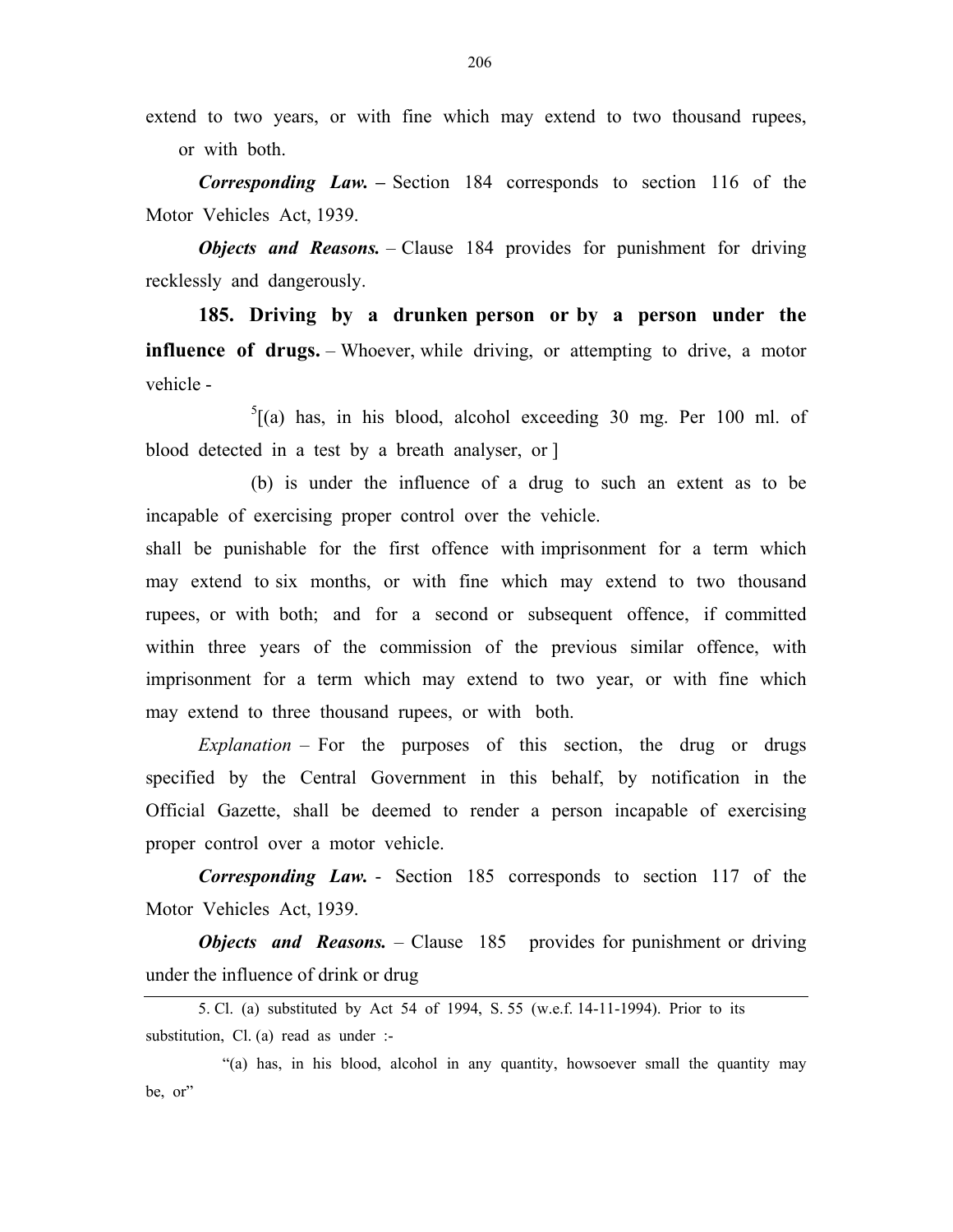extend to two years, or with fine which may extend to two thousand rupees, or with both.

*Corresponding Law.* **–** Section 184 corresponds to section 116 of the Motor Vehicles Act, 1939.

*Objects and Reasons.* – Clause 184 provides for punishment for driving recklessly and dangerously.

**185. Driving by a drunken person or by a person under the influence of drugs.** – Whoever, while driving, or attempting to drive, a motor vehicle -

 <sup>5</sup>  $<sup>5</sup>$ [(a) has, in his blood, alcohol exceeding 30 mg. Per 100 ml. of</sup> blood detected in a test by a breath analyser, or ]

 (b) is under the influence of a drug to such an extent as to be incapable of exercising proper control over the vehicle.

shall be punishable for the first offence with imprisonment for a term which may extend to six months, or with fine which may extend to two thousand rupees, or with both; and for a second or subsequent offence, if committed within three years of the commission of the previous similar offence, with imprisonment for a term which may extend to two year, or with fine which may extend to three thousand rupees, or with both.

*Explanation –* For the purposes of this section, the drug or drugs specified by the Central Government in this behalf, by notification in the Official Gazette, shall be deemed to render a person incapable of exercising proper control over a motor vehicle.

*Corresponding Law.* - Section 185 corresponds to section 117 of the Motor Vehicles Act, 1939.

*Objects and Reasons.* – Clause 185 provides for punishment or driving under the influence of drink or drug

5. Cl. (a) substituted by Act 54 of 1994, S. 55 (w.e.f. 14-11-1994). Prior to its substitution, Cl. (a) read as under :-

 "(a) has, in his blood, alcohol in any quantity, howsoever small the quantity may be, or"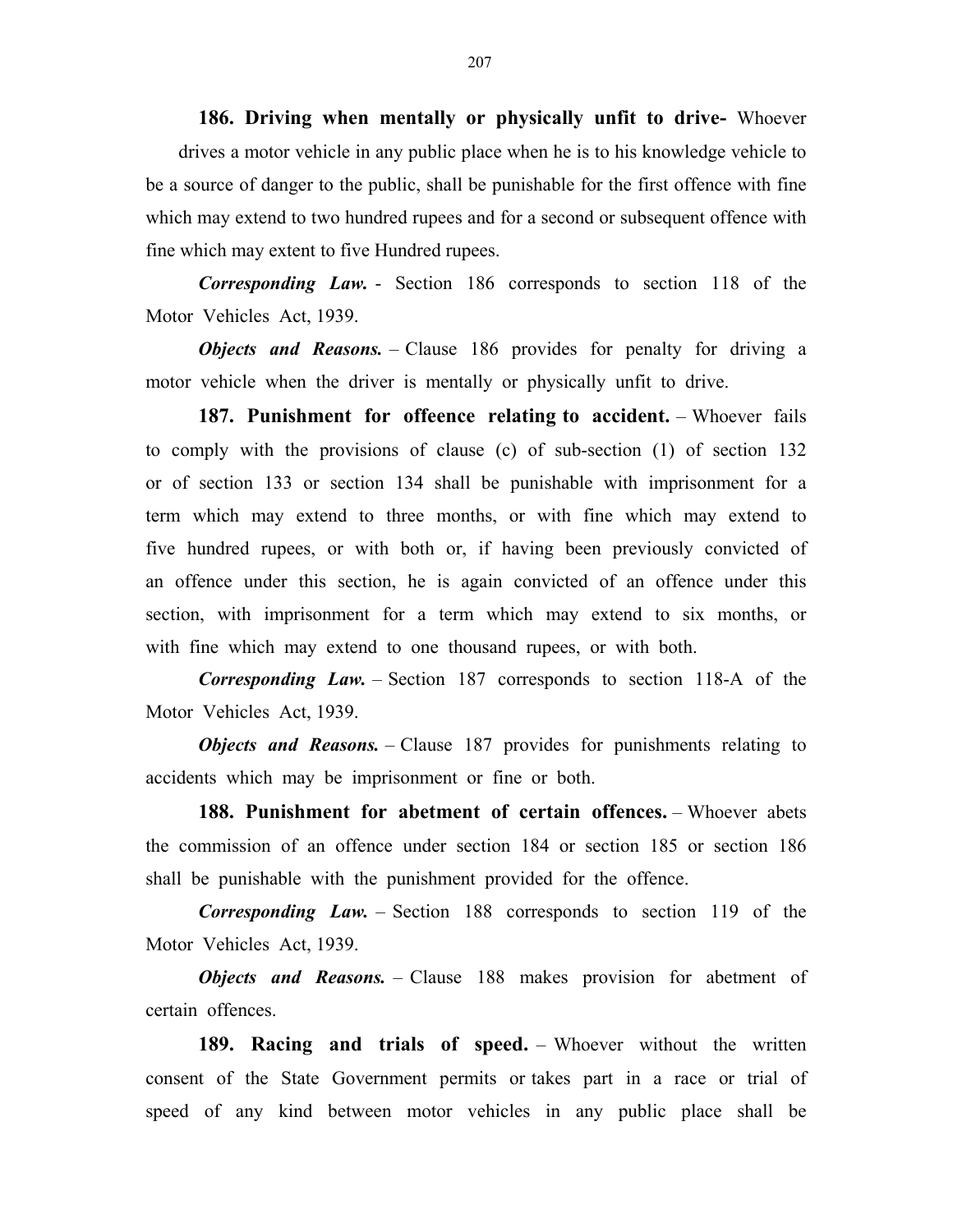**186. Driving when mentally or physically unfit to drive-** Whoever drives a motor vehicle in any public place when he is to his knowledge vehicle to be a source of danger to the public, shall be punishable for the first offence with fine which may extend to two hundred rupees and for a second or subsequent offence with fine which may extent to five Hundred rupees.

*Corresponding Law.* - Section 186 corresponds to section 118 of the Motor Vehicles Act, 1939.

*Objects and Reasons.* – Clause 186 provides for penalty for driving a motor vehicle when the driver is mentally or physically unfit to drive.

**187. Punishment for offeence relating to accident.** – Whoever fails to comply with the provisions of clause (c) of sub-section (1) of section 132 or of section 133 or section 134 shall be punishable with imprisonment for a term which may extend to three months, or with fine which may extend to five hundred rupees, or with both or, if having been previously convicted of an offence under this section, he is again convicted of an offence under this section, with imprisonment for a term which may extend to six months, or with fine which may extend to one thousand rupees, or with both.

*Corresponding Law.* – Section 187 corresponds to section 118-A of the Motor Vehicles Act, 1939.

*Objects and Reasons.* – Clause 187 provides for punishments relating to accidents which may be imprisonment or fine or both.

**188. Punishment for abetment of certain offences.** – Whoever abets the commission of an offence under section 184 or section 185 or section 186 shall be punishable with the punishment provided for the offence.

*Corresponding Law.* – Section 188 corresponds to section 119 of the Motor Vehicles Act, 1939.

*Objects and Reasons.* – Clause 188 makes provision for abetment of certain offences.

 **189. Racing and trials of speed.** – Whoever without the written consent of the State Government permits or takes part in a race or trial of speed of any kind between motor vehicles in any public place shall be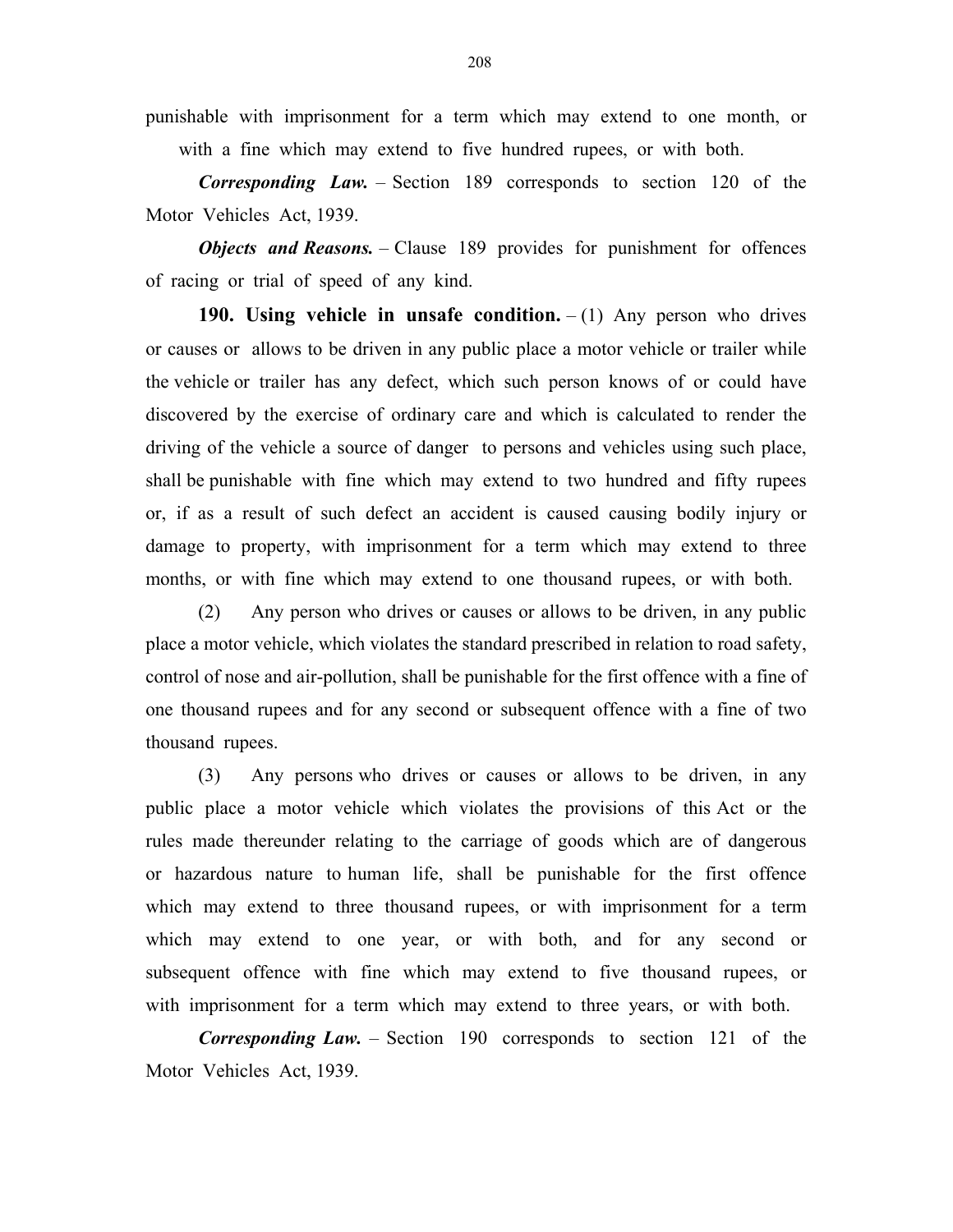punishable with imprisonment for a term which may extend to one month, or

with a fine which may extend to five hundred rupees, or with both.

*Corresponding Law.* – Section 189 corresponds to section 120 of the Motor Vehicles Act, 1939.

*Objects and Reasons.* – Clause 189 provides for punishment for offences of racing or trial of speed of any kind.

**190. Using vehicle in unsafe condition.**  $-(1)$  Any person who drives or causes or allows to be driven in any public place a motor vehicle or trailer while the vehicle or trailer has any defect, which such person knows of or could have discovered by the exercise of ordinary care and which is calculated to render the driving of the vehicle a source of danger to persons and vehicles using such place, shall be punishable with fine which may extend to two hundred and fifty rupees or, if as a result of such defect an accident is caused causing bodily injury or damage to property, with imprisonment for a term which may extend to three months, or with fine which may extend to one thousand rupees, or with both.

(2) Any person who drives or causes or allows to be driven, in any public place a motor vehicle, which violates the standard prescribed in relation to road safety, control of nose and air-pollution, shall be punishable for the first offence with a fine of one thousand rupees and for any second or subsequent offence with a fine of two thousand rupees.

(3) Any persons who drives or causes or allows to be driven, in any public place a motor vehicle which violates the provisions of this Act or the rules made thereunder relating to the carriage of goods which are of dangerous or hazardous nature to human life, shall be punishable for the first offence which may extend to three thousand rupees, or with imprisonment for a term which may extend to one year, or with both, and for any second or subsequent offence with fine which may extend to five thousand rupees, or with imprisonment for a term which may extend to three years, or with both.

*Corresponding Law.* – Section 190 corresponds to section 121 of the Motor Vehicles Act, 1939.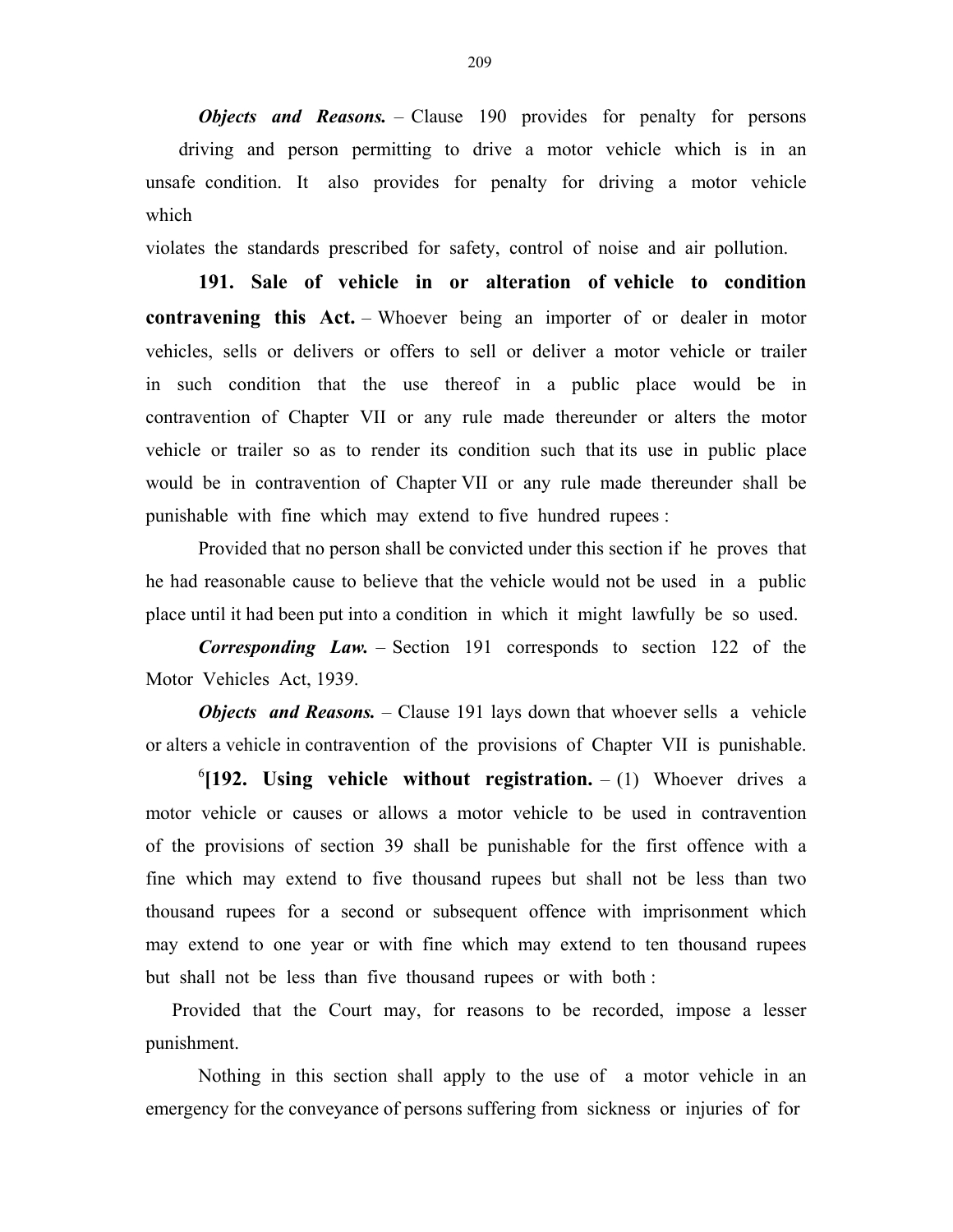*Objects and Reasons.* – Clause 190 provides for penalty for persons driving and person permitting to drive a motor vehicle which is in an unsafe condition. It also provides for penalty for driving a motor vehicle which

violates the standards prescribed for safety, control of noise and air pollution.

**191. Sale of vehicle in or alteration of vehicle to condition contravening this Act.** – Whoever being an importer of or dealer in motor vehicles, sells or delivers or offers to sell or deliver a motor vehicle or trailer in such condition that the use thereof in a public place would be in contravention of Chapter VII or any rule made thereunder or alters the motor vehicle or trailer so as to render its condition such that its use in public place would be in contravention of Chapter VII or any rule made thereunder shall be punishable with fine which may extend to five hundred rupees :

Provided that no person shall be convicted under this section if he proves that he had reasonable cause to believe that the vehicle would not be used in a public place until it had been put into a condition in which it might lawfully be so used.

*Corresponding Law.* – Section 191 corresponds to section 122 of the Motor Vehicles Act, 1939.

*Objects and Reasons.* – Clause 191 lays down that whoever sells a vehicle or alters a vehicle in contravention of the provisions of Chapter VII is punishable.

 $^{6}$ [192. Using vehicle without registration.  $-$  (1) Whoever drives a motor vehicle or causes or allows a motor vehicle to be used in contravention of the provisions of section 39 shall be punishable for the first offence with a fine which may extend to five thousand rupees but shall not be less than two thousand rupees for a second or subsequent offence with imprisonment which may extend to one year or with fine which may extend to ten thousand rupees but shall not be less than five thousand rupees or with both :

Provided that the Court may, for reasons to be recorded, impose a lesser punishment.

Nothing in this section shall apply to the use of a motor vehicle in an emergency for the conveyance of persons suffering from sickness or injuries of for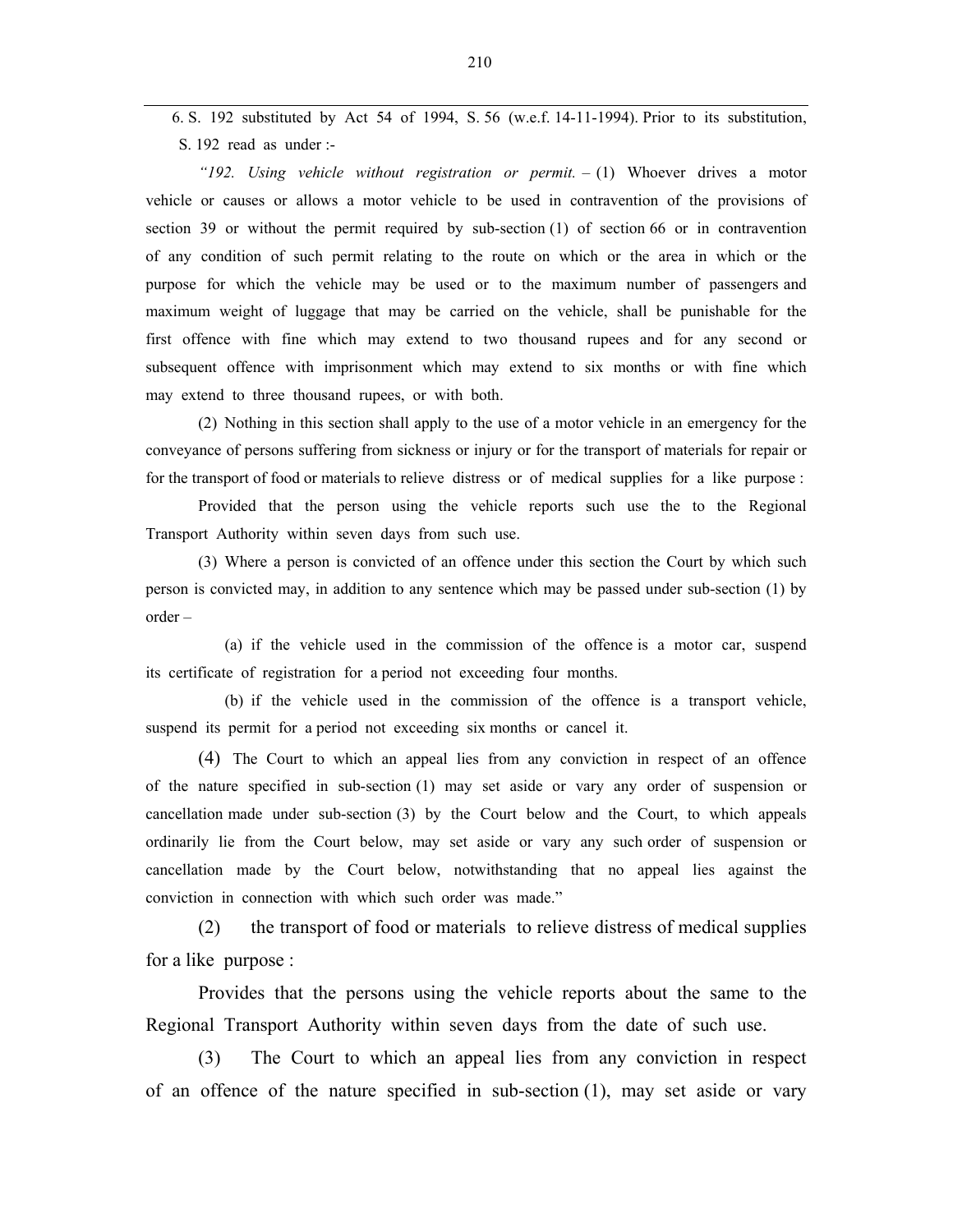6. S. 192 substituted by Act 54 of 1994, S. 56 (w.e.f. 14-11-1994). Prior to its substitution, S. 192 read as under :-

*"192. Using vehicle without registration or permit.* – (1) Whoever drives a motor vehicle or causes or allows a motor vehicle to be used in contravention of the provisions of section 39 or without the permit required by sub-section (1) of section 66 or in contravention of any condition of such permit relating to the route on which or the area in which or the purpose for which the vehicle may be used or to the maximum number of passengers and maximum weight of luggage that may be carried on the vehicle, shall be punishable for the first offence with fine which may extend to two thousand rupees and for any second or subsequent offence with imprisonment which may extend to six months or with fine which may extend to three thousand rupees, or with both.

(2) Nothing in this section shall apply to the use of a motor vehicle in an emergency for the conveyance of persons suffering from sickness or injury or for the transport of materials for repair or for the transport of food or materials to relieve distress or of medical supplies for a like purpose :

Provided that the person using the vehicle reports such use the to the Regional Transport Authority within seven days from such use.

(3) Where a person is convicted of an offence under this section the Court by which such person is convicted may, in addition to any sentence which may be passed under sub-section (1) by order –

(a) if the vehicle used in the commission of the offence is a motor car, suspend its certificate of registration for a period not exceeding four months.

(b) if the vehicle used in the commission of the offence is a transport vehicle, suspend its permit for a period not exceeding six months or cancel it.

(4) The Court to which an appeal lies from any conviction in respect of an offence of the nature specified in sub-section (1) may set aside or vary any order of suspension or cancellation made under sub-section (3) by the Court below and the Court, to which appeals ordinarily lie from the Court below, may set aside or vary any such order of suspension or cancellation made by the Court below, notwithstanding that no appeal lies against the conviction in connection with which such order was made."

(2) the transport of food or materials to relieve distress of medical supplies for a like purpose :

Provides that the persons using the vehicle reports about the same to the Regional Transport Authority within seven days from the date of such use.

(3) The Court to which an appeal lies from any conviction in respect of an offence of the nature specified in sub-section (1), may set aside or vary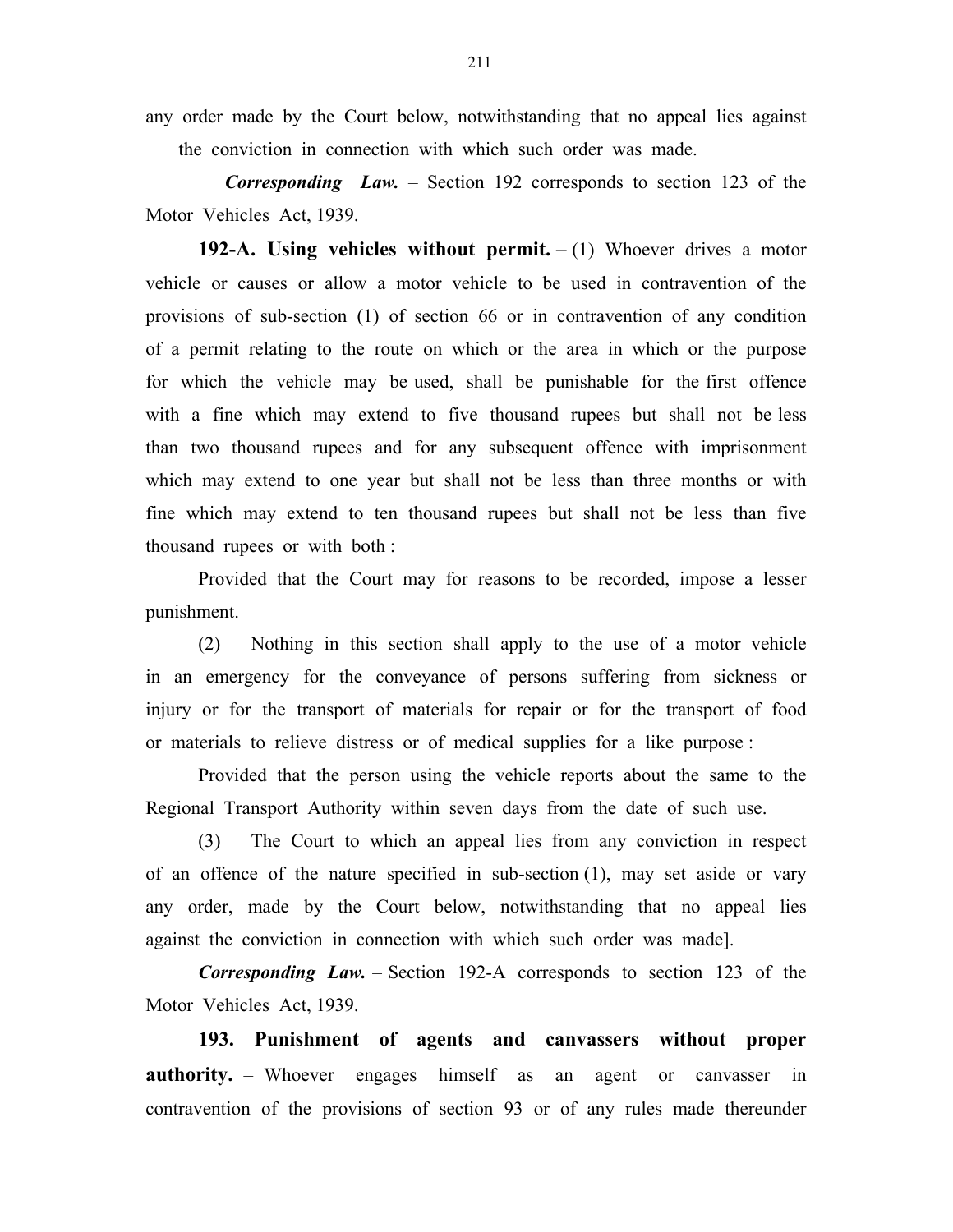any order made by the Court below, notwithstanding that no appeal lies against the conviction in connection with which such order was made.

 *Corresponding Law.* – Section 192 corresponds to section 123 of the Motor Vehicles Act, 1939.

**192-A.** Using vehicles without permit.  $- (1)$  Whoever drives a motor vehicle or causes or allow a motor vehicle to be used in contravention of the provisions of sub-section (1) of section 66 or in contravention of any condition of a permit relating to the route on which or the area in which or the purpose for which the vehicle may be used, shall be punishable for the first offence with a fine which may extend to five thousand rupees but shall not be less than two thousand rupees and for any subsequent offence with imprisonment which may extend to one year but shall not be less than three months or with fine which may extend to ten thousand rupees but shall not be less than five thousand rupees or with both :

Provided that the Court may for reasons to be recorded, impose a lesser punishment.

(2) Nothing in this section shall apply to the use of a motor vehicle in an emergency for the conveyance of persons suffering from sickness or injury or for the transport of materials for repair or for the transport of food or materials to relieve distress or of medical supplies for a like purpose :

Provided that the person using the vehicle reports about the same to the Regional Transport Authority within seven days from the date of such use.

(3) The Court to which an appeal lies from any conviction in respect of an offence of the nature specified in sub-section (1), may set aside or vary any order, made by the Court below, notwithstanding that no appeal lies against the conviction in connection with which such order was made].

*Corresponding Law.* – Section 192-A corresponds to section 123 of the Motor Vehicles Act, 1939.

**193. Punishment of agents and canvassers without proper authority.** – Whoever engages himself as an agent or canvasser in contravention of the provisions of section 93 or of any rules made thereunder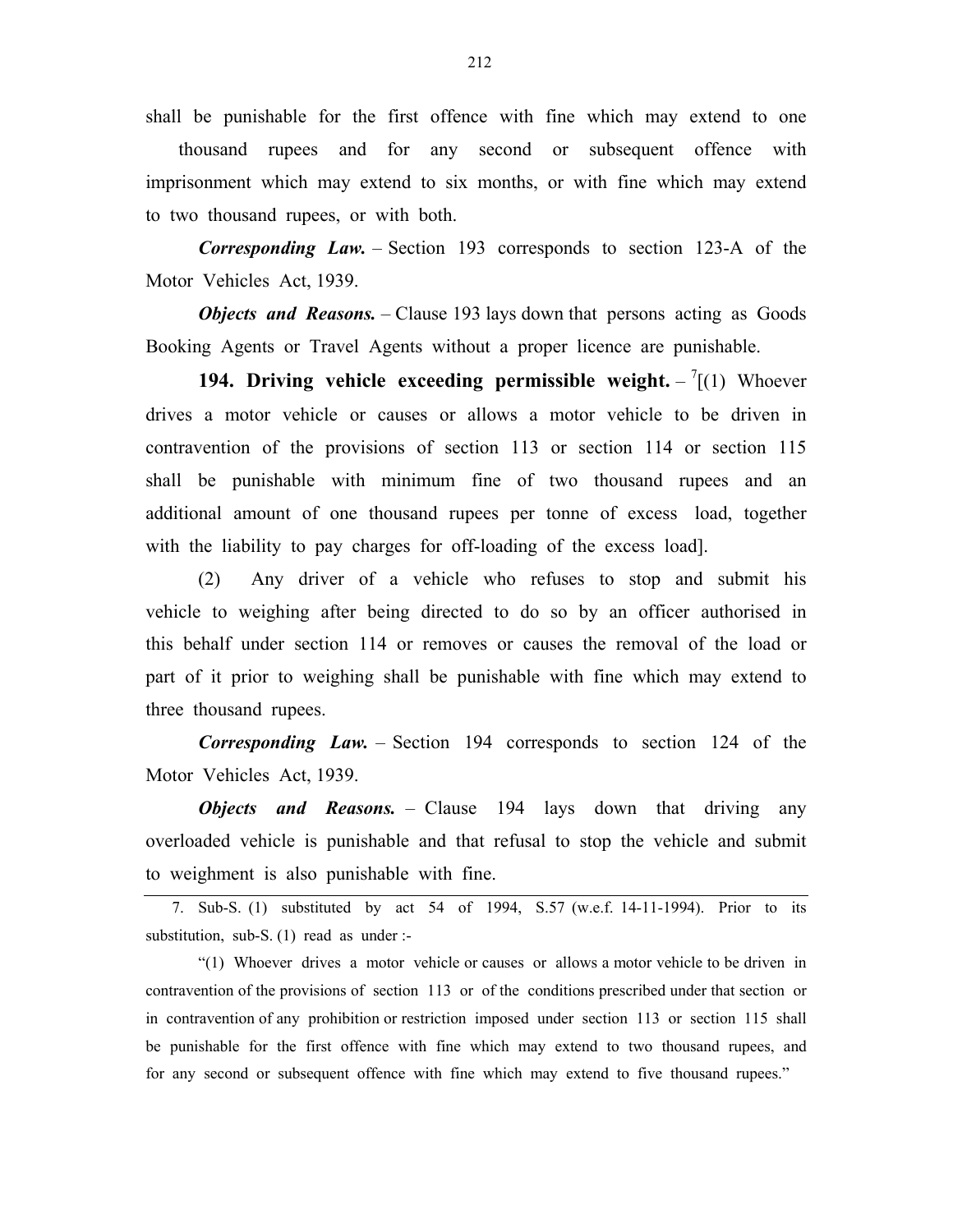shall be punishable for the first offence with fine which may extend to one

thousand rupees and for any second or subsequent offence with imprisonment which may extend to six months, or with fine which may extend to two thousand rupees, or with both.

*Corresponding Law.* – Section 193 corresponds to section 123-A of the Motor Vehicles Act, 1939.

*Objects and Reasons.* – Clause 193 lays down that persons acting as Goods Booking Agents or Travel Agents without a proper licence are punishable.

**194. Driving vehicle exceeding permissible weight.**  $- \binom{7}{1}$  Whoever drives a motor vehicle or causes or allows a motor vehicle to be driven in contravention of the provisions of section 113 or section 114 or section 115 shall be punishable with minimum fine of two thousand rupees and an additional amount of one thousand rupees per tonne of excess load, together with the liability to pay charges for off-loading of the excess load].

(2) Any driver of a vehicle who refuses to stop and submit his vehicle to weighing after being directed to do so by an officer authorised in this behalf under section 114 or removes or causes the removal of the load or part of it prior to weighing shall be punishable with fine which may extend to three thousand rupees.

*Corresponding Law.* – Section 194 corresponds to section 124 of the Motor Vehicles Act, 1939.

*Objects and Reasons.* – Clause 194 lays down that driving any overloaded vehicle is punishable and that refusal to stop the vehicle and submit to weighment is also punishable with fine.

7. Sub-S. (1) substituted by act 54 of 1994, S.57 (w.e.f. 14-11-1994). Prior to its substitution, sub-S. (1) read as under :-

 "(1) Whoever drives a motor vehicle or causes or allows a motor vehicle to be driven in contravention of the provisions of section 113 or of the conditions prescribed under that section or in contravention of any prohibition or restriction imposed under section 113 or section 115 shall be punishable for the first offence with fine which may extend to two thousand rupees, and for any second or subsequent offence with fine which may extend to five thousand rupees."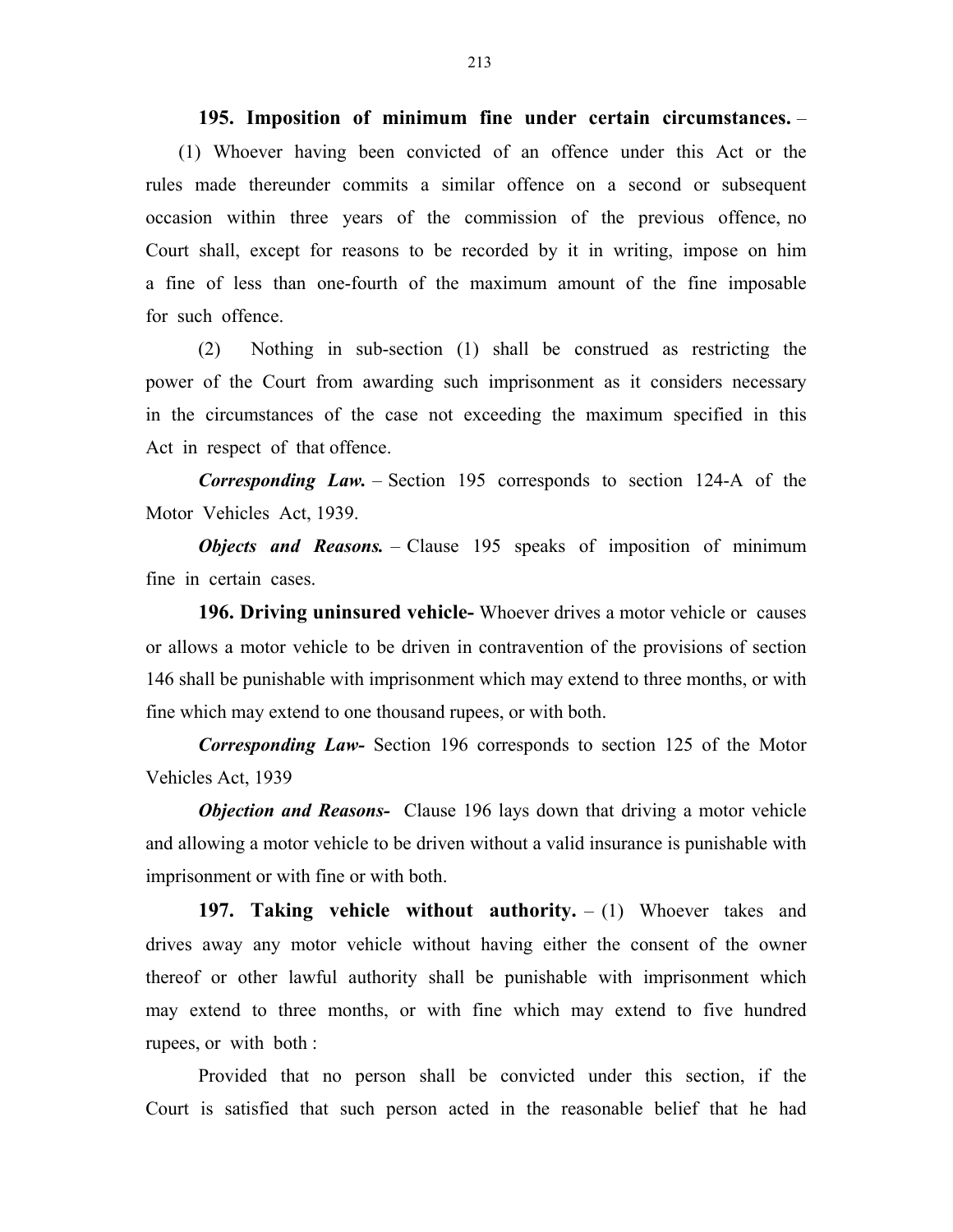**195. Imposition of minimum fine under certain circumstances.** –

(1) Whoever having been convicted of an offence under this Act or the rules made thereunder commits a similar offence on a second or subsequent occasion within three years of the commission of the previous offence, no Court shall, except for reasons to be recorded by it in writing, impose on him a fine of less than one-fourth of the maximum amount of the fine imposable for such offence.

(2) Nothing in sub-section (1) shall be construed as restricting the power of the Court from awarding such imprisonment as it considers necessary in the circumstances of the case not exceeding the maximum specified in this Act in respect of that offence.

*Corresponding Law.* – Section 195 corresponds to section 124-A of the Motor Vehicles Act, 1939.

*Objects and Reasons.* – Clause 195 speaks of imposition of minimum fine in certain cases.

**196. Driving uninsured vehicle-** Whoever drives a motor vehicle or causes or allows a motor vehicle to be driven in contravention of the provisions of section 146 shall be punishable with imprisonment which may extend to three months, or with fine which may extend to one thousand rupees, or with both.

*Corresponding Law-* Section 196 corresponds to section 125 of the Motor Vehicles Act, 1939

*Objection and Reasons-* Clause 196 lays down that driving a motor vehicle and allowing a motor vehicle to be driven without a valid insurance is punishable with imprisonment or with fine or with both.

**197. Taking vehicle without authority.** – (1) Whoever takes and drives away any motor vehicle without having either the consent of the owner thereof or other lawful authority shall be punishable with imprisonment which may extend to three months, or with fine which may extend to five hundred rupees, or with both :

Provided that no person shall be convicted under this section, if the Court is satisfied that such person acted in the reasonable belief that he had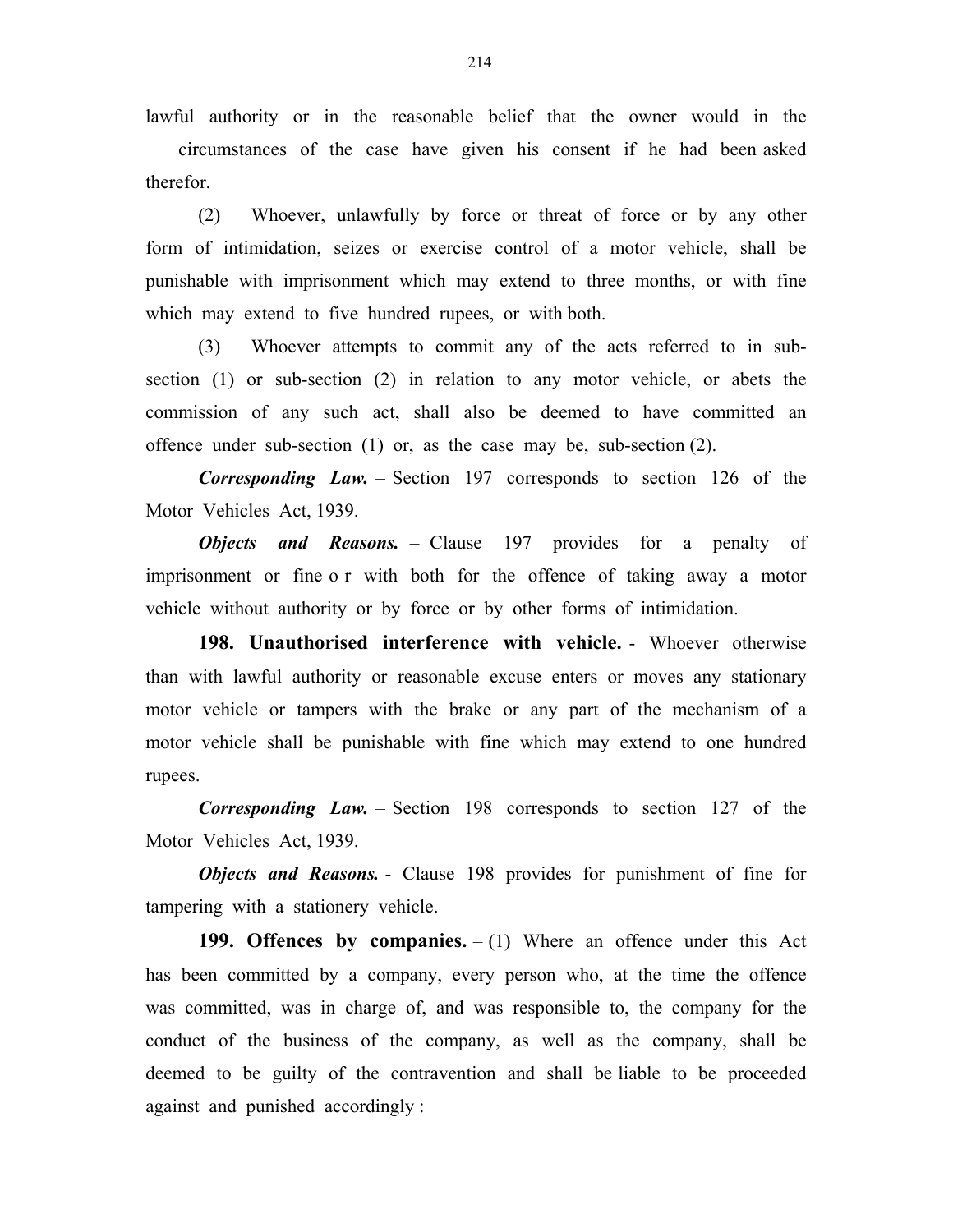lawful authority or in the reasonable belief that the owner would in the

circumstances of the case have given his consent if he had been asked therefor.

(2) Whoever, unlawfully by force or threat of force or by any other form of intimidation, seizes or exercise control of a motor vehicle, shall be punishable with imprisonment which may extend to three months, or with fine which may extend to five hundred rupees, or with both.

(3) Whoever attempts to commit any of the acts referred to in subsection (1) or sub-section (2) in relation to any motor vehicle, or abets the commission of any such act, shall also be deemed to have committed an offence under sub-section (1) or, as the case may be, sub-section (2).

*Corresponding Law.* – Section 197 corresponds to section 126 of the Motor Vehicles Act, 1939.

*Objects and Reasons.* – Clause 197 provides for a penalty of imprisonment or fine o r with both for the offence of taking away a motor vehicle without authority or by force or by other forms of intimidation.

**198. Unauthorised interference with vehicle.** - Whoever otherwise than with lawful authority or reasonable excuse enters or moves any stationary motor vehicle or tampers with the brake or any part of the mechanism of a motor vehicle shall be punishable with fine which may extend to one hundred rupees.

*Corresponding Law.* – Section 198 corresponds to section 127 of the Motor Vehicles Act, 1939.

*Objects and Reasons.* - Clause 198 provides for punishment of fine for tampering with a stationery vehicle.

**199. Offences by companies.** – (1) Where an offence under this Act has been committed by a company, every person who, at the time the offence was committed, was in charge of, and was responsible to, the company for the conduct of the business of the company, as well as the company, shall be deemed to be guilty of the contravention and shall be liable to be proceeded against and punished accordingly :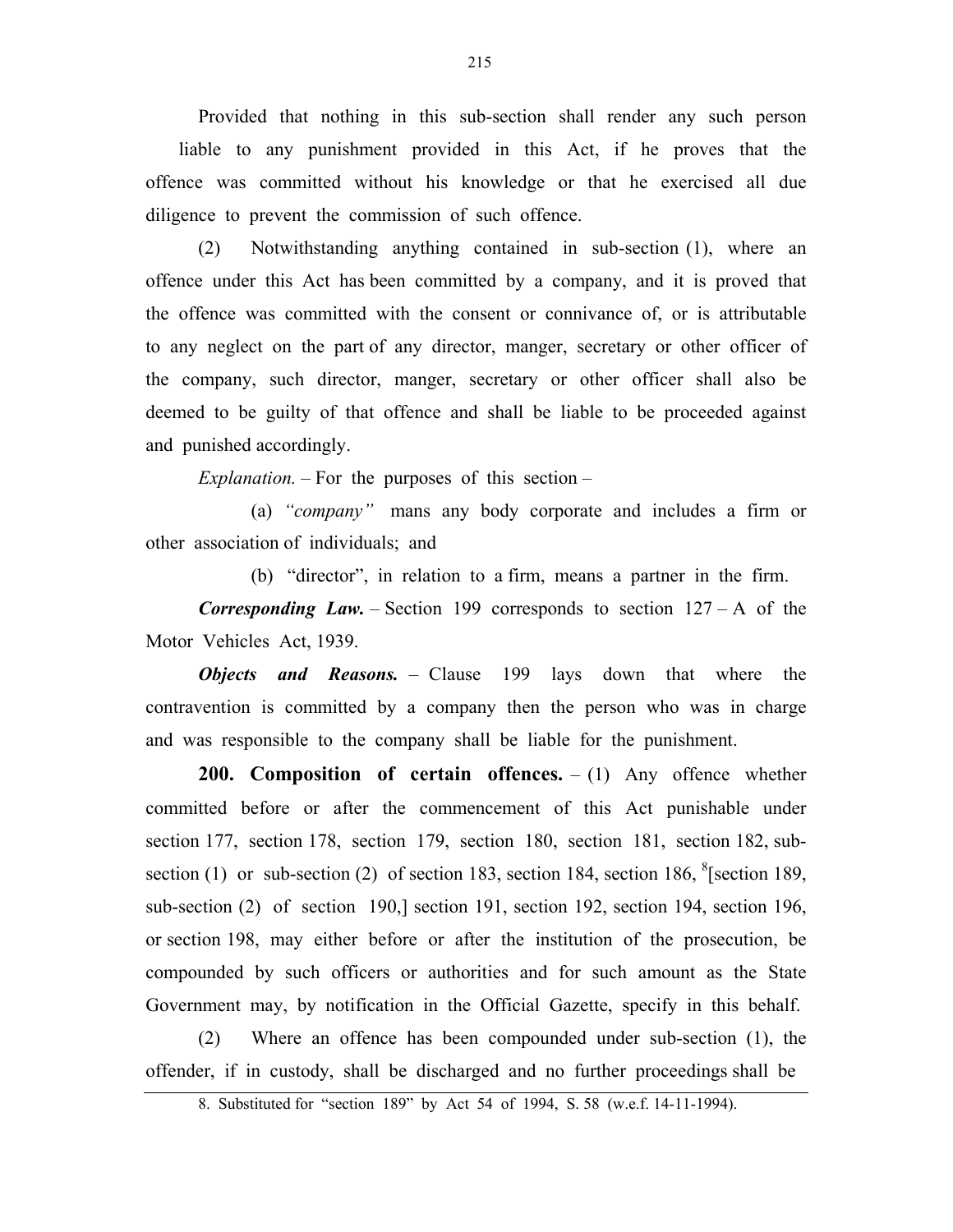Provided that nothing in this sub-section shall render any such person liable to any punishment provided in this Act, if he proves that the offence was committed without his knowledge or that he exercised all due diligence to prevent the commission of such offence.

(2) Notwithstanding anything contained in sub-section (1), where an offence under this Act has been committed by a company, and it is proved that the offence was committed with the consent or connivance of, or is attributable to any neglect on the part of any director, manger, secretary or other officer of the company, such director, manger, secretary or other officer shall also be deemed to be guilty of that offence and shall be liable to be proceeded against and punished accordingly.

*Explanation.* – For the purposes of this section –

(a) *"company"* mans any body corporate and includes a firm or other association of individuals; and

(b) "director", in relation to a firm, means a partner in the firm.

*Corresponding Law.* – Section 199 corresponds to section  $127 - A$  of the Motor Vehicles Act, 1939.

*Objects and Reasons.* – Clause 199 lays down that where the contravention is committed by a company then the person who was in charge and was responsible to the company shall be liable for the punishment.

**200. Composition of certain offences.** – (1) Any offence whether committed before or after the commencement of this Act punishable under section 177, section 178, section 179, section 180, section 181, section 182, subsection (1) or sub-section (2) of section 183, section 184, section 186,  ${}^{8}$ [section 189, sub-section (2) of section 190,] section 191, section 192, section 194, section 196, or section 198, may either before or after the institution of the prosecution, be compounded by such officers or authorities and for such amount as the State Government may, by notification in the Official Gazette, specify in this behalf.

(2) Where an offence has been compounded under sub-section (1), the offender, if in custody, shall be discharged and no further proceedings shall be

 <sup>8.</sup> Substituted for "section 189" by Act 54 of 1994, S. 58 (w.e.f. 14-11-1994).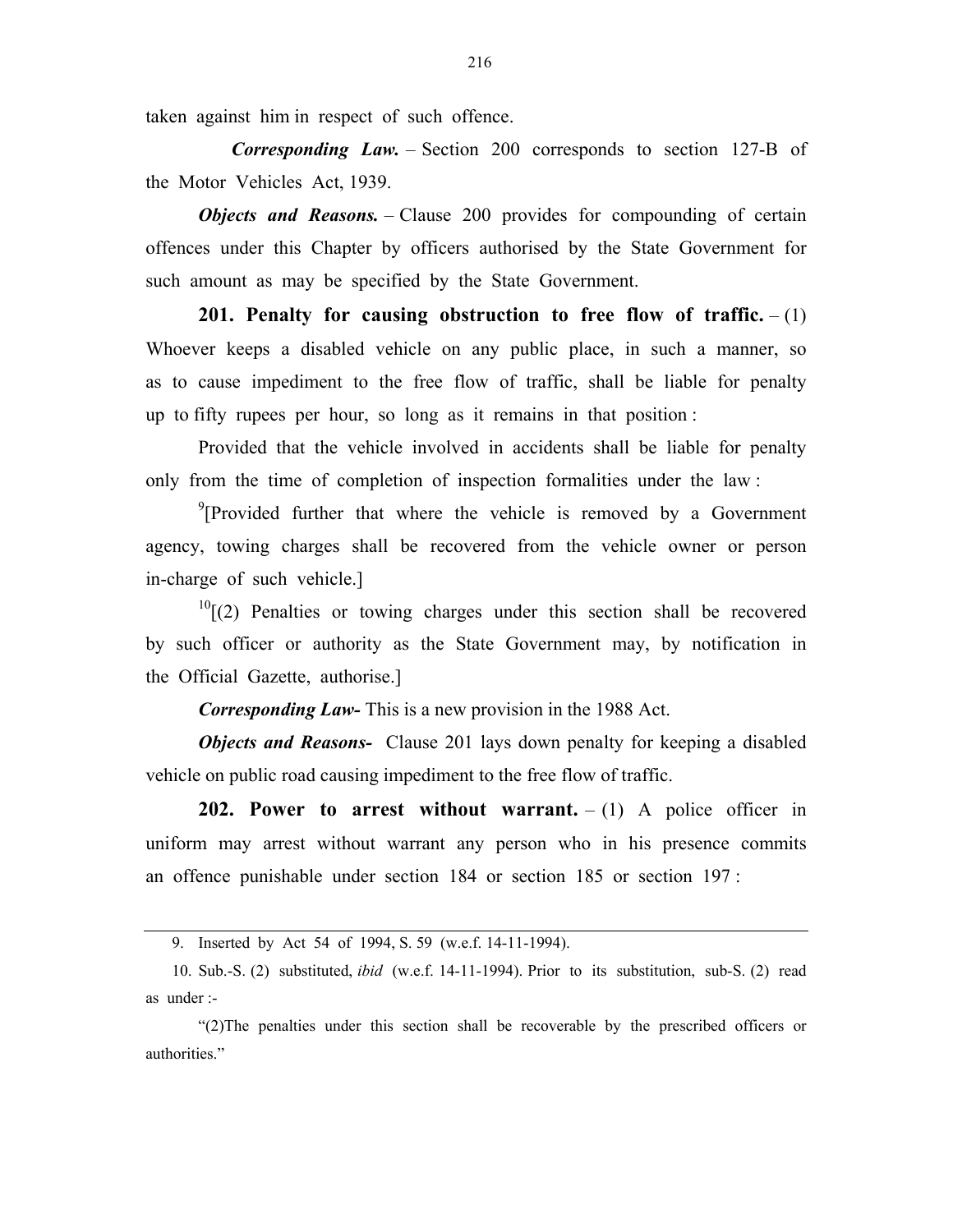taken against him in respect of such offence.

*Corresponding Law.* – Section 200 corresponds to section 127-B of the Motor Vehicles Act, 1939.

*Objects and Reasons.* – Clause 200 provides for compounding of certain offences under this Chapter by officers authorised by the State Government for such amount as may be specified by the State Government.

**201. Penalty for causing obstruction to free flow of traffic.** – (1) Whoever keeps a disabled vehicle on any public place, in such a manner, so as to cause impediment to the free flow of traffic, shall be liable for penalty up to fifty rupees per hour, so long as it remains in that position :

 Provided that the vehicle involved in accidents shall be liable for penalty only from the time of completion of inspection formalities under the law :

 $\rm{P}$ [Provided further that where the vehicle is removed by a Government agency, towing charges shall be recovered from the vehicle owner or person in-charge of such vehicle.]

 $^{10}$ [(2) Penalties or towing charges under this section shall be recovered by such officer or authority as the State Government may, by notification in the Official Gazette, authorise.]

*Corresponding Law-* This is a new provision in the 1988 Act.

*Objects and Reasons-* Clause 201 lays down penalty for keeping a disabled vehicle on public road causing impediment to the free flow of traffic.

**202. Power to arrest without warrant.** – (1) A police officer in uniform may arrest without warrant any person who in his presence commits an offence punishable under section 184 or section 185 or section 197 :

<sup>9.</sup> Inserted by Act 54 of 1994, S. 59 (w.e.f. 14-11-1994).

<sup>10.</sup> Sub.-S. (2) substituted, *ibid* (w.e.f. 14-11-1994). Prior to its substitution, sub-S. (2) read as under :-

<sup>&</sup>quot;(2)The penalties under this section shall be recoverable by the prescribed officers or authorities."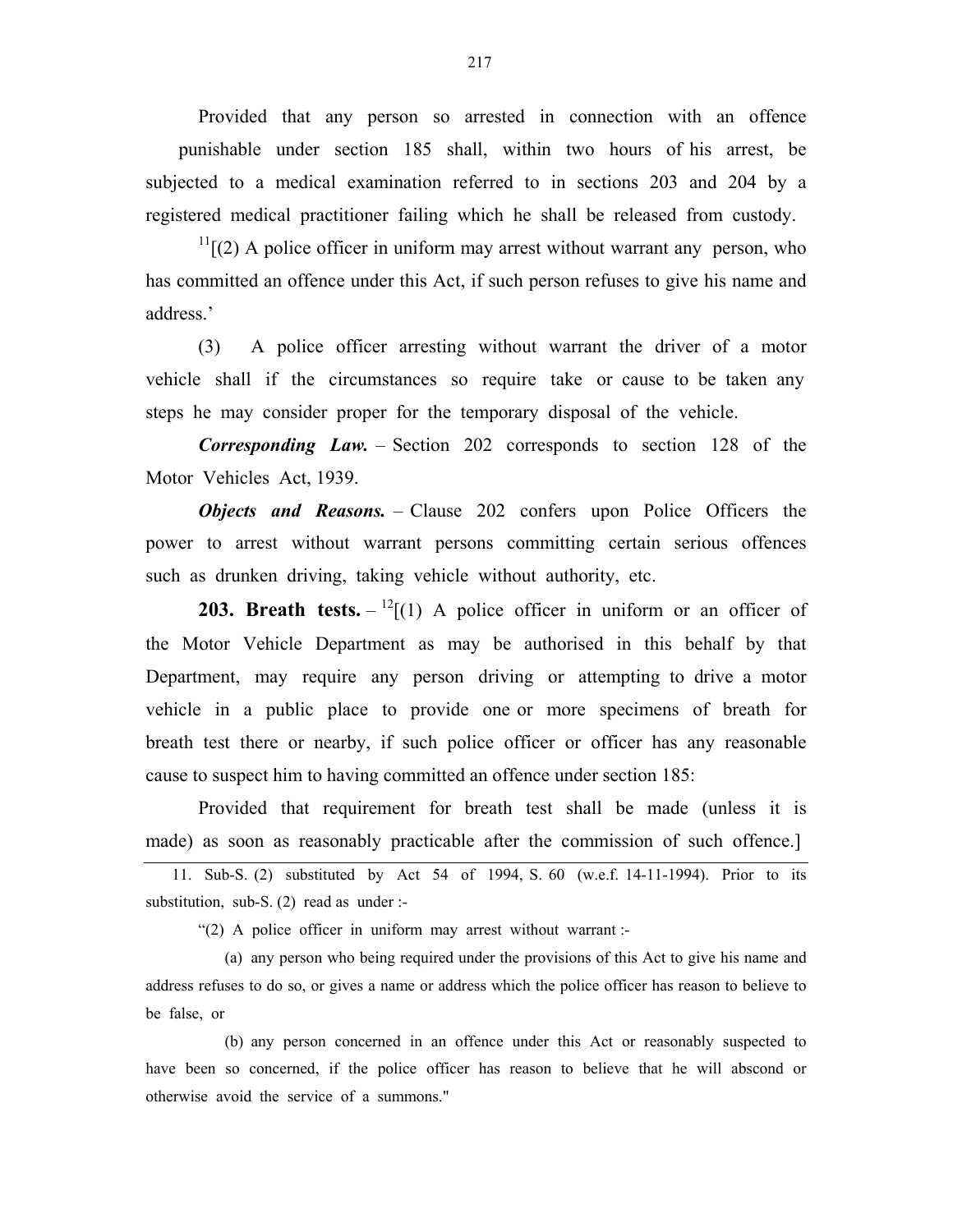Provided that any person so arrested in connection with an offence punishable under section 185 shall, within two hours of his arrest, be subjected to a medical examination referred to in sections 203 and 204 by a registered medical practitioner failing which he shall be released from custody.

 $11$ [(2) A police officer in uniform may arrest without warrant any person, who has committed an offence under this Act, if such person refuses to give his name and address.'

(3) A police officer arresting without warrant the driver of a motor vehicle shall if the circumstances so require take or cause to be taken any steps he may consider proper for the temporary disposal of the vehicle.

*Corresponding Law.* – Section 202 corresponds to section 128 of the Motor Vehicles Act, 1939.

*Objects and Reasons.* – Clause 202 confers upon Police Officers the power to arrest without warrant persons committing certain serious offences such as drunken driving, taking vehicle without authority, etc.

**203. Breath tests.**  $- \binom{12}{1}$  A police officer in uniform or an officer of the Motor Vehicle Department as may be authorised in this behalf by that Department, may require any person driving or attempting to drive a motor vehicle in a public place to provide one or more specimens of breath for breath test there or nearby, if such police officer or officer has any reasonable cause to suspect him to having committed an offence under section 185:

Provided that requirement for breath test shall be made (unless it is made) as soon as reasonably practicable after the commission of such offence.]

11. Sub-S. (2) substituted by Act 54 of 1994, S. 60 (w.e.f. 14-11-1994). Prior to its substitution, sub-S. (2) read as under :-

"(2) A police officer in uniform may arrest without warrant :-

(a) any person who being required under the provisions of this Act to give his name and address refuses to do so, or gives a name or address which the police officer has reason to believe to be false, or

(b) any person concerned in an offence under this Act or reasonably suspected to have been so concerned, if the police officer has reason to believe that he will abscond or otherwise avoid the service of a summons."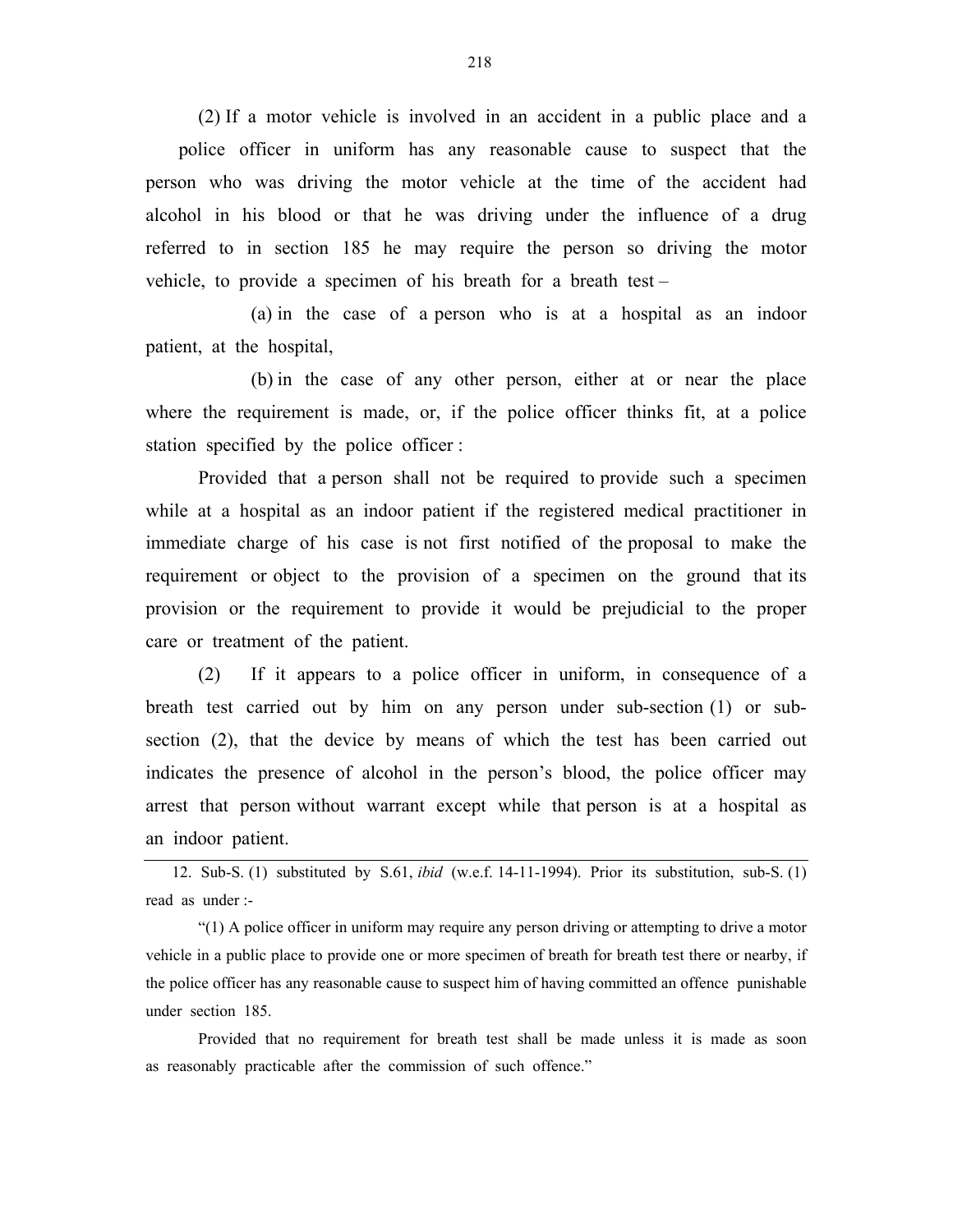(2) If a motor vehicle is involved in an accident in a public place and a police officer in uniform has any reasonable cause to suspect that the person who was driving the motor vehicle at the time of the accident had alcohol in his blood or that he was driving under the influence of a drug referred to in section 185 he may require the person so driving the motor vehicle, to provide a specimen of his breath for a breath test –

(a) in the case of a person who is at a hospital as an indoor patient, at the hospital,

(b) in the case of any other person, either at or near the place where the requirement is made, or, if the police officer thinks fit, at a police station specified by the police officer :

Provided that a person shall not be required to provide such a specimen while at a hospital as an indoor patient if the registered medical practitioner in immediate charge of his case is not first notified of the proposal to make the requirement or object to the provision of a specimen on the ground that its provision or the requirement to provide it would be prejudicial to the proper care or treatment of the patient.

(2) If it appears to a police officer in uniform, in consequence of a breath test carried out by him on any person under sub-section (1) or subsection (2), that the device by means of which the test has been carried out indicates the presence of alcohol in the person's blood, the police officer may arrest that person without warrant except while that person is at a hospital as an indoor patient.

12. Sub-S. (1) substituted by S.61, *ibid* (w.e.f. 14-11-1994). Prior its substitution, sub-S. (1) read as under :-

 "(1) A police officer in uniform may require any person driving or attempting to drive a motor vehicle in a public place to provide one or more specimen of breath for breath test there or nearby, if the police officer has any reasonable cause to suspect him of having committed an offence punishable under section 185.

 Provided that no requirement for breath test shall be made unless it is made as soon as reasonably practicable after the commission of such offence."

218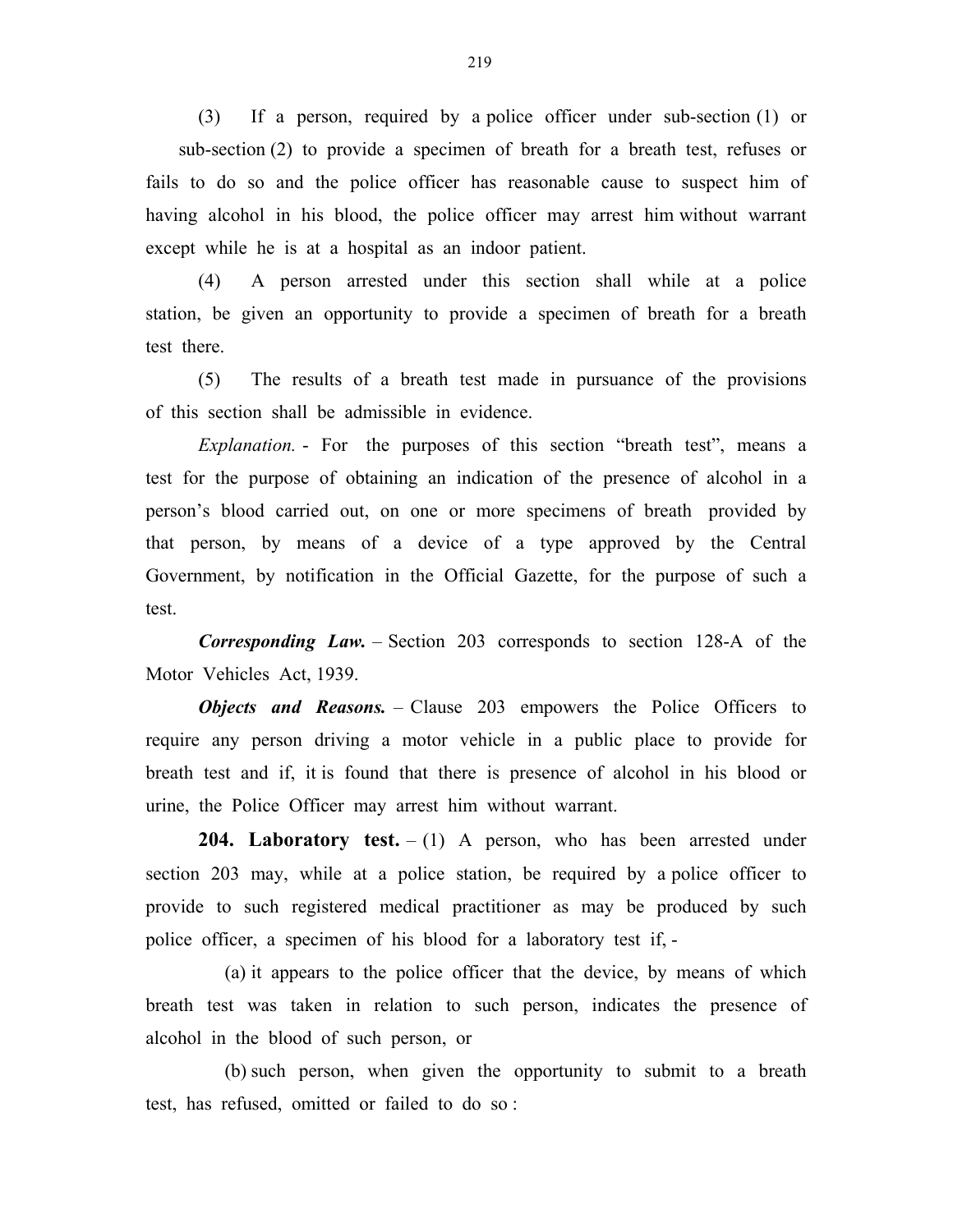(3) If a person, required by a police officer under sub-section (1) or sub-section (2) to provide a specimen of breath for a breath test, refuses or fails to do so and the police officer has reasonable cause to suspect him of having alcohol in his blood, the police officer may arrest him without warrant except while he is at a hospital as an indoor patient.

(4) A person arrested under this section shall while at a police station, be given an opportunity to provide a specimen of breath for a breath test there.

(5) The results of a breath test made in pursuance of the provisions of this section shall be admissible in evidence.

*Explanation.* - For the purposes of this section "breath test", means a test for the purpose of obtaining an indication of the presence of alcohol in a person's blood carried out, on one or more specimens of breath provided by that person, by means of a device of a type approved by the Central Government, by notification in the Official Gazette, for the purpose of such a test.

*Corresponding Law.* – Section 203 corresponds to section 128-A of the Motor Vehicles Act, 1939.

*Objects and Reasons.* – Clause 203 empowers the Police Officers to require any person driving a motor vehicle in a public place to provide for breath test and if, it is found that there is presence of alcohol in his blood or urine, the Police Officer may arrest him without warrant.

**204. Laboratory test.** – (1) A person, who has been arrested under section 203 may, while at a police station, be required by a police officer to provide to such registered medical practitioner as may be produced by such police officer, a specimen of his blood for a laboratory test if, -

(a) it appears to the police officer that the device, by means of which breath test was taken in relation to such person, indicates the presence of alcohol in the blood of such person, or

(b) such person, when given the opportunity to submit to a breath test, has refused, omitted or failed to do so :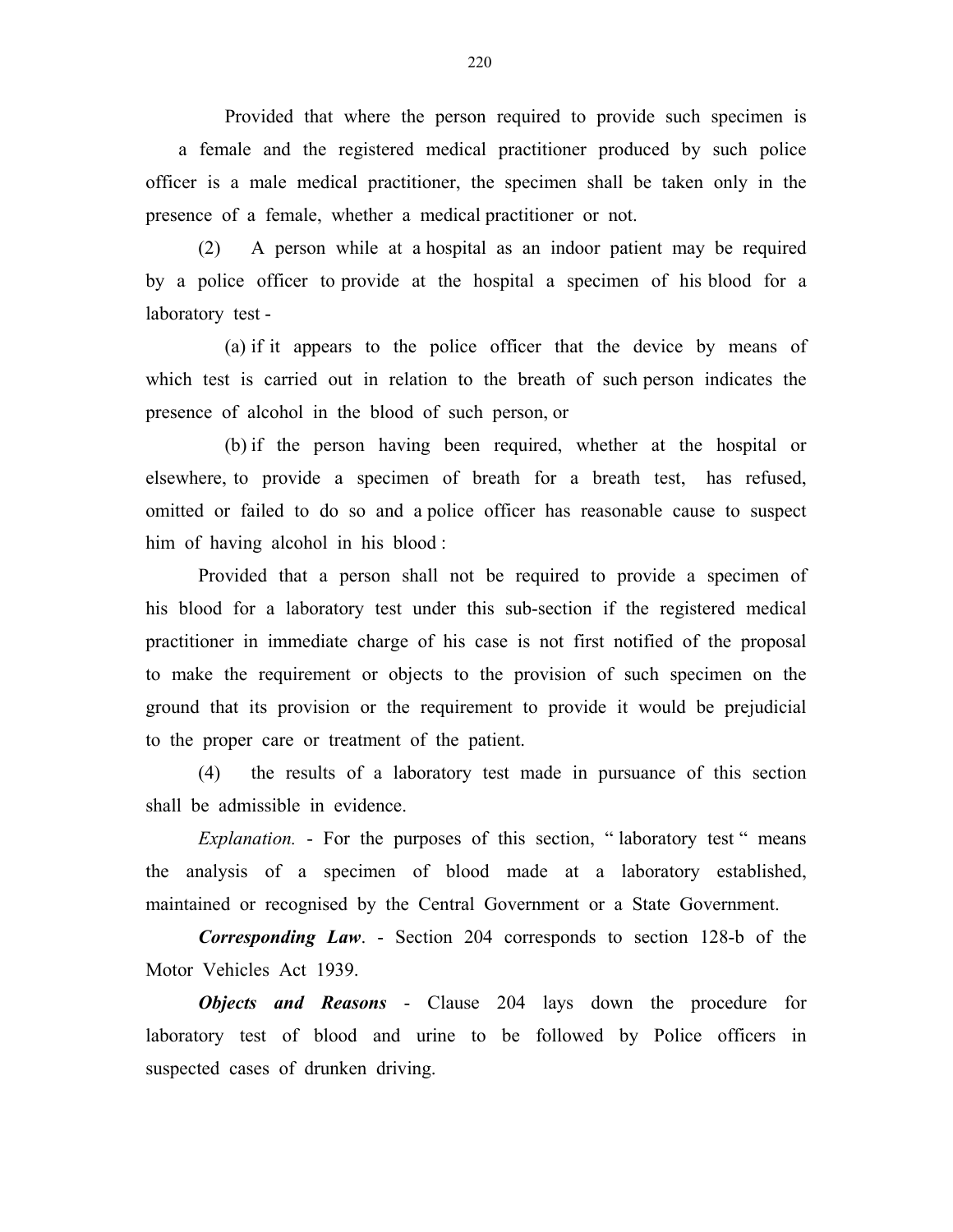Provided that where the person required to provide such specimen is a female and the registered medical practitioner produced by such police officer is a male medical practitioner, the specimen shall be taken only in the presence of a female, whether a medical practitioner or not.

 (2) A person while at a hospital as an indoor patient may be required by a police officer to provide at the hospital a specimen of his blood for a laboratory test -

(a) if it appears to the police officer that the device by means of which test is carried out in relation to the breath of such person indicates the presence of alcohol in the blood of such person, or

(b) if the person having been required, whether at the hospital or elsewhere, to provide a specimen of breath for a breath test, has refused, omitted or failed to do so and a police officer has reasonable cause to suspect him of having alcohol in his blood :

Provided that a person shall not be required to provide a specimen of his blood for a laboratory test under this sub-section if the registered medical practitioner in immediate charge of his case is not first notified of the proposal to make the requirement or objects to the provision of such specimen on the ground that its provision or the requirement to provide it would be prejudicial to the proper care or treatment of the patient.

(4) the results of a laboratory test made in pursuance of this section shall be admissible in evidence.

*Explanation.* - For the purposes of this section, "laboratory test " means the analysis of a specimen of blood made at a laboratory established, maintained or recognised by the Central Government or a State Government.

*Corresponding Law*. - Section 204 corresponds to section 128-b of the Motor Vehicles Act 1939.

*Objects and Reasons* - Clause 204 lays down the procedure for laboratory test of blood and urine to be followed by Police officers in suspected cases of drunken driving.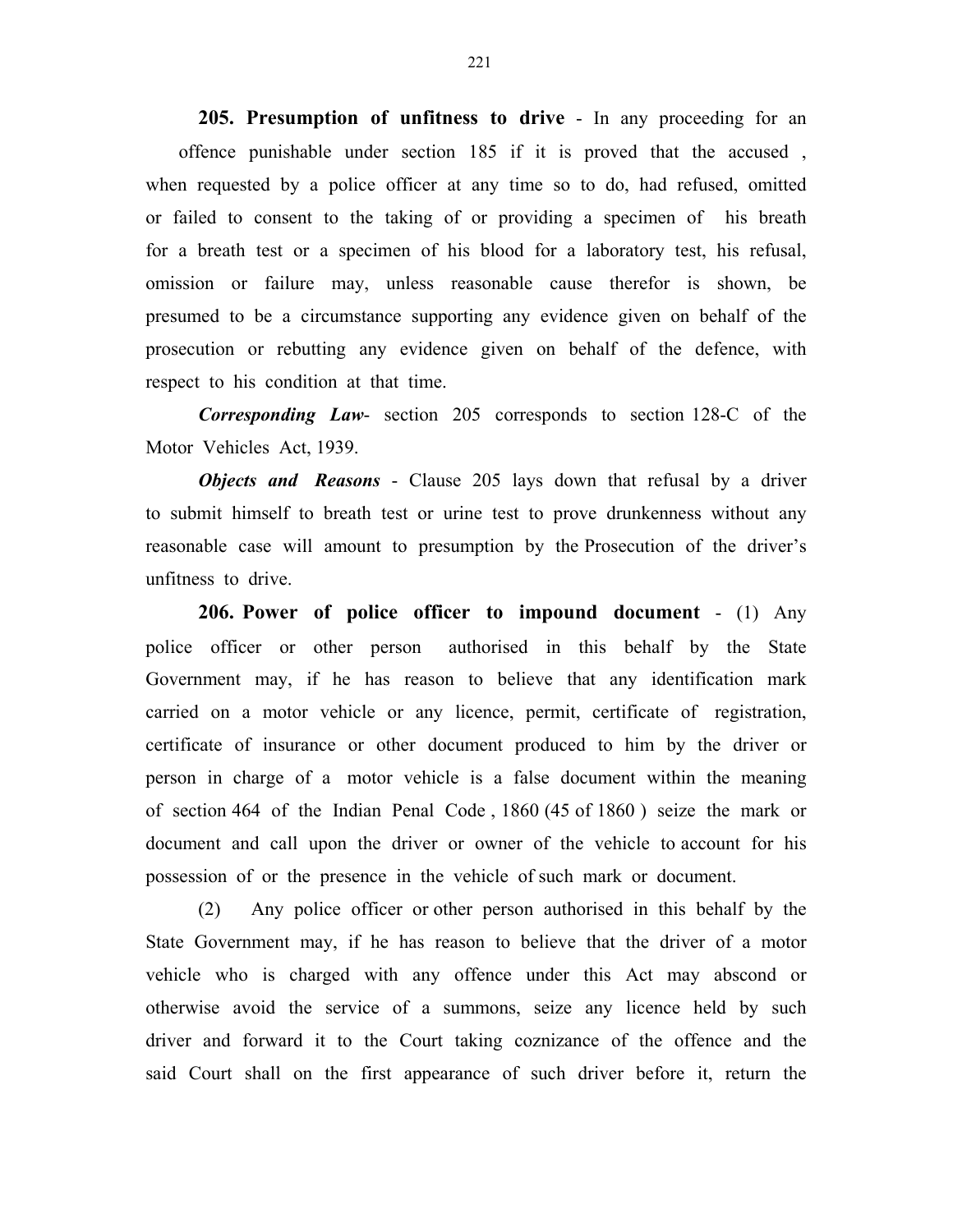**205. Presumption of unfitness to drive** - In any proceeding for an offence punishable under section 185 if it is proved that the accused , when requested by a police officer at any time so to do, had refused, omitted or failed to consent to the taking of or providing a specimen of his breath for a breath test or a specimen of his blood for a laboratory test, his refusal, omission or failure may, unless reasonable cause therefor is shown, be presumed to be a circumstance supporting any evidence given on behalf of the prosecution or rebutting any evidence given on behalf of the defence, with respect to his condition at that time.

*Corresponding Law*- section 205 corresponds to section 128-C of the Motor Vehicles Act, 1939.

*Objects and Reasons - Clause 205 lays down that refusal by a driver* to submit himself to breath test or urine test to prove drunkenness without any reasonable case will amount to presumption by the Prosecution of the driver's unfitness to drive.

**206. Power of police officer to impound document** - (1) Any police officer or other person authorised in this behalf by the State Government may, if he has reason to believe that any identification mark carried on a motor vehicle or any licence, permit, certificate of registration, certificate of insurance or other document produced to him by the driver or person in charge of a motor vehicle is a false document within the meaning of section 464 of the Indian Penal Code , 1860 (45 of 1860 ) seize the mark or document and call upon the driver or owner of the vehicle to account for his possession of or the presence in the vehicle of such mark or document.

(2) Any police officer or other person authorised in this behalf by the State Government may, if he has reason to believe that the driver of a motor vehicle who is charged with any offence under this Act may abscond or otherwise avoid the service of a summons, seize any licence held by such driver and forward it to the Court taking coznizance of the offence and the said Court shall on the first appearance of such driver before it, return the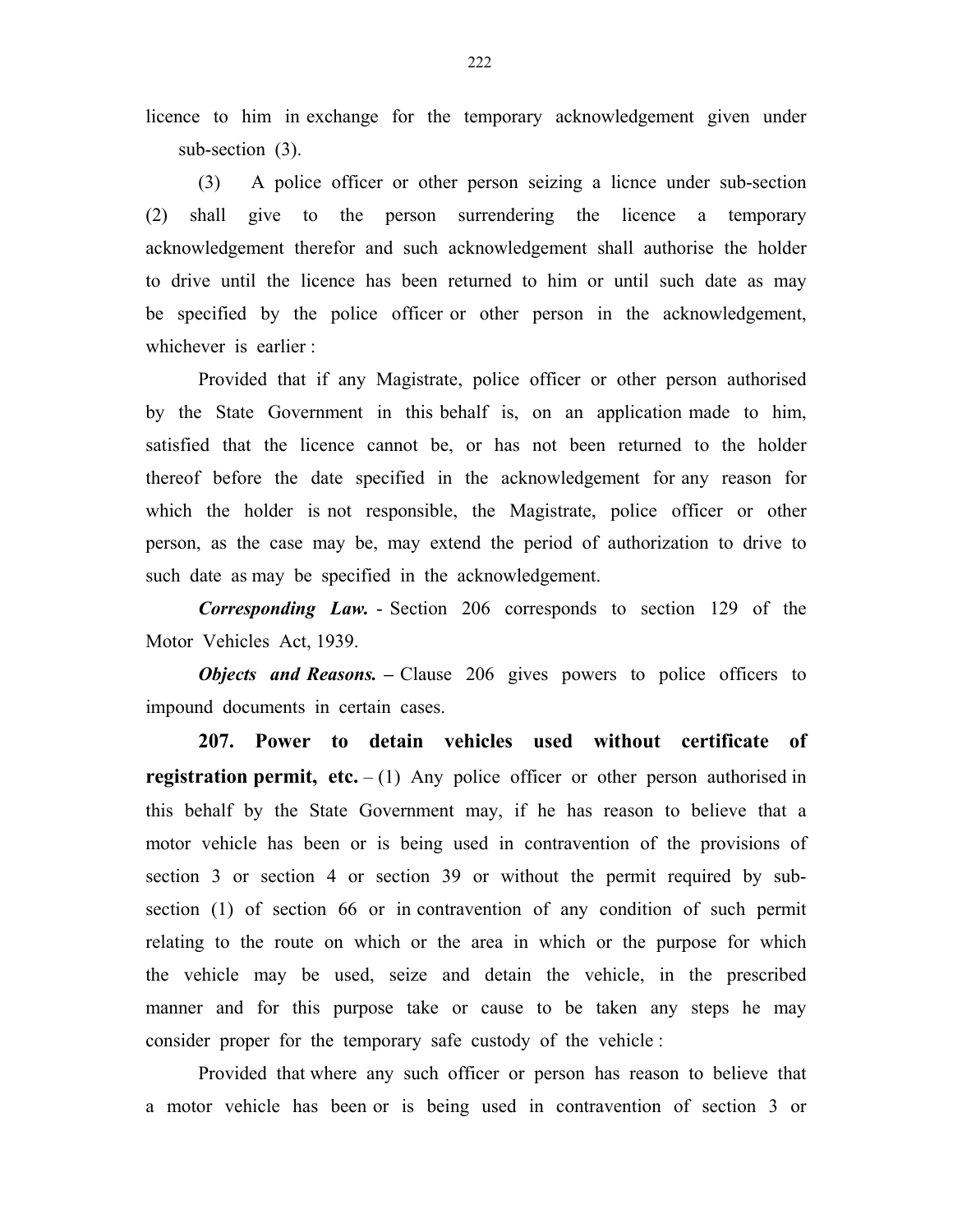licence to him in exchange for the temporary acknowledgement given under sub-section (3).

(3) A police officer or other person seizing a licnce under sub-section (2) shall give to the person surrendering the licence a temporary acknowledgement therefor and such acknowledgement shall authorise the holder to drive until the licence has been returned to him or until such date as may be specified by the police officer or other person in the acknowledgement, whichever is earlier :

Provided that if any Magistrate, police officer or other person authorised by the State Government in this behalf is, on an application made to him, satisfied that the licence cannot be, or has not been returned to the holder thereof before the date specified in the acknowledgement for any reason for which the holder is not responsible, the Magistrate, police officer or other person, as the case may be, may extend the period of authorization to drive to such date as may be specified in the acknowledgement.

*Corresponding Law.* - Section 206 corresponds to section 129 of the Motor Vehicles Act, 1939.

*Objects and Reasons.* – Clause 206 gives powers to police officers to impound documents in certain cases.

**207. Power to detain vehicles used without certificate of registration permit, etc.**  $- (1)$  Any police officer or other person authorised in this behalf by the State Government may, if he has reason to believe that a motor vehicle has been or is being used in contravention of the provisions of section 3 or section 4 or section 39 or without the permit required by subsection (1) of section 66 or in contravention of any condition of such permit relating to the route on which or the area in which or the purpose for which the vehicle may be used, seize and detain the vehicle, in the prescribed manner and for this purpose take or cause to be taken any steps he may consider proper for the temporary safe custody of the vehicle :

Provided that where any such officer or person has reason to believe that a motor vehicle has been or is being used in contravention of section 3 or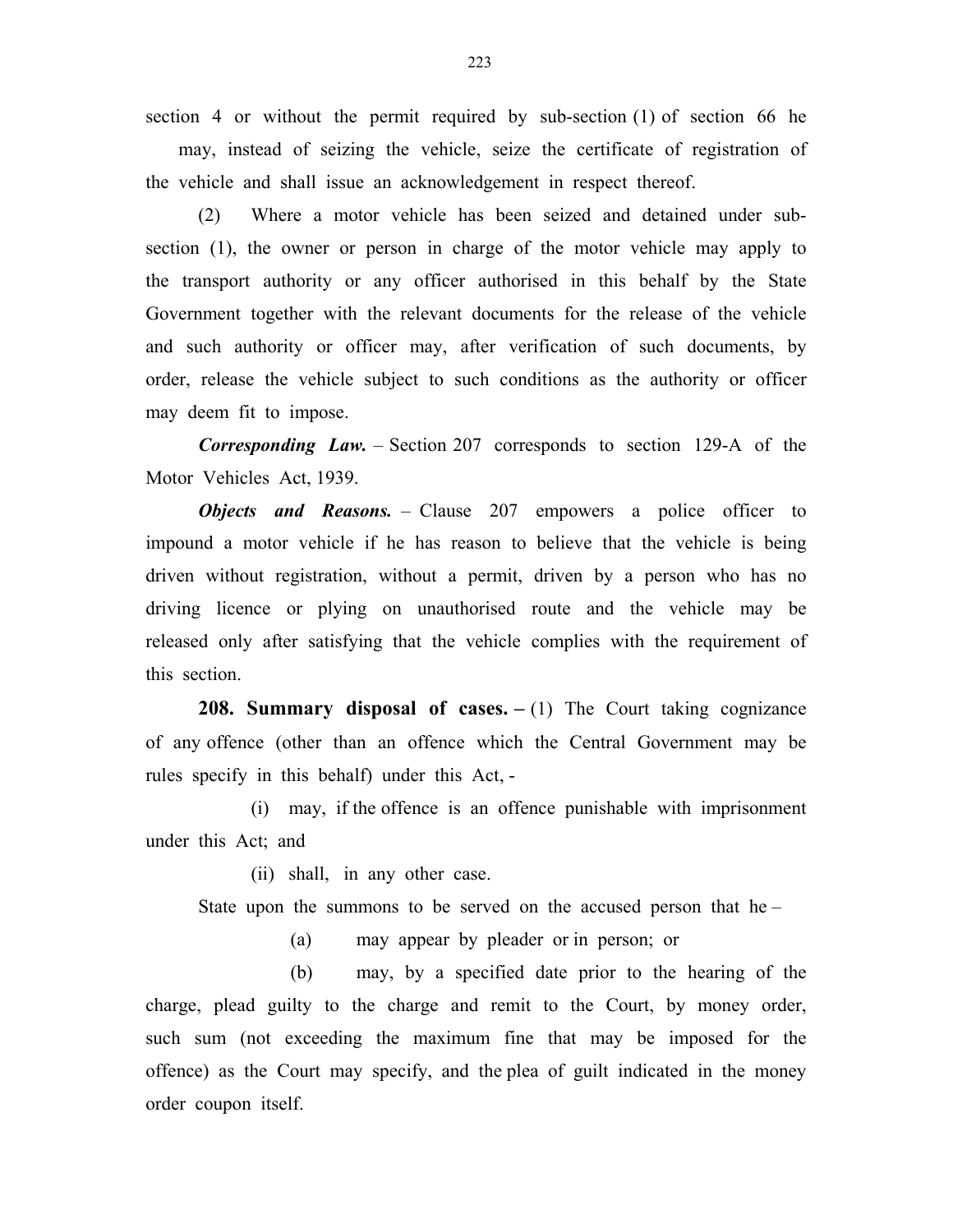section 4 or without the permit required by sub-section (1) of section 66 he

may, instead of seizing the vehicle, seize the certificate of registration of the vehicle and shall issue an acknowledgement in respect thereof.

(2) Where a motor vehicle has been seized and detained under subsection (1), the owner or person in charge of the motor vehicle may apply to the transport authority or any officer authorised in this behalf by the State Government together with the relevant documents for the release of the vehicle and such authority or officer may, after verification of such documents, by order, release the vehicle subject to such conditions as the authority or officer may deem fit to impose.

*Corresponding Law.* – Section 207 corresponds to section 129-A of the Motor Vehicles Act, 1939.

*Objects and Reasons.* – Clause 207 empowers a police officer to impound a motor vehicle if he has reason to believe that the vehicle is being driven without registration, without a permit, driven by a person who has no driving licence or plying on unauthorised route and the vehicle may be released only after satisfying that the vehicle complies with the requirement of this section.

**208. Summary disposal of cases. –** (1) The Court taking cognizance of any offence (other than an offence which the Central Government may be rules specify in this behalf) under this Act, -

 (i) may, if the offence is an offence punishable with imprisonment under this Act; and

(ii) shall, in any other case.

State upon the summons to be served on the accused person that he –

(a) may appear by pleader or in person; or

(b) may, by a specified date prior to the hearing of the charge, plead guilty to the charge and remit to the Court, by money order, such sum (not exceeding the maximum fine that may be imposed for the offence) as the Court may specify, and the plea of guilt indicated in the money order coupon itself.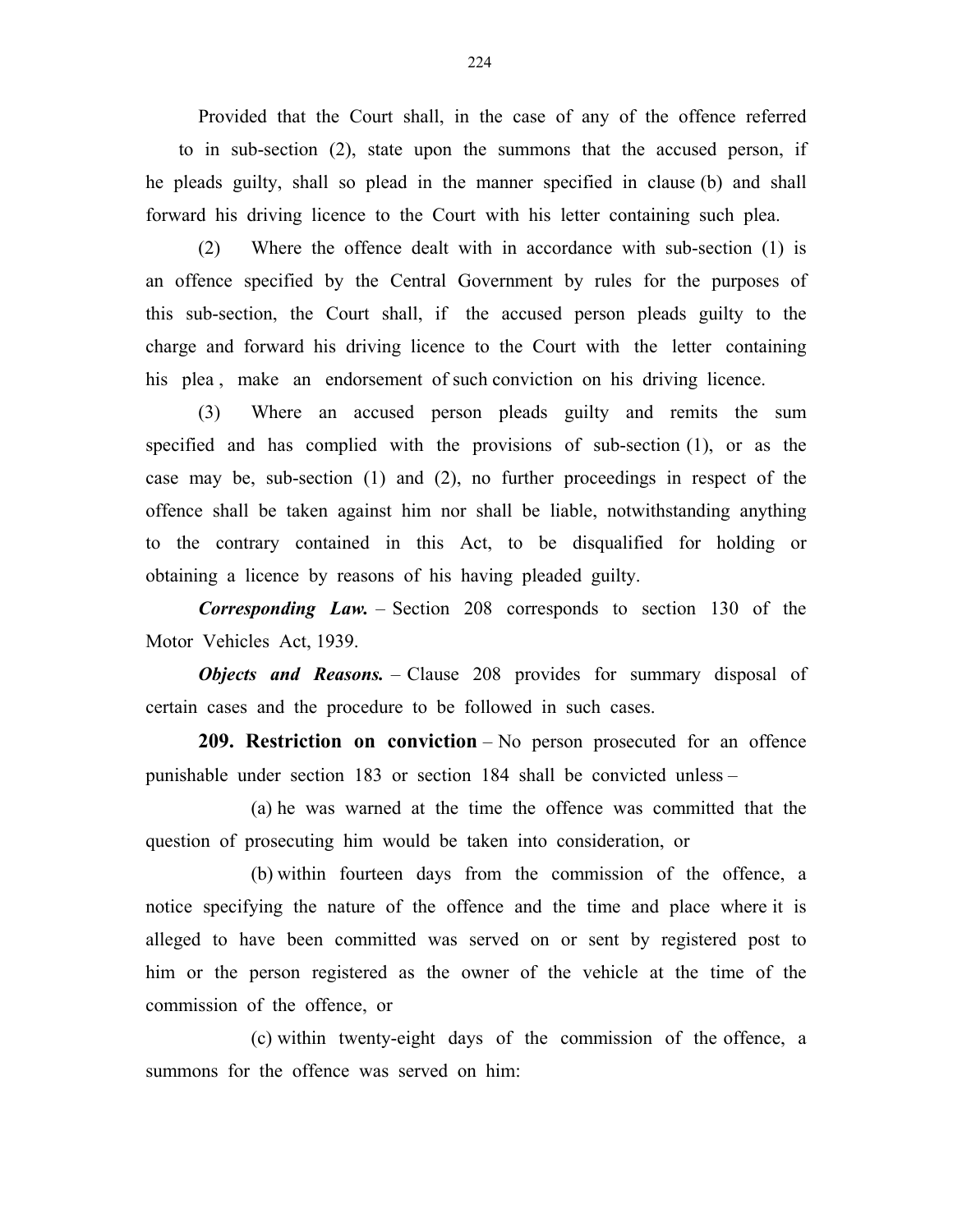Provided that the Court shall, in the case of any of the offence referred to in sub-section (2), state upon the summons that the accused person, if he pleads guilty, shall so plead in the manner specified in clause (b) and shall forward his driving licence to the Court with his letter containing such plea.

(2) Where the offence dealt with in accordance with sub-section (1) is an offence specified by the Central Government by rules for the purposes of this sub-section, the Court shall, if the accused person pleads guilty to the charge and forward his driving licence to the Court with the letter containing his plea , make an endorsement of such conviction on his driving licence.

(3) Where an accused person pleads guilty and remits the sum specified and has complied with the provisions of sub-section (1), or as the case may be, sub-section (1) and (2), no further proceedings in respect of the offence shall be taken against him nor shall be liable, notwithstanding anything to the contrary contained in this Act, to be disqualified for holding or obtaining a licence by reasons of his having pleaded guilty.

*Corresponding Law.* – Section 208 corresponds to section 130 of the Motor Vehicles Act, 1939.

*Objects and Reasons.* – Clause 208 provides for summary disposal of certain cases and the procedure to be followed in such cases.

**209. Restriction on conviction** – No person prosecuted for an offence punishable under section 183 or section 184 shall be convicted unless –

(a) he was warned at the time the offence was committed that the question of prosecuting him would be taken into consideration, or

(b) within fourteen days from the commission of the offence, a notice specifying the nature of the offence and the time and place where it is alleged to have been committed was served on or sent by registered post to him or the person registered as the owner of the vehicle at the time of the commission of the offence, or

(c) within twenty-eight days of the commission of the offence, a summons for the offence was served on him: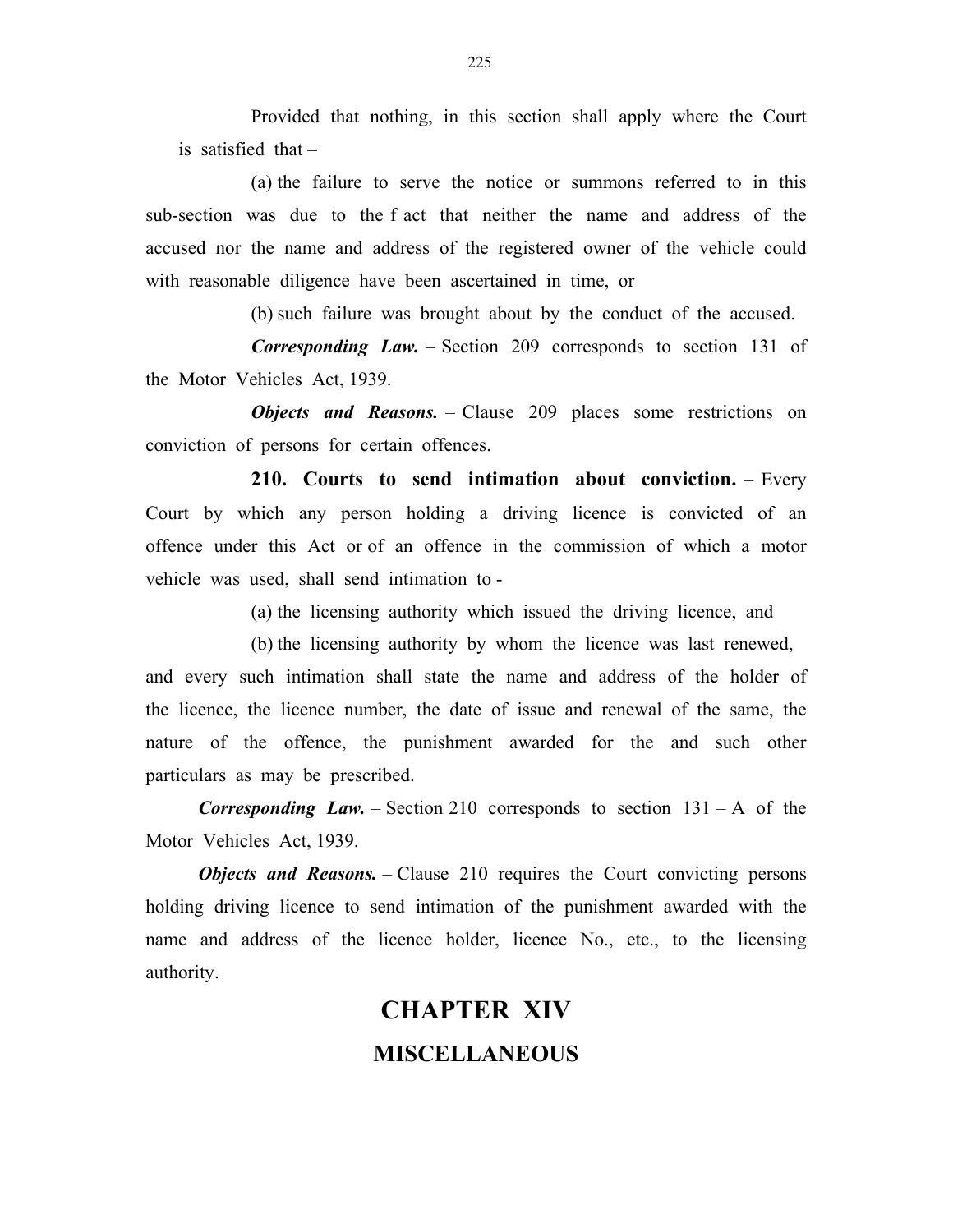Provided that nothing, in this section shall apply where the Court is satisfied that –

(a) the failure to serve the notice or summons referred to in this sub-section was due to the f act that neither the name and address of the accused nor the name and address of the registered owner of the vehicle could with reasonable diligence have been ascertained in time, or

(b) such failure was brought about by the conduct of the accused.

*Corresponding Law.* – Section 209 corresponds to section 131 of the Motor Vehicles Act, 1939.

*Objects and Reasons.* – Clause 209 places some restrictions on conviction of persons for certain offences.

**210. Courts to send intimation about conviction.** – Every Court by which any person holding a driving licence is convicted of an offence under this Act or of an offence in the commission of which a motor vehicle was used, shall send intimation to -

(a) the licensing authority which issued the driving licence, and

(b) the licensing authority by whom the licence was last renewed,

and every such intimation shall state the name and address of the holder of the licence, the licence number, the date of issue and renewal of the same, the nature of the offence, the punishment awarded for the and such other particulars as may be prescribed.

*Corresponding Law.* – Section 210 corresponds to section  $131 - A$  of the Motor Vehicles Act, 1939.

*Objects and Reasons.* – Clause 210 requires the Court convicting persons holding driving licence to send intimation of the punishment awarded with the name and address of the licence holder, licence No., etc., to the licensing authority.

## **CHAPTER XIV**

## **MISCELLANEOUS**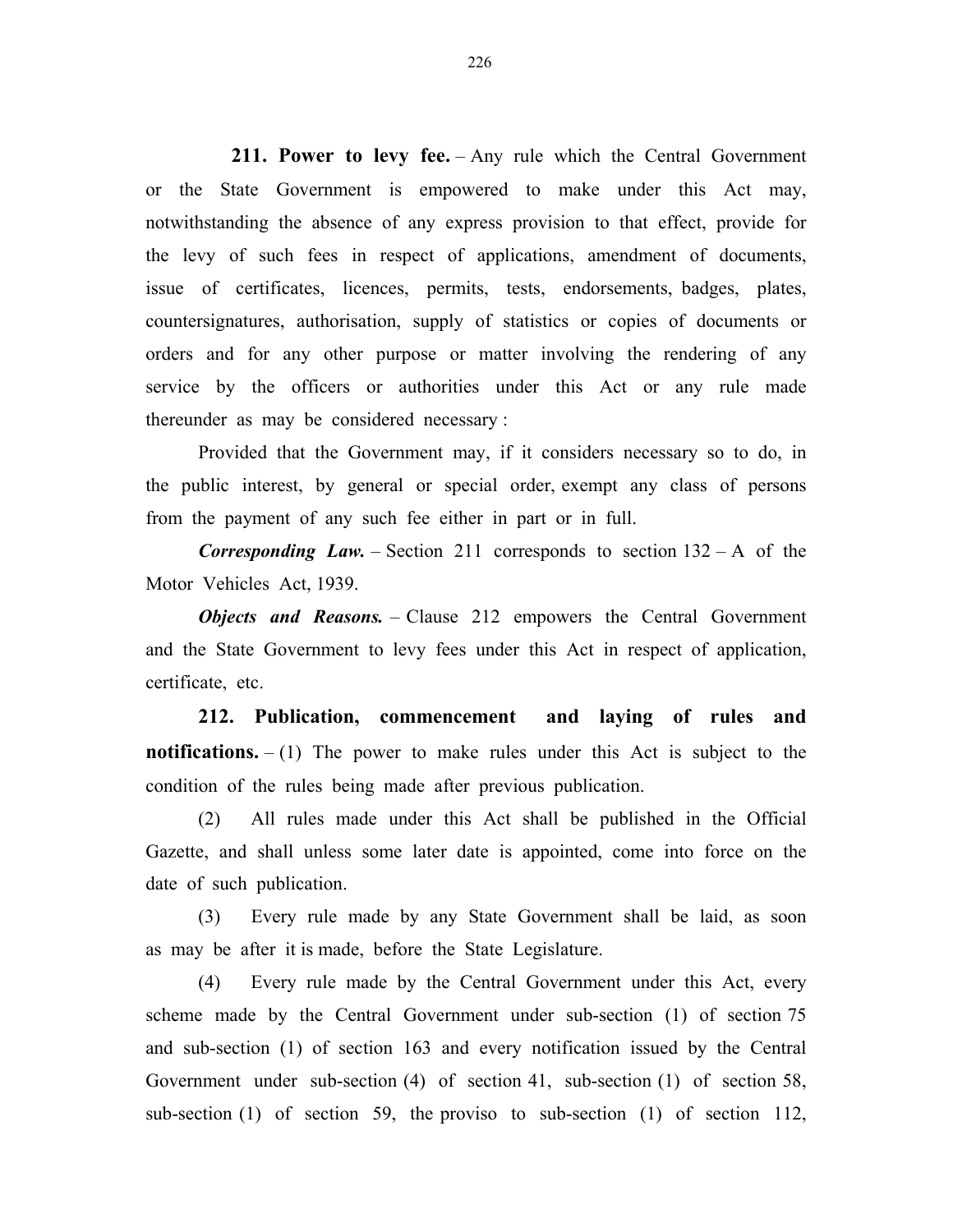**211. Power to levy fee.** – Any rule which the Central Government or the State Government is empowered to make under this Act may, notwithstanding the absence of any express provision to that effect, provide for the levy of such fees in respect of applications, amendment of documents, issue of certificates, licences, permits, tests, endorsements, badges, plates, countersignatures, authorisation, supply of statistics or copies of documents or orders and for any other purpose or matter involving the rendering of any service by the officers or authorities under this Act or any rule made thereunder as may be considered necessary :

 Provided that the Government may, if it considers necessary so to do, in the public interest, by general or special order, exempt any class of persons from the payment of any such fee either in part or in full.

*Corresponding Law.* – Section 211 corresponds to section  $132 - A$  of the Motor Vehicles Act, 1939.

*Objects and Reasons.* – Clause 212 empowers the Central Government and the State Government to levy fees under this Act in respect of application, certificate, etc.

**212. Publication, commencement and laying of rules and notifications.** – (1) The power to make rules under this Act is subject to the condition of the rules being made after previous publication.

(2) All rules made under this Act shall be published in the Official Gazette, and shall unless some later date is appointed, come into force on the date of such publication.

(3) Every rule made by any State Government shall be laid, as soon as may be after it is made, before the State Legislature.

(4) Every rule made by the Central Government under this Act, every scheme made by the Central Government under sub-section (1) of section 75 and sub-section (1) of section 163 and every notification issued by the Central Government under sub-section (4) of section 41, sub-section (1) of section 58, sub-section (1) of section 59, the proviso to sub-section (1) of section 112,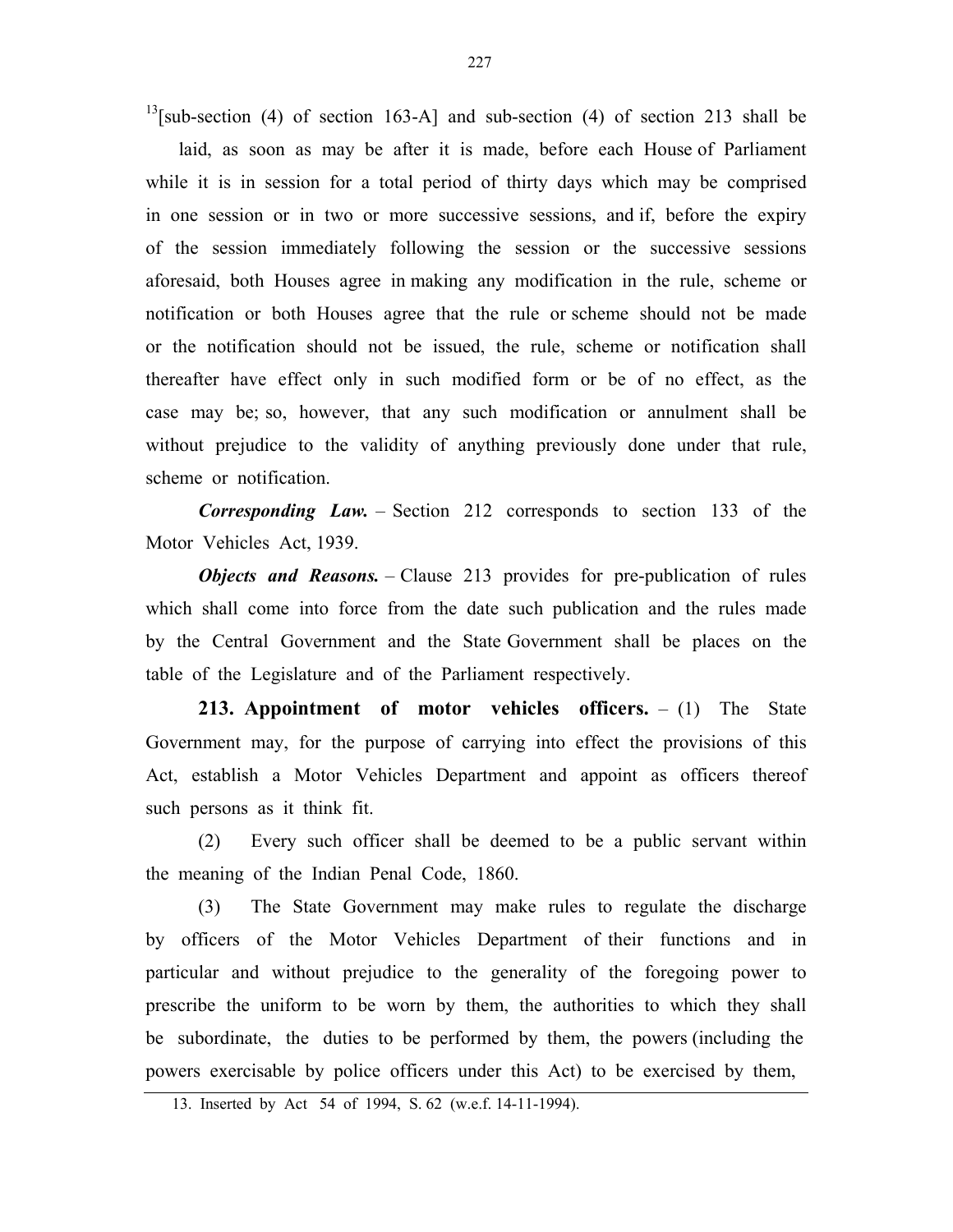$^{13}$ [sub-section (4) of section 163-A] and sub-section (4) of section 213 shall be

laid, as soon as may be after it is made, before each House of Parliament while it is in session for a total period of thirty days which may be comprised in one session or in two or more successive sessions, and if, before the expiry of the session immediately following the session or the successive sessions aforesaid, both Houses agree in making any modification in the rule, scheme or notification or both Houses agree that the rule or scheme should not be made or the notification should not be issued, the rule, scheme or notification shall thereafter have effect only in such modified form or be of no effect, as the case may be; so, however, that any such modification or annulment shall be without prejudice to the validity of anything previously done under that rule, scheme or notification.

*Corresponding Law.* – Section 212 corresponds to section 133 of the Motor Vehicles Act, 1939.

*Objects and Reasons.* – Clause 213 provides for pre-publication of rules which shall come into force from the date such publication and the rules made by the Central Government and the State Government shall be places on the table of the Legislature and of the Parliament respectively.

**213. Appointment of motor vehicles officers.** – (1) The State Government may, for the purpose of carrying into effect the provisions of this Act, establish a Motor Vehicles Department and appoint as officers thereof such persons as it think fit.

(2) Every such officer shall be deemed to be a public servant within the meaning of the Indian Penal Code, 1860.

(3) The State Government may make rules to regulate the discharge by officers of the Motor Vehicles Department of their functions and in particular and without prejudice to the generality of the foregoing power to prescribe the uniform to be worn by them, the authorities to which they shall be subordinate, the duties to be performed by them, the powers (including the powers exercisable by police officers under this Act) to be exercised by them,

<sup>13.</sup> Inserted by Act 54 of 1994, S. 62 (w.e.f. 14-11-1994).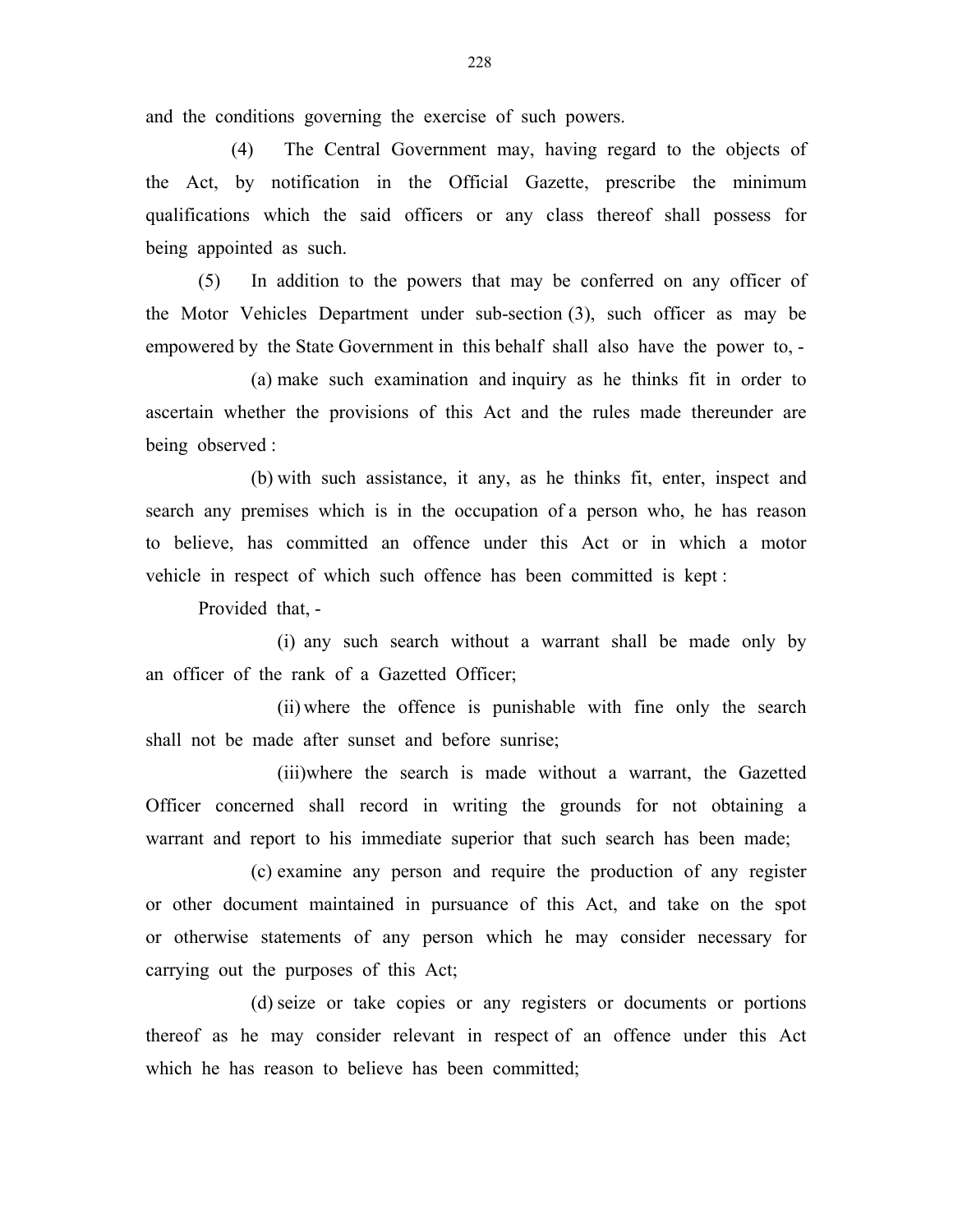and the conditions governing the exercise of such powers.

(4) The Central Government may, having regard to the objects of the Act, by notification in the Official Gazette, prescribe the minimum qualifications which the said officers or any class thereof shall possess for being appointed as such.

(5) In addition to the powers that may be conferred on any officer of the Motor Vehicles Department under sub-section (3), such officer as may be empowered by the State Government in this behalf shall also have the power to, -

(a) make such examination and inquiry as he thinks fit in order to ascertain whether the provisions of this Act and the rules made thereunder are being observed :

(b) with such assistance, it any, as he thinks fit, enter, inspect and search any premises which is in the occupation of a person who, he has reason to believe, has committed an offence under this Act or in which a motor vehicle in respect of which such offence has been committed is kept :

Provided that, -

(i) any such search without a warrant shall be made only by an officer of the rank of a Gazetted Officer;

(ii) where the offence is punishable with fine only the search shall not be made after sunset and before sunrise;

(iii)where the search is made without a warrant, the Gazetted Officer concerned shall record in writing the grounds for not obtaining a warrant and report to his immediate superior that such search has been made;

(c) examine any person and require the production of any register or other document maintained in pursuance of this Act, and take on the spot or otherwise statements of any person which he may consider necessary for carrying out the purposes of this Act;

(d) seize or take copies or any registers or documents or portions thereof as he may consider relevant in respect of an offence under this Act which he has reason to believe has been committed;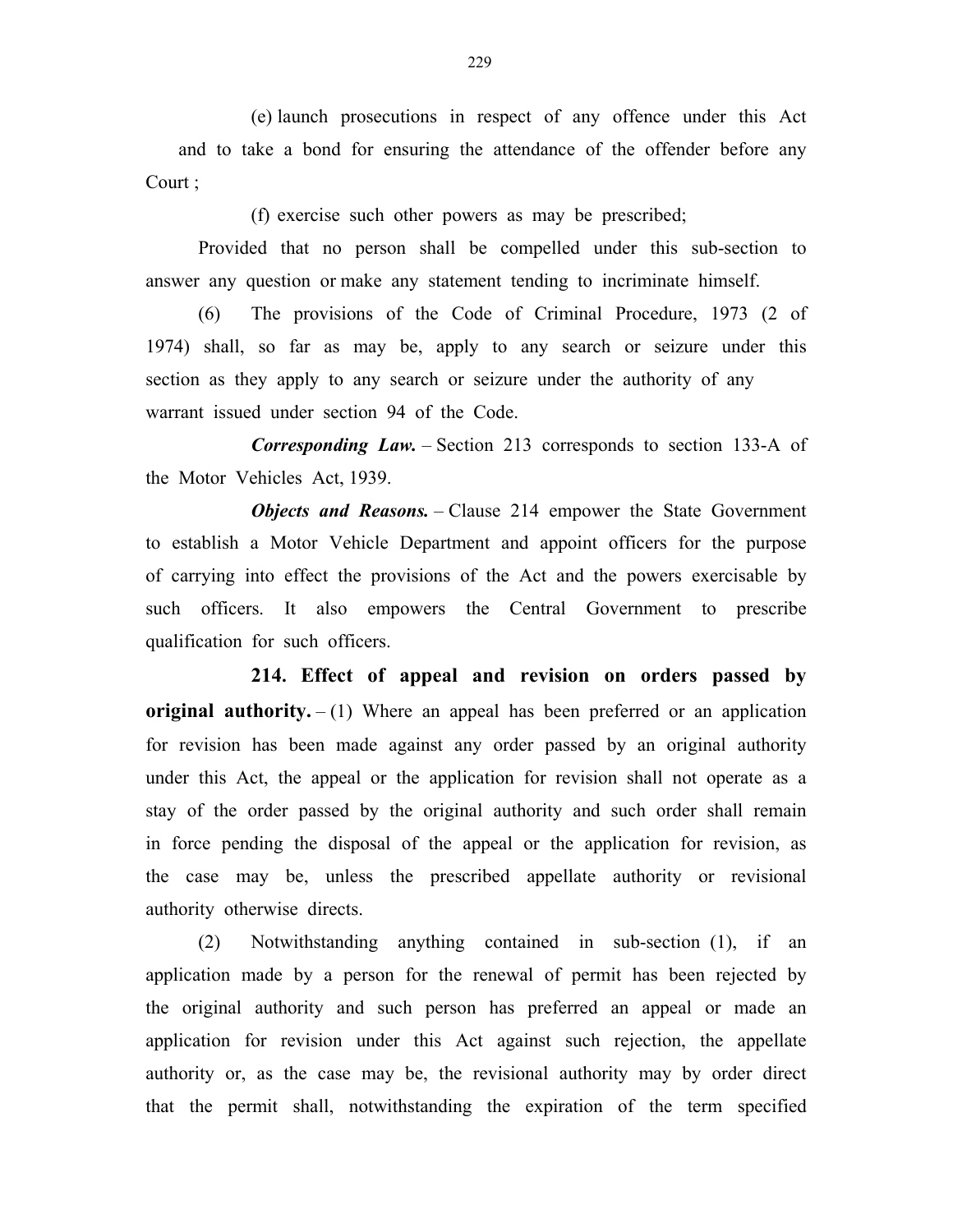(e) launch prosecutions in respect of any offence under this Act and to take a bond for ensuring the attendance of the offender before any Court ;

(f) exercise such other powers as may be prescribed;

Provided that no person shall be compelled under this sub-section to answer any question or make any statement tending to incriminate himself.

(6) The provisions of the Code of Criminal Procedure, 1973 (2 of 1974) shall, so far as may be, apply to any search or seizure under this section as they apply to any search or seizure under the authority of any warrant issued under section 94 of the Code.

*Corresponding Law.* – Section 213 corresponds to section 133-A of the Motor Vehicles Act, 1939.

*Objects and Reasons.* – Clause 214 empower the State Government to establish a Motor Vehicle Department and appoint officers for the purpose of carrying into effect the provisions of the Act and the powers exercisable by such officers. It also empowers the Central Government to prescribe qualification for such officers.

**214. Effect of appeal and revision on orders passed by original authority.** – (1) Where an appealhas been preferred or an application for revision has been made against any order passed by an original authority under this Act, the appeal or the application for revision shall not operate as a stay of the order passed by the original authority and such order shall remain in force pending the disposal of the appeal or the application for revision, as the case may be, unless the prescribed appellate authority or revisional authority otherwise directs.

(2) Notwithstanding anything contained in sub-section (1), if an application made by a person for the renewal of permit has been rejected by the original authority and such person has preferred an appeal or made an application for revision under this Act against such rejection, the appellate authority or, as the case may be, the revisional authority may by order direct that the permit shall, notwithstanding the expiration of the term specified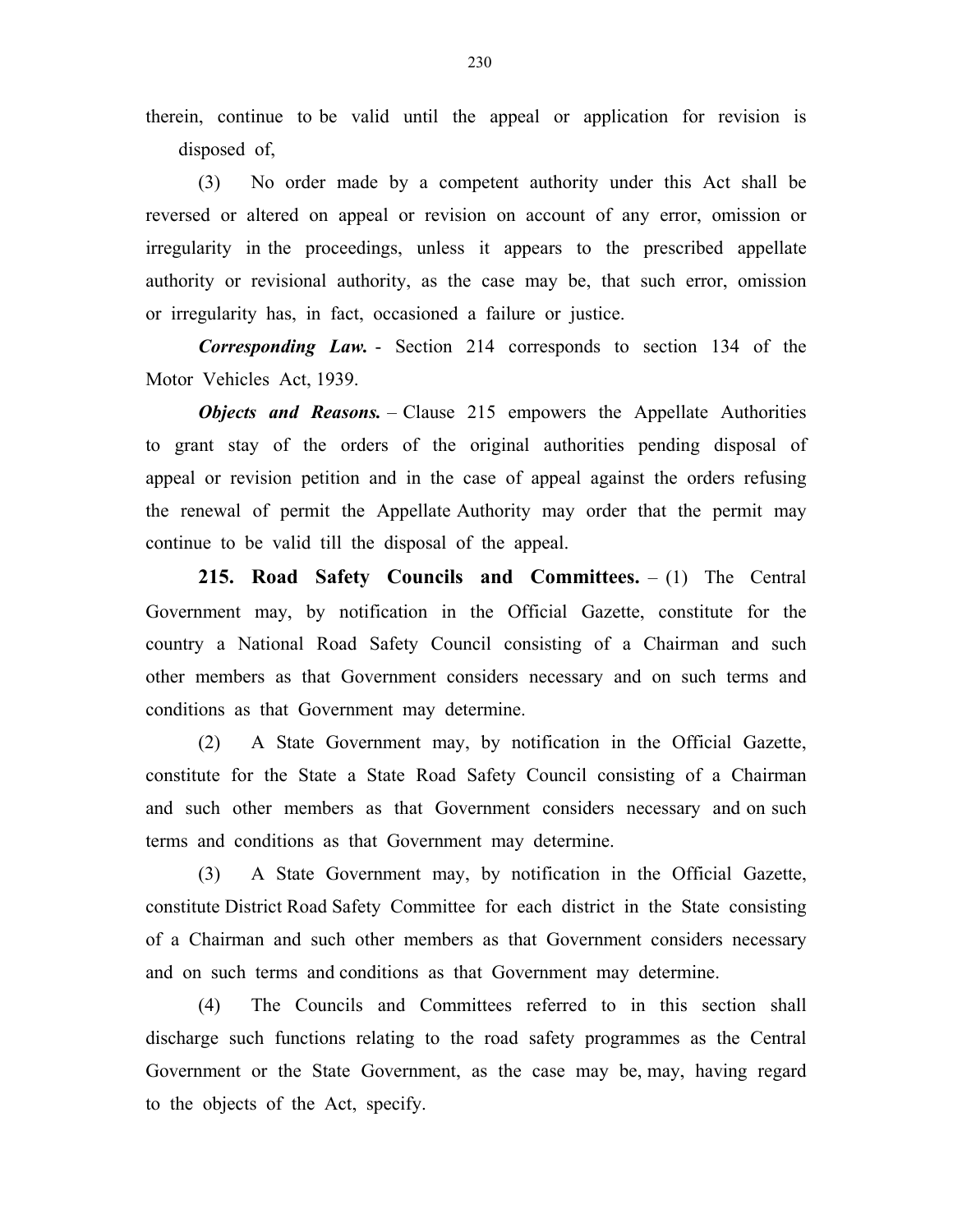therein, continue to be valid until the appeal or application for revision is disposed of,

(3) No order made by a competent authority under this Act shall be reversed or altered on appeal or revision on account of any error, omission or irregularity in the proceedings, unless it appears to the prescribed appellate authority or revisional authority, as the case may be, that such error, omission or irregularity has, in fact, occasioned a failure or justice.

*Corresponding Law.* - Section 214 corresponds to section 134 of the Motor Vehicles Act, 1939.

*Objects and Reasons.* – Clause 215 empowers the Appellate Authorities to grant stay of the orders of the original authorities pending disposal of appeal or revision petition and in the case of appeal against the orders refusing the renewal of permit the Appellate Authority may order that the permit may continue to be valid till the disposal of the appeal.

**215. Road Safety Councils and Committees.** – (1) The Central Government may, by notification in the Official Gazette, constitute for the country a National Road Safety Council consisting of a Chairman and such other members as that Government considers necessary and on such terms and conditions as that Government may determine.

(2) A State Government may, by notification in the Official Gazette, constitute for the State a State Road Safety Council consisting of a Chairman and such other members as that Government considers necessary and on such terms and conditions as that Government may determine.

(3) A State Government may, by notification in the Official Gazette, constitute District Road Safety Committee for each district in the State consisting of a Chairman and such other members as that Government considers necessary and on such terms and conditions as that Government may determine.

(4) The Councils and Committees referred to in this section shall discharge such functions relating to the road safety programmes as the Central Government or the State Government, as the case may be, may, having regard to the objects of the Act, specify.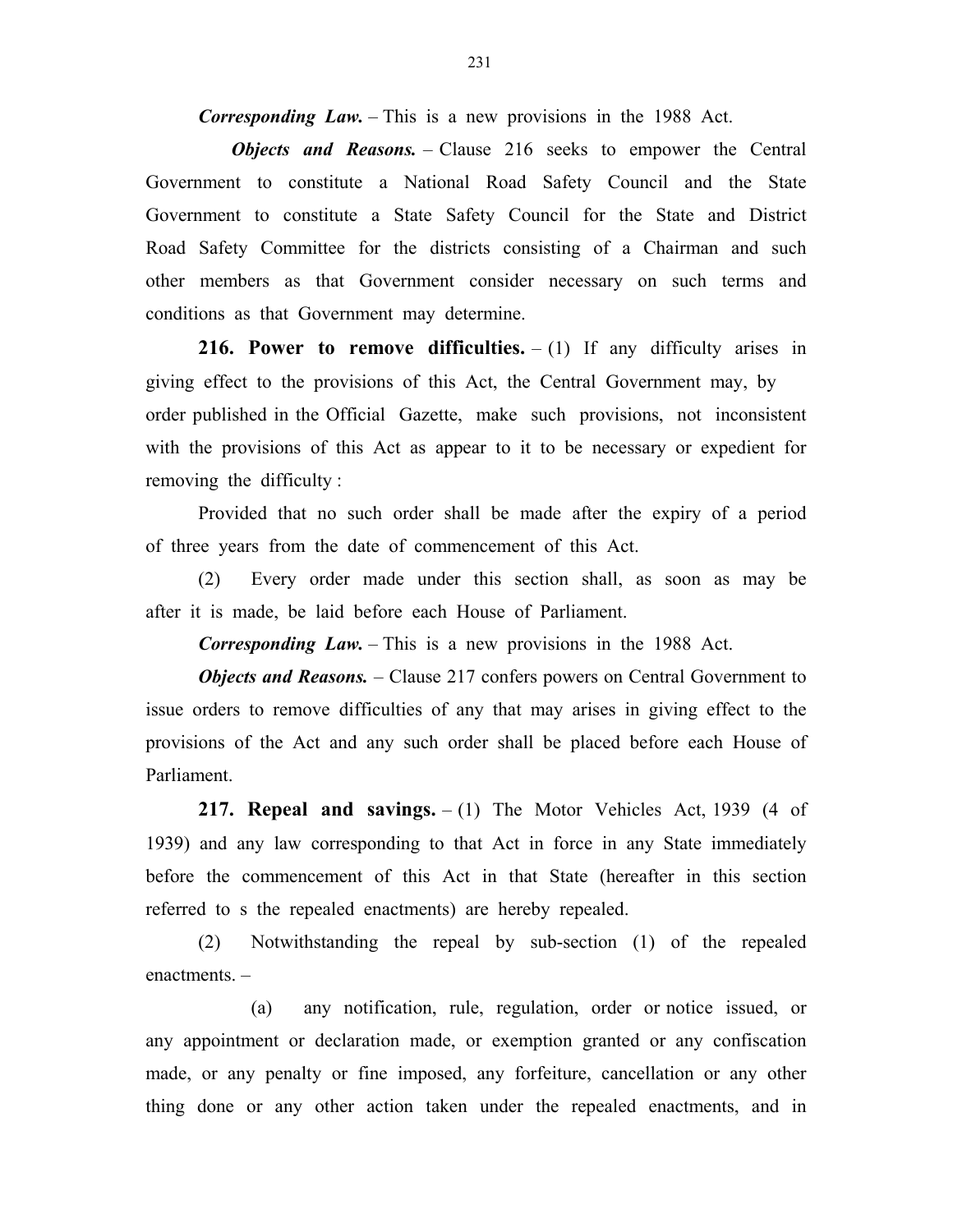*Corresponding Law.* – This is a new provisions in the 1988 Act.

*Objects and Reasons.* – Clause 216 seeks to empower the Central Government to constitute a National Road Safety Council and the State Government to constitute a State Safety Council for the State and District Road Safety Committee for the districts consisting of a Chairman and such other members as that Government consider necessary on such terms and conditions as that Government may determine.

**216. Power to remove difficulties.**  $- (1)$  If any difficulty arises in giving effect to the provisions of this Act, the Central Government may, by order published in the Official Gazette, make such provisions, not inconsistent with the provisions of this Act as appear to it to be necessary or expedient for removing the difficulty :

Provided that no such order shall be made after the expiry of a period of three years from the date of commencement of this Act.

(2) Every order made under this section shall, as soon as may be after it is made, be laid before each House of Parliament.

*Corresponding Law.* – This is a new provisions in the 1988 Act.

*Objects and Reasons.* – Clause 217 confers powers on Central Government to issue orders to remove difficulties of any that may arises in giving effect to the provisions of the Act and any such order shall be placed before each House of Parliament.

**217. Repeal and savings.** – (1) The Motor Vehicles Act, 1939 (4 of 1939) and any law corresponding to that Act in force in any State immediately before the commencement of this Act in that State (hereafter in this section referred to s the repealed enactments) are hereby repealed.

(2) Notwithstanding the repeal by sub-section (1) of the repealed enactments. –

(a) any notification, rule, regulation, order or notice issued, or any appointment or declaration made, or exemption granted or any confiscation made, or any penalty or fine imposed, any forfeiture, cancellation or any other thing done or any other action taken under the repealed enactments, and in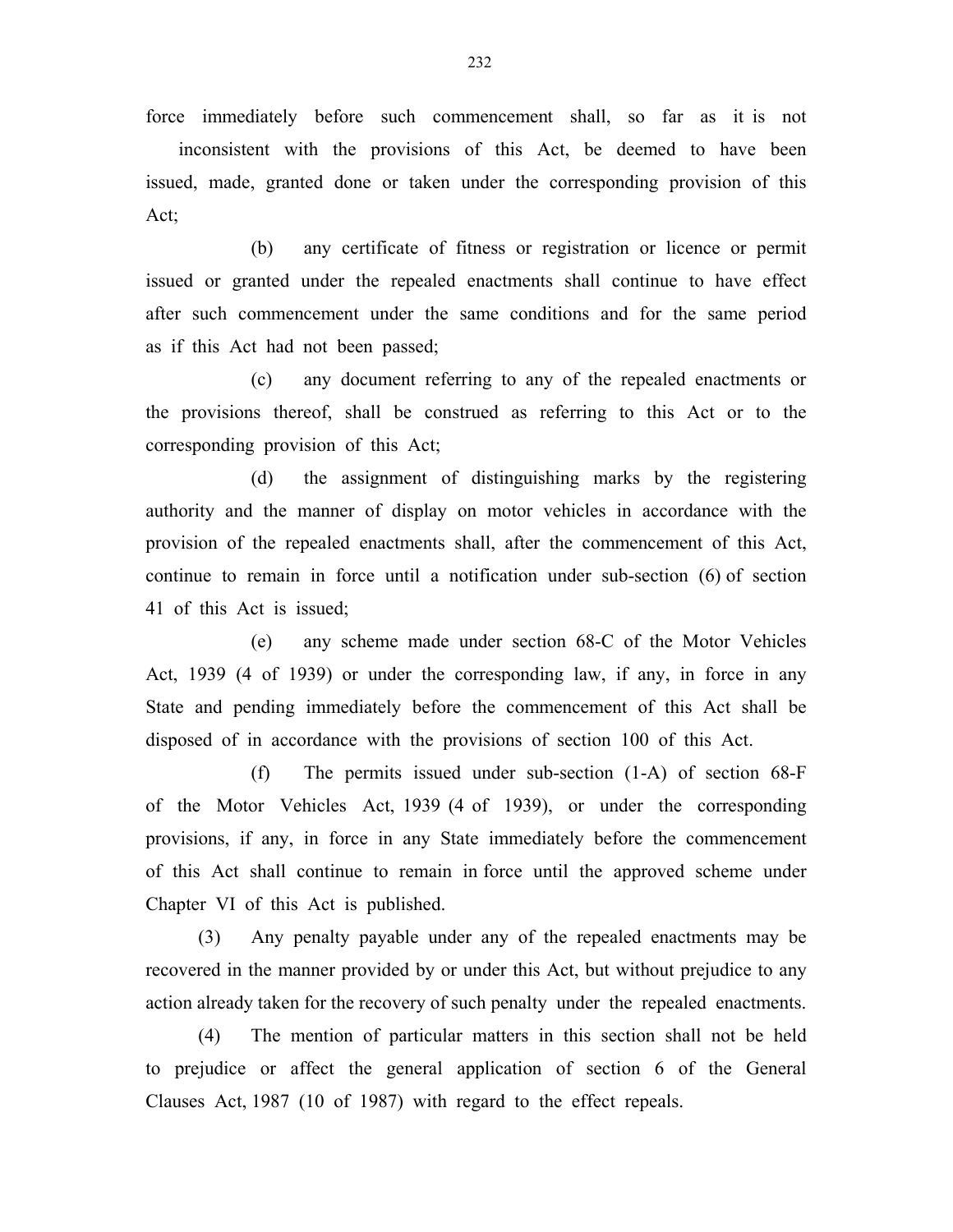force immediately before such commencement shall, so far as it is not

inconsistent with the provisions of this Act, be deemed to have been issued, made, granted done or taken under the corresponding provision of this Act;

(b) any certificate of fitness or registration or licence or permit issued or granted under the repealed enactments shall continue to have effect after such commencement under the same conditions and for the same period as if this Act had not been passed;

(c) any document referring to any of the repealed enactments or the provisions thereof, shall be construed as referring to this Act or to the corresponding provision of this Act;

(d) the assignment of distinguishing marks by the registering authority and the manner of display on motor vehicles in accordance with the provision of the repealed enactments shall, after the commencement of this Act, continue to remain in force until a notification under sub-section (6) of section 41 of this Act is issued;

(e) any scheme made under section 68-C of the Motor Vehicles Act, 1939 (4 of 1939) or under the corresponding law, if any, in force in any State and pending immediately before the commencement of this Act shall be disposed of in accordance with the provisions of section 100 of this Act.

(f) The permits issued under sub-section (1-A) of section 68-F of the Motor Vehicles Act, 1939 (4 of 1939), or under the corresponding provisions, if any, in force in any State immediately before the commencement of this Act shall continue to remain in force until the approved scheme under Chapter VI of this Act is published.

(3) Any penalty payable under any of the repealed enactments may be recovered in the manner provided by or under this Act, but without prejudice to any action already taken for the recovery of such penalty under the repealed enactments.

(4) The mention of particular matters in this section shall not be held to prejudice or affect the general application of section 6 of the General Clauses Act, 1987 (10 of 1987) with regard to the effect repeals.